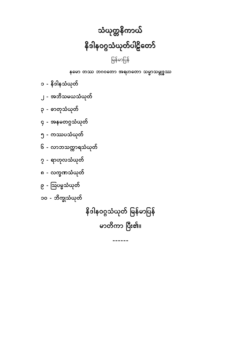# နိဒါနဝဂ္ဂသံယုတ် မြန်မာပြန် မာတိကာ ပြီး၏။

- ၁၀ ဘိက္ခုသံယုတ်
- ၉ ဩပမ္မသံယုတ်
- ၈ လက္ခဏသံယုတ်
- ၇ ရာဟုလသံယုတ်
- ၆ လာဘသက္ကာရသံယုတ်
- ၅ ကဿပသံယုတ်
- ၄ အနမတဂ္ဂသံယုတ်
- ၃ ဓာတုသံယုတ်
- ၂ အဘိသမယသံယုတ်
- ၁ နိဒါနသံယုတ်

နမော တဿ ဘဂဝတော အရဟတော သမ္မာသမ္ဗုဒ္ဓဿ

<span id="page-0-0"></span>သံယုတ္တနိကာယ် နိဒါနဝဂ္ဂသံယုတ်ပါဠိတော် မြန်မာပြန်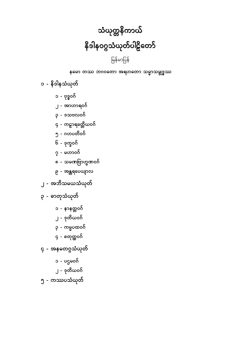- ၅ ကဿပသံယုတ်
- ၂ ဒုတိယဝဂ်
- ၁ ပဌမဝဂ်
- ၄ အနမတဂ္ဂသံယုတ်
- ၄ စတုတ္ထဝဂ်
- ၃ ကမ္မပထဝဂ်
- ၂ ဒုတိယဝဂ်
- ၁ နာနတ္တဝဂ်
- ၃ ဓာတုသံယုတ်
- ၂ အဘိသမယသံယုတ်
- ၉ အန္တရပေယျာလ
- ၈ သမဏဗြာဟ္မဏဝဂ်
- ၇ မဟာ၀ဂ်
- ၆ ဒုက္ခဝဂ်
- ၅ ဂဟပတိဝဂ်
- ၄ ကဠာရခတ္တိယဝဂ်
- ၃ ဒသဗလဝဂ်
- ၂ အာဟာရဝဂ်
- ၁ ဗုဒ္ဓဝဂ်ိ
- ၁ နိဒါနသံယုတ်

နမော တဿ ဘဂဝတော အရဟတော သမ္မာသမ္ဗုဒ္ဓဿ

<span id="page-1-0"></span>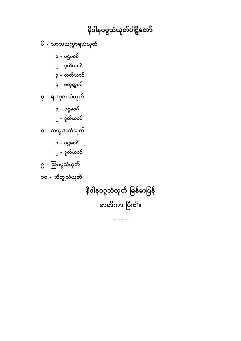# နိဒါနဝဂ္ဂသံယုတ် မြန်မာပြန် မာတိကာ ပြီး၏။

- ၁၀ ဘိက္ခုသံယုတ်
- ၉ ဩပမ္မသံယုတ်
- ၂ ဒုတိယဝဂ်
- ၁ ပဌမဝဂ်
- ၈ လက္ခဏသံယုတ်
- ၂ ဒုတိယဝဂ်
- ၁ ပဌမဝဂ်
- ၇ ရာဟုလသံယုတ်
- ၄ စတုတ္ထဝဂ်
- ၃ တတိယဝဂ်
- ၂ ဒုတိယဝဂ်
- ၁ ပဌမဝဂ်
- <span id="page-2-0"></span>၆ - လာဘသက္ကာရသံယုတ်
- နိဒါနဝဂ္ဂသံယုတ်ပါဠိတော်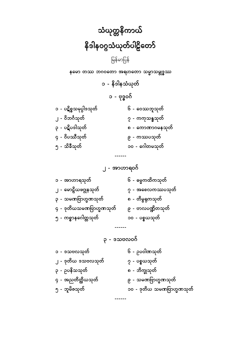| ၁ - ဒသဗလသုတ်       | ၆ - ဥပဝါဏသုတ်             |
|--------------------|---------------------------|
| ၂ - ဒုတိယ ဒသဗလသုတ် | ၇ - ပစ္စယသုတ်             |
| ၃ - ဉပနိသသုတ်      | ၈ - ဘိက္ခုသုတ်            |
| ၄ - အညတိတ္ထိယသုတ်  | ၉ - သမဏဗြာဟ္မဏသုတ်        |
| ၅ - ဘူမိဇသုတ်      | ၁၀ - ဒုတိယ သမဏဗြာဟ္မဏသုတ် |

၃ - ဒသဗလဝဂ်

 $-----<sub>1</sub>$ 

| ၁ - အာဟာရသုတ်           | ၆ - ဓမ္မကထိကသုတ်  |
|-------------------------|-------------------|
| ၂ - မောဠိယဖဂ္ဂုနသုတ်    | ၇ - အစေလကဿပသုတ်   |
| ၃ - သမဏဗြာဟ္မဏသုတ်      | ၈ - တိမ္မရုကသုတ်  |
| ၄ - ဒုတိယသမဏဗြာဟ္မဏသုတ် | ၉ - ဗာလပဏ္ဍိတသုတ် |
| ၅ - ကစ္စာနဂေါတ္တသုတ်    | ၁၀ - ပစ္စယသုတ်    |

၂ - အာဟာရဝဂ်

 $-----<sub>1</sub>$ 

| ၁ - ပဋိစ္စသမုပ္ပါဒသုတ် | ၆ - ဝေဿဘူသုတ်    |
|------------------------|------------------|
| ၂ - ၀ိဘင်္ဂသုတ်        | ၇ - ကကုသန္ဓသုတ်  |
| ၃ - ပဋိပဒါသုတ်         | ၈ - ကောဏာဂမနသုတ် |
| ၄ - ၀ိပဿီသုတ်          | ၉ - ကဿပသုတ်      |
| ၅ - သိခ်ီသုတ်          | ၁၀ - ဂေါတမသုတ်   |

<span id="page-3-0"></span>သံယုတ္တနိကာယ်<br>နိဒါန၀ဂ္ဂသံယုတ်ပါဠိတော်

မြန်မာပြန်

နမော တဿ ဘဂဝတော အရဟတော သမ္မာသမ္ဗုဒ္ဓဿ

၁ - နိဒါနသံယုတ်

၁ - ဗုဒ္ဓဝဂ်ိ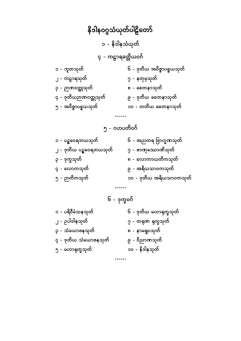<span id="page-4-0"></span>

| နိဒါနဝဂ္ဂသံယုတ်ပါဠိတော် |                            |  |
|-------------------------|----------------------------|--|
| ၁ - နိဒါနသံယုတ်         |                            |  |
| ၄ - ကဠာရခတ္တိယဝဂ်       |                            |  |
| ၁ - ဘူတသုတ်             | ၆ - ဒုတိယ အဝိဇ္ဇာပစ္စယသုတ် |  |
| ၂ - ကဠာရသုတ်            | ၇ - နတုမှသုတ်              |  |
| ၃ - ဉာဏဝတ္ထုသုတ်        | ၈ - စေတနာသုတ်              |  |
| ၄ - ဒုတိယဉာဏ၀တ္ထုသုတ်   | ၉ - ဒုတိယ စေတနာသုတ်        |  |
| ၅ - အ၀ိဇ္ဇာပစ္စယသုတ်    | ၁၀ - တတိယ စေတနာသုတ်        |  |
|                         |                            |  |
| ၅ - ဂဟပတိဝဂ်            |                            |  |
| ၁ - ပဉ္စဝေရဘယသုတ်       | ၆ - အညတရ ဗြာဟ္မဏသုတ်       |  |
| ၂ - ဒုတိယ ပဥ္ပဝေရဘယသုတ် | ၇ - ဇာဏုဿောဏိသုတ်          |  |
| ၃ - ဒုက္ခသုတ်           | ၈ - လောကာယတိကသုတ်          |  |
| ၄ - လောကသုတ်            | ၉ - အရိယသာဝကသုတ်           |  |
| ၅ - ဉာတိကသုတ်           | ၁၀ - ဒုတိယ အရိယသာဝကသုတ်    |  |
|                         |                            |  |

၆ - ဒုက္ခဝဂ် ၆ - ဒုတိယ မဟာရုက္ခသုတ် ၁ - ပရိဝီမံသနသုတ်

၄ - ဒုတိယ သံယောဇနသုတ် ၉ - ဝိညာဏသုတ်

 $\frac{1}{2}$ 

၇ - တရုဏ ရုက္ခသုတ်

၈ - နာမရူပသုတ်

၁၀ - နိဒါနသုတ်

၂ - ဉပါဒါနသုတ်

၃ - သံယောဇနသုတ်

၅ - မဟာရုက္ခသုတ်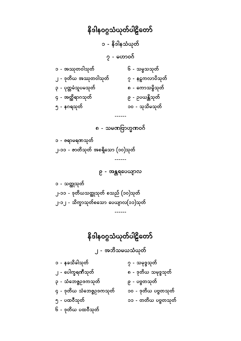|                          | နိဒါနဝဂ္ဂသံယုတ်ပါဠိတော် |
|--------------------------|-------------------------|
|                          | ၂ - အဘိသမယသံယုတ်        |
| ၁ - နခသိခါသုတ်           | ၇ - သမုဒ္ဒသုတ်          |
| ၂ - ပေါက္ခရဏီသုတ်        | ၈ - ဒုတိယ သမုဒ္ဒသုတ်    |
| ၃ - သံဘေဇ္ဇဉဒကသုတ်       | ၉ - ပဗ္ဗတသုတ်           |
| ၄ - ဒုတိယ သံဘေဇ္ဇဉဒကသုတ် | ၁၀ - ဒုတိယ ပဗ္ဗတသုတ်    |
| ၅ - ပထဝီသုတ်             | ၁၁ - တတိယ ပဗ္ဗတသုတ်     |
| ၆ - ဒုတိယ ပထဝီသုတ်       |                         |

၉ - အန္တရပေယျာလ

၁ - ဇရာမရဏသုတ် ၂-၁၁ - ဇာတိသုတ် အစရှိသော (၁၀)သုတ်

<span id="page-5-0"></span>

| ၁ - အသုတဝါသုတ်       | ၆ - သမ္မသသုတ်    |
|----------------------|------------------|
| ၂ - ဒုတိယ အဿုတဝါသုတ် | ၇ - နဠကလာပိသုတ်  |
| ၃ - ပုတ္တမံသူပမသုတ်  | ၈ - ကောသမ္မိသုတ် |
| ၄ - အတ္ထိရာဂသုတ်     | ၉ - ဉပယန္တိသုတ်  |
| ၅ - နဂရသုတ်          | ၁၀ - သုသိမသုတ်   |

၇ - မဟာ၀ဂ်

၁ - နိဒါနသံယုတ်

နိဒါနဝဂွသံယုတ်ပါဠိတော်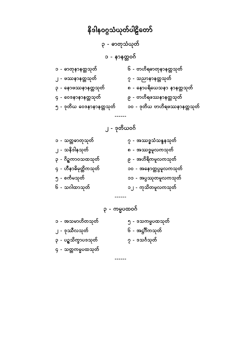- ၃ ကမ္မပထဝဂ် ၁ - အသမာဟိတသုတ် ၅ - ဒသကမ္မပထသုတ် ၆ - အဋ္ဌဂ<del>်</del>ိကသုတ် ၂ - ဒုဿီလသုတ် ၃ - ပဥ္စသိက္ခာပဒသုတ် ၇ - ဒသင်္ဂသုတ် ၄ - သတ္တကမ္မပထသုတ်
- ၇ အဿဒ္ဓသံသန္ဒနသုတ် ၁ - သတ္တဓာတုသုတ် ၂ - သနိဒါနသုတ် ၈ - အဿဒ္ဓမူလကသုတ် ၉ - အဟိရိကမူလကသုတ် ၃ - ဂိဥ္စကာ၀သထသုတ် ၄ - ဟီနာဓိမုတ္တိကသုတ် ၁၀ - အနောတ္တပ္ပမူလကသုတ် ၅ - စင်္ကမသုတ် ၁၁ - အပ္ပဿုတမူလကသုတ် ၆ - သဂါထာသုတ် ၁၂ - ကုသိတမူလကသုတ်

၂ - ဖဿနာနတ္တသုတ် ၄ - ဝေဒနာနာနတ္တသုတ်

၁ - ဓာတုနာနတ္တသုတ်

- <span id="page-6-0"></span>၆ - ဗာဟိရဓာတုနာနတ္တသုတ် ၇ - သညာနာနတ္တသုတ် ၃ - နောဖဿနာနတ္တသုတ် ၈ - နောပရိယေသနာ နာနတ္တသုတ် ၉ - ဗာဟိရဖဿနာနတ္တသုတ် ၅ - ဒုတိယ ဝေဒနာနာနတ္တသုတ် ၁ဝ - ဒုတိယ ဗာဟိရဖဿနာနတ္တသုတ်
- ၁ နာနတ္တဝဂ်
- ၃ ဓာတုသံယုတ်
- နိဒါနဝဂ္ဂသံယုတ်ပါဠိတော်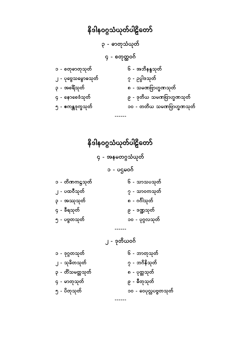|                  | ၂ - ဒုတိယဝဂ်          |  |
|------------------|-----------------------|--|
| ၁ - ဒုဂ္ဂတသုတ်   | ၆ - ဘာတုသုတ်          |  |
| ၂ - သုခိိတသုတ်   | ၇ - ဘဂိနိသုတ်         |  |
| ၃ - တိံသမတ္တသုတ် | ၈ - ပုတ္တသုတ်         |  |
| ၄ - မာတုသုတ်     | ၉ - ဓိတုသုတ်          |  |
| ၅ - ပိတုသုတ်     | ၁၀ - ဝေပုလ္လပဗ္ဗတသုတ် |  |

------

၆ - သာသပသုတ်

$$
\varsigma
$$
 - အနမတဂ္ဂသံယုတ်

## နိဒါနဝဂွသံယုတ်ပါဠိတော်

 $- - - - - -$ 

၄ - နောစေဒံသုတ် ၅ - ဧကန္တဒုက္ခသုတ်

၁ - တိဏကဋ္ဌသုတ်

- ၃ အစရိသုတ်
- ၂ ပုဗွေသမွောဓသုတ်
- 
- ၁ စတုဓာတုသုတ်
- 
- 
- 
- 
- <span id="page-7-0"></span>
- 
- 
- 
- 
- 
- 
- 
- 
- 
- 
- 
- ၃ ဓာတုသံယုတ်
- နိဒါနဝဂ္ဂသံယုတ်ပါဠိတော်
	- ၆ အဘိနန္ဒသုတ် ၇ - ဉပ္ပါဒသုတ် ၈ - သမဏဗြာဟ္မဏသုတ် ၉ - ဒုတိယ သမဏဗြာဟ္မဏသုတ် ၁၀ - တတိယ သမဏဗြာဟ္မဏသုတ်
	- ၄ စတုတ္ထဝဂ်
	-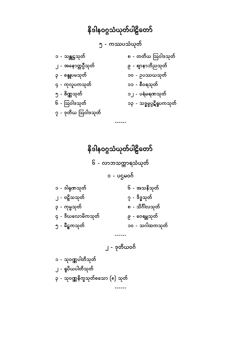- ၂ ရူပိယပါတိသုတ် ၃ - သု၀ဏ္ဏနိက္ခသုတ်စသော <mark>(</mark>၈) သုတ်
- ၁ သုဝဏ္ဏပါတိသုတ်

------

- ၁ ဒါရုဏသုတ် ၆ - အသနိသုတ် ၇ - ဒိဒ္ဓသုတ် ၂ - ဗဠိသသုတ် ၈ - သိင်္ဂါလသုတ် ၃ - ကုမ္မသုတ် ၄ - <sup>8</sup>ဃလောမိကသုတ် ၉ - ဝေရမ္တသုတ် ၅ - မီဠုကသုတ် ၁၀ - သဂါထကသုတ်
- ၁ ပဌမဝဂ်
- ၆ လာဘသတ္ကာရသံယုတ်
- နိဒါနဝဂ္ဂသံယုတ်ပါဠိတော်
- ၇ ဒုတိယ ဩဝါဒသုတ်
- ၆ ဩဝါဒသုတ်
- ၅ ဇိဏ္ဏသုတ်
- ၄ ကုလူပကသုတ်
- 
- ၃ စန္ဒူပမသုတ်
- 
- 
- 
- 
- 
- 
- 
- 
- 
- 
- 
- 
- 
- 
- 
- 
- ၂ အနောတ္တပ္ပီသုတ်
- 
- 
- <span id="page-8-0"></span>၁ - သန္တုဋ္ဌသုတ်
- ၈ တတိယ ဩဝါဒသုတ်

နိဒါနဝဂွသံယုတ်ပါဠိတော်

၅ - ကဿပသံယုတ်

- ၉ ဈာနာဘိညသုတ်
- 
- 
- 
- 
- ၁၀ ဥပဿယသုတ်

၁၂ - ပရံမရဏသုတ်

၁၃ - သဒ္ဓမ္မပ္ပဋိရူပကသုတ်

၁၁ - စီ၀ရသုတ်

- 
-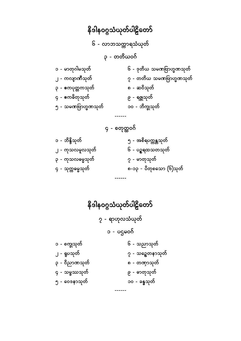| ၅ - ဝေဒနာသုတ် | ၁၀ - ခန္ဓသုတ်    |
|---------------|------------------|
| ၄ - သမ္ဖဿသုတ် | ၉ - ဓာတုသုတ်     |
| ၃ - ၀ိညာဏသုတ် | ၈ - တဏှာသုတ်     |
| ၂ - ရူပသုတ်   | ၇ - သဥ္မေတနာသုတ် |
| ၁ - စက္ခုသုတ် | ၆ - သညာသုတ်      |
|               |                  |

$$
\circ - \circ \mathsf{G}\circ \mathsf{G}
$$

# နိဒါနဝဂ္ဂသံယုတ်ပါဠိတော်

၅ - အစိရပက္ကန္တသုတ် ၁ - ဘိန္ဒိသုတ် ၆ - ပဥ္စရထသတသုတ် ၂ - ကုသလမူလသုတ် ၇ - မာတုသုတ် ၃ - ကုသလဓမ္မသုတ် ၄ - သုက္တဓမ္မသုတ် ၈-၁၃ - ပိတုစသော (၆)သုတ်

- ၃ ဧကပုတ္တကသုတ် ၄ - ဧကဓိတုသုတ် ၅ - သမဏဗြာဟ္မဏသုတ်
- 
- 
- ၂ ကလျာဏီသုတ်
- 
- 
- 
- ၁ မာတုဂါမသုတ်
- 
- 
- 
- <span id="page-9-0"></span>
- 
- ၆ ဒုတိယ သမဏဗြာဟ္မဏသုတ် ၇ - တတိယ သမဏဗြာဟ္မဏသုတ်

၈ - ဆဝိသုတ်

၉ - ရဇ္ဈသုတ်

၁၀ - ဘိက္ခုသုတ်

- ၃ တတိယဝဂ်
- ၆ လာဘသက္ကာရသံယုတ်
- နိဒါနဝဂွသံယုတ်ပါဠိတော်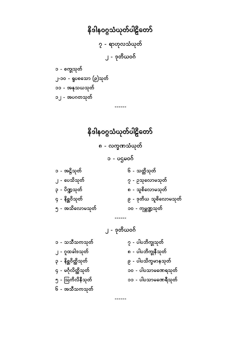## <span id="page-10-0"></span>နိဒါနဝဂ္ဂသံယုတ်ပါဠိတော် ၇ - ရာဟုလသံယုတ် ၂ - ဒုတိယဝဂ် ၁ - စက္ခုသုတ် ၂-၁၀ - ရူပစသော <mark>(</mark>၉)သုတ် ၁၁ - အနုသယသုတ်

၁၂ - အပဂတသုတ်

နိဒါနဝဂ္ဂသံယုတ်ပါဠိတော် ၈ - လက္ခဏသံယုတ် ၁ - ပဌမဝဂ် ၁ - အဋ္ဌိသုတ် ၆ - သတ္တိသုတ် ၂ - ပေသိသုတ် ၇ - ဉသုလောမသုတ်

------

၃ - ပိဏ္ဍသုတ် ၈ - သူစိလောမသုတ် ၄ - နိစ္ဆဝိသုတ် ၉ - ဒုတိယ သူစိလောမသုတ် ၅ - အသိလောမသုတ် ၁၀ - ကုမ္ဘဏ္ကသုတ်

### ၂ - ဒုတိယဝဂ်

 $\frac{1}{2}$ 

၁ - သသီသကသုတ် ၇ - ပါပဘိက္ခုသုတ် ၈ - ပါပဘိက္ခုနီသုတ် ၂ - ဂူထခါဒသုတ် ၃ - နိစ္ဆဝိတ္ထိသုတ် ၉ - ပါပသိက္ခမာနသုတ် ၁၀ - ပါပသာမဏေရသုတ် ၄ - မင်္ဂုလိတ္ထိသုတ် ၁၁ - ပါပသာမဏေရီသုတ် ၅ - ဩကိလိနီသုတ် ၆ - အသီသကသုတ်

 $- - - - - -$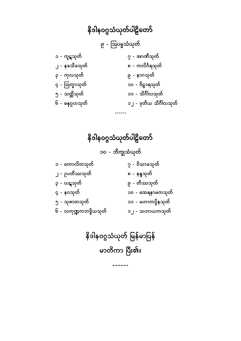<span id="page-11-0"></span>နိဒါနဝဂ္ဂသံယုတ်ပါဠိတော် ၉ - ဩပမ္မသံယုတ် ၁ - ကူဋသုတ် ၇ - အာဏိသုတ် ၈ - ကလိင်္ဂရသုတ် ၂ - နခသိခသုတ် ၉ - နာဂသုတ် ၃ - ကုလသုတ် ၁၀ - ဗိဋာရသုတ် ၄ - ဩက္ခာသုတ် ၁၁ - သိင်္ဂါလသုတ် ၅ - သတ္တိသုတ် ၁၂ - ဒုတိယ သိင်္ဂါလသုတ် ၆ - ဓနုဂ္ဂဟသုတ်

နိဒါနဝဂ္ဂသံယုတ်ပါဠိတော် ၁၀ - ဘိက္ခုသံယုတ် ၁ - ကောလိတသုတ်  $2$  - ၀ိသာခသုတ် ၂ - ဥပတိဿသုတ် ၈ - နန္ဒသုတ် ၃ - ဃဋသုတ် ၉ - တိဿသုတ် ၄ - န၀သုတ် ၁၀ - ထေရနာမကသုတ် ၁၁ - မဟာကပ္ပိနသုတ် ၅ - သုဇာတသုတ် ၆ - လကုဏ္ဍကဘ8္ဒိယသုတ် ၁၂ - သဟာယကသုတ်

နိဒါနဝဂ္ဂသံယုတ် မြန်မာပြန်

မာတိကာ ပြီး၏။

------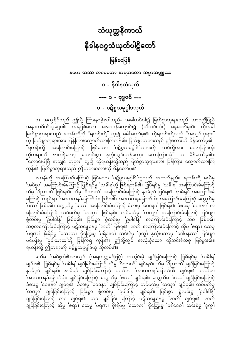# <span id="page-12-0"></span>သံယုတ္တနိကာယ် နိဒါနဝဂွသံယုတ်ပါဠိတော် မြန်မာပြန်

နမော တဿ ဘဂဝတော အရဟတော သမ္မာသမ္ဗုဒ္ဓဿ

၁ - နိဒါနသံယုတ်  $== 0 - 2 - 200$ ၁ - ပဋိစ္စသမုပ္ပါဒသုတ်

၁။ အကျွန်ုပ်သည် ဤသို့ ကြားနာခဲ့ရပါသည်- အခါတစ်ပါး၌ မြတ်စွာဘုရားသည် သာဝတ္ထိပြည် အနာထပိဏ်သူဌေး၏ အရံဖြစ်သော ဇေတဝန်ကျောင်း၌ (သီတင်းသုံး) နေတော်မူ၏၊ ထိုအခါ မြတ်စွာဘုရားသည် ရဟန်းတို့ကို "ရဟန်းတို့" ဟူ၍ ခေါ် တော်မူ၏၊ ထိုရဟန်းတို့သည် "အသျှင်ဘုရား" .<br>ဟု မြတ်စွာဘုရားအား ပြန်ကြားလျှောက်ထားကြကုန်၏၊ မြတ်စွာဘုရားသည် ဤစကားကို မိန့်တော်မူ၏-"ရဟန်းတို့ အကြောင်းကြောင့် ဖြစ်သော ပဋိစ္စသမုပ္ပါဒ် တရားကို သင်တို့အား -ဟောကြားအံ့၊ ထိုတရားကို နာကုန်လော့၊ ကောင်းစွာ နှလုံးသွင်းကုန်လော့၊ ဟောကြားအံ့" ဟု မိန့်တော်မူ၏။ "ကောင်းပါပြီ အသျှင် ဘုရား" ဟူ၍ ထိုရဟန်းတို့သည် မြတ်စွာဘုရားအား ပြန်ကြား လျှောက်ထားကြ ကုန်၏၊ မြတ်စွာဘုရားသည် ဤတရားစကားကို မိန့်တော်မူ၏-

ရဟန်းတို့ အကြောင်းကြောင့် ဖြစ်သော 'ပဋိစ္စသမုပ္ပါဒ်'ဟူသည် အဘယ်နည်း၊ ရဟန်းတို့ မသိမှု 'အဝိဇ္ဇာ' အကြောင်းခံကြောင့် ပြုစီရင်မှု 'သင်္ခါရ'တို့ ဖြစ်ရကုန်၏၊ ပြုစီရင်မှု 'သင်္ခါရ' အကြောင်းခံကြောင့် သိမှု ဝိညာဏ် ဖြစ်ရ၏၊ သိမှု ဝိညာဏ် အကြောင်းခံကြောင့် နာမ်ရုပ် ဖြစ်ရ၏၊ နာမ်ရုပ် အကြောင်းခံ ကြောင့် တည်ရာ အာယတန<sup>်</sup>ခြောက်ပါး ဖြစ်ရ၏၊ အာယတနခြောက်ပါး အကြောင်းခံကြောင့် တွေ့ထိမှု ်ဖဿႛဖြစ်ရ၏၊ တွေ့ထိမှု 'ဖဿႛ အကြောင်းခံကြောင့် ခံစားမှု 'ဝေဒနာႛဖြစ်ရ၏၊ ခံစားမှု 'ဝေဒနာႛ အ<br>ကြောင်းခံကြောင့် တပ်မက်မှု 'တဏှာႛ ဖြစ်ရ၏၊ တပ်မက်မှု 'တဏှာႛ အကြောင်းခံကြောင့် ပြင်းစွာ<br>စွဲလမ်းမှု ဉပါဒါန်ႛ ဖြစ်ရ၏၊ ပြင်းစွာ စွဲလမ်းမှု ိ<br>ဘဝ့အကြောင်းခံကြောင့် ပဋိသန္ဓေနေမှု 'ဇာတိ' ဖြစ်ရ၏၊ ဇာတိ အကြောင်းခံကြောင့် အိုမှု 'ဇရာ ၊ သေမှု<br>'မရဏ ၊ စိုးရိမ်မှု 'သောက ၊ ငိုကြွေးမှု 'ပရိဒေဝ ၊ ဆင်းရဲမှု 'ဒုက္ခ ၊ နှလုံးမသာမှု 'ဒေါမနဿ ၊ ပြင်းစွာ ပင်ပန်းမှု 'ဉပါယာသ'တို့ ဖြစ်ကြရ ကုန်၏။ ဤသို့လျှင် အလုံးစုံသော ထိုဆင်းရဲအစု ဖြစ်ပွား၏။ ရဟန်းတို့ ဤတရားကို ပဋိစ္စသမုပ္ပါဒ်ဟု ဆိုအပ်၏။

မသိမှု 'အဝိဇ္ဇာ'၏သာလျှင် (အရဟတ္တမဂ်ဖြင့်) အကြွင်းမဲ့ ချုပ်ခြင်းကြောင့် ပြုစီရင်မှု 'သင်္ခါရ'<br>ချုပ်ရ၏၊ ပြုစီရင်မှု 'သင်္ခါရ'ချုပ်ခြင်းကြောင့် သိမှု 'ဝိညာဏ်' ချုပ်ရ၏၊ သိမှု 'ဝိညာဏ်' ချုပ်ခြင်းကြောင့် နာမ်ရုပ် ချုပ်ရ၏၊ နာမ်ရုပ် ချုပ်ခြင်းကြောင့် တည်ရာ 'အာယတန'ခြောက်ပါး ချုပ်ရ၏၊ တည်ရာ 'အာယတန<sup>်</sup>ခြောက်ပါး ချုပ်ခြင်းကြောင့် တွေ့ထိမှု 'ဖဿ' ချုပ်ရ၏၊ တွေ့ထိမှု 'ဖဿ' ချုပ်ခြင်းကြောင့်<br>ခံစားမှု 'ဝေဒနာ' ချုပ်ရ၏၊ ခံစားမှု 'ဝေဒနာ' ချုပ်ခြင်းကြောင့် တပ်မက်မှု 'တဏှာ' ချုပ်ရ၏၊ တပ်မက်မှု 'တဏှာ' ချပ်ခြင်းကြောင့် ပြင်းစွာ စွဲလမ်းမှု ဉပါဒါန် ချုပ်ရ၏၊ ပြင်းစွာ စွဲလမ်းမှု 'ဉပါဒါန်'<br>ချုပ်ခြင်းကြောင့် ဘဝ ချုပ်ရ၏၊ ဘဝ ချုပ်ခြင်း ကြောင့် ပဋိသန္ဓေနေမှု 'ဇာတိ' ချုပ်ရ၏၊ ဇာတိ ျိုးလိုခြင်းကြောင့် အိုမှု 'ဇရာ၊ သေမှု 'မရဏ၊ စိုးရိမ်မှု သောက၊ ငိုကြွေးမှု 'ပရိဒေဝ၊ ဆင်းရဲမှု 'ဒုက္ခ၊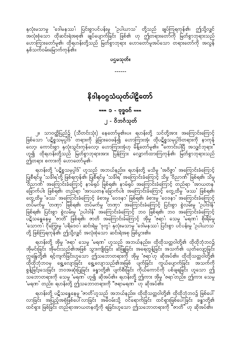<span id="page-13-0"></span>နှလုံးမသာမှု 'ဒေါမနဿႛ၊ ပြင်းစွာပင်ပန်းမှု 'ဥပါယာသႛ တို့သည် ချုပ်ကြရကုန်၏၊ ဤသို့လျှင် ဒီ<br>အလုံးစုံသော ထိုဆင်းရဲအစု၏ ချိပ်ပျောက်ခြင်း ဖြစ်၏ ဟု ဤတရားတော်ကို မြတ်စွာဘုရားသည် ဟောကြားတော်မူ၏၊ ထိုရဟန်းတို့သည် မြတ်စွာဘုရား ဟောတော်မူအပ်သော တရားတော်ကို အလွန် နှစ်သက်ဝမ်းမြောက်ကုန်၏။

ပဌမသုတ်။

# နိဒါန၀ဂွသံယုတ်ပါဠိတော်

#### $== 0 - 2000 - 0$

#### ၂ - ဝိဘင်္ဂသုတ်

၂။ သာဝတ္ထိပြည်၌ (သီတင်းသုံး) နေတော်မူ၏။ပ။ ရဟန်းတို့ သင်တို့အား အကြောင်းကြောင့် ဖြစ်သော 'ပဋိစ္စသမုပ္ပါဒ်' တရားကို ခွဲခြားဝေဖန်၍ ဟောကြားအံ့၊ ထိုပဋိစ္စသမုပ္ပါဒ်တရားကို နာကုန် လော့၊ ကောင်းစွာ နှလုံးသွင်းကုန်လော့၊ ဟောကြားအံ့ဟု မိန့်တော်မူ၏။ "ကောင်းပါပြီ အသျှင်ဘုရား" ဟူ၍ ထိုရဟန်းတို့သည် မြတ်စွာဘုရားအား ပြန်ကြား လျှောက်ထားကြကုန်၏၊ မြတ်စွာဘုရားသည် ဤတရား စကားကို ဟောတော်မူ၏-

ရဟန်းတို့ 'ပဋိစ္စသမုပ္ပါဒ်' ဟူသည် အဘယ်နည်း။ ရဟန်းတို့ မသိမှု 'အဝိဇ္ဇာ' အကြောင်းခံကြောင့် ျား နိုင်ငံတို့ အနောက် မြောက်ရေး အသုံး အများ အများ အများ အများ အများ အများ အများ<br>ပြုစီရင်မှု သင်္ခါရတို့ ဖြစ်ရကုန်၏၊ ပြုစီရင်မှု သင်္ခါရ အကြောင်းခံကြောင့် သိမှု 'ဝိညာဏ်' ဖြစ်ရ၏၊ သိမှု<br>'ဝိညာဏ်' အကြောင်းခံကြောင့် နာမ်ရုပ် ဖ ခြောက်ပါး ဖြစ်ရ၏၊ တည်ရာ 'အာယတန ခြောက်ပါး အကြောင်းခံကြောင့် တွေ့ထိမှု 'ဖဿ' ဖြစ်ရ၏၊ တွေ့ထိမှု 'ဖဿ' အကြောင်းခံကြောင့် ခံစားမှု 'ဝေဒနာ' ဖြစ်ရ၏၊ ခံစားမှု 'ဝေဒနာ' အကြောင်းခံကြောင့် တပ်မက်မှု 'တဏှာ' ဖြစ်ရ၏၊ တပ်မက်မှု 'တဏှာ' အကြောင်းခံကြောင့် ပြင်းစွာ စွဲလမ်းမှု 'ဥပါဒါန်' ဖြစ်ရ၏၊ ပြင်းစွာ စွဲလမ်းမှု 'ဥပါဒါန်' အကြောင်းခံကြောင့် ဘဝ ဖြစ်ရ၏၊ ဘဝ အကြောင်းခံကြောင့် .<br>ပဋိသန္ဓေနေမှု 'ဇာတိ' ဖြစ်ရ၏၊ ဇာတိ အကြောင်းခံကြောင့် အိုမှု 'ဇရာ'၊ သေမှု 'မရဏ'၊ စိုးရိမ်မှု ်သောက<sup>ီ</sup>၊ ငိုကြွေးမှု ပရိဒေဝ<sup>1</sup>၊ ဆင်းရဲမှု 'ဒုက္ခ'၊ နှလုံးမသာမှု 'ဒေါမန်ဿ'၊ ပြင်းစွာ ပင်ပန်းမှု 'ဥပါယာသ' တို့ ဖြစ်ကြရကုန်၏၊ ဤသို့လျှင် အလုံးစုံသော ဆင်းရဲအစု ဖြစ်ပွား၏။

ရဟန်းတို့ အိုမှု 'ဇရာ' သေမှု 'မရဏ' ဟူသည် အဘယ်နည်း။ ထိုထိုသတ္တဝါတို့၏ ထိုထိုဘုံဘဝ၌<br>အိုမင်းခြင်း အိုမင်းသည်၏အဖြစ် သွားကျိုးခြင်း ဆံဖြူခြင်း အရေတွန့်ခြင်း အသက်၏ ယုတ်လျော့ခြင်း စွန့်ခြင်းသေခြင်း ဘဝအဆုံးပြုခြင်း ခန္ဓာတို့၏ ပျက်စီးခြင်း ကိုယ်ကောင်ကို ပစ်ချရခြင်း ဟူသော ဤ ာိမ္မွ<br>သဘောတရားကို သေမှု 'မရဏ' ဟူ၍ ဆိုအပ်၏။ ရဟန်းတို့ ဤကား အိုမှု 'ဇရာ'တည်း၊ ဤကား သေမှု 'မရဏ' တည်း၊ ရဟန်းတို့ ဤသဘောတရားကို "ဇရာမရဏ" ဟု ဆိုအပ်၏။

ရဟန်းတို့ ပဋိသန္ဓေနေမှု 'ဇာတိ'ဟူသည် အဘယ်နည်း။ ထိုထိုသတ္တဝါတို့၏ ထိုထိုဘုံဘဝ၌ ဖြစ်ပေါ် လာခြင်း အပြည့်အစုံဖြစ်ပေါ် လာခြင်း အမိဝမ်းသို့ ဝင်ရောက်ခြင်း ထင်ရှားဖြစ်ပေါ်ခြင်း ခန္ဓာတို့၏ ထင်ရှား ဖြစ်ခြင်း တည်ရာအာယတနတို့ကို ရခြင်းဟူသော ဤသဘောတရားကို "ဇာတိ" ဟု ဆိုအပ်၏။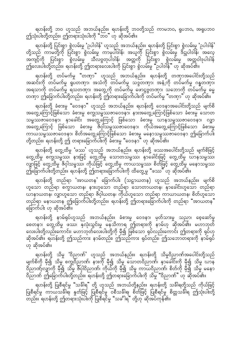ရဟန်းတို့ ဘဝ ဟူသည် အဘယ်နည်း။ ရဟန်းတို့ ဘဝတို့သည် ကာမဘဝ, ရူပဘဝ, အရူပဘဝ ဤသုံးပါးတို့တည်း။ ဤတရားသုံးပါးကို "ဘဝ" ဟု ဆိုအပ်၏။

ရဟန်းတို့ ပြင်းစွာ စွဲလမ်းမှု 'ဥပါဒါန်' ဟူသည် အဘယ်နည်း။ ရဟန်းတို့ ပြင်းစွာ စွဲလမ်းမှု 'ဥပါဒါန်' တို့သည် ကာမတို့ကို ပြင်းစွာ စွဲလမ်းမှု ကာမုပါဒါန်၊ အယူကို ပြင်းစွာ စွဲလမ်းမှု ဒိဋ္ဌပါဒါန်၊ အလေ့ းကျင့်ကို ပြင်းစွာ စွဲလမ်းမှု သီလဗွတုပါဒါန်၊ အတ္တကို ပြင်းစွာ စွဲလမ်းမှု အတ္တဝါဒုပါဒါန် ဤလေးပါးတို့တည်း။ ရဟန်းတို့ ဤတရားလေးပါးကို ပြင်းစွာ စွဲလမ်းမှု "ဥပါဒါန်" ဟု ဆိုအပ်၏။

ရဟန်းတို့ တပ်မက်မှု "တဏှာ" ဟူသည် အဘယ်နည်း။ ရဟန်းတို့ တဏှာအပေါင်းတို့သည် အဆင်းကို တပ်မက်မှု ရူပတဏှာ၊ အသံကို တပ်မက်မှု သဒ္ဒတဏှာ၊ အနံ့ကို တပ်မက်မှု ဂန္ဓတဏှာ၊ ာရသာကို တပ်မက်မှု ရသတဏှာ၊ အတွေ့ကို တပ်မက်မှု ဖောဋ္ဌဗ္ဗတဏှာ၊ သဘောကို တပ်မက်မှု ဓမ္မ တဏှာ ဤခြောက်ပါးတို့တည်း။ ရဟန်းတို့ ဤတရားခြောက်ပါးကို တပ်မက်မှု "တဏှာ" ဟု ဆိုအပ်၏။

ရဟန်းတို့ ခံစားမှု "ဝေဒနာ" ဟူသည် အဘယ်နည်း။ ရဟန်းတို့ ဝေဒနာအပေါင်းတို့သည် မျက်စိ အတွေ့ကြောင့်ဖြစ်သော ခံစားမှု စက္ခုသမ္ဖဿဇာဝေဒနာ၊ နားအတွေ့ကြောင့်ဖြစ်သော ခံစားမှု သောတ သမ္မဿဇာဝေဒနာ၊ နှာခေါင်း အတွေ့ကြောင့် ဖြစ်သော ခံစားမှု ယာနသမ္မဿဇာဝေဒနာ၊ လျှာ အတွေ့ကြောင့် ဖြစ်သော ခံစားမှု ဇိဝှါသမ္ဗဿဇာဝေဒနာ၊ ကိုယ်အတွေ့ကြောင့်ဖြစ်သော ခံစားမှု ကာယသမ္မဿဇာဝေဒနာ၊ စိတ်အတွေ့ကြောင့်ဖြစ်သော ခံစားမှု မနောသမ္မဿဇာဝေဒနာ ဤခြောက်ပါး တို့တည်း။ ရဟန်းတို့ ဤ တရားခြောက်ပါးကို ခံစားမှု "ဝေဒနာ $\ddot{ }$ " ဟု ဆိုအပ်၏။

ရဟန်းတို့ တွေ့ထိမှု 'ဖဿ' ဟူသည် အဘယ်နည်း။ ရဟန်းတို့ ဖဿအပေါင်းတို့သည် မျက်စိဖြင့် တွေ့ထိမှု စက္ခုသမ္ပဿ၊ နားဖြင့် တွေ့ထိမှု သောတသမ္ပဿ၊ နှာခေါင်းဖြင့် တွေ့ထိမှု ယာနသမ္ပဿ၊ လျှာဖြင့် တွေ့ထိမှု ဇိဝှါသမ္ဗဿ၊ ကိုယ်ဖြင့် တွေ့ထိမှု ကာယသမ္ဗဿ၊ စိတ်ဖြင့် တွေ့ထိမှု မနောသမ္ဗဿ ဤခြောက်ပါးတို့တည်း။ ရဟန်းတို့ ဤတရားခြောက်ပါးကို ထိတွေ့မှု "ဖဿ" ဟု ဆိုအပ်၏။

ရဟန်းတို့ တည်ရာ 'အာယတနႛ ခြောက်ပါး (သဠာယတန) ဟူသည် အဘယ်နည်း။ မျက်စိ ဟူသော တည်ရာ စက္ခာယတန၊ နားဟူသော တည်ရာ သောတာယတန၊ နှာခေါင်းဟူသော တည်ရာ ယာနာယတန၊ လျှာဟူသော တည်ရာ ဇိဝါယတန၊ ကိုယ်ဟူသော တည်ရာ ကာယာယတန၊ စိတ်ဟူသော တည်ရာ မနာယတန ဤခြောက်ပါးတို့တည်း။ ရဟန်းတို့ ဤတရားခြောက်ပါးကို တည်ရာ "အာယတန" ခြောက်ပါး ဟု ဆိုအပ်၏။

ရဟန်းတို့ နာမ်ရုပ်ဟူသည် အဘယ်နည်း။ ခံစားမှု ဝေဒနာ၊ မှတ်သားမှု သညာ၊ စေ့ဆော်မှု စေတနာ၊ တွေ့ထိမှု ဖဿ၊ နှလုံးသွင်းမှု မနသိကာရ ဤတရားကို နာမ်ဟု ဆိုအပ်၏။ မဟာဘုတ် လေးပါးတို့လည်းကောင်း၊ မဟာဘုတ်လေးပါးတို့ကို မှီ၍ ဖြစ်သော ရုပ်လည်းကောင်း ဤတရားကို ရုပ်ဟု ဆိုအပ်၏။ ရဟန်းတို့ ဤသည်ကား နာမ်တည်း၊ ဤသည်ကား ရုပ်တည်း၊ ဤသဘောတရားကို နာမ်ရုပ်ံ ဟု ဆိုအပ်၏။

ရဟန်းတို့ သိမှု 'ဝိညာဏ်' ဟူသည် အဘယ်နည်း။ ရဟန်းတို့ သိမှုဝိညာဏ်အပေါင်းတို့သည် မျက်စိကို မှီ၍ သိမှု စက္ခုဝိညာဏ်၊ နားကို မှီ၍ သိမှု သောတဝိညာဏ်၊ နှာခေါင်းကို မှီ၍ သိမှု ယာန ဝိညာဏ့်၊လျှာကို မှီ၍ သိမှု ဇိဝှါဝိညာဏ်၊ ကိုယ်ကို မှီ၍ သိမှု ကာယဝိညာဏ်၊ စိတ်ကို မှီ၍ သိမှု မနော ဝိညာဏ် ဤခြောက်ပါးတို့တည်း။ ရဟန်းတို့ ဤတရားခြောက်ပါးကို သိမှု "ဝိညာဏ်" ဟု ဆိုအပ်၏။

ရဟန်းတို့ ပြုစီရင်မှု "သင်္ခါရ" တို့ ဟူသည် အဘယ်တို့နည်း။ ရဟန်းတို့ သင်္ခါရတို့သည် ကိုယ်ဖြင့် ပြုစီရင်မှု ကာယသင်္ခါရ၊ နှုတ်ဖြင့် ပြုစီရင်မှု ဝစီသင်္ခါရ၊ စိတ်ဖြင့် ပြုစီရင်မှု စိတ္တသင်္ခါရ ဤသုံးပါးတို့ တည်း။ ရဟန်းတို့ ဤတရားသုံးပါးကို ပြုစီရင်မှု "သခ<sup>်</sup>ါရ" တို့ဟု ဆိုအပ်ကုန်၏။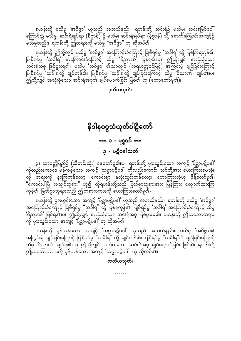<span id="page-15-0"></span>ရဟန်းတို့ မသိမှု 'အဝိဇ္ဇာ' ဟူသည် အဘယ်နည်း။ ရဟန်းတို့ ဆင်းရဲ၌ မသိမှု၊ ဆင်းရဲဖြစ်ပေါ် ကြောင်း၌ မသိမှု၊ ဆင်းရဲချုပ်ရာ (နိဗ္ဗာန်) ၌ မသိမှု၊ ဆင်းရဲချုပ်ရာ (နိဗ္ဗာန်) သို့ ရောက်ကြောင်းအကျင့်၌ ု့<br>မသိမှုတည်း။ ရဟန်းတို့ ဤတရားကို မသိမှု "အဝိဇ္ဇာ" ဟု ဆိုအပ်၏။

ရဟန်းတို့ ဤသို့လျှင် မသိမှု 'အဝိဇ္ဇာ' အကြောင်းခံကြောင့် ပြုစီရင်မှု 'သင်္ခါရ' တို့ ဖြစ်ကြရကုန်၏၊<br>ပြုစီရင်မှု 'သင်္ခါရ' အကြောင်းခံကြောင့် သိမှု 'ဝိညာဏ်' ဖြစ်ရ၏။ပ။ ဤသို့လျှင် အလုံးစုံသော<br>ဆင်းရဲအစု ဖြစ်ပွားရ၏။ မသိမှု 'အဝိဇ္ဇ .<br>ပြုစီရင်မှု `သင်္ခါရဲတို့ ချုပ်ကုန်၏၊ ပြုစီရင်မှု `သင်္ခါရဲတို့` ချုပ်ခြင်းကြောင့်´ သိမှု `ဝိညာဏ်` ချုပ်၏။ပ။ ပြီး ပြီး အလုံးစုံသော ဆင်းရဲအစု၏ ချပ်ပျောက်ခြင်း ဖြစ်၏ ဟု (ဟောတော်မူ၏)။

ဒုတိယသုတ်။

နိဒါန၀ဂွသံယုတ်ပါဠိတော်

=== ၁ - ဗုဒ္ဓဝဂ် === ၃ - ပဋိပဒါသုတ်

၃။ သာဝတ္ထိပြည်၌ (သီတင်းသုံး) နေတော်မူ၏။ပ။ ရဟန်းတို့ မှားယွင်းသော အကျင့် 'မိစ္ဆာပဋိပဒါ' ကိုလည်းကောင်း၊ မှန်ကန်သော အကျင့် 'သမ္မာပဋိပဒါ' ကိုလည်းကောင်း သင်တို့အား ဟောကြားပေအံ့။ ထို တရားကို နာကြကုန်လော့၊ ကောင်းစွာ နှလုံးသွင်းကုန်လော့၊ ဟောကြားအံ့ဟု မိန့်တော်မူ၏၊ "ကောင်းပါပြီ အသျှင်ဘုရား" ဟူ၍ ထိုရဟန်းတို့သည် မြတ်စွာဘုရားအား ပြန်ကြား လျှောက်ထားကြ ကုန်၏၊ မြတ်စွာဘုရားသည် ဤတရားစကားကို ဟောကြားတော်မူ၏-

ရဟန်းတို့ မှားယွင်းသော အကျင့် 'မိစ္ဆာပဋိပဒါ' ဟူသည် အဘယ်နည်း။ ရဟန်းတို့ မသိမှု 'အဝိဇ္ဇာ'<br>အကြောင်းခံကြောင့် ပြုစီရင်မှု "သခ်ါရ" တို့ ဖြစ်ရကုန်၏၊ ပြုစီရင်မှု 'သင်္ခါရ' အကြောင်းခံကြောင့် သိမှု 'ဝိညာဏ်' ဖြစ်ရ၏။ပ။ ဤသို့လျှင် အလုံးစုံသော ဆင်းရဲအစု ဖြစ်ပွားရ၏၊ ရဟန်းတို့ ဤသဘောတရား ကို မှားယွင်းသော အကျင့် 'မိစ္ဆာပဋိပဒါ' ဟု ဆိုအပ်၏။

ရဟန်းတို့ မှန်ကန်သော အကျင့် 'သမ္မာပဋိပဒါ' ဟူသည် အဘယ်နည်း။ မသိမှု 'အဝိဇ္ဇာ'၏ အကြွင်းမဲ့ ချုပ်ခြင်းကြောင့် ပြုစီရင်မှု "သခ်္ခါရ" တို့ ချုပ်ကုန််၏၊ ပြုစီရင်မှု "သင်္ခါရ"တို့ ချုပ်ခြင်းကြောင့် သိမှု ဝိညာဏ် ချုပ်ရ၏။ပ။ ဤသို့လျှင် အလုံးစုံသော ဆင်းရဲအစု ချုပ်ပျောက်ခြင်း ဖြစ်၏၊ ရဟန်းတို့ ဤသဘောတရားကို မှန်ကန်သော အကျင့် 'သမ္မာပဋိပဒါ' ဟု ဆိုအပ်၏။

တတိယသုတ်။

------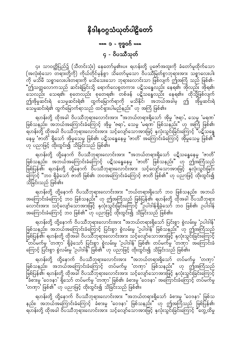### နိဒါနဝဂ္ဂသံယုတ်ပါဠိတော်

=== ၁ - ဗုဒ္ဓဝဂ် === ၄ - ၀ိပဿီသုတ်

<span id="page-16-0"></span>၄။ သာဝတ္ထိပြည်၌ (သီတင်းသုံး) နေတော်မူ၏။ပ။ ရဟန်းတို့ ပူဇော်အထူးကို ခံတော်မူထိုက်သော (အလုံးစုံသော တရားတို့ကို) ကိုယ်တိုင်မှန်စွာ သိတော်မူသော ဝိပဿီမြတ်စွာဘုရားအား သစ္စာလေးပါး .<br>ကို မသိမီ သစ္စာလေးပါးတရားကို မသိသေးသော ဘုရားလောင်းသာ ဖြစ်လျက် ဤအကြံ သည် ဖြစ်၏-"ဤသတ္တလောကသည် ဆင်းရဲခြင်းသို့ ရောက်လေစွတကား၊ ပဋိသန္ဓေလည်း နေရ၏၊ အိုလည်း အိုရ၏၊ သေလည်း သေရ၏၊ စုတေလည်း စုတေရ၏၊ တစ်ဖန် ပဋိသန္ဓေလည်း နေရ၏။ ထိုသို့ဖြစ်လျက် ဤအိုမှုဆင်းရဲ သေမှုဆင်းရဲ၏ ထွက်မြောက်ရာကို မသိနိုင်၊ အဘယ်အခါမှ ဤ အိုမှုဆင်းရဲ သေမှုဆင်းရဲ၏ ထွက်မြောက်ရာသည် ထင်ရှားပါမည်နည်း" ဟု အကြံ ဖြစ်၏။

ရဟန်းတို့ ထိုအခါ ဝိပဿီဘုရားလောင်းအား "အဘယ်တရားရှိသော် အိုမူ 'ဇရာ', သေမှု 'မရဏ' ဖြစ်သနည်း၊ အဘယ်အကြောင်းခံကြောင့် အိုမှု 'ဇရာ', သေမှု 'မရဏဲ' ဖြစ်သနည်း" ဟု အကြံ ဖြစ်၏၊ -<br>ရဟန်းတို့ ထိုအခါ ဝိပဿီဘုရားလောင်းအား သင့်လျော်သောအားဖြင့် နှလုံးသွင်းခြင်းကြောင့် "ပဋိသန္ဓေ နေမှု 'ဇာတိ' ရှိသော် အိုမှုသေမှု ဖြစ်၏၊ ပဋိသန္ဓေနေမှု 'ဇာတိ' အကြောင်းခံကြောင့် အိုမှုသေမှု ဖြစ်၏" ဟု ပညာဖြင့် ထိုးထွင်း၍ သိခြင်းသည် ဖြစ်၏။

ရဟန်းတို့ ထို့နောက် ဝိပဿီဘုရားလောင်းအား "အဘယ်တရားရှိသော် ပဋိသန္ဓေနေမှု 'ဇာတိ' ဖြစ်သနည်း၊ အဘယ်အကြောင်းခံကြောင့် ပဋိသန္ဓေနေမှု 'ဇာတိ' ဖြစ်သနည်း" ဟု ဤအကြံသည် ဖြစ်ပြန်၏၊ ရဟန်းတို့ ထို့နောက် ဝိပဿီဘုရားလောင်းအား သင့်လျော်သောအားဖြင့် နှလုံးသွင်းခြင်း ကြောင့် "ဘဝ ရှိခဲ့သော် ဇာတိ ဖြစ်၏၊ ဘဝအကြောင်းခံကြောင့် ဇာတိ ဖြစ်၏" ဟု ပညာဖြင့် ထိုးထွင်း၍ သိခြင်းသည် ဖြစ်၏။

ရဟန်းတို့ ထို့နောက် ဝိပဿီဘုရားလောင်းအား "ဘယ်တရားရှိသော် ဘဝ ဖြစ်သနည်း၊ အဘယ် အကြောင်းခံကြောင့် ဘဝ ဖြစ်သနည်း" ဟု ဤအကြံသည် ဖြစ်ပြန်၏၊ ရဟန်းတို့ ထိုအခါ ဝိပဿီဘုရား လောင်းအား သင့်လျော်သောအားဖြင့် နှလုံးသွင်းခြင်းကြောင့် "ဥပါဒါန်ရှိခဲ့သော် ဘဝ ဖြစ်၏၊ ဥပါဒါန် အကြောင်းခံကြောင့် ဘဝ ဖြစ်၏" ဟု ပညာဖြင့် ထိုးထွင်း၍ သိခြင်းသည် ဖြစ်၏။

ရဟန်းတို့ ထို့နောက် ဝိပဿီဘုရားလောင်းအား "အဘယ်တရားရှိသော် ပြင်းစွာ စွဲလမ်းမှု 'ဥပါဒါန်' ဖြစ်သနည်း၊ အဘယ်အကြောင်းခံကြောင့် ပြင်းစွာ စွဲလမ်းမှု 'ဥပါဒါန်ႛ်ဖြစ်သနည်း" ဟု ဤအကြံသည် ဖြစ်ပြန်၏၊ ရဟန်းတို့ ထိုအခါ ဝိပဿီဘုရားလောင်းအား သင့်လျော်သောအားဖြင့် နှလုံးသွင်းခြင်းကြောင့် "တပ်ိမက်မှု 'တဏှာ' ရှိခဲ့သော် ပြင်းစွာ စွဲလမ်းမှု 'ဥပါဒါန်' ဖြစ်၏၊ တပ်မက်မှု 'တဏှာ' အကြောင်းခံ ကြောင့် ပြင်းစွာ စွဲလမ်းမှု 'ဥပါဒါန််' ဖြစ်၏" ဟု ပညာဖြင့် ထိုးထွင်း၍ သိခြင်းသည် ဖြစ်၏။

ရဟန်းတို့ ထို့နောက် ဝိပဿီဘုရားလောင်းအား "အဘယ်တရားရှိသော် တပ်မက်မှု 'တဏှာ' ဖြစ်သနည်း၊ အဘယ်အကြောင်းခံကြောင့် တပ်မက်မှု 'တဏှာ' ဖြစ်သနည်း" ဟု ဤအကြံသည် .<br>ဖြစ်ပြန်၏၊ ရဟန်းတို့ ထိုအခါ ဝိပဿီဘုရားလောင်းအား သင့်လျော်သောအားဖြင့် နှလုံးသွင်းခြင်းကြောင့် ု့<br>"ခံစားမှု 'ဝေဒနာ' ရှိသော် တပ်မက်မှု 'တဏှာ' ဖြစ်၏၊ ခံစားမှု 'ဝေဒနာ' အကြောင်းခံကြောင့် တပ်မက်မှု ်တဏှာႛ ဖြစ်၏" ဟု ပညာဖြင့် ထိုးထွင်း၍ သိခြင်းသည် ဖြစ်၏။

ရဟန်းတို့ ထို့နောက် ဝိပဿီဘုရားလောင်းအား "အဘယ်တရားရှိသော် ခံစားမှု 'ဝေဒနာ' ဖြစ်သ နည်း၊ အဘယ်အကြောင်းခံကြောင့် ခံစားမှု 'ဝေဒနာ' ဖြစ်သနည်း" ဟု ဤအကြံသည် ဖြစ်ပြန်၏၊ .<br>ရဟန်းတို့ ထိုအခါ ဝိပဿီဘုရားလောင်းအား သင့်လျော်သောအားဖြင့် နှလုံးသွင်းခြင်းကြောင့် "တွေ့ထိမှု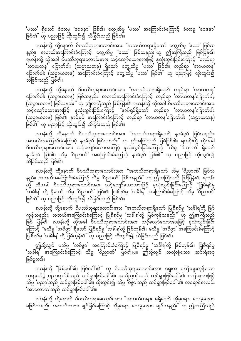'ဖဿ' ရှိသော် ခံစားမှု 'ဝေဒနာ' ဖြစ်၏၊ တွေ့ထိမှု 'ဖဿ' အကြောင်းခံကြောင့် ခံစားမှု 'ဝေဒနာ' ဖြစ်၏" ဟု ပညာဖြင့် ထိုးထွင်း၍ သိခြင်းသည် ဖြစ်၏။

ရဟန်းတို့ ထို့နောက် ဝိပဿီဘုရားလောင်းအား "အဘယ်တရားရှိသော် တွေ့ထိမှု 'ဖဿ' ဖြစ်သ နည်း၊ အဘယ်အကြောင်းခံကြောင့် တွေ့ထိမှု 'ဖဿ' ဖြစ်သနည်း"ဟု ဤအကြံသည် ဖြစ်ပြန်၏၊ ု<br>ရဟန်းတို့ ထိုအခါ ဝိပဿီဘုရားလောင်းအား သင့်လျော်သောအားဖြင့် နှလုံးသွင်းခြင်းကြောင့် "တည်ရာ<br>'အာယတန' ခြောက်ပါး (သဠာယတန) ရှိသော် တွေ့ထိမှု 'ဖဿ' ဖြစ်၏၊ တည်ရာ 'အာယတန' ခြောက်ပါး (သဠာယတန) အကြောင်းခံကြောင့် တွေ့ထိမှု 'ဖဿ' ဖြစ်၏" ဟု ပညာဖြင့် ထိုးထွင်း၍ သိခြင်းသည် ဖြစ်၏။

ရဟန်းတို့ ထို့နောက် ဝိပဿီဘုရားလောင်းအား "အဘယ်တရားရှိသော် တည်ရာ 'အာယတန' ခြောက်ပါး (သဠာယတန) ဖြစ်သနည်း၊ အဘယ်အကြောင်းခံကြောင့် တည်ရာ 'အာယတန'ခြောက်ပါး (သဠာယတန) ဖြစ်သနည်း" ဟု ဤအကြံသည် ဖြစ်ပြန်၏၊ ရဟန်းတို့ ထိုအခါ ဝိပဿီဘုရားလောင်းအား သင့်လျော်သောအားဖြင့် နှလုံးသွင်းခြင်းကြောင့် "နာမ်ရုပ်ရှိသော် တည်ရာ 'အာယတန'ခြောက်ပါး (သဠာယတန) ဖြစ်၏၊ နာမ်ရှပ် အကြောင်းခံကြောင့် တည်ရာ 'အာယတန'ခြောက်ပါး (သဠာယတန) ဖြစ်၏" ဟု ပညာဖြင့် ထိုးထွင်း၍ သိခြင်းသည် ဖြစ်၏။

ရဟန်းတို့ ထို့နောက် ဝိပဿီဘုရားလောင်းအား "အဘယ်တရားရှိသော် နာမ်ရုပ် ဖြစ်သနည်း၊ အဘယ်အကြောင်းခံကြောင့် နာမ်ရုပ် ဖြစ်သနည်း" ဟု ဤအကြံသည် ဖြစ်ပြန်၏၊ ရဟန်းတို့ ထိုအခါ<br>ဝိပဿီဘုရားလောင်းအား သင့်လျော်သောအားဖြင့် နှလုံးသွင်းခြင်းကြောင့် "သိမှု 'ဝိညာဏ်' ရှိသော် နာမ်ရုပ် ဖြစ်၏၊ သိမှု 'ဝိညာဏ်' အကြောင်းခံကြောင့် နာမ်ရုပ် ဖြစ်၏" ဟု ပညာဖြင့် ထိုးထွင်း၍ သိခြင်းသည် ဖြစ်၏။

ရဟန်းတို့ ထို့နောက် ဝိပဿီဘုရားလောင်းအား "အဘယ်တရားရှိသော် သိမှု 'ဝိညာဏ်' ဖြစ်သ နည်း၊ အဘယ်အကြောင်းခံကြောင့် သိမှု 'ဝိညာဏ်' ဖြစ်သနည်း" ဟု ဤအကြံသည် ဖြစ်ပြန်၏၊ ရဟန်း တို့ ထိုအခါ ဝိပဿီဘုရားလောင်းအား သင့်လျော်သောအားဖြင့် နှလုံးသွင်းခြင်းကြောင့် "ပြုစီရင်မှု 'သခ်ီါရ' တို့ ရှိသော် သိမှု 'ဝိညာဏ်' ဖြစ်၏၊ ပြုစီရင်မှု 'သခ်ီါရ' အကြောင်းခံကြောင့် သိမှု 'ဝိညာဏ်' ဖြစ်၏" ဟု ပညာဖြင့် ထိုးထွင်း၍ သိခြင်းသည် ဖြစ်၏။

ရဟန်းတို့ ထို့နောက် ဝိပဿီဘုရားလောင်းအား "အဘယ်တရားရှိသော် ပြုစီရင်မှု 'သင်္ခါရ'တို့ ဖြစ် ကုန်သနည်း၊ အဘယ်အကြောင်းခံကြောင့် ပြုစီရင်မှု 'သင်္ခါရ'တို့ ဖြစ်ကုန်သနည်း" ဟု ဤအကြံသည် ဖြစ် ပြန်၏၊ ရဟန်းတို့ ထိုအခါ ဝိပဿီဘုရားလောင်းအား သင့်လျော်သောအားဖြင့် နှလုံးသွင်းခြင်း ကြောင့် "မသိမှု 'အဝိဇ္ဇာ' ရှိသော် ပြုစီရင်မှု 'သင်္ခါရ'တို့ ဖြစ်ကုန်၏၊ မသိမှု 'အဝိဇ္ဇာ' အကြောင်းခံကြောင့် ပြုစီရင်မှု 'သင်္ခါရ' တို့ ဖြစ်ကုန်၏" ဟု ပညာဖြင့် ထိုးထွင်း၍ သိခြင်းသည် ဖြစ်၏။

ဤသို့လျှင် မသိမှု 'အဝိဇ္ဇာ' အကြောင်းခံကြောင့် ပြုစီရင်မှု 'သင်္ခါရ'တို့ ဖြစ်ကုန်၏၊ ပြုစီရင်မှု ်သခ်္ခါရ<sup>ီ</sup> အကြောင်းခံကြောင့် သိမှု 'ဝိညာဏ်' ဖြစ်၏။ပ။ ဤသို့လျှင် အလုံးစုံသော ဆင်းရဲအစု ဖြစ်ပွား၏။

ရဟန်းတို့ "ဖြစ်ပေါ်၏၊ ဖြစ်ပေါ်၏" ဟု ဝိပဿီဘုရားလောင်းအား ရှေးက မကြားဖူးကုန်သော တရားတို့၌ ပညာမျက်စိသည် ထင်ရှားဖြစ်ပေါ် ၏၊ အသိဉာဏ်သည် ထင်ရှားဖြစ်ပေါ် ၏၊ အပြားအားဖြင့် သိမှု 'ပညာ'သည် ထင်ရှားဖြစ်ပေါ်၏၊ ထိုးထွင်း၍ သိမှု '၀ိဇ္ဇာ'သည် ထင်ရှားဖြစ်ပေါ်၏၊ အရောင်အလင်း ်အာလောက သည် ထင်ရှားဖြစ်ပေါ် ၏။

ရဟန်းတို့ ထို့နောက် ဝိပဿီဘုရားလောင်းအား "အဘယ်တရား မရှိသော် အိုမူဇရာ, သေမှုမရဏ မဖြစ်သနည်း၊ အဘယ်တရား ချုပ်ခြင်းကြောင့် အိုမူဇရာ, သေမှုမရဏ ချုပ်သနည်း'' ဟု ဤအကြံသည်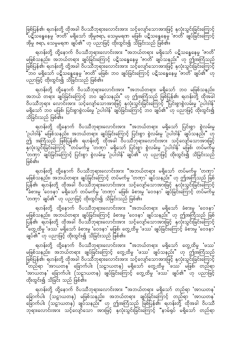ဖြစ်ပြန်၏၊ ရဟန်းတို့ ထိုအခါ ဝိပဿီဘုရားလောင်းအား သင့်လျော်သောအားဖြင့် နှလုံးသွင်းခြင်းကြောင့် ]<br>ပဋိသန္ဓေနေမှု 'ဇာတိ' မရှိသော် အိုမှုဇရာ, သေမှုမရဏ မဖြစ်၊ ပဋိသန္ဓေနေမှု 'ဇာတိ' ချုပ်ခြင်းကြောင့် အိုမူ ဇရာ, သေမှုမရဏ ချုပ်၏" ဟု ပညာဖြင့် ထိုးထွင်း၍ သိခြင်းသည် ဖြစ်၏။

ရဟန်းတို့ ထို့နောက် ဝိပဿီဘုရားလောင်းအား "အဘယ်တရား မရှိသော် ပဋိသန္ဓေနေမှု 'ဇာတိ' မဖြစ်သနည်း၊ အဘယ်တရား ချုပ်ခြင်းကြောင့် ပဋိသန္ဓေနေမှု 'ဇာတိ' ချုပ်သနည်း" ဟု ဤအကြံသည် ဖြစ်ပြန်၏၊ ရဟန်းတို့ ထို့အခါ ဝိပဿီဘုရားလောင်းအား သင့်လျော်သောအားဖြင့် နှလုံးသွင်းခြင်းကြောင့် .<br>'ဘဝ မရှိသော် ပဋိသန္ဓေနေမှု 'ဇာတိ' မဖြစ်၊ ဘဝ ချုပ်ခြင်းကြောင့် ပဋိသန္ဓေနေမှု 'ဇာတိ' ချုပ်၏' ဟု ပညာဖြင့် ထိုးထွင်း၍ သိခြင်းသည် ဖြစ်၏။

ရဟန်းတို့ ထို့နောက် ဝိပဿီဘုရားလောင်းအား "အဘယ်တရား မရှိသော် ဘဝ မဖြစ်သနည်း၊ အဘယ် တရား ချုပ်ခြင်းကြောင့် ဘဝ ချုပ်သနည်း" ဟု ဤအကြံသည် ဖြစ်ပြန်၏၊ ရဟန်းတို့ ထိုအခါ .<br>ဝိပဿီဘုရား လောင်းအား သင့်လျော်သောအားဖြင့် နှလုံးသွင်းခြင်းကြောင့် "ပြင်းစွာစွဲလမ်းမှု ဉပါဒါန်' မရှိသော် ဘဝ မဖြစ်၊ ပြင်းစွာစွဲလမ်းမှု 'ဥပါဒါန်' ချုပ်ခြင်းကြောင့် ဘဝ ချုပ်၏" ဟု ပညာဖြင့် ထိုးထွင်း၍ သိခြင်းသည် ဖြစ်၏။

ရဟန်းတို့ ထို့နောက် ဝိပဿီဘုရားလောင်းအား "အဘယ်တရား မရှိသော် ပြင်းစွာ စွဲလမ်းမှု ်ဥပါဒါန်ႛ မဖြစ်သနည်း၊ အဘယ်တရား ချုပ်ခြင်းကြောင့် ပြင်းစွာ စွဲလမ်းမှု ဉ်ပါဒါန်ႛ ချုပ်သနည်း" ဟု ြော အကြံသည် ဖြစ်ပြန်၏၊ ရဟန်းတို့ ထိုအခါ ဝိပဿီဘုရားလောင်းအား သင့်လျော်သောအားဖြင့် ESvkH;oGif;jcif;aMumifh ]]wyfrufrI ]wPSm} r&Sdaomf jyif;pGm pGJvrf;rI ]Oyg'gef} rjzpf? wyfrufrI  $\,$ ်တဏှာ $\,$  ချုပ်ခြင်းကြောင့် ပြင်းစွာ စွဲလမ်းမှု 'ဥပါဒါန်' ချုပ်၏" ဟု ပညာဖြင့် ထိုးထွင်း၍ သိခြင်းသည် ဖြစ်၏။

ရဟန်းတို့ ထို့နောက် ဝိပဿီဘုရားလောင်းအား "အဘယ်တရား မရှိသော် တပ်မက်မှု 'တဏှာ' မဖြစ်သနည်း၊ အဘယ်တရား ချုပ်ခြင်းကြောင့် တပ်မက်မှု 'တဏှာ' ချုပ်သနည်း" ဟု ဤအကြံသည် ဖြစ် ပြန်၏၊ ရဟန်းတို့ ထိုအခါ ဝိပဿီဘုရားလောင်းအား သင့်လျော်သောအားဖြင့် နှလုံးသွင်းခြင်းကြောင့်  $\H \mbox{``}\hat$ ခ်စားမှု 'ဝေဒနာ' မရှိသော် တပ်မက်မှု 'တဏှာ' မဖြစ်၊ ခံစားမှု 'ဝေဒနာ' ချုပ်ခြင်းကြောင့် တပ်မက်မှု ်တဏှာ $\,$  ချုပ်၏" ဟု ပညာဖြင့် ထိုးထွင်း၍ သိခြင်းသည် ဖြစ်၏။

ရဟန်းတို့ ထို့နောက် ဝိပဿီဘုရားလောင်းအား "အဘယ်တရား မရှိသော် ခံစားမှု 'ဝေဒနာ' မဖြစ်သနည်း၊ အဘယ်တရား ချုပ်ခြင်းကြောင့် ခံစားမှု 'ဝေဒနာ' ချုပ်သနည်း" ဟု ဤအကြံသည် ဖြစ် ပြန်၏၊ ရဟန်းတို့ ထိုအခါ ဝိပဿီဘုရားလောင်းအား သင့်လျော်သောအားဖြင့် နှလုံးသွင်းခြင်းကြောင့် ်တွေ့ထိမှု 'ဖဿ $^{7}$  မရှိသော် ခံစားမှု 'ဝေဒနာ' မဖြစ်၊ တွေ့ထိမှု 'ဖဿ' ချုပ်ခြင်းကြောင့် ခံစားမှု 'ဝေဒနာ' ချုပ်၏" ဟု ပညာဖြင့် ထိုးထွင်း၍ သိခြင်းသည် ဖြစ်၏။

ရဟန်းတို့ ထို့နောက် ဝိပဿီဘုရားလောင်းအား "အဘယ်တရား မရှိသော် တွေ့ထိမှု 'ဖဿ' မဖြစ်သနည်း၊ အဘယ်တရား ချုပ်ခြင်းကြောင့် တွေ့ထိမှု 'ဖဿ' ချုပ်သနည်း" ဟု ဤအကြံသည် ဖြစ်ပြန်၏၊ ရဟန်းတို့ ထိုအခါ ဝိပဿီဘုရားလောင်းအား သင့်လျော်သောအားဖြင့် နှလုံးသွင်းခြင်းကြောင့် ]<br>'တည်ရာ 'အာယတန<sup>်</sup>' ခြောက်ပါး (သဠာယတန) မရှိသော် တွေ့ထိမှု 'ဖဿ' မဖြစ်၊ တည်ရာ 'အာယတနႛ ခြောက်ပါး (သဠာယတန) ချုပ်ခြင်းကြောင့် တွေ့ထိမှု 'ဖဿႛ ချုပ်၏" ဟု ပညာဖြင့် ထိုးထွင်း၍ သိခြင်း သည် ဖြစ်၏။

ရဟန်းတို့ ထို့နောက် ဝိပဿီဘုရားလောင်းအား "အဘယ်တရား မရှိသော် တည်ရာ 'အာယတန' ခြောက်ပါး (သဠာယတန) မဖြစ်သနည်း၊ အဘယ်တရား ချုပ်ခြင်းကြောင့် တည်ရာ 'အာယတန**'** ခြောက်ပါး (သဠာယတန) ချုပ်သနည်း" ဟု ဤအကြံသည် ဖြစ်ပြန်၏၊ ရဟန်းတို့ ထိုအခါ ဝိပဿီ ဘုရားလောင်းအား သင့်လျော်သော အားဖြင့် နှလုံးသွင်းခြင်းကြောင့် "နာမ်ရုပ် မရှိသော် တည်ရာ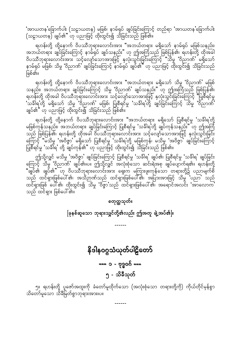<span id="page-19-0"></span> $\cdot$ အာယတန $\cdot$ ခြောက်ပါး  $($ သဠာယတန $)\,$  မဖြစ်၊ နာမ်ရုပ် ချုပ်ခြင်းကြောင့် တည်ရာ  $\cdot$ အာယတန $\cdot$ ခြောက်ပါး (သဠာယတန) ချုပ်၏" ဟု ပညာဖြင့် ထိုးထွင်း၍ သိခြင်းသည် ဖြစ်၏။

ရဟန်းတို့ ထို့နောက် ဝိပဿီဘုရားလောင်းအား "အဘယ်တရား မရှိသော် နာမ်ရှပ် မဖြစ်သနည်း၊ အဘယ်တရား ချပ်ခြင်းကြောင့် နာမ်ရှပ် ချုပ်သနည်း" ဟု ဤအကြံသည် ဖြစ်ပြန်၏၊ ရဟန်းတို့ ထိုအခါ ၀ိပဿီဘုရားလောင်းအား သင့်လျော်သောအားဖြင့် နှလုံးသွင်းခြင်းကြောင့် "သိမှု '၀ိညာဏ်' မရှိသော် နာမ်ရုပ် မဖြစ်၊ သိမှု 'ဝိညာဏ်' ချုပ်ခြင်းကြောင့် နာမ်ရုပ် ချုပ်၏" ဟု ပညာဖြင့် ထိုးထွင်း၍ သိခြင်းသည် ဖြစ်၏။

ရဟန်းတို့ ထို့နောက် ဝိပဿီဘုရားလောင်းအား "အဘယ်တရား မရှိသော် သိမှု 'ဝိညာဏ်' မဖြစ် သနည်း၊ အဘယ်တရား ချုပ်ခြင်းကြောင့် သိမှု 'ဝိညာဏ်' ချုပ်သနည်း" ဟု ဤအကြံသည် ဖြစ်ပြန်၏၊ ္ကြယ္က်ိဳးတို့ ထိုအခါ ဝိပဿီဘုရားလောင်းအား သင့်လျော်သောအားဖြင့် နှလုံးသွင်းခြင်းကြောင့် "ပြုစီရင်မှု , …<br>'သင်္ခါရ'တို့ မရှိသော် သိမှု 'ဝိညာဏ်' မဖြစ်၊ ပြုစီရင်မှု 'သင်္ခါရ'တို့ ချုပ်ခြင်းကြောင့် သိမှု 'ဝိညာဏ်' ချုပ်၏" ဟု ပညာဖြင့် ထိုးထွင်း၍ သိခြင်းသည် ဖြစ်၏။

ရဟန်းတို့ ထို့နောက် ဝိပဿီဘုရားလောင်းအား "အဘယ်တရား မရှိသော် ပြုစီရင်မှု 'သင်္ခါရ**'**တို့ မဖြစ်ကုန်သနည်း၊ အဘယ်တရား ချပ်ခြင်းကြောင့် ပြုစီရင်မှု 'သခ်ီါရ′တို့ ချုပ်ကုန်သနည်း' ဟု ဤအကြံ တို့ တိုက် ရှိန်း<br>သည် ဖြစ်ပြန်၏၊ ရဟန်းတို့ ထိုအခါ ဝိပဿီဘုရားလောင်းအား သင့်လျော်သောအားဖြင့် နှလုံးသွင်းခြင်း ကြောင့် "မသိမှု 'အဝိဇ္ဇာ' မရှိသော် ပြုစီရင်မှု 'သင်္ခါရ'တို့ မဖြစ်ကုန်၊ မသိမှု 'အဝိဇ္ဇာ' ချုပ်ခြင်းကြောင့် ပြုစီရင်မှု 'သင်္ခါရ' တို့ ချုပ်ကုန်၏" ဟု ပညာဖြင့် ထိုးထွင်း၍ သိခြင်းသည် ဖြစ်၏။

ဤသို့လျှင် မသိမှု 'အဝိဇ္ဇာ' ချုပ်ခြင်းကြောင့် ပြုစီရင်မှု 'သခ်ါရ' ချုပ်၏၊ ပြုစီရင်မှု 'သခ်ါရ' ချုပ်ခြင်း ကြောင့် သိမှု 'ဝိညာဏ်' ချုပ်၏။ပ။ ဤသို့လျှင် အလုံးစုံသော ဆင်းရဲအစု ချုပ်ပျောက်ရ၏။ ရဟန်းတို့  $\lq\lq$ ချုပ်၏ ချုပ်၏ $\lq\lq$  ဟု ဝိပဿီဘုရားလောင်းအား ရှေးက မကြားဖူးကုန်သော တရားတို့၌ ပညာမျက်စိ သည် ထင်ရှားဖြစ်ပေါ််၏၊ အသိဉာဏ်သည် ထင်ရှားဖြစ်ပေါ််၏၊ အပြားအားဖြင့် သိမှု 'ပညာ' သည် ထင်ရှားဖြစ် ပေါ််၏၊ ထိုးထွင်း၍ သိမှု 'ဝိဇ္ဇာ'သည် ထင်ရှားဖြစ်ပေါ််၏၊ အရောင်အလင်း 'အာလောက' သည် ထင်ရှား ဖြစ်ပေါ် ၏။

စတုတ္ထသုတ်။

 $[$ ခုနစ်ဆူသော ဘုရားသျှင်တို့၏လည်း ဤအတူ ချဲ့အပ်၏ $]$ ။

------

နိဒါန၀ဂွသံယုတ်ပါဠိတော် d )<br>D  $\frac{1}{2}$ k l<br>I f d d f f ==== ၁ - ဗုဒ္ဓဝဂ် ===  $\cdot$ ၅ - သိခ်ီသုတ်

၅။ ရဟန်းတို့ ပူဇော်အထူးကို ခံတော်မူထိုက်သော (အလုံးစုံသော တရားတို့ကို) ကိုယ်တိုင်မှန်စွာ သိတော်မူသော သိခ်ီမြတ်စွာဘုရားအား။ပ။

------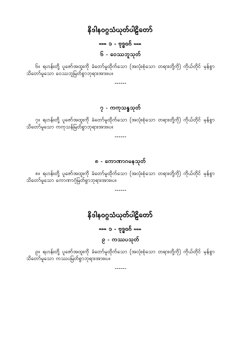# နိဒါနဝဂ္ဂသံယုတ်ပါဠိတော်

=== ၁ - ဗုဒ္ဓဝဂ် === ၆ - ဝေဿဘူသုတ်

<span id="page-20-0"></span>၆။ ရဟန်းတို့ ပူဇော်အထူးကို ခံတော်မူထိုက်သော (အလုံးစုံသော တရားတို့ကို) ကိုယ်တိုင် မှန်စွာ သိတော်မူသော ဝေဿဘူမြတ်စွာဘုရားအား။ပ။

 $\frac{1}{2}$ 

#### ၇ - ကကုသန္ဓသုတ်

၇။ ရဟန်းတို့ ပူဇော်အထူးကို ခံတော်မူထိုက်သော (အ<mark>လုံးစုံ</mark>သော တရားတို့ကို) ကိုယ်တိုင် မှန်စွာ ့<br>သိတော်မူသော ကကုသန်မြတ်စွာဘုရားအား။ပ။

 $\frac{1}{2}$ 

#### ၈ - ကောဏာဂမနသုတ်

၈။ ရဟန်းတို့ ပူဇော်အထူးကို ခံတော်မူထိုက်သော (အလုံးစုံသော တရားတို့ကို) ကိုယ်တိုင် မှန်စွာ သိတော်မူသော ကော်ဏာဂုံမြတ်စွာဘုရားအား။ပ။

-------

## နိဒါနဝဂ္ဂသံယုတ်ပါဠိတော်

=== ၁ - ဗုဒ္ဓဝဂ် === ၉ - ကဿပသုတ်

၉။ ရဟန်းတို့ ပူဇော်အထူးကို ခံတော်မူထိုက်သော (အလုံးစုံသော တရားတို့ကို) ကိုယ်တိုင် မှန်စွာ သိတော်မူသော ကဿပမြတ်စွာဘုရားအား။ပ။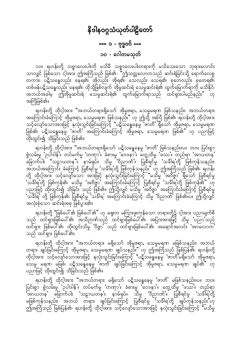## နိဒါန၀ဂွသံယုတ်ပါဠိတော်

=== ၁ - ဗုဒ္ဓဝဂ် === ၁၀ - ဂေါတမသုတ်

<span id="page-21-0"></span>၁၀။ ရဟန်းတို့ သစ္စာလေးပါးကို မသိမီ သစ္စာလေးပါးတရားကို မသိသေးသော ဘုရားလောင်း သာလျှင် ဖြစ်သော ငါ့အား ဤအကြံသည် ဖြစ်၏- "ဤသတ္တလောကသည် ဆင်းရဲခြင်းသို့ ရောက်လေစွ ာ သို့ ပြုလုပ်တဲ့ အသံများ အသည်။ အိုရေး သေးသည်း သေရ၏၊ စုတေလည်း စုတေရ၏၊ တစ်ဖန်ပဋိသန္ဓေလည်း နေရ၏၊ ထိုသို့ဖြစ်လျက် အိုမှုဆင်းရဲ သေမှုဆင်းရဲ၏ ထွက်မြောက်ရာကို မသိနိုင်၊ အဘယ်အခါမှ ဤအိုမူဆင်းရဲ သေမှုဆင်းရဲ၏ ထွက်မြောက်ရာသည် ထင်ရှားပါမည်နည်း" ဟု အကြံဖြစ်၏။

ရဟန်းတို့ ထိုင့ါ့အား "အဘယ်တရားရှိသော် အိုမှုဇရာ, သေမှုမရဏ ဖြစ်သနည်း၊ အဘယ်တရား အကြောင်းခံကြောင့် အိုမှုဇရာ, သေမှုမရဏ ဖြစ်သနည်း" ဟု ဤသို့ အကြံ ဖြစ်၏၊ ရဟန်းတို့ ထိုငါ့အား သင့်လျော်သောအားဖြင့် နှလုံးသွင်းခြင်းကြောင့် "ပဋိသန္ဓေနေမှု 'ဇာတိ' ရှိသော် အိုမှုဇရာ, သေမှုမရဏ ဖြစ်၏၊ ပဋိသန္ဓေနေမှု 'ဇာတ်' အကြောင်းခံကြောင့် အိုမှုဇရာ, သေမှုမရက ဖြစ်၏" ဟု ပညာဖြင့် ထိုးထွင်း၍ သိခြင်းသည် ဖြစ်၏။

ရဟန်းတို့ ထိုင့ါ့အား "အဘယ်တရားရှိသော် ပဋိသန္ဓေနေမှု 'ဇာတိ' ဖြစ်သနည်း။ပ။ ဘဝ။ ပြင်းစွာ စွဲလမ်းမှု 'ဉပါဒါန်'။ တပ်မက်မှု 'တဏှာ'။ ခံစားမှု 'ဝေဒနာ'။ တွေ့ထိမှု 'ဖဿ'။ တည်ရာ 'အာယတန'<br>ခြောက်ပါး "သဠာယတန"။ နာမ်ရုပ်။ သိမှု 'ဝိညာဏ်'။ ပြုစီရင်မှု 'သင်္ခါရ'တို့ ဖြစ်ကုန်သနည်း၊ .<br>အဘယ်အကြောင်း ခံကြောင့် ပြုစီရင်မှု 'သင်္ခါရတို့ ဖြစ်ကုန်သနည်း" ဟု ဤအကြံသည် ဖြစ်၏၊ ရဟန်း တို့ ထိုင္ပါအား သင့်လျော်သော အားဖြင့် နှလုံးသွင်းခြင်းကြောင့် "မသိမှု အဝိဇ္ဇာ ရှိသော် ပြုစီရင်မှု<br>'သခ်ီါရ'တို့ ဖြစ်ကုန်၏၊ မသိမှု 'အဝိဇ္ဇာ' အကြောင်းခံကြောင့် ပြုစီရင်မှု 'သခ်ီါရ'တို့ ဖြစ်ကုန်၏" ဟု<br>ပညာဖြင့် ထိုးထွင်း၍ သိခြင အလုံးစုံသော ဆင်းရဲအစု ဖြစ်ပွား၏။

ရဟန်းတို့ "ဖြစ်ပေါ် ၏ ဖြစ်ပေါ် ၏" ဟု ရှေးက မကြားဖူးကုန်သော တရားတို့၌ ငါ့အား ပညာမျက်စိ သည် ထင်ရှားဖြစ်ပေါ်၏၊ အသိဉာဏ်သည် ထင်ရှားဖြစ်ပေါ်၏၊ အပြားအားဖြင့် သိမှု 'ပညာ'သည် ထင်ရှား ဖြစ်ပေါ်၏၊ ထိုးထွင်းသိမှု 'ဝိဇ္ဇာ' သည် ထင်ရှားဖြစ်ပေါ်၏၊ အရောင်အလင်း 'အာလောက' သည် ထင်ရှား ဖြစ်ပေါ် ၏။

ရဟန်းတို့ ထိုင့ါ့အား "အဘယ်တရား မရှိသော် အိုမှုဇရာ, သေမှုမရဏ မဖြစ်သနည်း၊ အဘယ် တရား ချုပ်ခြင်းကြောင့် အိုမှုဇရာ, သေမှုမရဏ ချုပ်သနည်း" ဟု ဤအကြံသည် ဖြစ်ပြန်၏၊ ရဟန်းတို့ ထိုင့ါအား သင့်လျော်သောအားဖြင့် နှလုံးသွင်းခြင်းကြောင့် "ပဋိသန္ဓေနေမှု 'ဇာတိ'မရှိသော် အိုမှုဇရာ, ည်ေမှု မရဏ မဖြစ်၊ ပဋိသန္ဓေနေမှု 'ဇာတိ' ချုပ်ခြင်းကြောင့် အိုမှုဇရာ, သေမှုမရဏ ချုပ်၏" ဟု ပညာဖြင့် ထိုးထွင်း၍ သိခြင်းသည် ဖြစ်၏။

ရဟန်းတို့ ထိုင့ါ့အား "အဘယ်တရား မရှိသော် ပဋိသန္ဓေနေမှု 'ဇာတိ' မဖြစ်သနည်း။ပ။ ဘဝ။ .<br>ပြင်းစွာ စွဲလမ်းမှု ဉပါဒါန် ။ တပ်မက်မှု 'တဏှာ ။ ခံစားမှု 'ဝေဒနာ ။ တွေ့ထိမှု 'ဖဿ ။ တည်ရာ<br>'အာယတန 'ခြောက်ပါး 'သဠာယတန ဲ။ နာမ်ရုပ်။ သိမှု 'ဝိညာဏ်'။ ပြုစီရင်မှု 'သင်္ခါရ'တို့ မဖြစ်ကုန်သနည်း၊ အဘယ် တရား ချုပ်ခြင်းကြောင့် ပြုစီရင်မှု သင်္ခါရ*ဝ*ို့ ချုပ်ကုန်သနည်း'ဟု ဤအကြံသည် ဖြစ်ပြန်၏၊ ရဟန်းတို့ ထိုငါ့အား သင့်လျော်သောအားဖြင့် နှလုံးသွင်းခြင်းကြောင့် "မသိမှု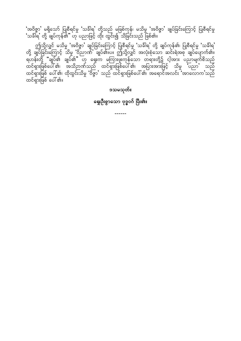်အဝိဇ္ဇာႛ မရှိသော် ပြုစီရင်မှု 'သခဵါရႛ တို့သည် မဖြစ်ကုန်၊ မသိမှု 'အဝိဇ္ဇာႛ ချုပ်ခြင်းကြောင့် ပြုစီရင်မှု<br>'သခဵါရႛ တို့ ချုပ်ကုန်၏" ဟု ပညာဖြင့် ထိုး ထွင်း၍ သိခြင်းသည် ဖြစ်၏။

ဤသို့လျှင် မသိမှု 'အဝိဇ္ဇာ' ချုပ်ခြင်းကြောင့် ပြုစီရင်မှု 'သင်္ခါရ' တို့ ချုပ်ကုန်၏၊ ပြုစီရင်မှု 'သင်္ခါရ'<br>တို့ ချုပ်ခြင်းကြောင့် သိမှု 'ဝိညာဏ်' ချုပ်၏။ပ။ ဤသို့လျှင် အလုံးစုံသော ဆင်းရဲအစု ချုပ်ပျောက်၏။ ပ္မွာ ျပဳျပီေနာက္သြက္ေတာ့ အေနာက္ေတြကို အေျပာင္းေတြကို အေျပာင္းေတြကို အသည္<br>မကန်းတို့ "ချုပ်၏ ချုပ်၏" ဟု ေရးက မကြားဖူးကုန်သော တရားတို့၌ ငါ့အား ပညာမျက်စိသည်<br>"မက်ရွားဖြစ်ပေါ်၏၊ အသိဉာဏ်သည် ထင်ရှားဖြစ်ပေါ်၏၊ အပြားအားဖြင့် သိမ္မ ထင်ရှားဖြစ် ပေါ်၏၊ ထိုထွင်းသိမှု 'ဝိဇ္ဇာ' သည် ထင်ရှားဖြစ်ပေါ်၏၊ အရောင်အလင်း 'အာလောက'သည် ထင်ရှားဖြစ် ပေါ် ၏။

ဒသမသုတ်။

ရှေးဦးစွာသော ဗုဒ္ဓဝဂ် ပြီး၏။

 $\frac{1}{2}$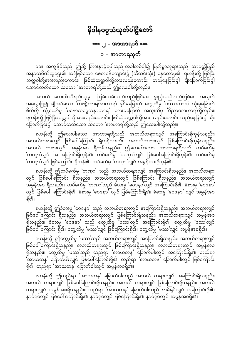## နိဒါန၀ဂ္ဂသံယုတ်ပါဠိတော် === ၂ - အာဟာရဝဂ် === ၁ - အာဟာရသုတ်

<span id="page-23-0"></span>၁၁။ အကျွန်ုပ်သည် ဤသို့ ကြားနာခဲ့ရပါသည်-အခါတစ်ပါး၌ မြတ်စွာဘုရားသည် သာဝတ္ထိပြည် ဆောင်တတ်သော သဘော 'အာဟာရ'တို့သည် ဤလေးပါးတို့တည်း။

အဘယ် လေးပါးတို့နည်းဟူမူ- ကြမ်းတမ်းသည်လည်းဖြစ်စေ၊ နူးညံ့သည်လည်းဖြစ်စေ အလုတ် အလွေးပြု၍ မျိုအပ်သော ကဗဋီကာရအာဟာရ၊ နှစ်ခုမြောက် တွေ့ထိမူ 'ဖဿာဟာရ၊ သုံးခုမြောက် စိတ်ကို လှုံ့ဆော်မှု 'မနောသဉ္စေတနာဟာရ'၊ လေးခုမြောက် အထူးသိမှု 'ဝိညာဏာဟာရတို့တည်း။ ရဟန်းတို့ ဖြစ်ပြီးသတ္တဝါတို့အားလည်းကောင်း၊ ဖြစ်ဆဲသတ္တဝါတို့အား လည်းကောင်း တည်နေခြင်းငှါ ချီး မြှောက်ခြင်းငှါ ဆောင်တတ်သော သဘော 'အာဟာရ'တို့သည် ဤလေးပါးတို့တည်း။

ရဟန်းတို့ ဤလေးပါးသော အာဟာရတို့သည် အဘယ်တရားလျှင် အကြောင်းရှိကုန်သနည်း၊<br>အဘယ်တရားလျှင် ဖြစ်ပေါ်ကြောင်း ရှိကုန်သနည်း၊ အဘယ်တရားလျှင် ဖြစ်ကြောင်းရှိကုန်သနည်း၊ အဘယ် တရားလျှင် အမွန်အစ ရှိကုန်သနည်း။ ဤလေးပါးသော အာဟာရတို့သည် တပ်မက်မှု 'တဏှာ'လျှင် အ မကြာင်းရှိကုန်၏၊ တပ်မက်မှု 'တဏှာ'လျှင် ဖြစ်ပေါ်ကြောင်းရှိကုန်၏၊ တပ်မက်မှု ်တဏှာ လျှင် ဖြစ်ကြောင်း ရှိကုန်၏၊ တပ်မက်မှု 'တဏှာ'လျှင် အမွန်အစရှိကုန်၏။

ရဟန်းတို့ ဤတပ်မက်မှု 'တဏှာ' သည် အဘယ်တရားလျှင် အကြောင်းရှိသနည်း၊ အဘယ်တရား လျှင် ဖြစ်ပေါ်ကြောင်း ရှိသနည်း၊ အဘယ်တရားလျှင် ဖြစ်ကြောင်း ရှိသနည်း၊ အဘယ်တရားလျှင်<br>အမွန်အစ ရှိသနည်း။ တပ်မက်မှု တဏှာ သည် ခံစားမှု လေဒနာ လျှင် အကြောင်းရှိ၏၊ ခံစားမှု 'ဝေဒနာ ' လျှင် ဖြစ်ပေါ် ကြောင်းရှိ၏၊ ခံစားမှု 'ဝေဒနာ လျှင် ဖြစ်ကြောင်းရှိ၏၊ ခံစားမှု 'ဝေဒနာ' လျှင် အမွန်အစ ရှိ၏။

ရဟန်းတို့ ဤခံစားမှု 'ဝေဒနာ' သည် အဘယ်တရားလျှင် အကြောင်းရှိသနည်း၊ အဘယ်တရားလျှင် ဖြစ်ပေါ် ကြောင်း ရှိသနည်း၊ အဘယ်တရားလျှင် ဖြစ်ကြောင်းရှိသနည်း၊ အဘယ်တရားလျှင် အမွန်အစ ရှိသနည်း။ ခံစားမှု 'ဝေဒနာ' သည် တွေ့ထိမှု 'ဖဿ'လျှင် အကြောင်းရှိ၏၊ တွေ့ထိမှု 'ဖဿ'လျှင် ဖြစ်ပေါ် ကြောင်း ရှိ၏၊ တွေ့ထိမှု 'ဖဿ'လျှင် ဖြစ်ကြောင်းရှိ၏၊ တွေ့ထိမှု 'ဖဿ'လျှင် အမွန်အစရှိ၏။

ရဟန်းတို့ ဤတွေ့ထိမှု 'ဖဿ'သည် အဘယ်တရားလျှင် အကြောင်းရှိသနည်း၊ အဘယ်တရားလျှင် ဖြစ်ပေါ် ကြောင်းရှိသနည်း၊ အဘယ်တရားလျှင် ဖြစ်ကြောင်းရှိသနည်း၊ အဘယ်တရားလျှင် အမွန်အစ<br>ရှိသနည်း။ တွေ့ထိမှု 'ဖဿ'သည် တည်ရာ 'အာယတန' ခြောက်ပါးလျှင် အကြောင်းရှိ၏၊ တည်ရာ 'အာယတနႛ ခြောက်ပါးလျှင် ဖြစ်ပေါ် ကြောင်းရှိ၏၊ တည်ရာ 'အာယတနႛ ခြောက်ပါးလျှင် ဖြစ်ကြောင်း ရှိ၏၊ တည်ရာ 'အာယတန<sup>်</sup>' ခြောက်ပါးလျှင် အမွန်အစရှိ၏။

ရဟန်းတို့ ဤတည်ရာ 'အာယတနႛ ခြောက်ပါးသည် အဘယ် တရားလျှင် အကြောင်းရှိသနည်း၊ အဘယ် တရားလျှင် ဖြစ်ပေါ်ကြောင်းရှိသနည်း၊ အဘယ် တရားလျှင် ဖြစ်ကြောင်းရှိသနည်း၊ အဘယ် တရားလျှင် အမွန်အစရှိသနည်း။ တည်ရာ 'အာယတန' ခြောက်ပါးသည် နာမ်ရှပ်လျှင် အကြောင်းရှိ၏၊ နာမ်ရှပ်လျှင် ဖြစ်ပေါ် ကြောင်းရှိ၏၊ နာမ်ရှပ်လျှင် ဖြစ်ကြောင်းရှိ၏၊ နာမ်ရှပ်လျှင် အမွန်အစရှိ၏။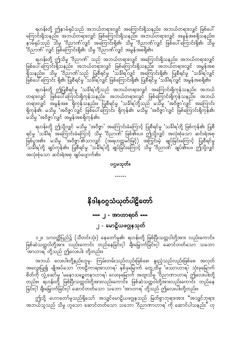<span id="page-24-0"></span>ရဟန်းတို့ ဤနာမ်ရုပ်သည် အဘယ်တရားလျှင် အကြောင်းရှိသနည်း၊ အဘယ်တရားလျှင် ဖြစ်ပေါ် ကြောင်းရှိသနည်း၊ အဘယ်တရားလျှင် ဖြစ်ကြောင်းရှိသနည်း၊ အဘယ်တရားလျှင် အမွန်အစရှိသနည်း။ နာမ်ရှပ်သည် သိမှု 'ဝိညာဏ်'လျှင် အကြောင်းရှိ၏၊ သိမှု 'ဝိညာဏ်'လျှင် ဖြစ်ပေါ်ကြောင်းရှိ၏၊ သိမှု ိဝိညာဏ်' လျှင် ဖြစ်ကြောင်းရှိ၏၊ သိမှု 'ဝိညာဏ်'လျှင် အမွန်အစရှိ၏။

ရဟန်းတို့ ဤသိမှု 'ဝိညာဏ်' သည် အဘယ်တရားလျှင် အကြောင်းရှိသနည်း၊ အဘယ်တရားလျှင် ဖြစ်ပေါ် ကြောင်းရှိသနည်း၊ အဘယ်တရားလျှင် ဖြစ်ကြောင်းရှိသနည်း၊ အဘယ်တရားလျှင် အမွန်အစ ရှိသနည်း။ သိမှု 'ဝိညာဏ်'သည် ပြုစီရင်မှု 'သင်္ခါရ'လျှင် အကြောင်းရှိ၏၊ ပြုစီရင်မှု 'သင်္ခါရ'လျှင် ဖြစ်ပေါ် ကြောင်း ရှိ၏၊ ပြုစီရင်မှု 'သင်္ခါရ'လျှင် ဖြစ်ကြောင်းရှိ၏၊ ပြုစီရင်မှု 'သင်္ခါရ'လျှင် အမွန်အစရှိ၏။

ရဟန်းတို့ ဤပြုစီရင်မှု 'သင်္ခါရ'တို့သည် အဘယ်တရားလျှင် အကြောင်းရှိကုန်သနည်း၊ အဘယ် တရားလျှင် ဖြစ်ပေါ်ကြောင်းရှိကုန်သနည်း၊ အဘယ်တရားလျှင် ဖြစ်ကြောင်းရှိကုန်သနည်း၊ အဘယ် w ရားလျှင် အမွန်အစ ရှိကုန်သနည်း။ ပြုစီရင်မှု 'သင်္ခါရ'တို့သည် မသိမှု 'အဝိဇ္ဇာ'လျှင် အကြောင်း ရှိကုန်၏၊ မသိမှု 'အဝိဇ္ဇာ'လျှင် ဖြစ်ပေါ်ကြောင်း ရှိကုန်၏၊ မသိမှု 'အဝိဇ္ဇာ'လျှင် ဖြစ်ကြောင်းရှိကုန်၏၊ မသိမှု 'အဝိဇ္ဇာ $\overline{\text{C}}$ တွင် အမွန်အစရိုကုန်၏။

ရဟန်းတို့ ဤသို့လျှင် မသိမှု 'အဝိဇ္ဇာ' အကြောင်းခံကြောင့် ပြုစီရင်မှု 'သခ်ါရ'တို့ ဖြစ်ကုန်၏၊ ပြုစီ ရင်မှု 'သင်္ခါရ' အကြောင်းခံကြောင့် သိမှု 'ဝိညာဏ်' ဖြစ်၏။ပ။ ဤသို့လျှင် အလုံးစုံသော ဆင်းရဲအစု ျား<br>ပြစ်ပွား၏။ မသိမှု အဝိဇ္ဇာ'၏သာလျှင် (အရဟတ္တမဂ်ဖြင့်) အကြွင်းမဲ့ ချုပ်ခြင်းကြောင့် ပြုစီရင်မှု  $\delta$ သခဵါရ'တို့ ချုပ်ကုန်၏။ ပြုစီရင်မှု 'သငႅါရ'တို့ ချုပ်ခြင်းကြောင့် သိမှု 'ဝိညာဏ်' ချုပ်၏။ပ။ ဤသို့လျှင် အလုံးစုံသော ဆင်းရဲအစု ချုပ်ပျောက်၏။

ပဌမသုတ်။

------

နိဒါနဝဂွသံယုတ်ပါဠိတော် )<br>D  $\frac{1}{2}$  $\vdots$ d d f

==== ၂ - အာဟာရဝဂ် ===

၂ - မောဠိယဖဂ္ဂုနသုတ်

၁၂။ သာဝတ္ထိပြည်၌ (သီတင်းသုံး) နေတော်မူ၏၊ ရဟန်းတို့ ဖြစ်ပြီးသတ္တဝါတို့အား လည်းကောင်း၊ ဖြစ်ဆဲသတ္တဝါတို့အား လည်းကောင်း တည်နေခြင်းငှါ ချီးမြှောက်ခြင်းငှါ ဆောင်တတ်သော သဘော **'**အာဟာရ' တို့သည် ဤလေးပါး တို့တည်း။

အဘယ် လေးပါးတို့နည်းဟူမူ- ကြမ်းတမ်းသည်လည်းဖြစ်စေ၊ နူးညံ့သည်လည်းဖြစ်စေ အလုတ် အလွေးပြု၍ မျိုအပ်သော ကဗဋီကာရအာဟာရ၊ နှစ်ခုမြောက် တွေ့ထိမှု 'ဖဿာဟာရ၊ သုံးခုမြောက် စိတ်ကို လှုံ့ဆော်မှု 'မနောသဉ္စေတနာဟာရ'၊ လေးခုမြောက် အထူးသိမှု 'ဝိညာဏာဟာရ' ဤလေးပါးတို့ တည်း။ ရဟန်းတို့ ဖြစ်ပြီးသတ္တဝါတို့အားလည်းကောင်း၊ ဖြစ်ဆဲသတ္တဝါတို့အားလည်းကောင်း တည်နေ ခြင်းငှါ ချီးမြှောက်ခြင်းငှါ ဆောင်တတ်သော သဘော 'အာဟာရ' တို့သည် ဤလေးပါးတို့တည်း။

ဤသို့ ဟောတော်မူသည်ရှိသော် အသျှင်မောဠိယဖဂ္ဂုနသည် မြတ်စွာဘုရားအား "အသျှင်ဘုရား tb,folonf odrI [laom aqmifwwfaom oabm ]0dnmPm[m&} ukd aqmifygoenf;}} [k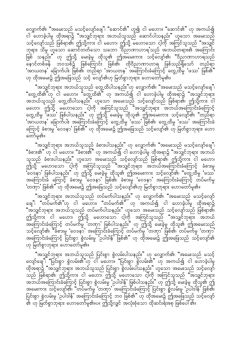လျှောက်၏၊ "အမေးသည် မသင့်လျော်ချေ"၊ "ဆောင်၏" ဟူ၍ ငါ မဟော။ "ဆောင်၏" ဟု အကယ်၍ ငါ<sup>ိ</sup>ဟောခဲ့ပါမူ ထိုအရာ၌ "အသျှင်ဘုရား အဘယ်သူသည် ဆောင်ပါသနည်း" ဟူသော အမေးသည် သင့်လျော်သည် ဖြစ်ရာ၏၊ ဤသို့ကား ငါ မဟော၊ ဤသို့ မဟောသော ငါ့ကို အကြင်သူသည် "အသျှင် ဘုရား သိမှု ဟူသော ဆောင်တတ်သော သဘော 'ဝိညာဏာဟာရ'သည် အဘယ်တရား၏ အကြောင်း ဖြစ် သနည်း" ဟု ဤသို့ မေးခဲ့မူ ထိုသူ၏ ဤအမေးကား သင့်လျော်၏၊ "ဝိညာဏာဟာရသည် ခြောင်တစ်ဖန် ဘဝသစ်၌ ဖြစ်ကြောင်း ဖြစ်၏၊ ထိုဝိညာဏာဟာရ ဖြစ်သည်ရှိသော် တည်ရာ ်အာယတန**ဲ** ခြောက်ပါး ဖြစ်၏၊ တည်ရာ 'အာယတန**'** အကြောင်းခံကြောင့် တွေ့ထိမှု 'ဖဿ' ဖြစ်၏" ဟု ထိုအမေး၌ ဤအဖြေသည် သင့် လျှော်၏ဟု မြတ်စွာဘုရား ဟောတော်မူ၏။

"အသျှင်ဘုရား အဘယ်သူသည် တွေ့ထိပါသနည်း"ဟု လျှောက်၏၊ "အမေးသည် မသင့်လျော်ချေ"၊ "တွေ့ထိ၏"ဟု ငါ မဟော။ "တွေ့ထိ၏" ဟု အကယ်၍ ငါ ဟောခဲ့ပါမူ ထိုအရာ၌ "အသျှင်ဘုရား အဘယ်သူသည် တွေ့ထိပါသနည်း" ဟူသော အမေးသည် သင့်လျော်သည် ဖြစ်ရာ၏၊ ဤသို့ကား ငါ မဟော၊ ဤသို့ မဟောသော ငါ့ကို အကြင်သူသည် "အသျှင်ဘုရား အဘယ်အကြောင်းခံကြောင့် ကွေ့ထိမှု ဖြသာ ဖြစ်ပါသနည်း" ဟု ဤသို့ မေးခဲ့မူ ထိုသူ၏ ဤအမေးကား သင့်လျော်၏၊ "တည်ရာ ်အာယတန**ံ** ခြောက်ပါး အကြောင်းခံကြောင့် တွေ့ထိမှု ဖသာ ဖြစ်၏၊ တွေ့ထိမှု 'ဖဿ' အကြောင်းခံ ကြောင့် ခံစားမှု ်ဝေဒနာႛဖြစ််၏ႛ ဟု ထိုအမေး၌ ဤအဖြေသည် သင့်လျော််၏ ဟု မြတ်စွာဘုရား ဟော တော်မူ၏။

"အသျှင်ဘုရား အဘယ်သူသည် ခံစားပါသနည်း" ဟု လျှောက်၏၊ "အမေးသည် မသင့်လျော်ချေ"၊ "ခံစား၏" ဟု ငါ မဟော။ "ခံစား၏" ဟု အကယ်၍ ငါ ဟောခဲ့ပါမူ ထိုအရာ၌ "အသျှင်ဘုရား အဘယ်-သူသည် ခံစားပါသနည်း" ဟူသော အမေးသည် သင့်လျော်သည် ဖြစ်ရာ၏၊ ဤသို့ကား ငါ မဟော၊ ျား ပြောင့်ပြောင်း<br>ဤသို့ မဟောသော ငါ့ကို အကြင်သူသည် "အသျှင်ဘုရား အဘယ်အကြောင်းခံကြောင့် ခံစားမှု ]<br>'ဝေဒနာ' ဖြစ်ပါသနည်း" ဟု ဤသို့ မေးခဲ့မူ ထိုသူ၏ ဤအမေးကား သင့်လျော်၏၊ "တွေ့ထိမှု 'ဖဿ အကြောင်းခံ ကြောင့် ခံစားမှု 'ဝေဒနာ' ဖြစ်၏၊ ခံစားမှု 'ဝေဒနာ' အကြောင်းခံကြောင့် တပ်မက်မှု  $\,$ ်တဏှာ $\,$  ဖြစ်၏ $^{\prime\prime}$  ဟု ထိုအမေး၌ ဤအဖြေသည် သင့်လျော််၏ဟု မြတ်စွာဘုရား ဟောတော်မူ၏။

"အသျှင်ဘုရား အဘယ်သူသည် တပ်မက်ပါသနည်း" ဟု လျှောက်၏၊ "အမေးသည် မသင့်လျော် ချေ"၊ "တပ်မက်၏"ဟု ငါ မဟော။ "တပ်မက်၏" ဟု အကယ်၍ ငါ ဟောခဲ့ပါမူ ထိုအရာ၌ "အသျှင်ဘုရား အဘယ်သူသည် တပ်မက်ပါသနည်း" ဟူသော အမေးသည် သင့်လျော်သည် ဖြစ်ရာ၏၊ ဤသို့ကား ငါ မဟော<sup>၊</sup> ဤသို့ မဟောသော ငါ့ကို အကြင်သူသည် "အသျှင်ဘုရား အဘယ် ta ကြောင်းခံကြောင့် တပ်မက်မှု 'တဏှာ' ဖြစ်ပါသနည်း" ဟု ဤသို့ မေးခဲ့မူ ထိုသူ၏ ဤအမေးသည် သင့်လျော်၏၊ "ခံစားမှု 'ဝေဒနာ' အကြောင်းခံကြောင့် တပ်မက်မှု 'တဏှာ' ဖြစ်၏၊ တပ်မက်မှု 'တဏှာ' အကြောင်းခံကြောင့် ပြင်းစွာ စွဲလမ်းမှု ဉ်ပါဒါန် ဖြစ်၏" ဟု ထိုအမေး၌ ဤအဖြေသည် သင့်လျော်၏ ဟု မြတ်စွာဘုရား ဟောတော်မူ၏။

"အသျှင်ဘုရား အဘယ်သူသည် ပြင်းစွာ စွဲလမ်းပါသနည်း" ဟု လျှောက်၏၊ "အမေးသည် မသင့် လျော်ချေ"၊ "ပြင်းစွာ စွဲလမ်း၏"ဟု ငါ မဟော။ "ပြင်းစွာ စွဲလမ်း၏" ဟု အကယ်၍ ငါ ဟောခဲ့ပါမှု ထိုအရာ၌ "အသျှင်ဘုရား အဘယ်သူသည် ပြင်းစွာ စွဲလမ်းပါသနည်း" ဟူသော အမေးသည် သင့်လျော် သည် ဖြစ်ရာ၏၊ ဤသို့ကား ငါ မဟော၊ ဤသို့ မဟောသော ငါ့ကို အကြင်သူသည် "အသျှင်ဘုရား အဘယ်အကြောင်းခံကြောင့် ပြင်းစွာ စွဲလမ်းမှု 'ဥပါဒါန်ႛ ဖြစ်ပါသနည်း" ဟု ဤသို့ မေးခဲ့မူ ထိုသူ၏ ဤ အမေးကား သင့်လျော်၏၊ "တပ်မက်မှု 'တဏှာ' အကြောင်းခံကြောင့် ပြင်းစွာ စွဲလမ်းမှု 'ဥပါဒါန်' ဖြစ်၏၊ ပြင်းစွာ စွဲလမ်းမှု 'ဥပါဒါန်' အကြောင်းခံကြောင့် ဘဝ ဖြစ်၏" ဟု ထိုအမေး၌ ဤအဖြေသည် သင့်လျော် ကြီး ဟု မြတ်စွာဘုရား ဟောတော်မူ၏။ပ။ ဤသို့လျှင် အလုံးစုံသော ထိုဆင်းရဲအစု ဖြစ်ပေါ် ၏။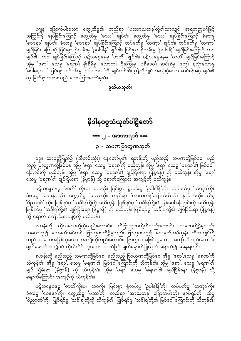<span id="page-26-0"></span>ဖဂ္ဂုန ခြောက်ပါးသော တွေ့ထိမှု၏ တည်ရာ 'ဖဿာယတန'တို့၏သာလျှင် အရဟတ္တမဂ်ဖြင့် အကြွင်းမဲ့ ချုပ်ခြင်းကြောင့် တွေ့ထိမှု 'ဖဿ' ချုပ်၏၊ တွေ့ထိမှု 'ဖဿ' ချုပ်ခြင်းကြောင့် ခံစားမှု 'ဝေဒနာ' ချုပ်၏၊ ခံစားမှု 'ဝေဒနာ' ချုပ်ခြင်းကြောင့် တပ်မက်မှု 'တဏှာ' ချုပ်၏၊ တပ်မက်မှု 'တဏှာ' ချုပ်ခြင်း ကြောင့် ပြင်းစွာ စွဲလမ်းမှု 'ဉပါဒါန်' ချုပ်၏၊ ပြင်းစွာ စွဲလမ်းမှု 'ဉပါဒါန်' ချုပ်ခြင်းကြောင့် ဘဝ ျိုပ်၏၊ ဘဝ ချုပ်ခြင်းကြောင့် ပဋိသန္ဓေနေမှု 'ဇာတိ' ချုပ်၏၊ ပဋိသန္ဓေနေမှု 'ဇာတိ' ချုပ်ခြင်းကြောင့် .<br>အိုမှု 'ဇရာ'၊ သေမှု 'မရဏ'၊ စိုးရိမ်မှု 'သောက'၊ ငိုကြွေးမှု 'ပရိဒေဝ'၊ ဆင်းရဲမှု 'ဒုက္ခ'၊ နှလုံးမသာမှု 'ဒေါမနဿ'၊ ပြင်းစွာ ပင်ပန်းမှု 'ဥပါယာသ'တို့ ချုပ်ကုန်၏၊ ဤသို့လျှင် အလုံးစုံသော ဆင်းရဲအစု ချုပ်၏ ဟု မြတ်စွာဘုရားသည် ဟောကြားတော်မူ၏။

ဒုတိယသုတ်။

နိဒါနဝဂွသံယုတ်ပါဠိတော် === ၂ - အာဟာရဝဂ် === ၃ - သမဏဗြာဟ္မဏသုတ်

၁၃။ သာဝတ္ထိပြည်၌ (သီတင်းသုံး) နေတော်မူ၏၊ ရဟန်းတို့ မည်သည့် သမဏတို့ဖြစ်စေ၊ မည် သည့် ဗြာဟ္မဏတို့ဖြစ်စေ အိုမှု 'ဇရာ' သေမှု 'မရဏ'ကို မသိကုန်၊ အိုမှု 'ဇရာ' သေမှု 'မရဏ'၏ ဖြစ်ပေါ် ကြောင်းကို မသိကုန်၊ အိုမှု 'ဇရာ' သေမှု 'မရဏ'၏ ချုပ်ငြိမ်းရာ (နိဗ္ဗာန်) ကို မသိကုန်၊ အိုမှု 'ဇရာ' သေမှု 'မရဏ'၏ ချုပ်ငြိမ်းရာ (နိဗ္ဗာန်) သို့ ရောက်ကြောင်း အကျင့်ကို မသိကုန်။

ပဋိသန္ဓေနေမှု 'ဇာတိ' ကို။ပ။ ဘဝကို။ ပြင်းစွာ စွဲလမ်းမှု 'ဥပါဒါန်'ကို။ တပ်မက်မှု 'တဏှာ'ကို။<br>ခံစားမှု 'ဝေဒနာ'ကို။ တွေ့ထိမှု 'ဖဿ'ကို။ တည်ရာ 'အာယတန'ခြောက်ပါးကို။ နာမ်ရုပ်ကို။ သိမှု 'ဝိညာဏ်' ကို။ ပြုစီရင်မှု 'သင်္ခါရဲ'တို့ကို မသိကုန်၊ ပြုစီရင်မှု 'သင်္ခါရ'တို့၏ ဖြစ်ပေါ် ကြောင်းကို မသိကုန်၊ ပြုစီရင်မှု 'သင်္ခါရ တို့၏ ချုပ်ငြိမ်းရာ (နိဗ္ဗာန်) ကို မသိကုန်၊ ပြုစီရင်မှု 'သင်္ခါရ တို့၏ ချုပ်ငြိမ်းရာ (နိဗ္ဗာန်) -<br>သို့ ရောက် ကြောင်းအကျင့်ကို မသိကုန်။

ရဟန်းတို့ ထိုသမဏတို့ကိုလည်းကောင်း၊ ထိုဗြာဟ္မဏတို့ကိုလည်းကောင်း သမဏတို့၌မူလည်း သမဏဟူ၍ မသမုတ်အပ်ကုန်၊ ဗြာဟ္မဏတို့၌မူလည်း ဗြာဟ္မဏဟူ၍ မသမုတ်အပ်ကုန်။ ထိုအသျှင်တို့ သည် သမဏအဖြစ်ဟူသော အကျိုးကိုလည်းကောင်း၊ ဗြာဟ္မဏအဖြစ်ဟူသော အကျိုးကိုလည်းကောင်း မျက်မှောက်ဘဝ၌ပင် ကိုယ်တိုင် ထူးသော ဉာဏ်ဖြင့် မျက်မှောက်ပြုလျက် ရောက်၍ မနေရကုန်။

ရဟန်းတို့ မည်သည့် သမဏတို့ဖြစ်စေ၊ မည်သည့် ဗြာဟ္မဏတို့ဖြစ်စေ အိုမှု 'ဇရာ',သေမှု 'မရဏ'ကို သိကုန်၏၊ အိုမှု 'ဇရာ', သေမှု 'မရဏ'၏ ဖြစ်ပေါ် ကြောင်းကို သိကုန်၏၊ အိုမှု 'ဇရာ', သေမှု 'မရဏ'၏<br>ချုပ် ငြိမ်းရာ (နိဗ္ဗာန်) ကို သိကုန်၏၊ အိုမှု 'ဇရာ' သေမှု 'မရဏ'၏ ချုပ်ငြိမ်းရာ (နိဗ္ဗာန်) သို့ ္ရာ<br>ကြောက်ကြောင်း အကျင့်ကို သိကုန်၏။

ပဋိသန္ဓေနေမှု 'ဇာတိ'ကို။ပ။ ဘဝကို။ ပြင်းစွာ စွဲလမ်းမှု 'ဉပါဒါန်'ကို။ တပ်မက်မှု 'တဏှာ'ကို။ ခံစားမှု 'ဝေဒီနာ'ကို။ တွေ့ထိမှု 'ဖဿ'ကို။ တည်ရာ 'အာယတန်' ခြောက်ပါးကို။ နာမ်ရုပ်ကို။ သိမှု 'ဝိညာဏ်'ကို။ ပြုစီရင်မှု 'သင်္ခါရ'တို့ကို သိကုန်၏၊ ပြုစီရင်မှု 'သင်္ခါရ'တို့၏ ဖြစ်ပေါ် ကြောင်းကို သိကုန်၏၊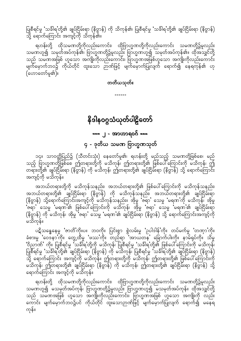<span id="page-27-0"></span>ပြုစီရင်မှု 'သခ်ီါရ'တို့၏ ချုပ်ငြိမ်းရာ (နိဗ္ဗာန်) ကို သိကုန်၏၊ ပြုစီရင်မှု 'သခ်ီါရ'တို့၏ ချုပ်ငြိမ်းရာ (နိဗ္ဗာန်) ပ္ပြံ<br>သို့ ရောက်ကြောင်း အကျင့်ကို သိကုန်၏။

ရဟန်းတို့ ထိုသမဏတို့ကိုလည်းကောင်း၊ ထိုဗြာဟ္မဏတို့ကိုလည်းကောင်း သမဏတို့၌မူလည်း သမဏဟူ၍ သမုတ်အပ်ကုန်၏၊ ဗြာဟ္မဏတို့၌မူလည်း ဗြာဟ္မဏဟူ၍ သမုတ်အပ်ကုန်၏။ ထိုအသျှင်တို့ သည် သမဏအဖြစ် ဟူသော အကျိုးကိုလည်းကောင်း၊ ဗြာဟ္မဏအဖြစ်ဟူသော အကျိုးကိုလည်းကောင်း မျက်မှောက်ဘဝ၌ ကိုယ်တိုင် ထူးသော ဉာဏ်ဖြင့် မျက်မှောက်ပြုလျက် ရောက်၍ နေရကုန်၏ ဟု (ဟောတော်မူ၏)။

တတိယသုတ်။

နိဒါနဝဂ္ဂသံယုတ်ပါဠိတော်

=== ၂ - အာဟာရဝဂ် ===

#### ၄ - ဒုတိယ သမဏ ဗြာဟ္မဏသုတ်

၁၄။ သာဝတ္ထိပြည်၌ (သီတင်းသုံး) နေတော်မူ၏၊ ရဟန်းတို့ မည်သည့် သမဏတို့ဖြစ်စေ၊ မည် သည့် ဗြာဟ္မဏတို့ဖြစ်စေ ဤတရားတို့ကို မသိကုန်၊ ဤတရားတို့၏ ဖြစ်ပေါ်ကြောင်းကို မသိကုန်၊ ဤ တရားတို့၏ ချုပ်ငြိမ်းရာ (နိဗ္ဗာန်) ကို မသိကုန်၊ ဤတရားတို့၏ ချုပ်ငြိမ်းရာ (နိဗ္ဗာန်) သို့ ရောက်ကြောင်း ္သား<br>အကျင့်ကို မသိကုန်။

အဘယ်တရားတို့ကို မသိကုန်သနည်း၊ အဘယ်တရားတို့၏ ဖြစ်ပေါ်ကြောင်းကို မသိကုန်သနည်း၊ အဘယ်တရားတို့၏ <sup>"</sup>ချပ်ငြိမ်းရာ (နိဗ္ဗာန်) ကို မသိကုန်သနည်း၊ အဘယ်တရားတို့၏ ချပ်ငြိမ်းရာ<br>(နိဗ္ဗာန်) သို့ရောက်ကြောင်းအကျင့်ကို မသိကုန်သနည်း။ အိုမှု 'ဇရာ' သေမှု 'မရဏ'ကို မသိကုန်၊ အိုမှု .<br>'ဇရာ' သေမှု 'မရဏ'၏ ဖြစ်ပေါ်ကြောင်းကို မသိကုန်၊ အိုမှု 'ဇရာ' သေမှု 'မရဏ'၏ ချုပ်ငြိမ်းရာ (နိဗ္ဗာန်) ကို မသိကုန်၊ အိုမှု 'ဇရာ' သေမှု 'မရဏ'၏ ချုပ်ငြိမ်းရာ (နိဗ္ဗာန်) သို့ ရောက်ကြောင်းအကျင့်ကို မသိကုန်။

ပဋိသန္ဓေနေမှု 'ဇာတိ'ကို။ပ။ ဘဝကို။ ပြင်းစွာ စွဲလမ်းမှု 'ဥပါဒါန်'ကို။ တပ်မက်မှု 'တဏှာ'ကို။ ခံစားမှု 'ဝေဒနာ'ကို။ တွေ့ထိမှု 'ဖဿ'ကို။ တည်ရာ 'အာယတန်' ခြောက်ပါးကို။ နာမ်ရှပ်ကို။ သိမှု 'ဝိညာဏ်' ကို။ ပြုစီရင်မှု 'သင်္ခါရ'တို့ကို မသိကုန်၊ ပြုစီရင်မှု 'သင်္ခါရ'တို့၏ ဖြစ်ပေါ်ကြောင်းကို မသိကုန်၊ ပြုစီရင်မှု 'သင်္ခါရတို့၏ ချုပ်ငြိမ်းရာ (နိဗ္ဗာန်) ကို မသိကုန်၊ ပြုစီရင်မှု 'သင်္ခါရ တို့၏ ချုပ်ငြိမ်းရာ (နိဗ္ဗာန်) ယ်<br>သို့ ရောက်ကြောင်း အကျင့်ကို မသိကုန်။ ဤတရားတို့ကို မသိကုန်၊ ဤတရားတို့၏ ဖြစ်ပေါ်ကြောင်းကို မသိကုန်၊ ဤတရားတို့၏ ချုပ်ငြိမ်းရာ (နိဗ္ဗာန်) ကို မသိကုန်၊ ဤတရားတို့၏ ချုပ်ငြိမ်းရာ (နိဗ္ဗာန်) သို့ ရောက်ကြောင်း အကျင့်ကို မသိကုန်။

ရဟန်းတို့ ထိုသမဏတို့ကိုလည်းကောင်း၊ ထိုဗြာဟ္မဏတို့ကိုလည်းကောင်း သမဏတို့၌မူလည်း သည် သမဏအဖြစ် ဟူသော အကျိုးကိုလည်းကောင်း၊ ဗြာဟ္မဏအဖြစ် ဟူသော အကျိုးကို လည်း ကောင်း မျက်မှောက်ဘဝ၌ပင် ကိုယ်တိုင် ထူးသောဉာဏ်ဖြင့် မျက်မှောက်ပြုလျက် ရောက်၍ မနေရ ကုန်။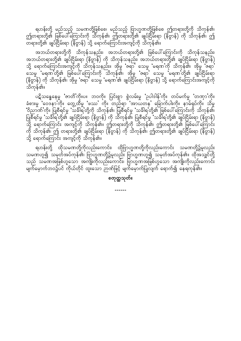ရဟန်းတို့ မည်သည့် သမဏတို့ဖြစ်စေ၊ မည်သည့် ဗြာဟ္မဏတို့ဖြစ်စေ ဤတရားတို့ကို သိကုန်၏၊ ညျှတရားတို့၏ ဖြစ်ပေါ်ကြောင်းကို သိကုန်၏၊ ဤတရားတို့၏ ချုပ်ငြိမ်းရာ (နိဗ္ဗာန်) ကို သိကုန်၏၊ ဤ တရားတို့၏ ချုပ်ငြိမ်းရာ (နိဗ္ဗာန်) သို့ ရောက်ကြောင်းအကျင့်ကို သိကုန်၏။

အဘယ်တရားတို့ကို သိကုန်သနည်း၊ အဘယ်တရားတို့၏ ဖြစ်ပေါ်ကြောင်းကို သိကုန်သနည်း၊ <u>အဘယ်တရားတို့</u>၏ ချုပ်ငြိမ်းရာ (နိဗ္ဗာန်) ကို သိကုန်သနည်း၊ အဘယ်တရားတို့၏ ချုပ်ငြိမ်းရာ (နိဗ္ဗာန်) သို့ ရောက်ကြောင်းအကျင့်ကို သိကုန်သနည်း။ အိုမှု 'ဇရာ' သေမှု 'မရဏ'ကို သိကုန်၏၊ အိုမှု 'ဇရာ' သေမှု 'မရဏ'တို့၏ ဖြစ်ပေါ်ကြောင်းကို သိကုန်၏၊ အိုမှု 'ဇရာ' သေမှု 'မရဏ'တို့၏ ချုပ်ငြိမ်းရာ (နိဗ္ဗာန်) ကို သိကုန်၏၊ အိုမှု 'ဇရာ' သေမှု 'မရဏ'၏ ချုပ်ငြိမ်းရာ (နိဗ္ဗာန်) သို့ ရောက်ကြောင်းအကျင့်ကို သိကုန်၏။

ပဋိသန္ဓေနေမှု 'ဇာတိ'ကို။ပ။ ဘဝကို။ ပြင်းစွာ စွဲလမ်းမှု 'ဥပါဒါန်'ကို။ တပ်မက်မှု 'တဏှာ'ကို။ ခံစားမှု 'ဝေဒနာ'ကို။ တွေ့ထိမှု 'ဖဿ' ကို။ တည်ရာ 'အာယတန' ခြောက်ပါးကို။ နာမ်ရုပ်ကို။ သိမှု  $^{\prime}$ ဝိညာဏ်'ကို။ ပြုစီရင်မှု 'သင်္ခါရဲ'တို့ကို သိကုန်၏၊ ပြုစီရင်မှု 'သင်္ခါရ'တို့၏ ဖြစ်ပေါ် ကြောင်းကို သိကုန်၏၊ ျြစီရင်မှု 'သင်္ခါရ တို့၏ ချုပ်ငြိမ်းရာ (နိဗ္ဗာန်) ကို သိကုန်၏၊ ပြုစီရင်မှု 'သင်္ခါရ တို့၏ ချုပ်ငြိမ်းရာ (နိဗ္ဗာန်) ာင် ရောက်ကြောင်း အကျင့်ကို သိကုန်၏။ ဤတရားတို့ကို သိကုန်၏၊ ဤတရားတို့၏ ဖြစ်ပေါ်ကြောင်း ကို သိကုန်၏၊ ဤ တရားတို့၏ ချုပ်ငြိမ်းရာ (နိဗ္ဗာန်) ကို သိကုန်၏၊ ဤတရားတို့၏ ချုပ်ငြိမ်းရာ (နိဗ္ဗာန်) သို့ ရောက်ကြောင်း အကျင့်ကို သိကုန်၏။

ရဟန်းတို့ ထိုသမဏတို့ကိုလည်းကောင်း၊ ထိုဗြာဟ္မဏတို့ကိုလည်းကောင်း သမဏတို့၌မူလည်း ာပောက်<br>သမဏဟူ၍ သမုတ်အပ်ကုန်၏၊ ဗြာဟ္မဏတို့၌မူလည်း ဗြာဟ္မဏဟူ၍ သမုတ်အပ်ကုန်၏။ ထိုအသျှင်တို့ သည် သမဏအဖြစ်ဟူသော အကျိုးကိုလည်းကောင်း၊ ဗြာဟ္မဏအဖြစ်ဟူသော အကျိုးကိုလည်းကောင်း မျက်မှောက်ဘဝ၌ပင် ကိုယ်တိုင် ထူးသော ဉာဏ်ဖြင့် မျက်မှောက်ပြုလျက် ရောက်၍ နေရကုန်၏။

စတုတ္ထသုတ်။

------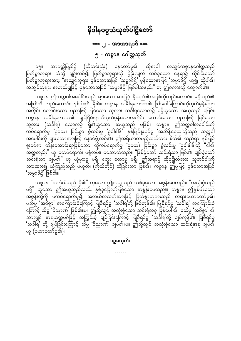## နိဒါနဝဂ္ဂသံယုတ်ပါဠိတော်

=== ၂ - အာဟာရ၀ဂ် ===

၅ - ကစ္စာန ဂေါတ္တသုတ်

<span id="page-29-0"></span>သာဝတ္ထိပြည်၌ (သီတင်းသုံး) နေတော်မူ၏၊ ထိုအခါ အသျှင်ကစ္စာနဂေါတ္တသည် ၁၅။ မြတ်စွာဘုရား ထံသို့ ချဉ်းကပ်၍ မြတ်စွာဘုရားကို ရှိခိုးလျက် တစ်ခုသော နေရာ၌ ထိုင်ပြီးသော် )<br>မြတ်စွာဘုရားအား "အသျှင်ဘုရား မှန်သောအမြင် 'သမ္မာဒိဋ္ဌိ' မှန်သောအမြင် 'သမ္မာဒိဋ္ဌိ' ဟူ၍ ဆိုပါ၏၊ -<br>အသျှင်ဘုရား အဘယ်မျှဖြင့် မှန်သောအမြင် 'သမ္မာဒိဋ္ဌိ' ဖြစ်ပါသနည်း" ဟု ဤစကားကို လျှောက်၏။

ကစ္စာန ဤသတ္တဝါအပေါင်းသည် များသောအားဖြင့် ရှိသည်၏အဖြစ်ကိုလည်းကောင်း၊ မရှိသည်၏<br>အဖြစ်ကို လည်းကောင်း နှစ်ပါးကို မှီ၏။ ကစ္စာန သင်္ခါရလောက၏ ဖြစ်ပေါ်ကြောင်းကိုဟုတ်မှန်သော အတိုင်း ကောင်းသော ပညာဖြင့် မြင်သော သူအား သင်္ခါရလောက၌ မရှိဟူသော အယူသည် မဖြစ်။ ကစ္စာန သင်္ခါရလောက၏ ချပ်ငြိမ်းရာကိုဟုတ်မှန်သောအတိုင်း ကောင်းသော ပညာဖြင့် မြင်သော သူအား (သင်္ခါရ) လောက၌ ရှိ၏ဟူသော အယူသည် မဖြစ်။ ကစ္စာန ဤသတ္တဝါအပေါင်းကို က်ပ်ရောက်မှု 'ဥပယ'၊ ပြင်းစွာ စွဲလမ်းမှု 'ဥပါဒါန်'၊ နစ်မြုပ်စူးဝင်မှု 'အဘိနိဝေသ'တို့သည် သတ္တဝါ အပေါင်းကို များသောအားဖြင့် နှောင်ဖွဲ့အပ်၏။ ဤအရိယာတပည့်သည်ကား စိတ်၏ တည်ရာ နစ်မြုပ် စူးဝင်ရာ ကိန်းအောင်းရာဖြစ်သော ထိုကပ်ရောက်မှု 'ဥပယ'၊ ပြင်းစွာ စွဲလမ်းမှု 'ဥပါဒါန်'ကို "ငါ၏ -<br>အတ္တတည်း" ဟု မကပ်ရောက်၊ မစွဲလမ်း၊ မဆောက်တည်။ "ဖြစ်ခဲ့သော် ဆင်းရဲသာ ဖြစ်၏၊ ချုပ်ခဲ့သော် ဆင်းရဲသာ ချုပ်၏" ဟု ယုံမှားမှု မရှိ၊ တွေး တောမှု မရှိ။ ဤအရာ၌ ထိုပုဂ္ဂိုလ်အား သူတစ်ပါးကို အားထား၍ ယုံကြည်သည် မဟုတ်၊ (ကိုယ်တိုင်) သိခြင်းသာ ဖြစ်၏။ ကစ္စာန ဤမျှဖြင့် မှန်သောအမြင် **်**သမ္မာဒိဋ္ဌိ ဖြစ်၏။

ကစ္စာန "အလုံးစုံသည် ရှိ၏" ဟူသော ဤအယူသည် တစ်ခုသော အစွန်းပေတည်း၊ "အလုံးစုံသည်<br>မရှိ" ဟူသော ဤအယူသည်လည်း နှစ်ခုမြောက်ဖြစ်သော အစွန်းပေတည်း။ ကစ္စာန ဤနှစ်ပါးသော ာ<br>အစွန်းတို့ကို မကပ်ရောက်မှု၍ အလယ်အလတ်အားဖြင့် မြတ်စွာဘုရားသည် တရားဟောတော်မူ၏၊ မသိမှု 'အဝိဇ္ဇာ' အကြောင်းခံကြောင့် ပြုစီရင်မှု 'သင်္ခါရ*'*တို့ ဖြစ်ကုန်၏၊ ပြုစီရင်မှု 'သင်္ခါရ' အကြောင်းခံ ကြောင့် သိမှု 'ဝိညာဏ်' ဖြစ်၏။ပ။ ဤသို့လျှင် အလုံးစုံသော ဆင်းရဲအစု ဖြစ်ပေါ် ၏၊ မသိမှု 'အဝိဇ္ဇာ' ၏ သာလျှင် အရဟတ္တမဂ်ဖြင့် အကြွင်းမဲ့ ချုပ်ခြင်းကြောင့် ပြုစီရင်မှု 'သင်္ခါရ'တို့ ချုပ်ကုန်၏၊ ပြုစီရင်မှု 'သင်္ခါရဲ' တို့ ချုပ်ခြင်းကြောင့် သိမှု 'ဝိညာဏ်' ချုပ်၏။ပ။ ဤသို့လျှင် အလုံးစုံသော ဆင်းရဲအစု ချုပ်၏ ဟု (ဟောတော်မူ၏)။

ပဥ္စမသုတ်။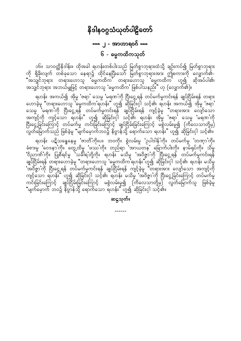## နိဒါနဝဂ္ဂသံယုတ်ပါဠိတော် === ၂ - အာဟာရဝဂ် === ၆ - ဓမ္မကထိကသုတ်

<span id="page-30-0"></span>၁၆။ သာဝတ္ထိနိဒါန်း။ ထိုအခါ ရဟန်းတစ်ပါးသည် မြတ်စွာဘုရားထံသို့ ချဉ်းကပ်၍ မြတ်စွာဘုရား<br>-ကို ရှိခိုးလျက် တစ်ခုသော နေရာ၌ ထိုင်နေပြီးသော် မြတ်စွာဘုရားအား ဤစကားကို လျှောက်၏<br>- အသျှင်ဘုရား တရားဟောသူ 'မွေကထိက' တရားဟောသူ 'မွေ့ကထိက' အသျှင်ဘုရား အဘယ်မျှဖြင့် တရားဟောသူ 'ဓမ္မကထိက' ဖြစ်ပါသနည်း" ဟု (လျှောက်၏)။

ရဟန်း အကယ်၍ အိုမှု 'ဇရာ' သေမှု 'မရဏ'ကို ငြီးငွေ့ရန် တပ်မက်မှုကင်းရန် ချုပ်ငြိမ်းရန် တရား<br>'မောာခဲ့မူ "တရားဟော့သူ 'မ္ဗေကထိက'ရဟန်း" ဟူ၍ ဆိုခြင်းငှါ သင့်၏၊ ရဟန်း အကယ်၍ အိုမှု 'ဇရာ သေမှု ''မရဏ'ကို ငြီးငွေ့ရန် တပ်မက်မှုကင်းရန် ချုပ်ငြိမ်းရန် ကျင့်ခဲ့မူ "တရားအား လျော်သော<br>အကျင့်ကို ကျင့်သော ရဟန်း" ဟူ၍ ဆိုခြင်းငှါ သင့်၏၊ ရဟန်း အိုမှု 'ဇရာ' သေမှု 'မရဏ'ကို ငြီးငွေ့ခြင်းကြောင့် တပ်မက်မှု ကင်းခြင်းကြောင့် ချုပ်ငြိမ်းခြင်းကြောင့် မစွဲလမ်းမူ၍ (ကိလေသာတို့မှ) ်<br>လွတ်မြောက်သည် ဖြစ်ခဲ့မှု "မျက်မှောက်ဘဝ၌ နိဗ္ဗာန်သို့ ရောက်သော ရဟန်း" ဟူ၍ ဆိုခြင်းငှါ သင့်၏။

ရဟန်း ပဋိသန္ဓေနေမှု 'ဇာတိ'ကို။ပ။ ဘဝကို။ စွဲလမ်းမှု 'ဥပါဒါန်'ကို။ တပ်မက်မှု 'တဏှာ'ကို။ ခံစားမှု 'ဝေဒနာ'ကို။ တွေ့ထိမှု 'ဖဿ'ကို။ တည်ရာ 'အာယတန<sup>'</sup> ခြောက်ပါးကို။ နာမ်ရုပ်ကို။ သိမှု 'ိဝိညာဏ်'ကို။ ပြုစီရင်မှု 'သင်္ခါရ'တို့ကို။ ရဟန်း မသိမှု 'အဝိဇ္ဇာ'ကို ငြီးငွေ့ရန် တပ်မက်မှုကင်းရန် ချုပ်ငြိမ်းရန် တရားဟောခဲ့မူ "တရားဟောသူ 'ဓမ္မကထိက ရဟန်း' ဟူ၍ ဆိုခြင်းငှါ သင့်၏၊ ရဟန်း မသိမှု ္။<br>'အဝိဇ္ဇာ'ကို ငြီးငွေ့ရန် တပ်မက်မှုကင်းရန် ချုပ်ငြိမ်းရန် ကျင့်ခဲ့မူ "တရားအား လျော်သော အကျင့်ကို<br>ကျင့်သော ရဟန်း" ဟူ၍ ဆိုခြင်းငှါ သင့်၏၊ ရဟန်း မသိမှု 'အဝိဇ္ဇာ'ကို ငြီးငွေ့ခြင်းကြောင့် တပ်မက်မှု ကင်းခြင်းကြောင့် ချပ်ငြိမ်းခြင်းကြောင့် မစွဲလမ်းမူ၍ (ကိလေသာတို့မှ) လွတ်မြောက်သူ ဖြစ်ခဲ့မူ<br>"မျက်မှောက် ဘဝ၌ နိဗ္ဗာန်သို့ ရောက်သော ရဟန်း"ဟူ၍ ဆိုခြင်းငှါ သင့်၏။

ဆဋ္ဌသုတ်။

 $- - - - - -$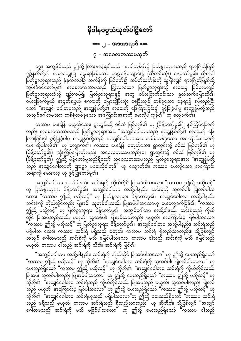# နိဒါနဝဂ္ဂသံယုတ်ပါဠိတော်

=== ၂ - အာဟာရဝဂ် ===

#### ၇ - အစေလကဿပသုတ်

<span id="page-31-0"></span>၁၇။ အကျွန်ုပ်သည် ဤသို့ ကြားနာခဲ့ရပါသည်- အခါတစ်ပါး၌ မြတ်စွာဘုရားသည် ရာဇဂြိုဟ်ပြည် ရှဉ့်နက်တို့ကို အစာကျွေး၍ မွေးရာဖြစ်သော ဝေဠုဝန်ကျောင်း၌ (သီတင်းသုံး) နေတော်မူ၏၊ ထိုအခါ မြတ်စွာဘုရားသည် နံနက်အခါ၌ သင်္ကန်းကို ပြင်ဝတ်၍ သပိတ်သင်္ကန်းကို ယူပြီးလျှင် ရာဇ်ဂြိုဟ်ပြည်သို့ -<br>ဆွမ်းခံဝင်တော်မူ၏၊ အစေလကဿပသည် ကြွလာသော မြတ်စွာဘုရားကို အဝေးမှ မြင်လေလျှင် မြတ်စွာဘုရားထံသို့ ချဉ်းကပ်၍ မြတ်စွာဘုရားနှင့် အတူ ဝမ်းမြောက်ဝမ်းသာ နှုတ်ဆက်ပြောဆို၏၊ ဝမ်းမြောက်ဖွယ် အမှတ်ရဖွယ် စကားကို ပြောဆိုပြီးဆုံး စေပြီးလျှင် တစ်ခုသော နေရာ၌ ရပ်တည်ပြီး သော် "အသျှင် ဂေါတမသည် အကျွန်ုပ်တို့၏ အမေးကို ဖြေကြားခြင်းငှါ ခွင့်ပြုခဲ့ပါမူ အကျွန်ုပ်တို့သည် အသျှင်ဂေါတမအား တစ်စုံတစ်ခုသော အကြောင်းအရာကို မေးလိုပါကုန်၏" ဟု လျှောက်၏။

ကဿပ မေးချိန် မဟုတ်သေး၊ ရွာတွင်းသို့ ဝင်ဆဲ ဖြစ်ကုန်၏ ဟု (မိန့်တော်မူ၏)၊ နှစ်ကြိမ်မြောက် လည်း အစေလကဿပသည် မြတ်စွာဘုရားအား "အသျှင်ဂေါတမသည် အကျွန်ုပ်တို့၏ အမေးကို ဖြေ ကြားခြင်းငှါ ခွင့်ပြုခဲ့ပါမူ အကျွန်ုပ်တို့သည် အသျှင်ဂေါတမအား တစ်စုံတစ်ခုသော အကြောင်းအရာကို မြေး လိုပါကုန်၏ ဟု လျှောက်၏။ ကဿပ မေးချိန် မဟုတ်သေး၊ ရွာတွင်းသို့ ဝင်ဆဲ ဖြစ်ကုန်၏ ဟု (မိန့်တော်မူ၏)၊ သုံးကြိမ်မြောက်လည်း အစေလကဿပသည်။ပ။ ရွာတွင်းသို့ ဝင်ဆဲ ဖြစ်ကုန်၏ ဟု (မိန့်တော်မူ၏)၊ ဤသို့ မိန့်တော်မူသည်ရှိသော် အစေလကဿပသည် မြတ်စွာဘုရားအား "အကျွန်ုပ်တို့ သည် အသျှင်ဂေါ်တမကို များစွာ မမေးလိုပါကုန်" ဟု လျှောက်၏၊ ကဿပ မေးလိုသော အကြောင်း အရာကို မေးလော့ ဟု ခွင့်ပြုတော်မူ၏။

အသျှင်ဂေါတမ အသို့ပါနည်း၊ ဆင်းရဲကို ကိုယ်တိုင် ပြုအပ်ပါသလော၊ "ကဿပ ဤသို့ မဆိုလင့်"<br>ဟု မြတ်စွာဘုရား မိန့်တော်မူ၏။ အသျှင်ဂေါတမ အသို့ပါနည်း၊ ဆင်းရဲကို သူတစ်ပါး ပြုအပ်ပါသ လော၊ "ကဿပ ဤသို့ မဆိုလင့်" ဟု မြတ်စွာဘုရား မိန့်တော်မူ၏။ အသျှင်ဂေါတမ အသို့ပါနည်း၊ ဆင်းရဲကို ကိုယ်တိုင်လည်း ပြုအပ်၊ သူတစ်ပါးလည်း ပြုအပ်ပါသလောဟု မေးလျှောက်ပြန်၏၊ "ကဿပ ဤသို့ မဆိုလင့်" ဟု မြတ်စွာဘုရား မိန့်တော်မူ၏။ အသျှင်ဂေါတမ အသို့ပါနည်း၊ ဆင်းရဲသည် ကိုယ် ာ<br>တိုင် ပြုအပ်သည်လည်း မဟုတ်၊ သူတစ်ပါး ပြုအပ်သည်လည်း မဟုတ်၊ အကြောင်းမဲ့ ဖြစ်ပါသလော၊ "ကဿပ ဤသို့ မဆိုလင့်" ဟု မြတ်စွာဘုရား မိန့်တော်မူ၏။ အသျှင်ဂေါတမ အသို့ပါနည်း၊ ဆင်းရဲသည် မရှိပါသ လော၊ ကဿပ ဆင်းရဲ မရှိသည် မဟုတ်၊ ကဿပ ဆင်းရဲ ရှိသည်သာတည်း။ သို့ဖြစ်လျှင် အသျှင် ဂေါတမသည် ဆင်းရဲကို မသိ မမြင်ပါသလော၊ ကဿပ ငါသည် ဆင်းရဲကို မသိ မမြင်သည် မဟုတ်၊ ကဿပ ငါသည် ဆင်းရဲကို သိ၏၊ ဆင်းရဲကို မြင်၏။

"အသျှင်ဂေါတမ အသို့ပါနည်း၊ ဆင်းရဲကို ကိုယ်တိုင် ပြုအပ်ပါသလော" ဟု ဤသို့ မေးသည်ရှိသော် "ကဿပ ဤသို့ မဆိုလင့်" ဟု ဆိုဘိ၏၊ "အသျှင်ဂေါတမ ဆင်းရဲကို သူတစ်ပါး ပြုအပ်ပါသလော" ဟု မေးသည်ရှိသော် "ကဿပ ဤသို့ မဆိုလင့်" ဟု ဆိုဘိ၏၊ "အသျှင်ဂေါ်တမ ဆင်းရဲကို ကိုယ်တိုင်လည်း ပြုအပ်၊ သူတစ်ပါးလည်း ပြုအပ်ပါသလော" ဟု ဤသို့ မေးသည်ရှိသော် "ကဿပ ဤသို့ မဆိုလင့်" ဟု <u>ဆို</u>ဘိ၏၊ "အသျှင်ဂေါ်တမ<sup>်</sup>ဆင်းရဲသည် ကိုယ်တိုင်လည်း ပြုအပ်သည် မဟုတ်၊ သူတစ်ပါးလည်း ပြုအပ် \_\_\_<br>သည် မရှိသည် မဟုတ်၊ ကဿပ ဆင်းရဲသည် ရှိသည်သာတည်း" ဟု ဆိုဘိ၏၊ သို့ဖြစ်လျှင် "အသျှင် ဂေါ်တမသည် ဆင်းရဲကို မသိ မမြင်ပါသလော" ဟု ဤသို့ မေးသည်ရှိသော် "ကဿပ ငါသည်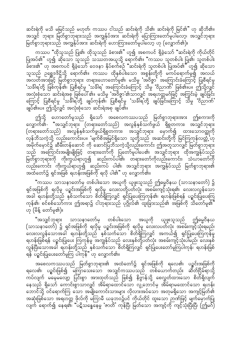ဆင်းရဲကို မသိ မမြင်သည် မဟုတ်၊ ကဿပ ငါသည် ဆင်းရဲကို သိ၏၊ ဆင်းရဲကို မြင်၏" ဟု ဆိုဘိ၏။ အသျှင် ဘုရား မြတ်စွာဘုရားသည် အကျွန်ုပ်အား ဆင်းရဲကို ပြောကြားတော်မူပါလော့၊ အသျှင်ဘုရား မြတ်စွာဘုရားသည် အကျွန်ုပ်အား ဆင်းရဲကို ဟောကြားတော်မူပါလော့ ဟု (လျှောက်၏)။

ကဿပ "ထိုသူသည် ပြု၏၊ ထိုသူသည် ခံစား၏" ဟူ၍ အစကပင် ရှိခဲ့သော် "ဆင်းရဲကို ကိုယ်တိုင် ပြုအပ်၏" ဟူ၍ ဆိုသော သူသည် သဿတအယူသို့ ရောက်၏။ "ကဿပ သူတစ်ပါး ပြု၏၊ သူတစ်ပါး  $\frac{1}{2}$ ်တား၏" ဟု အစကပင် ရှိခဲ့သော် ဝေဒနာ နှိပ်စက်စဉ် "ဆင်းရဲကို သူတစ်ပါး ပြုအပ်၏" ဟူ၍ ဆိုသော သူသည် ဉစ္ဆေဒဒိဋ္ဌိသို့ ရောက်၏။ ကဿပ ထိုနှစ်ပါးသော အစွန်းတို့ကို မကပ်ရောက်မူ၍ အလယ် ..<br>အလတ်အားဖြင့် မြတ်စွာဘုရား တရားဟောတော်မူ၏၊ မသိမှု 'အဝိဇ္ဇာ' အကြောင်းခံကြောင့် ပြုစီရင်မှု ်သခ်ီါရတို့ ဖြစ်ကုန်၏၊ ပြုစီရင်မှု 'သင်္ခါရ' အကြောင်းခံကြောင့် သိမှု 'ဝိညာဏ်' ဖြစ်၏။ပ။ ဤသို့လျှင် အလုံးစုံသော ဆင်းရဲအစု ဖြစ်ပေါ် ၏။ မသိမှု 'အဝိဇ္ဇာ'၏သာလျှင် အရဟတ္တမဂ်ဖြင့် အကြွင်းမဲ့ ချုပ်ခြင်း ကြောင့် ပြုစီရင်မှု 'သင်္ခါရတို့ ချုပ်ကုန်၏၊ ပြုစီရင်မှု 'သင်္ခါရတို့ ချုပ်ခြင်းကြောင့် သိမှု 'ဝိညာဏ်' ချုပ်၏။ပ။ ဤသို့လျှင် အလုံးစုံသော ဆင်းရဲအစု ချုပ်၏။

ဤသို့ ဟောတော်မူသည် ရှိသော် အစေလကဿပသည် မြတ်စွာဘုရားအား ဤစကားကို လျှောက်၏- "အသျှင်ဘုရား (တရားတော်သည်) အလွန်နှစ်သက်ဖွယ် ရှိစွတ်ကား၊ အသျှင်ဘုရား  $\overline{(\infty, \infty)}$ ် အလွန်နှစ်သက်ဖွယ်ရှိစွတကား၊ အသျှင်ဘုရား မှောက်၍ ထားသောဝတ္ထုကို လှန်ဘိသကဲ့သို့ လည်းကောင်း။ပ။ 'မျက်စိအမြင်ရှိသော သူတို့သည် အဆင်းတို့ကို မြင်ကြကုန်လတ္တံ့'ဟု အမိုက်မှောင်၌ ဆီမီးတန်ဆောင် ကို ဆောင်ပြဘိသကဲ့သို့လည်းကောင်း ဤအတူသာလျှင် မြတ်စွာဘုရား သည် အကြောင်းအမျိုးမျိုးဖြင့် တရားတော်ကို ပြတော်မူပါပေ၏၊ အသျှင်ဘုရား ထိုအကျွန်ုပ်သည် မြတ်စွာဘုရားကို ကိုးကွယ်ရာဟူ၍ ဆည်းကပ်ပါ၏၊ တရားတော်ကိုလည်းကောင်း၊ သံဃာတော်ကို လည်းကောင်း ကိုးကွယ်ရာဟူ၍ ဆည်းကပ် ပါ၏၊ အသျှင်ဘုရား အကျွန်ုပ်သည် မြတ်စွာဘုရား၏ အထိတော်၌ ရှင်အဖြစ် ရဟန်းအဖြစ်ကို ရလို ပါ၏" ဟု လျှောက်၏။

"ကဿပ သာသနာတော်မှ တစ်ပါးသော အယူကို ယူဖူးသူသည် ဤဓမ္မဝိနယ (သာသနာတော်) ၌ ရှင်အဖြစ်ကို ရလိုမူ ပဉ္စင်းအဖြစ်ကို ရလိုမူ လေးလတို့ပတ်လုံး အစမ်းကျင့်သုံးရ၏၊ လေးလလွန်သော အခါ ရဟန်းတို့သည် နှစ်သက်သော စိတ်ရှိကြလျှင် ရှင်ပြုပေးကြကုန်၏၊ ရဟန်းဖြစ်ရန် ပဉ္စင်းပြုပေးကြ ကုန်၏၊ စင်စစ်သော်ကား ဤအရာ၌ ငါဘုရားသည် ပုဂ္ဂိုလ်၏ ထူးခြားသည်၏ အဖြစ်ကို သိတော်မူ၏ ဟု (မိန့် တော်မူ၏)။

"အသျှင်ဘုရား သာသနာတော်မှ တစ်ပါးသော အယူကို ယူဖူးသူသည် ဤဓမ္မဝိနယ  $($ သာသနာဓောာ် $)\,$ ၌ ရှင်အဖြစ်ကို ရလိုမူ ပဉ္စင်းအဖြစ်ကို ရလိုမူ လေးလပတ်လုံး အစမ်းကျင့်သုံးရမည်၊ လေးလလွန်သောအခါ ရဟန်းတို့သည် နှစ်သက်သော စိတ်ရှိကြလျှင် အကယ်၍ ရှင်ပြုပေးကြကုန်မူ ရဟန်းဖြစ်ရန် ပဉ္စင်းပြုပေး ကြကုန်မူ အကျွန်ုပ်သည် လေးနှစ်တို့ပတ်လုံး အစမ်းကျင့်သုံးပါမည်၊ လေးနှစ် ု နှိုင်းမြောက်အခါ ရဟန်းတို့သည် နှစ်သက်သော စိတ်ရှိကြလျှင် ရှင်ပြုပေးတော်မူကြပါကုန်၊ ရဟန်းဖြစ် ရန် ပဉ္စင်းပြုပေးတော်မူကြ ပါကုန်" ဟု လျှောက်၏။

အစေလကဿပသည် မြတ်စွာဘုရား၏ အထံတော်၌ ရှင်အဖြစ်ကို ရလေ၏၊ ပဉ္စင်းအဖြစ်ကို ရလေ၏၊ ပဉ္စင်းဖြစ်၍ မကြာသေးသော အသျှင်ကဿပသည် တစ်ယောက်တည်း ဆိတ်ငြိမ်ရာသို့ ကပ်လျက် မမေ့မလျော့ ပြင်းစွာ အားထုတ်သည် ဖြစ်၍ နိဗ္ဗာန်သို့ စေလွှတ်ထားသော စိတ်ရှိလျက် နေသည် ရှိသော် ကောင်းစွာသာလျှင် အိမ်ရာထောင်သော လူ့ဘောင်မှ အိမ်ရာမထောင်သော ရဟန်း ဘောင်သို့ ဝင်ရောက်ကြ သော အမျိုးကောင်းသားများ လိုလားအပ်သော အတုမရှိသော အကျင့်မြတ်၏ အဆုံးဖြစ်သော အရဟတ္တ ဖိုလ်ကို မကြာမီ ယခုဘဝ၌ပင် ကိုယ်တိုင် ထူးသော ဉာဏ်ဖြင့် မျက်မှောက်ပြု လျက် ရောက်၍ နေရ၏ "ပဋိသန္ဓေနေမှု 'ဇာတိ' ကုန်ပြီ၊ မြတ်သော အကျင့်ကို ကျင့်သုံးပြီးပြီ၊ (ဤမဂ်)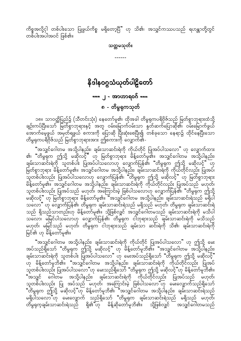<span id="page-33-0"></span>ကိစ္စအလို့ငှါ တစ်ပါးသော ပြုဖွယ်ကိစ္စ မရှိတော့ပြီ" ဟု သိ၏၊ အသျှင်ကဿပသည် ရဟန္တာတို့တွင် တစ်ိပါးအပါအဝင် ဖြစ်၏။

သတ္တမသုတ်။

## နိဒါနဝဂွသံယုတ်ပါဠိတော် === ၂ - အာဟာရဝဂ် === ၈ - တိမ္မရှကသုတ်

၁၈။ သာဝတ္ထိပြည်၌ (သီတင်းသုံး) နေတော်မူ၏၊ ထိုအခါ တိမ္ဗရုကပရိဗိုဇ်သည် မြတ်စွာဘုရားထံသို့<br>ချဉ်းကပ်ပြီးသော် မြတ်စွာဘုရားနှင့် အတူ ဝမ်းမြောက်ဝမ်းသာ နှုတ်ဆက်ပြောဆို၏၊ ဝမ်းမြောက်ဖွယ် ၖၓၴၣၣၣၣ<br>ၾကင်မေ့ဖွယ် အမှတ်ရဖွယ် စကားကို ပြောဆို ပြီးဆုံးစေပြီး၍ တစ်ခုသော နေရာ၌ ထိုင်နေပြီးသော 

"အသျှင်ဂေါတမ အသို့ပါနည်း၊ ချမ်းသာဆင်းရဲကို ကိုယ်တိုင် ပြုအပ်ပါသလော" ဟု လျှောက်ထား ္း<br>၏၊ "တိမ္ဗရုက ဤသို့ မဆိုလင့်" ဟု မြတ်စွာဘုရား မိန့်တော်မူ၏။ အသျှင်ဂေါတမ<sup>်</sup> အသို့ပါနည်း၊<br>ချမ်းသာဆင်းရဲကို သူတစ်ပါး ပြုအပ်ပါသလောဟု လျှောက်ပြန်၏၊ "တိမ္ဗရုက ဤသို့ မဆိုလင့်" ဟု မြတ်စွာဘုရား မိန့်တော်မူ၏။ အသျှင်ဂေါတမ အသို့ပါနည်း၊ ချမ်းသာဆင်းရဲကို ကိုယ်တိုင်လည်း ပြုအပ်၊ မိန့်တော်မူ၏။ အသျှင်ဂေါတမ အသို့ပါနည်း၊ ချမ်းသာဆင်းရဲကို ကိုယ်တိုင်လည်း ပြုအပ်သည် မဟုတ်၊ သူတစ်ပါးလည်း ပြုအပ်သည် မဟုတ်၊ အကြောင်းမဲ့ ဖြစ်ပါသလောဟု လျှောက်ပြန်၏၊ "တိမ္ဗရုက ဤသို့<br>မဆိုလင့်" ဟု မြတ်စွာဘုရား မိန့်တော်မူ၏။ "အသျှင်ဂေါတမ အသို့ပါနည်း၊ ချမ်းသာဆင်းရဲသည် မရှိပါ သလော" ဟု လျှောက်ပြန်၏၊ တိမ္ဗရုက ချမ်းသာဆင်းရဲသည် မရှိသည် မဟုတ်၊ တိမ္ဗရုက ချမ်းသာဆင်းရဲ သည် ရှိသည်သာတည်းဟု မိန့်တော်မူ၏။ သို့ဖြစ်လျှင် အသျှင်ဂေါတမသည် ချမ်းသာဆင်းရဲကို မသိပါ သလော၊ မမြင်ပါသလောဟု လျှောက်ပြန်၏၊ တိမ္ဗရုက ငါဘုရားသည် ချမ်းသာဆင်းရဲကို မသိသည် မဟုတ်၊ မမြင်သည် မဟုတ်၊ တိမ္ဗရုက ငါဘုရားသည် ချမ်းသာ ဆင်းရဲကို သိ၏၊ ချမ်းသာဆင်းရဲကို မြင်၏ ဟု မိန့်တော်မူ၏။

"အသျှင်ဂေါတမ အသို့ပါနည်း၊ ချမ်းသာဆင်းရဲကို ကိုယ်တိုင် ပြုအပ်ပါသလော" ဟု ဤသို့ မေး အပ်သည်ရှိသော် "တိမ္ဗရုက<sup>်</sup> ဤသို့ မဆိုလင့်" ဟု မိန့်တော်မူဘိ၏။ "အသျှင်ဂေါတမ အသို့ပါနည်း၊ ချမ်းသာဆင်းရဲကို သူတစ််ပါး ပြုအပ်ပါသလော" ဟု မေးအပ်သည်ရှိသော် "တိမ္ဗရုက ဤသို့ မဆိုလင့်" ဟု မိန့်တော်မူဘိ၏။ "အသျှင်ဂေါတမ အသို့ပါနည်း၊ ချမ်းသာဆင်းရဲကို ကိုယ်တိုင်လည်း ပြုအပ် သူတစ်ပါးလည်း ပြုအပ်ပါသလော"ဟု မေးသည်ရှိသော် "တိမ္ဗရုက ဤသို့ မဆိုလင့်"ဟု မိန့်တော်မူဘိ၏။ "အသျှင် ဂေါတမ အသို့ပါနည်း၊ ချမ်းသာဆင်းရဲကို ကိုယ်တိုင်လည်း ပြုအပ်သည် မဟုတ်၊ သူတစ်ိပါးလည်း ပြု အပ်သည် မဟုတ်၊ အကြောင်းမဲ့ ဖြစ်ပါသလော''ဟု မေးလျှောက်သည်ရှိသော်<br>"တိမ္ဗရုက ဤသို့ မဆိုလင့်''ဟု မိန့်တော်မူဘိ၏၊ "အသျှင်ဂေါတမ အသို့ပါနည်း၊ ချမ်းသာဆင်းရဲသည် မရှိပါသလော"ဟု မေးလျှောက် သည်ရှိသော် "တိမ္ဗရုက ချမ်းသာဆင်းရဲသည် မရှိသည် မဟုတ်၊ ား<br>တိမ္ဗရုက္ခချမ်းသာဆင်းရဲသည် ရှိ၏''ဟု မိန့်ဆိုတော်မူဘိ၏။ သို့ဖြစ်လျှင် အသျှင်ဂေါတမသည်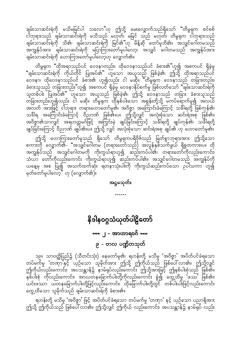<span id="page-34-0"></span>ချမ်းသာဆင်းရဲကို မသိမမြင်ပါ သလော"ဟု ဤသို့ မေးလျှောက်သည်ရှိသော် "တိမ္ဗရုက စင်စစ် .<br>ငါဘုရားသည် ချမ်းသာဆင်းရဲကို မသိသည် မဟုတ်၊ မမြင် သည် မဟုတ်၊ တိမ္ဗရုက ငါဘုရားသည် ် ' ပြင်လဲလို' သိ၏၊ ချမ်းသာဆင်းရဲကို မြင်၏"ဟု မိန့်ဆို တော်မူဘိ၏။ အသျှင်ဂေါတမှသည် .<br>အကျွန်ုပ်အား ချမ်းသာဆင်းရဲကို ပြောကြားတော်မူပါလော့၊ အသျှင် ဂေါတမသည် အကျွန်ုပ်အား ချမ်းသာဆင်းရဲကို ဟောကြားတော်မူပါလော့ဟု လျှောက်၏။

တိမ္ဗရုက **"**ထိုအရာသည်ပင် ဝေဒနာတည်း၊ ထိုဝေဒနာသည်ပင် ခံစား၏"ဟူ၍ အစကပင် ရှိခဲ့မူ "ချမ်းသာဆင်းရဲကို ကိုယ်တိုင် ပြုအပ်၏" ဟူသော အယူသည် ဖြစ်ခဲ့၏၊ ဤသို့ ထိုအရာသည်ပင် ၀ေဒနာ၊ ထိုဝေဒနာသည်ပင် ခံစား၏ ဟူ၍လည်း ငါ မဆို။ **"**တိမ္ဗရုက ဝေဒနာသည် တခြားတည်း၊ ခံစားသူသည် တခြားတည်း"ဟူ၍ အစကပင် ရှိခဲ့မူ ဝေဒနာနိုပ်စက်မှု ဖြစ်လတ်သော် "ချမ်းသာဆင်းရဲကို သူတစ်ပါး ပြုအပ်၏" ဟူသော အယူသည် ဖြစ်ခဲ့၏၊ ဤသို့ ဝေဒနာသည် တခြား ခံစားသူသည် wြေဆုံးထည်းဟူ၍လည်း ငါ မဆို။ တိမ္ဗရုက ထိုနှစ်ပါးသော အစွန်းတို့သို့ မကပ်ရောက်မူ၍ အလယ် အလတ် အားဖြင့် ငါဘုရား တရားဟောတော်မူ၏၊ အဝိဇ္ဇာ အကြောင်းခံကြောင့် သင်္ခါရတို့ ဖြစ်ကုန်၏၊ သခ်ီါရ အကြောင်းခံကြောင့် ဝိညာဏ် ဖြစ်၏။ပ။ ဤသို့လျှင် အလုံးစုံသော ဆင်းရဲအစု ဖြစ်၏။ အဝိဇ္ဇာ၏သာလျှင် အရဟတ္တမဂ်ဖြင့် အကြွင်းမဲ့ ချုပ်ခြင်းကြောင့် သင်္ခါရတို့ ချုပ်ကုန်၏၊ သင်္ခါရတို့ ချုပ်ခြင်းကြောင့် ဝိညာဏ် ချုပ်၏။ပ။ ဤသို့ လျှင် အလုံးစုံသော ဆင်းရဲအစု ချုပ်၏ ဟု ဟောတော်မူ၏။

ဤသို့ ဟောကြားတော်မူသည် ရှိသော် တိမ္ဗရုကပရိဗိုဇ်သည် မြတ်စွာဘုရားအား ဤသို့သော p<br>စကားကို လျှောက်၏- "အသျှင်ဂေါတမ (တရားတော်သည်) အလွန်နှစ်သက်ဖွယ် ရှိစွတကား။ပ။ ထို အကျွန်ုပ်သည် အသျှင်ဂေါတမကို ကိုးကွယ်ရာဟူ၍ ဆည်းကပ်ပါ၏၊ တရားတော်ကိုလည်းကောင်း၊ ာ ရွိ ၊<br>သံဃာ တော်ကိုလည်းကောင်း ကိုးကွယ်ရာဟူ၍ ဆည်းကပ်ပါ၏။ အသျှင်ဂေါတမသည် အကျွန်ုပ်ကို ယနေ့မှ အစ ပြု၍ အသက်ထက်ဆုံး ရတနာသုံးပါးကို ကိုးကွယ်ဆည်းကပ်သော ဉပါသကာ ဟူ၍ မှတ်တော်မူပါလော့ $"\,$  ဟု  $(\text{eqp} \, \hat{\sigma})$ ။

အဋ္ဌမသုတ်။

------

နိဒါန၀ဂွသံယုတ်ပါဠိတော် )<br>D  $\frac{1}{2}$  $\vdots$ d d f ==== ၂ - အာဟာရဝဂ် === ၉ - ဗာလ ပဏ္ဍိတသုတ်

၁၉။ သာဝတ္ထိပြည်၌ (သီတင်းသုံး) နေတော်မူ၏၊ ရဟန်းတို့ မသိမှု 'အဝိဇ္ဇာ' အပိတ်ပင်ခံရသော တပ်မက်မှု 'တဏှာ'နှင့် ယှဉ်သော သူမိုက်အား တြုသို့ ဤကိုယ်သည် ဖြစ်ပေါ်လာ၏။ ဤသို့လျှင် ဤကိုယ်လည်းကောင်း၊ အပသန္တာန်၌ နာမ်ရုပ်လည်းကောင်း ဤသို့အားဖြင့် ဤနှစ်ပါးစုံသည် ဖြစ်၏။ ESpfyg;pHk udkvnf;aumif;? tm,weajcmufyg;wdkYudkvnf;aumif; pGJí awGUxdrI ]zó} jzpf\/ ယင်းဖဿာ ယတနခြောက်ပါးတို့ဖြင့်လည်းကောင်း၊ ထိုခြောက်ပါးတို့တွင် တစ်ပါးပါးဖြင့်လည်းကောင်း တွေ့ထိသော သူမိုက်သည် ချမ်းသာဆင်းရဲကို ခံစား၏။

ရဟန်းတို့ မသိမှု 'အဝိဇ္ဇာ' ဖြင့် အပိတ်ပင်ခံရသော တပ်မက်မှု 'တဏှာ' နှင့် ယှဉ်သော ပညာရှိအား ဤသို့ ဤကိုယ်သည် ဖြစ်ပေါ် လာ၏။ ဤသို့လျှင် ဤကိုယ် လည်းကောင်း၊ အပသန္တာန်၌ နာမ်ရုပ် လည်း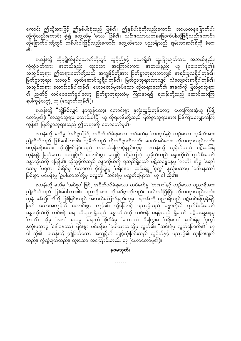ကောင်း ဤသို့အားဖြင့် ဤနှစ်ပါးစုံသည် ဖြစ်၏။ ဤနှစ်ပါးစုံကိုလည်းကောင်း၊ အာယတနခြောက်ပါး တို့ကိုလည်းကောင်း စွဲ၍ တွေ့ထိမှု 'ဖဿ' ဖြစ်၏။ ယင်းဖဿာယတနခြောက်ပါးတို့ဖြင့်လည်းကောင်း၊  $\alpha$ ိုခြောက်ပါးတို့တွင် တစ်ပါးပါးဖြင့်လည်းကောင်း တွေ့ထိသော ပညာရှိသည် ချမ်းသာဆင်းရဲကို ခံစား الق

ရဟန်းတို့ ထိုပုဂ္ဂိုလ်နှစ်ယောက်တို့တွင် သူမိုက်နှင့် ပညာရှိ၏ ထူးခြားချက်ကား အဘယ်နည်း၊ ကွဲလွဲချက်ကား အဘယ်နည်း၊ ထူးသော အကြောင်းကား အဘယ်နည်း ဟု (မေးတော်မူ၏)၊ အသျှင်ဘုရား ဤတရားတော်တို့သည် အကျွန်ုပ်တို့အား မြတ်စွာဘုရားသာလျှင် အရင်းမူလရှိပါကုန်၏၊ မြတ်စွာဘုရား သာလျှင် ထုတ်ဆောင်သူရှိပါကုန်၏၊ မြတ်စွာဘုရားသာလျှင် လဲလျောင်းရာရှိပါကုန်၏၊ toQifbk&m; awmif;yefygukef\? a[mawmfrltyfaom xdkw&m;awmf\ teufudk jrwfpGmbk&m; ၏ ကြွက်၌ ထင်စေတော်မူပါလော့၊ မြတ်စွာဘုရားထံမှ ကြားနာရ၍ ရဟန်းတို့သည် ဆောင်ထားကြ ရပါကုန်လတ္တံ့ ဟု (လျှောက်ကုန်၏)။

ရဟန်းတို့ "သို့ဖြစ်လျှင် နာကုန်လော့၊ ကောင်းစွာ နှလုံးသွင်းကုန်လော့၊ ဟောကြားအံ့ဟု (မိန့် တော်မူ၏)၊ "အသျှင်ဘုရား ကောင်းပါပြီ" ဟု ထိုရဟန်းတို့သည် မြတ်စွာဘုရားအား ပြန်ကြားလျှောက်ကြ ကုန်၏၊ မြတ်စွာဘုရားသည် ဤတရားကို ဟောတော်မူ၏-

ရဟန်းတို့ မသိမှု 'အဝိဇ္ဇာ'ဖြင် ့အပိတ်ပင်ခံရသော တပ်မက်မှု 'တဏှာ'နှင့် ယှဉ်သော သူမိုက်အား ဤကိုယ်သည် ဖြစ်ပေါ် လာ၏၊ သူမိုက်သည် ထိုအဝိဇ္ဇာကိုလည်း မပယ်အပ်သေး၊ ထိုတဏှာသည်လည်း —<br>မကုန်ခန်းသေး၊ ထိုသို့ဖြစ်ခြင်းသည် အဘယ်ကြောင့်နည်းဟူမူ- ရဟန်းတို့ သူမိုက်သည် ဝဋ်ဆင်းရဲ ကုန်ရန် မြတ်သော အကျင့်ကို ကောင်းစွာ မကျင့်၊ ထို့ကြောင့် သူမိုက်သည် ခန္ဓာကိုယ် ပျက်စီးသော် ခန္ဓာကိုယ်ကို ရပြန်၏၊ ထိုသူမိုက်သည် ခန္ဓာကိုယ်ကို ရသည်ရှိသော် ပဋိသန္ဓေနေမှု 'ဇာတိ'၊ အိုမှု 'ဇရာ'၊ သေမှု 'မရဏႛ၊ စိုးရိမ်မှု 'သောကႛ၊ ငိုကြွေးမှု 'ပရိဒေဝႛ၊ ဆင်းရဲမှု 'ဒုက္ခႛ၊ နှလုံးမသာမှု 'ဒေါမနဿႛ၊ ပြင်းစွာ ပင်ပန်းမှု 'ဥပါယာသ'တို့မှ မလွတ်၊ "ဆင်းရဲမှ မလွတ်မြောက်" ဟု ငါ ဆို၏။

ရဟန်းတို့ မသိမှု 'အဝိဇ္ဇာ' ဖြင် ့အပိတ်ပင်ခံရသော တပ်မက်မှု 'တဏှာ'နှင့် ယှဉ်သော ပညာရှိအား ဤကိုယ်သည် ဖြစ်ပေါ်လာ၏၊ ပညာရှိအား ထိုအဝိဇ္ဇာကိုလည်း ပယ်အပ်ပြီးပြီ၊ ထိုတဏှာသည်လည်း —<br>ကုန် ခန်းပြီ၊ ထိုသို့ ဖြစ်ခြင်းသည် အဘယ်ကြောင်နည်းဟူမူ- ရဟန်းတို့ ပညာရှိသည် ဝဋ်ဆင်းရဲကုန်ရန် မြတ် သောအကျင့်ကို ကောင်းစွာ ကျင့်၏၊ ထို့ကြောင့် ပညာရှိသည် ခန္ဓာကိုယ် ပျက်စီးပြီးသော် ခန္ဓာကိုယ်ကို တစ်ဖန် မရ၊ ထိုပညာရှိသည် ခန္ဓာကိုယ်ကို တစ်ဖန် မရခဲ့သည် ရှိသော် ပဋိသန္ဓေနေမှု **'**ဇာတိ'၊ အိုမှု 'ဇရာ'၊ သေမှု 'မရဏ'၊ စိုးရိမ်မှု 'သောက'၊ ငိုကြွေးမှု 'ပရိဒေဝ'၊ ဆင်းရဲမှု 'ဒုက္ခ'၊ နှလုံးမသာမှု<sup>ီ•</sup>ဒေါမနဿႛ၊ ပြင််းစွာ ပင်ပန်းမှု 'ဉပါယာသ'တို့မှ လွတ်၏၊ "ဆင်းရဲမှ လွတ်မြောက်၏" ဟု ငါ ဆို၏။ ရဟန်းတို့ ဤမြတ်သော အကျင့်ကို ကျင့်သုံးခြင်းသည် သူမိုက်နှင့် ပညာရှိ၏ ထူးခြားချက် တည်း၊ ကွဲလွဲချက်တည်း၊ ထူးသော အကြောင်းတည်း ဟု (ဟောတော်မူ၏)။

န၀မသုတ်။

------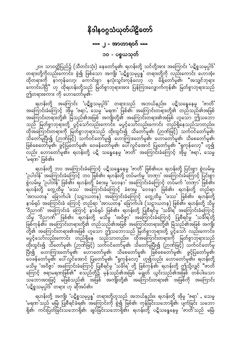# နိဒါနဝဂ္ဂသံယုတ်ပါဠိတော် === ၂ - အာဟာရဝဂ် === ၁၀ - ပစ္စယသုတ်

၂၀။ သာဝတ္ထိပြည်၌ (သီတင်းသုံး) နေတော်မူ၏၊ ရဟန်းတို့ သင်တို့အား အကြောင်း 'ပဋိစ္စသမုပ္ပါဒ်' တရားတို့ကိုလည်းကောင်း၊ စွဲ၍ ဖြစ်သော အကျိုး 'ပဋိစ္စသမုပ္ပန္နွႛ တရားတို့ကို လည်းကောင်း ဳဟောအံ့။ ထိုတရားကို နာကုန်လော့၊ ကောင်းစွာ နှလုံးသွင်းကုန်လော့ ဟု မိန့်တော်မူ၏၊ "အသျှင်ဘုရား ကောင်းပါပြီ" ဟု ထိုရဟန်းတို့သည် မြတ်စွာဘုရားအား ပြန်ကြားလျှောက်ကုန်၏၊ မြတ်စွာဘုရားသည် ဤတရားစကားကို ဟောတော်မူ၏-

ရဟန်းတို့ အကြောင်း ပဋိစ္စသမုပ္ပါဒ်ႛ တရားသည် အဘယ်နည်း။ ပဋိသန္ဓေနေမူ 'ဇာတိႛ အကြောင်းခံကြောင့် အိုမှု 'ဇရာ', သေမှု 'မရဏ' ဖြစ်၏၊ အကြောင်းတရားတို့၏ တည်သည်၏အဖြစ် အကြောင်းတရားတို့၏ မြဲသည်၏အဖြစ် အကျိုးတို့၏ အကြောင်းတရား၏အဖြစ် ဟူသော ဤသဘော သည် မြတ်စွာဘုရားတို့ ပွင့်သော်လည်းကောင်း၊ မပွင့်သော်လည်းကောင်း တည်ရှိနေသည်သာတည်း။ ထိုအကြောင်းတရားကို မြတ်စွာဘုရားသည် ထိုးထွင်း၍ သိတော်မူ၏၊ (ဉာဏ်ဖြင့်) သက်ဝင်တော်မူ၏၊ သိတော်မူပြီး၍ (ဉာဏ်ဖြင့်) သက်ဝင်တော်မူ၍ ဟောကြားတော်မူ၏၊ ဟောတော်မူ၏၊ သိစေတော်မူ၏၊ ဖြစ်စေတော်မူ၏၊ ဖွင့်ပြတော်မူ၏၊ ဝေဖန်တော်မူ၏၊ ပေါ်လွင်အောင် ပြုတော်မူ၏၊ "ရှုကုန်လော့" ဟူ၍ .<br>လည်း ဟောတော်မူ၏။ ရဟန်းတို့ ပဋိ သန္ဓေနေမှု 'ဇာတိ' အကြောင်းခံကြောင့် အိုမှု 'ဇရာ', သေမှု မရဏႛ ဖြစ်၏။

ရဟန်းတို့ ဘဝ အကြောင်းခံကြောင့် ပဋိသန္ဓေနေမှု 'ဇာတိ' ဖြစ်၏။ပ။ ရဟန်းတို့ ပြင်းစွာ စွဲလမ်းမှု ဉပါဒါန်ႛ အကြောင်းခံကြောင့် ဘဝ ဖြစ်၏။ ရဟန်းတို့ တပ်မက်မှု တဏှာႛ အကြောင်းခံကြောင့် ပြင်းစွာ 'အာယတနႛ မြောက်ပါး (သဠာယတန) အကြောင်းခံကြောင့် တွေ့ထိမှု 'ဖဿႛ ဖြစ်၏။ ရဟန်းတို့<br>နှာမ်ရုပ် အကြောင်းခံ ကြောင့် တည်ရာ 'အာယတနႛ ခြောက်ပါး (သဠာယတန) ဖြစ်၏။ ရဟန်းတို့ သိမှု 'ဝိညာဏ်' အကြောင်းခံ ကြောင့် နာမ်ရုပ် ဖြစ်၏။ ရဟန်းတို့ ပြုစီရင်မှု 'သင်္ခါရဲ' အကြောင်းခံကြောင့် သိမှု 'ဝိညာဏ်' ဖြစ်၏။ ရဟန်းတို့ မသိမှု 'အဝိဇ္ဇာ' အကြောင်းခံကြောင့် ပြုစီရင်မှု 'သင်္ခါရ'တို့ ဖြစ်ကုန်၏။ အကြောင်းတရားတို့၏ တည်သည်၏အဖြစ် အကြောင်းတရားတို့၏ မြဲသည်၏အဖြစ် အကျိုး .<br>တို့၏ အကြောင်းတရား၏အဖြစ် ဟူသော ဤသဘောသည် မြတ်စွာဘုရားတို့ ပွင့်သော် လည်းကောင်း၊ မပွင့်သော်လည်းကောင်း တည်ရှိနေ သည်သာတည်း။ ထိုအကြောင်းတရားကို မြတ်စွာဘုရားသည် ထိုးထွင်း၍ သိတော်မူ၏၊ (ဉာဏ်ဖြင့်) သက်ဝင်တော်မူ၏၊ သိတော်မူပြီး၍ (ဉာဏ်ဖြင့်) သက်ဝင်တော်မူ - ပြီး၍ ဟောကြားတော်မူ၏၊ ဟောတော်မူ၏၊ သိစေတော်မူ၏၊ ဖြစ်စေတော်မူ၏၊ ဖွင့်ပြတော်မူ၏၊<br>ဝေဖန်တော်မူ၏၊ ပေါ်လွင်အောင် ပြုတော်မူ၏၊ "ရှုကုန်လော့" ဟူ၍လည်း ဟောတော်မူ၏။ ရဟန်းတို့ မသိမှ 'အဝိဇ္ဇာ' အကြောင်းခံကြောင့် ပြုစီရင်မှု 'သင်္ခါရ' တို့ ဖြစ်ကုန်၏၊ ရဟန်းတို့ ဤသို့လျှင် "ဇာတိ ကြောင့် ဇရာမရဏဖြစ်၏" စသည်တို့၌ မှန်သည်၏အဖြစ် မချွတ် ယွင်းသည်၏အဖြစ် တစ်ပါးသော ့<br>သဘောအားဖြင့် မဖြစ်သည်၏ အဖြစ် အကျိုးတို့၏ အကြောင်းတရား၏ အဖြစ်ကို အကြောင်း ပ်ဋိစ္စသမုပ္ပါဒိႛတရား ဟု ဆိုအပ်၏။

ရဟန်းတို့ အကျိုး ပဋိစ္စသမုပ္ပန္ရ့ႛ တရားတို့ဟူသည် အဘယ်နည်း။ ရဟန်းတို့ အိုမှု 'ဇရာ' , သေမှု<br>'မရဏ'သည် မမြဲ၊ ပြုစီရင်ခံရ၏၊ အကြောင်းကို စွဲ၍ ဖြစ်၏၊ ကုန်ခြင်းသဘောရှိ၏၊ ပျက်ခြင်း သဘော ရှိ၏၊ ကင်းပြတ်ခြင်းသဘောရှိ၏၊ ချုပ်ခြင်းသဘောရှိ၏။ ရဟန်းတို့ ပဋိသန္ဓေနေမှု 'ဇာတိ'သည် မမြဲ၊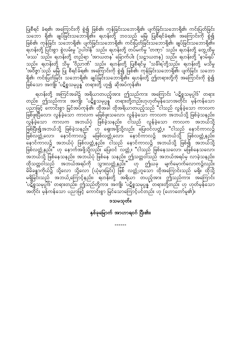ပြုစီရင် ခံရ၏၊ အကြောင်းကို စွဲ၍ ဖြစ်၏၊ ကုန်ခြင်းသဘောရှိ၏၊ ပျက်ခြင်းသဘောရှိ၏၊ ကင်းပြတ်ခြင်း င္. . .<br>သဘော ရှိ၏၊ ချုပ်ခြင်းသဘောရှိ၏။ ရဟန်းတို့ ဘဝသည် မမြဲ၊ ပြုစီရင်ခံရ၏၊ အကြောင်းကို စွဲ၍ ဖြစ်၏၊ ကုန်ခြင်း သဘောရှိ၏၊ ပျက်ခြင်းသဘောရှိ၏၊ ကင်းပြတ်ခြင်းသဘောရှိ၏၊ ချုပ်ခြင်းသဘောရှိ၏။ -<br>ရဟန်းတို့ ပြင်းစွာ စွဲလမ်းမှု 'ဥပါဒါန်ႛ သည်။ ရဟန်းတို့ တပ်မက်မှု 'တဏှာ' သည်။ ရဟန်းတို့ တွေ့ထိမှု 'ဖဿ' သည်။ ရဟန်းတို့ တည်ရာ 'အာယတနဲႛ ခြောက်ပါး (သဠာယတန) သည်။ ရဟန်းတို့ 'နာမ်ရုပ်ႆ' သည်။ ရဟန်းတို့ သိမှု 'ဝိညာဏ်' သည်။ ရဟန်းတို့ ပြုစီရင်မှု 'သခါရ´တို့သည်။ ရဟန်းတို့ မသိမှု .<br>'အဝိဇ္ဇာ'သည် မမြဲ၊ ပြု စီရင်ခံရ၏၊ အကြောင်းကို စွဲ၍ ဖြစ်၏၊ ကုန်ခြင်းသဘောရှိ၏၊ ပျက်ခြင်း သဘော ရှိ၏၊ ကင်းပြတ်ခြင်း သဘောရှိ၏၊ ချုပ်ခြင်းသဘောရှိ၏။ ရဟန်းတို့ ဤတရားတို့ကို အကြောင်းကို စွဲ၍ ျ<br>ဖြစ်သော အကျိုး ပဋိစ္စသမုပ္ပန္နဲႛ တရားတို့ ဟူ၍ ဆိုအပ်ကုန်၏။

ရဟန်းတို့ အကြင်အခါ၌ အရိယာတပည့်အား ဤသည်ကား အကြောင်း 'ပဋိစ္စသမုပ္ပါဒ်' တရား တည်း၊ ဤသည်ကား အကျိုး ပဋိစ္စသမုပ္ပန္ရွ တရားတို့တည်းဟုဟုတ်မှန်သောအတိုင်း မှန်ကန်သော ပညာဖြင့် ကောင်းစွာ မြင်အပ်ကုန်၏၊ ထိုအခါ ထိုအရိယာတပည့်သည် "ငါသည် လွန်ခဲ့သော ကာလက ဖြစ်ဖူးပြီလော၊ လွန််ခဲ့သော ကာလက မဖြစ်ဖူးသလော၊ လွန်ခဲ့သော ကာလက အဘယ်သို့ ဖြစ်ခဲ့သနည်း၊ လွန်ခဲ့သော ကာလက အဘယ်ပုံ ဖြစ်ခဲ့သနည်း၊ ငါသည် လွန်ခဲ့သော ကာလက<sup>ီ</sup> အဘယ်သို့ ဖြစ်ပြီး၍အဘယ်သို့ ဖြစ်ခဲ့သနည်း" ဟု ရှေးအဖို့သို့လည်း ပြေးဝင်လတ္တံ့။ "ငါသည် နောင်ကာလ၌ .<br>ဖြစ်လတ္တံ့လော၊ နောင်ကာလ၌ မဖြစ်လတ္တံ့လော၊ နောင်ကာလ၌ အဘယ်သို့ ဖြစ်လတ္တံ့နည်း၊ -<br>နောင်ကာလ၌ အဘယ်ပုံ ဖြစ်လတ္တံ့နည်း၊ ငါသည် နောင်ကာလ၌ အဘယ်သို့ ဖြစ်၍ အဘယ်သို့ ဖြစ်လတ္တံ့နည်း" ဟု နောက်အဖို့သို့လည်း ပြေးဝင် လတ္တံ့။ "ငါသည် ဖြစ်နေသလော၊ မဖြစ်နေသလော၊ ပ<br>အဘယ်သို့ ဖြစ်နေသနည်း၊ အဘယ်ပုံ ဖြစ်နေ သနည်း၊ ဤသတ္တဝါသည် အဘယ်အရပ်မှ လာခဲ့သနည်း၊<br>ထိုသတ္တဝါသည် အဘယ်အရပ်ကို သွားလတ္တံ့နည်း ဟု ဤယခု မျက်မှောက်လောက၌လည်း မိမိခန္ဓာကိုယ်၌ သို့လော သို့လော (ယုံမှားခြင်း) ဖြစ် လတ္တံ့ဟူသော ထိုအကြောင်းသည် မရှိ။ ထိုသို့ မရှိခြင်းသည် အဘယ့်ကြောင့်နည်း၊ ရဟန်းတို့ အရိယာ တပည့်အား ဤသည်ကား အကြောင်း ပ်ဋိစ္စသမုပ္ပါဒ်ဲ တရားတည်း၊ ဤသည်တို့ကား အကျိုး ပဋိစ္စသမုပ္ပန္နဲ့ တရားတို့တည်း ဟု ဟုတ်မှန်သော အတိုင်း မှန်ကန်သော ပညာဖြင့် ကောင်းစွာ မြင်သောကြောင့်ပင်တည်း ဟု (ဟောတော်မူ၏)။

ဒသမသုတ်။

နှစ်ခုမြောက် အာဟာရဝဂ် ပြီး၏။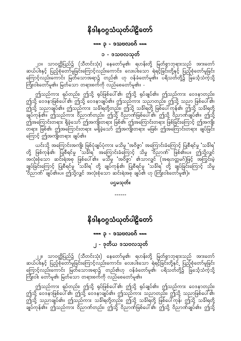## နိဒါနဝဂ္ဂသံယုတ်ပါဠိတော်

၁ - ဒသဗလသုတ်

၂၁။ သာဝတ္ထိပြည်၌ (သီတင်းသုံး) နေတော်မူ၏၊ ရဟန်းတို့ မြတ်စွာဘုရားသည် အားတော် ဆယ်ပါးနှင့် ပြည့်စုံတော်မူခြင်းကြောင့်လည်းကောင်း၊ လေးပါးသော ရဲရင့်ခြင်းတို့နှင့် ပြည့်စုံတော်မူခြင်း ကြောင့်လည်းကောင်း မြတ်သောအရာ၌ တည်၏ ဟု ဝန်ခံတော်မူ၏။ ပရိသတ်တို့၌ ခြင်္သေ့သံကဲ့သို့ ကြုံးဝါးတော်မူ၏။ မြတ်သော တရားစက်ကို လည်စေတော်မူ၏။ -

ဤသည်ကား ရုပ်တည်း၊ ဤသို့ ရုပ်ဖြစ်ပေါ်၏၊ ဤသို့ ရုပ်ချုပ်၏။ ဤသည်ကား ဝေဒနာတည်း၊ ္ကာသို့ ဝေဒနာဖြစ်ပေါ် ၏၊ ဤသို့ ဝေဒနာချုပ်၏။ ဤသည်ကား သညာတည်း၊ ဤသို့ သညာ ဖြစ်ပေါ် ၏၊<br>ဤသို့ သညာချုပ်၏။ ဤသည်ကား သင်္ခါရတို့တည်း၊ ဤသို့ သင်္ခါရတို့ ဖြစ်ပေါ် ကုန်၏၊ ဤသို့ သင်္ခါရတို့ ဤအကြောင်းတရား ရှိခဲ့သော် ဤအကျိုးတရား ဖြစ်၏၊ ဤအကြောင်းတရား ဖြစ်ခြင်းကြောင့် ဤအကျိုး ကြောင့် ဤအကျိုးတရား ချုပ်၏။

ယင်းသို့ အကြောင်းအကျိုး ဖြစ်ပုံချုပ်ပုံကား မသိမှု 'အဝိဇ္ဇာ' အကြောင်းခံကြောင့် ပြုစီရင်မှု 'သင်္ခါရ'<br>တို့ ဖြစ်ကုန်၏၊ ပြုစီရင်မှု 'သင်္ခါရ' အကြောင်းခံကြောင့် သိမှု 'ဝိညာဏ်' ဖြစ်၏။ပ။ ဤသို့လျှင်<br>အလုံးစုံသော ဆင်းရဲအစု ဖြစ်ပေါ် ချုပ်ခြင်းကြောင့် ပြုစီရင်မှု သခ်္ခါရ' တို့ ချုပ်ကုန်၏၊ ပြုစီရင်မှု 'သင်္ခါရ' တို့ ချုပ်ခြင်းကြောင့် သိမှု 'ဝိညာဏ်' ချုပ်၏။ပ။ ဤသို့လျှင် အလုံးစုံသော ဆင်းရဲအစု ချုပ်၏ ဟု (ကြုံးဝါးတော်ိမူ၏)။

ပဌမသုတ်။

# နိဒါနဝဂ္ဂသံယုတ်ပါဠိတော်

=== ၃ - ဒသဗလဝဂ် ===

၂ - ဒုတိယ ဒသဗလသုတ်

၂၂။ သာဝတ္ထိပြည်၌ (သီတင်းသုံး) နေတော်မူ၏၊ ရဟန်းတို့ မြတ်စွာဘုရားသည် အားတော် ဆယ်ပါးနှင့် ပြည့်စုံတော်မူခြင်းကြောင့်လည်းကောင်း၊ လေးပါးသော ရဲရင့်ခြင်းတို့နှင် ပြည့်စုံတော်မူခြင်း ကြောင့်လည်းကောင်း မြတ်သောအရာ၌ တည်၏ဟု ဝန်ခံတော်မူ၏၊ ပရိသတ်တို့၌ ခြင်္သေ့သံကဲ့သို့ <u>ကြ</u>ိုးဝါး တော်မူ၏၊ မြတ်သော တရားစက်ကို လည်စေတော်မူ၏။

ဤသည်ကား ရုပ်တည်း၊ ဤသို့ ရုပ်ဖြစ်ပေါ်၏၊ ဤသို့ ရုပ်ချုပ်၏။ ဤသည်ကား ဝေဒနာတည်း၊ ဤသို့ ဝေဒနာဖြစ်ပေါ်၏၊ ဤသို့ ဝေဒနာချုပ်၏။ ဤသည်ကား သညာတည်း၊ ဤသို့ သညာဖြစ်ပေါ်၏၊ ္ကြား<br>ဤသို့ သညာချုပ်၏။ ဤသည်ကား သင်္ခါရတို့တည်း၊ ဤသို့ သင်္ခါရတို့ ဖြစ်ပေါ်ကုန်၊ ဤသို့ သင်္ခါရတို့ —<br>ချုပ်ကုန်၏။ ဤသည်ကား ဝိညာဏ်တည်း၊ ဤသို့ ဝိညာဏ်ဖြစ်ပေါ်၏၊ ဤသို့ ဝိညာဏ်ချုပ်၏။ ဤသို့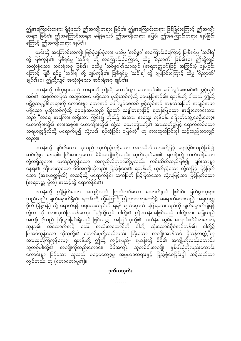ဤအကြောင်းတရား ရှိခဲ့သော် ဤအကျိုးတရား ဖြစ်၏၊ ဤအကြောင်းတရား ဖြစ်ခြင်းကြောင့် ဤအကျိုး —<br>တရား ဖြစ်၏၊ ဤအကြောင်းတရား မရှိခဲ့သော် ဤအကျိုးတရား မဖြစ်၊ ဤအကြောင်းတရား ချုပ်ခြင်း ကြောင့် ဤအကျိုးတရား ချုပ်၏။

ယင်းသို့ အကြောင်းအကျိုး ဖြစ်ပုံချုပ်ပုံကား မသိမှု 'အဝိဇ္ဇာ' အကြောင်းခံကြောင့် ပြုစီရင်မှု 'သင်္ခါရ' တို့ ဖြစ်ကုန်၏၊ ပြစီရင်မှု 'သင်္ခါရ' တို့ အကြောင်းခံကြောင်္ သိမှု 'ဝိညာဏ်' ဖြစ်၏။ပ။ ဤသို့လျှင်<br>အလုံးစုံသော ဆင်းရဲအစု ဖြစ်၏။ မသိမှု 'အဝိဇ္ဇာ'၏သာလျှင် (အရဟတ္တမဂ်)ဖြင့် အကြွင်းမဲ့ ချုပ်ခြင်း ကြောင့် ပြုစီ ရင်မှု 'သင်္ခါရ' တို့ ချုပ်ကုန်၏၊ ပြုစီရင်မှု 'သင်္ခါရ' တို့ ချုပ်ခြင်းကြောင့် သိမှု 'ဝိညာဏ်' ချုပ််၏။ပ။ ဤသို့လျှင် အလုံးစုံသော ဆင်းရဲအစု ချုပ်၏။

ရဟန်းတို့ ငါဘုရားသည် တရားကို ဤသို့ ကောင်းစွာ ဟောအပ်၏၊ ပေါ်လွင်စေအပ်၏၊ ဖွင့်လှစ် အပ်၏၊ အစုတ်အပြတ် အချုပ်အဖာ မရှိသော ပုဆိုးသစ်ကဲ့သို့ ဝေဖန်ပြအပ်၏၊ ရဟန်းတို့ ငါသည် ဤသို့ ပဋိစ္စသမုပ္ဂါဒ်ိတရားကို ကောင်းစွာ ဟောအပ် ပေါ်လွင်စေအပ် ဖွင့်လှစ်အပ် အစုတ်အပြတ် အချုပ်အဖာ မရှိသော ပုဆိုးသစ်ကဲ့သို့ ဝေဖန်အပ်သည် ရှိသော် သဒ္ဓါတရားဖြင့် ရဟန်းပြုသော အမျိုးကောင်းသား သည် "အရေ၊ အကြော၊ အရိုးသာ ကြွင်း၍ ကိုယ်၌ အသား၊ အသွေး ကုန်ခန်း ခြောက်သွေ့စေဦးတော့။ ယောက်ျားတို့၏ အားအစွမ်း၊ ယောက်ျားတို့၏ လုံ့လ၊ ယောက်ျားတို့၏ အားထုတ်မှုဖြင့် ရောက်အပ်သော အရဟတ္တဖိုလ်သို့ မရောက်မူ၍ လုံ့လ၏ ရပ်တံ့ခြင်း မဖြစ်အံ့" ဟု အားထုတ်ခြင်းငှါ သင့်သည်သာလျှင် တည်း။

ရဟန်းတို့ ပျင်းရိသော သူသည် ယုတ်ညံ့ကုန်သော အကုသိုလ်တရားတို့ဖြင့် ရောပြွမ်းသည်ဖြစ်၍ ဆင်းရဲစွာ နေရ၏၊ ကြီးမားလှသော မိမိအကျိုးကိုလည်း ဆုတ်ယုတ်စေ၏၊ ရဟန်းတို့ ထက်သန်သော လုံ့လရှိသူကား ယုတ်ညံ့ကုန်သော အကုသိုလ်တရားတို့မှလည်း ကင်းဆိတ်သည်ဖြစ်၍ ချမ်းသာစွာ နေရ၏၊ ကြီးမားလှသော မိမိအကျိုးကိုလည်း ပြည့်စုံစေ၏၊ ရဟန်းတို့ ယုတ်ညံ့သော လုံ့လဖြင့် မြင့်မြတ် သော (အရဟတ္တဖိုလ်) အဆင့်သို့ မရောက်နိုင်၊ ထက်မြက် မြင့်မြတ်သော လုံ့လဖြင့်သာ မြင့်မြတ်သော (အရဟတ္တ ဖိုလိ) အဆင့်သို့ ရောက်နိုင်၏။

ရဟန်းတို့ ဤမြတ်သော အကျင့်သည် ကြည်လင်သော သောက်ဖွယ် ဖြစ်၏၊ မြတ်စွာဘုရား သည်လည်း မျက်မှောက်ရှိ၏၊ ရဟန်းတို့ ထို့ကြောင့် ဤသာသနာတော်၌ မရောက်သေးသည့် အရဟတ္တ ဖိုလ် (နိဗ္ဗာန်) သို့ ရောက်ရန် မရသေးသည်ကို ရရန် မျက်မှောက် မပြုရသေးသည်ကို မျက်မှောက်ပြုရန် လုံ့လ<sup>ဲ</sup>ကို အားထုတ်ကြကုန်လော့၊ "ဤသို့လျှင် ငါတို့၏ ဤရဟန်းအဖြစ်သည် ငါတို့အား မမြုံသည် အကျိုး ရှိသည် ကြီးပွားခြင်းရှိသည် ဖြစ်လတ္တံ့၊ အကြင်သူတို့၏ သင်္ကန်း, ဆွမ်း, ကျောင်းအိပ်ရာနေရာ,<br>သူနာ၏ အထောက်အပံ့ ဆေး အသုံးအဆောင်ကို ငါတို့ သုံးဆောင်မှီဝဲအပ်ကုန်၏၊ ငါတို့၌ ပြုအပ်ကုန်သော ထိုသူတို့၏ ကောင်းမှုတို့သည်လည်း ကြီးသော အကျိုးအာနိသင် ရှိကုန်လတ္တံ့"ဟု မြို့<br>အားထုတ်ကြကုန်လော့။ ရဟန်းတို့ ဤသို့ ကျင့်ရမည်- ရဟန်းတို့ မိမိ၏ အကျိုးကိုလည်းကောင်း၊ သူတစ်ပါးတို့၏ အကျိုးကိုလည်းကောင်း၊ မိမိအကျိုး သူတစ်ပါးအကျိုး နှစ်ပါးစုံကိုလည်းကောင်း ကောင်းစွာ မြင်သော သူသည် မမေ့မလျော့မှု အပ္ပမာဒတရားနှင့် ပြည့်စုံစေခြင်းငှါ သင့်သည်သာ လျှင်တည်း ဟု (ဟောတော််မူ၏)။

ဒုတိယသုတ်။

 $\frac{1}{2}$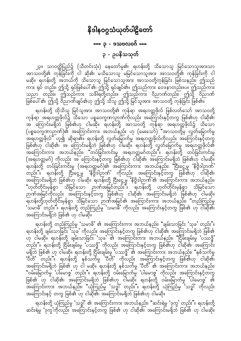# နိဒါန၀ဂ္ဂသံယုတ်ပါဠိတော်

=== ၃ - ဒသဗလဝဂ် ===

၃ - ဉပနိသသုတ်

၂၃။ သာဝတ္ထိပြည်၌ (သီတင်းသုံး) နေတော်မူ၏၊ ရဟန်းတို့ သိသောသူ မြင်သောသူအားသာ အာသဝတို့၏ ကုန်ခြင်းကို ငါ ဆို၏၊ မသိသောသူ မမြင်သောသူအား အာသဝတို့၏ ကုန်ခြင်းကို ငါ မဆို။ ရဟန်းတို့ အဘယ်ကို သိသောသူ မြင်သောသူအား အာသဝတို့ကုန်ခြင်း ဖြစ်သနည်း၊ ဤသည် ကား ရုပ် တည်း၊ ဤသို့ ရုပ်ဖြစ်ပေါ် ၏၊ ဤသို့ ရုပ်ချုပ်၏။ ဤသည်ကား ဝေဒနာတည်း။ပ။ ဤသည်ကား သညာ တည်း။ ဤသည်ကား သင်္ခါရတို့တည်း။ ဤသည်ကား ဝိညာဏ်တည်း၊ ဤသို့ ဝိညာဏ် ဖြစ်ပေါ် ၏၊ ဤသို့ ဝိညာဏ်ချုပ်၏ဟု ဤသို့ သိသူ ဤသို့ မြင်သူအား အာသဝတို့ ကုန်ခြင်း ဖြစ်၏။

ရဟန်းတို့ ထိုသိသူ မြင်သူအား အာသဝတို့၏ ကုန်ရာ အရဟတ္တဖိုလ် ဖြစ်လတ်သော် အာသဝတို့ ကုန်ရာ အရဟတ္တဖိုလ်၌ သိသော ပစ္စဝေက္ခဏာဉာဏ်ကိုလည်း အကြောင်းနှင့်တကွ ဖြစ်၏ဟု ငါဆို၏၊<br>အ ကြောင်းမရှိဘဲ ဖြစ်၏ဟု ငါမဆို။ ရဟန်းတို့ အာသဝတို့ ကုန်ရာ အရဟတ္တဖိုလ်၌ သိသော (ပစ္စဝေတ္ဇဏာဉာဏ်)၏ အကြောင်းကား အဘယ်နည်း ဟု (မေးသော်) "အာသဝတို့မှ လွတ်မြောက်မှု .<br>အရဟတ္တဖိုလ်" ဟူ၍ ဆိုရာ၏။ ရဟန်းတို့ လွတ်မြောက်မှု အရဟတ္တဖိုလ်ကိုလည်း အကြောင်းနှင့်တကွ ဖြစ်၏ဟု ငါဆို၏၊ အ ကြောင်းမရှိဘဲ ဖြစ်၏ဟု ငါမဆို။ ရဟန်းတို့ လွတ်မြောက်မှု အရဟတ္တဖိုလ်၏ (အရဟတ္တမဂ်) ကိုလည်း အ ကြောင်းနှင့်တကွ ဖြစ်၏ဟု ငါဆို၏၊ အကြောင်းမရှိဘဲ ဖြစ်၏ဟု ငါမဆို။ .<br>ရဟန်းတို့ တပ်ခြင်းကင်းမှု (အရဟတ္တမဂ်)၏ အကြောင်းကား အဘယ်နည်း၊ "ငြီးငွေ့မှု 'နိဗ္ဗိဒါဉာဏ်' က်သုံး ။ ရဟန်းတို့ ငြီးငွေ့မှု နိဗ္ဗိဒါဉာဏ် ကိုလည်း အကြောင်းနှင့်တကွ ဖြစ်၏ဟု ငါဆို၏၊<br>အကြောင်းမရှိဘဲ ဖြစ်၏ဟု ငါမဆို။ ရဟန်းတို့ ငြီးငွေ့မှု နိဗ္ဗိဒါဉာဏ် ၏ အကြောင်းကား အဘယ်နည်း၊<br>" "ဟုတ်တိုင်းမှန်စွာ သိမြင်သော ဉာဏ်အမြင်တည်း"။ ရဟန်းတို့ ဟုတ်တိုင်းမှန်စွာ သိမြင်သော ဉာဏ်အမြင်ကိုလည်း အကြောင်းနှင့်တကွ ဖြစ်၏ဟု ငါဆို၏၊ အကြောင်းမရှိဘဲ ဖြစ်၏ဟု ငါမဆို။ ရဟန်းတို့ဟုတ်တိုင်းမှန်စွာ သိမြင်သော ဉာဏ်အမြင်၏ အကြောင်းကား အဘယ်နည်း၊ "တည်ကြည်မှု 'သမာဓိ' တည်း'။ ရဟန်းတို့ တည်ကြည်မှု 'သမာဓိ' ကိုလည်း အကြောင်းနှင့်တကွ ဖြစ်၏ ဟု ငါဆို၏၊ အကြောင်းမရှိဘဲ ဖြစ်၏ ဟု ငါမဆို။

ရဟန်းတို့ တည်ကြည်မှု 'သမာဓိ' ၏ အကြောင်းကား အဘယ်နည်း၊ "ချမ်းသာခြင်း 'သုခ' တည်း"။ ရဟန်းတို့ ချမ်းသာခြင်း 'သုခ' ကိုလည်း အကြောင်းနှင့်တကွ ဖြစ်၏ဟု ငါဆို၏၊ အကြောင်းမရှိဘဲ ဖြစ်၏ ဟု ငါမဆို။ ရဟန်းတို့ ချမ်းသာခြင်း 'သုခ' ၏ အကြောင်းကား အဘယ်နည်း၊ "ငြိမ်းချမ်းမှု 'ပဿဒ္ဓ' တည်း"။ ရဟန်းတို့ ငြိမ်းချမ်းမှု 'ပဿဒ္ဓိ' ကိုလည်း အကြောင်းနှင့်တကွ ဖြစ်၏ဟု ငါဆို၏၊ အကြောင်း မရှိဘဲ ဖြစ်၏ ဟု ငါမဆို။ ရဟန်းတို့ ငြိမ်းချမ်းမှု ပဿဒ္ဓိ' ၏ အကြောင်းကား အဘယ်နည်း၊ "နှစ်သက်မှု 'ပီတိ' တည်း"။ ရဟန်းတို့ နှစ်သက်မှု 'ပီတိ' ကိုလည်း အကြောင်းနှင့်တကွ ဖြစ်၏ဟု ငါဆို၏၊ အကြောင်းမရှိဘဲ ဖြစ်၏ ဟု ငါ မဆို။ ရဟန်းတို့ နှစ်သက်မှု 'ပီတိ' ၏ အကြောင်းကား အဘယ်နည်း၊ ၱဝမ်းမြောက်မှု 'ပါမောဇ္ဇ' တည်း"။ ရဟန်းတို့ ဝမ်းမြောက်မှု 'ပါမောဇ္ဇ' ကိုလည်း အကြောင်းနှင့်တကွ ဖြစ်၏ ဟု ငါဆို၏၊ အကြောင်းမရှိဘဲ ဖြစ်၏ဟု ငါမဆို။ ရဟန်းတို့ ဝမ်းမြောက်မှု ပါမောဇ္ဇဲ ၏ -<br>အကြောင်းကား အဘယ်နည်း၊ "ယုံကြည်မှု 'သဒ္ဓါ' တည်း"။ ရဟန်းတို့ ယုံကြည်မှု 'သဒ္ဓါ' ကိုလည်း အကြောင်းနှင့် တကွ ဖြစ်၏ ဟု ငါဆို၏၊ အကြောင်းမရှိဘဲ ဖြစ်၏ဟု ငါမဆို။

ရဟန်းတို့ ယုံကြည်မှု 'သဒ္ဓါ' ၏ အကြောင်းကား အဘယ်နည်း၊ "ဆင်းရဲမှု 'ဒုက္ခ' တည်း"။ ရဟန်းတို့ ဆင်းရဲမှု 'ဒုက္ခ'ကိုလည်း အကြောင်းနှင့်တကွ ဖြစ်၏ ဟု ငါဆို၏၊ အကြောင်းမရှိဘဲ ဖြစ်၏ ဟု ငါမဆို။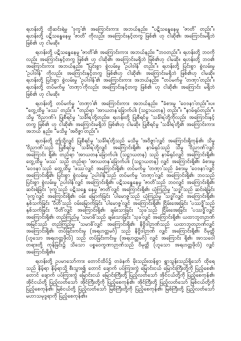ရဟန်းတို့ ထိုဆင်းရဲမှု 'ဒုက္ခ'၏ အကြောင်းကား အဘယ်နည်း၊ "ပဋိသန္ဓေနေမှု 'ဇာတိ' တည်း"။ ္<br>ျပန်းတို့ ပဋိသန္ဓေနေမှု `ဇာတိ' ကိုလည်း အကြောင်းနှင့်တကွ ဖြစ်၏ ဟု ငါဆို၏၊ အကြောင်းမရှိဘဲ ဖြစ်၏ ဟု ငါမဆို။

ရဟန်းတို့ ပဋိသန္ဓေနေမှု 'ဇာတိ'၏ အကြောင်းကား အဘယ်နည်း၊ "ဘဝတည်း"။ ရဟန်းတို့ ဘဝကို လည်း အကြောင်းနှင့်တကွ ဖြစ်၏ ဟု ငါဆို၏၊ အကြောင်းမရှိဘဲ ဖြစ်၏ဟု ငါမဆို။ ရဟန်းတို့ ဘဝ၏  $\frac{1}{2}$ အကြောင်းကား အဘယ်နည်း၊ "ပြင်းစွာ စွဲလမ်းမှု ဉ်ပါဒါန် $^{"}$  တည်း"။ ရဟန်းတို့ ပြင်းစွာ စွဲလမ်းမှု [ပေါ့ဒါ်န်] ကိုလည်း အကြောင်းနှင့်တကွ ဖြစ်၏ဟု ငါဆို၏၊ အကြောင်းမရှိဘဲ ဖြစ်၏ဟု ငါမဆို။  $\sim$ ရဟန်းတို့ ပြင်းစွာ စွဲလမ်းမှု 'ဥပါဒါန်'၏ အကြောင်းကား အဘယ်နည်း၊ "တပ်မက်မှု 'တဏှာ'တည်း"။ ရဟန်းတို့ တပ်မက်မှု 'တဏှာ'ကိုလည်း အကြောင်းနှင့်တကွ ဖြစ်၏ ဟု ငါဆို၏၊ အကြောင်း မရှိဘဲ ဖြစ်၏ ဟု ငါမဆို။

ရဟန်းတို့ တပ်မက်မှု 'တဏှာ'၏ အကြောင်းကား အဘယ်နည်း၊ "ခံစားမှု 'ဝေဒနာ'တည်း"။ပ။ "တွေ့ထိမှု 'ဖဿ' တည်း"။ "တည်ရာ 'အာယတန'ခြောက်ပါး (သဠာယတန) တည်း"။ "နာမ်ရုပ်တည်း"။ သိမှု 'ဝိညာဏ်'။ ပြုစီရင်မှု 'သင်္ခါရ<sup>'</sup>တို့တည်း။ ရဟန်းတို့ ပြုစီရင်မှု 'သင်္ခါရ'တို့တိုလည်း အကြောင်းနှင့် တကွ ဖြစ်၏ ဟု ငါဆို၏၊ အကြောင်းမရှိဘဲ ဖြစ်၏ဟု ငါမဆို။ ပြုစီရင်မှု 'သင်္ခါရ တို့၏ အကြောင်းကား အဘယ် နည်း၊ "မသိမှု 'အဝိဇ္ဇာ'တည်း"။

ရဟန်းတို့ ဤသို့လျှင် ပြုစီရင်မှု 'သခ်ါရ'တို့သည် မသိမှု 'အဝိဇ္ဇာ'လျှင် အကြောင်းရှိကုန်၏၊ သိမှု **'**ဝိညာဏ်'သည် ပြုစီရင်မှု 'သင်္ခါရ'တို့လျှင် အကြောင်းရှိ၏၊ နာမ်ရုပ်သည် သိမှု 'ဝိညာဏ်'လျှင် အကြောင်း ရှိ၏၊ တည်ရာ 'အာယတန'ခြောက်ပါး (သဠာယတန) သည် နာမ်ရုပ်လျှင် အကြောင်းရှိ၏၊ တွေ့ထိမှု 'ဖဿ' သည် တည်ရာ 'အာယတန'ခြောက်ပါး (သဠာယတန) လျှင် အကြောင်းရှိ၏၊ ခံစားမှု ်ဝေဒနာ သည် တွေ့ထိမှု 'ဖဿ'လျှင် အကြောင်းရှိ၏၊ တပ်မက်မှု 'တဏှာ'သည် ခံစားမှု 'ဝေဒနာ'လျှင်  $\frac{1}{2}$ အကြောင်းရှိ၏၊ ပြင်းစွာ စွဲလမ်းမှုိဉပါဒါန် သည် တပ်မက်မှု 'တဏှာ'လျှင် အကြောင်းရှိ၏၊ ဘဝသည် jyon paging politiki jyif tamaman paging tamaman boli tamaman boli tamaman boli dan boli tamaman boli tamaman<br>Dogo boli tamaman boli tamaman boli tamaman boli tamaman boli tamaman boli tamaman boli tamaman boli tamaman b မြောင်းရဲခြင်း 'ဒုက္ခ'သည် ပဋိသန္ဓေ နေမှု 'ဇာတိ'လျှင် အကြောင်းရှိ၏၊ ယုံကြည်မှု 'သဒ္ဓါ'သည် ဆင်းရဲခြင်း 'ဒုက္ခ'လျှင် အကြောင်းရှိ၏၊ ဝမ်း မြောက်ခြင်း 'ပါမောဇ္ဇ'သည် ယုံကြည်မှု 'သဒ္ဓါ'လျှင် အကြောင်းရှိ၏၊ ESP & Sounding of the United States of the United States of the Sounding of the Sounding of the Sounding of th<br>The Sounding of the Mumificial original parameter of the Sounding of the Sounding of the Sounding of the Sound နှစ်သက်ခြင်း 'ပီတိ'လျှင် အကြောင်းရှိ၏၊ ချမ်းသာခြင်း 'သုခ'သည် ငြိမ်းအေးခြင်း 'ပဿဒ္ဓိ'လျှင် ာကြောင်းရှိ၏၊ တည်ကြည်မှု 'သမာဓိ'သည် ချမ်းသာခြင်း 'သုခ'လျှင် အကြောင်းရှိ၏၊ ယထာဘူတဉာဏ် အမြင်သည် တည်ကြည်မှု သမာဓိ'လျှင် အကြောင်းရှိ၏၊ နိဗ္ဗိဒါဉာဏ်သည် ယထာဘူတဉာဏ်လျှင် အကြောင်းရှိ၏၊ တပ်ခြင်းကင်းမှု (အရဟတ္တမဂ်) သည် နိဗ္ဗိဒါဉာဏ် လျှင် အကြောင်းရှိ၏၊ ဝိမုတ္တိ  $(\omega_{\rm f}$ သော အရဟတ္တဖိုလ်) သည် တပ်ခြင်းကင်းမှု (အရဟတ္တမဂ်) လျှင် အကြောင်း ရှိ၏၊ အာသဝေါ တရားတို့ ကုန်ခြင်း၌ သိသော ပစ္စဝေက္ခဏာဉာဏ်သည် ဝိမုတ္တိ (ဟူသော အရဟတ္တဖိုလ်) လျှင် အကြောင်းရှိ၏။

ရဟန်းတို့ ဉပမာသော်ကား တောင်ထိပ်၌ တခဲနက် မိုးသည်းထန်စွာ ရွာသွန်းသည်ရှိသော် ထိုရေ သည် နိမ့်ရာ နိမ့်ရာသို့ စီးသွား၍ တောင် ချောက် ပပ်ကြားကွဲ မြောင်းငယ် မြောင်းကြီးတို့ကို ပြည့်စေ၏၊ တောင် ချောက် ပပ်ကြားကွဲ မြောင်းငယ် မြောင်းကြီးတို့ ပြည့်လတ်သော် အိုင်ငယ်တို့ကို ပြည့်စေကုန်၏၊ အိုင်ငယ်တို့ ပြည့်လတ်သော် အိုင်ကြီးတို့ကို ပြည့်စေကုန်၏၊ အိုင်ကြီးတို့ ပြည့်လတ်သော် မြစ်ငယ်တို့ကို ပြည့်စေကုန်၏၊ မြစ်ငယ်တို့ ပြည့်လတ်သော် မြစ်ကြီးတို့ကို ပြည့်စေကုန်၏၊ မြစ်ကြီးတို့ ပြည့်လတ်သော် ်မဟာသမုဒ္ဒရာကို ပြည့်စေကုန်၏။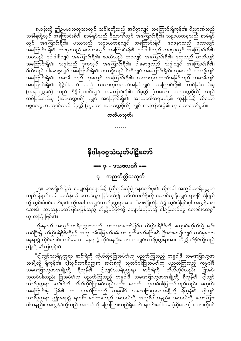ရဟန်းတို့ ဤဥပမာအတူသာလျှင် သင်္ခါရတို့သည် အဝိဇ္ဇာလျှင် အကြောင်းရှိကုန်၏၊ ဝိညာဏ်သည် သင်္ခါရတို့လျှင် အကြောင်းရှိ၏၊ နာမ်ရုပ်သည် ဝိညာဏ်လျှင် အကြောင်းရှိ၏၊ သဠာယတနသည် နာမ်ရုပ် လျှင် အကြောင်းရှိ၏၊ ဖဿသည် သဠာယတနလျှင် အကြောင်းရှိ၏၊ ဝေဒနာသည် ဖဿလျှင် အကြောင်း ရှိ၏၊ တဏှာသည် ဝေဒနာလျှင် အကြောင်းရှိ၏၊ ဉပါဒါန်သည် တဏှာလျှင် အကြောင်းရှိ၏၊ ဘဝသည် ဉပါဒါန်လျှင် အကြောင်းရှိ၏၊ ဇာတိသည် ဘဝလျှင် အကြောင်းရှိ၏၊ ဒုက္ခသည် ဇာတိလျှင် အကြောင်းရှိ၏၊ သဒ္ဓါသည် ဒုက္ခလျှင် အကြောင်းရှိ၏၊ ပါမောဇ္ဇသည် သဒ္ဓါလျှင် အကြောင်းရှိ၏၊ ပီတိသည် ပါမောဇ္ဇလျှင် အကြောင်းရှိ၏၊ ပဿဒ္ဓိသည် ပီတိလျှင် အကြောင်းရှိ၏၊ သုခသည် ပဿဒ္ဓိလျှင် အကြောင်းရှိ၏၊ သမာဓိ သည် သုခလျှင် အကြောင်းရှိ၏၊ ယထာဘူတဉာဏ်အမြင်သည် သမာဓိလျှင် -<br>အကြောင်းရှိ၏၊ နိဗ္ဗိဒါဉာဏ် သည် ယထာဘူတဉာဏ်အမြင်လျှင် အကြောင်းရှိ၏၊ တပ်ခြင်းကင်းမှု (အရဟတ္တမဂ်) သည် နိဗ္ဗိဒါဉာဏ်လျှင် အကြောင်းရှိ၏၊ ဝိမုတ္တိ (ဟူသော အရဟတ္တဖိုလ်) သည်<br>တပ်ခြင်းကင်းမှု (အရဟတ္တမဂ်) လျှင် အကြောင်းရှိ၏၊ အာသဝေါတရားတို့၏ ကုန်ခြင်း၌ သိသော ပစ္စဝေက္ခဏာဉာဏ်သည် ဝိမုတ္တိ (ဟူသော အရဟတ္တဖိုလ်) လျှင် အကြောင်းရှိ၏ ဟု ဟောတော်မူ၏။

တတိယသုတ်။

နိဒါနဝဂွသံယုတ်ပါဠိတော်

=== ၃ - ဒသဗလဝဂ် ===

၄ - အညတိတ္ထိယသုတ်

၂၄။ ရာဇဂြိုဟ်ပြည် ဝေဠုဝန်ကျောင်း၌ (သီတင်းသုံး) နေတော်မူ၏၊ ထိုအခါ အသျှင်သာရိပုတ္တရာ သည် နံနက်အခါ သင်္ကန်းကို ကောင်းစွာ ပြင်ဝတ်၍ သပိတ်သင်္ကန်းကို ဆောင်ယူပြီးလျှင် ရာဇဂြိုဟ်ပြည် သို့ ဆွမ်းခံဝင်တော်မူ၏၊ ထိုအခါ အသျှင်သာရိပုတ္တရာအား- "ရာဇဂြိုဟ်ပြည်၌ ဆွမ်းခံခြင်းငှါ အလွန်စော သေး၏၊ သာသနာတော်ပြင်ပဖြစ်သည့် တိတ္ထိပဲရိဗိုဇ်တို့ ကျောင်းတိုက်သို့ ငါချဉ်းကပ်ရမူ ကောင်းလေစွ" ဟု အကြံ ဖြစ်၏။

ထို့နောက် အသျှင်သာရိပုတ္တရာသည် သာသနာတော်ပြင်ပ တိတ္ထိပရိဗိုဇ်တို့ ကျောင်းတိုက်သို့ ချဉ်း ကပ်ပြီး၍ တိတ္ထိပရိဗိုဇ်တို့နှင့် အတူ ဝမ်းမြောက်ဝမ်းသာ နှုတ်ဆက်ပြောဆို ပြီးဆုံးစေပြီးလျှင် တစ်ခုသော နေရာ၌ ထိုင်နေ၏၊ တစ်ခုသော နေရာ၌ ထိုင်နေပြီးသော အသျှင်သာရိပုတ္တရာအား တိတ္ထိပရိဗိုဇ်တို့သည် ဤသို့ ဆိုကြကုန်၏-

"င့ါ့သျှင်သာရိပုတ္တရာ ဆင်းရဲကို ကိုယ်တိုင်ပြုအပ်၏ဟု ပညတ်ကြသည့် ကမ္မဝါဒီ သမဏဗြာဟ္မဏ အချို့တို့ ရှိကုန်၏၊ ငါ့သျှင်သာရိပုတ္တရာ ဆင်းရဲကို သူတစ်ပါးပြုအပ်၏ဟု ပညတ်ကြသည့် ကမ္မဝါဒီ သမဏဗြာဟ္မဏအချို့တို့ ရှိကုန်၏၊ ငါ့သျှင်သာရိပုတ္တရာ ဆင်းရဲကို ကိုယ်တိုင်လည်း ပြုအပ်၊ သူတစ်ပါးလည်း ပြုအပ်၏ဟု ပညတ်ကြသည့် ကမ္မဝါဒီ သမဏဗြာဟ္မဏအချို့တို့ ရှိကုန်၏၊ ငါ့သျှင် <sup>ာ</sup>ာရိပုတ္တရာ ဆင်းရဲကို ကိုယ်တိုင်ပြုအပ်သည်လည်း မဟုတ်၊ သူတစ်ပါးပြုအပ်သည်လည်း မဟုတ်၊ အကြောင်းမဲ့ ဖြစ်၏ ဟု ပညတ်ကြသည့် ကမ္မဝါဒီ သမဏဗြာဟ္မဏအချို့တို့ ရှိကုန်၏၊ ငါ့သျှင် သာရိပုတ္တရာ ဤအရာ၌ ရဟန်း ဂေါတမသည် အဘယ်သို့ အယူရှိပါသနည်း၊ အဘယ်သို့ ဟောကြား ပါသနည်း၊ အကျွန်ုပ်တို့သည် အဘယ်သို့ ပြောကြားသည်ရှိသော် ရဟန်းဂေါတမ (ဆိုသော) စကားကိုပင်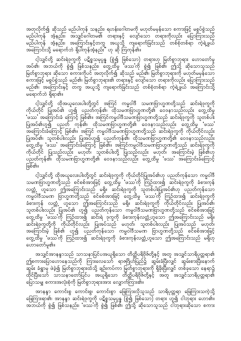အတုလိုက်၍ ဆိုသည် မည်ပါကုန် သနည်း၊ ရဟန်းဂေါတမကို မဟုတ်မမှန်သော စကားဖြင့် မစွပ်စွဲသည် မည်ပါကုန် အံ့နည်း၊ အသျှင်ဂေါတမ၏ တရားနှင့် လျော်သော တရားကိုလည်း ပြောကြားသည် မည်ပါကုန် အံ့နည်း၊ အကြောင်းနှင့်တကွ အယူသို့ ကျရောက်ခြင်းသည် တစ်စုံတစ်ရာ ကဲ့ရဲ့ဖွယ် 

ငါ့သျှင်တို့ ဆင်းရဲဒုက္ခကို ပဋိစ္စသမုပ္ပန္န (စွဲ၍ ဖြစ်သော) တရားဟု မြတ်စွာဘုရား ဟောတော်မူ<br>အပ်၏၊ အဘယ်ကို စွဲ၍ ဖြစ်သနည်း၊ တွေ့ထိမှု 'ဖဿ'ကို စွဲ၍ ဖြစ်၏၊ ဤသို့ ဆိုသောသူသည် မြတ်စွာဘုရား ဆိုသော စကားကိုပင် အတုလိုက်၍ ဆိုသည် မည်၏၊ မြတ်စွာဘုရားကို မဟုတ်မမှန်သော .<br>စကားဖြင့် မစွပ်စွဲသည် မည်၏၊ မြတ်စွာဘုရား၏ တရားနှင့် လျော်သော တရားကိုလည်း ပြောကြားသည် မည်၏၊ အကြောင်းနှင့် တကွ အယူသို့ ကျရောက်ခြင်းသည် တစ်စုံတစ်ရာ ကဲ့ရဲ့ဖွယ် အကြောင်းသို့ မရောက်ဘဲ ရှိရာ၏။

င့ါ့သျှင်တို့ ထိုအယူလေးပါးတို့တွင် အကြင် ကမ္မဝါဒီ သမဏဗြာဟ္မဏတို့သည် ဆင်းရဲဒုက္ခကို ကိုယ်တိုင် ပြုအပ်၏ ဟူ၍ ပညတ်ကုန်၏၊ ထိုသမဏဗြာဟ္မဏတို့၏ ဝေဒနာသည်လည်း တွေ့ထိမှု 'ဖဿ' အကြောင်းခံ ကြောင့် ဖြစ်၏။ အကြင်ကမ္မဝါဒီသမဏဗြာဟ္မဏတို့သည် ဆင်းရဲဒုက္ခကို သူတစ်ပါး ပြုအပ်၏ဟူ၍ ပညတ် ကုန်၏၊ ထိုသမဏဗြာဟ္မဏတို့၏ ဝေဒနာသည်လည်း တွေ့ထိမှု 'ဖဿ' ပြုအပ််၏၊ သူတစ်ပါးလည်း ပြုအပ်ဟူ၍ ပညတ်ကုန်၏၊ ထိုသမဏဗြာဟ္မဏတို့၏ ဝေဒနာသည်လည်း —-<br>တွေ့ထိမှု 'ဖဿ' အကြောင်းခံကြောင့် ဖြစ်၏။ အကြင်ကမ္မဝါဒီသမဏဗြာဟ္မဏတို့သည် ဆင်းရဲဒုက္ခကို ကိုယ်တိုင် ပြုသည်လည်း မဟုတ်၊ သူတစ်ပါးတို့ ပြုသည်လည်း မဟုတ်၊ အကြောင်းမဲ့ ဖြစ်၏ဟု ပညတ်ကုန်၏၊ ထိုသမဏဗြာဟ္မဏတို့၏ ဝေဒနာသည်လည်း တွေ့ထိမှု 'ဖဿ' အကြောင်းခံကြောင့်  $\mathbb{Q}\overline{\mathbb{S}}$ ଙ୍ଗା ।

င့ါသျှင်တို့ ထိုအယူလေးပါးတို့တွင် ဆင်းရဲဒုက္ခကို ကိုယ်တိုင်ပြုအပ်၏ဟု ပညတ်ကုန်သော ကမ္မဝါဒီ သမဏဗြာဟ္မဏတို့သည် စင်စစ်အားဖြင့် တွေ့ထိမှု 'ဖဿ'ကို ကြဉ်ထား၍ ဆင်းရဲဒုက္ခကို ခံစားကုန် ့ ပါ မ<br>လတ္တံ့ ဟူသော ဤအကြောင်းသည် မရှိ။ ဆင်းရဲဒုက္ခကို သူတစ်ပါးပြုအပ်၏ဟု ပညတ်ကုန်သော<br>ကမ္မဝါဒီသမဏ ဗြာဟ္မဏတို့သည် စင်စစ်အားဖြင့် တွေ့ထိမှု 'ဖဿ'ကို ကြဉ်ထား၍ ဆင်းရဲဒုက္ခကို ခံစားကုန် လတ္တံ့ ဟူသော ဤအကြောင်းသည် မရှိ။ ဆင်းရဲဒုက္ခကို ကိုယ်တိုင်လည်း ပြုအပ်၏၊ သူတစ်ပါးလည်း ပြုအပ်၏ ဟူ၍ ပညတ်ကုန်သော ကမ္မဝါဒီသမဏဗြာဟ္မဏတို့သည် စင်စစ်အားဖြင့် <sup>့</sup><br>တွေ့ထိမှု 'ဖဿ'ကို ကြဉ်ထား၍ ဆင်းရဲ ဒုက္ခကို ခံစားကုန်လတ္တံ့ဟူသော ဤအကြောင်းသည် မရှိ။ ဆင်းရဲဒုက္ခတို့ကို ကိုယ်တိုင်လည်း ပြုအပ်သည် မဟုတ်၊ သူတစ်ပါးလည်း ပြုအပ်သည် မဟုတ်၊ အကြောင်းမဲ့ ဖြစ်၏ ဟူ၍ ပညတ်ကုန်သော ကမ္မဝါဒီသမဏ ဗြာဟ္မဏတို့သည် စင်စစ်အားဖြင့် တွေ့ထိမှု 'ဖဿ'ကို ကြဉ်ထား၍ ဆင်းရဲဒုက္ခကို ခံစားကုန်လတ္တံ့ဟူသော ဤအကြောင်းသည် မရှိဟု ဟောတော်မူ၏။

အသျှင်အာနန္ဒာသည် သာသနာပြင်ပအယူရှိသော တိတ္ထိပရိဗိုဇ်တို့နှင့် အတူ အသျှင်သာရိပုတ္တရာ၏ ဤစကားပြောဟောနေသည်ကို ကြားလေသော် ရာဇဂြိုဟ်ပြည်၌ ဆွမ်းခံပြီးလျှင် ဆွမ်းစားပြီးနောက် ာ<br>ဆွမ်း ခံရွာမှ ဖဲခဲ့၍ မြတ်စွာဘုရားထံသို့ ချဉ်းကပ်ကာ မြတ်စွာဘုရားကို ရှိခိုးပြီးလျှင် တစ်ခုသော နေရာ၌<br>ထိုင်ပြီးသော် သာသနာတော်ပြင်ပ အယူရှိသော တိတ္ထိပရိဗိုဇ်တို့နှင့် အတူ အသျှင်သာရိပုတ္တရာ၏ ပြောသမျှ စကားအလုံးစုံကို မြတ်စွာဘုရားအား လျှောက်ကြား၏။

အာနန္ဒာ ကောင်းစွ ကောင်းစွ၊ ကောင်းစွာ ဖြေကြားလိုသူသည် သာရိပုတ္တရာ ဖြေကြားသကဲ့သို့<br>ဖြေကြားရာ၏၊ အာနန္ဒာ ဆင်းရဲဒုက္ခကို ပဋိစ္စသမုပ္ပန္န (စွဲ၍ ဖြစ်သော) တရား ဟူ၍ ငါဘုရား ဟော၏။ ု့ မယ္လ္ကာ လူရဲ့ ဖြစ်သနည်း၊ 'ဖ်ဿ'ကို စွဲ၍ ဖြစ်၏၊ ဤသို့ ဆိုသောသူသည် ငါဘုရားဆိုသော စကား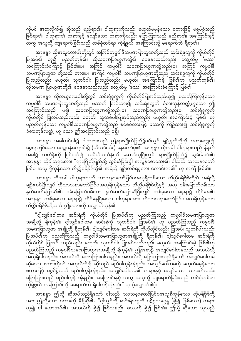ကိုပင် အတုလိုက်၍ ဆိုသည် မည်ရာ၏၊ ငါဘုရားကိုလည်း မဟုတ်မမှန်သော စကားဖြင့် မစွပ်စွဲသည် ဖြစ်ရာ၏၊ ငါဘုရား၏ တရားနှင့် လျော်သော တရားကိုလည်း ပြောကြားသည် မည်ရာ၏၊ အကြောင်းနှင့် တကွ အယူသို့ ကျရောက်ခြင်းသည် တစ်စုံတစ်ရာ ကဲ့ရဲ့ဖွယ် အကြောင်းသို့ မရောက်ဘဲ ရှိရာ၏။

အာနန္ဒာ ထိုအယူလေးပါးတို့တွင် အကြင်ကမ္မဝါဒီသမဏဗြာဟ္မဏတို့သည် ဆင်းရဲဒုက္ခကို ကိုယ်တိုင် ပြုအပ်၏ ဟူ၍ ပညတ်ကုန်၏၊ ထိုသမဏဗြာဟ္မဏတို့၏ ဝေဒနာသည်လည်း တွေ့ထိမှု ဖသာ' မြို့ အကြောင်းခံကြောင့် ဖြစ်၏။ပ။ အကြင် ကမ္မဝါဒီ သမဏဗြာဟ္မဏတို့သည်။ပ။ အကြင် ကမ္မဝါဒီ သမဏဗြာဟ္မဏ တို့သည် ကား။ပ။ အကြင် ကမ္မဝါဒီ သမဏဗြာဟ္မဏတို့သည် ဆင်းရဲဒုက္ခကို ကိုယ်တိုင် ပြုသည်လည်း မဟုတ်၊ သူတစ်ပါး ပြုသည်လည်း မဟုတ်၊ အကြောင်းမဲ့ ဖြစ်၏ဟု ပညတ်ကုန်၏၊ ထိုသမဏ ဗြာဟ္မဏတို့၏ ဝေဒနာသည်လည်း တွေ့ထိမှု 'ဖဿ' အကြောင်းခံကြောင့် ဖြစ်၏၊

အာနန္ဒာ ထိုအယူလေးပါးတို့တွင် ဆင်းရဲဒုက္ခကို ကိုယ်တိုင်ပြုအပ်သည်ဟူ၍ ပညတ်ကြကုန်သော<br>ကမ္မဝါဒီ သမဏုဗြာဟ္မဏတို့သည် ဖဿကို ကြဉ်ထား၍ ဆင်းရဲဒုက္ခကို ခံစားကုန်လတ္တံ့ဟူသော ဤ ကိုယ်တိုင် ပြုအပ်သည်လည်း မဟုတ်၊ သူတစ်ပါးပြုအပ်သည်လည်း မဟုတ်၊ အကြောင်းမဲ့ ဖြစ်၏ ဟု ပညတ်ကုန်သော ကမ္မဝါဒီသမဏဗြာဟ္မဏတို့သည် စင်စစ်အားဖြင့် ဖဿကို ကြဉ်ထား၍ ဆင်းရဲဒုက္ခကို ခံစားကုန်လတ္တံ့ ဟူ သော ဤအကြောင်းသည် မရှိ။

အာနန္ဒာ အခါတစ်ပါး၌ ငါဘုရားသည် ဤရာဇဂြိုဟ်ပြည်၌ပင်လျှင် ရှဉ့်နက်တို့ကို အစာကျွေး၍ မွေးရာဖြစ်သော ဝေဠုဝန်ကျောင်း၌ (သီတင်းသုံး) နေတော်မူ၏၊ အာနန္ဒာ ထိုအခါ ငါဘုရားသည် နံနက် အခါ၌ သင်္ကန်းကို ပြင်ဝတ်၍ သပိတ်သင်္ကန်းကို ဆောင်ယူပြီးလျှင် ရာဇဂြိုဟ်ပြည်၌ ဆွမ်းခံဝင်၏၊ အာနန္ဒာ ထိုငါဘုရားအား "ရာဇဂြိုဟ်ပြည်သို့ ဆွမ်းခံခြင်းငှါ အလွန်စောသေး၏၊ ငါသည် သာသနာတော် ပြင်ပ<sup>ိ</sup>အယူ ရှိကုန်သော တိတ္ထိပရိဗိုဇ်တို့၏ အရံသို့ ချဉ်းကပ်ရမူကား ကောင်းရာ၏" ဟု အကြံ ဖြစ်၏။

အာနန္ဒာ ထိုအခါ ငါဘုရားသည် သာသနာတော်ပြင်ပအယူရှိကုန်သော တိတ္ထိပရိဗိုဇ်တို့၏ အရံသို့ ချဉ်းကပ်ပြီးလျှင် ထိုသာသနာတော်ပြင်ပအယူရှိကုန်သော တိတ္ထိပရိဗိုဇ်တို့နှင့် အတူ ဝမ်းမြောက်ဝမ်းသာ နှုတ်ဆက်ပြောဆို၏၊ ဝမ်းမြောက်ဝမ်းသာ နှုတ်ဆက်ပြောဆိုပြီးလျှင် တစ်ခုသော နေရာ၌ ထိုင်နေ၏၊ <u>ာ.</u><br>အာနန္ဒာ တစ်ခုသော နေရာ၌ ထိုင်နေပြီးသော ငါဘုရားအား ထိုသာသနာတော်ပြင်ပအယူရှိကုန်သော တိတ္ထိပရိဗိုဇ်တို့သည် ဤစကားကို လျှောက်ကုန်၏-

်င့္သြားေရာက္ပါတီမွာ ဆင်းရဲကို ကိုယ်တိုင် ပြုအပ်၏ဟု ပညတ်ကြသည့် ကမ္မဝါဒီသမဏဗြာဟ္မဏ<br>အချို့တို့ ရှိကုန်၏၊ ငါ့သျှင်ဂေါတမ ဆင်းရဲကို သူတစ်ပါး ပြုအပ်၏ ဟု ပညတ်ကြသည့် ကမ္မဝါဒီ သမဏဗြာဟ္မဏ အချို့တို့ ရှိကုန်၏၊ ငါ့သျှင်ဂေါတမ<sup>ီ</sup>ဆင်းရဲကို ကိုယ်တိုင်လည်း ပြုအပ်၊ သူတစ်ပါးလည်း ပြုအပ်၏ဟု ပညတ်ကြသည့် ကမ္မဝါဒီသမဏဗြာဟ္မဏအချို့တို့ ရှိကုန်၏၊ ငါ့သျှင်ဂေါတမ ဆင်းရဲကို တိုယ်တိုင် ပြုအပ် သည်လည်း မဟုတ်၊ သူတစ်ပါး ပြုအပ်သည်လည်း မဟုတ်၊ အကြောင်းမဲ့ ဖြစ်၏ဟု ပညတ်ကြသည့် ကမ္မဝါဒီသမဏဗြာဟ္မဏအချို့တို့ ရှိကုန်၏၊ ဤအရာ၌ အသျှင်ဂေါတမသည် အဘယ်သို့ အယူရှိပါသနည်း၊ အဘယ်သို့ ဟောကြားပါသနည်း၊ အဘယ်သို့ ပြောကြားသည်ရှိသော် အသျှင်ဂေါတမ ဆိုသော စကားကိုပင် အတုလိုက်၍ ဆိုသည် မည်ပါကုန်အံ့နည်း၊ အသျှင်ဂေါ်တမကို မဟုတ်မမှန်သော စကားဖြင့် မစွပ်စွဲသည် မည်ပါကုန်အံ့နည်း၊ အသျှင်ဂေါတမ၏ တရားနှင့် လျော်သော တရားကိုလည်း ပြောကြားသည် မည်ပါကုန် အံ့နည်း၊ အကြောင်းနှင့် တကွ အယူသို့ ကျရောက်ခြင်းသည် တစ်စုံတစ်ရာ ကဲ့ရဲဖွယ် အကြောင်းသို့ မရောက်ဘဲ ရှိပါကုန်အံ့နည်း" ဟု (လျှောက်၏)။

အာနန္ဒာ ဤသို့ ဆိုအပ်သည်ရှိသော် ငါသည် သာသနာတော်ပြင်ပအယူရှိကုန်သော ထိုပရိဗိုဇ်တို့ အား ဤသို့သော စကားကို မိန့်ဆို၏- "ငါ့သျှင်တို့ ဆင်းရဲဒုက္ခကို ပဋိစ္စသမုပ္ပန္န (စွဲ၍ ဖြစ်သော) တရား ဟူ၍ ငါ ဟောအပ်၏။ အဘယ်ကို စွဲ၍ ဖြစ်သနည်း၊ ဖဿကို စွဲ၍ ဖြစ်၏။ ဤသို့ ဆိုသော သူသည်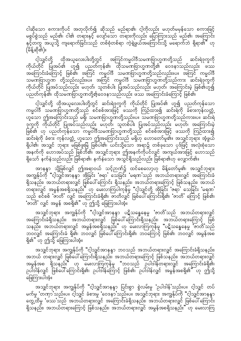ငါဆိုသော စကားကိုပင် အတုလိုက်၍ ဆိုသည် မည်ရာ၏၊ ငါ့ကိုလည်း မဟုတ်မမှန်သော စကားဖြင့် မစွပ်စွဲသည် မည်၏၊ ငါ၏ တရားနှင့် လျော်သော တရားကိုလည်း ပြောကြားသည် မည်၏၊ အကြောင်း နှင့်တကွ အယူသို့ ကျရောက်ခြင်းသည် တစ်စုံတစ်ရာ ကဲ့ရဲဖွယ်အကြောင်းသို့ မရောက်ဘဲ ရှိရာ၏" ဟု (မိန့်ဆို၏)။

င့ါသျှင်တို့ ထိုအယူလေးပါးတို့တွင် အကြင်ကမ္မဝါဒီသမဏဗြာဟ္မဏတို့သည် ဆင်းရဲဒုက္ခကို ကိုယ်တိုင် ပြုအပ်၏ ဟူ၍ ပညတ်ကုန်၏၊ ထိုသမဏဗြာဟ္မဏတို့၏ ဝေဒနာသည်လည်း ဖဿ အကြောင်းခံကြောင့် ဖြစ်၏၊ အကြင် ကမ္မဝါဒီ သမဏဗြာဟ္မဏတို့သည်လည်း။ပ။ အကြင် ကမ္မဝါဒီ သမဏဗြာဟ္မဏ တို့သည်လည်း။ပ။ အကြင် ကမ္မဝါဒီ သမဏဗြာဟ္မဏတို့သည်ကား ဆင်းရဲဒုက္ခကို ကိုယ်တိုင် ပြုအပ်သည်လည်း မဟုတ်၊ သူတစ်ပါး ပြုအပ်သည်လည်း မဟုတ်၊ အကြောင်းမဲ့ ဖြစ်၏ဟူ၍ ပညတ်ကုန်၏၊ ထိုသမဏဗြာဟ္မဏတို့၏့ဝေဒနာသည်လည်း ဖဿ အကြောင်းခံကြောင့် ဖြစ်၏၊

င့ါသျှင်တို့ ထိုအယူလေးပါးတို့တွင် ဆင်းရဲဒုက္ခကို ကိုယ်တိုင် ပြုအပ်၏ ဟူ၍ ပညတ်ကုန်သော ကမ္မဝါဒီ သမဏဗြာဟ္မဏတို့သည် စင်စစ်အားဖြင့် ဖဿကို ကြဉ်ထား၍ ဆင်းရဲကို ခံစားကုန်လတ္တံ့ ဟူသော ဤအကြောင်းသည် မရှိ၊ သမဏဗြာဟ္မဏတို့သည်။ပ။ သမဏဗြာဟ္မဏတို့သည်ကား။ပ။ ဆင်းရဲ ဒုက္ခကို ကိုယ်တိုင် ပြုအပ်သည်လည်း မဟုတ်၊ သူတစ်ပါး ပြုအပ်သည်လည်း မဟုတ်၊ အကြောင်းမဲ့ ဖြစ်၏ ဟု ပညတ်ကုန်သော ကမ္မဝါဒီသမဏဗြာဟ္မဏတို့သည် စင်စစ်အားဖြင့် ဖဿကို ကြဉ်ထား၍ ဆင်းရဲကို ခံစား ကုန်လတ္တံ့ ဟူသော ဤအကြောင်းသည် မရှိဟု ဟောတော်မူ၏။ အသျှင်ဘုရား အံ့ဖွယ် ရှိပါ၏၊ အသျှင် ဘုရား မဖြစ်ဖူးမြဲ ဖြစ်ပါ၏၊ ယင်းသို့သော အရာ၌ တစ်ခုသော ပုဒ်ဖြင့် အလုံးစုံသော<br>အနက်ကို ဟောအပ်သည် ဖြစ်ဘိ၏၊ အသျှင်ဘုရား ဤအနက်ကိုပင်လျှင် အကျယ်အားဖြင့် ဟောသည် ရှိသော် နက်နဲသည်လည်း ဖြစ်ရာ၏၊ နက်နဲသော အသွင်ရှိသည်လည်း ဖြစ်ရာ၏ဟု လျှောက်၏။

အာနန္ဒာ သို့ဖြစ်လျှင် ဤအရာဝယ် သင့်ဉာဏ်၌ ထင်စေလော့ဟု မိန့်တော်မူ၏၊ အသျှင်ဘုရား အကျွန်ုပ်ကို "ငါ့သျှင်အာနန္ဒာ အိုခြင်း 'ဇရာ' သေခြင်း 'မရဏ'သည် အဘယ်တရားလျှင် အကြောင်းခံ ရှိသနည်း၊ အဘယ်တရားလျှင် ဖြစ်ပေါ်ကြောင်း ရှိသနည်း၊ အဘယ်တရားကြောင့် ဖြစ်သနည်း၊ အဘယ်<br>တရားလျှင် အမွန်အစရှိသနည်း'' ဟု မေးလာကြပါကုန်မူ "ငါ့သျှင်တို့ အိုခြင်း 'ဇရာ' သေခြင်း 'မရဏ' သည် စင်စစ် 'ဇာတိ' လျှင် အကြောင်းခံရှိ၏၊ ဇာတိလျှင် ဖြစ်ပေါ်ကြောင်းရှိ၏၊ 'ဇာတိ' ကြောင့် ဖြစ်၏၊ 'ဇာတိ' လျှင် အမွန် အစရှိ၏" ဟု ဤသို့ ဖြေကြားပါအံ့။

အသျှင်ဘုရား အကျွန်ုပ်ကို "ငါ့သျှင်အာနန္ဒာ ပဋိသန္ဓေနေမှု 'ဇာတိ'သည် အဘယ်တရားလျှင် အကြောင်းခံရှိသနည်း၊ အဘယ်တရားလျှင် ဖြစ်ပေါ်ကြောင်းရှိသနည်း၊ အဘယ်တရားကြောင့် ဖြစ် သနည်း၊ အဘယ်တရားလျှင် အမွန်အစရှိသနည်း" ဟု မေးလာကြကုန်မူ "ပဋိသန္ဓေနေမှု 'ဇာတိ'သည် ဘဝလျှင် အကြောင်းခံ ရှိ၏၊ ဘဝလျှင် ဖြစ်ပေါ်ကြောင်းရှိ၏၊ ဘဝကြောင့် ဖြစ်၏၊ ဘဝလျှင် အမွန်အစ ရှိ၏" ဟု ဤသို့ ဖြေကြားပါအံ့။

အသျှင်ဘုရား အကျွန်ုပ်ကို "ငါ့သျှင်အာနန္ဒာ ဘဝသည် အဘယ်တရားလျှင် အကြောင်းခံရှိသနည်း၊ အဘယ် တရားလျှင် ဖြစ်ပေါ်ကြောင်းရှိသနည်း၊ အဘယ်တရားကြောင့် ဖြစ်သနည်း၊ အဘယ်တရားလျှင် အမွန်အစ ရှိသနည်း" ဟု မေးလာကြကုန်မူ "ဘဝသည် ဉပါဒါန်တရားလျှင် အကြောင်းခံရှိ၏၊ ဉပါဒါန်လျှင် ဖြစ်ပေါ် ကြောင်းရှိ၏၊ ဉပါဒါန်ကြောင့် ဖြစ်၏၊ ဉပါဒါန်လျှင် အမွန်အစရှိ၏" ဟု ဤသို့ ဖြေကြားပါအံ့။

အသျှင်ဘုရား အကျွန်ုပ်ကို "ငါ့သျှင်အာနန္ဒာ ပြင်းစွာ စွဲလမ်းမှု 'ဥပါဒါန်'သည်။ပ။ ငါ့သျှင် တပ် မက်မှု 'တဏှာ'သည်။ပ။ ငါ့သျှင် ခံစားမှု 'ဝေဒနာ'သည်။ပ။ အသျှင်ဘုရား အကျွန်ုပ်ကို "ငါ့သျှင်အာနန္ဒာ တွေ့ထိမှု 'ဖဿ'သည် အဘယ်တရားလျှင် အကြောင်းခံရှိသနည်း၊ အဘယ်တရားလျှင် ဖြစ်ပေါ်ကြောင်း ရှိသနည်း၊ အဘယ်တရားကြောင့် ဖြစ်သနည်း၊ အဘယ်တရားလျှင် အမွန်အစရှိသနည်း" ဟု မေးလာကြ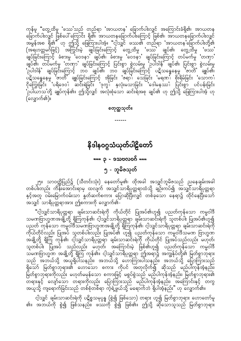ကုန်မူ "တွေ့ထိမှု 'ဖဿ'သည် တည်ရာ 'အာယတန' ခြောက်ပါးလျှင် အကြောင်းခံရှိ၏၊ အာယတန ြောက်ပါးလျှင် ဖြစ်ပေါ်ကြောင်း ရှိ၏၊ အာယတနခြောက်ပါးကြောင့် ဖြစ်၏၊ အာယတနခြောက်ပါးလျှင် ာပ<br>အမွန်အစ ရှိ၏" ဟု ဤသို့ ဖြေကြားပါအံ့။ "ငါ့သျှင် ဖဿ၏ တည်ရာ 'အာယတန'ခြောက်ပါးတို့၏ (အရဟတ္တမဂ်ံဖြင့်) အကြွင်းမဲ့ ချုပ်ခြင်းကြောင့် တွေ့ထိမှု 'ဖဿ' ချုပ်၏၊ တွေ့ထိမှု 'ဖဿ' ျား အသက္တာ အမ်က္ကား အမ်က္ကား<br>(၁) အလြင်းေတြာင့် ခံစားမှု 'ဝေဒနာႛ ချုပ်၏၊ ခံစားမှု 'ဝေဒနာႛ ချုပ်ခြင်းေကြာင့် တပ်မက်မှု 'တဏၠာႛ<br>ချုပ်၏၊ တပ်မက်မှု 'တဏၠာႛ ချုပ်ခြင်းေကြာင့် ပြင်းစွာ စွဲလမ်းမှု 'ဥပါဒါန်ႛ ချုပ်၏၊ ပြင်းစွာ စွဲလမ်း ု့<br>ပဋိသန္ဓေနေမှု ဇာတိ ချုပ်ခြင်းကြောင့် အိုခြင်း ဇရာ၊ သေခြင်း မရဏ၊ စိုးရိမ်ခြင်း သောက၊<br>ငိုကြွေးခြင်း ပရိဒေဝ၊ ဆင်းရဲခြင်း ဒုက္ခ၊ နှလုံးမသာခြင်း ခေါမနဿ၊ ပြင်းစွာ ပင်ပန်းခြင်း 'ဉပါယာသ'တို့ ချုပ်ကုန်၏။ ဤသို့လျှင် အလုံးစုံသော ဆင်းရဲအစု ချုပ်၏ ဟု ဤသို့ ဖြေကြားပါအံ့ ဟု (လျှောက်၏)။

စတုတ္ထသုတ်။

နိဒါနဝဂ္ဂသံယုတ်ပါဠိတော်

=== ၃ - ဒသဗလဝဂ် ===

၅ - ဘူမိဇသုတ်

၂၅။ သာဝတ္ထိပြည်၌ (သီတင်းသုံး) နေတော်မူ၏၊ ထိုအခါ အသျှင်ဘူမိဇသည် ညနေချမ်းအခါ တစ်ပါးတည်း ကိန်းအောင်းရာမှ ထလျက် အသျှင်သာရိပုတ္တရာထံသို့ ချဉ်းကပ်၍ အသျှင်သာရိပုတ္တရာ နှင့်အတူ ဝမ်းမြောက်ဝမ်းသာ နှတ်ဆက်စကား ပြောဆိုပြီးလျှင် တစ်ခုသော နေရာ၌ ထိုင်နေပြီးသော် ာ<br>အသျှင် သာရိပုတ္တရာအား ဤစကားကို လျှောက်၏-

"င့ါ့သျှင်သာရိပုတ္တရာ ချမ်းသာဆင်းရဲကို ကိုယ်တိုင် ပြုအပ်၏ဟူ၍ ပညတ်ကုန်သော ကမ္မဝါဒီ သမဏဗြာဟ္မဏအချို့တို့ ရှိကြကုန်၏၊ ငါ့သျှင်သာရိပုတ္တရာ ချမ်းသာဆင်းရဲကို သူတစ်ပါး ပြုအပ်၏ဟူ၍ အချို့တို့ ရှိကြ ကုန်၏၊ ငါ့သျှင်သာရိပုတ္တရာ ချမ်းသာဆင်းရဲကို ကိုယ်တိုင် ပြုအပ်သည်လည်း မဟုတ်၊ သူတစ်ပါး ပြုအပ် သည်လည်း မဟုတ်၊ အကြောင်းမဲ့ ဖြစ်၏ဟူ၍ ပညတ်ကုန်သော ကမ္မဝါဒီ ာ<br>သမဏဗြာဟ္မဏ အချို့တို့ ရှိကြ ကုန်၏။ ငါ့သျှင်သာရိပုတ္တရာ ဤအရာ၌ အကျွန်ုပ်တို့၏ မြတ်စွာဘုရား သည် အဘယ်သို့ အယူရှိပါသနည်း၊ အဘယ်သို့ ဟောကြားပါသနည်း၊ အဘယ်သို့ ပြောကြားသည် ရှိသော် မြတ်စွာဘုရား၏ ဟောသော စကား ကိုပင် အတုလိုက်၍ ဆိုသည် မည်ပါကုန်အံ့နည်း၊ မြတ်စွာဘုရားကိုလည်း မဟုတ်မမှန်သော စကားဖြင့် မစွပ်စွဲသည် မည်ပါကုန်အံ့နည်း၊ မြတ်စွာဘုရား၏ .<br>တရားနှင့် လျော်သော တရားကိုလည်း ပြောကြားသည် မည်ပါကုန်အံ့နည်း၊ အကြောင်းနှင့် တကွ အယူသို့ ကျရောက်ခြင်းသည် တစ်စုံတစ်ရာ ကဲ့ရဲ့ဖွယ်သို့ မရောက်ဘဲ ရှိပါအံ့နည်း" ဟု လျှောက်၏။

င့ါသျှင် ချမ်းသာဆင်းရဲကို ပဋိစ္စသမုပ္ပန္န (စွဲ၍ ဖြစ်သော) တရား ဟူ၍ မြတ်စွာဘုရား ဟောတော်မူ <u>၏။ အဘယ်ကို စွဲ၍ ဖြစ်သနည်း၊ ဖဿကို စွဲ၍ ဖြစ်၏။ ဤသို့ ဆိုသောသူသည် မြတ်စွာဘုရား</u>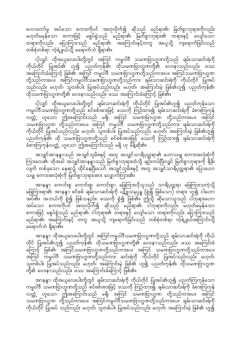ဟောတော်မူ အပ်သော စကားကိုပင် အတုလိုက်၍ ဆိုသည် မည်ရာ၏၊ မြတ်စွာဘုရားကိုလည်း မဟုတ်မမှန်သော စကားဖြင့် မစွပ်စွဲသည် မည်ရာ၏၊ မြတ်စွာဘုရား၏ တရားနှင့် လျော်သော တရားကိုလည်း ပြောကြားသည် မည်ရာ၏၊ အကြောင်းနှင့်တကွ အယူသို့ ကျရောက်ခြင်းသည် တစ်စုံတစ်ရာ ကဲ့ရဲ့ဖွယ်သို့ မရောက်ဘဲ ရှိရာ၏။

င့ါ့သျှင် ထိုအယူလေးပါးတို့တွင် အကြင် ကမ္မဝါဒီ သမဏဗြာဟ္မဏတို့သည် ချမ်းသာဆင်းရဲကို ကိုယ်တိုင် ပြုအပ်၏ ဟူ၍ ပညတ်ကုန်၏၊ ထိုသမဏဗြာဟ္မဏတို့၏ ဝေဒနာသည်လည်း ဖဿ အကြောင်းခံကြောင့် ဖြစ်၏၊ အကြင် ကမ္မဝါဒီ သမဏဗြာဟ္မဏတို့သည်ကား။ပ။ အကြင်သမဏဗြာဟ္မဏ တို့သည်ကား။ပ။ အကြင်ကမ္မဝါဒီသမဏဗြာဟ္မဏတို့သည်ကား ချမ်းသာဆင်းရဲကို ကိုယ်တိုင် ပြုအပ် သည်လည်း မဟုတ်၊ သူတစ်ပါး ပြုအပ်သည်လည်း မဟုတ်၊ အကြောင်းမဲ့ ဖြစ်၏ဟူ၍ ပညတ်ကုန်၏၊ ထိုသမဏဗြာဟ္မဏတို့၏ ဝေဒနာသည်လည်း ဖဿ အကြောင်းခံကြောင့် ဖြစ်၏။

င့ါ့သျှင် ထိုအယူလေးပါးတို့တွင် ချမ်းသာဆင်းရဲကို ကိုယ်တိုင် ပြုအပ်၏ဟူ၍ ပညတ်ကုန်သော ကမ္မဝါဒီသမဏဗြာဟ္မဏတို့သည် စင်စစ်အားဖြင့် ဖဿကို ကြဉ်ထား၍ ချမ်းသာဆင်းရဲကို ခံစားကြကုန် လတ္တံ့ ဟူသော ဤအကြောင်းသည် မရှိ၊ အကြင် သမဏဗြာဟ္မဏ တို့သည်ကား။ပ။ အကြင် ာမိတ်တို့<br>သမဏဗြာဟ္မဏ တို့သည်ကား။ပ။ အကြင်<sup>ံ</sup>ကမ္မဝါဒိီ သမဏဗြာဟ္မဏတို့သည်ကား ချမ်းသာဆင်းရဲကို ကိုယ်တိုင် ပြုအပ်သည်လည်း မဟုတ်၊ သူတစ်ပါး ပြုအပ်သည်လည်း မဟုတ်၊ အကြောင်းမဲ့ ဖြစ်၏ဟူ၍ ပညတ်ကုန်၏၊ ထို သမဏဗြာဟ္မဏတို့သည် စင်စစ်အားဖြင့် ဖဿကို ကြဉ်ထား၍ ချမ်းသာဆင်းရဲကို ခံစားကြကုန်လတ္တံ့ ဟူသော ဤအကြောင်းသည် မရှိ ဟု မိန့်ဆို၏။

အသျှင်အာနန္ဒာသည် အသျှင်ဘူမိဇနှင့် အတူ အသျှင်သာရိပုတ္တရာ၏ ဟောသမျှ စကားအလုံးစုံကို ကြားလေ၏၊ ထိုအခါ အသျှင်အာနန္ဒာသည် မြတ်စွာဘုရားထံသို့ ချဉ်းကပ်ပြီးလျှင် မြတ်စွာဘုရားကို ရှိခိုး ...<br>လျက် တစ်ခုသော နေရာ၌ ထိုင်နေပြီးသော် အသျှင်ဘူမိဇနှင့် အတူ အသျှင်သာရိပုတ္တရာ၏ ပြောဟော သမျှ စကားအလုံးစုံကို မြတ်စွာဘုရားအား လျှောက်ကြား၏။

အာနန္ဒာ ကောင်းစွ ကောင်းစွ၊ ကောင်းစွာ ဖြေကြားလိုသူသည် သာရိပုတ္တရာ ဖြေကြားသကဲ့သို့ ဖြေကြားရာ၏၊ အာနန္ဒာ စင်စစ် ချမ်းသာဆင်းရဲကို ပဋိစ္စသမုပ္ပန္န (စွဲ၍ ဖြစ်သော) တရား ဟူ၍ ငါဟော<br>အပ်၏။ အဘယ်ကို စွဲ၍ ဖြစ်သနည်း၊ ဖဿကို စွဲ၍ ဖြစ်၏။ ဤသို့ ဆိုသောသူသည် ငါဘုရားဟော အပ်သော စကားကိုပင် အတုလိုက်၍ ဆိုသည် မည်ရာ၏၊ ငါဘုရားကိုလည်း မဟုတ်မမှန်သော စကားဖြင့် မစွပ်စွဲသည် မည်ရာ၏၊ ငါဘုရား၏ တရားနှင့် လျော်သော တရားကိုလည်း ပြောကြားသည် မည်ရာ၏၊ အကြောင်းနှင့် တကွ အယူသို့ ကျရောက်ခြင်းသည် တစ်စုံတစ်ရာ ကဲ့ရဲ့ဖွယ်အကြာင်းသို့ မရောက်ဘဲ ရှိရာ၏။

အာနန္ဒာ ထိုအယူလေးပါးတို့တွင် အကြင်ကမ္မဝါဒီသမဏဗြာဟ္မဏတို့သည် ချမ်းသာဆင်းရဲကို ကိုယ် တိုင် ပြုအပ်၏ဟူ၍ ပညတ်ကုန်၏၊ ထိုသမဏဗြာဟ္မဏတို့၏ ဝေဒနာသည်လည်း ဖဿ အကြေင်းခံ ကြောင့် ဖြစ်၏၊ အကြင်သမဏဗြာဟ္မဏတို့သည်ကား။ပ။ အကြင် သမဏဗြာဟ္မဏတို့သည်ကား။ပ။ အကြင် တမ္မဝါဒီ သမဏဗြာဟ္မဏတို့သည်ကား ဆင်းရဲကို ကိုယ်တိုင် ပြုအပ်သည်လည်း မဟုတ်၊ သူတစ်ပါး ပြုအပ်သည်လည်း မဟုတ်၊ အကြောင်းမဲ့ ဖြစ်၏ ဟူ၍ ပညတ်ကုန်၏၊ ထိုသမဏဗြာဟ္မဏ တို့၏ ဝေဒနာသည်လည်း ဖဿ အကြောင်းခံကြောင့် ဖြစ်၏။

အာနန္ဒာ ထိုအယူလေးပါးတို့တွင် ချမ်းသာဆင်းရဲကို ကိုယ်တိုင် ပြုအပ်၏ဟူ၍ ပညတ်ကြကုန်သော ကမ္မဝါဒီ သမဏဗြာဟ္မဏတို့သည် စင်စစ်အားဖြင့် ဖဿကို ကြဉ်ထား၍ ချမ်းသာဆင်းရဲကို ခံစားကြကုန် လတ္တံ့ ဟူသော ဤအကြောင်းသည် မရှိ၊ အကြင် သမဏဗြာဟ္မဏ တို့သည်ကား။ပ။ အကြင် သမဏဗြာဟ္မဏ တို့သည်ကား။ပ။ အကြင်ကမ္မဝါဒီသမဏဗြာဟ္မဏတို့သည်ကား။ပ။ ချမ်းသာဆင်းရဲကို ကိုယ်တိုင် ပြုအပ် သည်လည်း မဟုတ်၊ သူတစ်ပါး ပြုအပ်သည်လည်း မဟုတ်၊ အကြောင်းမဲ့ ဖြစ်၏ ဟူ၍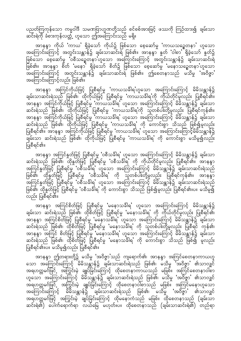ပညတ်ကြကုန်သော ကမ္မဝါဒီ သမဏဗြာဟ္မဏတို့သည် စင်စစ်အားဖြင့် ဖဿကို ကြဉ်ထား၍ ချမ်းသာ ဆင်းရဲကို ခံစားကုန်လတ္တံ့ ဟူသော ဤအကြောင်းသည် မရှိ။

အာနန္ဒာ ကိုယ် 'ကာယ' ရှိခဲ့သော် ကိုယ်၌ ဖြစ်သော စေ့ဆော်မှု 'ကာယသဉ္စေတနာ' ဟူသော အကြောင်းကြောင့် အတွင်းသန္တာန်၌ ချမ်းသာဆင်းရဲ ဖြစ်၏။ အာနန္ဒာ နူတ် 'ဝါစာ' ရှိခဲ့သော် နူတ်၌ ဖြစ်သော စေ့ဆော်မှု 'ဝစီသဉ္စေတနာ'ဟူသော အကြောင်းကြောင့် အတွင်းသန္တာန်၌ ချမ်းသာဆင်းရဲ ဖြစ်၏။ အာနန္ဒာ စိတ် 'မနော' ရှိခဲ့သော် စိတ်၌ ဖြစ်သော စေ့ဆော်မှု 'မနောသဉ္စေတနာ'ဟူသော အကြောင်းကြောင့် အတွင်းသန္တာန်၌ ချမ်းသာဆင်းရဲ ဖြစ်၏။ ဤစေတနာသည် မသိမှု 'အဝိဇ္ဇာ' အကြောင်းကြောင့်လည်း ဖြစ်၏။

အာနန္ဒာ အကြင်ကိုယ်ဖြင့် ပြုစီရင်မှု 'ကာယသခ်ီါရ'ဟူသော အကြောင်းကြောင့် မိမိသန္တာန်၌ ချမ်းသာဆင်းရဲသည် ဖြစ်၏၊ ထိုကိုယ်ဖြင့် ပြုစီရင်မှု 'ကာယသင်္ခါရ'ကို ကိုယ်တိုင်မူလည်း ပြုစီရင်၏။ ့<br>အာနန္ဒာ အကြင်ကိုယ်ဖြင့် ပြုစီရင်မှု 'ကာယသင်္ခါရ' ဟူသော အကြောင်းကြောင့် မိမိသန္တာန်၌ ချမ်းသာ ဆင်းရဲသည် ဖြစ်၏၊ ထိုကိုယ်ဖြင့် ပြုစီရင်မှု 'ကာယသင်္ခါရ'ကို သူတစ်ပါးတို့မူလည်း ပြုစီရင်ကုန်၏။ အာနန္ဒာ အကြင်ကိုယ်ဖြင့် ပြုစီရင်မှု 'ကာယသင်္ခါရ' ဟူသော အကြောင်းကြောင့် မိမိသန္တာန်၌ ချမ်းသာ ဆင်းရဲသည် ဖြစ်၏၊ ထိုကိုယ်ဖြင့် ပြုစီရင်မှု 'ကာယသင်္ခါရ' ကို ကောင်းစွာ သိသည် ဖြစ်၍မူလည်း ပြုစီရင်၏။ အာနန္ဒာ အကြင်ကိုယ်ဖြင့် ပြုစီရင်မှု 'ကာယသင်္ခါရ' ဟူသော အကြောင်းကြောင့်မိမိသန္တာန်၌ ချမ်းသာ ဆင်းရဲသည် ဖြစ်၏၊ ထိုကိုယ်ဖြင့် ပြုစီရင်မူ 'ကာယသင်္ခါရ' ကို ကောင်းစွာ မသိမူ၍လည်း ပြုစီရင်၏။

အာနန္ဒာ အကြင်နှုတ်ဖြင့် ပြုစီရင်မှု 'ဝစီသခ်ါရ' ဟူသော အကြောင်းကြောင့် မိမိသန္တာန်၌ ချမ်းသာ ဆင်းရဲသည် ဖြစ်၏၊ ထိုနှုတ်ဖြင့် ပြုစီရင်မှု 'ဝစီသင်္ခါရ်' ကို ကိုယ်တိုင်မူလည်း ပြုစီရင်၏။ အာနန္ဒာ အကြင်နှုတ်ဖြင့် ပြုစီရင်မှု 'ဝစီသင်္ခါရ' ဟူသော အကြောင်းကြောင့် မိမိသန္တာန်၌ ချမ်းသာဆင်းရဲသည် ဖြစ်၏၊ ထိုနှုတ်ဖြင့် ပြုံစီရင်မှု 'ဝစီသင်္ခါရ' ကို သူတစ်ပါးတို့မူလည်း ပြုစီရင်ကုန်၏။ အာနန္ဒာ ဖြစ်၏၊ ထိုနှုတ်ဖြင့် ပြုစီရင်မှု 'ဝစီသင်္ခါရ' ကို ကောင်းစွာ သိသည် ဖြစ်၍မူလည်း ပြုစီရင်၏။ပ။ မသိမူ၍ လည်း ပြုစီရင်၏။

အာနန္ဒာ အကြင်စိတ်ဖြင့် ပြုစီရင်မှု 'မနောသခ်ီါရ' ဟူသော အကြောင်းကြောင့် မိမိသန္တာန်၌<br>ချမ်းသာ ဆင်းရဲသည် ဖြစ်၏၊ ထိုစိတ်ဖြင့် ပြုစီရင်မှု 'မနောသခ်ီါရ' ကို ကိုယ်တိုင်မှုလည်း ပြုစီရင်၏၊ ာ<br>အာနန္ဒာ အကြင်စိတ်ဖြင့် ပြုစီရင်မှု 'မနောသင်္ခါရ ဟူသော အကြောင်းကြောင့် မိမိသန္တာန်၌ ချမ်းသာ<br>ဆင်းရဲသည် ဖြစ်၏၊ ထိုစိတ်ဖြင့် ပြုစီရင်မှု 'မနောသင်္ခါရ' ကို သူတစ်ပါးတို့မူလည်း ပြုစီရင် ကုန်၏၊ အာနန္ဒာ အကြင် စိတ်ဖြင့် ပြုစီရင်မှု 'မနောသခါရ' ဟူသော အကြောင်းကြောင့် မိမိသန္တာန်၌ ချမ်းသာ ဆင်းရဲသည် ဖြစ်၏၊ ထိုစိတ်ဖြင့် ပြုံစီရင်မှု 'မနောသင်္ခါရ' ကို ကောင်းစွာ သိသည် ဖြစ်၍ မူလည်း ပြုစီရင်၏။ပ။ မသိမူ၍လည်း ပြုစီရင််၏။

အာနန္ဒာ ဤတရားတို့၌ မသိမှု 'အဝိဇ္ဇာ'သည် ကျရောက်၏၊ အာနန္ဒာ အကြင်စေတနာကာယဟူ သော အကြောင်းကြောင့် မိမိသန္တာန်၌ ချမ်းသာဆင်းရဲသည် ဖြစ်၏၊ မသိမှု အဝိဇ္ဇာ ၏သာလျှင်<br>အရဟတ္တမဂ်ဖြင် အကြွင်းမဲ့ ချူပ်ခြင်းကြောင့် ထိုစေတနာကာယသည် မဖြစ်။ အကြင်စေတနာဝါစာ ဟူသော အကြောင်းကြောင့် မိမိသန္တာန်၌ ချမ်းသာဆင်းရဲသည် ဖြစ်၏၊ မသိမှု 'အဝိဇ္ဇာ' ၏သာလျှင် …<br>အရဟတ္တမဂ်ဖြင့် အကြွင်းမဲ့ ချုပ်ခြင်းကြောင့် ထိုစေတနာဝါစာသည် မဖြစ်။ အကြင်မနောဟူသော အကြောင်းကြောင့် မိမိသန္တာန်၌ ချမ်းသာဆင်းရဲသည် ဖြစ်၏၊ မသိမှု 'အဝိဇ္ဇာ' ၏သာလျှင် အရဟတ္တမဂ်ဖြင့် အကြွင်းမဲ့ ချုပ်ခြင်းကြောင့် ထိုမနောကံသည် မဖြစ်။ ထိုစေတနာသည် (ချမ်းသာ ဆင်းရဲ၏) ပေါက်ရောက်ရာ လယ်မြေ မဟုတ်။ပ။ ထိုစေတနာသည် (ချမ်းသာဆင်းရဲ၏) တည်ရာ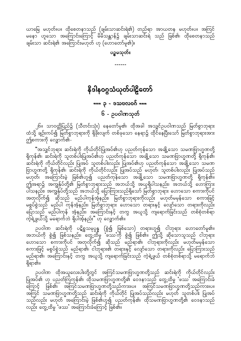ယာမြေ မဟုတ်။ပ။ ထိုစေတနာသည် (ချမ်းသာဆင်းရဲ၏) တည်ရာ အာယတန မဟုတ်။ပ။ အကြင် မနော ဟူသော အကြောင်းကြောင့် မိမိသန္တာန်၌ ချမ်းသာဆင်းရဲ သည် ဖြစ်၏၊ ထိုစေတနာသည် ချမ်းသာ ဆင်းရဲ၏ အကြောင်းမဟုတ် ဟု (ဟောတော်မူ၏)။

ပဥ္စမသုတ်။

# နိဒါနဝဂွသံယုတ်ပါဠိတော် ၆ - ဥပဝါဏသုတ်

၂၆။ သာဝတ္တိပြည်၌ (သီတင်းသုံး) နေတော်မူ၏၊ ထိုအခါ အသျှင်ဉပဝါဏသည် မြတ်စွာဘုရား ထံသို့ ချဉ်းကပ်၍ မြတ်စွာဘုရားကို ရှိခိုးလျက် တစ်ခုသော နေရာ၌ ထိုင်နေပြီးသော် မြတ်စွာဘုရားအား ကျစကားကို လျှောက်၏-

"အသျှင်ဘုရား ဆင်းရဲကို ကိုယ်တိုင်ပြုအပ်၏ဟု ပညတ်ကုန်သော အချို့သော သမဏဗြာဟ္မဏတို့ ရှိကုန်၏၊ ဆင်းရဲကို သူတစ်ပါးပြုအပ်၏ဟု ပညတ်ကုန်သော အချို့သော သမဏဗြာဟ္မဏတို့ ရှိကုန်၏၊ ဗြာဟ္မဏတို့ ရှိကုန်၏၊ ဆင်းရဲကို ကိုယ်တိုင်လည်း ပြုအပ်သည် မဟုတ်၊ သူတစ်ပါးလည်း ပြုအပ်သည် .<br>မဟုတ်၊ အကြောင်းမဲ့ ဖြစ်၏ဟူ၍ ပညတ်ကုန်သော အချို့သော သမဏဗြာဟ္မဏတို့ ရှိကုန်၏။ ဤအရာ၌ အကျွန်ုပ်တို့၏ မြတ်စွာဘုရားသည် အဘယ်သို့ အယူရှိပါသနည်း၊ အဘယ်သို့ ဟောကြား ာ<br>ပါသနည်း၊ အကျွန်ုပ်တို့သည် အဘယ်သို့ ပြောကြားသည်ရှိသော် မြတ်စွာဘုရား ဟောသော စကားကိုပင် အတုလိုက်၍ ဆိုသည် မည်ပါကုန်အံ့နည်း၊ မြတ်စွာဘုရားကိုလည်း မဟုတ်မမှန်သော စကားဖြင့် မစွပ်စွဲသည် မည်ပါ ကုန်အံ့နည်း၊ မြတ်စွာဘုရား ဟောသော တရားနှင့် လျော်သော တရားကိုလည်း ပြောသည် မည်ပါကုန် အံ့နည်း၊ အကြောင်းနှင့် တကွ အယူသို့ ကျရောက်ခြင်းသည် တစ်စုံတစ်ရာ ကဲ့ရဲ့ဖွယ်သို့ မရောက်ဘဲ ရှိပါအံ့နည်း" ဟု လျှောက်၏။

ဉပဝါဏ ဆင်းရဲကို ပဋိစ္စသမုပ္ပန္န (စွဲ၍ ဖြစ်သော) တရားဟူ၍ ငါဘုရား ဟောတော်မူ၏။<br>အဘယ်ကို စွဲ၍ ဖြစ်သနည်း၊ တွေ့ထိမှု 'ဖဿ'ကို စွဲ၍ ဖြစ်၏။ ဤသို့ ဆိုသောသူသည် ငါဘုရား ဟောသော စကားကိုပင် အတုလိုက်၍ ဆိုသည် မည်ရာ၏၊ ငါဘုရားကိုလည်း မဟုတ်မမှန်သော စကားဖြင့် မစွပ်စွဲသည် မည်ရာ၏၊ ငါဘုရား၏ တရားနှင့် လျော်သော တရားကိုလည်း ပြောကြားသည် မည်ရာ၏၊ အကြောင်းနှင့် တကွ အယူသို့ ကျရောက်ခြင်းသည် ကဲ့ရဲ့ဖွယ် တစ်စုံတစ်ရာသို့ မရောက်ဘဲ ရှိရာ၏။

ဉပဝါဏ ထိုအယူလေးပါးတို့တွင် အကြင်သမဏဗြာဟ္မဏတို့သည် ဆင်းရဲကို ကိုယ်တိုင်လည်း ပြုအပ််၏ ဟု ပညတ်ကြကုန်၏၊ ထိုသမဏဗြာဟ္မဏတို့၏ ဝေဒနာသည် တွေ့ထိမှု 'ဖဿ' အကြောင်းခံ ကြောင့် ဖြစ်၏၊ အကြင်သမဏဗြာဟ္မဏတို့သည်ကား။ပ။ အကြင်သမဏဗြာဟ္မဏတို့သည်ကား။ပ။ အကြင် သမဏဗြာဟ္မဏတို့သည် ဆင်းရဲကို ကိုယ်တိုင် ပြုအပ်သည်လည်း မဟုတ် သူတစ်ပါး ပြုအပ် သည်လည်း မဟုတ် အကြောင်းမဲ့ ဖြစ်၏ဟူ၍ ပညတ်ကုန်၏၊ ထိုသမဏဗြာဟ္မဏတို့၏ ဝေဒနာသည် လည်း တွေ့ထိမှု 'ဖဿ' အကြောင်းခံကြောင့် ဖြစ်၏။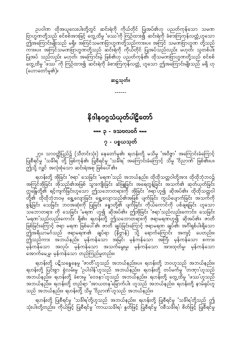ဉပဝါဏ ထိုအယူလေးပါးတို့တွင် ဆင်းရဲကို ကိုယ်တိုင် ပြုအပ်၏ဟု ပညတ်ကုန်သော သမဏ ဗြာဟ္မဏတို့သည် စင်စစ်အားဖြင့် တွေ့ထိမှု 'ဖဿ'ကို ကြဉ်ထား၍ ဆင်းရဲကို ခံစားကြကုန်လတ္တံ့ဟူသော ဤအကြောင်းမျိုးသည် မရှိ။ အကြင်သမဏဗြာဟ္မဏတို့သည်ကား။ပ။ အကြင် သမဏဗြာဟ္မဏ တို့သည် —.<br>ကား။ပ။ အကြင်သမဏဗြာဟ္မဏတို့သည် ဆင်းရဲကို ကိုယ်တိုင် ပြုအပ်သည်လည်း မဟုတ်၊ သူတစ်ပါး ပြုအပ် သည်လည်း မဟုတ်၊ အကြောင်းမဲ့ ဖြစ်၏ဟု ပညတ်ကုန်၏၊ ထိုသမဏဗြာဟ္မဏတို့သည် စင်စစ် – -<br>တွေ့ထိမှု 'ဖဿ´ ကို ကြဉ်ထား၍ ဆင်းရဲကို ခံစားကြကုန်လတ္တံ့ ဟူသော ဤအကြောင်းမျိုးသည် မရှိ ဟု (ဟောတော်မူ၏)။

ဆဋ္ဌသုတ်။

နိဒါနဝဂ္ဂသံယုတ်ပါဠိတော် === ၃ - ဒသဗလဝဂ် ===

၇ - ပစ္စယသုတ်

၂၇။ သာဝတ္ထိပြည်၌ (သီတင်းသုံး) နေတော်မူ၏၊ ရဟန်းတို့ မသိမှု 'အဝိဇ္ဇာ' အကြောင်းခံကြောင့် ပြုစီရင်မှု 'သင်္ခါရ' တို့ ဖြစ်ကုန်၏၊ ပြုစီရင်မှု 'သင်္ခါရ' အကြောင်းခံကြောင့် သိမှု 'ဝိညာဏ်' ဖြစ်၏။ပ။ ဤသို့ လျှင် အလုံးစုံသော ဆင်းရဲအစု ဖြစ်ပေါ် ၏။

ရဟန်းတို့ အိုခြင်း 'ဇရာ' သေခြင်း 'မရဏ'သည် အဘယ်နည်း၊ ထိုထိုသတ္တဝါတို့အား ထိုထိုဘုံဘဝ၌ အကြင်အိုခြင်း အိုသည်၏အဖြစ် သွားကျိုးခြင်း ဆီဖြူခြင်း အရေတွန့်ခြင်း အသက်၏ ဆုတ်ယုတ်ခြင်း ဣန္ဒြေတို့၏ ရင့်ကျက်ခြင်းဟူသော ဤသဘောတရားကို အိုခြင်း ဇရာ'ဟူ၍ ဆိုအပ်၏။ ထိုထိုသတ္တဝါ ်ကို ဖြို့ ဖို့<br>တို့၏ ထိုထိုဘုံဘဝမှ ရွေ့လျောခြင်း ရွေ့လျောသည်၏အဖြစ် ပျက်ခြင်း ကွယ်ပျောက်ခြင်း အသက်ကို စွန့်ခြင်း သေခြင်း ဘဝအဆုံးကို ပြုခြင်း ခန္ဓာတို့၏ ပျက်ခြင်း ကိုယ်ကောင်ကို ပစ်ချရခြင်း ဟူသော ွ....<br>သဘောတရား ကို သေခြင်း 'မရဏ' ဟူ၍ ဆိုအပ်၏။ ဤအိုခြင်း 'ဇရာ'သည်လည်းကောင်း၊ သေခြင်း 'မရဏ'သည်လည်းကောင်း ရှိ၏။ ရဟန်းတို့ ဤသဘောတရားကို ဇရာမရဏဟူ၍ ဆိုအပ်၏။ ဇာတိ<br>ဖြစ်ခြင်းကြောင့် ဇရာ မရဏ ဖြစ်ပေါ်၏၊ ဇာတိ ချုပ်ခြင်းကြောင့် ဇရာမရဏ ချုပ်၏၊ အင်္ဂါရှစ်ပါးရှိသော ဤအရိယာမဂ်သည် ဇရာမရဏ၏ ချုပ်ရာ (နိဗ္ဗာန်) သို့ ရောက်ကြောင်း အကျင့် ပေတည်း။ မှန်ကန်သော အလုပ်၊ မှန်ကန်သော အသက်မွေးမှု၊ မှန်ကန်သော အားထုတ်မှု၊ မှန်ကန်သော အောက်မေ့မှု၊ မှန်ကန်သော တည်ကြည်မှုတည်း။

ရဟန်းတို့ ပဋိသန္ဓေနေမှု 'ဇာတိ'ဟူသည် အဘယ်နည်း။ပ။ ရဟန်းတို့ ဘဝဟူသည် အဘယ်နည်း။<br>ရဟန်းတို့ ပြင်းစွာ စွဲလမ်းမှု 'ဥပါဒါန်'ဟူသည် အဘယ်နည်း။ ရဟန်းတို့ တပ်မက်မှု 'တဏှာ'ဟူသည် အဘယ်နည်း။ ရဟန်းတို့ ခံစားမှု 'ဝေဒနာ'ဟူသည် အဘယ်နည်း။ ရဟန်းတို့ တွေ့ထိမှု 'ဖဿ'ဟူသည် အဘယ်နည်း။ ရဟန်းတို့ တည်ရာ 'အာယတန်'ခြောက်ပါး ဟူသည် အဘယ်နည်း။ ရဟန်းတို့ နာမ်ရှပ်ဟူ သည် အဘယ်နည်း။ ရဟန်းတို့ သိမှု 'ဝိညာဏ်'ဟူသည် အဘယ်နည်း။

ရဟန်းတို့ ပြုစီရင်မှု 'သင်္ခါရ'တို့ဟူသည် အဘယ်နည်း။ ရဟန်းတို့ ပြုစီရင်မှု 'သင်္ခါရ'တို့သည် ဤ<br>သုံးပါးတို့တည်း။ ကိုယ်ဖြင့် ပြုစီရင်မှု 'ကာယသင်္ခါရ<sup>'</sup>၊ နှုတ်ဖြင့် ပြုစီရင်မှု 'ဝစီသင်္ခါရ'၊ စိတ်ဖြင့် ပြုစီရင်မှု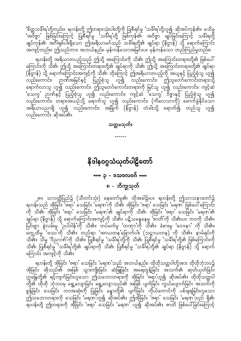<mark>'</mark>စိတ္တသခ်ိါရ'တို့တည်း။ ရဟန်းတို့ ဤတရားသုံးပါးတို့ကို ပြုစီရင်မှု 'သခ်ိါရ'တို့ဟူ၍ ဆိုအပ်ကုန်၏။ မသိမှု 'အဝိဇ္ဇာ' ဖြစ်ခြင်းကြောင့် ပြုစီရင်မှု 'သင်္ခါရ'တို့ ဖြစ်ကုန်၏၊ အဝိဇ္ဇာ ချုပ်ခြင်းကြောင့် သင်္ခါရတို့ ချုပ်ကုန်၏၊ အင်္ဂါရှစ်ပါးရှိသော ဤအရိယာမဂ်သည် သင်္ခါရတို့၏ ချုပ်ရာ (နိဗ္ဗာန်) သို့ ရောက်ကြောင်း ာ<br>အကျင့်တည်း။ ဤသည်ကား အဘယ်နည်း၊ မှန်ကန်သောအမြင်။ပ။ မှန်ကန်သော တည်ကြည်မှုတည်း။

ရဟန်းတို့ အရိယာတပည့်သည် ဤသို့ အကြောင်းကို သိ၏၊ ဤသို့ အကြောင်းတရားတို့၏ ဖြစ်ပေါ်<br>ကြောင်းကို သိ၏၊ ဤသို့ အကြောင်းတရားတို့၏ ချုပ်ရာကို သိ၏၊ ဤသို့ အကြောင်းတရားတို့၏ ချုပ်ရာ (နိဗ္ဗာန်) သို့ ရောက်ကြောင်းအကျင့်ကို သိ၏၊ ထိုကြောင့် ဤအရိယာတပည့်ကို အယူနှင့် ပြည့်စုံသူ ဟူ၍ ညောက်လာသူ ဟူ၍ လည်းကောင်း၊ ဤသူတော်ကောင်းတရားကို မြင်သူ ဟူ၍ လည်းကောင်း၊ ကျင့်ဆဲ<br>'သေက္ခ' ဉာဏ်နှင့် ပြည့်စုံသူ ဟူ၍ လည်းကောင်း၊ ကျင့်ဆဲ 'သေက္ခ' ဝိဇ္ဇာနှင့် ပြည့်စုံသူ ဟူ၍ လည်းကောင်း၊ ၁ ၊ ပြင်း ။<br>လည်းကောင်း၊ တရားအယဉ်သို့ ရောက်သူ ဟူ၍ လည်းကောင်း၊ (ကိလေသာကို) ဖောက်ခွဲနိုင်သော<br>အရိယာပညာရှိ ဟူ၍ လည်းကောင်း၊ အမြိုက် (နိဗ္ဗာန်) တံခါးသို့ ရောက်၍ တည်သူ ဟူ၍ လည်းကောင်း ဆိုအပ်၏။

သတ္တမသုတ်။

နိဒါနဝဂ္ဂသံယုတ်ပါဠိတော်

=== ၃ - ဒသဗလဝဂ် === ၈ - ဘိက္ခုသုတ်

၂၈။ သာဝတ္တိပြည်၌ (သီတင်းသုံး) နေတော်မူ၏၊ ထိုအခါ၌။ပ။ ရဟန်းတို့ ဤသာသနာတော်၌ ရဟန်းသည် အိုခြင်း 'ဇရာ' သေခြင်း 'မရဏ'ကို သိင်္ခါ၊ အိုခြင်း 'ဇရာ' သေခြင်း 'မရဏ' ဖြစ်ပေါ် ကြောင်း ကို သိ၏၊ အိုခြင်း 'ဇရာ' သေခြင်း 'မရဏ'၏ ချုပ်ရာကို သိ၏၊ အိုခြင်း 'ဇရာ' သေခြင်း 'မရဏ'၏ ချုပ်ရာ (နိဗ္ဗာန််) သို့ ရောက်ကြောင်းအကျင့်ကို သိ၏။ ပဋိသန္ဒေနေမှု 'ဇာတိ'ကို သိ၏။ပ။ ဘဝကို သိ၏။ ပြင်းစွာ စွဲလမ်းမှု ဉပါဒါန် ကို သိ၏။ တပ်မက်မှု တက္ဉာ ကို သိ၏။ ခံစားမှု 'ဝေဒနာ' ကို သိ၏။ တွေ့ထိမှု 'ဖဿ'ကို သိ၏။ တည်ရာ 'အာယတန'ခြောက်ပါး (သဠာယတန) ကို သိ၏။ နာမ်ရုပ်ကို သိ၏။ သိမှု 'ဝိညာဏ်'ကို သိ၏။ ပြုစီရင်မှု 'သင်္ခါရ'တို့ကို သိ၏၊ ပြုစီရင်မှု 'သင်္ခါရ'တို့၏ ဖြစ်ကြောင်းကို သိ၏၊ ပြုစီရင်မှု သင်္ခါရတို့၏ ချုပ်ရာကို သိ၏၊ ပြုစီရင်မှု 'သင်္ခါရတို့၏ ချုပ်ရာ (နိဗ္ဗာန်) သို့ ရောက် ကြောင်း အကျင့်ကို သိ၏။

ရဟန်းတို့ အိုခြင်း 'ဇရာ' သေခြင်း 'မရဏ'သည် အဘယ်နည်း၊ ထိုထိုသတ္တဝါတို့အား ထိုထိုဘုံဘဝ၌<br>အိုခြင်း အိုသည်၏ အဖြစ် သွားကျိုးခြင်း ဆံဖြူခြင်း အရေတွန့်ခြင်း အသက်၏ ဆုတ်ယုတ်ခြင်း .<br>တို့၏ ထိုထို ဘုံဘဝမှ ရွေ့လျောခြင်း ရွေ့လျောသည်၏ အဖြစ် ပျက်ခြင်း ကွယ်ပျောက်ခြင်း အသက်ကို စွန့်ခြင်း သေခြင်း ဘဝအဆုံးကို ပြုခြင်း ခန္ဓာတို့၏ ပျက်ခြင်း ကိုယ်ကောင်ကို ပစ်ချရခြင်းဟူသော ပ္ပ္လြယ္<br>ပါသဘောတရားကို သေခြင်း 'မရဏ'ဟူ၍ ဆိုအပ်၏။ ဤအိုခြင်း 'ဇရာ' သေခြင်း 'မရဏ'သည် ရှိ၏၊<br>ရဟန်းတို့ ဤတရားကို အိုခြင်း 'ဇရာ' သေခြင်း 'မရဏ' ဟူ၍ ဆိုအပ်၏။ ဇာတိ ဖြစ်ပေါ်ခြင်းကြောင့်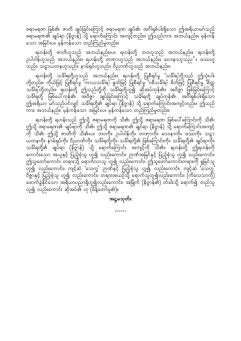ဇရာမရဏ ဖြစ်၏၊ ဇာတိ ချုပ်ခြင်းကြောင့် ဇရာမရဏ ချုပ်၏၊ အင်္ဂါရှစ်ပါးရှိသော ဤအရိယာမဂ်သည် .<br>ဇရာမရဏ၏ ချုပ်ရာ (နိဗ္ဗာန်) သို့ ရောက်ကြောင်း အကျင့်တည်း။ ဤသည်ကား အဘယ်နည်း။ မှန်ကန် သော အမြင်။ပ။ မှန်ကန်သော တည်ကြည်မှုတည်း။

ရဟန်းတို့ ဇာတိဟူသည် အဘယ်နည်း။ပ။ ရဟန်းတို့ ဘဝဟူသည် အဘယ်နည်း။ ရဟန်းတို့ ဉပါဒါန်ဟူသည် အဘယ်နည်း။ ရဟန်းတို့ တဏှာဟူသည် အဘယ်နည်း။ ဝေဒနာဟူသည ်။ ဖဿဟူ -<br>သည်။ သဠာယတနဟူသည်။ နာမ်ရုပ်ဟူသည်။ ဝိညာဏ်ဟူသည် အဘယ်နည်း။

ရဟန်းတို့ သင်္ခါရတို့ဟူသည် အဘယ်နည်း။ ရဟန်းတို့ ပြုစီရင်မှု 'သင်္ခါရ'တို့သည် ဤသုံးပါး သခ်ီါရတို့ ဖြစ်ပေါ်ကုန်၏ အဝိဇ္ဇာ ချပ်ခြင်းကြောင့် သခါရတို့ ချုပ်ကုန်၏၊ အင်္ဂါရှစ်ပါးရှိသော ဤအရိယာ မဂ်သည်ပင်လျှင် သင်္ခါရတို့၏ ချုပ်ရာ (နိဗ္ဗာန်) သို့ ရောက်ကြောင်းအကျင့်တည်း။ ဤသည် 

ရဟန်းတို့ ရဟန်းသည် ဤသို့ ဇရာမရဏကို သိ၏၊ ဤသို့ ဇရာမရဏ ဖြစ်ပေါ်ကြောင်းကို သိ၏၊ ဤသို့ ဇရာမရဏ၏ ချုပ်ရာကို သိ၏၊ ဤသို့ ဇရာမရဏ၏ ချုပ်ရာ (နိဗ္ဗာန်) သို့ ရောက်ကြောင်းအကျင့် ာ<br>ကို သိ၏ ဤသို့ ဇာတိကို သိ၏။ပ။ ဘဝကို။ ဥပါဒါန်ကို။ တဏှာကို။ ဝေဒနာကို။ ဖဿကို။ သဠာ ယတနကို။ နှာမ်ရုပ်ကို။ ဝိညာဏ်ကို။ သင်္ခါရတို့ကို။ သင်္ခါရတို့၏ ဖြစ်ကြောင်းကို။ သင်္ခါရတို့၏ ချုပ်ရာကို။ သခ်ီါရတို့၏ ချုပ်ရာ (နိဗ္ဗာန်) သို့ ရောက်ကြောင်း အကျင့်ကို သိ၏။ ရဟန်းတို့ ဤရဟန်းကို ကောင်းသော အယူနှင့် ပြည့်စုံသူ ဟူ၍ လည်းကောင်း၊ ဉာဏ်အမြင်နှင့် ပြည့်စုံသူ ဟူ၍ လည်းကောင်း၊ ဤသူတော်ကောင်း တရားသို့ ရောက်လာသူ ဟူ၍ လည်းကောင်း၊ ဤသူတော်ကောင်းတရားကို ရှုမြင်သူ များ။<br>ဟူ၍ လည်းကောင်း၊ ကျင့်ဆဲ 'သေက္ခ' ဉာဏ်နှင့် ပြည့်စုံသူ ဟူ၍ လည်းကောင်း၊ ကျင့်ဆဲ 'သေက္ခ'<br>ဝိဇ္ဇာနှင့် ပြည့်စုံသူ ဟူ၍ လည်းကောင်း၊ တရားအယဉ်သို့ ရောက်သူဟူ၍လည်းကောင်း၊ (ကိလေသာကို) ဖောက်ခွဲနိုင်သော အရိယာပညာရှိဟူ၍လည်းကောင်း၊ အမြိုက် (နိဗ္ဗာန််၏) တံခါးသို့ ရောက်၍ တည်သူ ဟူ၍ လည်းကောင်း ဆိုအပ်၏ ဟု (မိန့်တော်မူ၏)။

အဋ္ဌမသုတ်။

 $\frac{1}{2}$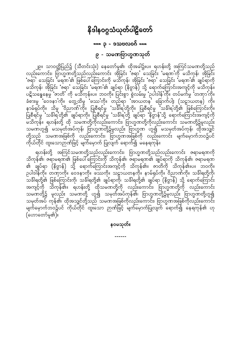## နိဒါန၀ဂွသံယုတ်ပါဠိတော်

#### ၉ - သမဏဗြာဟ္မဏသုတ်

၂၉။ သာဝတ္ထိပြည်၌ (သီတင်းသုံး) နေတော်မူ၏၊ ထိုအခါ၌။ပ။ ရဟန်းတို့ အကြင်သမဏတို့သည် လည်းကောင်း၊ ဗြာဟ္မဏတို့သည်လည်းကောင်း အိုခြင်း 'ဇရာ' သေခြင်း 'မရဏ'ကို မသိကုန်၊ အိုခြင်း 'ဇရာ' သေခြင်း 'မရဏ'၏ ဖြစ်ပေါ် ကြောင်းကို မသိကုန်၊ အိုခြင်း 'ဇရာ' သေခြင်း 'မရဏ'၏ ချုပ်ရာကို မသိကုန်၊ အိုခြင်း 'ဇရာ' သေခြင်း 'မရဏ'၏ ချုပ်ရာ (နိဗ္ဗာန်) သို့ ရောက်ကြောင်းအကျင့်ကို မသိကုန်။ ပဋိသန္ဓေနေမှု ဇာတိ' ကို မသိကုန်။ပ။ ဘဝကို။ ပြင်းစွာ စွဲလမ်းမှု 'ဉပါဒါန် ကို။ တပ်မက်မှု 'တဏှာ'ကို။ ခံစားမှု ီဝေဒနာ'ကို။ တွေ့ထိမှု 'ဖဿ'ကို။ တည်ရာ 'အာယတန' ခြောက်ပါး (သဠာယတန) ကို။<br>နာမ်ရုပ်ကို။ သိမှု 'ဝိညာဏ်'ကို။ ပြုစီရင်မှု 'သင်္ခါရ'တို့ကို။ ပြုစီရင်မှု 'သင်္ခါရ'တို့၏ ဖြစ်ကြောင်းကို။ ပြုစီရင်မှု 'သင်္ခါရီတို့၏ ချုပ်ရာကို။ ပြုစီရင်မှု 'သင်္ခါရဲတို့ ချုပ်ရာ 'နိဗ္ဗာန်'သို့ ရောက်ကြောင်းအကျင့်ကို မိသိကုန်။ ရဟန်းတို့ ထို သမဏတို့ကိုလည်းကောင်း၊ ဗြာဟ္မဏတို့ကိုလည်းကောင်း သမဏတို့၌မူလည်း သမဏဟူ၍ မသမုတ်အပ်ကုန်၊ ဗြာဟ္မဏတို့၌မူလည်း ဗြာဟ္မဏ ဟူ၍ မသမုတ်အပ်ကုန်၊ ထိုအသျှင် တို့သည် သမဏအဖြစ်ကို လည်းကောင်း၊ ငြာဟွဏအဖြစ်ကို လည်းကောင်း မျက်မှောက်ဘဝ၌ပင် ကိုယ်တိုင် ထူးသောဉာဏ်ဖြင့် မျက်မှောက် ပြုလျက် ရောက်၍ မနေရကုန်။

ရဟန်းတို့ အကြင်သမဏတို့သည်လည်းကောင်း၊ ဗြာဟ္မဏတို့သည်လည်းကောင်း ဇရာမရဏကို သိကုန်၏၊ ဇရာမရဏ၏ ဖြစ်ပေါ်ကြောင်းကို သိကုန်၏၊ ဇရာမီရဏ၏ ချုပ်ရာကို သိကုန်၏၊ ဇရာမရဏ ၏ ချုပ်ရာ (နိဗ္ဗာန်) သို့ ရောက်ကြောင်းအကျင့်ကို သိကုန်၏။ ဇာတိကို သိကုန်၏။ပ။ ဘဝကို။ ဉပါဒါနီကို။ တဏှာကို။ ဝေဒနာကို။ ဖဿကို။ သဠာယတနကို။ နာမ်ရုပ်ကို။ ဝိညာဏ်ကို။ သင်္ခါရတို့ကို၊ သင်္ခါရတို့၏ ဖြစ်ကြောင်းကို၊ သင်္ခါရတို့၏ ချုပ်ရာကို၊ သင်္ခါရတို့၏ ချုပ်ရာ (နိဗ္ဗာန်) သို့ ရောက်ကြောင်း အကျင့်ကို သိကုန်၏။ ရဟန်းတို့ ထိုသမဏတို့ကို လည်းကောင်း၊ ဗြာဟ္မဏတို့ကို လည်းကောင်း သမဏတို့၌ မူလည်း သမဏတို့ ဟူ၍ သမုတ်အပ်ကုန်၏၊ ဗြာဟ္မဏတို့၌မူလည်း ဗြာဟ္မဏတို့ဟူ၍ သမုတ်အပ် ကုန်၏၊ ထိုအသျှင်တို့သည် သမဏအဖြစ်ကိုလည်းကောင်း၊ ဗြာဟ္မဏအဖြစ်ကိုလည်းကောင်း<br>မျက်မှောက်ဘဝ၌ပင် ကိုယ်တိုင် ထူးသော ဉာဏ်ဖြင့် မျက်မှောက်ပြုလျက် ရောက်၍ နေရကုန်၏ ဟု (ဟောတော်မူ၏)။

နဝမသုတ်။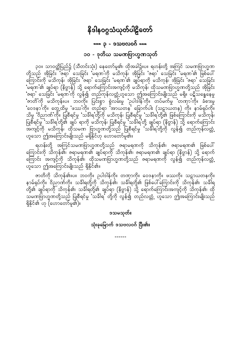#### နိဒါနဝဂ္ဂသံယုတ်ပါဠိတော်

## 

#### ၁၀ - ဒုတိယ သမဏဗြာဟ္မဏသုတ်

၃၀။ သာဝတ္ထိပြည်၌ (သီတင်းသုံး) နေတော်မူ၏၊ ထိုအခါ၌။ပ။ ရဟန်းတို့ အကြင် သမဏဗြာဟ္မဏ တို့သည် အိုခြင်း ဇရာ သေခြင်း မ်ရဏႛကို မသိကုန်၊ အိုခြင်း 'ဇရာႛ သေခြင်း 'မရဏႛ၏ ဖြစ်ပေါ် ကြောင်းကို မသိကုန်၊ အိုခြင်း 'ဇရာ' သေခြင်း 'မရဏ'၏ ချပ်ရာကို မသိကုန်၊ အိုခြင်း 'ဇရာ' သေခြင်း မရဏ'၏ ချုပ်ရာ (နိဗ္ဗာန်) သို့ ရောက်ကြောင်းအကျင့်ကို မသိကုန်၊ ထိုသမဏဗြာဟ္မဏတို့သည် အိုခြင်း 'ဇရာ' သေခြင်း 'မရဏ'ကို လွန်၍ တည်ကုန်လတ္တံ့ဟူသော ဤအကြောင်းမျိုးသည် မရှိ။ ပဋိသန္ဓေနေမှု<br>'ဇာတိ'ကို ့မသိကုန်။ပ။ ဘဝကို။ ပြင်းစွာ စွဲလမ်းမှု 'ဥပါဒါန်'ကို။ တပ်မက်မှု 'တဏ္ဍာ'ကို။ ခံစားမှု 'ဝေဒနာ'ကို။ တွေ့ထိမှု 'ဖဿ'ကို။ တည်ရာ 'အာယတန<sup>ှ</sup>' ခြောက်ပါး (သဠာယတန) ကို။ နာမ်ရုပ်ကို။ သိမှု 'ဝိညာဏ်'ကို။ ပြုစီရင်မှု 'သင်္ခါရ'တို့ကို မသိကုန်၊ ပြုစီရင်မှု 'သင်္ခါရ'တို့၏ ဖြစ်ကြောင်းကို မသိကုန်၊ .<br>ပြုစီရင်မှု သင်္ခါရတို့၏ ချုပ် ရာကို မသိကုန်၊ ပြုစီရင်မှု သင်္ခါရတို့ ချုပ်ရာ (နိဗ္ဗာန်) သို့ ရောက်ကြောင်း မြို့သည်။<br>မြို့တွင် အသည် အသည် အသည် အသည် အမျိုးကို အသည် အသည် တည်တုန်လတ္တံ့ .<br>ဟူသော ဤအကြောင်းမျိုးသည် မရှိနိုင်ဟု ဟောတော်မူ၏။

ရဟန်းတို့ အကြင်သမဏဗြာဟ္မဏတို့သည် ဇရာမရဏကို သိကုန်၏၊ ဇရာမရဏ၏ ဖြစ်ပေါ် ကြောင်းကို သိကုန်၏၊ ဇရာမရဏ၏ ချုပ်ရာကို သိကုန်၏၊ ဇရာမရဏ၏ ချုပ်ရာ (နိဗ္ဗာန်) သို့ ရောက် ကြောင်း အကျင့်ကို သိကုန်၏၊ ထိုသမဏဗြာဟ္မဏတို့သည် ဇရာမရဏကို လွန်၍ တည်ကုန်လတ္တံ့ .<br>ဟူသော ဤအကြောင်းမျိုးသည် ရှိနိုင်၏။

ဇာတိကို သိကုန်၏။ပ။ ဘဝကို။ ဉပါဒါန်ကို။ တဏှာကို။ ဝေဒနာကို။ ဖဿကို။ သဠာယတနကို။ နာမ်ရုပ်ကို။ ဝိညာဏ်ကို။ သင်္ခါရတို့ကို သိကုန်၏၊ သင်္ခါရတို့၏ ဖြစ်ပေါ်ကြောင်းကို သိကုန်၏၊ သင်္ခါရ .<br>တို့၏ ချုပ်ရာကို သိကုန်၏၊ သင်္ခါရတို့၏ ချုပ်ရာ (နိဗ္ဗာန်) သို့ ရောက်ကြောင်းအကျင့်ကို သိကုန်၏၊ ထို ရှိနိုင်၏ ဟု (ဟောတော်မူ၏)။

ဒသမသုတ်။

သုံးခုမြောက် ဒသဗလဝဂ် ပြီး၏။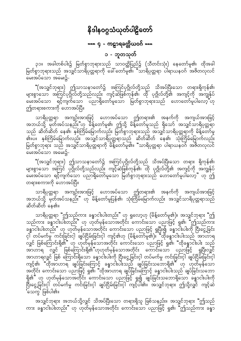#### နိဒါန၀ဂ္ဂသံယုတ်ပါဠိတော်

## === ၄ - ကဠာရခတ္တိယဝဂ် ===

၁ - ဘူတသုတ်

၃၁။ အခါတစ်ပါး၌ မြတ်စွာဘုရားသည် သာဝတ္ထိပြည်၌ (သီတင်းသုံး) နေတော်မူ၏၊ ထိုအခါ<br>မြတ်စွာဘုရားသည် အသျှင်သာရိပုတ္တရာကို ခေါ် တော်မူ၏၊ သာရိပုတ္တရာ ပါရာယနဝဂ် အဇိတလုလင် မေးအပ်သော အမေး၌-

"(အသျှင်ဘုရား) ဤသာသနာတော်၌ အကြင်ပုဂ္ဂိုလ်တို့သည် သိအပ်ပြီးသော တရားရှိကုန်၏၊ များစွာသော အကြင်ပုဂ္ဂိုလ်တို့သည်လည်း ကျင့်ဆဲဖြစ်ကုန်၏၊ ထို ပုဂ္ဂိုလ်တို့၏ အကျင့်ကို အကျွန်ုပ် မေးအပ်သော ရင့်ကျက်သော ပညာရှိတော်မူသော မြတ်စွာဘုရားသည် ဟောတော်မူပါလော့"ဟု ဤတရားစကားကို ဟောအပ်ပြီ။

သာရိပုတ္တရာ အကျဉ်းအားဖြင့် ဟောအပ်သော ဤတရား၏ အနက်ကို အကျယ်အားဖြင့် အဘယ်သို့ မှတ်အပ်သနည်း"ဟု မိန့်တော်မူ၏၊ ဤသို့ မိန့်တော်မူသည် ရှိသော် အသျှင်သာရိပုတ္တရာ သည် ဆိတ်ဆိတ် နေ၏၊ နှစ်ကြိမ်မြောက်လည်း မြတ်စွာဘုရားသည် အသျှင်သာရိပုတ္တရာကို မိန့်တော်မူ ၏။ပ။ နှစ်ကြိမ်မြောက်လည်း အသျှင်သာရိပုတ္တရာသည် ဆိတ်ဆိတ် နေ၏၊ သုံးကြိမ်မြောက်လည်း မြတ်စွာဘုရား သည် အသျှင်သာရိပုတ္တရာကို မိန့်တော်မူ၏။ "သာရိပုတ္တရာ ပါရာယနဝဂ် အဇိတလုလင် မေးအပ်သော အမေး၌-

"(အသျှင်ဘုရား) ဤသာသနာတော်၌ အကြင်ပုဂ္ဂိုလ်တို့သည် သိအပ်ပြီးသော တရား ရှိကုန်၏၊ များစွာသော အကြင် ပုဂ္ဂိုလ်တို့သည်လည်း ကျင့်ဆဲဖြစ်ကုန်၏၊ ထို ပုဂ္ဂိုလ်တို့၏ အကျင့်ကို အကျွန်ုပ် မေးအပ်သော ရင့်ကျက်သော ပညာရှိတော်မူသော မြတ်စွာဘုရားသည် ဟောတော်မူပါလော့" ဟု ဤ တရားစကားကို ဟောအပ်ပြီ။

သာရိပုတ္တရာ အကျဉ်းအားဖြင့် ဟောအပ်သော ဤတရား၏ အနက်ကို အကျယ်အားဖြင့်<br>အဘယ်သို့ မှတ်အပ်သနည်း" ဟု မိန့်တော်မူပြန်၏၊ သုံးကြိမ်မြောက်လည်း အသျှင်သာရိပုတ္တရာသည် ဆိတ်ဆိတ် နေ၏။

သာရိပုတ္တရာ "ဤသည်ကား ခန္ဓာငါးပါးတည်း" ဟု ရှုလော့ဟု (မိန့်တော်မူ၏)။ အသျှင်ဘုရား "ဤ သည်ကား ခန္ဓာငါးပါးတည်း" ဟု ဟုတ်မှန်သောအတိုင်း ကောင်းသော ပညာဖြင့် ရှု၏၊ "ဤသည်ကား ခန္ဓာငါးပါးတည်း" ဟု ဟုတ်မှန်သောအတိုင်း ကောင်းသော ပညာဖြင့် ရှုပြီး၍ ခန္ဓာငါးပါးကို ငြီးငွေ့ခြင်း ငှါ တပ်မက်မှု ကင်းခြင်းငှါ ချုပ်ငြိမ်းခြင်းငှါ ကျင့်၏ဟု (မိန့်တော်မှု၏)။ "ထိုခန္ဓာငါးပါးသည် အာဟာရ .<br>လျှင် ဖြစ်ကြောင်းရှိ၏" ဟု ဟုတ်မှန်သောအတိုင်း ကောင်းသော ပညာဖြင့် ရှု၏၊ "ထိုခန္ဓာငါးပါး သည် အာဟာရ လျှင် ဖြစ်ကြောင်းရှိ၏"ဟုဟုတ်မှန်သောအတိုင်း ကောင်းသော ပညာဖြင့် ရှုပြီးလျှင် အာဟာရလျှင် ဖြစ် ကြောင်းရှိသော ခန္ဓာငါးပါးကို ငြီးငွေ့ခြင်းငှါ တပ်မက်မှု ကင်းခြင်းငှါ ချုပ်ငြိမ်းခြင်းငှါ<br>ကျင့်၏၊ "ထိုအာဟာရ ချုပ်ခြင်းကြောင့် ခန္ဓာငါးပါးသည် ချုပ်ခြင်းသဘောရှိ၏" ဟု ဟုတ်မှန်သော အတိုင်း ကောင်းသော ပညာဖြင့် ရှု၏၊ "ထိုအာဟာရ ချုပ်ခြင်းကြောင့် ခန္ဓာငါးပါးသည် ချုပ်ခြင်းသဘော ရှိ၏" ဟု ဟုတ်မှန်သောအတိုင်း ကောင်းသော ပညာဖြင့် ရှု၍ ချုပ်ခြင်းသဘောရှိသော ခန္ဓာငါးပါးကို ်သေက္ခ ဖြစ်ပါ၏။

အသျှင်ဘုရား အဘယ်သို့လျှင် သိအပ်ပြီးသော တရားရှိသူ ဖြစ်သနည်း။ အသျှင်ဘုရား "ဤသည် ကား ခန္ဓာငါးပါးတည်း" ဟု ဟုတ်မှန်သောအတိုင်း ကောင်းသော ပညာဖြင့် ရှု၏၊ "ဤသည်ကား ခန္ဓာ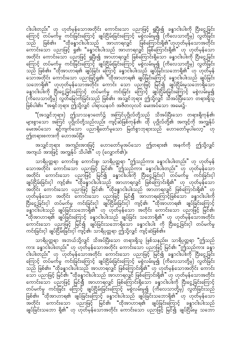ငါးပါးတည်း" ဟု ဟုတ်မှန်သောအတိုင်း ကောင်းသော ပညာဖြင့် ရှုပြီး၍ ခန္ဓာငါးပါးကို ငြီးငွေ့ခြင်း ကြောင့် တပ်မက်မှု ကင်းခြင်းကြောင့် ချုပ်ငြိမ်းခြင်းကြောင့် မစွဲလမ်းမူ၍ (ကိလေသာတို့မှ) လွတ်ခြင်း ာက် ပြစ်၏။ "ထိုခန္ဓာငါးပါးသည် အာဟာရလျှင် ဖြစ်ကြောင်းရှိ၏"ဟုဟုတ်မှန်သောအတိုင်း ကောင်းသော ပညာဖြင့် ရှို့၏၊ "ခန္ဓာငါးပါးသည် အာဟာရလျှင် ဖြစ်ကြောင်းရှို့၏" ဟု ဟုတ်မှန်သော အတိုင်း ကောင်းသော ပညာဖြင့် ရှုပြီး၍ အာဟာရလျှင် ဖြစ်ကြောင်းရှိသော ခန္ဓာငါးပါးကို ငြီးငွေ့ခြင်း ကြောင့် တပ်မက်မှု ကင်းခြင်းကြောင့် ချုပ်ငြိမ်းခြင်းကြောင့် မစွဲလမ်းမူ၍ (ကိလေသာတို့မှ) လွတ်ခြင်း သည် ဖြစ်၏။ "ထိုအာဟာရ၏ ချုပ်ခြင်း ကြောင့် ခန္ဓာငါးပါးသည် ချုပ်ခြင်းသဘောရှိ၏" ဟု ဟုတ်မှန် သောအတိုင်း ကောင်းသော ပညာဖြင့်ရှု၏၊ "ထိုအာဟာရ၏ ချုပ်ခြင်းကြောင့် ခန္ဓာငါးပါးသည် ချုပ်ခြင်း သဘောရှိ၏" ဟုဟုတ်မှန်သောအတိုင်း ကောင်း သော ပညာဖြင့် မြင်၍ ချုပ်ငြိမ်းမှုသဘောရှိသော ခန္ဓာငါးပါးကို ငြီးငွေ့ခြင်းကြောင့် တပ်မက်မှု ကင်းခြင်း ကြောင့် ချုပ်ငြိမ်းခြင်းကြောင့် မစွဲလမ်းမူ၍  $\alpha$ ကိုလေသာတို့မှ $\alpha$  လွတ်မြောက်ခြင်းသည် ဖြစ်၏။ အသျှင်ဘုရား ဤသို့လျှင် သိအပ်ပြီးသော တရားရှိသူ ဖြစ်ပါ၏။ "အရှင်ဘုရား ဤသို့လျှင် ပါရာယနဝဂ် အဇိတလုလင် မေးအပ်သော အမေး၌-

"(အသျှင်ဘုရား) ဤသာသနာတော်၌ အကြင်ပုဂ္ဂိုလ်တို့သည် သိအပ်ပြီးသော တရားရှိကုန်၏၊ များစွာသော အကြင် ပုဂ္ဂိုလ်တို့သည်လည်း ကျင့်ဆဲဖြစ်ကုန်၏၊ ထို ပုဂ္ဂိုလ်တို့၏ အကျင့်ကို အကျွန်ုပ် ္မွာ<br>မေးအပ်သော ရင့်ကျက်သော ပညာရှိတော်မူသော မြတ်စွာဘုရားသည် ဟောတော်မူပါလော့" ဟု ဤတရားစကားကို ဟောအပ်ပြီ။

အသျှင်ဘုရား အကျဉ်းအားဖြင့် ဟောတော်မူအပ်သော ဤတရား၏ အနက်ကို ဤသို့လျှင် အကျယ် အားဖြင့် အကျွန်ုပ် သိပါ၏" ဟု (လျှောက်၏)။

သာရိပုတ္တရာ ကောင်းစွ ကောင်းစွ၊ သာရိပုတ္တရာ **"**ဤသည်ကား ခန္ဓာငါးပါးတည်း" ဟု ဟုတ်မှန် သောအတိုင်း ကောင်းသော ပညာဖြင့် မြင်၏၊ "ဤသည်ကား ခန္ဓာငါးပါးတည်း" ဟု ဟုတ်မှန်သော tw*ysis* of the source of the control of the second of the central of the control of the control of the control o<br>အတိုင်း ကောင်းသော ပညာဖြင့် မြင်၍ ခန္ဓာငါးပါးကို ငြီးငွေ့ခြင်းငှါ တပ်မက်မှု ကင်းခြင်းငှါ ချုပ်ငြိမ်းခြင်းငှါ ကျင့်၏။ "ထိုခန္ဓာငါးပါးသည် အာဟာရလျှင် ဖြစ်ကြောင်းရှိ၏" ဟု ဟုတ်မှန်သော  $\frac{1}{\sqrt{2}}$ အတိုင်း ကောင်းသော ပညာဖြင့် မြင်၏၊ ထိုခန္ဓာငါးပါးသည် အာဟာရလျှင် ဖြစ်ကြောင်းရှိ၏ ဟု ဟုတ်မှန်သော အတိုင်း ကောင်းသော ပညာဖြင့် မြင်၍ အာဟာရကြောင့်ဖြစ်သော ခန္ဓာငါးပါးကို ငြီးငွေ့ခြင်းငှါ တပ်မက်မှု ကင်းခြင်းငှါ ချပ်ြိမ်ိုးခြင်းငှါ ကျင့်၏၊ "ထိုအာဟာရ၏ ချုပ်ခြင်းကြောင့် ခန္ဓာငါးပါးသည် ချုပ်ခြင်းသဘောရှိ၏" ဟု ဟုတ်မှန်သော အတိုင်း ကောင်းသော ပညာဖြင့် မြင်၏၊ "ထိုအာဟာရ၏ ချဲပ်ခြင်းကြောင့် ခန္ဓာငါးပါးသည် ချုပ်ခြင်း သဘောရှိ၏" ဟု ဟုတ်မှန်သောအတိုင်း ကောင်းသော ပညာဖြင့် မြင်၍ ချုပ်ခြင်းသဘောရှိသော ခန္ဓာငါးပါး ကို ငြီးငွေ့ခြင်းငှါ တပ်မက်မှု ကင်းခြင်းငှါ ချုပ်ငြိမ်းခြင်းငှါ ကျင့်၏၊ သာရိပုတ္တရာ ဤသို့လျှင် ကျင့်ဆဲဖြစ်၏။

သာရိပုတ္တရာ အဘယ်သို့လျှင် သိအပ်ပြီးသော တရားရှိသူ ဖြစ်သနည်း။ သာရိပုတ္တရာ "ဤသည် ကား ခန္ဓာငါးပါးတည်း" ဟု ဟုတ်မှန်သောအတိုင်း ကောင်းသော ပညာဖြင့် မြင်၏၊ "ဤသည်ကား ခန္ဓာ ငါးပါးတည်း" ဟု ဟုတ်မှန်သောအတိုင်း ကောင်းသော ပညာဖြင့် မြင်၍ ခန္ဓာငါးပါးကို ငြီးငွေ့ခြင်း ကြောင့် တပ်မက်မူ ကင်းခြင်းကြောင့် ချုပ်ငြိမ်းခြင်းကြောင့် မစွဲလမ်းမူ၍ (ကိလေသာတို့မှ) လွတ်ခြင်း သည် ဖြစ်၏။ "ထိုခန္ဓာငါးပါးသည် အာဟာရလျှင် ဖြစ်ကြောင်းရှိ၏" ဟု ဟုတ်မှန်သောအတိုင်း ကောင်း သော ပညာဖြင့် မြင်၏၊ "ထိုခန္ဓာငါးပါးသည် အာဟာရလျှင် ဖြစ်ကြောင်းရှိ၏" ဟု ဟုတ်မှန်သောအတိုင်း ကောင်းသော ပညာဖြင့် မြင်၍ အာဟာရလျှင် ဖြစ်ကြောင်းရှိသော ခန္ဓာငါးပါးကို ငြီးငွေ့ခြင်းကြောင့် တပ်မက်မှု ကင်းခြင်း ကြောင့် ချုပ်ငြိမ်းခြင်းကြောင့် မစွဲလမ်းမှု၍ (ကိလေသာတို့မှ) လွတ်ခြင်းသည် ဖြစ်၏။ "ထိုအာဟာရ၏ ချုပ်ခြင်းကြောင့် ခန္ဓာငါးပါးသည် ချုပ်ခြင်းသဘောရှိ၏" ဟု ဟုတ်မှန်သော ...<br>အတိုင်း ကောင်းသော ပညာဖြင့် မြင်၏၊ "ထိုအာဟာရ၏ ချုပ်ခြင်းကြောင့် ခန္ဓာငါးပါးသည် ချုပ်ခြင်းသဘော ရှိ၏" ဟု ဟုတ်မှန်သောအတိုင်း ကောင်းသော ပညာဖြင့် မြင်၍ ချုပ်ငြိမ်းမှု သဘော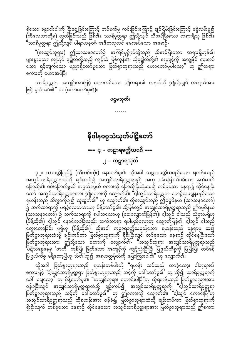ရှိသော ခန္ဓာငါးပါးကို ငြီးငွေ့ခြင်းကြောင့် တပ်မက်မှု ကင်းခြင်းကြောင့် ချုပ်ငြိမ်းခြင်းကြောင့် မစွဲလမ်းမူ၍ ု<br>(ကိလေသာတို့မှ) လွတ်ခြင်းသည် ဖြစ်၏။ သာရိပုတ္တရာ ဤသို့လျှင် သိအပ်ပြီးသော တရားရှိသူ ဖြစ်၏။ "သာရိပုတ္တရာ ဤသို့လျှင် ပါရာယနဝဂ် အဇိတလုလင် မေးအပ်သော အမေး၌-

"(အသျှင်ဘုရား) ဤသာသနာတော်၌ အကြင်ပုဂ္ဂိုလ်တို့သည် သိအပ်ပြီးသော တရားရှိကုန်၏၊<br>များစွာသော အကြင် ပုဂ္ဂိုလ်တို့သည် ကျင့်ဆဲ ဖြစ်ကုန်၏၊ ထိုပုဂ္ဂိုလ်တို့၏ အကျင့်ကို အကျွန်ုပ် မေးအပ် ္ စ<br>သော ရင့်ကျက်သော ပညာရှိတော်မူသော မြတ်စွာဘုရားသည် ဟောတော်မူပါလော့" ဟု ဤတရား စကားကို ဟောအပ်ပြီ။

သာရိပုတ္တရာ အကျဉ်းအားဖြင့် ဟောအပ်သော ဤတရား၏ အနက်ကို ဤသို့လျှင် အကျယ်အား<br>ဖြင့် မှတ်အပ်၏" ဟု (ဟောတော်မူ၏)။

ပဌမသုတ်။

နိဒါနဝဂ္ဂသံယုတ်ပါဠိတော် === ၄ - ကဠာရခတ္တိယဝဂ် === ၂ - ကဠာရသုတ်

၃၂။ သာဝတ္ထိပြည်၌ (သီတင်းသုံး) နေတော်မူ၏၊ ထိုအခါ ကဠာရခတ္တိယမည်သော ရဟန်းသည် အသျှင်သာရိပုတ္တရာထံသို့ ချဉ်းကပ်၍ အသျှင်သာရိပုတ္တရာနှင့် အတူ ဝမ်းမြောက်ဝမ်းသာ နှုတ်ဆက် ပြောဆို၏၊ ဝမ်းမြောက်ဖွယ် အမှတ်ရဖွယ် စကားကို ပြောဆိုပြီးဆုံးစေ၍ တစ်ခုသော နေရာ၌ ထိုင်နေပြီး ို့<br>သော် အသျှင်သာရိပုတ္တရာအား ဤစကားကို လျှောက်၏၊ "ငါ့သျှင်သာရိပုတ္တရာ မောဠိယဖဂ္ဂုနမည်သော ရဟန်းသည် သိက္ခာကိုချ၍ လူထွက်၏" ဟု လျှောက်၏၊ ထိုအသျှင်သည် ဤဓမ္မဝိနယ (သာသနာတော်) .<br>(မိန့်ဆို၏)၊ ငါ့သျှင် နောင်အခါ၌လည်း သက်သာရာ ရပါမည်လောဟု လျှောက်ပြန်၏၊ ငါ့သျှင် ငါသည် တွေးတောခြင်း မရှိဟု (မိန့်ဆို၏)၊ ထိုအခါ ကဠာရခတ္တိယမည်သော ရဟန်းသည် နေရာမှ ထ၍ ျှ<br>မြတ်စွာဘုရားထံသို့ ချဉ်းကပ်ကာ မြတ်စွာဘုရားကို ရှိခိုးပြီးလျှင် တစ်ခုသော နေရာ၌ ထိုင်နေပြီးသော် မြတ်စွာဘုရားအား ဤသို့သော စကားကို လျှောက်၏- "အသျှင်ဘုရား အသျှင်သာရိပုတ္တရာသည် .<br>ပဋိသန္ဓေနေမှု 'ဇာတိ' ကုန်ပြီ၊ မြတ်သော အကျင့်ကို ကျင့်သုံးပြီးပြီ၊ ပြုဖွယ်ကိစ္စကို ပြုပြီးပြီ၊ တစ်ဖန် ပြုဖွယ်ကိစ္စ မရှိတော့ပြီဟု သိ၏ ဟူ၍ အရဟတ္တဖိုလ်ကို ပြောကြားပါ၏" ဟု လျှောက်၏။

ထိုအခါ မြတ်စွာဘုရားသည် ရဟန်းတစ်ပါးကို "ရဟန်း သင်သည် လာခဲ့လော့၊ ငါဘုရား၏ စကားဖြင့် 'ငါ့သျှင်သာရိပုတ္တရာ မြတ်စွာဘုရားသည် သင့်ကို ခေါ် တော်မူ၏' ဟု ဆို၍ သာရိပုတ္တရာကို မိက်အမြန္ ႏိုင္ငံျပင္ထား ျပည္ပညာေၾကာင့္ ေနရင္ ေလာက္ေတြကို အတြက္လည္ ေတြကို မိုးေတြကို အသံ<br>ေခါ် ချေလော့" ဟု မိန့်တော်မူ၏၊ "အသျှင်ဘုရား ကောင်းပါပြီ"ဟု ထိုရဟန်းသည် မြတ်စွာဘုရားအား<br>ပန်ခံပြီးလျှင် အသျှင်သာရိပုတ္တရာထံသို့ ချဉ်းက -<br>အသျှင်သာရိပုတ္တရာသည် ထိုရဟန်းအား ဝန်ခံ၍ မြတ်စွာဘုရားထံသို့ ချဉ်းကပ်ကာ မြတ်စွာဘုရားကို ရှိုးခိုးလျက် တစ်ခုသော နေရာ၌ ထိုင်နေသော အသျှင်သာရိပုတ္တရာအား မြတ်စွာဘုရားသည် ဤစကား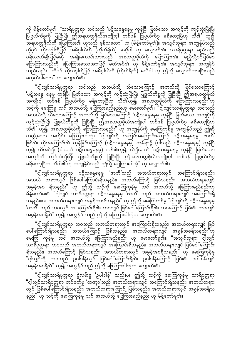ကို မိန့်တော်မူ၏၊ "သာရိပုတ္တရာ သင်သည် 'ပဋိသန္ဓေနေမှု ကုန်ပြီ၊ မြတ်သော အကျင့်ကို ကျင့်သုံးပြီးပြီ၊ ပြုဖွယ်ကိစ္စကို ပြုပြီးပြီ၊ ဤအရဟတ္တဖိုလ်အကျိုးငှါ တစ်ဖန် ပြုဖွယ်ကိစ္စ မရှိတော့ပြီဟု သိ၏ ဟူ၍ င်း<br>အရဟတ္တဖိုလ်ကို ပြောကြား၏ ဟူသည် မှန်သလော" ဟု (မိန့်တော်မူ၏)။ အသျှင်ဘုရား အကျွန်ုပ်သည် ထိုပုဒ် ထိုသဒ္ဒါတို့ဖြင့် အဓိပ္ပါယ်ကို (တိုက်ရိုက်) မဆိုပါ ဟု လျှောက်၏၊ သာရိပုတ္တရာ မည်သည့် ပရိယာယ်မျိုးဖြင့်မဲဆို အမျိုးကောင်းသားသည် အရဟတ္တဖိုလ်ကို ပြောကြား၏၊ မည့်သို့ပင်ဖြစ်စေ ပြောကြားသည်ကို ပြောကြားသောအားဖြင့် မှတ်အပ်၏ ဟု မိန့်တော်မူ၏၊ အသျှင်ဘုရား အကျွန်ုပ်<br>သည်လည်း "ထိုပုဒ် ထိုသဒ္ဒါတို့ဖြင့် အဓိပ္ပါယ်ကို (တိုက်ရိုက်) မသိပါ ဟု ဤသို့ လျှောက်ထားပြီးသည် မဟုတ်ပါလော"်ဟု လျှောက်၏။

<mark>"</mark>ငါ့သျှင်သာရိပုတ္တရာ သင်သည် အဘယ်သို့ သိသောကြောင့် အဘယ်သို့ မြင်သောကြောင့် .<br>ပဋိသန္ဓေ နေမှု ကုန်ပြီ၊ မြတ်သော အကျင့်ကို ကျင့်သုံးပြီးပြီ၊ ပြုဖွယ်ကိစ္စကို ပြုပြီးပြီ၊ ဤအရဟတ္တဖိုလ် အကျိုးငှါ တစ်ဖန် ပြုဖွယ်ကိစ္စ မရှိတော့ပြီဟု သိ၏'ဟူ၍ အရဟတ္တဖိုလ်ကို ပြောကြားသနည်း'ဟု သင့်ကို မေးကြမူ သင် အဘယ်သို့ ဖြေကြားမည်နည်းဟု မေးတော်မူ၏။ "ငါ့သျှင်သာရိပုတ္တရာ သင်သည် -<br>အဘယ်သို့ သိသောကြောင့် အဘယ်သို့ မြင်သောကြောင့် ပဋိသန္ဓေနေမှု ကုန်ပြီ၊ မြတ်သော အကျင့်ကို ကျင့်သုံးပြီးပြီ၊ ပြုဖွယ်ကိစ္စကို ပြုပြီးပြီ၊ ဤအရဟတ္တဖိုလ်အကျိုးငှါ တစ်ဖန် ပြုဖွယ်ကိစ္စ မရှိတော့ပြီဟု သိ၏ ဟူ၍ အရဟတ္တဖိုလ်ကို ပြောကြားသနည်း" ဟု အကျွန်ုပ်ကို မေးကြကုန်မူ အကျွန်ုပ်သည် ဤဆို လတ္တံ့သော အတိုင်း ဖြေကြားပါအံ့။ ငါ့သျှင်တို့ အကြင်အကြောင်းကြောင့် ပဋိသန္ဓေနေမှု ဇာတိ ပြီး ကို အိုင်ပြီး အသည် ပြီးသို့ အောက် အိုင်ပြီး အိုင်း အိုင်ပြီး အိုင်ပြီး အိုင်ပြီး အိုင်ပြီး မြိတ်သော<br>ပြု၍ သိအပ်ပြီ၊ (ငါသည် ပဋိသန္ဓေနေမှု) ကုန်၏ဟူ၍ သိပြီးသော် 'ပဋိသန္ဓေနေမှု ကုန်ပြီ၊ မြတ်သော ႜႝၣႍ<br>အကျင့်ကို ကျင့်သုံးပြီးပြီ၊ ပြုဖွယ်ကိစ္စကို ပြုပြီးပြီ၊ ဤအရဟတ္တဖိုလ်အကျိုးငှါ တစ်ဖန် ပြုဖွယ်ကိစ္စ မရှိတော့ပြီဟု သိပါ၏ ဟု အကျွန်ုပ်သည် ဤသို့ ဖြေကြားပါအံ့" ဟု လျှောက်၏။

"င့ါ့သျှင်သာရိပုတ္တရာ ပဋိသန္ဓေနေမှု 'ဇာတိ'သည် အဘယ်တရားလျှင် အကြောင်းရှိသနည်း၊ အဘယ် တရားလျှင် ဖြစ်ပေါ်ကြောင်းရှိသနည်း၊ အဘယ်ကြောင့် ဖြစ်သနည်း၊ အဘယ်တရားလျှင်<br>အမွန်အစ ရှိသနည်း" ဟု ဤသို့ သင့်ကို မေးကြကုန်မူ သင် အဘယ်သို့ ဖြေကြားမည်နည်းဟု<br>မိန့်တော်မူ၏၊ "ငါ့သျှင် သာရိပုတ္တရာ ပဋိသန္ဓေနေမှု 'ဇာတိ' သည် အဘယ်တရ သနည်း။ပဲ။ အဘယ်တရားလျှင် အမွန်အစရှိသနည်း" ဟု ဤသို့ မေးကြကုန်မူ "ငါ့သျှင်တို့ ပဋိသန္ဓေနေမှု<br>'ဇာတိ' သည် ဘဝလျှင် အ ကြောင်းရှိ၏၊ ဘဝလျှင် ဖြစ်ပေါ် ကြောင်းရှိ၏၊ ဘဝကြောင့် ဖြစ်၏၊ ဘဝလျှင် အမွန်အစရှိ၏" ဟူ၍ အကျွန်ုပ် သည် ဤသို့ ဖြေကြားပါအံ့ဟု လျှောက်၏။

"ငါ့သျှင်သာရိပုတ္တရာ ဘဝသည် အဘယ်တရားလျှင် အကြောင်းရှိသနည်း၊ အဘယ်တရားလျှင် ဖြစ်<br>ပေါ်ကြောင်းရှိသနည်း၊ အဘယ်ကြောင့် ဖြစ်သနည်း၊ အဘယ်တရားလျှင် အမွန်အစရှိသနည်း''ဟု မေးကြ ကုန်မူ သင် အဘယ်သို့ ဖြေကြားမည်နည်း ဟု မေးတော်မူ၏။ "အသျှင်ဘုရား ငါ့သျှင် သာရိပုတ္တရာ ဘဝသည် အဘယ်တရားလျှင် အကြောင်းရှိသနည်း၊ အဘယ်တရားလျှင် ဖြစ်ပေါ် ကြောင်း ရှိသနည်း၊ အဘယ်ကြောင့် ဖြစ်သနည်း၊ အဘယ်တရားလျှင် အမွန်အစရှိသနည်း" ဟု မေးကြကုန်မူ "င့ါ့သျှင်တို့ ဘဝသည် ဉပါဒါန်လျှင် ဖြစ်ပေါ်ကြောင်းရှိ၏၊ ဉပါဒါန်ကြောင့် ဖြစ်၏၊ ဉပါဒါန်လျှင် အမွန်အစရှိ၏" ဟူ၍ အကျွန်ုပ်သည် ဤသို့ ဖြေကြားပါအံ့ဟု လျှောက်၏။

"င့ါ့သျှင်သာရိပုတ္တရာ စွဲလမ်းမှု 'ဥပါဒါန်' သည်။ပ။ ဤသို့ သင့်ကို မေးကြကုန်မူ သာရိပုတ္တရာ "ငါ့သျှင်သာရိပုတ္တရာ တပ်မက်မှု 'တဏှာ'သည် အဘယ်တရားလျှင် အကြောင်းရှိသနည်း၊ အဘယ်တရား လျှင် ဖြစ်ပေါ်ကြောင်းရှိသနည်း၊ အဘယ်တရားကြောင် ဖြစ်သနည်း၊ အဘယ်တရားလျှင် အမွန်အစရှိသ နည်း" ဟု သင့်ကို မေးကြကုန်မူ သင် အဘယ်သို့ ဖြေကြားမည်နည်း ဟု မိန့်တော်မူ၏။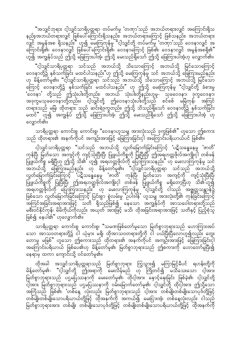"အသျှင်ဘုရား ငါ့သျှင်သာရိပုတ္တရာ တပ်မက်မှု 'တဏှာ'သည် အဘယ်တရားလျှင် အကြောင်းရှိသ နည်း၊အဘယ်တရားလျှင် ဖြစ်ပေါ်ကြောင်းရှိသနည်း၊ အဘယ်တရားကြောင့် ဖြစ်သနည်း၊ အဘယ်တရား vQif trGeftp &Sdoenf;}} [lí ar;Muukefrl ]]ighoQifwdkY wyfrufrI ]wPSm}onf a0'emvQif t ကြောင်းရှိ၏၊ ဝေဒနာလျှင် ဖြစ်ပေါ်ကြောင်းရှိ၏၊ ဝေဒနာကြောင့် ဖြစ်၏၊ ဝေဒနာလျှင် အမွန်အစရှိ၏" ကြော် အကျွန်ုပ်သည် ဤသို့ ဖြေကြားပါအံ့၊ ဤသို့ မေးသည်ရှိသော် ဤသို့ ဖြေကြားပါအံ့ဟု လျှောက်၏။

"ငါ့သျှင်သာရိပုတ္တရာ သင်သည် အဘယ်သို့ သိသောကြောင့် အဘယ်သို့ မြင်သောကြောင့် ၀ေဒနာတို့၌ နှစ်သက်ခြင်း မထင်ပါသနည်း<sup>"</sup>ဟု ဤသို့ မေးကြကုန်မှု သင် အဘယ်သို့ ဖြေကြားမည်နည်း ဟု မိန့်တော်မူ၏။ "ငါ့သျှင်သာရိပုတ္တရာ သင်သည် အဘယ်သို့ သိသောကြောင့် အဘယ်သို့ မြင်သော ကြောင့် ဝေဒနာတို့၌ နှစ်သက်ခြင်း မထင်ပါသနည်း" ဟု ဤသို့ မေးကြကုန်မူ "ငါ့သျှင်တို့ ခံစားမှု ]a0'em} wdkYonf þoHk;yg;wdkYwnf;? tb,f oHk;yg;wdkYenf;[lrl- okca0'em? 'ku©a0'em? အဒုက္ခမသုခဝေဒနာတို့တည်း။ ငါ့သျှင်တို့ ဤဝေဒနာသုံးပါးတို့သည် စင်စစ် မမြဲကုန်၊ အကြင် တရားသည် မမြဲ၊ ထိုတရား သည် ဆင်းရဲဒုက္ခတည်း၊ ဤသို့ သိသည်ရှိသော် ဝေဒနာတို့၌ နှစ်သက်ခြင်း မထင်" ဟူ၍ အကျွန်ုပ် ဤသို့ ဖြေကြားပါအံ့၊ ဤသို့ မေးသည်ရှိသော် ဤသို့ ဖြေကြားပါအံ့ ဟု လျှောက်၏။

သာရိပုတ္တရာ ကောင်းစွ ကောင်းစွ၊ "ဝေဒနာဟူသမျှ အားလုံးသည် ဒုက္ခဖြစ်၏" ဟူသော ဤစကား သည် ထိုတရား၏ အနက်ကိုပင် အကျဉ်းအားဖြင့် ဖြေကြားခြင်းငှါ အကြောင်းပရိယာယ်ပင် ဖြစ်၏။

င့ါသျှင်သာရိပုတ္တရာ "သင်သည် အဘယ်သို့ လွတ်မြောက်ခြင်းကြောင့် 'ပဋိသန္ဓေနေမှု 'ဇာတိ' ကုန်ပြီ၊ မြတ်သော အကျင့်ကို ကျင့်သုံးပြီးပြီ၊ ပြုဖွယ်ကိစ္စကို ပြုပြီးပြီ၊ ဤအရဟတ္တဖိုလ်အကျိုးငှါ တစ်ဖန် ပြုဖွယ်ကိစ္စ မရှိပြီဟု ဤသို့ သိ၏ 'ဟူ၍ အရဟတ္တဖိုလ်ကို ပြောကြားသနည်း" ဟု မေးလာကြကုန်မူ သင် အဘယ်သို့ ဖြေကြားမည်နည်း ဟု မိန့်တော်မူ၏။ "ငါ့သျှင်သာရိပုတ္တရာ သင်သည် အဘယ်သို့ လွတ်မြောက်ခြင်းကြောင့် ပဋိသန္ဓေနေမှု ဇာတိ' ကုန်ပြီ၊ မြတ်သော အကျင့်ကို ကျင့်သုံးပြီးပြီ၊ ပြုဖွယ်ကိစ္စကို ပြုပြီးပြီ၊ ဤအရဟတ္တဖိုလ်အကျိုးငှါ တစ်ဖန် ပြုဖွယ်ကိစ္စ မရှိတော့ပြီဟု သိ၏'ဟူ၍ အရဟတ္တဖိုလ်ကို ပြောကြားသနည်း" ဟု မေးလာကြကုန်မူ "ငါ့သျှင်တို့ ငါသည် အဇ္ဈတ္တသန္တာန်၌ jabi bizot jama ve miriških jama ve miriških jurijskih jama.<br>Rojskih jama ve filozofici poveden je večini povezničava je filozoficijskih predstava ve filozoficiram je pove အကြင်အခြင်းအရာအားဖြင့် သတိ ရှိသည်ဖြစ်၍ နေသော အကျွန်ုပ်ကို အာသဝေါတရားတို့သည် မစီးဝင်နိုင်ကုန်၊ မိမိကိုယ်ကိုလည်း အယုတ် အားဖြင့် မသိ၊ ထိုအခြင်းအရာအားဖြင့် သတိနှင့် ပြည့်စုံသူ ဖြစ်၍ နေပါ၏ $"$  ဟုလျှောက်၏။

သာရိပုတ္တရာ ကောင်းစွ ကောင်းစွ၊ "သမဏဖြစ်တော်မူသော မြတ်စွာဘုရားသည် ဟောကြားအပ် သော အာသဝတရားတို့၌ ငါ ယုံမှား မရှိ၊ ထိုအာသဝတရားတို့ကို ငါ ပယ်ပြီးပြီလောဟူ၍လည်း တွေး တောမူ မဖြစ်" ဟူသော ဤစကားသည် ထိုတရား၏ အနက်ကိုပင် အကျဉ်းအားဖြင့် ဖြေကြားခြင်းငှါ အကြောင်းပရိယာယ် ဖြစ်ပေ၏ဟု မိန့်တော်မူ၏၊ မြတ်စွာဘုရားသည် ဤစကားကို ဟောတော်မူပြီး၍ နေရာမှ ထကာ ကျောင်းသို့ ဝင်တော်မူ၏။

ထိုအခါ အသျှင်သာရိပုတ္တရာသည် မြတ်စွာဘုရား ကြွသွား၍ မကြာမြင့်မီပင် ရဟန်းတို့ကို rdefillom: المسابق المسابق والمسابق والمسابق والمسابق والمسابق والمسابق والمسابق والمسابق والمسابق والمسابق وا<br>مسابق المسابق والمسابق والمسابق والمسابق والمسابق والمسابق والمسابق والمسابق والمسابق والمسابق والمسابق والمسا မြတ်စွာဘုရားသည် ပဌမပြဿနာကို မေးတော်မူ၏၊ ထိုငါ့အား နောင့်နှေးခြင်း ဖြစ်ခဲ့၏၊ ငါ့သျှင်တို့ ငါ့အား မြတ်စွာဘုရားသည် ပဌမပြဿနာကို ဝမ်းမြောက်တော်မူ၏၊ ငါ့သျှင်တို့ ထိုငါ့အား ဤသို့သော အကြံသည် ဖြစ်၏၊ တစ်နေ့ လုံးလည်း မြတ်စွာဘုရားသည် ငါ့အား တစ်မျိုးတစ်မျိုးသောပုဒ်တို့ဖြင့် wpf ကို ကို ကို တိုက်ကွန်းကို ထိုအနက်ကို အကယ်၍ မေးငြားအံ့၊ တစ်နေ့လုံးလည်း ငါသည်<br>- တစ်မျိုးတစ်မျိုးသောပရိယာယ်တို့ဖြင့် ထိုအနက်ကို အကယ်၍ မေးငြားအံ့၊ တစ်နေ့လုံးလည်း ငါသည် မြတ်စွာဘုရားအား တစ်မျိုး တစ်မျိုးသောပုဒ်တို့ဖြင့် တစ်မျိုးတစ်မျိုးသောပရိယာယ်တို့ဖြင့် ထိုအနက်ကို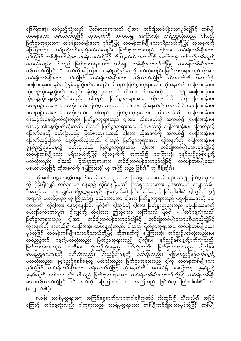ဖြေကြားအံ့။ တစ်ညဉ့်လုံးလည်း မြတ်စွာဘုရားသည် ငါ့အား တစ်မျိုးတစ်မျိုးသောပုဒ်တို့ဖြင့် တစ်မျိုး တစ်မျိုးသော ပရိယာယ်တို့ဖြင့် ထိုအနက်ကို အကယ်၍ မေးငြားအံ့၊ တစ်ညဉ့်လုံးလည်း ငါသည် မြတ်စွာဘုရားအား တစ်မျိုးတစ်မျိုးသော ပုဒ်တို့ဖြင့် တစ်မျိုးတစ်မျိုးသောပရိယာယ်တို့ဖြင့် ထိုအနက်ကို ajzMum;tHh/ wpfnOfhwpfaeYwdkYywfvHk;vnf; jrwfpGmbk&m;onf ightm; wpfrsKd;wpfrsKd;aom ပုဒ်တို့ဖြင့် တစ်မျိုးတစ်မျိုးသောပရိယာယ်တို့ဖြင့် ထိုအနက်ကို အကယ်၍ မေးငြားအံ့၊ တစ်ညဉ့်တစ်နေ့တို့ ပတ်လုံးလည်း ငါသည် မြတ်စွာဘုရားအား တစ်မျိုး တစ်မျိုးသောပုဒ်တို့ဖြင့် တစ်မျိုးတစ်မျိုးသော y<br>ပရိယာယ်တို့ဖြင့် ထိုအနက်ကို ဖြေကြားအံ့။ နှစ်ညဉ့်နှစ်နေ့တို့ ပတ်လုံးလည်း မြတ်စွာဘုရားသည် ငါ့အား တစ်မျိုးတစ်မျိုးသော ပုဒ်တို့ဖြင့် တစ်မျိုးတစ်မျိုးသော ပရိယာယ်တို့ဖြင့် ထိုအနက်ကို အကယ်၍ မေးငြားအံ့။ပ။ နှစ်ညဉ့်နှစ်နေ့တို့ပတ်လုံးလည်း ငါသည် မြတ်စွာဘုရားအား ထိုအနက်ကို ဖြေကြားအံ့။ပ။ သုံးညဉ့်သုံးနေ့တို့ပတ်လုံးလည်း မြတ်စွာဘုရားသည် ငါ့အား ထိုအနက်ကို အကယ်၍ မေးငြားအံ့။ပ။ သုံးညဉ့်သုံးနေ့တို့ပတ်လုံးလည်း ငါသည် မြတ်စွာဘုရားအား ထိုအနက်ကို ဖြေ ကြားအံ့။ပ။ ကော်ညှိလေးနေ့တို့ပတ်လုံးလည်း မြတ်စွာဘုရားသည် ငါ့အား ထိုအနက်ကို အကယ်၍ မေး ငြားအံ့။ပ။ လေးညဉ့်လေးနေ့တို့ပတ်လုံးလည်း ငါသည် မြတ်စွာဘုရားအား ထိုအနက်ကို ဖြေကြားအံ့။ပ။ ငါးညဉ့်ငါးနေ့တို့ပတ်လုံးလည်း မြတ်စွာဘုရားသည် ငါ့အား ထိုအနက်ကို အကယ်၍ မေးငြားအံ့။ပ။ ငါးညဉ့် ငါးနေ့တို့ပတ်လုံးလည်း ငါသည် မြတ်စွာဘုရားအား ထိုအနက်ကို ဖြေကြားအံ့။ပ။ ခြောက်ညဉ့် ကြောက်နေ့တို့ ပတ်လုံးလည်း မြတ်စွာဘုရားသည် ငါ့အား ထိုအနက်ကို အကယ်၍ မေးငြားအံ့။ပ။ ခြောက်ညဉ့်ခြောက် နေ့တို့ပတ်လုံးလည်း ငါသည် မြတ်စွာဘုရားအား ထိုအနက်ကို ဖြေကြားအံ့။ပ။ ခုနှစ်ညဉ့်ခုနှစ်နေ့တို့ ပတ်လုံးလည်း မြတ်စွာဘုရားသည် ငါ့အား တစ်မျိုးတစ်မျိုးသောပုဒ်တို့ဖြင့် ြစ် တို့ဆိုင်း<br>တစ်မျိုးတစ်မျိုးသော ပရိယာယ်တို့ဖြင့် ထိုအနက်ကို အကယ်၍ မေးငြားအံ့၊ ခုနစ်ညဉ့်ခုနစ်နေ့တို့ ပတ်လုံးလည်း ငါသည် မြတ်စွာဘုရားအား တစ်မျိုးတစ်မျိုးသောပုဒ်တို့ဖြင့် တစ်မျိုးတစ်မျိုးသော ပရိယာယ်တို့ဖြင့် ထိုအနက်ကို ဖြေကြားအံ့' ဟု အကြံ သည် ဖြစ်၏" ဟု မိန့်ဆို၏။

ထိုအခါ ကဠာရခတ္တိယရဟန်းသည် နေရာမှ ထကာ မြတ်စွာဘုရားထံသို ချဉ်းကပ်၍ မြတ်စွာဘုရား ကို ရှိခိုးပြီးလျှင် တစ်ခုသော နေရာ၌ ထိုင်နေပြီးသော် မြတ်စွာဘုရားအား ဤစကားကို လျှောက်၏- $\lq\lq$ အသျှင်ဘုရား အသျှင်သာရိပုတ္တရာသည် ခြင်္သေ့မင်း၏ ကြုံးဝါးခြင်းကဲ့သို့ ကြုံးဝါးပါ၏၊ ငါ့သျှင်တို့ ဤ အရာကို မေးလိမ့်မည် ဟု ကြိုတင်၍ မသိသေးသော ငါ့အား မြတ်စွာဘုရားသည် ပဌမပြဿနာကို မေး တော်မူ၏၊ ထိုငါ့အား နှောင့်နှေးခြင်း ဖြစ်ခဲ့၏၊ ငါ့သျှင်တို့ ငါ့အား မြတ်စွာဘုရားသည် ပဌမပြဿနာကို ၀မ်းမြောက်တော်မူ၏၊ ငါ့သျှင်တို့ ထိုငါ့အား ဤသို့သော အကြံသည် ဖြစ်၏ - 'တစ်နေ့လုံးလည်း မြတ်စွာဘုရားသည် ငါ့အား တစ်မျိုးတစ်မျိုးသောပုဒ်တို့ဖြင့် တစ်မျိုးတစ်မျိုးသောပရိယာယ်တို့ဖြင့် .<br>ထိုအနက်ကို အကယ်၍ မေးငြားအံ့၊ တစ်နေ့လုံးလည်း ငါသည် မြတ်စွာဘုရာအား တစ်မျိုးတစ်မျိုးသော ပုဒ်တို့ဖြင့် တစ်မျိုးတစ်မျိုးသောပရိယာယ်တို့ဖြင့် ထိုအနက်ကို ဖြေကြားအံ့၊ တစ်ညဉ့်ပတ်လုံးလည်း။ပ။ ာစ်ညဉ့်တစ် နေ့တို့ပတ်လုံးလည်း မြတ်စွာဘုရားသည် ငါ့ကို။ပ။ နှစ်ညဉ့်နှစ်နေ့တို့ပတ်လုံးလည်း မြတ်စွာဘုရားသည် ငါ့ကို။ပ။ သုံးညဉ့်သုံးနေ့တို့ ပတ်လုံးလည်း မြတ်စွာဘုရားသည် ငါ့ကို။ပ။ av;nOfhav;aeYwdkY ywfvHk;vnf;/ ig;nOfhig;aeYwdkY ywfvHk;vnf;/ ajcmufnOfhajcmufaeYwdkY ပတ်လုံးလည်း။ ခုနစ်ညဉ့်ခုနစ်နေ့တို့ ပတ်လုံးလည်း မြတ်စွာဘုရားသည် ငါ့ကို တစ်မျိုးတစ်မျိုးသော ပုဒ်တို့ဖြင့် တစ်မျိုးတစ်မျိုးသော ပရိယာယ်တို့ဖြင့် ထိုအနက်ကို အကယ်၍ မေးငြားအံ့၊ ခုနှစ်ညဉ့် ခုနှစ်နေ့တို့ ပတ်လုံးလည်း ငါသည် မြတ်စွာဘုရားအား တစ်မျိုးတစ်မျိုးသောပုဒ်တို့ဖြင့် တစ်မျိုးတစ်မျိုး သောပရိယာယ်တို့ဖြင့် ထိုအနက်ကို ဖြေကြားအံ့' ဟု အကြံသည် ဖြစ်၏ဟု ကြုံးဝါးပါ၏" ဟု (လျှောက်၏)။

ရဟန်း သာရိပုတ္တရာအား အကြင်ဓမ္မဓာတ်သာဝကပါရမီဉာဏ်၌ ထိုးထွင်း၍ သိသည်၏ အဖြစ် ကြောင့် တစ်နေ့လုံးလည်း ငါဘုရားသည် သာရိပုတ္တရာအား တစ်မျိုးတစ်မျိုးသောပုဒ်တို့ဖြင့် တစ်မျိုး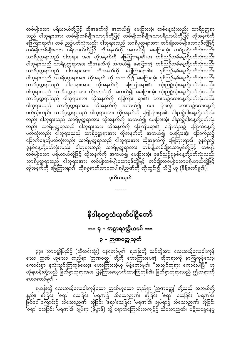တစ်မျိုးသော ပရိယာယ်တို့ဖြင့် ထိုအနက်ကို အကယ်၍ မေးငြားအံ့၊ တစ်နေ့လုံးလည်း သာရိပုတ္တရာ သည် ငါဘုရားအား တစ်မျိုးတစ်မျိုးသောပုဒ်တို့ဖြင့် တစ်မျိုးတစ်မျိုးသောပရိယာယ်တို့ဖြင့် ထိုအနက်ကို ဖြေကြားရာ၏။ တစ် ညဉ့်ပတ်လုံးလည်း ငါဘုရားသည် သာရိပုတ္တရာအား တစ်မျိုးတစ်မျိုးသောပုဒ်တို့ဖြင့် တစ်မျိုးတစ်မျိုးသော ပရိယာယ်တို့ဖြင့် ထိုအနက်ကို အကယ်၍ မေးငြားအံ့၊ တစ်ညဉ့်ပတ်လုံးလည်း သာရိပုတ္တရာသည် ငါဘုရား အား ထိုအနက်ကို ဖြေကြားရာ၏။ပ။ တစ်ညဉ့်တစ်နေ့တို့ပတ်လုံးလည်း ငါဘုရားသည် သာရိပုတ္တရာအား ထိုအနက်ကို အကယ်၍ မေးငြားအံ့၊ တစ်ညဉ့်တစ်နေ့တို့ပတ်လုံးလည်း သာရိပုတ္တရာသည် ငါဘုရားအား ထိုအနက်ကို ဖြေကြားရာ၏။ နှစ်ညဉ့်နှစ်နေ့တို့ပတ်လုံးလည်း ငါဘုရားသည် သာရိပုတ္တရာအား ထိုအနက် ကို အကယ်၍ မေးငြားအံ့၊ နှစ်ညဉ့်နှစ်နေ့တို့ပတ်လုံးလည်း သာရိပုတ္တရာသည် ငါဘုရားအား ထိုအနက်ကို ဖြေကြားရာ၏။ သုံးညဉ့်သုံးနေ့တို့ပတ်လုံးလည်း i) လိုက် တိုက် တိုက်တွေ့<br>ငါဘုရားသည် သာရိပုတ္တရာအား ထိုအနက်ကို အကယ်၍ မေးငြားအံ့၊ သုံးညဉ့်သုံးနေ့တို့ပတ်လုံးလည်း သာရိပုတ္တရာသည် ငါဘို ၊ႏွားအား ထိုအနက်ကို ဖြေကြား ရာ၏။ လေးညဉ့်လေးနေ့တို့ပတ်လုံးလည်း ငါဘုရားသည် သာရိပုတ္တရာအား ထိုအနက်ကို အကယ်၍ မေး ငြားအံ့၊ လေးညဉ့်လေးနေ့တို့ ပတ်လုံးလည်း သာရိပုတ္တရာသည် ငါဘုရားအား ထိုအနက်ကို ဖြေကြားရာ၏၊ ငါးညဉ့်ငါးနေ့တို့ပတ်လုံး လည်း ငါဘုရားသည် သာရိပုတ္တရာအား ထိုအနက်ကို အကယ်၍ မေးငြားအံ့၊ ငါးညဉ့်ငါးနေ့တို့ပတ်လုံး လည်း သာရိပုတ္တရာသည် ငါဘုရားအား ထိုအနက်ကို ဖြေကြားရာ၏၊ ခြောက်ညှို့ ခြောက်နေ့တို့ ပတ်လုံးလည်း ငါဘုရားသည် သာရိပုတ္တရာအား ထိုအနက်ကို အကယ်၍ မေးငြားအံ့၊ ခြောက်ညဉ့် ခြောက်နေ့တို့ပတ်လုံးလည်း သာရိပုတ္တရာသည် ငါဘုရားအား ထိုအနက်ကို ဖြေကြားရာ၏၊ ခုနစ်ညဉ့် ခုနှစ်နေ့တို့ပတ်လုံးလည်း ငါဘုရားသည် သာရိပုတ္တရာအား တစ်မျိုးတစ်မျိုးသောပုဒ်တို့ဖြင့် တစ်မျိုး wpfrag;<br>တစ်မျိုးသော ပရိယာယ်တို့ဖြင့် ထိုအနက်ကို အကယ်၍ မေးငြားအံ့၊ ခုနစ်ညဉ့်ခုနစ်နေ့တို့ပတ်လုံးလည်း သာရိပုတ္တရာသည် ငါဘုရားအား တစ်မျိုးတစ်မျိုးသောပုဒ်တို့ဖြင့် တစ်မျိုးတစ်မျိုးသောပရိယာယ်တို့ဖြင့် ထိုအနက်ကို ဖြေကြားရာ၏၊ ထိုဓမ္မဓာတ်သာဝကပါရမီဉာဏ်ကို ထိုးထွင်း၍ သိပြီ ဟု (မိန့်တော်မူ၏)။

'ဒုတိယသုတ်

------

#### နိဒါန၀ဂွသံယုတ်ပါဠိတော် )<br>D  $\frac{1}{2}$  $\vdots$ d d f

[====== 44 -- uuVVmm&&ccww](#page-4-0) dd,d ,00\*\* f ====== å å

၃ - ဉာဏဝတ္ထုသုတ်

၃၃။ သာဝတ္ထိပြည်၌ (သီတင်းသုံး) နေတော်မူ၏၊ ရဟန်းတို့ သင်တို့အား လေးဆယ့်လေးပါးကုန် သော ဉာဏ် ဟူသော တည်ရာ 'ဉာဏဝတ္ထု' တို့ကို ဟောကြားပေအံ့၊ ထိုတရားကို နာကြကုန်လော့၊ ကောင်းစွာ နှလုံးသွင်းကြကုန်လော့၊ ဟောကြားအံ့ဟု မိန့်တော်မူ၏၊ "အသျှင်ဘုရား ကောင်းပါပြီ" ဟု ထိုရဟန်းတို့သည် မြတ်စွာဘုရားအား ပြန်ကြားလျှောက်ထားကြကုန်၏၊ မြတ်စွာဘုရားသည် ဤတရားကို  $\sim$ ကာတော်မူ၏ -

ရဟန်းတို့ လေးဆယ့်လေးပါးကုန်သော ဉာဏ်ဟူသော တည်ရာ 'ဉာဏဝတ္ထု' တို့သည် အဘယ်တို့ နည်း၊ အိုခြင်း 'ဇရာ' သေခြင်း 'မရဏ'၌ သိသောဉာဏ်၊ အိုခြင်း 'ဇရာ' သေခြင်း 'မရဏ'၏ ဖြစ်ပေါ်ကြောင်း၌ သိသောဉာဏ်၊ အိုခြင်း 'ဇရာ'သေခြင်း 'မရဏ'၏ ချုပ်ရာ၌ သိသောဉာဏ်၊ အိုခြင်း  $\mathcal{L}_{\infty}$ ကြောင်း မြရက $\mathcal{L}_{\infty}$ ါရော $\mathcal{L}_{\infty}$  (နိဗ္ဗာန်) သို့ ရောက်ကြောင်းအကျင့်၌ သိသောဉာဏ်။ ပဋိသန္ဓေနေမှု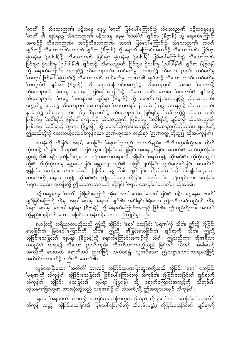်ဇာတိႛ ၌ သိသောဉာဏ်၊ ပဋိသန္ဓေ နေမှု ်ဇာတိႛ ဖြစ်ပေါ်ကြောင်း၌ သိသောဉာဏ်၊ ပဋိသန္ဓေနေမှု  $\cdot$ ဇာတိ $\cdot$  ၏ ချုပ်ရာ၌ သိသောဉာဏ်၊ ပဋိသန္ဓေ နေမှု 'ဇာတိ'၏ ချုပ်ရာ (နိဗ္ဗာန်) သို့ ရောက်ကြောင်း အကျင့်၌ သိသောဉာဏ်။ ဘဝ၌သိသောဉာဏ်၊ ဘဝ၏ ဖြစ်ပေါ်ကြောင်း၌ သိသောဉာဏ်၊ ဘဝ၏ ချုပ်ရာ၌ သိသောဉာဏ်၊ ဘဝ၏ ချုပ်ရာ (နိဗ္ဗာန်) သို့ ရောက် ကြောင်းအကျင့်၌ သိသောဉာဏ်။ ပြင်းစွာ စွဲလန်းမှု 'ဥပါဒါန်'၌ သိသောဉာဏ်၊ ပြင်းစွာ စွဲလန်းမှု 'ဥပါဒါန်' ဖြစ်ပေါ်ကြောင်း၌ သိသောဉာဏ်၊ ပြင်းစွာ စွဲလန်းမှု ဉ်ပါဒါန်'၏ ချုပ်ရာ၌ သိသောဉာဏ်၊ ပြင်းစွာ စွဲလန်းမှု 'ဉပါဒါန်'၏ ချုပ်ရာ (နိဗ္ဗာန်) ာ လိုက်ပြောင်း အကျင့်၌ သိသောဉာဏ်။ တပ်မက်မှု တဏှာ ၌ သိသော ဉာဏ်၊ တပ်မက်မှု  $\,$ ်တဏှာ $\,$  ဖြစ်ပေါ် ကြောင်း၌ သိသောဉာဏ်၊ တပ်မက်မှု 'တဏှာ'၏ ချုပ်ရာ၌ သိသော ဉာဏ်၊ တပ်မက်မှု **'**တဏှာ'၏ ချုပ်ရာ (နိဗ္ဗာန်) သို့ ရောက်ကြောင်းအကျင့်၌ သိသောဉာဏ်။ ခံစားမှု 'ဝေဒနာ'၌ သိသောဉာဏ်၊ ခံစားမှု 'ဝေဒနာ' ဖြစ်ပေါ်ကြောင်း၌ သိသောဉာဏ်၊ ခံစားမှု 'ဝေဒနာ'၏ ချုပ်ရာ၌ သိသောဉာဏ်၊ ခံစားမှု 'ဝေဒနာ'၏ ချုပ်ရာ (နိဗ္ဗာန်) သို့ ရောက်ကြောင်းအကျင့်၌ သိသောဉာဏ်။ တွေ့ထိမှု ဖသာ'၌ သိသောဉာဏ်။ပ။ တည်ရာ 'အာယတန'ခြောက်ပါး (သဠာယတန) ၌ သိသောဉာဏ်။<br>ကြွယ်မှု နာမ်ရှပ်၌ သိသောဉာဏ်။ သိမှု 'ဝိညာဏ်'၌ သိသောဉာဏ်။ ပြုစီရင်မှု 'သင်္ခါရ*ပ်*ဝို့၌ သိသောဉာဏ်၊ ပြုစီရင်မှု 'သခ်ီါရ'တို့ ဖြစ်ပေါ်ကြောင်း၌ သိသောဉာဏ်၊ ပြုစီရင်မှု 'သင်္ခါရ'တို့ ချုပ်ရာ၌ သိသောဉာဏ်၊ )<br>ပြုစီရင်မှု 'သခ်ါရ'တို့ ချုပ်ရာ (နိဗ္ဗာန်) သို့ ရောက်ကြောင်းအကျင့်၌ သိသောဉာဏ်တို့တည်း။ ရဟန်းတို့ ကြသည်တို့ကို လေးဆယ့်လေးပါးကုန်သော ဉာဏ်ဟူသော တည်ရာ 'ဉာဏဝတ္ထု'တို့ဟူ၍ ဆိုအပ်ကုန်၏။

ရဟန်းတို့ အိုခြင်း 'ဇရာ', သေခြင်း 'မရဏ'ဟူသည် အဘယ်နည်း၊ ထိုထိုသတ္တဝါတို့အား ထိုထို ဘုံဘဝ၌ အိုခြင်း အိုသည်၏ အဖြစ် သွားကျိုးခြင်း ဆံဖြူခြင်း အရေတွန့်ခြင်း အသက်၏ ဆုတ်ယုတ်ခြင်း  $\varpi$ န္ဒြေတို့၏ ရင့်ကျက်ခြင်းဟူသော ဤသဘောတရားကို အိုခြင်း 'ဇရာ'ဟူ၍ ဆိုအပ်၏။ ထိုထိုသတ္တဝါ ...<br>တို့၏ ထိုထိုဘုံဘဝမှ ရွေ့လျောခြင်း ရွေ့လျောသည်၏ အဖြစ် ပျက်ခြင်း ကွယ်ပျောက်ခြင်း အသက်ကို စွန့်ခြင်း သေခြင်း ဘဝအဆုံးကို ပြုခြင်း ခန္ဓာတို့၏ ပျက်ခြင်း ကိုယ်ကောင်ကို ပစ်ချခြင်းဟူသော ာ်မိဘာကို မရဏ ဟူ၍ ဆိုအပ်၏။ ဤသည်ကား အိုခြင်း 'ဇရာ'တည်း၊ ဤသည်ကား သေခြင်း 'မရဏ'တည်း။ ရဟန်းတို့ ဤသဘောတရားကို အိုခြင်း 'ဇရာ', သေခြင်း 'မရဏ'ဟု ဆိုအပ်၏။

ပဋိသန္ဓေနေမှု 'ဇာတိ' ဖြစ်ခြင်းကြောင့် အိုမှု 'ဇရာ' သေမှု 'မရဏ' ဖြစ်၏၊ ပဋိသန္ဓေနေမှု 'ဇာတိ' ချုပ်ခြင်းကြောင့် အိုမှု 'ဇရာ' သေမှု 'မရဏ' ချုပ်၏၊ အင်္ဂါရှစ်ပါးရှိသော ဤအရိယမဂ်သည်ပင် အိုမှု ်ဇရာႛ သေမှု 'မရဏႛ ချုပ်ရာ (နိဗ္ဗာန်) သို့ ရောက်ကြောင်းအကျင့် ဖြစ်၏။ ဤသည်တို့ကား အဘယ် တို့နည်း၊ မှန်ကန် သော အမြင်။ပ။ မှန်ကန်သော တည်ကြည်မှုတည်း။

ရဟန်းတို့ အရိယာတပည့်သည် ဤသို့ အိုခြင်း 'ဇရာ' သေခြင်း 'မရဏ'ကို သိ၏၊ ဤသို့ အိုခြင်း သေခြင်း၏ ဖြစ်ပေါ်ကြောင်းကို သိ၏၊ ဤသို့ အိုခြင်းသေခြင်း၏ ချုပ်ရာကို သိ၏၊ ဤသို့ အိုခြင်းသေခြင်း၏ ချုပ်ရာ (နိဗ္ဗာန်)သို့ ရောက်ကြောင်းအကျင့်ကို သိ၏။ ဤသည်ကား ထိုအရိယာ တပည့်၏ တရား၌ သိသော ဉာဏ်တည်း၊ ထိုအရိယာတပည့်သည် မြင်အပ် သိအပ် အခါမလင့် အကျိုးကို ပေးတတ် ရောက်အပ် ဉာဏ်ဖြင့် သက်ဝင်၍ ယူအပ်သော ဤသစ္စာလေးပါးတရားတို့ဖြင့် အတိတ်အနာဂတ်၌ နည်းကို ဆောင်၏။

လွန်လေပြီးသော 'အတိတ်' ကာလ၌ အကြင်သမဏဗြာဟ္မဏတို့သည် အိုခြင်း 'ဇရာ' သေခြင်း ်မရဏ)ကို သိကုန်၏၊ အိုခြင်းသေခြင်း၏ ဖြစ်ပေါ်ကြောင်းကို သိကုန်၏၊ အိုခြင်းသေခြင်း၏ ချုပ်ရာကို သိကုန်၏၊ အိုခြင်း သေခြင်း၏ ချုပ်ရာ (နိဗ္ဗာန်) သို့ ရောက်ကြောင်းအကျင့်ကို သိကုန်၏၊ ထိုသမဏဗြာဟ္မဏ အားလုံးတို့သည် ယခုအခါ၌ ငါ သိသကဲ့သို့ ဤအတူသာလျှင် သိကုန်၏။

နောင် 'အနာဂတ်' ကာလ၌ အကြင်သမဏဗြာဟ္မဏတို့သည် အိုခြင်း 'ဇရာ' သေခြင်း 'မရဏ'ကို သိကုန် လတ္တံ့၊ အိုခြင်းသေခြင်း၏ ဖြစ်ပေါ်ကြောင်းကို သိကုန်လတ္တံ့၊ အိုခြင်းသေခြင်း၏ ချုပ်ရာကို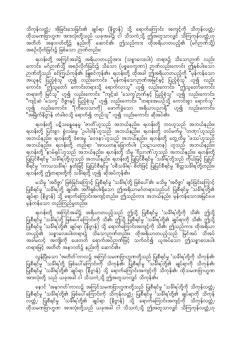သိကုန်လတ္တံ့၊ အိုခြင်းသေခြင်း၏ ချုပ်ရာ (နိဗ္ဗာန်) သို့ ရောက်ကြောင်း အကျင့်ကို သိကုန်လတ္တံ့၊ ထိုသမဏဗြာဟ္မဏ အားလုံးတို့သည် ယခုအခါ၌ ငါ သိသကဲ့သို့ ဤအတူသာလျှင် သိကြကုန်လတ္တံ့ဟု အတိတ် အနာဂတ်တို့၌ နည်းကို ဆောင်၏၊ ဤသည်ကား ထိုအရိယာတပည့်၏ (မဂ်ဉာဏ်သို့) အစဉ်လိုက်ခြင်း၌ ဖြစ်သော ဉာဏ်တည်း။

ရဟန်းတို့ အကြင်အခါ၌ အရိယာတပည့်အား (သစ္စာလေးပါး) တရား၌ သိသောဉာဏ် လည်း ကောင်း၊ မဂ်ဉာဏ်သို့ အစဉ်လိုက်ခြင်း၌ သိသော (ပစ္စဝေက္ခဏာ) ဉာဏ်လည်းကောင်း ဤနှစ်ပါးသော ဉာဏ်တို့သည် စင်ကြယ်ကုန်၏၊ ဖြူစင်ကုန်၏။ ရဟန်းတို့ ထိုအခါ ဤအရိယာတပည့်ကို "မှန်ကန်သော<br>အယူနှင့် ပြည့်စုံသူ" ဟူ၍ လည်းကောင်း၊ "မှန်ကန်သောဉာဏ်အမြင့်နှင့် ပြည့်စုံသူ" ဟူ၍ လည်း ကောင်း၊ "ဤသူတော် ကောင်းတရားသို့ ရောက်လာသူ" ဟူ၍ လည်းကောင်း၊ "ဤသူတော်ကောင်း<br>တရားကို မြင်သူ" ဟူ၍ လည်းကောင်း၊ "ကျင့်ဆဲ 'သေက္ခ'ဉာဏ်နှင့် ပြည့်စုံသူ" ဟူ၍ လည်းကောင်း၊ "ကျင့်ဆဲ 'သေက္ခ' ဝိဇ္ဇာနှင့် ပြည့်စုံသူ" ဟူ၍ လည်းကောင်း၊ "တရားအယဉ်သို့ ကောင်းစွာ ရောက်သူ" ဟူ၍ လည်းကောင်း၊ "(ကိလေသာကို) ဖောက်ခွဲသော အရိယာပညာရှိ" ဟူ၍ လည်းကောင်း၊ "အမြိုက်နိဗ္ဗာန် တံခါးဝသို့ ရောက်၍ တည်သူ" ဟူ၍ လည်းကောင်း ဆိုအပ်၏။

ရဟန်းတို့ ပဋိသန္ဓေနေမှု 'ဇာတိ'ဟူသည် အဘယ်နည်း။ ရဟန်းတို့ ဘဝဟူသည် အဘယ်နည်း။ ရဟန်းတို့ ပြင်းစွာ စွဲလမ်းမှု ဉပါဒါန် ဟူသည် အဘယ်နည်း။ ရဟန်းတို့ တပ်မက်မှု တဏှာ ဟူသည် အဘယ်နည်း။ ရဟန်းတို့ ခံစားမှု 'ဝေဒနာ'ဟူသည် အဘယ်နည်း။ ရဟန်းတို့ တွေ့ထိမှု 'ဖဿ'ဟူသည် အဘယ်နည်း။ ရဟန်းတို့ တည်ရာ 'အာယတန ခြောက်ပါး (သဠာယတန) ဟူသည် အဘယ်နည်း။ ရဟန်းတို့ 'နာမ်ရုပ်'ဟူသည် အဘယ်နည်း။ ရဟန်းတို့ သိမှု 'ဝိညာဏ်'ဟူသည် အဘယ်နည်း။ ရဟန်းတို့ ပြုပြင်စီရင်မှု 'သင်္ခါရ'တို့ဟူသည် အဘယ်နည်း၊ ရဟန်းတို့ ပြုပြင်စီရင်မှု 'သင်္ခါရ'တို့သည် ကိုယ်ဖြင့် ပြုပြင် စီရင်မှု 'ကာယသင်္ခါရ၊ နူတ်ဖြင့် ပြုပြင်စီရင်မှု 'ဝစီသင်္ခါရ၊ စိတ်ဖြင့် ပြုပြင်စီရင်မှု 'စိတ္တသင်္ခါရတို့တည်း။ ္<br>ရဟန်းတို့ ဤတရားတို့ကို သင်္ခါရတို့ ဟူ၍ ဆိုအပ်ကုန်၏။

မသိမှု 'အဝိဇ္ဇာ' ဖြစ်ခြင်းကြောင့် ပြုစီရင်မှု 'သခ်ီါရ'တို့ ဖြစ်ပေါ် ၏၊ မသိမှု 'အဝိဇ္ဇာ' ချုပ်ခြင်းကြောင့် ပြုစီရင်မူ `သခ်ီါရ တို့ ချုပ်၏၊ အင်္ဂါရှစ်ပါးရှိသော ဤအရိယာမဂ်တရားသည်ပင် ပြုစီရင်မှု `သခ်ီါရ တို့၏ မြစ်က (နိဗ္ဗာန်) သို့ ရောက်ကြောင်းအကျင့်တည်း။ ဤသည်ကား အဘယ်နည်း၊ မှန်ကန်သောအမြင်။ပ။ မှန်ကန်သော တည်ကြည်မှုတည်း။

ရဟန်းတို့ အကြင်အခါ၌ အရိယာတပည့်သည် ဤသို့ ပြုစီရင်မှု 'သင်္ခါရ'တို့ကို သိ၏၊ ဤသို့<br>ပြုစီရင်မှု 'သင်္ခါရ'တို့ ဖြစ်ပေါ်ကြောင်းကို သိ၏၊ ဤသို့ ပြုစီရင်မှု 'သင်္ခါရ'တို့၏ ချုပ်ရာကို သိ၏၊ ဤသို့ ပြုံစီရင်မှု 'သင်္ခါရ'တို့၏ ချုပ်ရာ (နိဗ္ဗာန်) သို့ ရောက်ကြောင်းအကျင့်ကို သိ၏၊ ဤသည်ကား ထိုအရိယာ တပည့်၏ သစ္စာလေးပါးတရား၌ သိသောဉာဏ်တည်း။ ထိုအရိယာတပည့်သည် မြင်အပ် သိအပ် အခါမလင့် အကျိုးကို ပေးတတ် ရောက်အပ်ဉာဏ်ဖြင့် သက်ဝင်၍ ယူအပ်သော ဤသစ္စာလေးပါး တရားဖြင့် အတိတ် အနာဂတ်၌ နည်းကို ဆောင်၏။

လွန်ပြီးသော 'အတိတ်'ကာလ၌ အကြင်သမဏဗြာဟ္မဏတို့သည် ပြုစီရင်မှု 'သခ်ဴါရ'တို့ကို သိကုန်၏၊<br>ပြုစီရင်မှု 'သခ်ဴါရ'တို့ ဖြစ်ပေါ်ကြောင်းကို သိကုန်၏၊ ပြုစီရင်မှု 'သင်္ခါရ'တို့၏ ချုပ်ရာကို သိကုန်၏၊ မြို့စီရင်မှု 'သင်္ခါရ*ဝ*ို့၏ ချုပ်ရာ (နိုဗ္ဗာန်) သို့ ရောက်ကြောင်းအကျင့်ကို သိကုန်၏၊ ထိုသမဏဗြာဟ္မဏ မြားလုံးတို့ သည် ယခုအခါ ငါ သိသကဲ့သို့ ဤအတူသာလျှင် သိကုန်၏။

နောင် 'အနာဂတ်'ကာလ၌ အကြင်သမဏဗြာဟ္မဏတို့သည် ပြုစီရင်မှု 'သခ်ီါရ'တို့ကို သိကုန်လတ္တံ့၊<br>ပြုစီရင်မှု 'သခ်ီါရ'တို့၏ ဖြစ်ပေါ် ကြောင်းကို သိကုန်လတ္တံ့၊ ပြုစီရင်မှု 'သင်္ခါရ'တို့၏ ချုပ်ရာကို သိကုန်<br>လတ္တံ့၊ ပြုစီရင်မှု 'သင်္ခါရ'တို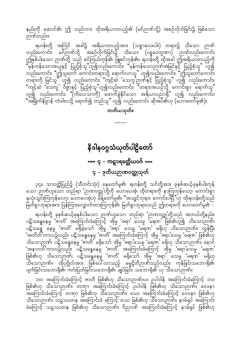နည်းကို ဆောင်၏၊ ဤ သည်ကား ထိုအရိယာတပည့်၏ (မဂ်ဉာဏ်သို့) အစဉ်လိုက်ခြင်း၌ ဖြစ်သော ဉာဏ်တည်း။

ရဟန်းတို့ အကြင် အခါ၌ အရိယာတပည့်အား (သစ္စာလေးပါး) တရား၌ သိသော ဉာဏ် လည်းကောင်း၊ မဂ်ဉာဏ်သို့ အစဉ်လိုက်ခြင်း၌ သိသော (ပစ္စဝေက္ခဏာ) ဉာဏ်လည်းကောင်း ဤနှစ်ပါးသော ဉာဏ်တို့ သည် စင်ကြယ်ကုန်၏၊ ဖြူစင်ကုန်၏။ ရဟန်းတို့ ထိုအခါ ဤအရိယာတပည့်ကို ချုပ<br>'မှန်ကန်သောအယူနှင့် ပြည့်စုံသူ'ဟူ၍လည်းကောင်း၊ ''မှန်ကန်သောဉာဏ်အမြင်နှင့် ပြည့်စုံသူ'' ဟူ၍ လည်းကောင်း၊ "ဤသူတော် ကောင်းတရားသို့ ရောက်လာသူ" ဟူ၍လည်းကောင်း၊ "ဤသူတော်ကောင်း တရားကို မြင်သူ" ဟူ၍ လည်းကောင်း၊ "ကျင့်ဆဲ 'သေက္ခ'ဉာဏ်နှင့် ပြည့်စုံသူ" ဟူ၍ လည်းကောင်း၊ "ကျင့်ဆဲ 'သေက္ခ' ဝိဇ္ဇာနှင့် ပြည့်စုံသူ"ဟူ၍လည်းကောင်း၊ "တရားအယဉ်သို့ ကောင်းစွာ ရောက်သူ" ဟူ၍ လည်းကောင်း၊ "(ကိလေသာကို) ဖောက်ခွဲနိုင်သော အရိယာပညာရှိ" ဟူ၍ လည်းကောင်း၊ "အမြိုက်နိဗ္ဗာန် တံခါးဝသို့ ရောက်၍ တည်သူ" ဟူ၍ လည်းကောင်း ဆိုအပ်၏ဟု (ဟောတော်မူ၏)။

တတိယသုတ်။

------

နိဒါနဝဂွသံယုတ်ပါဠိတော် d )<br>D  $\ddot{\phantom{a}}$  $\frac{1}{2}$ k l<br>. f d d f [====== 44 -- uuVVmm&&ccww](#page-4-0) d d,d,00\*\* f f ====== å å å ၄ - ဒုတိယဉာဏဝတ္ထုသုတ်

၃၄။ သာဝတ္ထိပြည်၌ (သီတင်းသုံး) နေတော်မူ၏၊ ရဟန်းတို့ သင်တို့အား ခုနစ်ဆယ့်ခုနစ်ပါးကုန် သော ဉာဏ်ဟူသော တည်ရာ 'ဉာဏဝတ္တု'တို့ကို ဟောပေအံ့၊ ထိုတရားကို နာကြကုန်လော့၊ ကောင်းစွာ နှလုံးသွင်းကြကုန်လော့၊ ဟောပေအံ့ဟု မိန့်တော်မူ၏၊ "အသျှင်ဘုရား ကောင်းပါပြီ"ဟု ထိုရဟန်းတို့သည် ှ<br>မြတ်စွာဘုရားအား ပြန်ကြားလျှောက်ထားကြကုန်၏၊ မြတ်စွာဘုရားသည် ဤတရားကို ဟောတော်မူ၏ -

ရဟန်းတို့ ခုနစ်ဆယ့်ခုနစ်ပါးသော ဉာဏ်ဟူသော တည်ရာ 'ဉာဏဝတ္ထု'တို့သည် အဘယ်တို့နည်း၊ ပဋိသန္ဓေနေမှု 'ဇာတိ' အကြောင်းခံကြောင့် အိုမှု 'ဇရာ' သေမှု 'မရဏ' ဖြစ်၏ဟူ၍ သိသောဉာဏ်၊ ပဋိသန္ဓေ နေမှု 'ဇာတိ' မရှိခဲ့သော် အိုမှု 'ဇရာ' သေမှု 'မရဏ' မရှိဟု သိသောဉာဏ်။ လွန်ပြီး ်အတိတိႛကာလ၌လည်း ပဋိသန္ဓေနေမှု 'ဇာတိႛ အကြောင်းခံကြောင့် အိုမှု 'ဇရာ'သေမှု 'မရဏႛ ဖြစ်၏ဟု သိသောဉာဏ်၊ ပဋိသန္ဓေနေမှု 'ဇာတိ' မရှိသော် အိုမှု 'ဇရာ'သေမှု 'မရဏဲ 'မရှိဟု သိသောဉာဏ်။ နောင် ်အနာဂတ်´ကာလ၌လည်း ပဋိသန္ဓေနေမှု 'ဇာတိ' အကြောင်းခံကြောင့် အိုမှု 'ဇရာ'သေမှု 'မရဏ' ဖြစ်၏ဟု သိသောဉာဏ်၊ ပဋိသန္ဓေနေမှု 'ဇာတိ' မရှိသော် အိုမှု 'ဇရာ' သမှု 'မရဏ မရှိဟု ာ<br>သိသောဉာဏ်။ ထိုပုဂ္ဂိုလ်အား ဖြစ်ပေါ်လာသည့် ဓမ္မဋ္ဌိတိဉာဏ်သည်လည်း ကုန်ခြင်းသဘောရှိ၏၊ ပျက်ခြင်းသဘောရှိ၏၊ ကင်းပြတ်ခြင်းသဘောရှိ၏၊ ချုပ်ခြင်း သဘောရှိ၏ ဟု သိသောဉာဏ်။

ဘဝ အကြောင်းခံကြောင့် ဇာတိ ဖြစ်၏ဟု သိသောဉာဏ်။ပ။ ဉပါဒါန် အကြောင်းခံကြောင့် ဘဝ ဖြစ်၏ဟု သိသောဉာဏ်။ တဏှာ အကြောင်းခံကြောင့် ဉပါဒါန် ဖြစ်၏ဟု သိသောဉာဏ်။ ဝေဒနာ ပြီး<br>မြောက်ကြောင်းခံကြောင့် တဏှာ ဖြစ်၏ဟု သိသောဉာဏ်။ ဖဿ အကြောင်းခံကြောင့် ဝေဒနာ ဖြစ်၏ဟု တိသောဉာဏ်။ သဠာယတန အကြောင်းခံ ကြောင့် ဖဿ ဖြစ်၏ဟု သိသောဉာဏ်။ နာမ်ရုပ် အကြောင်း ခံကြောင့် သဠာယတန ဖြစ်၏ဟု သိသောဉာဏ်။ ဝိညာဏ် အကြောင်းခံကြောင့် နာမ်ရှပ် ဖြစ်၏ဟု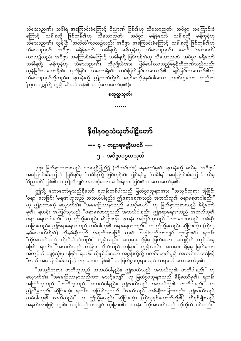သိသောဉာဏ်။ သခ်္ခါရ အကြောင်းခံကြောင့် ဝိညာဏ် ဖြစ်၏ဟု သိသောဉာဏ်။ အဝိဇ္ဇာ အကြောင်းခံ ကြောင့် သင်္ခါရတို့ ဖြစ်ကုန်၏ဟု သိသောဉာဏ်။ အဝိဇ္ဇာ မရှိခဲ့သော် သင်္ခါရတို့ မရှိကုန်ဟု သိသောဉာဏ်။ လွန်ပြီး 'အတိတ်'ကာလ၌လည်း အဝိဇ္ဇာ အကြောင်းခံကြောင့် သင်္ခါရတို့ ဖြစ်ကုန်၏ဟု သိသောဉာဏ်၊ အဝိဇ္ဇာ မရှိခဲ့သော် သင်္ခါရတို့ မရှိကုန်ဟု သိသောဉာဏ်။ နောင် **'**အနာဂတ်' ကာလ၌လည်း အဝိဇ္ဇာ အကြောင်းခံကြောင့် သင်္ခါရတို့ ဖြစ်ကုန်၏ဟု သိသောဉာဏ်၊ အဝိဇ္ဇာ မရှိသော် သခ်ီါရတို့ မရှိကုန်ဟု သိသောဉာဏ်။ ထိုပုဂ္ဂိုလ်အား ဖြစ်ပေါ်လာသည့်ဓမ္မဋိတိဉာဏ်သည်လည်း ကုန်ခြင်းသဘောရှိ၏၊ ပျက်ခြင်း သဘောရှိ၏၊ ကင်းပြတ်ခြင်းသဘောရှိ၏၊ ချုပ်ခြင်းသဘောရှိ၏ဟု 'ဉာဏဝတ္ထု'တို့ ဟူ၍ ဆိုအပ်ကုန်၏ ဟု (ဟောတော်မူ၏)။

စတုတ္ထသုတ်။

နိဒါန၀ဂွသံယုတ်ပါဠိတော် === ၄ - ကဠာရခတ္တိယဝဂ် === ၅ - အဝိဇ္ဇာပစ္စယသုတ်

၃၅။ မြတ်စွာဘုရားသည် သာဝတ္ထိပြည်၌ (သီတင်းသုံး) နေတော်မူ၏၊ ရဟန်းတို့ မသိမှု 'အဝိဇ္ဇာ' အကြောင်းခံကြောင့် ပြုစီရင်မှု 'သင်္ခါရီ'တို့ ဖြစ်ကုန်၏၊ ပြုစီရင်မှု 'သင်္ခါရ' အကြောင်းခံကြောင့် သိမှု 'ဝိညာဏ်' ဖြစ်၏။ပ။ ဤသို့လျှင် အလုံးစုံသော ဆင်းရဲအစု ဖြစ်၏ဟု ဟောတော်မူ၏။

ဤသို့ ဟောတော်မူသည်ရှိသော် ရဟန်းတစ်ပါးသည် မြတ်စွာဘုရားအား "အသျှင်ဘုရား အိုခြင်း 'ဇရာ' သေခြင်း 'မရဏ'ဟူသည် အဘယ်ပါနည်း၊ ဤဇရာမရဏသည် အဘယ်သူ၏ ဇရာမရဏပါနည်း" ဟု ဤစကားကို လျှောက်၏။ "အမေးပြဿနာသည် မသင့်လျော်" ဟု မြတ်စွာဘုရားသည် မိန့်တော် မူ၏။ ရဟန်း အကြင်သူသည် "ဇရာမရဏဟူသည် အဘယ်ပါနည်း၊ ဤဇရာမရဏသည် အဘယ်သူ၏ ူ - ၂ ၂ ၂ ၂ ။ ၂ ၂ ။ ၂ ၂ ၂ ။ ၂ ၂ ။ ၂ ၂ ။ ၂ ၂ ။ ၂ ၂ ။ ၂ ၂ ။ ၂ ။ ၂ ။ ၂ ။ ၂ ။ ၂ ။ ၂ ။ ၂ ။ ၂ ။ ၂ ။ ၂ ။ ၂ ။ ၂ ။ ၂ ။<br>ဇရာ မရဏပါနည်း ဟု ဤသို့မူလည်း ဆိုငြားအံ့။ ရဟန်း အကြင်သူသည် "ဇရာမရဏသည် တစ်မျိုး<br>တခြားတည်း၊ ဤဇရာမရဏသည် တစ်ပါးသူ၏ ဇ နှစ်ယောက်တို့၏) ထိုနှစ်မျိုးသည် အနက်အားဖြင့် တူ၏၊ သဒ္ဒါသည်သာလျှင် ထူးခြား၏။ ရဟန်း "ထိုအသက်သည် ထိုကိုယ်ပင်တည်း" ဟူ၍လည်း အယူမှား ရှိခဲ့မူ မြတ်သော အကျင့်ကို ကျင့်သုံးမှု မဖြစ်၊ ရဟန်း "အသက်သည် တခြား ကိုယ်သည် တခြား" ဟူ၍လည်း အယူမှား ရှိခဲ့မူ မြတ်သော အကျင့်ကို ကျင့်သုံးမှု မဖြစ်။ ရဟန်း ထိုနှစ်ပါးသော အစွန်းတို့သို့ မကပ်ရောက်မူ၍ အလယ်အလတ်ဖြင့် "ဇာတိ အကြောင်းခံကြောင့် ဇရာမရဏ ဖြစ်၏" ဟု မြတ်စွာဘုရားသည် တရားကို ဟောတော်မူ၏။

"အသျှင်ဘုရား ဇာတိဟူသည် အဘယ်ပါနည်း၊ ဤဇာတိသည် အဘယ်သူ၏ ဇာတိပါနည်း" ဟု<br>လျှောက်၏။ "အမေးပြဿနာသည်ကား မသင့်လျော်" ဟု မြတ်စွာဘုရားသည် မိန့်တော်မူ၏။ ရဟန်း အကြင်သူသည် "ဇာတိဟူသည် အဘယ်ပါနည်း၊ ဤဇာတိသည် အဘယ်သူ၏ ဇာတိပါနည်း" ဟု<br>ဤသို့မူလည်း ဆိုငြားအံ့၊ ရဟန်း အကြင်သူသည် "ဇာတိသည် တစ်မျိုးတခြားတည်း၊ ဤဇာတိသည် အနက်အားဖြင့် တူ၏၊ သဒ္ဒါသည်သာလျှင် ထူးခြား၏။ ရဟန်း "ထိုအသက်သည် ထိုကိုယ် ပင်တည်း"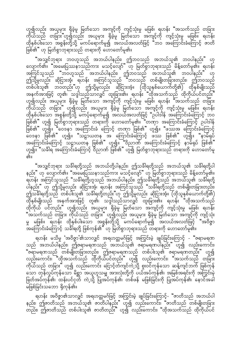ဟူ၍လည်း အယူမှား ရှိခဲ့မူ မြတ်သော အကျင့်ကို ကျင့်သုံးမှု မဖြစ်၊ ရဟန်း "အသက်သည် တခြား ကိုယ်သည် တခြား"ဟူ၍လည်း အယူမှား ရှိခဲ့မူ မြတ်သော အကျင့်ကို ကျင့်သုံးမှု မဖြစ်။ ရဟန်း ထိုနှစ်ပါးသော အစွန်းတို့သို့ မကပ်ရောက်မူ၍ အလယ်အလတ်ဖြင့် "ဘဝ အကြောင်းခံကြောင့် ဇာတိ  $\bar{\mathbb{Q}}$ စ်၏" ဟု မြတ်စွာဘုရားသည် တရားကို ဟောတော်မူ၏။

"အသျှင်ဘုရား ဘဝဟူသည် အဘယ်ပါနည်း၊ ဤဘဝသည် အဘယ်သူ၏ ဘဝပါနည်း" ဟု လျောက်၏။ "အမေးပြဿနာသည်ကား မသင့်လျော်" ဟု မြတ်စွာဘုရားသည် မိန့်တော်မူ၏။ ရဟန်း အကြင်သူသည် "ဘဝဟူသည် အဘယ်ပါနည်း၊ ဤဘဝသည် အဘယ်သူ၏ ဘဝပါနည်း" ဟု ဤသို့မူလည်း ဆိုငြားအံ့၊ ရဟန်း အကြင်သူသည် "ဘဝသည် တစ်မျိုးတခြားတည်း၊ ဤဘဝသည် တစ်ပါးသူ၏ ဘဝတည်း $"$ ဟု ဤသို့မူလည်း ဆိုငြားအံ့။ (ထိုသူနှစ်ယောက်တို့၏) ထိုနှစ်မျိုးသည် အနက်အားဖြင့် တူ၏၊ သဒ္ဒါသည်သာလျှင် ထူးခြား၏။ ရဟန်း "ထိုအသက်သည် ထိုကိုယ်ပင်တည်း" ဟူ၍လည်း အယူမှား ရှိခဲ့မူ မြတ်သော အကျင့်ကို ကျင့်သုံးမှု မဖြစ်၊ ရဟန်း "အသက်သည် တခြား ကိုယ်သည် တခြား" ဟူ၍လည်း အယူမှား ရှိခဲ့မူ မြတ်သော အကျင့်ကို ကျင့်သုံးမှု မဖြစ်။ ရဟန်း ထိုနှစ်ပါးသော အစွန်းတို့သို့ မကပ့်ရောက်မူ၍ အလယ်အလတ်ဖြင့် "ဥပါဒါန် အကြောင်းခံကြောင့် ဘဝ ဖြစ်၏" ဟူ၍ မြတ်စွာဘုရားသည် တရားကို ဟောတော်မူ၏။ "တဏှာ အကြောင်းခံကြောင့် ဉပါဒါန် ဖြစ်၏" ဟူ၍။ "ဝေဒနာ အကြောင်းခံ ကြောင့် တဏှာ ဖြစ်၏" ဟူ၍။ "ဖဿအ ကြောင်းခံကြောင့် a0'em jzpf\}} [lí/ ]]oVm,we t aMumif;cHaMumifh zó jzpf\}} [lí/ ]]emrf½kyf  $t$ ောင်းခံကြောင့် သဠာယတန ဖြစ်၏" ဟူ၍။ "ဝိညာဏ် အကြောင်းခံကြောင့် နာ့မ်ရုပ် ဖြစ်၏" ဟူ၍။ "သခါရ အကြောင်းခံကြောင့် ဝိညာဏ် ဖြစ်၏" ဟူ၍ မြတ်စွာဘုရားသည် တရားကို ဟောတော်မူ ၏။

"အသျှင်ဘုရား သင်္ခါရတို့သည် အဘယ်တို့ပါနည်း၊ ဤသင်္ခါရတို့သည် အဘယ်သူ၏ သင်္ခါရတို့ပါ နည်း" ဟု လျောက်၏။ "အမေးပြဿနာသည်ကား မသင့်လျော်" ဟု မြတ်စွာဘုရားသည် မိန့်တော်မူ၏။ &[ef; tMuifolonf ]]ocFg&wdkY[lonf tb,fygenf;? þocFg&wdkYonf tb,fol\ ocFg&wdkY ပါနည်း" ဟု ဤသို့မူလည်း ဆိုငြားအံ့၊ ရဟန်း အကြင်သူသည် "သင်္ခါရတို့သည် တစ်မျိုးတခြားတည်း၊ ရက်သင်္ခါရတို့သည် တစ်ပါးသူ၏ သင်္ခါရတို့တည်း"ဟု ဤသို့မူလည်း ဆိုငြားအံ့။ (ထိုသူနှစ်ယောက်တို့၏) xkdESpfrsKd;onf teuftm;jzifh wl\? o'´gonfomvQif xl;jcm;\/ &[ef; ]]xkdtoufonf ထိုကိုယ် ပင်တည်း" ဟူ၍လည်း အယူမှား ရှိခဲ့မူ မြတ်သော အကျင့်ကို ကျင့်သုံးမှု မဖြစ်၊ ရဟန်း "အသက်သည် တခြား ကိုယ်သည် တခြား" ဟူ၍လည်း အယူမှား ရှိခဲ့မူ မြတ်သော အကျင့်ကို ကျင့်သုံး မှု မဖြစ်။ ရဟန်း ထိုနှစ်ပါးသော အစွန်းတို့သို့ မကပ်ရောက်မူ၍ အလယ်အလတ်ဖြင့် "အဝိဇ္ဇာ —-<br>အကြောင်းခံကြောင့် သင်္ခါရတို့ ဖြစ်ကုန်၏" ဟု မြတ်စွာဘုရားသည် တရားကို ဟောတော်မူ၏။

ရဟန်း မသိမှု 'အဝိဇ္ဇာ'၏သာလျှင် အရဟတ္တမဂ်ဖြင့် အကြွင်းမဲ့ ချုပ်ခြင်းကြောင့် - "ဇရာမရဏ သည် အဘယ်ပါနည်း၊ ဤဇရာမရကသည် အဘယ်သူ၏ ဇရာမရဏပါနည်း" ဟူ၍ လည်းကောင်း၊ "ဇရာမရဏသည် တစ်မျိုးတခြားတည်း၊ ဤဇရာမရဏသည် တစ်ပါးသူ၏ ဇရာမရဏတည်း" ဟူ၍ white books — "ထိုအသက်သည် ထိုကိုယ်ပင်တည်း" ဟူ၍ လည်းကောင်း၊ "အသက်သည် တခြား ကိုယ်သည် တခြား" ဟူ၍ လည်းကောင်း ငြောင့်တံကျင်ကဲ့သို့ စူးဝင်ကုန်သော ဆန့်ကျင်ဘက် ဖြစ်ကုန် သော တုန်လှုပ်ကုန်သော မိစ္ဆာ အယူဟူသမျှ အားလုံးတို့ကို ပယ်အပ်ကုန်၏၊ အမြစ်အရင်းကို အကြွင်းမဲ့ ဖြတ်အပ်ကုန်၏၊ ထန်းပင်ငုတ် ကဲ့သို့ ပြုအပ်ကုန်၏၊ တစ်ဖန် မဖြစ်ခြင်းကို ပြုအပ်ကုန်၏၊ နောင်အခါ မြဖြစ်ခြင်းသဘော ရှိကုန်၏။

ရဟန်း အဝိဇ္ဇာ၏သာလျှင် အရဟတ္တမဂ်ဖြင့် အကြွင်းမဲ့ ချုပ်ခြင်းကြောင့်- "ဇာတိသည် အဘယ်ပါ နည်း၊ ဤဇာတိသည် အဘယ်သူ၏ ဇာတိပါနည်း" ဟူ၍ လည်းကောင်း၊ "ဇာတိသည် တစ်မျိုးတခြား wnf;? þZmwdonf wpfyg;ol\ Zmwdwnf;}} [lí vnf;aumif;? ]]xkdtoufonf xkdukd,fyif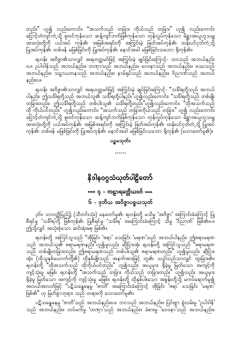ပြုအပ်ကုန်၏၊ တစ်ဖန် မဖြစ်ခြင်းကို ပြုအပ်ကုန်၏၊ နောင်အခါ မဖြစ်ခြင်းသဘော ရှိကုန်၏။ ရဟန်း အဝိဇ္ဇာ၏သာလျှင် အရဟတ္တမဂ်ဖြင့် အကြွင်းမဲ့ ချုပ်ခြင်းကြောင့်- ဘဝသည် အဘယ်နည်း

ြောင့်တံကျင်ကဲ့သို့ စူးဝင်ကုန်သော ဆန့်ကျင်ဘက်ဖြစ်ကုန်သော တုန်လှုပ်ကုန်သော မိစ္ဆာအယူဟူသမျှ အားလုံးတို့ကို ပယ်အပ် ကုန်၏၊ အမြစ်အရင်းကို အကြွင်းမဲ့ ဖြတ်အပ်ကုန်၏၊ ထန်းပင်ငုတ်ကဲ့သို့

တည်း" ဟူ၍ လည်းကောင်း၊ "အသက်သည် တခြား ကိုယ်သည် တခြား" ဟူ၍ လည်းကောင်း

။ပ။ ဉပါဒါန်သည် အဘယ်နည်း။ တဏှာသည် အဘယ်နည်း။ ဝေဒနာသည် အဘယ်နည်း။ ဖဿသည် အဘယ်နည်း။ သဠာယတနသည် အဘယ်နည်း။ နာမ်ရုပ်သည် အဘယ်နည်း။ ဝိညာဏ်သည် အဘယ် နည်း။ပ။

ရဟန်း အဝိဇ္ဇာ၏သာလျှင် အရဟတ္တမဂ်ဖြင့် အကြွင်းမဲ့ ချုပ်ခြင်းကြောင့်- "သင်္ခါရတို့သည် အဘယ် ပါနည်း၊ ဤသင်္ခါရတို့သည် အဘယ်သူ၏ သင်္ခါရတို့ပါနည်း"ဟူ၍လည်းကောင်း၊ "သင်္ခါရတို့သည် တစ်မျိုး ုိင္ပဲ ့ ့ ။ ့ ။<br>တခြားတည်း၊ ဤသင်္ခါရတို့သည် တစ်ပါးသူ၏ သင်္ခါရတို့တည်း ဟူ၍လည်းကောင်း၊ "ထိုအသက်သည် ထို ကိုယ်ပင်တည်း" ဟူ၍လည်းကောင်း၊ "အသက်သည် တခြားကိုယ်သည် တခြား" ဟူ၍ လည်းကောင်း ငြောင့်တံကျင်ကဲ့သို့ စူးဝင်ကုန်သော ဆန့်ကျင်ဘက်ဖြစ်ကုန်သော တုန်လှုပ်ကုန်သော မိစ္ဆာအယူဟူသမျှ အားလုံးတို့ကို ပယ်အပ်ကုန်၏၊ အမြစ်အရင်းကို အကြွင်းမဲ့ ဖြတ်အပ်ကုန်၏၊ ထန်းပင်ငုတ်ကဲ့သို့ ပြုအပ် ကုန်၏၊ တစ်ဖန် မဖြစ်ခြင်းကို ပြုအပ်ကုန်၏၊ နောင်အခါ မဖြစ်ခြင်းသဘော ရှိကုန်၏ (ဟောတော်မူ၏)။

ပဥ္စမသုတ်။

နိဒါန၀ဂွသံယုတ်ပါဠိတော် === ၄ - ကဠာရခတ္တိယဝဂ် === ၆ - ဒုတိယ အဝိဇ္ဇာပစ္စယသုတ်

၃၆။ သာဝတ္တိပြည်၌ (သီတင်းသုံး) နေတော်မူ၏၊ ရဟန်းတို့ မသိမှု 'အဝိဇ္ဇာ' အကြာင်းခံကြောင့် ပြု စီရင်မှု 'သခ်ီ၊ရ'တို့ ဖြစ်ကုန်၏၊ ပြုစီရင်မှု 'သင်္ခါရ' အကြောင်းခံကြောင့် သိမှု 'ဝိညာဏ်' ဖြစ်၏။ပ။ ဤသို့လျှင် အလုံးစုံသော ဆင်းရဲအစု ဖြစ်၏။

ရဟန်းတို့ အကြင်သူသည် "အိုခြင်း 'ဇရာ' သေခြင်း 'မရဏ'သည် အဘယ်ပါနည်း၊ ဤဇရာမရဏ သည် အဘယ်သူ၏ ဇရာမရဏနည်း ဟူ၍မူလည်း ဆိုငြားအံ့၊ ရဟန်းတို့ အကြင်သူသည် "ဇရာမရဏ သည် တစ်မျိုးတခြားတည်း၊ ဤဇရာမရဏသည် တစ်ပါးသူ၏ ဇရာမရဏတည်း" ဟူ၍မူလည်း ဆိုငြား <u>အံ့။ (ထို</u>သူနှစ်ယောက်တို့၏) ထိုနှစ်မျိုးသည် အနက်အားဖြင့် တူ၏၊ သဒ္ဒါသည်သာလျှင် ထူးခြား၏။ ရဟန်းတို့ "ထိုအသက်သည် ထိုကိုယ်ပင်တည်း" ဟူ၍လည်း အယူမှား ရှိခဲ့မူ မြတ်သော အကျင့်ကို<br>ကျင့်သုံးမှု မဖြစ်၊ ရဟန်းတို့ "အသက်သည် တခြား ကိုယ်သည် တခြားတည်း" ဟူ၍လည်း အယူမှား ရှိခဲ့မူ မြတ်သော အကျင့်ကို ကျင့်သုံးမှု မဖြစ်။ ရဟန်းတို့ ထိုနှစ်ပါးသော အစွန်းတို့သို့ မကပ်ရောက်မှု၍ -<br>အလယ်အလတ်ဖြင့် "ပဋိသန္ဓေနေမှု 'ဇာတိ' အကြောင်းခံကြောင့် အိုခြင်း 'ဇရာ' သေခြင်း 'မရဏ' ဖြစ်၏" ဟု မြတ်စွာဘုရား သည် တရားကို ဟောတော်မူ၏။

ပဋိသန္ဓေနေမှု 'ဇာတိ'သည် အဘယ်နည်း။ပ။ ဘဝသည် အဘယ်နည်း။ ပြင်းစွာ စွဲလမ်းမှု 'ဥပါဒါန်' သည် အဘယ်နည်း။ တပ်မက်မှု 'တဏှာ'သည် အဘယ်နည်း။ ခံစားမှု 'ဝေဒနာ'သည် အဘယ်နည်း။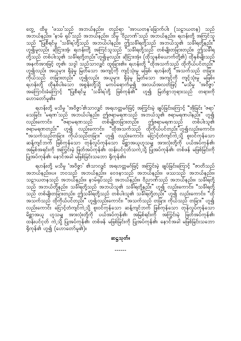တွေ့ ထိမှု 'ဖဿ'သည် အဘယ်နည်း။ တည်ရာ 'အာယတန'ခြောက်ပါး (သဠာယတန) သည် ာလို့ သည်။<br>အဘယ်နည်း။ နာမ် ရုပ် သည် အဘယ်နည်း။ သိမှု 'ဝိညာဏ်'သည် အဘယ်နည်း။ ရဟန်းတို့ အကြင်သူ သည် "ပြုစီရင်မှု 'သင်္ခါရ'တို့သည် အဘယ်ပါနည်း၊ ဤသင်္ခါရတို့သည် အဘယ်သူ၏ သင်္ခါရတို့နည်း"<br>ဟူ၍မူလည်း ဆိုငြားအံ့၊ ရဟန်းတို့ အကြင်သူသည် "သင်္ခါရတို့သည် တစ်မျိုးတခြားတည်း၊ ဤသင်္ခါရ တို့သည် တစ်ပါးသူ၏ သင်္ခါရတို့တည်း"ဟူ၍မူလည်း ဆိုငြားအံ့။ (ထိုသူနှစ်ယောက်တို့၏) ထိုနှစ်မျိုးသည် အနက်အားဖြင့် တူ၏၊ သဒ္ဒါ သည်သာလျှင် ထူးခြား၏။ ရဟန်းတို့ "ထိုအသက်သည် ထိုကိုယ်ပင်တည်း" ာ သားသားများ သူသား အိုး သည် သားများသား သုတ္တနား သုတ္တနား သုတ္တနား သုတ္တနား အသက်သည် တခြား<br>ဟူ၍လည်း အယူမှား ရှိခဲ့မူ မြတ်သော အကျင့်ကို ကျင့်သုံးမှု မဖြစ်၊ ရဟန်းတို့ "အသက်သည် တခြား<br>ရဟန်းတို့ ထိုနှစ်ပါးသော အစွန်းတို့သို့ မကပ်ရ အကြောင်းခံကြောင့် "ပြုစီရင်မှု 'သင်္ခါရ'တို့ ဖြစ်ကုန်၏" ဟူ၍ မြတ်စွာဘုရားသည် တရားကို ဟောတော်မူ၏။

ရဟန်းတို့ မသိမှု 'အဝိဇ္ဇာ'၏သာလျှင် အရဟတ္တမဂ်ဖြင့် အကြွင်းမဲ့ ချုပ်ခြင်းကြောင့် "အိုခြင်း 'ဇရာ' သေခြင်း 'မရဏ'သည် အဘယ်ပါနည်း၊ ဤဇရာမရဏသည် အဘယ်သူ၏ ဇရာမရဏပါနည်း" ဟူ၍ လည်းကောင်း၊ "ဇရာမရဏသည် တစ်မျိုးတခြားတည်း၊ ဤဇရာမရဏသည် တစ်ပါးသူ၏ ဇရာမရဏတည်း" ဟူ၍ လည်းကောင်း၊ "ထိုအသက်သည် ထိုကိုယ်ပင်တည်း"ဟူ၍လည်းကောင်း၊ "အသက်သည်တခြား တိုယ်သည်တခြား" ဟူ၍ လည်းကောင်း ငြောင့်တံကျင်ကဲ့သို့ စူးဝင်ကုန်သော ဆန့်ကျင်ဘက် ဖြစ်ကုန်သော တုန်လှုပ်ကုန်သော မိစ္ဆာအယူဟူသမျှ အားလုံးတို့ကို ပယ်အပ်ကုန်၏၊ အမြစ်အရင်းကို အကြွင်းမဲ့ ဖြတ်အပ်ကုန်၏၊ ထန်းပင်ငုတ်သကဲ့သို့ ပြုအပ်ကုန်၏၊ တစ်ဖန် မဖြစ်ခြင်းကို ပြုအပ်ကုန်၏၊ နောင်အခါ မဖြစ်ခြင်းသဘော ရှိကုန်၏။

ရဟန်းတို့ မသိမှု 'အဝိဇ္ဇာ' ၏သာလျှင် အရဟတ္တမဂ်ဖြင့် အကြွင်းမဲ့ ချုပ်ခြင်းကြောင့် "ဇာတိသည် .<br>အဘယ်နည်း။ပ။ ဘဝသည် အဘယ်နည်း။ ဝေဒနာသည် အဘယ်နည်း။ ဖဿသည် အဘယ်နည်း။ သဠာယတနသည် အဘယ်နည်း။ နာမ်ရုပ်သည် အဘယ်နည်း။ ဝိညာဏ်သည် အဘယ်နည်း။ သင်္ခါရတို့ သည် အဘယ်တို့နည်း၊ သင်္ခါရတို့သည် အဘယ်သူ၏ သင်္ခါရတို့နည်း" ဟူ၍ လည်းကောင်း၊ "သင်္ခါရတို့ သည် တစ်မျိုးတခြားတည်း၊ ဤသင်္ခါရတို့သည် တစ်ပါးသူ၏ သင်္ခါရတို့တည်း" ဟူ၍ လည်းကောင်း၊ "ထို အသက်သည် ထိုကိုယ်ပင်တည်း" ဟူ၍လည်းကောင်း၊ "အသက်သည် တခြား ကိုယ်သည် တခြား" ဟူ၍ လည်းကောင်း ငြောင့်တံကျင်ကဲ့သို့ စူးဝင်ကုန်သော ဆန့်ကျင်ဘက် ဖြစ်ကုန်သော တုန်လှုပ်ကုန်သော<br>မိစ္ဆာအယူ ဟူသမျှ အားလုံးတို့ကို ပယ်အပ်ကုန်၏၊ အမြစ်ရင်းကို အကြွင်းမဲ့ ဖြတ်အပ်ကုန်၏၊ ထန်းပင်ငုတ် ကဲ့သို့ ပြုအပ်ကုန်၏၊ တစ်ဖန် မဖြစ်ခြင်းကို ပြုအပ်ကုန်၏၊ နောင်အခါ မဖြစ်ခြင်းသဘော ရှိကုန်၏ ဟူ၍ (ဟောတော်မူ၏)။

ဆဋ္ဌသုတ်။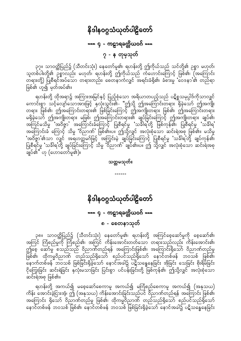# နိဒါန၀ဂ္ဂသံယုတ်ပါဠိတော်

#### === ၄ - ကဠာရခတ္တိယဝဂ် ===

၇ - န တုမှသုတ်

၃၇။ သာဝတ္ထိပြည်၌ (သီတင်းသုံး) နေတော်မူ၏၊ ရဟန်းတို့ ဤကိုယ်သည် သင်တို့၏ ဉစ္စာ မဟုတ်၊ သူတစ်ပါးတို့၏ ဉစ္စာလည်း မဟုတ်၊ ရဟန်းတို့ ဤကိုယ်သည် ကံဟောင်းကြောင့် ဖြစ်၏၊ (အကြောင်း \_\_<br>တရားတို့) ပြုံစီရင်အပ်သော တရားတည်း၊ စေတနာကံလျှင် အရင်းခံရှိ၏၊ ခံစားမှု 'ဝေဒနာ'၏ တည်ရာ ဖြစ်၏ ဟူ၍ မှတ်အပ်၏။

ရဟန်းတို့ ထိုအရာ၌ အကြားအမြင်နှင့် ပြည့်စုံသော အရိယာတပည့်သည် ပဋိစ္စသမုပ္ပါဒ်ကိုသာလျှင် ကောင်းစွာ သင့်လျော်သောအားဖြင့် နှလုံးသွင်း၏- "ဤသို့ ဤအကြောင်းတရား ရှိခဲ့သော် ဤအကျိုး တရား ဖြစ်၏၊ ဤအကြောင်းတရား၏ ဖြစ်ခြင်းကြောင့် ဤအကျိုးတရား ဖြစ်၏၊ ဤအကြောင်းတရား မရှိခဲ့သော် ဤအကျိုးတရား မဖြစ်၊ ဤအကြောင်းတရား၏ ချုပ်ခြင်းကြောင့် ဤအကျိုးတရား ချုပ်၏၊ အကြင်မသိမှု အဝိဇ္ဇာ အကြောင်းခံကြောင့် ပြုစီရင်မှု သင်္ခါရတို့ ဖြစ်ကုန်၏၊ ပြုစီရင်မှု သင်္ခါရ' အကြောင်းခံ ကြောင့် သိမှု 'ဝိညာဏ်' ဖြစ်၏။ပ။ ဤသို့လျှင် အလုံးစုံသော ဆင်းရဲအစု ဖြစ်၏။ မသိမှု 'အဝိဇ္ဇာ'၏သာ လျှင် အရဟတ္တမဂ်ဖြင့် အကြွင်းမဲ့ ချုပ်ခြင်းကြောင့် ပြုစီရင်မှု 'သင်္ခါရ'တို့ ချုပ်ကုန်၏၊ .<br>ပြုစီရင်မှု 'သင်္ခါရ'တို့ ချုပ်ခြင်းကြောင့် သိမှု 'ဝိညာဏ်' ချုပ်၏။ပ။ ဤ သို့လျှင် အလုံးစုံသော ဆင်းရဲအစု ချုပ်၏" ဟု (ဟောတော်မူ၏)။

သတ္တမသုတ်။

နိဒါနဝဂ္ဂသံယုတ်ပါဠိတော် === ၄ - ကဠာရခတ္တိယဝဂ် === ၈ - စေတနာသုတ်

၃၈။ သာဝတ္ထိပြည်၌ (သီတင်းသုံး) နေတော်မူ၏၊ ရဟန်းတို့ အကြင်စေ့ဆော်မှုကို စေ့ဆော်၏၊ အကြင် ကြံစည်မှုကို ကြံစည်၏၊ အကြင် ကိန်းအောင်းတတ်သော တရားသည်လည်း ကိန်းအောင်း၏၊ ဤစေ့ ဆော်မူ စသည်သည် ဝိညာဏ်တည်ရန် အကြောင်းဖြစ်၏၊ အကြောင်းရှိသော် ဝိညာဏ်တည်မူ -<br>နောက်တစ်ဖန် ဘဝသစ် ဖြစ်ခြင်းရှိခဲ့သော် နောင်အခါ၌ ပဋိသန္ဓေနေခြင်း အိုခြင်း သေခြင်း စိုးရိမ်ခြင်း ငိုကြွေးခြင်း ဆင်းရဲခြင်း နှလုံးမသာခြင်း ပြင်းစွာ ပင်ပန်းခြင်းတို့ ဖြစ်ကုန်၏၊ ဤသို့လျှင် အလုံးစုံသော ဆင်းရဲအစု ဖြစ်၏။

ရဟန်းတို့ အကယ်၍ မစေ့ဆော်စေကာမူ အကယ်၍ မကြံစည်စေကာမူ အကယ်၍ (အနုသယ) ကိန်း အောင်းခဲ့ငြားအံ့၊ ဤ (အနုသယ) ကိန်းအောင်းခြင်းသည်ပင် ဝိညာဏ်တည်ရန် အကြောင်း ဖြစ်၏၊ -<br>အကြောင်း ရှိသော် ဝိညာဏ်တည်မှု ဖြစ်၏၊ ထိုကမ္မဝိညာဏ် တည်သည်ရှိသော် စည်ပင်သည်ရှိသော်<br>နောင်တစ်ဖန် ဘဝသစ် ဖြစ်၏၊ နောင်တစ်ဖန် ဘဝသစ် ဖြစ်ခြင်းရှိခဲ့သော် နောင်အခါ၌ ပဋိသန္ဓေနေခြင်း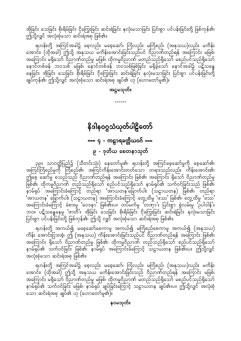အိုခြင်း သေခြင်း စိုးရိမ်ခြင်း ငိုကြွေးခြင်း ဆင်းရဲခြင်း နှလုံးမသာခြင်း ပြင်းစွာ ပင်ပန်းခြင်းတို့ ဖြစ်ကုန်၏၊ ဤသို့လျှင် အလုံးစုံသော ဆင်းရဲအစု ဖြစ်၏။

ရဟန်းတို့ အကြင်အခါ၌ စေ့လည်း မစေ့ဆော်၊ ကြံလည်း မကြံစည်၊ (အနုသယ)လည်း မကိန်း အောင်း၊ (ထိုအခါ) ဤသို့ အနုသယ မကိန်းအောင်းခြင်းသည်ပင် ဝိညာဏ်တည်ရန် အကြောင်း မဖြစ်၊ အကြောင်း မရှိသော် ဝိညာဏ်တည်မှု မဖြစ်၊ ထိုကမ္မဝိညာဏ် မတည်သည်ရှိသော် မစည်ပင်သည်ရှိသော် နောင်တစ်ဖန် ဘဝသစ် မဖြစ်၊ နောင်တစ်ဖန် ဘဝသစ်ဖြစ်ခြင်း မရှိခဲ့သော် နောင်အခါ၌ ပဋိသန္ဓေ နေခြင်း အိုခြင်း သေခြင်း စိုးရိမ်ခြင်း ငိုကြွေးခြင်း ဆင်းရဲခြင်း နှလုံးမသာခြင်း ပြင်းစွာ ပင်ပန်းခြင်းတို့ ချုပ်ကုန်၏၊ ဤသို့လျှင် အလုံးစုံသော ဆင်းရဲအစု ချုပ်၏ ဟု (ဟောတော်မူ၏)။

အဋ္ဌမသုတ်။

နိဒါန၀ဂွသံယုတ်ပါဠိတော်

=== ၄ - ကဠာရခတ္တိယဝဂ် === ၉ - ဒုတိယ စေတနာသုတ် ၃၉။ သာဝတ္ထိပြည်၌ (သီတင်းသုံး) နေတော်မူ၏၊ ရဟန်းတို့ အကြင်စေ့ဆော်မှုကို စေ့ဆော်၏၊ အကြင်ကြံစည်မှုကို ကြံစည်၏၊ အကြင်ကိန်းအောင်းတတ်သော တရားသည်လည်း ကိန်းအောင်း၏၊ ဤစေ့ ဆော်မှု စသည်သည် ဝိညာဏ်တည်ရန် အကြောင်း ဖြစ်၏၊ အကြောင်း ရှိသော် ဝိညာဏ်တည်မှု ဖြစ်၏၊ ထိုကမ္မဝိညာဏ် တည်သည်ရှိသော် စည်ပင်သည်ရှိသော် နာမ်ရုပ်၏ သက်ဝင်ခြင်းသည် ဖြစ်၏၊ နာမ်ရုပ် အကြောင်းခံကြောင့် တည်ရာ 'အာယတန'ခြောက်ပါး (သဠာယတန) ဖြစ်၏၊ တည်ရာ 'အာယတနႛ ခြောက်ပါး (သဠာယတန) အကြောင်းခံကြောင့် တွေ့ထိမှု 'ဖဿႛ ဖြစ်ဴ၏၊ တွေ့ထိမှု 'ဖဿဲႛ အကြောင်းခံကြောင့် ခံစားမှု 'ဝေဒနာ' ဖြစ်၏။ပ။ တပ်မက်မှု 'တဏှာ'။ ပြင်းစွာ စွဲလမ်းမှု 'ဉပါဒါန်'။ ဘဝ။ ပဋိသန္ဓေနေမှု 'ဇာတိ'။ အိုခြင်း သေခြင်း စိုးရိမ်ခြင်း ငိုကြွေးခြင်း ဆင်းရဲခြင်း နှလုံးမသာခြင်း ပြင်းစွာ ပင်ပန်းခြင်းတို့ ဖြစ်ကုန်၏၊ ဤသို့ လျှင် အလုံးစုံသော ဆင်းရဲအစု ဖြစ်၏။

ရဟန်းတို့ အကယ်၍ မစေ့ဆော်စေကာမူ အကယ်၍ မကြံစည်စေကာမူ အကယ်၍ (အနုသယ)<br>ကိန်း အောင်းငြားအံ့၊ ဤ (အနုသယ) ကိန်းအောင်းခြင်းသည်ပင် ဝိညာဏ်တည်ရန် အကြောင်း ဖြစ်၏၊ အကြောင်း ရှိသော် ဝိညာဏ်တည်မှု ဖြစ်၏၊ ထိုကမ္မဝိညာဏ် တည်သည်ရှိသော် စည်ပင်သည်ရှိသော် နာမ်ရုပ်၏ သက်ဝင်ခြင်း ဖြစ်၏၊ နာမ်ရုပ် အကြောင်းခံကြောင့် သဠာယတန ဖြစ်၏။ပ။ ဤသို့လျှင် အလုံးစုံသော ဆင်းရဲအစု ဖြစ်၏။

ရဟန်းတို့ အကြင်အခါ၌ စေ့လည်း မစေ့ဆော်၊ ကြံလည်း မကြံစည်၊ (အနုသယ)လည်း မကိန်း အောင်း၊ (ထိုအခါ) ဤသို့ အနုသယ မကိန်းအောင်းခြင်းသည် ဝိညာဏ်တည်ရန် အကြောင်း မဖြစ်၊ အကြောင်း မရှိသော် ဝိညာဏ်တည်မှု မဖြစ်၊ ထိုကမ္မဝိညာဏ် မတည်သည်ရှိသော် မစည်ပင်သည်ရှိသော် နာမ်ရှပ်၏ သက်ဝင်ခြင်း မဖြစ်၊ နာမ်ရှပ် ချုပ်ခြင်းကြောင့် သဠာယတန ချုပ်၏။ပ။ ဤသို့လျှင် အလုံးစုံ သော ဆင်းရဲအစု ချုပ််၏ ဟု (ဟောတော်မူ၏)။

နဝမသုတ်။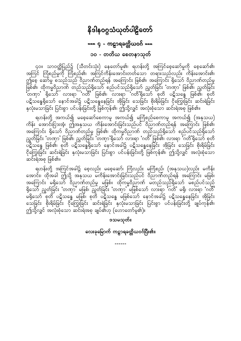# နိဒါန၀ဂွသံယုတ်ပါဠိတော် === ၄ - ကဠာရခတ္တိယဝဂ် === ၁၀ - တတိယ စေတနာသုတ်

၄၀။ သာဝတ္တိပြည်၌ (သီတင်းသုံး) နေတော်မူ၏၊ ရဟန်းတို့ အကြင်စေ့ဆော်မှုကို စေ့ဆော်၏၊ .<br>အကြင် ကြံစည်မှုကို ကြံစည်၏၊ အကြင်ကိန်းအောင်းတတ်သော တရားသည်လည်း ကိန်းအောင်း၏၊ ဤစေ့ ဆော်မှု စသည်သည် ဝိညာဏ်တည်ရန် အကြောင်း ဖြစ်၏၊ အကြောင်း ရှိသော် ဝိညာဏ်တည်မှု ဖြစ်၏၊ ထိုကမ္မဝိညာဏ် တည်သည်ရှိသော် စည်ပင်သည်ရှိသော် ညွှတ်ခြင်း 'တကှာ' ဖြစ်၏၊ ညွှတ်ခြင်း ပ္<br>'တဏှာ' ရှိသော် လားရာ 'ဂတိ' ဖြစ်၏၊ လားရာ 'ဂတိ'ရှိသော် စုတိ ပဋိသန္ဓေ ဖြစ်၏၊ စုတိ ပဋိသန္ဓေရှိသော် နောင်အခါ၌ ပဋိသန္ဓေနေခြင်း အိုခြင်း သေခြင်း စိုးရိမ်ခြင်း ငိုကြွေးခြင်း ဆင်းရဲခြင်း နှလုံးမသာခြင်း ပြင်းစွာ ပင်ပန်းခြင်းတို့ ဖြစ်ကုန်၏၊ ဤသို့လျှင် အလုံးစုံသော ဆင်းရဲအစု ဖြစ်၏။

ရဟန်းတို့ အကယ်၍ မစေ့ဆော်စေကာမူ အကယ်၍ မကြံစည်စေကာမူ အကယ်၍ (အနုသယ) အကြောင်း ရှိသော် ဝိညာဏ်တည်မှု ဖြစ်၏၊ ထိုကမ္မဝိညာဏ် တည်သည်ရှိသော် စည်ပင်သည်ရှိသော် ညွတ်ခြင်း 'တဏှာ' ဖြစ်၏၊ ညွတ်ခြင်း 'တဏှာ'ရှိသော် လားရာ 'ဂတိ' ဖြစ်၏၊ လားရာ 'ဂတိ'ရှိသော် စုတိ ု့<br>ပဋိသန္ဓေ ဖြစ်၏၊ စုတိ ပဋိသန္ဓေရှိသော် နောင်အခါ၌ ပဋိသန္ဓေနေခြင်း အိုခြင်း သေခြင်း စိုးရိမ်ခြင်း ငိုကြွေးခြင်း ဆင်းရဲခြင်း နှလုံးမသာခြင်း ပြင်းစွာ ပင်ပန်းခြင်းတို့ ဖြစ်ကုန်၏၊ ဤသို့လျှင် အလုံးစုံသော ဆင်းရဲအစု ဖြစ်၏။

ရဟန်းတို့ အကြင်အခါ၌ စေ့လည်း မစေ့ဆော်၊ ကြံလည်း မကြံစည်၊ (အနုသယ)လည်း မကိန်း အောင်း၊ ထိုအခါ ဤသို့ အနုသယ မကိန်းအောင်းခြင်းသည်ပင် ဝိညာဏ်တည်ရန် အကြောင်း မဖြစ်၊ အကြောင်း မရှိသော် ဝိညာဏ်တည်မှု မဖြစ်။ ထိုကမ္မဝိညာဏ် မတည်သည်ရှိသော် မစည်ပင်သည်<br>ရှိသော် ညွတ်ခြင်း တဏှာ မဖြစ်၊ ညွတ်ခြင်း တဏှာ မဖြစ်သော် လားရာ ဂတိ မရှိ၊ လားရာ ဂတိ မရှိသော် စုတိ ပဋိသန္ဓေ မဖြစ်၊ စုတိ ပဋိသန္ဓေ မဖြစ်သော် နောင်အခါ၌ ပဋိသန္ဓေနေခြင်း အိုခြင်း သေခြင်း စိုးရိမ်ခြင်း ငိုကြွေးခြင်း ဆင်းရဲခြင်း နှလုံးမသာခြင်း ပြင်းစွာ ပင်ပန်းခြင်းတို့ ချုပ်ကုန်၏၊ ဤသို့လျှင် အလုံးစုံသော ဆင်းရဲအစု ချုပ်၏ဟု (ဟောတော်မူ၏)။

ဒသမသုတ်။

လေးခုမြောက် ကဠာရခတ္တိယဝဂ်ပြီး<mark>၏</mark>။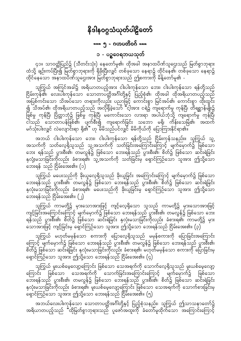#### နိဒါန၀ဂ္ဂသံယုတ်ပါဠိတော်

=== ၅ - ဂဟပတိဝဂ် ===

၁ - ပဉ္စဝေရဘယသုတ်

၄၁။ သာဝတ္ထိပြည်၌ (သီတင်းသုံး) နေတော်မူ၏၊ ထိုအခါ အနာထပိဏ်သူဌေးသည် မြတ်စွာဘုရား ထံသို့ ချဉ်းကပ်ပြီး၍ မြတ်စွာဘုရားကို ရှိခိုးပြီးလျှင် တစ်ခုသော နေရာ၌ ထိုင်နေ၏၊ တစ်ခုသော နေရာ၌ ထိုင်နေသော အနာထပိဏ်သူဌေးအား မြတ်စွာဘုရားသည် ဤစကားကို မိန့်တော်မူ၏ -

သူကြွယ် အကြင်အခါ၌ အရိယာတပည့်အား ငါးပါးကုန်သော ဘေး၊ ငါးပါးကုန်သော ရန်တို့သည် .<br>ငြိမ်းကုန်၏၊ လေးပါးကုန်သော သောတာပတ္တိအင်္ဂါတို့နှင့် ပြည့်စုံ၏၊ ထိုအခါ ထိုအရိယာတပည့်သည် .<br>အပြစ်ကင်းသော သိအပ်သော တရားကိုလည်း ပညာဖြင့် ကောင်းစွာ မြင်အပ်၏၊ ကောင်းစွာ ထိုးထွင်း<br>၍ သိအပ်၏၊ ထိုအရိယာတပည့်သည် အလိုရှိခဲ့သော် "ငါ့အား ငရဲ၌ ကျရောက်မှု ကုန်ပြီ၊ တိရစ္ဆာန်မျိုး၌ .<br>ဖြစ်မှု ကုန်ပြီ၊ ပြိတ္တာဘုံ၌ ဖြစ်မှု ကုန်ပြီ၊ မကောင်းသော လားရာ အပါယ်ဘုံသို့ ကျရောက်မှု ကုန်ပြီ၊ ငါသည် သောတာပန်ဖြစ်၏၊ ပျက်စီး၍ ကျရောက်ခြင်း သဘော မရှိ၊ ကိန်းသေမြဲ၏၊ အထက် မဂ်သုံးပါးလျှင် လဲလျောင်းရာ ရှိ၏" ဟု မိမိသည်ပင်လျှင် မိမိကိုယ်ကို ပြောကြားနိုင်ရာ၏။

အဘယ် ငါးပါးကုန်သော ဘေး၊ ငါးပါးကုန်သော ရန်တို့သည် ငြိမ်းကုန်သနည်း။ သူကြွယ် သူ့ အသက်ကို သတ်လေ့ရှိသူသည် သူ့အသက်ကို သတ်ခြင်းအကြောင်းကြောင့် မျက်မှောက်၌ ဖြစ်သော ဘေး ရန်သည် ပွားစီး၏၊ တမလွန်၌ ဖြစ်သော ဘေးရန်သည် ပွားစီး၏၊ စိတ်၌ ဖြစ်သော ဆင်းရဲခြင်း နှလုံးမသာခြင်းကိုလည်း ခံစားရ၏၊ သူ့အသက်ကို သတ်ခြင်းမှ ရှောင်ကြဉ်သော သူအား ဤသို့သော ဘေးရန် သည် ငြိမ်းအေး၏။ (၁)

သူကြွယ် မပေးသည်ကို ခိုးယူလေ့ရှိသူသည် ခိုးယူခြင်း အကြောင်းကြောင့် မျက်မှောက်၌ ဖြစ်သော ဘေးရန်သည် ပွားစီး၏၊ တမလွန်၌ ဖြစ်သော ဘေးရန်သည် ပွားစီး၏၊ စိတ်၌ ဖြစ်သော ဆင်းရဲခြင်း နှလုံးမသာခြင်းကိုလည်း ခံစားရ၏၊ မပေးသည်ကို ခိုးယူခြင်းမှ ရှောင်ကြဉ်သော သူအား ဤသို့သော ဘေးရန်သည် ငြိမ်းအေး၏။ (၂)

သူကြွယ် ကာမတို့၌ မှားသောအားဖြင့် ကျင့်လေ့ရှိသော သူသည် ကာမတို့၌ မှားသောအားဖြင့် ကျင့်ခြင်းအကြောင်းကြောင့် မျက်မှောက်၌ ဖြစ်သော ဘေးရန်သည် ပွားစီး၏၊ တမလွန်၌ ဖြစ်သော ဘေး ရန်သည် ပွားစီး၏၊ စိတ်၌ ဖြစ်သော ဆင်းရဲခြင်း နှလုံးမသာခြင်းကိုလည်း ခံစားရ၏၊ ကာမတို့၌ မှား သောအားဖြင့် ကျင့်ခြင်းမှ ရှောင်ကြဉ်သော သူအား ဤသို့သော ဘေးရန်သည် ငြိမ်းအေး၏။ (၃)

သူကြွယ် မဟုတ်မမှန်သော စကားကို ပြောလေ့ရှိသူသည် မမှန်စကားကို ပြောခြင်းအကြောင်း ကြောင့် မျက်မှောက်၌ ဖြစ်သော ဘေးရန်သည် ပွားစီး၏၊ တမလွန်၌ ဖြစ်သော ဘေးရန်သည် ပွားစီး၏၊ စိတ်၌ ဖြစ်သော ဆင်းရဲခြင်း နှလုံးမသာခြင်းကိုလည်း ခံစားရ၏၊ မဟုတ်မမှန်သော စကားကို ပြောခြင်းမှ ရှောင်ကြဉ်သော သူအား ဤသို့သော ဘေးရန်သည် ငြိမ်းအေး၏။ (၄)

သူကြွယ် မူးယစ်မေ့လျော့ကြောင်း ဖြစ်သော သေအရက်ကို သောက်လေ့ရှိသူသည် မူးယစ်မေ့လျော့ ကြောင်း ဖြစ်သော သေအရက်ကို သောက်ခြင်းအကြောင်းကြောင့် မျက်မှောက်၌ ဖြစ်သော ဘေးရန်သည် ပွားစီး၏၊ တမလွန်၌ ဖြစ်သော ဘေးရန်သည် ပွားစီး၏၊ စိတ်၌ ဖြစ်သော ဆင်းရဲခြင်း နှလုံးမသာခြင်းကိုလည်း ခံစားရ၏၊ မူးယစ်မေ့လျော့ကြောင်း ဖြစ်သော သေအရက်ကို သောက်စားခြင်းမှ ရှောင်ကြဉ်သော သူအား ဤသို့သော ဘေးရန်သည် ငြိမ်းအေး၏။ (၅)

အဘယ်လေးပါးကုန်သော သောတာပတ္တိအင်္ဂါတို့နှင့် ပြည့်စုံသနည်း၊ သူကြွယ် ဤသာသနာတော်၌ အရိယာတပည့်သည် "ထိုမြတ်စွာဘုရားသည် ပူဇော်အထူးကို ခံတော်မူထိုက်သော အကြောင်းကြောင့်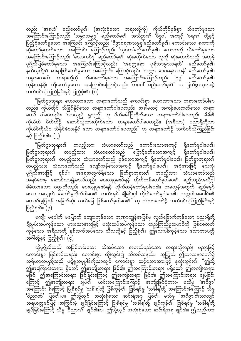လည်း 'အရဟံ' မည်တော်မူ၏၊ (အလုံးစုံသော တရားတို့ကို) ကိုယ်တိုင်မှန်စွာ သိတော်မူသော အကြောင်းကြောင့်လည်း 'သမ္မာသမ္ဗုဒ္ဓ' မည်တော်မူ၏၊ အသိဉာဏ် 'ဝိဇ္ဇာ', အကျင့် 'စရဏ' တို့နှင့် ပြည့်စုံတော်မူသော အကြောင်း ကြောင့်လည်း 'ဝိဇ္ဇာစရဏသမ္ပန္န<sup>7</sup>မည်တော်မူ၏၊ ကောင်းသော စကားကို မိထိ -<br>ဆိုတော်မူတတ်သော အကြောင်း ကြောင့်လည်း သုဂတ'မည်တော်မူ၏၊ လောကကို သိတော်မူသော အကြောင်းကြောင့်လည်း 'လောကဝိဒူ' မည်တော်မူ၏၊ ဆုံးမထိုက်သော သူကို ဆုံးမတတ်သည့် အတုမဲ့ ပုဂ္ဂိုလ်ဖြစ်တော်မူသော အကြောင်းကြောင့်လည်း 'အနုတ္တရော ပုရိသဒမ္မသာရထိ' မည်တော်မူ၏၊ နတ်လူတို့၏ ဆရာဖြစ်တော်မူသော အကြောင်း ကြောင့်လည်း သတ္ထာ ဒေဝမနုဿာနံႛ မည်တော်မူ၏၊ သစ္စာလေးပါး တရားတို့ကို သိစေတော်မူသော အကြောင်းကြောင့်လည်း ဗုဒ္ဓ' မည်တော်မူ၏၊ ဘုန်းတန်ခိုး ကြီးတော်မူသော အကြောင်းကြောင့်လည်း ဘဂဝါ မည်တော်မူ၏ ဟု မြတ်စွာဘုရား၌ သက်ဝင်ယုံကြည်ခြင်းနှင့် ပြည့်စုံ၏။ (၁)

"မြတ်စွာဘုရား ဟောထားသော တရားတော်သည် ကောင်းစွာ ဟောထားသော တရားတော်ပါပေ တည်း၊ ကိုယ်တိုင် သိမြင်နိုင်သော တရားတော်ပါပေတည်း၊ အခါမလင့် အကျိုးပေးတတ်သော တရား တော် ပါပေတည်း၊ 'လာလှည့် ရှုလှည့်' ဟု ဖိတ်ခေါ်ပြထိုက်သော တရားတော်ပါပေတည်း၊ မိမိ၏ ကိုယ်ထဲ စိတ်ထဲ၌ ဆောင်ယူထားထိုက်သော တရားတော်ပါပေတည်း၊ (အရိယာ) ပညာရှိတို့သာ ကိုယ်စီကိုယ်င သိနိုင်ခံစားနိုင် သော တရားတော်ပါပေတည်း" ဟု တရားတော်၌ သက်ဝင်ယုံကြည်ခြင်း နှင့် ပြည့်စုံ၏။ (၂)

"မြတ်စွာဘုရား၏ တပည့်သား သံဃာတော်သည် ကောင်းသောအကျင့် ရှိတော်မူပါပေ၏၊ မြတ်စွာဘုရား၏ တပည့်သား သံဃာတော်သည် ဖြောင့်မတ်သောအကျင့် ရှိတော်မူပါပေ၏၊ မြတ်စွာဘုရား၏ တပည့်သား သံဃာတော်သည် မှန်သောအကျင့် ရှိတော်မူပါပေ၏၊ မြတ်စွာဘုရား၏ ပုဂ္ဂိုလ်အားဖြင့် ရှစ်ပါး အရေအတွက်ရှိသော မြတ်စွာဘုရား၏ တပည့်သား သံဃာတော်သည် ု...<br>အရပ်ဝေးမှ ဆောင်လာ၍သော်လည်း ပေးလျှပူဇော်ရန် ထိုက်တန်တော်မူပါပေ၏၊ ဧည့်သည်အလို့ငှါ စီမံထားသော ဝတ္ထုကိုလည်း ပေးလှူပူဇော်ရန် ထိုက်တန်တော်မူပါပေ၏၊ တမလွန်အတွက် ရည်မျှော် သော အလှူကို ခံတော်မူထိုက်ပါပေ၏၊ လက်အုပ် ချီခြင်းငှါ ထိုက်တော်မူပါပေ၏၊ သတ္တဝါအပေါင်း၏ ကောင်းမှုပြုရန် အမြတ်ဆုံး လယ်မြေ ဖြစ်တော်မူပါပေ၏" ဟု သံဃာတော်၌ သက်ဝင်ယုံကြည်ခြင်းနှင့် ပြည့်စုံ၏။ (၃)

မကျိုး မပေါက် မပြောက် မကျားကုန်သော တဏှာကျွန်အဖြစ်မှ လွတ်မြောက်ကုန်သော ပညာရှိတို့ ချီးမွမ်းအပ်ကုန်သော မှားသောအားဖြင့် မသုံးသပ်အပ်ကုန်သော တည်ကြည်မှုသမာဓိကို ဖြစ်စေတတ် .<br>ကုန်သော အရိယာတို့ နှစ်သက်အပ်သော သီလတို့နှင့် ပြည့်စုံ၏။ ဤလေးပါးကုန်သော သောတာပတ္တိ အင်္ဂါတို့နှင့် ပြည့်စုံ၏။ (၄)

ထိုပုဂ္ဂိုလ်သည် အပြစ်ကင်းသော သိအပ်သော အဘယ်မည်သော တရားကိုလည်း ပညာဖြင့် ကောင်းစွာ မြင်အပ်သနည်း၊ ကောင်းစွာ ထိုးထွင်း၍ သိအပ်သနည်း။ သူကြွယ် ဤသာသနာတော်၌ အရိယာတပည့်သည် ပဋိစ္စသမုပ္ပါဒ်ကိုသာလျှင် ကောင်းစွာ သင့်သောအားဖြင့် နှလုံးသွင်း၏၊ "ဤသို့ ဤအကြောင်းတရား ရှိသော် ဤအကျိုးတရား ဖြစ်၏၊ ဤအကြောင်းတရား မရှိသော် ဤအကျိုးတရား မြဖ်စ်၊ ဤအကြောင်းတရား ဖြစ်ခြင်းကြောင့် ဤအကျိုးတရား ဖြစ်၏၊ ဤအကြောင်းတရား ချုပ်ခြင်း ကြောင့် ဤအကျိုးတရား ချုပ်၏၊ ယင်းအကြောင်းကြောင့် အကျိုးဖြစ်ပုံကား- မသိမှု 'အဝိဇ္ဇာ' အကြောင်း ခံကြောင့် ပြုစီရင်မှု 'သင်္ခါရ'တို့ ဖြစ်ကုန်၏၊ ပြုစီရင်မှု 'သင်္ခါရ'တို့ အကြောင်းခံကြောင့် သိမှု .<br>မြည်သည် အစိုင်း။<br>(၁) ထိုင်းမြန်းတွင် အတွင်းများ အသုံးစုံသော ဆင်းရဲအစု ဖြစ်၏၊ မသိမှု အဝိဇ္ဇာ ၏သာလျှင်<br>(၁) ထိုင်းရဲအတွယ် အတွင်းမှု သုံးစိုင်းကြောင့် ပြုစီရင်မှု သင်္ခါရတို့ ချုပ်ကုန်၏၊ ပြုစီရင်မှု သင်္ခါရတို့ ချုပ်ခြင်းကြောင့် သိမှု ဝိညာဏ် ချုပ်၏။ပ။ ဤသို့လျှင် အလုံးစုံသော ဆင်းရဲအစု ချုပ်၏။ ဤသည်ကား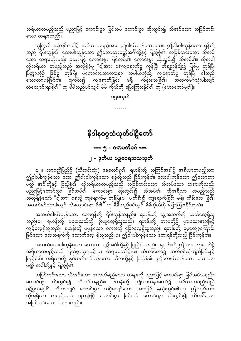အရိယာတပည့်သည် ပညာဖြင့် ကောင်းစွာ မြင်အပ် ကောင်းစွာ ထိုးထွင်း၍ သိအပ်သော အပြစ်ကင်း သော တရားတည်း။

သူကြွယ် အကြင်အခါ၌ အရိယာတပည့်အား ဤငါးပါးကုန်သောဘေး၊ ဤငါးပါးကုန်သော ရန်တို့ သည် ငြိမ်းကုန်၏၊ လေးပါးကုန်သော ဤသောတာပတ္တိအင်္ဂါတို့နှင့် ပြည့်စုံ၏၊ အပြစ်ကင်းသော သိအပ် သော တရားကိုလည်း ပညာဖြင့် ကောင်းစွာ မြင်အပ်၏၊ ကောင်းစွာ ထိုးထွင်း၍ သိအပ်၏။ ထိုအခါ မို့သော တရားကူးသည် အလိုရှိခဲ့မူ "ငါ့အား ငရဲကျရောက်မှု ကုန်ပြီ၊ တိရစ္ဆာန်မျိုး၌ ဖြစ်မှု ကုန်ပြီ၊<br>ပြိတ္တာဘုံ၌ ဖြစ်မှု ကုန်ပြီ၊ မကောင်းသောလားရာ အပါယ်ဘုံသို့ ကျရောက်မှု ကုန်ပြီ၊ ငါသည်<br>သောတာပန်ဖြစ်၏၊ ပျက်စီး၍ ကျရောက်ခြင်း မရှိ 

ပဌမသုတ်

------

နိဒါန၀ဂ္ဂသံယုတ်ပါဠိတော်

=== ၅ - ဂဟပတိဝဂ် ===

၂ - ဒုတိယ ပဉ္စဝေရဘယသုတ်

၄၂။ သာဝတ္ထိပြည်၌ (သီတင်းသုံး) နေတော်မူ၏၊ ရဟန်းတို့ အကြင်အခါ၌ အရိယာတပည့်အား ဤငါးပါးကုန်သော ဘေး၊ ဤငါးပါးကုန်သော ရန်တို့သည် ငြိမ်းကုန်၏၊ လေးပါးကုန်သော ဤသောတာ ပတ္တိ အင်္ဂါတို့နှင့် ပြည့်စုံ၏ ထိုအရိယာတပည့်သည် အပြစ်ကင်းသော သိအပ်သော တရားကိုလည်း ပညာဖြင့်ကောင်းစွာ မြင်အပ်၏၊ ကောင်းစွာ ထိုးထွင်း၍ သိအပ်၏၊ ထိုအရိယာ တပည့်သည် .<br>အလိုရှိခဲ့သော် "ငါ့အား ငရဲသို့ ကျရောက်မှု ကုန်ပြီ။ပ။ ပျက်စီး၍ ကျရောက်ခြင်း မရှိ၊ ကိန်းသေ မြဲ၏၊ အထက်မဂ်သုံးပါးလျှင် လဲလျောင်းရာ ရှိ၏" ဟု မိမိသည်ပင်လျှင် မိမိကိုယ်ကို ပြောကြားနိုင်ရာ၏။

အဘယ်ငါးပါးကုန်သော ဘေးရန်တို့ ငြိမ်းကုန်သနည်း၊ ရဟန်းတို့ သူ့အသက်ကို သတ်လေ့ရှိသူ<br>သည်။ပ။ ရဟန်းတို့ မပေးသည်ကို ခိုးယူလေ့ရှိသူသည်။ ရဟန်းတို့ ကာမတို့၌ မှားသောအားဖြင့် ကျင့်လေ့ရှိသူသည်။ ရဟန်းတို့ မမှန်သော စကားကို ပြောလေ့ရှိသူသည်။ ရဟန်းတို့ မေ့လျော့ကြောင်း ဖြစ်သော သေအရက်ကို သောက်လေ့ ရှိသူသည်။ပ။ ဤငါးပါးကုန်သော ဘေးရန်တို့သည် ငြိမ်းကုန်၏။

အဘယ်လေးပါးကုန်သော သောတာပတ္တိအင်္ဂါတို့နှင့် ပြည့်စုံသနည်း၊ ရဟန်းတို့ ဤသာသနာတော်၌ အရိယာတပည့်သည် မြတ်စွာဘုရား၌။ပ။ တရားတော်၌။ပ။ သံဃာတော်၌ သက်ဝင်ယုံကြည်ခြင်းနှင့် ပြည့်စုံ၏၊ အရိယာတို့ နှစ်သက်အပ်ကုန်သော သီလတို့နှင့် ပြည့်စုံ၏၊ ဤလေးပါးကုန်သော သောတာ ပတ္တိ အင်္ဂါတို့နှင့် ပြည့်စုံ၏၊

အပြစ်ကင်းသော သိအပ်သော အဘယ်မည်သော တရားကို ပညာဖြင့် ကောင်းစွာ မြင်အပ်သနည်း၊ ကောင်းစွာ ထိုးထွင်း၍ သိအပ်သနည်း။ ရဟန်းတို့ ဤသာသနာတော်၌ အရိယာတပည့်သည် ပဋိစ္စသမုပ္ပါဒ် ကိုသာလျှင် ကောင်းစွာ သင့်လျော်သော အားဖြင့် နှလုံးသွင်း၏။ပ။ ဤသည်ကား ထိုအရိယာ တပည့်သည် ပညာဖြင့် ကောင်းစွာ မြင်အပ် ကောင်းစွာ ထိုးထွင်း၍ သိအပ်သော အပြစ်ကင်းသော တရားတည်း။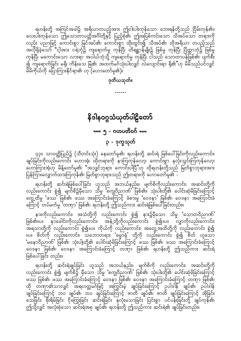ရဟန်းတို့ အကြင်အခါ၌ အရိယာတပည့်အား ဤငါးပါးကုန်သော ဘေးရန်တို့သည် ငြိမ်းကုန်၏။ လေးပါးကုန်သော ဤသောတာပတ္တိအင်္ဂါတို့နှင့် ပြည့်စုံ၏၊ ဤအပြစ်ကင်းသော သိအပ်သော တရားကို လည်း ပညာဖြင့် ကောင်းစွာ မြင်အပ်၏၊ ကောင်းစွာ ထိုးထွင်း၍ သိအပ်၏၊ ထိုအရိယာ တပည့်သည် အလိုရှိခဲ့သော် "ငါ့အား ငရဲဘုံ၌ ကျရောက်မှု ကုန်ပြီ၊ တိရစ္ဆာန်မျိုး၌ ဖြစ်မှု ကုန်ပြီ၊ ပြိတ္တာဘုံ၌ ဖြစ်မှု ကုန်ပြီ၊ မကောင်းသော လားရာ အပါယ်ဘုံသို့ ကျရောက်မှု ကုန်ပြီ၊ ငါသည် သောတာပန်ဖြစ်၏၊ ပျက်စီး ၍ ကျရောက်ခြင်း မရှိ၊ ကိန်းသေ မြဲ၏၊ အထက်မဂ်သုံးပါးလျှင် လဲလျောင်းရာ ရှိ၏"ဟု မိမိသည်ပင်လျှင် မိမိကိုယ်ကို ပြောကြားနိုင်ရာ၏ ဟု (ဟောတော်မူ၏)။

ဒုတိယသုတ်။

နိဒါန၀ဂွသံယုတ်ပါဠိတော် === ၅ - ဂဟပတိဝဂ် === ၃ - ဒုက္ခသုတ်

၄၃။ သာဝတ္ထိပြည်၌ (သီတင်းသုံး) နေတော်မူ၏၊ ရဟန်းတို့ ဆင်းရဲ ဖြစ်ပေါ်ခြင်းကိုလည်းကောင်း၊ ချုပ်ခြင်းကိုလည်းကောင်း ဟောအံ့၊ ထိုတရားကို နာကြကုန်လော့၊ ကောင်းစွာ နှလုံးသွင်းကြကုန်လော့၊ ပြန်ကြားလျှောက်ထားကြကုန်၏၊ မြတ်စွာဘုရားသည် ဤတရားကို ဟောတော်မူ၏ -

ရဟန်းတို့ ဆင်းရဲဖြစ်ပေါ်ခြင်း ဟူသည် အဘယ်နည်း။ မျက်စိကိုလည်းကောင်း၊ အဆင်းတို့ကို<br>လည်းကောင်း စွဲ၍ မျက်စိ၌မှီသော သိမှု စက္ခုဝိညာဏ် ဖြစ်၏။ သုံးပါးတို့၏ ပေါင်းဆုံမိခြင်းကြောင့်<br>တွေ့ထိမှု 'ဖဿ' ဖြစ်၏၊ ဖဿ အကြောင်းခံကြောင့် ခံစားမ ကြောင့် တပ်မက်မှု 'တဏှာ' ဖြစ်၏၊ ရဟန်းတို့ ဤသည်ကား ဆင်းရဲဖြစ်ပေါ်ခြင်းတည်း။

နားကိုလည်းကောင်း၊ အသံတို့ကို လည်းကောင်း စွဲ၍ နား၌မှီသော သိမှု 'သောတဝိညာဏ်' ဖြစ်၏။ပ။ နှာခေါင်းကိုလည်းကောင်း၊ အနံ့တို့ကိုလည်းကောင်း စွဲ၍။ပ။ လျှာကိုလည်းကောင်း၊ ာ<br>အရသာတို့ကို လည်းကောင်း စွဲ၍။ပ။ ကိုယ်ကို လည်းကောင်း၊ အတွေ့အထိတို့ကို လည်းကောင်း စွဲ၍<br>။ပ။ စိတ်ကို လည်းကောင်း၊ သဘောတရား 'မွောရုံ' တို့ကို လည်းကောင်း စွဲ၍ စိတ် ဟူသော ံမနောဝိညာဏ်ႛ ဖြစ်၏၊ သုံးပါး့တို့၏ ပေါင်းဆုံမိခြင်းကြောင့် ဖဿ ဖြစ်၏၊ ဖဿ အကြောင်းခံကြောင့် ဝေဒနာ ဖြစ်၏၊ ဝေဒနာ အကြောင်းခံကြောင့် တဏှာ ဖြစ်၏၊ ရဟန်းတို့ ဤသည်ကား ဆင်းရဲ ဖြစ်ပေါ်ခြင်း တည်း။

ရဟန်းတို့ ဆင်းရဲချုပ်ခြင်း ဟူသည် အဘယ်နည်း၊ မျက်စိကို လည်းကောင်း၊ အဆင်းတို့ကို<br>လည်းကောင်း စွဲ၍ မျက်စိ၌ မှီသော သိမှု စက္ခုဝိညာဏ် ဖြစ်၏၊ သုံးပါးတို့၏ ပေါင်းဆုံမိခြင်းကြောင့် ဖဿ ဖြစ်၏၊ ဖဿ အကြောင်းခံကြောင့် ဝေဒနာ ဖြစ်၏၊ ဝေဒနာ အကြောင်းခံကြောင့် တဏှာ ဖြစ်၏၊ ထို တဏှာ၏သာလျှင် အရဟတ္တမဂ်ဖြင့် အကြွင်းမဲ့ ချုပ်ခြင်းကြောင့် ဉပါဒါန် ချုပ်၏၊ ဉပါဒါန် ချုပ်ခြင်းကြောင့် ဘဝ ချုပ်၏၊ ဘဝ ချုပ်ခြင်းကြောင့် ဇာတိ ချုပ်၏၊ ဇာတိ ချုပ်ခြင်းကြောင့် အိုခြင်း <sup>့</sup> သခြင်း စိုးရိမ်ခြင်း ငိုကြွေးခြင်း ဆင်းရဲခြင်း နှလုံးမသာခြင်း ပြင်းစွာ ပင်ပန်းခြင်းတို့ ချုပ်ကုန်၏၊ ဤသို့လျှင် အလုံးစုံသော ဆင်းရဲအစု ချုပ်၏၊ ရဟန်းတို့ ဤသည်ကား ဆင်းရဲ၏ ချုပ်ခြင်းတည်း။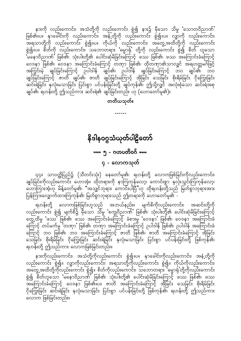နားကို လည်းကောင်း၊ အသံတို့ကို လည်းကောင်း စွဲ၍ နား၌ မှီသော သိမှု 'သောတဝိညာဏ်' .<br>ဖြစ်၏။ပ။ နှာခေါင်းကို လည်းကောင်း၊ အနံ့တို့ကို လည်းကောင်း စွဲ၍။ပ။ လျှာကို လည်းကောင်း၊ မြို့ သည်။ အသုံးကောင်း စွဲ၍။ပ။ ကိုယ်ကို လည်းကောင်း၊ အတွေ့အထိတို့ကို လည်းကောင်း စြော<br>စွဲ၍။ပ။ စိတ်ကို လည်းကောင်း၊ သဘောတရား 'ဓမ္မာရုံ' တို့ကို လည်းကောင်း စွဲ၍ စိတ် ဟူသော ·<br>မနောဝိညာဏ်ႛ ဖြစ်၏၊ သုံးပါးတို့၏ ပေါင်းဆုံမိခြင်းကြောင့် ဖဿ ဖြစ်၏၊ ဖဿ အကြောင်းခံကြောင့် ဝေဒနာ ဖြစ်၏၊ ဝေဒနာ အကြောင်းခံကြောင့် တဏှာ ဖြစ်၏၊ ထိုတဏှာ၏သာလျှင် အရဟတ္တမဂ်ဖြင့် အကြွင်းမဲ့ ချုပ်ခြင်းကြောင့် ဉပါဒါန် ချုပ်၏၊ ဉပါဒါန် ချုပ်ခြင်းကြောင့် ဘဝ ချုပ်၏၊ ဘဝ ချုပ်ခြင်းကြောင့် ဇာတိ ချုပ်၏၊ ဇာတိ ချုပ်ခြင်းကြောင့် အိုခြင်း သေခြင်း စိုးရိမ်ခြင်း ငိုကြွေးခြင်း ချုပ်၏၊ ရဟန်းတို့ ဤသည်ကား ဆင်းရဲ၏ ချပ်ခြင်းတည်း ဟု (ဟောတော်မူ၏)။

တတိယသုတ်။

 $- - - - - -$ 

နိဒါနဝဂ္ဂသံယုတ်ပါဠိတော်

=== ၅ - ဂဟပတိဝဂ် === ၄ - လောကသုတ် ၄၄။ သာဝတ္တိပြည်၌ (သီတင်းသုံး) နေတော်မူ၏၊ ရဟန်းတို့ လောကဖြစ်ခြင်းကိုလည်းကောင်း၊ ချုပ်ခြင်းကိုလည်းကောင်း ဟောအံ့။ ထိုတရားကို နာကြကုန်လော့၊ ကောင်းစွာ နှလုံးသွင်းကြကုန်လော့၊ .<br>ပြန်ကြားလျှောက်ထားကြကုန်၏၊ မြတ်စွာဘုရားသည် ဤတရားကို ဟောတော်မူ၏ -

ရဟန်းတို့ လောကဖြစ်ခြင်းဟူသည် အဘယ်နည်း။ မျက်စိကိုလည်းကောင်း၊ အဆင်းတို့ကို သည်းကောင်း စွဲ၍ မျက်စိ၌ မှီသော သိမှု စက္ခုဝိညာဏ် ဖြစ်၏၊ သုံးပါးတို့၏ ပေါင်းဆုံမိခြင်းကြောင့် ့ ပြက်သည်။ အခြောင်းခဲ့ကြောင်း သည် အသုံးမှ အသုံး ဖြစ်၏၊ ဝေဒနာ အကြောင်းခံ ကြောင့် တပ်မက်မှု 'တဏှာ' ဖြစ်၏၊ တဏှာ အကြောင်းခံကြောင့် ဉပါဒါန် ဖြစ်၏၊ ဉပါဒါန် အကြောင်းခံ ကြောင့် ဘဝ ဖြစ်၏၊ ဘဝ အကြောင်းခံကြောင့် ဇာတိ ဖြစ်၏၊ ဇာတိ အကြောင်းခံကြောင့် အိုခြင်း သေခြင်း စိုးရိမ်ခြင်း ငိုကြွေးခြင်း ဆင်းရဲခြင်း နှလုံးမသာခြင်း ပြင်းစွာ ပင်ပန်းခြင်းတို့ ဖြစ်ကုန်၏၊ ရဟန်ဳိးတို့ ဤသည်ကား လောကဖြစ်ခြင်းတည်း။

နားကိုလည်းကောင်း၊ အသံတို့ကိုလည်းကောင်း စွဲ၍။ပ။ နှာခေါင်းကိုလည်းကောင်း၊ အနံ့တို့ကို လည်းကောင်း စွဲ၍။ လျှာကိုလည်းကောင်း၊ အရသာတို့ကိုလည်းကောင်း စွဲ၍။ ကိုယ်ကိုလည်းကောင်း၊ အတွေ့အထိတို့ကိုလည်းကောင်း စွဲ၍။ စိတ်ကိုလည်းကောင်း၊ သဘောတရား 'ဓမ္မာရုံ'တို့ကိုလည်းကောင်း<br>စွဲ၍ စိတ်ဟူသော 'မနောဝိညာဏ်' ဖြစ်၏၊ သုံးပါးတို့၏ ပေါင်းဆုံမိခြင်းကြောင့် ဖဿ ဖြစ်၏၊ ဖဿ ို့<br>အကြောင်းခံကြောင့် ဝေဒနာ ဖြစ်၏။ပ။ ဇာတိ အကြောင်းခံကြောင့် အိုခြင်း သေခြင်း စိုးရိမ်ခြင်း ငိုကြွေးခြင်း ဆင်းရဲခြင်း နှလုံးမသာခြင်း ပြင်းစွာ ပင်ပန်းခြင်းတို့ ဖြစ်ကုန်၏၊ ရဟန်းတို့ ဤသည်ကား လောက ဖြစ်ခြင်းတည်း။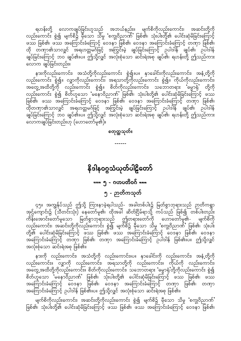ရဟန်းတို့ လောကချုပ်ခြင်းဟူသည် အဘယ်နည်း။ မျက်စိကိုလည်းကောင်း၊ အဆင်းတို့ကို ျား ၂ ရက် မှ ၂ ရက် ၂ ရက် ၂ ရက် ၂ ရက် ၁ ရက် ၁ ရက် ၁ ရက် ၁ ရက် ၁ ရက် ၁ ရက် ၁ ရက် ၁ ရက် ၁ ရက် ၁ ရက် ၁ ရက် ၁ ရက် ၁<br>လည်းကောင်း စွဲ၍ မျက်စိ၌ မှီသော သိမှု စက္ခုဝိညာဏ် ဖြစ်၏၊ သုံးပါးတို့၏ ပေါင်းဆုံမိခြင်းကြောင့် ဖဿ ဖြစ်၏၊ ဖဿ အကြောင်းခံကြောင့် ဝေဒနာ ဖြစ်၏၊ ဝေဒနာ အကြောင်းခံကြောင့် တဏှာ ဖြစ်၏၊ ထို တဏှာ၏သာလျှင် အရဟတ္တမဂ်ဖြင့် အကြွင်းမဲ့ ချုပ်ခြင်းကြောင့် ဉပါဒါန် ချုပ်၏၊ ဉပါဒါန် ချုပ်ခြင်းကြောင့် ဘဝ ချုပ်၏။ပ။ ဤသို့လျှင် အလုံးစုံသော ဆင်းရဲအစု ချုပ်၏၊ ရဟန်းတို့ ဤသည်ကား လောက ချုပ်ခြင်းတည်း။

နားကိုလည်းကောင်း၊ အသံတို့ကိုလည်းကောင်း စွဲ၍။ပ။ နှာခေါင်းကိုလည်းကောင်း၊ အနံ့တို့ကို<br>လည်းကောင်း စွဲ၍။ လျှာကိုလည်းကောင်း၊ အရသာတို့ကိုလည်းကောင်း စွဲ၍။ ကိုယ်ကိုလည်းကောင်း၊ ာ ကားသည်။ အသားသည်။ ထုတ်ကိုလည်းကောင်း၊ သဘောတရား 'မွောရုံ' တို့ကို<br>အတွေ့အထိတို့ကို လည်းကောင်း စွဲ၍။ စိတ်ကိုလည်းကောင်း၊ သဘောတရား 'မွောရုံ' တို့ကို<br>"မြန်မာတွင်း စွဲ၍ စိတ်ဟူသော 'မနောဝိညာဏ်' ဖြစ်၏၊ သုံးပါးတို့၏ ပေါင်းဆုံမိခြင်း .<br>ဖြစ်၏၊ ဖဿ အကြောင်းခံကြောင့် ဝေဒနာ ဖြစ်၏၊ ဝေဒနာ အကြောင်းခံကြောင့် တဏှာ ဖြစ်၏၊ .<br>ထိုတဏှာ၏သာလျှင် အရဟတ္တမဂ်ဖြင့် အကြွင်းမဲ့ ချုပ်ခြင်းကြောင့် ဉပါဒါန် ချုပ်၏၊ ဉပါဒါန် ချုပ်ခြင်းကြောင့် ဘဝ ချုပ်၏။ပ။ ဤသို့လျှင် အလုံးစုံသော ဆင်းရဲအစု ချုပ်၏၊ ရဟန်းတို့ ဤသည်ကား လောကချုပ်ခြင်းတည်းဟု (ဟောတော်မူ၏)။

စတုတ္ထသုတ်။

နိဒါနဝဂ္ဂသံယုတ်ပါဠိတော် === ၅ - ဂဟပတိဝဂ် === ၅ - ဉာတိကသုတ်

၄၅။ အကျွန်ုပ်သည် ဤသို့ ကြားနာခဲ့ရပါသည်- အခါတစ်ပါး၌ မြတ်စွာဘုရားသည် ဉာတိကရွာ အုဌ်ကျောင်း၌ (သီတင်းသုံး) နေတော်မူ၏၊ ထိုအခါ ဆိတ်ငြိမ်ရာသို့ ကပ်သည် ဖြစ်၍ တစ်ပါးတည်း ု့<br>ကိန်းအောင်းတော်မူသော မြတ်စွာဘုရားသည် ဤတရားတော်ကို ဟောတော်မူ၏- မျက်စိကို<br>လည်းကောင်း၊ အဆင်းတို့ကိုလည်းကောင်း စွဲ၍ မျက်စိ၌ မှီသော သိမှု စက္ခုဝိညာဏ် ဖြစ်၏၊ သုံးပါး တို့၏ ပေါင်းဆုံမိခြင်းကြောင့် ဖဿ ဖြစ်၏၊ ဖဿ အကြောင်းခံကြောင့် ဝေဒနာ ဖြစ်၏၊ ဝေဒနာ အကြောင်းခံကြောင့် တဏှာ ဖြစ်၏၊ တဏှာ အကြောင်းခံကြောင့် ဉပါဒါန် ဖြစ်၏။ပ။ ဤသို့လျှင် အလုံးစုံသော ဆင်းရဲအစု ဖြစ်၏။

နားကို လည်းကောင်း၊ အသံတို့ကို လည်းကောင်း။ပ။ နှာခေါင်းကို လည်းကောင်း၊ အနံ့တို့ကို လည်းကောင်း။ လျှာကို လည်းကောင်း၊ အရသာတို့ကို လည်းကောင်း။ ကိုယ်ကို လည်းကောင်း၊ အတွေ့အထိတို့ကိုလည်းကောင်း။ စိတ်ကိုလည်းကောင်း၊ သဘောတရား 'မြွောရုံတို့ကိုလည်းကောင်း စွဲ၍ စိတ်ဟူသော မ်နောဝိညာဏ်' ဖြစ်၏၊ သုံးပါးတို့၏ ပေါင်းဆုံမိခြင်းကြောင့် ဖသာ ဖြစ်၏၊ ဖဿ အကြောင်းခံကြောင့် ဝေဒနာ ဖြစ်၏၊ ဝေဒနာ အကြောင်းခံကြောင့် တဏှာ ဖြစ်၏၊ တဏှာ အကြောင်းခံကြောင့် ဉပါဒါန် ဖြစ်၏။ပ။ ဤသို့လျှင် အလုံးစုံသော ဆင်းရဲအစု ဖြစ်၏။

မျက်စိကိုလည်းကောင်း၊ အဆင်းတို့ကိုလည်းကောင်း စွဲ၍ မျက်စိ၌ မှီသော သိမှု 'စက္ခုဝိညာဏ်' ဖြစ်၏၊ သုံးပါးတို့၏ ပေါင်းဆုံမိခြင်းကြောင့် ဖဿ ဖြစ်၏၊ ဖဿ အကြောင်းခံကြောင့် ဝေဒနာ ဖြစ်၏၊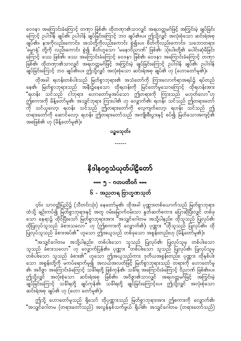ဝေဒနာ အကြောင်းခံကြောင့် တဏှာ ဖြစ်၏၊ ထိုတဏှာ၏သာလျှင် အရဟတ္တမဂ်ဖြင့် အကြွင်းမဲ့ ချုပ်ခြင်း ကြောင့် ဉပါဒါန် ချုပ်၏၊ ဉပါဒါန် ချုပ်ခြင်းကြောင့် ဘဝ ချုပ်၏။ပဲ။ ဤသို့လျှင် အလုံးစုံသော ဆင်းရဲအစု ချုပ်၏။ နားကိုလည်းကောင်း၊ အသံတို့ကိုလည်းကောင်း စွဲ၍။ပ။ စိတ်ကိုလည်းကောင်း၊ သဘောတရား  $\cdot$ ဓမ္မာရုံ $\cdot$  တို့ကို လည်းကောင်း စွဲ၍ စိတ်ဟူသော 'မနော၀ိညာဏ်' ဖြစ်၏၊ သုံးပါးတို့၏ ပေါင်းဆုံမိခြင်း ကြောင့် ဖဿ ဖြစ်၏၊ ဖဿ အကြောင်းခံကြောင့် ဝေဒနာ ဖြစ်၏၊ ဝေဒနာ အကြောင်းခံကြောင့် တဏှာ ဖြစ််၏၊ ထိုတဏှာ၏သာလျှင် အရဟတ္တမဂ်ဖြင့် အကြွင်းမဲ့ ချုပ်ခြင်းကြောင့် ဉပါဒါန် ချုပ််၏၊ ဉပါဒါန် ချုပ်ခြင်းကြောင့် ဘဝ ချုပ်၏။ပ။ ဤသို့လျှင် အလုံးစုံသော ဆင်းရဲအစု ချုပ်၏ ဟု (ဟောတော်မူ၏)။

ထိုအခါ ရဟန်းတစ်ပါးသည် မြတ်စွာဘုရား၏ အသံတော်ကို ကြားလောက်ရာအရပ်၌ ရပ်တည် နေ၏၊ မြတ်စွာဘုရားသည် အနီး၌နေသော ထိုရဟန်းကို မြင်တော်မူသောကြောင့် ထိုရဟန်းအား "ရဟန်း သင်သည် ငါဘုရား ဟောတော်မူအပ်သော ဤတရားကို ကြားသည် မဟုတ်လော"ဟု ဤစကားကို မိန့်တော်မူ၏၊ အသျှင်ဘုရား ကြားပါ၏ ဟု လျှောက်၏၊ ရဟန်း သင်သည် ဤတရားတော် ျာ<br>ကို သင်ယူလော့၊ ရဟန်း သင်သည် ဤတရားတော်ကို လေ့ကျက်လော့၊ ရဟန်း သင်သည် ဤ ာရားတော်ကို ဆောင်လော့၊ ရဟန်း ဤတရားတော်သည် အကျိုးစီးပွားနှင့် စပ်၍ မြတ်သောအကျင့်၏ အစဖြစ်၏ ဟု (မိန့်တော်မူ၏)။

ပဉ္စမသုတ်။

------

နိဒါန၀ဂွသံယုတ်ပါဠိတော် d )<br>D  $\ddot{\phantom{a}}$  $\frac{1}{2}$ k l<br>I f d d f [====== 55 -- \\*\\*\[\[yyww](#page-4-0) 0d 0\*\* f f ====== d d

၆ - အညတရ ဗြာဟ္မဏသုတ်

၄၆။ သာဝတ္တိပြည်၌ (သီတင်းသုံး) နေတော်မူ၏၊ ထိုအခါ ပုဏ္ဏားတစ်ယောက်သည် မြတ်စွာဘုရား ထံသို့ ချဉ်းကပ်၍ မြတ်စွာဘုရားနှင့် အတူ ဝမ်းမြောက်ဝမ်းသာ နှုတ်ဆက်စကား ပြောဆိုပြီးလျှင် တစ်ခု သော နေရာ၌ ထိုင်ပြီးသော် မြတ်စွာဘုရားအား "အသျှင်ဂေါတမ အသို့ပါနည်း၊ ထိုသူသည် ပြုလုပ်၏၊ ထိုပြုလုပ်သူသည် ခံစားသလော" ဟု (ဤစကားကို လျှောက်၏)၊ ပုဏ္ဏား "ထိုသူသည် ပြုလုပ်၏။ ထို ပြုလုပ်သူသည် ခံစားအပ်၏" ဟူသော ဤအယူသည် တစ်ခုသော အစွန်းတည်းဟု (မိန့်တော်မူ၏)။

"အသျှင်ဂေါတမ အသို့ပါနည်း၊ တစ်ပါးသော သူသည် ပြုလုပ်၏၊ ပြုလုပ်သူမှ တစ်ပါးသော သူသည် ခံစားသလော" ဟု လျှောက်ပြန်၏။ ပုဏ္ဏား "တစ်ပါးသော သူသည် ပြုလုပ်၏၊ ပြုလုပ်သူမှ web blooks of chipming of the polonical character of the polonic control of the control of the confunction of  $\sigma$ သော အစွန်းတို့ကို မကပ်ရောက်မူ၍ အလယ်အလတ်ဖြင့် မြတ်စွာဘုရားသည် တရားကို ဟောတော်မူ ၏၊ အဝိဇ္ဇာ အကြောင်းခံကြောင့် သင်္ခါရတို့ ဖြစ်ကုန်၏၊ သင်္ခါရ အကြောင်းခံကြောင့် ဝိညာဏ် ဖြစ်၏။ပ။ ဤသို့လျှင် အလုံးစုံသော ဆင်းရဲအစု ဖြစ်၏။ အဝိဇ္ဇာ၏သာလျှင် အရဟတ္တမဂ်ဖြင့် အကြွင်းမဲ့ al မီ "<br>ချုပ်ခြင်းကြောင့် သင်္ခါရတို့ ချုပ်ကုန်၏၊ သင်္ခါရတို့ ချုပ်ခြင်းကြောင့်။ပ။ ဤသို့လျှင် အလုံးစုံသော ာင်းရဲအစု ချုပ်၏ ဟု (ဟော တော်မူ၏)။

ဤသို့ ဟောတော်မူသည် ရှိသော် ထိုပုဏ္ဏားသည် မြတ်စွာဘုရားအား ဤစကားကို လျှောက်၏၊ "အသျှင်ဂေါတမ (တရားတော်သည်) အလွန်နှစ်သက်ဖွယ် ရှိပါ၏၊ အသျှင်ဂေါတမ (တရားတော်သည်)  $\,$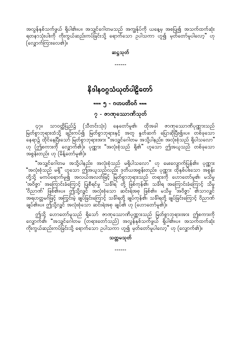အလွန်နှစ်သက်ဖွယ် ရှိပါ၏။ပ။ အသျှင်ဂေါတမသည် အကျွန်ုပ်ကို ယနေ့မှ အစပြု၍ အသက်ထက်ဆုံး ရတနာသုံးပါးကို ကိုးကွယ်ဆည်းကပ်ခြင်းသို့ ရောက်သော ဉပါသကာ ဟူ၍ မှတ်တော်မူပါလော့" ဟု (လျှောက်ကြားလေ၏)။

ဆဋ္ဌသုတ်

# နိဒါနဝဂွသံယုတ်ပါဠိတော်

=== ၅ - ဂဟပတိဝဂ် ===

#### ၇ - ဇာဏုသောာဏိသုတ်

၄၇။ သာဝတ္ထိပြည်၌ (သီတင်းသုံး) နေတော်မူ၏၊ ထိုအခါ ဇာဏုသောာဏိပုဏ္ဏားသည် .<br>မြတ်စွာဘုရားထံသို့ ချဉ်းကပ်၍ မြတ်စွာဘုရားနှင့် အတူ နှုတ်ဆက် ပြောဆိုပြီး၍။ပ။ တစ်ခုသော ဟု (ဤစကားကို လျှောက်၏)။ ပုဏ္ဏား "အလုံးစုံသည် ရှိ၏" ဟူသော ဤအယူသည် တစ်ခုသော အစွန်းတည်း ဟု (မိန့်တော်မူ၏)။

"အသျှင်ဂေါတမ အသို့ပါနည်း၊ အလုံးစုံသည် မရှိပါသလော" ဟု မေးလျှောက်ပြန်၏။ ပုဏ္ဏား "အလုံးစုံသည် မရှိ" ဟူသော် ဤအယူသည်လည်း ဒုတိယအစွန်းတည်း၊ ပုဏ္ဏား ထိုနှစ်ပါးသော အစွန်း တို့သို့ မကပ်ရောက်မူ၍ အလယ်အလတ်ဖြင့် မြတ်စွာဘုရားသည် တရားကို ဟောတော်မူ၏၊ မသိမှု 'အဝိဇ္ဇာ' အကြောင်းခံကြောင့် ပြုစီရင်မှု 'သင်္ခါရ တို့ ဖြစ်ကုန်၏၊ သင်္ခါရ အကြောင်းခံကြောင့် သိမှု •်ဝိညာဏ်' ဖြစ်၏။ပ။ ဤသို့လျှင် အလုံးစုံသော ဆင်းရဲအစု ဖြစ်၏။ မသိမှု 'အဝိဇ္ဇာ' ၏သာလျှင်<br>အရဟတ္တမဂ်ဖြင့် အကြွင်းမဲ့ ချုပ်ခြင်းကြောင့် သင်္ခါရတို့ ချုပ်ကုန်၏၊ သင္ခါရတို့ ချုပ်ခြင်းကြောင့် ဝိညာဏ် ချုပ်၏။ပ။ ဤသို့လျှင် အလုံးစုံသော ဆင်းရဲအစု ချုပ်၏ ဟု (ဟောတော်မူ၏)။

ဤသို့ ဟောတော်မူသည် ရှိသော် ဇာဏုသောာဏိပုဏ္ဏားသည် မြတ်စွာဘုရားအား ဤစကားကို<br>လျှောက်၏၊ "အသျှင်ဂေါတမ (တရားတော်သည်) အလွန်နှစ်သက်ဖွယ် ရှိပါ့၏။ပ။ အသက်ထက်ဆုံး ကိုးကွယ်ဆည်းကပ်ခြင်းသို့ ရောက်သော ဉပါသကာ ဟူ၍ မှတ်တော်မူပါလော့" ဟု (လျှောက်၏)။

သတ္တမသုတ်

 $- - - - - -$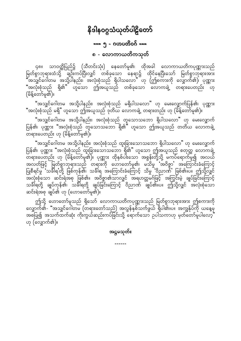### နိဒါန၀ဂွသံယုတ်ပါဠိတော်

---- ၅ - ဂဟပတိဝဂ် ----

၈ - လောကာယတိကသုတ်

၄၈။ သာဝတ္ထိပြည်၌ (သီတင်းသုံး) နေတော်မူ၏၊ ထိုအခါ လောကာယတိကပုဏ္ဏားသည် .<br>မြတ်စွာဘုရားထံသို့ ချဉ်းကပ်ပြီးလျှင် တစ်ခုသော နေရာ၌ ထိုင်နေပြီးသော် မြတ်စွာဘုရားအား<br>"အသျှင်ဂေါတမ အသို့ပါနည်း၊ အလုံးစုံသည် ရှိပါသလော" ဟု (ဤစကားကို လျှောက်၏)၊ ပုဏ္ဏား "အလုံးစုံသည် ရှိ၏" ဟူသော ဤအယူသည် တစ်ခုသော လောကချဲ့ တရားပေတည်း ဟု (မိန့်တော်မူ၏)။

"အသျှင်ဂေါတမ အသို့ပါနည်း၊ အလုံးစုံသည် မရှိပါသလော" ဟု မေးလျှောက်ပြန်၏၊ ပုဏ္ဏား "အလုံးစုံသည် မရှိ" ဟူသော ဤအယူသည် ဒုတိယ လောကချဲ့ တရားတည်း ဟု (မိန့်တော်မူ၏)။

"အသျှင်ဂေါတမ အသို့ပါနည်း၊ အလုံးစုံသည် တူသောသဘော ရှိပါသလော" ဟု မေးလျှောက်<br>ပြန်၏၊ ပုဏ္ဏား "အလုံးစုံသည် တူသောသဘော ရှိ၏" ဟူသော ဤအယူသည် တတိယ လောကချဲ့ ပြ ၊<br>တရားပေတည်း ဟု (မိန့်တော်မူ၏)။

"အသျှင်ဂေါတမ အသို့ပါနည်း၊ အလုံးစုံသည် ထူးခြားသောသဘော ရှိပါသလော" ဟု မေးလျှောက် .<br>ပြန်၏၊ ပုဏ္ဏား "အလုံးစုံသည် ထူးခြားသောသဘော ရှိ၏" ဟူသော ဤအယူသည် စတုတ္ထ လောကချဲ့ ပြက်သော<br>ပြန်းပေတည်း ဟု (မိန့်တော်မူ၏)။ ပုဏ္ဏား ထိုနှစ်ပါးသော အစွန်းတို့သို့ မကပ်ရောက်မူ၍ အလယ် ့<br>အလတ်ဖြင့် မြတ်စွာဘုရားသည် တရားကို ဟောတော်မူ၏၊ မသိမှု အဝိဇ္ဇာ အကြောင်းခံကြောင့်<br>ပြုစီရင်မှု သင်္ခါရတို့ ဖြစ်ကုန်၏၊ သင်္ခါရ အကြောင်းခံကြောင့် သိမှု ဝိညာဏ် ဖြစ်၏။ပ။ ဤသို့လျှင် ပါ ။ ။<br>အလုံးစုံသော ဆင်းရဲအစု ဖြစ်၏။ အဝိဇ္ဇာ၏သာလျှင် အရဟတ္တမဂ်ဖြင့် အကြွင်းမဲ့ ချုပ်ခြင်းကြောင့် သင်္ခါရတို့ ချုပ်ကုန်၏၊ သင်္ခါရတို့ ချုပ်ခြင်းကြောင့် ဝိညာဏ် ချုပ်၏။ပ။ ဤသို့လျှင် အလုံးစုံသော ဆင်းရဲအစု ချုပ်၏ ဟု (ဟောတော်မူ၏)။

ဤသို့ ဟောတော်မူသည် ရှိသော် လောကာယတိကပုဏ္ဏားသည် မြတ်စွာဘုရားအား ဤစကားကို<br>လျှောက်၏- "အသျှင်ဂေါတမ (တရားတော်သည်) အလွန်နှစ်သက်ဖွယ် ရှိပါ၏။ပ။ အကျွန်ုပ်ကို ယနေ့မှ .<br>အစ်ပြု၍ အသက်ထက်ဆုံး ကိုးကွယ်ဆည်းကပ်ခြင်းသို့ ရောက်သော ဥပါသကာဟု မှတ်တော်မူပါလော့" ဟု (လျှောက်၏)။

အဋ္ဌမသုတ်။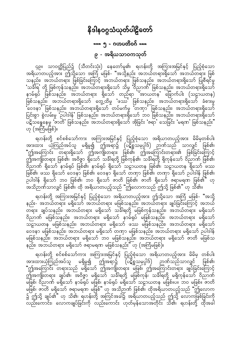#### နိဒါန၀ဂ္ဂသံယုတ်ပါဠိတော်

=== ၅ - ဂဟပတိဝဂ် ===

၉ - အရိယသာဝကသုတ်

၄၉။ သာဝတ္ထိပြည်၌ (သီတင်းသုံး) နေတော်မူ၏၊ ရဟန်းတို့ အကြားအမြင်နှင့် ပြည့်စုံသော<br>အရိယာတပည့်အား ဤသို့သော အကြံ မဖြစ်- "အသို့နည်း အဘယ်တရားရှိသော် အဘယ်တရား ဖြစ် သနည်း၊ အဘယ်တရား ဖြစ်ခြင်းကြောင့် အဘယ်တရား ဖြစ်သနည်း၊ အဘယ်တရားရှိသော် ပြုစီရင်မှု 'သင်္ခါရ' တို့ ဖြစ်ကုန်သနည်း၊ အဘယ်တရားရှိသော် သိမှု 'ဝိညာဏ်' ဖြစ်သနည်း၊ အဘယ်တရားရှိသော်ိ<br>နာမ်ရုပ် ဖြစ်သနည်း၊ အဘယ်တရား ရှိသော် တည်ရာ 'အာယတန' ခြောက်ပါး (သဠာယတန) ဖြစ်သနည်း၊ အဘယ်တရားရှိသော် တွေ့ထိမှု 'ဖဿ'်ဖြစ်သနည်း၊ အဘယ်တရားရှိသော် ခံစားမှု<br>'ဝေဒနာ'ဖြစ်သနည်း၊ အဘယ်တရားရှိသော် တပ်မက်မှု 'တဏှာ'ဖြစ်သနည်း၊ အဘယ်တရားရှိသော် ပြင်းစွာ စွဲလမ်းမှု ဉ်ပါဒါန်' ဖြစ်သနည်း၊ အဘယ်တရားရှိသော် ဘဝ ဖြစ်သနည်း၊ အဘယ်တရားရှိသော် ပဋိသန္ဓေနေမှု 'ဇာတိ' ဖြစ်သနည်း၊ အဘယ်တရားရှိသော် အိုခြင်း 'ဇရာ' သေခြင်း 'မရဏ' ဖြစ်သနည်း" ဟု (အကြံမဖြစ်)။

ရဟန်းတို့ စင်စစ်သော်ကား အကြားအမြင်နှင့် ပြည့်စုံသော အရိယာတပည့်အား မိမိမှတစ်ပါး အားထား ယုံကြည်အပ်သူ မရှိမူ၍ ဤအရာ၌ (ပဋိစ္စသမုပ္ပါဒ်) ဉာဏ်သည် သာလျှင် ဖြစ်၏၊<br>"ဤအကြောင်း တရားရှိသော် ဤအကျိုးတရား ဖြစ်၏၊ ဤအကြောင်းတရား၏ ဖြစ်ခြင်းကြောင့် ဤအကျိုးတရား ဖြစ်၏၊ အဝိဇ္ဇာ ရှိသော် သင်္ခါရတို့ ဖြစ်ကုန်၏၊ သင်္ခါရတို့ ရှိကုန်သော် ဝိညာဏ် ဖြစ်၏၊ ဝိညာဏ် ရှိသော် နာမ်ရုပ် ဖြစ်၏၊ နာမ်ရုပ် ရှိသော် သဠာယတန ဖြစ်၏၊ သဠာယတန ရှိသော် ဖဿ ဖြစ်၏၊ ဖဿ ရှိသော် ဝေဒနာ ဖြစ်၏၊ ဝေဒနာ ရှိသော် တဏှာ ဖြစ်၏၊ တဏှာ ရှိသော် ဉပါဒါန် ဖြစ်၏၊ ပြ<br>ပါဒါန် ရှိသော် ဘဝ ဖြစ်၏၊ ဘဝ ရှိသော် ဇာတိ ဖြစ်၏၊ ဇာတိ ရှိသော် ဇရာမရဏ ဖြစ်၏" ဟု 

ရဟန်းတို့ အကြားအမြင်နှင့် ပြည့်စုံသော အရိယာတပည့်အား ဤသို့သော အကြံ မဖြစ်- "အသို့ နည်း- အဘယ်တရား မရှိသော် အဘယ်တရား မဖြစ်သနည်း၊ အဘယ်တရား ချုပ်ခြင်းကြောင့် အဘယ် တရား ချုပ်သနည်း၊ အဘယ်တရား မရှိသော် သင်္ခါရတို့ မဖြစ်ကုန်သနည်း၊ အဘယ်တရား မရှိသော် ဝိညာဏ် မဖြစ်သနည်း၊ အဘယ်တရား မရှိသော် နာမ်ရုပ် မဖြစ်သနည်း၊ အဘယ်တရား မရှိသော် သဠာယတန မဖြစ်သနည်း၊ အဘယ်တရား မရှိသော် ဖဿ မဖြစ်သနည်း၊ အဘယ်တရား မရှိသော် ဝေဒနာ မဖြစ်သနည်း၊ အဘယ်တရား မရှိသော် တဏှာ မဖြစ်သနည်း၊ အဘယ်တရား မရှိသော် ဉပါဒါန် မဖြစ်သနည်း၊ အဘယ်တရား မရှိသော် ဘဝ မဖြစ်သနည်း၊ အဘယ်တရား မရှိသော် ဇာတိ မဖြစ်သ နည်း၊ အဘယ်တရား မရှိသော် ဇရာမရဏ မဖြစ်သနည်း" ဟု (အကြံမဖြစ်)။

ရဟန်းတို့ စင်စစ်သော်ကား အကြားအမြင်နှင့် ပြည့်စုံသော အရိယာတပည့်အား မိမိမှ တစ်ပါး<br>အားထားယုံကြည်အပ်သူ မရှိမူ၍ ဤအရာ၌ (ပဋိစ္စသမုပ္ပါဒ်) ဉာဏ်သည်သာလျှင် ဖြစ်၏၊ "ဤအကြောင်း တရားသည် မရှိသော် ဤအကျိုးတရား မဖြစ်၊ ဤအကြောင်းတရား ချုပ်ခြင်းကြောင့် ကြံအကျိုးတရား ချုပ်၏၊ အဝိဇ္ဇာ မရှိသော် သင်္ခါရတို့ မဖြစ်ကုန်၊ သင်္ခါရတို့ မရှိကုန်သော် ဝိညာဏ် .<br>မဖြစ်၊ ဝိညာဏ် မရှိသော် နာမ်ရုပ် မဖြစ်၊ နာမ်ရုပ် မရှိသော် သဠာယတန မဖြစ်။ပ။ ဘဝ မဖြစ်။ ဇာတိ မဖြစ်၊ ဇာတိ မရှိသော် ဇရာမရဏ မဖြစ်" ဟု အသိဉာဏ် ဖြစ်၏၊ ထိုအရိယာတပည့်သည် "ဤလောက ၌ ဤသို့ ချုပ်၏" ဟု သိ၏၊ ရဟန်းတို့ အကြင်အခါ၌ အရိယာတပည့်သည် ဤသို့ လောကဖြစ်ခြင်းကို \_<br>လည်းကောင်း၊ လောကချုပ်ခြင်းကို လည်းကောင်း ဟုတ်မှန်သောအတိုင်း သိ၏၊ ရဟန်းတို့ ထိုအခါ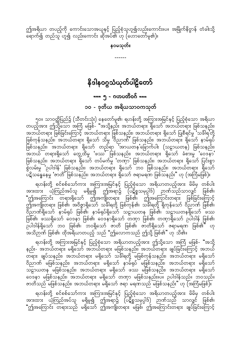ဤအရိယာ တပည့်ကို ကောင်းသောအယူနှင့် ပြည့်စုံသူဟူ၍လည်းကောင်း။ပ။ အမြိုက်နိဗ္ဗာန် တံခါးသို့ များသည်။<br>ရောက်၍ တည်သူ ဟူ၍ လည်းကောင်း ဆိုအပ်၏ ဟု (ဟောတော်မူ၏)။

နဝမသုတ်။

# နိဒါနဝဂ္ဂသံယုတ်ပါဠိတော် === ၅ - ဂဟပတိဝဂ် ===

#### ၁၀ - ဒုတိယ အရိယသာဝကသုတ်

၅၀။ သာဝတ္ထိပြည်၌ (သီတင်းသုံး) နေတော်မူ၏၊ ရဟန်းတို့ အကြားအမြင်နှင့် ပြည့်စုံသော အရိယာ<br>တပည့်အား ဤသို့သော အကြံ မဖြစ်- "အသို့နည်း အဘယ်တရား ရှိသော် အဘယ်တရား ဖြစ်သနည်း၊ အဘယ်တရား ဖြစ်ခြင်းကြောင့် အဘယ်တရား ဖြစ်သနည်း၊ အဘယ်တရား ရှိသော် ပြုစီရင်မှု သင်္ခါရဲတို့ ဖြစ်ကုန်သနည်း၊ အဘယ်တရား ရှိသော် သိမှု 'ဝိညာဏ်' ဖြစ်သနည်း၊ အဘယ်တရား ရှိသော် နာမ်ရှပ် ဖြစ်သနည်း၊ အဘယ်တရား ရှိသော် တည်ရာ 'အာယတန'ခြောက်ပါး (သဠာယတန<sup>်)</sup> ဖြစ်သနည်း၊ .<br>အဘယ် တရားရှိသော် တွေ့ထိမှု 'ဖဿ'်ဖြစ်သနည်း၊ အဘယ်တရား ရှိသော် ခံစားမှု 'ဝေဒနာ' ဖြစ်သနည်း၊ အဘယ်တရား ရှိသော် တပ်မက်မှု 'တဏှာ' ဖြစ်သနည်း၊ အဘယ်တရား ရှိသော် ပြင်းစွာ စွဲလမ်းမှု ဉပါဒါန်ႛ ဖြစ်သနည်း၊ အဘယ်တရား ရှိသော် ဘဝ ဖြစ်သနည်း၊ အဘယ်တရား ရှိသော် ပိဋိသန္ဓေနေမှု 'ဇာတိ'ဖြစ်သနည်း၊ အဘယ်တရား ရှိသော် ဇရာမရဏ ဖြစ်သနည်း" ဟု (အကြံမဖြစ်)။

ရဟန်းတို့ စင်စစ်သော်ကား အကြားအမြင်နှင့် ပြည့်စုံသော အရိယာတပည့်အား မိမိမှ တစ်ပါး အားထား ယုံကြည်အပ်သူ မရှိမူ၍ ဤအရာ၌ (ပဋိစ္စသမုပ္ပါဒ်) ဉာဏ်သည်သာလျှင် ဖြစ်၏၊<br>"ဤအကြောင်း တရားရှိသော် ဤအကျိုးတရား ဖြစ်၏၊ ဤအကြောင်းတရား ဖြစ်ခြင်းကြောင့် ဖြစ်၏၊ ့ ။<br>ဤအကျိုးတရား ဖြစ်၏၊ အဝိဇ္ဇာရှိသော် သင်္ခါရတို့ ဖြစ်ကုန်၏၊ သင်္ခါရတို့ ရှိကုန်သော် ဝိညာဏ် ဖြစ်၏၊<br>ဝိညာဏ်ရှိသော် နာမ်ရုပ် ဖြစ်၏၊ နာမ်ရုပ်ရှိသော် သဠာယတန ဖြစ်၏၊ သဠာယတနရှိသော် ဖဿ ဖြစ်၏၊ ဖဿရှိသော် ဝေဒနာ ဖြစ်၏၊ ဝေဒနာရှိသော် တဏှာ ဖြစ်၏၊ တဏှာရှိသော် ဉပါဒါန် ဖြစ်၏၊ ဉပါဒါန်ရှိသော် ဘဝ ဖြစ်၏၊ ဘဝရှိသော် ဇာတိ ဖြစ်၏၊ ဇာတိရှိသော် ဇရာမရဏ ဖြစ်၏" ဟု အသိဉာဏ် ဖြစ်၏၊ ထိုအရိယာတပည့် သည် "ဤလောကသည် ဤသို့ ဖြစ်၏" ဟု သိ၏။

ရဟန်းတို့ အကြားအမြင်နှင့် ပြည့်စုံသော အရိယာတပည့်အား ဤသို့သော အကြံ မဖြစ်- "အသို့<br>နည်း- အဘယ်တရား မရှိသော် အဘယ်တရား မဖြစ်သနည်း၊ အဘယ်တရား ချုပ်ခြင်းကြောင့် အဘယ် ုိင္<br>တရား ချုပ်သနည်း၊ အဘယ်တရား မရှိသော် သင်္ခါရတို့ မဖြစ်ကုန်သနည်း၊ အဘယ်တရား မရှိသော် ဝိညာဏ် မဖြစ်သနည်း၊ အဘယ်တရား မရှိသော် နာမ်ရုပ် မဖြစ်သနည်း၊ အဘယ်တရား မရှိသော် သဠာယတန မဖြစ်သနည်း၊ အဘယ်တရား မရှိသော် ဖဿ မဖြစ်သနည်း၊ အဘယ်တရား မရှိသော် ဝေဒနာ မဖြစ်သနည်း၊ အဘယ်တရား မရှိသော် တဏှာ မဖြစ်သနည်း။ပ။ ဉပါဒါန်သည်။ ဘဝသည်။ ဇာတိသည် မဖြစ်သနည်း၊ အဘယ်တရား မရှိသော် ဇရာ မရဏသည် မဖြစ်သနည်း" ဟု (အကြံမဖြစ်)။

ရဟန်းတို့ စင်စစ်သော်ကား အကြားအမြင်နှင့် ပြည့်စုံသော အရိယာတပည့်အား မိမိမ<mark>ု</mark> တစ်ပါး -<br>အားထား ယုံကြည်အပ်သူ မရှိမူ၍ ဤအရာ၌ (ပဋိစ္စသမုပ္ပါဒ်) ဉာဏ်သည် သာလျှင် ဖြစ်၏၊<br>"ဤအကြောင်း တရားသည် မရှိသော် ဤအကျိုးတရား မဖြစ်၊ ဤအကြောင်းတရား ချုပ်ခြင်းကြောင့်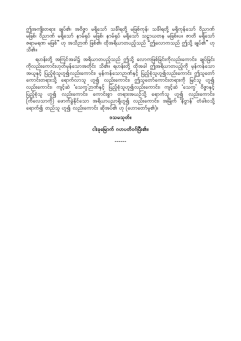ဤအကျိုးတရား ချုပ်၏၊ အဝိဇ္ဇာ မရှိသော် သခ်ီါရတို့ မဖြစ်ကုန်၊ သခ်ီါရတို့ မရှိကုန်သော် ဝိညာဏ် မြေစီ၊ ဝီညာဏ် မရှိသော် နာမိရုပ် မဖြစ်၊ နာမ်ရုပ် မရှိသော် သဠာယတန မဖြစ်။ပ။ ဇာတိ မရှိသော် ု<br>ဇရာမရဏ မဖြစ်" ဟု အသိဉာဏ် ဖြစ်၏၊ ထိုအရိယာတပည့်သည် "ဤလောကသည် ဤသို့ ချုပ်၏" ဟု သိ၏။

ရဟန်းတို့ အကြင်အခါ၌ အရိယာတပည့်သည် ဤသို့ လောကဖြစ်ခြင်းကိုလည်းကောင်း၊ ချုပ်ခြင်း<br>ကိုလည်းကောင်းဟုတ်မှန်သောအတိုင်း သိ၏။ ရဟန်းတို့ ထိုအခါ ဤအရိယာတပည့်ကို မှန်ကန်သော အယူနှင့် ပြည့်စုံသူဟူ၍လည်းကောင်း၊ မှန်ကန်သောဉာဏ်နှင့် ပြည့်စုံသူဟူ၍လည်းကောင်း ဤသူတော်<br>ကောင်းတရားသို့ ရောက်လာသူ ဟူ၍ လည်းကောင်း၊ ဤသူတော်ကောင်းတရားကို မြင်သူ ဟူ၍ ပြောင်း "<br>(ကလေ့သာကို) ဖောက်ခွဲနိုင်သော အရိယာပညာရှိဟူ၍ လည်းကောင်း၊ အမြိုက် နိဗ္ဗာန် တံခါးဝသို့ 、<br>ရောက်၍ တည်သူ ဟူ၍ လည်းကောင်း ဆိုအပ်၏ ဟု (ဟောတော်မူ၏)။

ဒသမသုတ်။

ငါးခုမြောက် ဂဟပတိဝဂ်ပြီး၏။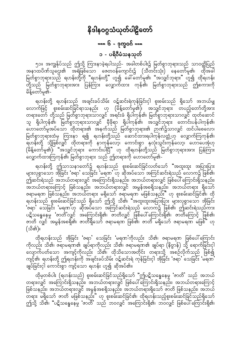#### နိဒါနဝဂ္ဂသံယုတ်ပါဠိတော်

=== ၆ - ဒုက္ခဝဂ် ===

၁ - ပရိဝီမံသနသုတ်

၅၁။ အကျွန်ုပ်သည် ဤသို့ ကြားနာခဲ့ရပါသည်- အခါတစ်ပါး၌ မြတ်စွာဘုရားသည် သာဝတ္ထိပြည်<br>အနာထပိဏ်သူဌေး၏ အရံဖြစ်သော ဇေတဝန်ကျောင်း၌ (သီတင်းသုံး) နေတော်မူ၏၊ ထိုအခါ မြတ်စွာဘုရားသည် ရဟန်းတို့ကို "ရဟန်းတို့" ဟူ၍ ခေါ်တော်မူ၏၊ "အသျှင်ဘုရား" ဟူ၍ ထိုရဟန်း တို့သည် မြတ်စွာဘုရားအား ပြန်ကြား လျှောက်ထား ကုန်၏၊ မြတ်စွာဘုရားသည် ဤစကားကို မိန့်တော်မူ၏-

ရဟန်းတို့ ရဟန်းသည် အချင်းခပ်သိမ်း ဝဋ်ဆင်းရဲကုန်ခြင်းငှါ စူးစမ်းသည် ရှိသော် အဘယ်မျှ လောက်ဖြင့် စူးစမ်းဆင်ခြင်ရာသနည်း ဟု (မိန့်တော်မူ၏)၊ အသျှင်ဘုရား တပည့်တော်တို့အား တရားတော် တို့သည် မြတ်စွာဘုရားသာလျှင် အရင်းခံ ရှိပါကုန်၏၊ မြတ်စွာဘုရားသာလျှင် ထုတ်ဆောင် သူ ရှိပါကုန်၏၊ မြတ်စွာဘုရားသာလျှင် မှီခိုရာ ရှိပါကုန်၏၊ အသျှင်ဘုရား တောင်းပန်ပါကုန်၏၊ "<br>ဟောတော်မူအပ်သော ထိုတရား၏ အနက်သည် မြတ်စွာဘုရား၏ ဉာဏ်၌သာလျှင် ထင်ပါစေလော၊ .<br>မြတ်စွာဘုရားထံမှ ကြားနာ ရ၍ ရဟန်းတို့သည် ဆောင်ထားရပါကုန်လတ္တံ့ဟု လျှောက်ကြကုန်၏၊ -<br>ရဟန်းတို့ သို့ဖြစ်လျှင် ထိုတရားကို နာကုန်လော့၊ ကောင်းစွာ နှလုံးသွင်းကုန်လော့၊ ဟောပေအံ့ဟု (မိန့်တော််မူ၏) "အသျှင်ဘုရား ကောင်းပါပြီ" ဟု ထိုရဟန်းတို့သည် မြတ်စွာဘုရားအား ပြန်ကြား .<br>လျှောက်ထားကြကုန်၏၊ မြတ်စွာဘုရား သည် ဤတရားကို ဟောတော်မူ၏-

ရဟန်းတို့ ဤသာသနာတော်၌ ရဟန်းသည် စူးစမ်းဆင်ခြင်လတ်သော် "အထူးထူး အပြားပြား များလှစွာသော အိုခြင်း 'ဇရာ' သေခြင်း 'မရဏ' ဟု ဆိုအပ်သော အကြင်ဆင်းရဲသည် လောက၌ ဖြစ်၏၊ ဤဆင်းရဲသည် အဘယ်တရားလျှင် အကြောင်းရှိသနည်း၊ အဘယ်တရားလျှင် ဖြစ်ပေါ် ကြောင်းရှိသနည်း၊ ္ခာ<br>အဘယ်တရားကြောင့် ဖြစ်သနည်း၊ အဘယ်တရားလျှင် အမွန်အစရှိသနည်း၊ အဘယ်တရား ရှိသော်<br>ဇရာမရဏ ဖြစ်သနည်း၊ အဘယ်တရား မရှိသော် ဇရာမရဏ မဖြစ်သနည်း'' ဟု စူးစမ်းဆင်ခြင်၏၊ ထို ရဟန်းသည် စူးစမ်းဆင်ခြင်သည် ရှိသော် ဤသို့ သိ၏၊ "အထူးထူးအပြားပြား မျှားလှစွာသော အိုခြင်း 'ဇရာ' သေခြင်း 'မရဏ'ဟု ဆိုအပ်သော အကြင်ဆင်းရဲသည် လောက၌ ဖြစ်၏၊ ဤဆင်းရဲသည်ကား ပဋိသန္ဓေနေမှု 'ဇာတိ'လျှင် အကြောင်းရှိ၏၊ ဇာတိလျှင် ဖြစ်ပေါ်ကြောင်းရှိ၏၊ ဇာတိကြောင့် ဖြစ်၏၊ ဇာတိ လျှင် အမွန်အစရှိ၏၊ ဇာတိရှိသော် ဇရာမရဏ ဖြစ်၏၊ ဇာတိ မရှိသော် ဇရာမရဏ မဖြစ်" ဟု  $(S<sub>ε</sub>)<sub>||</sub>$ 

ထိုရဟန်းသည် အိုခြင်း 'ဇရာ' သေခြင်း 'မရဏ'ကိုလည်း သိ၏၊ ဇရာမရဏ ဖြစ်ပေါ်ကြောင်း ကိုလည်း သိ၏၊ ဇရာမရဏ၏ ချုပ်ရာကိုလည်း သိ၏၊ ဇရာမရဏ၏ ချုပ်ရာ (နိဗ္ဗာန်) သို့ ရောက်ခြင်းငှါ လျောက်ပတ်သော အကျင့်ကိုလည်း သိ၏၊ ထိုသိသောအတိုင်း တရားသို့ အစဉ်လိုက်သည် ဖြစ်၍ ကျင့်၏၊ ရဟန်းတို့ ဤရဟန်းကို အချင်းခပ်သိမ်း ဝဋ်ဆင်းရဲ ကုန်ခြင်းငှါ အိုခြင်း 'ဇရာ' သေခြင်း 'မရဏ' ချုပ်ခြင်းငှါ ကောင်းစွာ ကျင့်သော ရဟန်း ဟူ၍ ဆိုအပ်၏။

ထိုမှတစ်ပါး (ရဟန်းသည်) စူးစမ်းဆင်ခြင်သည်ရှိသော် "ဤပဋိသန္ဓေနေမှု 'ဇာတိ' သည် အဘယ် တရားလျှင် အကြောင်းရှိသနည်း၊ အဘယ်တရားလျှင် ဖြစ်ပေါ်ကြောင်းရှိသနည်း၊ အဘယ်တရားကြောင့် ဖြစ်သနည်း၊ အဘယ်တရားလျှင် အမွန်အစရှိသနည်း၊ အဘယ်တရားရှိသော် ဇာတိ ဖြစ်သနည်း၊ အဘယ် ပ<br>တရား မရှိသော် ဇာတိ မဖြစ်သနည်း' ဟု စူးစမ်းဆင်ခြင်၏၊ ထိုရဟန်းသည့်စူးစမ်းဆင်ခြင်သည်ရှိသော်<br>ဤသို့ သိ၏၊ ''ပဋိသန္ဓေနေမှု 'ဇာတိ' သည် ဘဝလျှင် အကြောင်းရှိ၏၊ ဘဝလျှင် ဖြစ်ပေါ်ကြောင်းရှိ၏၊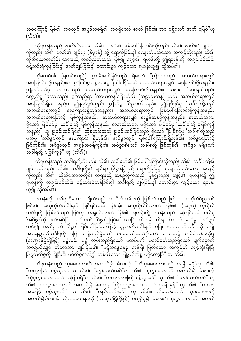ဘဝကြောင့် ဖြစ်၏၊ ဘဝလျှင် အမွန်အစရှိ၏၊ ဘဝရှိသော် ဇာတိ ဖြစ်၏၊ ဘဝ မရှိသော် ဇာတိ မဖြစ်"ဟု  $(3)$ ၏)။

ထိုရဟန်းသည် ဇာတိကိုလည်း သိ၏၊ ဇာတိ၏ ဖြစ်ပေါ်ကြောင်းကိုလည်း သိ၏၊ ဇာတိ၏ ချုပ်ရာ ကိုလည်း သိ၏၊ ဇာတိ၏ ချုပ်ရာ (နိဗ္ဗာန်) သို့ ရောက်ခြင်းငှါ လျောက်ပတ်သော အကျင့်ကိုလည်း သိ၏၊ ထိုသိသောအတိုင်း တရားသို့ အစဉ်လိုက်သည် ဖြစ်၍ ကျင့်၏၊ ရဟန်းတို့ ဤရဟန်းကို အချင်းခပ်သိမ်း ဝဋ်ဆင်းရဲကုန်ခြင်းငှါ ဇာတိချုပ်ခြင်းငှါ ကောင်းစွာ ကျင့်သော ရဟန်းဟူ၍ ဆိုအပ်၏။

ထိုမှတစ်ပါး (ရဟန်းသည်) စူးစမ်းဆင်ခြင်သည် ရှိသော် "ဤဘဝသည် အဘယ်တရားလျှင် အကြောင်း ရှိသနည်း။ပ။ ဤပြင်းစွာ စွဲလမ်းမှု ဉပါဒါန် သည် အဘယ်တရားလျှင် အကြောင်းရှိသနည်း။ ္သာ ကို ေတြကို ေတြကို အသက္ေတြက အေလြးေပါင္း ေတြက ေတြကို ေတြကို ေ အဘယ်တရားလျှင် အကြောင်းရှိကုန်သနည်း။ အဘယ်တရားလျှင် ဖြစ်ပေါ်ကြောင်းရှိကုန်သနည်း၊ အဘယ်တရားကြောင့် ဖြစ်ကုန်သနည်း၊ အဘယ်တရားလျှင် အမွန်အစရှိကုန်သနည်း၊ အဘယ်တရား ရှိသော် ပြုစီရင်မှု သခ်ီါရ တို့ ဖြစ်ကုန်သနည်း၊ အဘယ်တရား မရှိသော် ပြုစီရင်မှု သခ်ီါရ တို့ မဖြစ်ကုန် --<br>သနည်း" ဟု စူးစမ်းဆင်ခြင်၏၊ ထိုရဟန်းသည် စူးစမ်းဆင်ခြင်သည် ရှိသော် "ပြုစီရင်မှု 'သင်္ခါရ'တို့သည် မသိမှု 'အဝိဇ္ဇာ'လျှင် အကြောင်း ရှိကုန်၏၊ အဝိဇ္ဇာလျှင် ဖြစ်ပေါ်ကြောင်းရှိကုန်၏၊ အဝိဇ္ဇာကြောင့် ဖြစ်ကုန်၏၊ အဝိဇ္ဇာလျှင် အမွန်အစရိုကုန်၏၊ အဝိဇ္ဇာရှိသော် သင်္ခါရတို့ ဖြစ်ကုန်၏၊ အဝိဇ္ဇာ မရှိသော် သင်္ခါရတို့ မဖြစ်ကုန်" ဟု (သိ၏)။

ထိုရဟန်းသည် သင်္ခါရတို့ကိုလည်း သိ၏၊ သင်္ခါရတို့၏ ဖြစ်ပေါ် ကြောင်းကိုလည်း သိ၏၊ သင်္ခါရတို့၏<br>ချုပ်ရာကိုလည်း သိ၏၊ သင်္ခါရတို့၏ ချုပ်ရာ (နိဗ္ဗာန်) သို့ ရောက်ခြင်းငှါ လျောက်ပတ်သော အကျင့် ကိုလည်း သိ၏၊ ထိုသိသောအတိုင်း တရားသို့ အစဉ်လိုက်သည် ဖြစ်၍လည်း ကျင့်၏၊ ရဟန်းတို့ ဤ -<br>ရဟန်းကို အချင်းခပ်သိမ်း ဝဋ်ဆင်းရဲကုန်ခြင်းငှါ သင်္ခါရတို့ ချုပ်ခြင်းငှါ ကောင်းစွာ ကျင့်သော ရဟန်း ဟူ၍ ဆိုအပ်၏။

ရဟန်းတို့ အဝိဇ္ဇာရှိသော ပုဂ္ဂိုလ်သည် ကုသိုလ်သခ်ါရကို ပြုစီရင်သည် ဖြစ်အံ့၊ ကုသိုလ်ဝိညာဏ် ဖြစ်၏၊ အကုသိုလ်သင်္ခါရကို ပြုစိရင်သည် ဖြစ်အံ့၊ အကုသိုလ်ဝိညာဏ် ဖြစ်၏၊ (အရူပ) ကုသိုလ် သင်္ခါရကို ပြုစီရင်သည် ဖြစ်အံ့၊ အရူပဝိညာဏ် ဖြစ်၏၊ ရဟန်းတို့ ရဟန်းသည် အကြင်အခါ မသိမှု 'အဝိဇ္ဇာ'ကို ပယ်အပ်ပြီ၊ အသိဉာဏ် 'ဝိဇ္ဇာ' ဖြစ်ပေါ် လာပြီ၊ ထိုအခါ ထိုရဟန်းသည် မသိမှု 'အဝိဇ္ဇာ'<br>ကင်း၍ အသိဉာဏ် 'ဝိဇ္ဇာ' ဖြစ်ပေါ်ခြင်းကြောင့် ပုညာဘိသခ်ါရကို မပြု၊ အပုညာဘိသခ်ါရကို မပြု၊ အာနေဥာဘိသင်္ခါရကို မပြု၊ မပြုသည်ရှိသော် မစေ့ဆော်သည်ရှိသော် လောက၌ တစ်စုံတစ်ခုကိုမျှ (တဏှာဒိဋ္ဌိတို့ဖြင့်) မစွဲလမ်း၊ မစွဲ လမ်းသည်ရှိသော် မတပ်မက်၊ မတပ်မက်သည်ရှိသော် မျက်မှောက် .<br>ဘဝ၌ပင်လျှင် ကိလေသာ ချုပ်ငြိမ်း၏၊ "ပဋိသန္ဓေနေမှု ကုန်ပြီ၊ မြတ်သော အကျင့်ကို ကျင့်သုံးပြီးပြီ၊ ပြုဖွယ်ကိစ္စကို ပြုပြီးပြီ၊ မဂ်ကိစ္စအလို့ငှါ တစ်ပါးသော ပြုဖွယ်ကိစ္စ မရှိတော့ပြီ" ဟု သိ၏။

ထိုရဟန်းသည် သုခဝေဒနာကို အကယ်၍ ခံစားအံ့၊ "ထိုသုခဝေဒနာသည် အမြဲ မရှိ"ဟု သိ၏၊ "တဏှာဖြင့် မစွဲယူအပ်"ဟု သိ၏ "မနှစ်သက်အပ်"ဟု သိ၏။ ဒုက္ခဝေဒနာကို အကယ်၍ ခံစားအံ့၊ "ထိုဒုက္ခဝေဒနာသည် အမြဲ မရှိ"ဟု သိ၏၊ "တဏှာအားဖြင့် မစွဲယူအပ်ဳိ" ဟု သိ၏၊ "မနှစ်သက်အပ်" ဟု သိ၏။ ဥပက္ခာဝေဒနာကို အကယ်၍ ခံစားအံ့၊ "ထိုဥပက္ခာဝေဒနာသည် အမြဲ မရှိ" ဟု သိ၏၊ "တဏှာ အားဖြင့် မစွဲယူအပ်" ဟု သိ၏ "မနှစ်သက်အပ်" ဟု သိ၏။ ထိုရဟန်းသည် သုခဝေဒနာကို အကယ်၍ခံစားအံ့၊ ထိုသုခဝေဒနာကို (တဏှာဒိဋ္ဌိတို့နှင့်) မယှဉ်မူ၍ ခံစား၏။ ဒုက္ခဝေဒနာကို အကယ်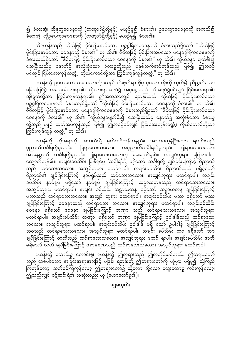၍ ခံစားအံ့၊ ထိုဒုက္ခဝေဒနာကို (တဏှာဒိဋ္ဌိတို့နှင့်) မယှဉ်မူ၍ ခံစား၏။ ဉပေက္ခာဝေဒနာကို အကယ်၍ ခ်စားအံ့၊ ထိုဥပေက္ခာဝေဒနာကို (တဏှာဒိဋ္ဌိတို့နှင့်) မယှဉ်မူ၍ ခံစား၏။

ထိုရဟန်းသည် ကိုယ်ဖြင့် ပိုင်းခြားအပ်သော ပဉ္စဒွါရိကဝေဒနာကို ခံစားသည်ရှိသော် "ကိုယ်ဖြင့် ပိုင်းခြားအပ်သော ဝေဒနာကို ခံစား၏" ဟု သိ၏၊ ဇီဝိတဖြင့် ပိုင်းခြားအပ်သော မနော်ဒွါရိကဝေဒနာကို ခံစားသည်ရှိသော် "ဇီဝိတဖြင့် ပိုင်းခြားအပ်သော ဝေဒနာကို ခံစား၏" ဟု သိ၏၊ ကိုယ်ခန္ဓာ ပျက်စီး၍ သေပြီးသည်မှ နောက်၌ အလုံးစုံသော ခံစားမှုတို့သည် မနှစ်သက်အပ်ကုန်သည် ဖြစ်၍ ဤဘဝ၌ ပင်လျှင် ငြိမ်းအေးကုန်လတ္တံ့၊ ကိုယ်ကောင်တို့သာ ကြွင်းကျန်ကုန်လတ္တံ့" ဟု သိ၏။

ရဟန်းတို့ ဉပမာသော်ကား ယောက်ျားသည် အိုးဖုတ်ရာ ဖိုမှ ပူသော အိုးကို ထုတ်၍ ညီညွှတ်သော<br>မြေအပြင်၌ အအေးခံထားရာ၏၊ ထိုထားရာအရပ်၌ အပူငွေ့သည် ထိုအရပ်၌ပင်လျှင် ငြိမ်းအေးရာ၏၊ -<br>အိုးခွက်တို့သာ ကြွင်းကျန်ကုန်ရာ၏၊ ဤအတူသာလျှင် ရဟန်းသည် ကိုယ်ဖြင့် ပိုင်းခြားအပ်သော<br>ပဉ္စဒွါရိကဝေဒနာကို ခံစားသည်ရှိသော် "ကိုယ်ဖြင့် ပိုင်းခြားအပ်သော ဝေဒနာကို ခံစား၏" ဟု သိ၏၊ ဇီဝိတဖြင့် ပိုင်းခြားအပ်သော မနောဒွါရိကဝေဒနာကို ခံစားသည်ရှိသော် "ဇီဝိတဖြင့် ပိုင်းခြားအပ်သော ဝေဒနာကို ခံစား၏" ဟု သိ၏၊ "ကိုယ်ခန္ဓာပျက်စီး၍ သေပြီးသည်မှ နောက်၌ အလုံးစုံသော ခံစားမှု တို့သည် မနှစ် သက်အပ်ကုန်သည် ဖြစ်၍ ဤဘဝ၌ပင်လျှင် ငြိမ်းအေးကုန်လတ္တံ့၊ ကိုယ်ကောင်တို့သာ ကြွင်းကျန်ကုန် လတ္တံ့" ဟု သိ၏။

ရဟန်းတို့ ထိုအရာကို အဘယ်သို့ မှတ်ထင်ကုန်သနည်း၊ အာသဝကုန်ပြီးသော ရဟန်းသည် ပုညာဘိသခ်ီါရကိုမူလည်း ပြုရာသေးသလော၊ အပုညာဘိသခ်ီါရကိုမူလည်း ပြုရာသေးသလော၊ - —<br>အာနေဥာဘိ သင်္ခါရကိုမူလည်း ပြုရာသေးသလောဟု မေးတော်မူ၏။ အသျှင်ဘုရား မပြုရာပါဟု လျှောက်ကုန်၏။ အချင်းခပ်သိမ်း ပြုစီရင်မှု 'သင်္ခါရ'တို့ မရှိသော် သင်္ခါရတို့ ချုပ်ခြင်းကြောင့် ဝိညာဏ် သည် ထင်သေးသလော။ အသျှင်ဘုရား မထင်ရာပါ။ အချင်းခပ်သိမ်း ဝိညာဏ်သည် မရှိခဲ့သော် ဝိညာဏ်၏ ချုပ်ခြင်းကြောင့် နာမ်ရုပ်သည် ထင်သေးသလော။ အသျှင်ဘုရား မထင်ရာပါ။ အချင်း ခပ်သိမ်း နာမ်ရှပ် မရှိသော် နာမ်ရုပ် ချုပ်ခြင်းကြောင့် သဠာယတနသည် ထင်ရာသေးသလော။ အသျှင်ဘုရား မထင်ရာပါ။ အချင်း ခပ်သိမ်း သဠာယတန မရှိသော် သဠာယတန ချုပ်ခြင်းကြောင့် ဖဿသည် ထင်ရာသေးသလော။ အသျှင် ဘုရား မထင်ရာပါ။ အချင်းခပ်သိမ်း ဖဿ မရှိသော် ဖဿ ချုပ်ခြင်းကြောင့် ဝေဒနာသည် ထင်ရာသေး သလော။ အသျှင်ဘုရား မထင်ရာပါ။ အချင်းခပ်သိမ်း ဝေဒနာ မရှိသော် ဝေဒနာ ချုပ်ခြင်းကြောင့် တဏှာ သည် ထင်ရာသေးသလော။ အသျှင်ဘုရား မထင်ရာပါ။ အချင်းခပ်သိမ်း တဏှာ မရှိသော် တဏှာ ချပ်ခြင်းကြောင့် ဥပါဒါန်သည် ထင်ရာသေး သလော။ အသျှင်ဘုရား မထင်ရာပါ။ အချင်းခပ်သိမ်း ဉပါဒါန် မရှိ သော် ဉပါဒါန် ချုပ်ခြင်းကြောင့် ဘဝသည် ထင်ရာသေးသလော။ အသျှင်ဘုရား မထင်ရာပါ။ အချင်း ခပ်သိမ်း ဘဝ မရှိသော် ဘဝ ချုပ်ခြင်းကြောင့် ဇာတိသည် ထင်ရာသေးသလော။ အသျှင်ဘုရား မထင် ရာပါ။ အချင်းခပ်သိမ်း ဇာတိ မရှိသော် ဇာတိ ချုပ်ခြင်းကြောင့် ဇရာမရဏသည် ထင်ရာသေးသလော။ အသျှင်ဘုရား မထင်ရာပါ။

ရဟန်းတို့ ကောင်းစွ ကောင်းစွ၊ ရဟန်းတို့ ဤတရားသည် ဤအတိုင်းပင်တည်း၊ ဤတရားတော် သည် တစ်ပါးသော အခြင်းအရာအားဖြင့် မဖြစ်၊ ရဟန်းတို့ ဤတရားတော်ကို ယုံမှား မရှိမူ၍ ယုံကြည် ကြကုန်လော့၊ သက်ဝင်ကြကုန်လော့၊ ဤတရားတော်၌ သို့လော သို့လော တွေးတောမူ ကင်းကုန်လော့၊ ဤသည်လျှင် ဝဋ်ဆင်းရဲ၏ အဆုံးတည်း ဟု (ဟောတော်မူ၏)။

ပဌမသုတ်။

 $- - - - - -$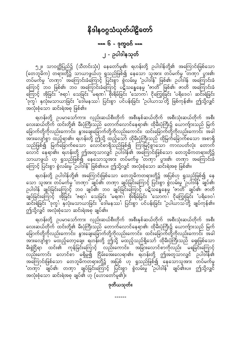#### နိဒါန၀ဂွသံယုတ်ပါဠိတော်

=== ၆ - ဒုက္ခဝဂ် ===

၂ - ဉပါဒါနသုတ်

၅၂။ သာဝတ္ထိပြည်၌ (သီတင်းသုံး) နေတော်မူ၏၊ ရဟန်းတို့ ဉပါဒါန်တို့၏ အကြောင်းဖြစ်သော (တေဘူမိက) တရားတို့၌ သာယာဖွယ်ဟု ရှုသည်ဖြစ်၍ နေသော သူအား တပ်မက်မှု 'တဏှာ' ပွား၏၊<br>တပ်မက်မှု 'တဏှာ' အကြောင်းခံကြောင့် ပြင်းစွာ စွဲလမ်းမှု 'ဥပါဒါန်' ဖြစ်၏၊ ဥပါဒါန် အကြောင်းခံ ကြောင့် ဘဝ ဖြစ်၏၊ ဘဝ အကြောင်းခံကြောင့် ပဋိသန္ဓေနေမှု 'ဇာတိ' ဖြစ်၏၊ ဇာတိ အကြောင်းခံ<br>ကြောင့် အိုခြင်း 'ဇရာ'၊ သေခြင်း 'မရဏ'၊ စိုးရိမ်ခြင်း 'သောက'၊ ငိုကြွေးခြင်း 'ပရိဒေဝ'၊ ဆင်းရဲခြင်း 'ဒုက္ခ'၊ နှလုံးမသာယာခြင်း 'ဒေါမနဿ'၊ ပြင်းစွာ ပင်ပန်းခြင်း 'ဥပါယာသ'တို့ ဖြစ်ကုန်၏။ ဤသို့လျှင် အလုံးစုံသော ဆင်းရဲအစု ဖြစ်၏။

ရဟန်းတို့ ဉပမာသော်ကား လှည်းဆယ်စီးတိုက် အစီးနှစ်ဆယ်တိုက် အစီးသုံးဆယ်တိုက် အစီး လေးဆယ်တိုက် ထင်းတို့၏ မီးပုံကြီးသည် တောက်လောင်နေရာ၏၊ ထိုမီးပုံကြီး၌ ယောကျ်ားသည် မြက် ခြောက်တို့ကိုလည်းကောင်း၊ နွားချေးခြောက်တို့ကိုလည်းကောင်း၊ ထင်းခြောက်တို့ကိုလည်းကောင်း အခါ အားလျော်စွာ ထည့်ရာ၏။ ရဟန်းတို့ ဤသို့ ထည့်သော် ထိုမီးပုံကြီးသည် ထိုမြက်ခြောက်စသော အစာရှိ သည်ဖြစ်၍ မြက်ခြောက်စသော လောင်စာရှိသည်ဖြစ်၍ ကြာမြင့်စွာသော ကာလပတ်လုံး တောက် သာယာဖွယ် ဟု ရှုသည်ဖြစ်၍ နေသောသူအား တပ်မက်မှု 'တဏှာ' ပွား၏၊ တဏှာ အကြောင်းခံ ကြောင့် ပြင်းစွာ စွဲလမ်းမှု ဉပါဒါန်ႛ ဖြစ်၏။ပ။ ဤသို့လျှင် အလုံးစုံသော ဆင်းရဲအစု ဖြစ်၏။

ရဟန်းတို့ ဉပါဒါန်တို့၏ အကြောင်းဖြစ်သော တေဘူမိကတရားတို့၌ အပြစ်ဟု ရှုသည်ဖြစ်၍ နေ သော သူအား တပ်မက်မှု တဏှာ ချုပ်၏၊ တဏှာ ချုပ်ခြင်းကြောင့် ပြင်းစွာ စွဲလမ်းမှု ဉ်ပါဒါန် ချုပ်၏၊<br>ဉပါဒါန် ချုပ်ခြင်းကြောင့် ဘဝ ချုပ်၏၊ ဘဝ ချုပ်ခြင်းကြောင့် ပဋိသန္ဓေနေမှု 'ဇာတိ' ချုပ်၏၊ ဇာတိ ချုပ်ခြင်းကြောင့် အိုခြင်း 'ဇရာ'၊ သေခြင်း 'မရဲဏ'၊ စိုးရိမ်ခြင်း 'သောက'၊ ငိုကြွေးခြင်း 'ပရိဒေဝ'၊ ဆင်းရဲခြင်း 'ဒုက္ခ'၊ နှလုံးမသာယာခြင်း 'ဒေါမနဿ'၊ ပြင်းစွာ ပင်ပန်းခြင်း 'ဉပါယာသ'တို့ ချုပ်ကုန်၏။ ဤသို့လျှင် အလုံးစုံသော ဆင်းရဲအစု ချုပ်၏။

ရဟန်းတို့ ဉပမာသော်ကား လှည်းဆယ်စီးတိုက် အစီးနှစ်ဆယ်တိုက် အစီးသုံးဆယ်တိုက် အစီး လေးဆယ်တိုက် ထင်းတို့၏ မီးပုံကြီးသည် တောက်လောင်နေရာ၏၊ ထိုမီးပုံကြီး၌ ယောကျ်ားသည် မြက် ခြောက်တို့ကိုလည်းကောင်း၊ နွားချေးခြောက်တို့ကိုလည်းကောင်း၊ ထင်းခြောက်တို့ကိုလည်းကောင်း အခါ ုပ္ပြ ႏုပ္ပြ ပ<br>ကြားလျော်စွာ မထည့်တော့ချေ။ ရဟန်းတို့ ဤသို့ မထည့်သည်ရှိသော် ထိုမီးပုံကြီးသည် ရှေးဖြစ်သော မီးစွဲငြိရာ ထင်း၏ ကုန်ခြင်းကြောင့် လည်းကောင်း၊ အခြားလောင်စာကိုလည်း မရခြင်းကြောင့် ု့<br>လည်းကောင်း လောင်စာ မရှိမူ၍ ငြိမ်းအေးလေရာ၏။ ရဟန်းတို့ ဤအတူသာလျှင် ဉပါဒါန်၏<br>အကြောင်းဖြစ်သော တေဘူမိကတရားတို့၌ အပြစ် ဟု ရှုသည်ဖြစ်၍ နေသောသူအား တပ်မက်မှု ်တဏှာ' ချုပ်၏၊ တဏှာ ချုပ်ခြင်းကြောင့် ပြင်းစွာ စွဲလမ်းမှု ဉပါဒါန်<sup>'</sup> ချုပ်၏။ပ။ ဤသို့လျှင် အလုံးစုံသော ဆင်းရဲအစု ချုပ်၏ ဟု (ဟောတော်မူ၏)။

ဒုတိယသုတ်။

-------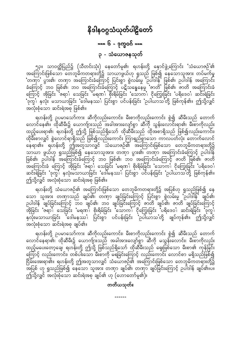# နိဒါန၀ဂွသံယုတ်ပါဠိတော် === ၆ - ဒုက္ခဝဂ် ===

၃ - သံယောဇနသုတ်

၅၃။ သာဝတ္ထိပြည်၌ (သီတင်းသုံး) နေတော်မူ၏၊ ရဟန်းတို့ နှောင်ဖွဲ့ကြောင်း 'သံယောဇဉ်'၏ အကြောင်းဖြစ်သော တေဘူမိကတရားတို့၌ သာယာဖွယ်ဟု ရှုသည် ဖြစ်၍ နေသောသူအား တပ်မက်မှု ်တဏှာ' ပွား၏၊ တဏှာ အကြောင်းခံကြောင့် ပြင်းစွာ စွဲလမ်းမှု 'ဉပါဒါန်' ဖြစ်၏၊ ဉပါဒါန် အကြောင်း ခံကြောင့် ဘဝ ဖြစ်၏၊ ဘဝ အကြောင်းခံကြောင့် ပဋိသန္ဓေနေမှု 'ဇာတိ' ဖြစ်၏၊ ဇာတိ အကြောင်းခံ ကြောင့် အိုခြင်း ဇရာ၊ သေခြင်း မြရဏ၊ စိုးရိမ်ခြင်း 'သောက၊ ငိုကြွေးခြင်း 'ပရိဒေဝ၊ ဆင်းရဲခြင်း 'ဒုက္ခ'၊ နှလုံး မသာယာခြင်း 'ဒေါမနဿ'၊ ပြင်းစွာ ပင်ပန်းခြင်း 'ဥပါယာသ'တို့ ဖြစ်ကုန်၏။ ဤသို့လျှင် အလုံးစုံသော ဆင်းရဲအစု ဖြစ်၏။

ရဟန်းတို့ ဥပမာသော်ကား ဆီကိုလည်းကောင်း၊ မီးစာကိုလည်းကောင်း စွဲ၍ ဆီမီးသည် တောက် လောင်နေ၏။ ထိုဆီမီး၌ ယောက်ျားသည် အခါအားလျော်စွာ ဆီကို သွန်းလောင်းရာ၏၊ မီးစာကိုလည်း ထည့်ပေးရာ၏၊ ရဟန်းတို့ ဤသို့ ဖြစ်သည်ရှိသော် ထိုဆီမီးသည် ထိုအစာရှိသည် ဖြစ်၍လည်းကောင်း၊ ထိုမ်ိဳးစာလျှင် စွဲလောင်ရာရှိသည် ဖြစ်၍လည်းကောင်း ကြာရှည်စွာသော ကာလပတ်လုံး တောက်လောင် ု<br>နေရာ၏။ ရဟန်းတို့ ဤအတူသာလျှင် သံယောဇဉ်၏ အကြောင်းဖြစ်သော တေဘူမိကတရားတို့၌ သာယာ ဖွယ်ဟု ရှုသည်ဖြစ်၍ နေသောသူအား တဏှာ ပွား၏၊ တဏှာ အကြောင်းခံကြောင့် ဉပါဒါန် ဖြစ်၏၊ ဉပါဒါန် အကြောင်းခံကြောင့် ဘဝ ဖြစ်၏၊ ဘဝ အကြောင်းခံကြောင့် ဇာတိ ဖြစ်၏၊ ဇာတိ အကြောင်းခံ ကြောင့် အိုခြင်း 'ဇရာ'၊ သေခြင်း 'မရဏ'၊ စိုးရိမ်ခြင်း 'သောက'၊ ငိုကြွေးခြင်း 'ပရိဒေဝ'၊ ဆင်းရဲခြင်း 'ဒုက္ခ့၊ နှလုံးမသာယာခြင်း 'ဒေါ်မနဿ'၊ ပြင်းစွာ ပင်ပန်းခြင်း 'ဥပါယာသ'တို့ ဖြစ်ကုန်၏။ ဤသို့လျှင် အလုံးစုံသော ဆင်းရဲအစု ဖြစ်၏။

ရဟန်းတို့ သံယောဇဉ်၏ အကြောင်းဖြစ်သော တေဘူမိကတရားတို့၌ အပြစ်ဟု ရှုသည်ဖြစ်၍ နေ သော သူအား တဏှာသည် ချုပ်၏၊ တဏှာ ချုပ်ခြင်းကြောင့် ပြင်းစွာ စွဲလမ်းမှု ဉ်ပါဒါန် ချုပ်၏၊ ဉပါဒါန် ချုပ်ခြင်းကြောင့် ဘဝ ချုပ်၏၊ ဘဝ ချုပ်ခြင်းကြောင့် ဇာတိ ချုပ်၏၊ ဇာတိ ချုပ်ခြင်းကြောင့် အိုခြင်း 'ဇဲရာ'၊ သေခြင်း 'မရဏႛ၊ စိုးရိမ်ခြင်း 'သောကႛ၊ ငိုကြွေးခြင်း 'ပရိဒေဝ'၊ ဆင်းရဲခြင်း 'ဒုက္ခ'၊ ္<br>နှလုံးမသာယာခြင်း 'ဒေါမနဿႛ၊ ပြင်းစွာ ပင်ပန်းခြင်း ပုပါယာသႛတို့ ချုပ်ကုန်၏။ ဤသို့လျှင် အလုံးစုံသော ဆင်းရဲအစု ချုပ်၏။

ရဟန်းတို့ ဥပမာသော်ကား ဆီကိုလည်းကောင်း၊ မီးစာကိုလည်းကောင်း စွဲ၍ ဆီမီးသည် တောက် လောင်နေရာ၏၊ ထိုဆီမီး၌ ယောကျ်ားသည် အခါအားလျော်စွာ ဆီကို မသွန်းလောင်း၊ မီးစာကိုလည်း ထည့်မပေးတော့ချေ၊ ရဟန်းတို့ ဤသို့ ဖြစ်သည်ရှိသော် ထိုဆီမီးသည် ရှေးဖြစ်သော မီးစာ၏ ကုန်ခြင်း ကြောင့် လည်းကောင်း၊ တစ်ပါးသော မီးစာကို မရခြင်းကြောင့် လည်းကောင်း လောင်စာ မရှိသည်ဖြစ်၍ .<br>ငြိမ်းအေးရာ၏။ ရဟန်းတို့ ဤအတူသာလျှင် သံယောဇဉ်၏ အကြောင်းဖြစ်သော တေဘူမိကတရားတို့၌ -<br>အပြစ် ဟု ရူသည်ဖြစ်၍ နေသော သူအား တဏှာ ချုပ်၏၊ တဏှာ ချုပ်ခြင်းကြောင့် ဉပါဒါန် ချုပ်၏။ပ။ ဤသို့လျှင် အလုံးစုံသော ဆင်းရဲအစု<sup>ံ</sup>ချုပ်၏ ဟု (ဟောတော်မူ၏)။

တတိယသုတ်။

-------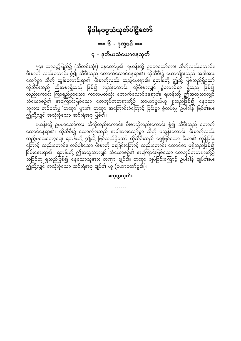### နိဒါနဝဂ္ဂသံယုတ်ပါဠိတော် === ၆ - ဒုက္ခဝဂ် === ၄ - ဒုတိယသံယောဇနသုတ်

၅၄။ သာဝတ္ထိပြည်၌ (သီတင်းသုံး) နေတော်မူ၏၊ ရဟန်းတို့ ဉပမာသော်ကား ဆီကိုလည်းကောင်း၊ မီးစာကို လည်းကောင်း စွဲ၍ ဆီမီးသည် တောက်လောင်နေရာ၏။ ထိုဆီမီး၌ ယောကျ်ားသည် အခါအား ာသော ပြောက်<br>လျော်စွာ ဆီကို သွန်းလောင်းရာ၏၊ မီးစာကိုလည်း ထည့်ပေးရာ၏၊ ရဟန်းတို့ ဤသို့ ဖြစ်သည်ရှိသော် ထိုဆီမီးသည် ထိုအစာရှိသည် ဖြစ်၍ လည်းကောင်း၊ ထိုမီးစာလျှင် စွဲလောင်ရာ ရှိသည် ဖြစ်၍ ု<br>လည်းကောင်း ကြာရှည်စွာသော ကာလပတ်လုံး တောက်လောင်နေရာ၏၊ ရဟန်းတို့ ဤအတူသာလျှင် သံယောဇဉ်၏ အကြောင်းဖြစ်သော တေဘူမိကတရားတို့၌ သာယာဖွယ်ဟု ရှုသည်ဖြစ်၍ နေသော သူအား တပ်မက်မှု 'တဏှာ' ပွား၏၊ တဏှာ အကြောင်းခံကြောင့် ပြင်းစွာ စွဲလမ်းမှု 'ဉပါဒါန််' ဖြစ်၏။ပ။ ဤသို့လျှင် အလုံးစုံသော ဆင်းရဲအစု ဖြစ်၏။

ရဟန်းတို့ ဥပမာသော်ကား ဆီကိုလည်းကောင်း၊ မီးစာကိုလည်းကောင်း စွဲ၍ ဆီမီးသည် တောက် လောင်နေရာ၏။ ထိုဆီမီး၌ ယောကျ်ားသည် အခါအားလျော်စွာ ဆီကို မသွန်းလောင်း၊ မီးစာကိုလည်း ထည့်မပေးတော့ချေ၊ ရဟန်းတို့ ဤသို့ ဖြစ်သည်ရှိသော် ထိုဆီမီးသည် ရှေးဖြစ်သော မီးစာ၏ ကုန်ခြင်း ကြောင့် လည်းကောင်း၊ တစ်ပါးသော မီးစာကို မရခြင်းကြောင့် လည်းကောင်း လောင်စာ မရှိသည်ဖြစ်၍ ငြိမ်းအေးရာ၏။ ရဟန်းတို့ ဤအတူသာလျှင် သံယောဇဉ်၏ အကြောင်းဖြစ်သော တေဘူမိကတရားတို့၌ -<br>အပြစ်ဟု ရှုသည်ဖြစ်၍ နေသောသူအား တဏှာ ချုပ်၏၊ တဏှာ ချုပ်ခြင်းကြောင့် ဉပါဒါန် ချုပ်၏။ပ။ ဤသို့လျှင် အလုံးစုံသော ဆင်းရဲအစု ချုပ်၏ ဟု (ဟောတော်မူ၏)။

စတုတ္ထသုတ်။

 $- - - - - -$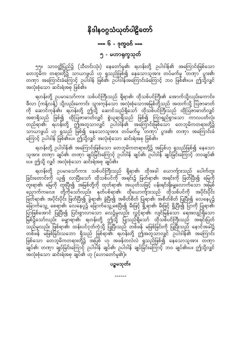#### နိဒါန၀ဂွသံယုတ်ပါဠိတော်

=== ၆ - ဒုက္ခဝဂ် ===

၅ - မဟာရုက္ခသုတ်

၅၅။ သာဝတ္ထိပြည်၌ (သီတင်းသုံး) နေတော်မူ၏၊ ရဟန်းတို့ ဉပါဒါန်၏ အကြောင်းဖြစ်သော တေဘူမိက တရားတို့၌ သာယာဖွယ် ဟု ရှုသည်ဖြစ်၍ နေသောသူအား တပ်မက်မှု 'တဏှာ' ပွား၏၊ တဏှာ အကြောင်းခံကြောင့် ဉပါဒါန် ဖြစ်၏၊ ဉပါဒါန်အကြောင်းခံကြောင့် ဘဝ ဖြစ်၏။ပ။ ဤသို့လျှင် အလုံးစုံသော ဆင်းရဲအစု ဖြစ်၏။

ရဟန်းတို့ ဉပမာသော်ကား သစ်ပင်ကြီးသည် ရှိရာ၏၊ ထိုသစ်ပင်ကြီး၏ အောက်သို့လည်းကောင်း၊ ဖီလာ (ကန့်လန့်) သို့လည်းကောင်း သွားကုန်သော အလုံးစုံသောအမြစ်တို့သည် အထက်သို့ ဩဇာဓာတ် ကို ဆောင်ကုန်၏။ ရဟန်းတို့ ဤသို့ ဆောင်သည်ရှိသော် ထိုသစ်ပင်ကြီးသည် ထိုဩဇာဓာတ်လျှင် တည်ရာ၏၊ ရဟန်းတို့ ဤအတူသာလျှင် ဉပါဒါန်၏ အကြောင်းဖြစ်သော တေဘူမိကတရားတို့၌ သာယာဖွယ် ဟု ရှုသည် ဖြစ်၍ နေသောသူအား တပ်မက်မှု တဏှာ ပွား၏၊ တဏှာ အကြောင်းခံ ကြောင့် ဉပါဒါန် ဖြစ်၏။ပ။ ဤသို့လျှင် အလုံးစုံသော ဆင်းရဲအစု ဖြစ်၏။

ရဟန်းတို့ ဉပါဒါန်၏ အကြောင်းဖြစ်သော တေဘူမိကတရားတို့၌ အပြစ်ဟု ရူသည်ဖြစ်၍ နေသော သူအား တဏှာ ချုပ်၏၊ တဏှာ ချုပ်ခြင်းကြောင့် ဥပါဒါန် ချုပ်၏၊ ဥပါဒါန် ချုပ်ခြင်းကြောင့် ဘဝချုပ်၏ ။ပ။ ဤသို့ လျှင် အလုံးစုံသော ဆင်းရဲအစု ချုပ်၏။

ရဟန်းတို့ ဥပမာသော်ကား သစ်ပင်ကြီးသည် ရှိရာ၏၊ ထိုအခါ ယောက်ျားသည် ပေါက်တူး ခြင်းတောင်းကို ယူ၍ လာပြီးသော် ထိုသစ်ပင်ကို အရင်း၌ ဖြတ်ရာ၏၊ အရင်းကို ဖြတ်ပြီး၍ မြေကို .<br>တူးရာ၏၊ မြေကို တူးပြီး၍ အမြစ်တို့ကို ထုတ်ရာ၏၊ အယုတ်သဖြင့် ပန်းရင်းရိုးမျှလောက်သော အမြစ် ု့ ၊<br>ညှောက်ကလေး တို့ကိုသော်လည်း နုတ်ပစ်ရာ၏၊ ထိုယောက်ျားသည် ထိုသစ်ပင်ကို အပိုင်းပိုင်း ဖြတ်ရာ၏၊ အပိုင်းပိုင်း ဖြတ်ပြီး၍ ခွဲရာ၏၊ ခွဲပြီး၍ အစိတ်စိတ် ပြုရာ၏၊ အစိတ်စိတ် ပြုပြီး၍ လေနေပူ၌ ခြောက်သွေ့ စေရာ၏၊ လေနေပူ၌ ခြောက်သွေ့စေပြီး၍ မီးဖြင့် ရှို့ရာ၏၊ မီးဖြင့် ရှို့ပြီး၍ ပြာကို ပြုရာ၏၊ မြစ်၌သော်လည်း မျှောရာ၏၊ ရဟန်းတို့ ဤသို့ ပြုသည်ရှိသော် ထိုသစ်ပင်ကြီးသည် အရင်းပြတ်<br>သည်မူလည်း ဖြစ်ရာ၏၊ ထန်းပင်ငုတ်ကဲ့သို့ ပြုပြီးသည် တစ်ဖန် မဖြစ်ခြင်းကို ပြုပြီးသည် နောင်အခါ၌ တစ်ဖန် မဖြစ်ခြင်းသဘော ရှိသည် ဖြစ်ရာ၏၊ ရဟန်းတို့ ဤအတူသာလျှင် ဉပါဒါန်၏ အကြောင်း ဖြစ်သော တေဘူမိကတရားတို့၌ အပြစ် ဟု အဖန်တလဲလဲ ရှုသည်ဖြစ်၍ နေသောသူအား တဏှာ ချုပ်၏၊ တဏှာ ချုပ်ခြင်းကြောင့် ဉပါဒါန် ချုပ်၏၊ ဉပါဒါန် ချုပ်ခြင်းကြောင့် ဘဝ ချုပ်၏။ပ။ ဤသို့လျှင် အလုံးစုံသော ဆင်းရဲအစု ချုပ်၏ ဟု (ဟောတော်မူ၏)။

ပဥ္စမသုတ်။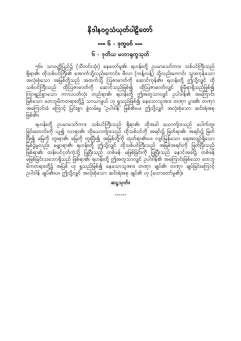### နိဒါန၀ဂွသံယုတ်ပါဠိတော် === ၆ - ဒုက္ခဝဂ် === ၆ - ဒုတိယ မဟာရုက္ခသုတ်

၅၆။ သာဝတ္တိပြည်၌ (သီတင်းသုံး) နေတော်မူ၏၊ ရဟန်းတို့ ဥပမာသော်ကား သစ်ပင်ကြီးသည် ျ ၊<br>အလုံးစုံသော အမြစ်တို့သည် အထက်သို့ ဩဇာဓာတ်ကို ဆောင်ကုန်၏။ ရဟန်းတို့ ဤသို့လျှင် ထို သစ်ပင်ကြီးသည် ထိုဩဇာဓာတ်ကို ဆောင်သည်ဖြစ်၍ ထိုဩဇာဓာတ်လျှင် စွဲမှီရာရှိသည်ဖြစ်၍<br>ကြာရှည်စွာသော ကာလပတ်လုံး တည်ရာ၏၊ ရဟန်းတို့ ဤအတူသာလျှင် ဉပါဒါန်၏ အကြောင်း မြစ်သော တေဘူမိကတရားတို့၌ သာယာဖွယ် ဟု ရှုသည်ဖြစ်၍ နေသောသူအား တဏှာ ပွား၏၊ တဏှာ<br>အကြောင်းခံ ကြောင့် ပြင်းစွာ စွဲလမ်းမှု 'ဥပါဒါန်' ဖြစ်၏။ပ။ ဤသို့လျှင် အလုံးစုံသော ဆင်းရဲအစု ဖြစ်၏။

ရဟန်းတို့ ဉပမာသော်ကား သစ်ပင်ကြီးသည် ရှိရာ၏၊ ထိုအခါ ယောကျ်ားသည် ပေါက်တူး<br>ခြင်းတောင်းကို ယူ၍ လာရာ၏၊ ထိုယောကျ်ားသည် ထိုသစ်ပင်ကို အရင်း၌ ဖြတ်ရာ၏၊ အရင်း၌ ဖြတ် .<br>ပြီး၍ မြေကို တူးရာ၏၊ မြေကို တူးပြီး၍ အမြစ်တို့ကို ထုတ်ရာ၏။ပ။ လျင်မြန်သော ရေအလျဉ်ရှိသော မြစ်၌မူလည်း မျှောရာ၏၊ ရဟန်းတို့ ဤသို့လျှင် ထိုသစ်ပင်ကြီးသည် အမြစ်အရင်းကို ဖြတ်ပြီးသည် မြစ်ရာ၏၊ ထန်းပင်ငုတ်ကဲ့သို့ ပြုပြီးသည် တစ်ဖန် မဖြစ်ခြင်းကို ပြုပြီးသည် နောင်အခါ၌ တစ်ဖန် .<br>မဖြစ်ခြင်းသဘောရှိသည် ဖြစ်ရာ၏၊ ရဟန်းတို့ ဤအတူသာလျှင် ဉပါဒါန်၏ အကြောင်းဖြစ်သော တေဘူ မိကတရားတို့၌ အပြစ် ဟု ရှုသည်ဖြစ်၍ နေသောသူအား တဏှာ ချုပ်၏၊ တဏှာ ချုပ်ခြင်းကြောင့် ဉပါဒါန် ချုပ်၏။ပ။ ဤသို့လျှင် အလုံးစုံသော ဆင်းရဲအစု ချုပ်၏ ဟု (ဟောတော်မူ၏)။

ဆဋ္ဌသုတ်။

------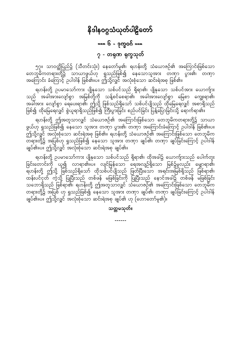#### နိဒါန၀ဂွသံယုတ်ပါဠိတော်

=== ၆ - ဒုက္ခဝဂ် ===

၇ - တရုဏ ရုက္ခသုတ်

၅၇။ သာဝတ္တိပြည်၌ (သီတင်းသုံး) နေတော်မူ၏၊ ရဟန်းတို့ သံယောဇဉ်၏ အကြောင်းဖြစ်သော တေဘူမိကတရားတို့၌ သာယာဖွယ်ဟု ရှုသည်ဖြစ်၍ နေသောသူအား တဏှာ ပွား၏၊ တဏှာ အကြောင်း ခံကြောင့် ဉပါဒါန် ဖြစ်၏။ပ။ ဤသို့လျှင် အလုံးစုံသော ဆင်းရဲအစု ဖြစ်၏။

ရဟန်းတို့ ဥပမာသော်ကား ပျိုနုသော သစ်ပင်သည် ရှိရာ၏၊ ပျိုနုသော သစ်ပင်အား ယောက်ျား သည် အခါအားလျော်စွာ အမြစ်တို့ကို သန့်စင်စေရာ၏၊ အခါအားလျော်စွာ မြေစာ ကျွေးရာ၏၊ အခါအား လျော်စွာ ရေပေးရာ၏၊ ဤသို့ ဖြစ်သည်ရှိသော် သစ်ပင်ပျိုသည် ထိုမြေရေလျှင် အစာရှိသည် ဖြစ်၍ ထိုမြေရေလျှင် စွဲယူရာရှိသည်ဖြစ်၍ ကြီးပွားခြင်း စည်ပင်ခြင်း ပြန့်ပြောခြင်းသို့ ရောက်ရာ၏။

ရဟန်းတို့ ဤအတူသာလျှင် သံယောဇဉ်၏ အကြောင်းဖြစ်သော တေဘူမိကတရားတို့၌ သာယာ ဖွယ်ဟု ရှုသည်ဖြစ်၍ နေသော သူအား တဏှာ ပွား၏၊ တဏှာ အကြောင်းခံကြောင့် ဉပါဒါန် ဖြစ်၏။ပ။ .<br>ဤသို့လျှင် အလုံးစုံသော ဆင်းရဲအစု ဖြစ်၏။ ရဟန်းတို့ သံယောဇဉ်၏ အကြောင်းဖြစ်သော တေဘူမိက —<br>တရားတို့၌ အပြစ်ဟု ရှုသည်ဖြစ်၍ နေသော သူအား တဏှာ ချုပ်၏၊ တဏှာ ချုပ်ခြင်းကြောင့် ဉပါဒါန် ချုပ်၏။ပ။ ဤသို့လျှင် အလုံးစုံသော ဆင်းရဲအစု ချုပ်၏။

ရဟန်းတို့ ဉပမာသော်ကား ပျိုနုသော သစ်ပင်သည် ရှိရာ၏၊ ထိုအခါ၌ ယောက်ျားသည် ပေါက်တူး ခြင်းတောင်းကို ယူ၍ လာရာ၏။ပဲ။ လျင်မြန်သော ရေအလျဉ်ရှိသော မြစ်၌မူလည်း မျှောရာ၏၊ ပ<br>ရဟန်းတို့ ဤသို့ ဖြစ်သည်ရှိသော် ထိုသစ်ပင်ပျိုသည် ဖြတ်ပြီးသော အရင်းအမြစ်ရှိသည် ဖြစ်ရာ၏၊ ထန်းပင်ငုတ် ကဲ့သို့ ပြုပြီးသည် တစ်ဖန် မဖြစ်ခြင်းကို ပြုပြီးသည် နောင်အခါ၌ တစ်ဖန် မဖြစ်ခြင်း သဘောရှိသည် ဖြစ်ရာ၏၊ ရဟန်းတို့ ဤအတူသာလျှင် သံယောဇဉ်၏ အကြောင်းဖြစ်သော တေဘူမိက တရားတို့၌ အပြစ် ဟု ရှုသည်ဖြစ်၍ နေသော သူအား တဏှာ ချုပ်၏၊ တဏှာ ချုပ်ခြင်းကြောင့် ဉပါဒါန် ချုပ်၏။ပ။ ဤသို့လျှင် အလုံးစုံသော ဆင်းရဲအစု ချုပ်၏ ဟု (ဟောတော်မူ၏)။

သတ္တမသုတ်။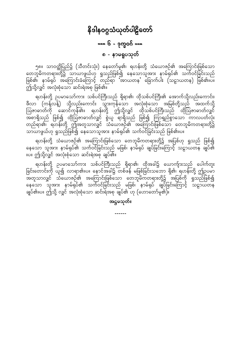#### နိဒါန၀ဂွသံယုတ်ပါဠိတော်

--- ၆ - ဒုက္ခဝဂ် ---

၈ - နာမရူပသုတ်

၅၈။ သာဝတ္တိပြည်၌ (သီတင်းသုံး) နေတော်မူ၏၊ ရဟန်းတို့ သံယောဇဉ်၏ အကြောင်းဖြစ်သော တေဘူမိကတရားတို့၌ သာယာဖွယ်ဟု ရှုသည်ဖြစ်၍ နေသောသူအား နာမ်ရုပ်၏ သက်ဝင်ခြင်းသည်<br>ဖြစ်၏၊ နာမ်ရုပ် အကြောင်းခံကြောင့် တည်ရာ 'အာယတန' ခြောက်ပါး (သဠာယတန) ဖြစ်၏။ပ။ .<br>ဤသို့လျှင် အလုံးစုံသော ဆင်းရဲအစု ဖြစ်၏။

ရဟန်းတို့ ဥပမာသော်ကား သစ်ပင်ကြီးသည် ရှိရာ၏၊ ထိုသစ်ပင်ကြီး၏ အောက်သို့လည်းကောင်း၊ .<br>ဖီလာ (ကန့်လန့်) သို့လည်းကောင်း သွားကုန်သော အလုံးစုံသော အမြစ်တို့သည် အထက်သို့ ဩဇာဓာတ်ကို မဆာင်ကုန်၏။ ရဟန်းတို့ ဤသို့လျှင် ထိုသစ်ပင်ကြီးသည် ထိုဩဇာဓာတ်လျှင် ု<br>အစာရှိသည် ဖြစ်၍ ထိုဩဇာဓာတ်လျှင် စွဲယူ ရာရှိသည် ဖြစ်၍ ကြာရှည်စွာသော ကာလပတ်လုံး တည်ရာ၏၊ ရဟန်းတို့ ဤအတူသာလျှင် သံယောဇဉ်၏ အကြောင်းဖြစ်သော တေဘူမိကတရားတို့၌ သာယာဖွယ်ဟု ရူသည်ဖြစ်၍ နေသောသူအား နာမ်ရှပ်၏ သက်ဝင်ခြင်းသည် ဖြစ်၏။ပ။

ရဟန်းတို့ သံယောဇဉ်၏ အကြောင်းဖြစ်သော တေဘူမိကတရားတို့၌ အပြစ်ဟု ရှုသည် ဖြစ်၍ နေသော သူအား နာမ်ရုပ်၏ သက်ဝင်ခြင်းသည် မဖြစ်၊ နာမ်ရုပ် ချုပ်ခြင်းကြောင့် သဠာယတန ချုပ်၏ ။ပ။ ဤသို့လျှင် အလုံးစုံသော ဆင်းရဲအစု ချုပ်၏။

ရဟန်းတို့ ဥပမာသော်ကား သစ်ပင်ကြီးသည် ရှိရာ၏၊ ထိုအခါ၌ ယောက်ျားသည် ပေါက်တူး ခြင်းတောင်းကို ယူ၍ လာရာ၏။ပ။ နောင်အခါ၌ တစ်ဖန် မဖြစ်ခြင်းသဘော ရှိ၏၊ ရဟန်းတို့ ဤဥပမာ ပ<br>အတူသာလျှင် သံယောဇဉ်၏ အကြောင်းဖြစ်သော တေဘူမိကတရားတို့၌ အပြစ်ကို ရှုသည်ဖြစ်၍ နေသော သူအား နာမ်ရုပ်၏ သက်ဝင်ခြင်းသည် မဖြစ်၊ နာမ်ရုပ် ချင်ခြင်းကြောင့် သဠာယတန ချုပ်၏။ပ။ ဤသို့ လျှင် အလုံးစုံသော ဆင်းရဲအစု ချုပ်၏ ဟု (ဟောတော်မူ၏)။

အဋ္ဌမသုတ်။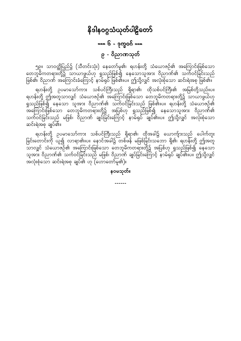# နိဒါန၀ဂွသံယုတ်ပါဠိတော် === ၆ - ဒုက္ခဝဂ် === ၉ - ၀ိညာဏသုတ်

၅၉။ သာဝတ္တိပြည်၌ (သီတင်းသုံး) နေတော်မူ၏၊ ရဟန်းတို့ သံယောဇဉ်၏ အကြောင်းဖြစ်သော တေဘူမိကတရားတို့၌ သာယာဖွယ်ဟု ရှုသည်ဖြစ်၍ နေသောသူအား ဝိညာဏ်၏ သက်ဝင်ခြင်းသည် ဖြစ်၏၊ ဝိညာဏ် အကြောင်းခံကြောင့် နာမ်ရုပ် ဖြစ်၏။ပ။ ဤသို့လျှင် အလုံးစုံသော ဆင်းရဲအစု ဖြစ်၏။

ရဟန်းတို့ ဉပမာသော်ကား သစ်ပင်ကြီးသည် ရှိရာ၏၊ ထိုသစ်ပင်ကြီး၏ အမြစ်တို့သည်။ပ။ ရဟန်းတို့ ဤအတူသာလျှင် သံယောဇဉ်၏ အကြောင်းဖြစ်သော တေဘူမိကတရားတို့၌ သာယာဖွယ်ဟု ရှုသည်ဖြစ်၍ နေသော သူအား ဝိညာဏ်၏ သက်ဝင်ခြင်းသည် ဖြစ်၏။ပ။ ရဟန်းတို့ သံယောဇဉ်၏ ှာ<br>အကြောင်းဖြစ်သော တေဘူမိကတရားတို့၌ အပြစ်ဟု ရှုသည်ဖြစ်၍ နေသောသူအား ဝိညာဏ်၏<br>သက်ဝင်ခြင်းသည် မဖြစ်၊ ဝိညာဏ် ချုပ်ခြင်းကြောင့် နာမ်ရုပ် ချုပ်၏။ပ။ ဤသို့လျှင် အလုံးစုံသော ဆင်းရဲအစု ချုပ်၏။

ရဟန်းတို့ ဉပမာသော်ကား သစ်ပင်ကြီးသည် ရှိရာ၏၊ ထိုအခါ၌ ယောက်ျားသည် ပေါက်တူး ခြင်းတောင်းကို ယူ၍ လာရာ၏။ပ။ နောင်အခါ၌ တစ်ဖန် မဖြစ်ခြင်းသဘော ရှိ၏၊ ရဟန်းတို့ ဤအတူ သူအား ဝိညာဏ်၏ သက်ဝင်ခြင်းသည် မဖြစ်၊ ဝိညာဏ် ချုပ်ခြင်းကြောင့် နာမ်ရုပ် ချုပ်၏။ပ။ ဤသို့လျှင် ာ<br>ထုံးစုံသော ဆင်းရဲအစု ချုပ်၏ ဟု (ဟောတော်မူ၏)။

နဝမသုတ်။

------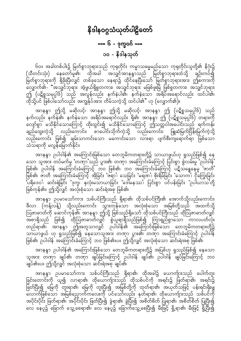# နိဒါနဝဂ္ဂသံယုတ်ပါဠိတော်

=== ၆ - ဒုက္ခဝဂ် ===

၁၀ - နိဒါနသုတ်

၆၀။ အခါတစ်ပါး၌ မြတ်စွာဘုရားသည် ကုရုတိုင်း ကမ္မာသဓမ္မမည်သော ကုရုတိုင်းသူတို့၏ နိဂုံး၌ (သီတင်းသုံး) နေတော်မူ၏၊ ထိုအခါ အသျှင်အာနန္ဒာသည် မြတ်စွာဘုရားထံသို့ ချဉ်းကပ်၍ .<br>မြတ်စွာဘုရားကို ရှိခိုးပြီးလျှင် တစ်ခုသော နေရာ၌ ထိုင်နေပြီးသော် မြတ်စွာဘုရားအား ဤစကားကို -<br>လျှောက်၏- "အသျှင်ဘုရား အံ့ဖွယ်ရှိစွတကား၊ အသျှင်ဘုရား မဖြစ်ဖူးမြဲ ဖြစ်စွတကား၊ အသျှင်ဘုရား ဤ (ပဋိစ္စသမုပ္ပါဒ်) သည် အလွန်လည်း နက်နဲပါ၏၊ နက်နဲသော အရိပ်အရောင်လည်း ထင်ပါ၏၊ ထိုသို့ပင် ဖြစ်ပါသော်လည်း အကျွန်ုပ်အား တိမ်သကဲ့သို့ ထင်ပါ၏" ဟု (လျှောက်၏)။

အာနန္ဒာ ဤသို့ မဆိုလင့်၊ အာနန္ဒာ ဤသို့ မဆိုလင့်၊ အာနန္ဒာ ဤ (ပဋိစ္စသမုပ္ပါဒ်) သည် နက်လည်း နက်နဲ၏၊ နက်နဲသော အရိပ်အရောင်လည်း ရှိ၏၊ အာနန္ဒာ ဤ (ပဋိစ္စသမုပ္ပါဒ်) တရားကို .<br>လျှော်စွာ မသိနိုင်သောကြောင့် ထိုးထွင်း၍ မသိနိုင်သောကြောင့် ဤသတ္တဝါအပေါင်းသည် ရက်ကန်း ချည်ထွေးကဲ့သို့ လည်းကောင်း၊ စာပေါင်းသိုက်ကဲ့သို့ လည်းကောင်း၊ ဖြူဆံမြက်ပြိန်းမြက်ကဲ့သို့ လည်းကောင်း ဖြစ်၍ ချမ်းသာကင်းသော မကောင်းသော လားရာ ပျက်စီးကျရောက်ရာ ဖြစ်သော သံသရာကို မလွန်မြောက်နိုင်။

အာနန္ဒာ ဉပါဒါန်၏ အကြောင်းဖြစ်သော တေဘူမိကတရားတို့၌ သာယာဖွယ်ဟု ရှုသည်ဖြစ်၍ နေ သော သူအား တပ်မက်မှု 'တဏှာ'သည် ပွား၏၊ တဏှာ အကြောင်းခံကြောင့် ပြင်းစွာ စွဲလမ်းမှု 'ဥပါဒါန်' ဖြစ်၏၊ ဉပါဒါန် အကြောင်းခံကြောင့် ဘဝ ဖြစ်၏၊ ဘဝ အကြောင်းခံကြောင့် ပဋိသန္ဓေနေမှု 'ဇာတိ' ဖြစ်၏၊ ဇာတိ အကြောင်းခံကြောင့် အိုခြင်း 'ဇရာ'၊ သေခြင်း 'မရဏ'၊ စိုးရိမ်ခြင်း 'သောက'၊ ငိုကြွေးခြင်း ပ်ရိဒေဝ ၊ဆင်းရဲခြင်း 'ဒုက္ခ၊ နှလုံးမသာယာခြင်း 'ဒေါ်မနဿ ၊ ပြင်းစွာ ပင်ပန်းခြင်း 'ဥပါယာသ'တို့ ဖြစ်ကုန်၏။ ဤသို့လျှင် အလုံးစုံသော ဆင်းရဲအစု ဖြစ်၏၊

အာနန္ဒာ ဉပမာသော်ကား သစ်ပင်ကြီးသည် ရှိရာ၏၊ ထိုသစ်ပင်ကြီး၏ အောက်သို့လည်းကောင်း၊ ဖီလာ (ကန့်လန့်) သို့လည်းကောင်း သွားကုန်သော အလုံးစုံသော အမြစ်တို့သည် အထက်သို့ ဩဇာဓာတ်ကို ဆောင်ကုန်၏၊ အာနန္ဒာ ဤသို့ ဖြစ်သည်ရှိသော် ထိုသစ်ပင်ကြီးသည် ထိုဩဇာဓာတ်လျှင် တည်ရာ၏၊ အာနန္ဒာ ဤအတူသာလျှင် ဉပါဒါန်၏ အကြောင်းဖြစ်သော တေဘူမိကတရားတို့၌ သာယာဖွယ် ဟု ရှုသည်ဖြစ်၍ နေသောသူအား တဏှာ ပွား၏၊ တဏှာ အကြောင်းခံကြောင့် ဉပါဒါန် ဖြစ်၏၊ ဥပါဒါန် အကြောင်းခံကြောင့် ဘဝ ဖြစ်၏။ပ။ ဤသို့လျှင် အလုံးစုံသော ဆင်းရဲအစု ဖြစ်၏၊

အာနန္ဒာ ဉပါဒါန်၏ အကြောင်းဖြစ်သော တေဘူမိကတရားတို့၌ အပြစ်ဟု ရှုသည်ဖြစ်၍ နေသော သူအား တဏှာ ချုပ်၏၊ တဏှာ ချုပ်ခြင်းကြောင့် ဉပါဒါန် ချုပ်၏၊ ဉပါဒါန် ချုပ်ခြင်းကြောင့် ဘဝ ျ<sup>--</sup><br>ချုပ်၏။ပ။ ဤသို့လျှင် အလုံးစုံသော ဆင်းရဲအစု ချုပ်၏၊

အာနန္ဒာ ဉပမာသော်ကား သစ်ပင်ကြီးသည် ရှိရာ၏၊ ထိုအခါ၌ ယောကျ်ားသည် ပေါက်တူး<br>ခြင်းတောင်းကို ယူ၍ လာရာ၏၊ ထိုယောက်ျားသည် ထိုသစ်ပင်ကို အရင်း၌ ဖြတ်ရာ၏၊ အရင်း၌ .<br>ဖြတ်ပြီး၍ မြေကို တူးရာ၏၊ မြေကို တူးပြီး၍ အမြစ်တို့ကို ထုတ်ရာ၏၊ အယုတ်သဖြင့် ပန်းရင်းရိုးမျှ လောက်ဖြစ်သော အမြစ်ညှောက်ကလေးကို ပင်သော်လည်း နုတ်ရာ၏၊ ထိုယောကျ်ားသည် သစ်ပင်ကို အပိုင်းပိုင်း ဖြတ်ရာ၏၊ အပိုင်းပိုင်း ဖြတ်ပြီး၍ ခွဲရာ၏၊ ခွဲပြီး၍ အစိတ်စိတ် ပြုရာ၏၊ အစိတ်စိတ် ပြုပြီး၍ လေ နေပူ၌ ခြောက် သွေ့စေရာ၏၊ လေ နေပူ၌ ခြောက်သွေ့စေပြီး၍ မီးဖြင့် ရှို့ရာ၏၊ မီးဖြင့် ရှို့ပြီး၍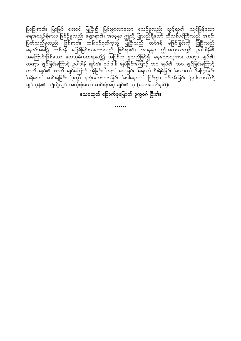ပြာပြုရာ၏၊ ပြာဖြစ် အောင် ပြုပြီး၍ ပြင်းစွာလာသော လေ၌မူလည်း လွှင့်ရာ၏၊ လျင်မြန်သော<br>ရေအလျဉ်ရှိသော မြစ်၌မူလည်း မျှောရာ၏၊ အာနန္ဒာ ဤသို့ ပြုသည်ရှိသော် ထိုသစ်ပင်ကြီးသည် အရင်း ပြတ်သည်မူလည်း ဖြစ်ရာ၏၊ ထန်းပင်ငုတ်ကဲ့သို့ ပြုပြီးသည် တစ်ဖန် မဖြစ်ခြင်းကို ပြုပြီးသည်<br>နောင်အခါ၌ တစ်ဖန် မဖြစ်ခြင်းသဘော့သည် ဖြစ်ရာ၏။ အာနန္ဒာ ဤအတူသာလျှင် ဥပါဒါန်၏ ပရိဒေဝါ ဆင်းရဲခြင်း ဒုက္ခ၊ နှလုံးမသာယာခြင်း ခေါမနဿါ ပြင်းစွာ ပင်ပန်းခြင်း ဉပါယာသတို့ ချုပ်ကုန်၏၊ ဤသို့လျှင် အလုံးစုံသော ဆင်းရဲအစု ချုပ်၏ ဟု (ဟောတော်မူ၏)။

#### ဒသမသုတ် ခြောက်ခုမြောက် ဒုက္ခဝဂ် ပြီး၏။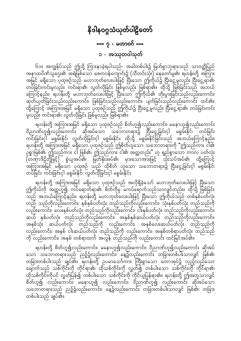#### နိဒါနဝဂ္ဂသံယုတ်ပါဠိတော်

=== ၇ - မဟာ၀ဂ် ===

၁ - အဿှတဝါသုတ်

၆၁။ အကျွန်ုပ်သည် ဤသို့ ကြားနာခဲ့ရပါသည်- အခါတစ်ပါး၌ မြတ်စွာဘုရားသည် သာဝတ္ထိပြည် အနာထပိဏ်သူဌေး၏ အရံဖြစ်သော ဇေတဝန်ကျောင်း၌ (သီတင်းသုံး) နေတော်မူ၏၊ ရဟန်းတို့ အကြား အမြင် မရှိသော ပုထုဇဉ်သည် မဟာဘုတ်လေးပါးဖြင့် ပြီးသော ဤကိုယ်၌ ငြီးငွေ့မူလည်း ငြီးငွေ့ရာ၏၊ တပ်ခြင်းကင်းမူလည်း ကင်းရာ၏၊ လွတ်လိုခြင်း ဖြစ်မူလည်း ဖြစ်ရာ၏။ ထိုသို့ ဖြစ်ခြင်းသည် အဘယ် ကြောင့်နည်း၊ <sup>"</sup>ရဟန်းတို့ မဟာဘုတ်လေးပါးဖြင့် ပြီးသော ဤကိုယ်၏ တိုးပွားခြင်းသည်လည်းကောင်း၊ ဆုတ်ယုတ်ခြင်းသည်လည်းကောင်း၊ ဖြစ်ခြင်းသည်လည်းကောင်း၊ ပျက်ခြင်းသည်လည်းကောင်း ထင်၏။ ထို့ကြောင့် အကြားအမြင် မရှိသော ပုထုဇဉ်သည် ဤကိုယ်၌ ငြီးငွေ့မူလည်း ငြီးငွေ့ရာ၏၊ တပ်ခြင်းကင်း မူလည်း ကင်းရာ၏၊ လွတ်လိုခြင်း ဖြစ်မှုလည်း ဖြစ်ရာ၏။

ရဟန်းတို့ အကြားအမြင် မရှိသော ပုထုဇဉ်သည် စိတ်ဟူ၍လည်းကောင်း၊ မနောဟူ၍လည်းကောင်း ဝိညာဏ်ဟူ၍လည်းကောင်း ဆိုအပ်သော သဘောတရား၌ ငြီးငွေ့ခြင်းငှါ မစွမ်းနိုင်၊ တပ်ခြင်း ကင်းခြင်းငှါ မစွမ်းနိုင်၊ လွတ်လိုခြင်းငှါ မစွမ်းနိုင်။ ထိုသို့ မစွမ်းနိုင်ခြင်းသည် အဘယ်ကြောင့်နည်း၊ ရဟန်းတို့ အကြားအမြင် မရှိသော ပုထုဇဉ်သည် ဤစိတ်ဟူသော သဘောတရားကို "ဤသည်ကား ငါ၏ ဉစ္စာဖြစ်၏၊ ဤသည်ကား ငါ ဖြစ်၏၊ ဤသည်ကား ငါ၏ အတ္တတည်း" ဟု ရှည်စွာသော ကာလ ပတ်လုံး (တဏှာဒိဋ္ဌိတို့ဖြင့်) စွဲယူအပ်၏၊ မြတ်နိုးအပ်၏၊ မှားသောအားဖြင့် သုံးသပ်အပ်၏၊ ထို့ကြောင့် အကြားအမြင် မရှိသော ပုထုဇဉ် သည် ထိုစိတ် ဟူသော သဘောတရား၌ ငြီးငွေ့ခြင်းငှါ မစွမ်းနိုင်၊ တပ်ခြင်း ကင်းခြင်းငှါ မစွမ်းနိုင်၊ လွတ်လိုခြင်းငှါ မစွမ်းနိုင်။

ရဟန်းတို့ အကြားအမြင် မရှိသော ပုထုဇဉ်သည် အလိုရှိခဲ့သော် မဟာဘုတ်လေးပါးဖြင့် ပြီးသော ဤကိုယ်ကို အတ္တဟူ၍ ကပ်ရောက်ရာ၏၊ စိတ်ကိုမူ မကပ်ရောက်သည်သာလျှင်တည်း။ ထိုသို့ ဖြစ်ခြင်း သည် အဘယ်ကြောင့်နည်း၊ ရဟန်းတို့ မဟာဘုတ်လေးပါးဖြင့် ပြီးသော ဤကိုယ်သည် တစ်နှစ်ပတ်လုံး တည် သည်ကိုလည်းကောင်း၊ နှစ်နှစ်ပတ်လုံး တည်သည်ကိုလည်းကောင်း၊ သုံးနှစ်ပတ်လုံး တည်သည်ကို လည်းကောင်း၊ လေးနှစ်ပတ်လုံး တည်သည်ကိုလည်းကောင်း၊ ငါးနှစ်ပတ်လုံး တည်သည်ကိုလည်းကောင်း၊ ဆယ် နှစ်ပတ်လုံး တည်သည်ကိုလည်းကောင်း၊ အနှစ်နှစ်ဆယ်ပတ်လုံး တည်သည်ကိုလည်းကောင်း၊ အနှစ်သုံး ဆယ်ပတ်လုံး တည်သည်ကို လည်းကောင်း၊ အနှစ်လေးဆယ်ပတ်လုံး တည်သည်ကို လည်းကောင်း၊ အနှစ် ငါးဆယ်ပတ်လုံး တည်သည်ကို လည်းကောင်း၊ အနှစ်တစ်ရာပတ်လုံး တည်သည် ကို လည်းကောင်း၊ အနှစ် တစ်ရာထက် အလွန် တည်သည်ကို လည်းကောင်း ထင်မြင်အပ်၏။

ရဟန်းတို့ စိတ်ဟူ၍လည်းကောင်း၊ မနောဟူ၍လည်းကောင်း၊ ဝိညာဏ်ဟူ၍လည်းကောင်း ဆိုအပ် သော သဘောတရားသည် ညဉ့်၌လည်းကောင်း၊ နေ့၌လည်းကောင်း တခြားတစ်ပါးသာလျှင် ဖြစ်၏၊ တခြားတစ်ပါးသည် ချုပ်၏။ ရဟန်းတို့ ဉပမာသော်ကား ကြီးစွာသော တောအုပ်၌ လှည့်လည်သော မျောက်သည် သစ်ကိုင်းကို ကိုင်ရာ၏၊ ထိုသစ်ကိုင်းကို လွှတ်၍ တစ်ပါးသော သစ်ကိုင်းကို ကိုင်ရာ၏၊ ထိုသစ်ကိုင်းကိုပင် လွှတ်ပြန်၍ တစ်ပါးသော သစ်ကိုင်းကို ကိုင်ယူပြန်ရာ၏။ ရဟန်းတို့ ဤအတူသာလျှင် စိတ်ဟူ၍ လည်းကောင်း၊ မနောဟူ၍ လည်းကောင်း၊ ဝိညာဏ်ဟူ၍ လည်းကောင်း ဆိုအပ်သော သဘောတရားသည် ညဉ့်၌လည်းကောင်း၊ နေ့၌လည်းကောင်း တခြားတစ်ပါးသာလျှင် ဖြစ်၏၊ တခြား တစ်ပါးသည် ချုပ်၏။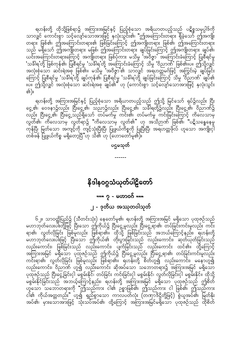ရဟန်းတို့ ထိုသို့ဖြစ်ရာ၌ အကြားအမြင်နှင့် ပြည့်စုံသော အရိယာတပည့်သည် ပဋိစ္စသမုပ္ပါဒ်ကို သာလျှင် ကောင်းစွာ သင့်လျော်သောအားဖြင့် နှလုံးသွင်း၏၊ "ဤအကြောင်းတရား ရှိခဲ့သော် ဤအကျိုး တရား ဖြစ်၏၊ ဤအကြောင်းတရား၏ ဖြစ်ခြင်းကြောင့် ဤအကျိုးတရား ဖြစ်၏၊ ဤအကြောင်းတရား သည် မရှိသော် ဤအကျိုးတရား မဖြစ်၊ ဤအကြောင်းတရား ချပ်ခြင်းကြောင့် ဤအကျိုးတရား ချုပ်၏၊ ယင်းအကြောင်းတရားကြောင့် အကျိုးတရား ဖြစ်ပုံကား မသိမှု 'အဝိဇ္ဇာ' အကြောင်းခံကြောင့် ပြုစီရင်မှု ်သခ်ီ၊ရ*ဝိ*ု့ ဖြစ်ကုန်၏၊ ပြုစီရင်မှု 'သင်္ခါရ*ဝိ*ု့ အကြောင်းခံကြောင့် သိမှု 'ဝိညာဏ်' ဖြစ်၏။ပ။ ဤသို့လျှင်<br>အလုံးစုံသော ဆင်းရဲအစု ဖြစ်၏။ မသိမှု 'အဝိဇ္ဇာ'၏ သာလျှင် အရဟတ္တမဂ်ဖြင့် အကြွင်းမဲ့ ချုပ်ခြင်း ကြောင့် ပြုစီရင်မှု 'သင်္ခါရတို့ ချုပ်ကုန်၏၊ ပြုစီရင်မှု 'သင်္ခါရတို့ ချုပ်ခြင်းကြောင့် သိမှု 'ဝိညာဏ်' ချုပ်၏<br>။ပ။ ဤသို့လျှင် အလုံးစုံသော ဆင်းရဲအစု ချုပ်၏" ဟု (ကောင်းစွာ သင့်လျော်သောအားဖြင့် နှလုံးသွင်း ၏)။

ရဟန်းတို့ အကြားအမြင်နှင့် ပြည့်စုံသော အရိယာတပည့်သည် ဤသို့ မြင်သော် ရုပ်၌လည်း ငြီး ငွေ့၏၊ ဝေဒနာ၌လည်း ငြီးငွေ့၏၊ သညာ၌လည်း ငြီးငွေ့၏၊ သင်္ခါရတို့၌လည်း ငြီးငွေ့၏၊ ဝိညာဏ်၌ လည်း ငြီးငွေ့၏၊ ငြီးငွေ့သည်ရှိသော် တပ်မက်မှု ကင်း၏၊ တပ်မက်မှု ကင်းခြင်းကြောင့် ကိလေသာမှ လွတ်၏၊ ကိလေသာမှ လွတ်ရာ၌ "ကိလေသာမှ လွတ်၏" ဟု အသိဉာဏ် ဖြစ်၏၊ "ပဋိသန္ဓေနေမှု ကုန်ပြီ၊ မြတ်သော အကျင့်ကို ကျင့်သုံးပြီးပြီ၊ ပြုဖွယ်ကိစ္စကို ပြုပြီးပြီ၊ အရဟတ္တဖိုလ် ဟူသော အကျိုးငှါ တစ်ဖန် ပြုဖွယ်ကိစ္စ မရှိတော့ပြီ"ဟု သိ၏ ဟု (ဟောတော်မူ၏)။

ပဌမသုတ်

နိဒါနဝဂွသံယုတ်ပါဠိတော် === ၇ - မဟာ၀ဂ် === ၂ - ဒုတိယ အဿုတဝါသုတ်

၆၂။ သာဝတ္ထိပြည်၌ (သီတင်းသုံး) နေတော်မူ၏၊ ရဟန်းတို့ အကြားအမြင် မရှိသော ပုထုဇဉ်သည် မဟာဘုတ်လေးပါးတို့ဖြင့် ပြီးသော ဤကိုယ်၌ ငြီးငွေ့မူလည်း ငြီးငွေ့ရာ၏၊ တပ်ခြင်းကင်းမူလည်း ကင်း ရာ၏၊ လွတ်လိုခြင်း ဖြစ်မူလည်း ဖြစ်ရာ၏။ ထိုသို့ ဖြစ်ခြင်းသည် အဘယ်ကြောင့်နည်း၊ ရဟန်းတို့<br>မဟာဘုတ်လေးပါးဖြင့် ပြီးသော ဤကိုယ်၏ တိုးပွားခြင်းသည် လည်းကောင်း၊ ဆုတ်ယုတ်ခြင်းသည် လည်းကောင်း၊ ဖြစ်ခြင်းသည် လည်းကောင်း၊ ပျက်ခြင်းသည် လည်းကောင်း ထင်၏။ ထို့ကြောင့် ာ ကားသည်။<br>အကြားအမြင် မရှိသော ပုထုဇဉ်သည် ဤကိုယ်၌ ငြီးငွေ့မူလည်း ငြီးငွေ့ရာ၏၊ တပ်ခြင်းကင်းမူလည်း<br>ကင်းရာ၏၊ လွတ်လိုခြင်း ဖြစ်မူလည်း ဖြစ်ရာ၏။ ရဟန်းတို့ စိတ်ဟူ၍ လည်းကောင်း၊ မနောဟူ၍ လည်းကောင်း၊ ဝိညာဏ် ဟူ၍ လည်းကောင်း ဆိုအပ်သော သဘောတရား၌ အကြားအမြင် မရှိသော ပုထုဇဉ်သည် ငြီးငွေ့ခြင်းငှါ မစွမ်းနိုင်၊ တပ်ခြင်း ကင်းခြင်းငှါ မစွမ်းနိုင်၊ လွတ်လိုခြင်းငှါ မစွမ်းနိုင်။ ထိုသို့ မစွမ်းနိုင်ခြင်းသည် အဘယ့်ကြောင့်နည်း၊ ရဟန်းတို့ အကြားအမြင် မရှိသော ပုထုဇဉ်သည် ဤစိတ် ှိ - ပ<br>ဟူသော သဘောတရားကို "ဤသည်ကား ငါ၏ ဉစ္စာဖြစ်၏၊ ဤသည်ကား ငါ ဖြစ်၏၊ ဤသည်ကား ငါ်၏ ကိုယ်အတ္တတည်း" ဟူ၍ ရှည်စွာသော ကာလပတ်လုံး (တဏှာဒိဋ္ဌိတို့ဖြင့်) စွဲယူအပ်၏၊ မြတ်နိုး အပ်၏၊ မှားသောအားဖြင့် သုံးသပ်အပ်၏၊ ထို့ကြောင့် အကြားအမြင်မရှိသော ပုထုဇဉ်သည် ထိုစိတ်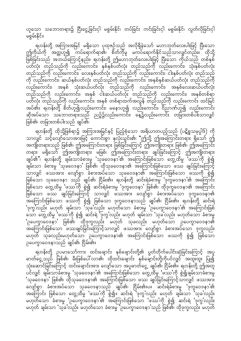ဟူသော သဘောတရား၌ ငြီးငွေ့ခြင်းငှါ မစွမ်းနိုင်၊ တပ်ခြင်း ကင်းခြင်းငှါ မစွမ်းနိုင်၊ လွတ်လိုခြင်းငှါ မစွမ်းနိုင်။

ရဟန်းတို့ အကြားအမြင် မရှိသော ပုထုဇဉ်သည် အလိုရှိခဲ့သော် မဟာဘုတ်လေးပါးဖြင့် ပြီးသော ဤကိုယ်ကို အတ္တဟူ၍ ကပ်ရောက်ရာ၏၊ စိတ်ကိုမူ မကပ်ရောက်နိုင်သည်သာလျှင်တည်း။ ထိုသို့ ဖြစ်ခြင်းသည် အဘယ်ကြောင့်နည်း၊ ရဟန်းတို့ ဤမဟာဘုတ်လေးပါးဖြင့် ပြီးသော ကိုယ်သည် တစ်နှစ် ပတ်လုံး တည်သည်ကို လည်းကောင်း၊ နှစ်နှစ်ပတ်လုံး တည်သည်ကို လည်းကောင်း၊ သုံးနှစ်ပတ်လုံး တည်သည်ကို လည်းကောင်း၊ လေးနှစ်ပတ်လုံး တည်သည်ကို လည်းကောင်း၊ ငါးနှစ်ပတ်လုံး တည်သည် ကို လည်းကောင်း၊ ဆယ်နှစ်ပတ်လုံး တည်သည်ကို လည်းကောင်း၊ အနှစ်နှစ်ဆယ်ပတ်လုံး တည်သည်ကို လည်းကောင်း၊ အနှစ် သုံးဆယ်ပတ်လုံး တည်သည်ကို လည်းကောင်း၊ အနှစ်လေးဆယ်ပတ်လုံး တည်သည်ကို လည်းကောင်း၊ အနှစ် ငါးဆယ်ပတ်လုံး တည်သည်ကို လည်းကောင်း၊ အနှစ်တစ်ရာ ပတ်လုံး တည်သည်ကို လည်းကောင်း၊ အနှစ် တစ်ရာထက်အလွန် တည်သည်ကို လည်းကောင်း ထင်မြင် အပ်၏။ ရဟန်းတို့ စိတ်ဟူ၍လည်းကောင်း၊ မနောဟူ၍ လည်းကောင်း၊ ဝိညာဏ်ဟူ၍ လည်းကောင်း ဆိုအပ်သော သဘောတရားသည် ညဉ့်၌လည်းကောင်း၊ နေ့၌လည်းကောင်း တခြားတစ်ပါးသာလျှင် ဖြစ်၏၊ တခြားတစ်ပါးသည် ချုပ်၏၊

ရဟန်းတို့ ထိုသို့ဖြစ်ရာ၌ အကြားအမြင်နှင့် ပြည့်စုံသော အရိယာတပည့်သည် (ပဋိစ္စသမုပ္ပါဒ်) ကို သာလျှင် သင့်လျော်သောအားဖြင့် ကောင်းစွာ နှလုံးသွင်း၏၊ "ဤသို့ ဤအကြောင်းတရား ရှိသော် ဤ အကျိုးတရားသည် ဖြစ်၏၊ ဤအကြောင်းတရား ဖြစ်ခြင်းကြောင့် ဤအကျိုးတရား ဖြစ်၏၊ ဤအကြောင်း တရား မရှိသော် ဤအကျိုးတရား မဖြစ်၊ ဤအကြောင်းတရား ချုပ်ခြင်းကြောင့် ဤအကျိုးတရား ချုပ်၏"၊ ရဟန်းတို့ ချမ်းသာခံစားမှု 'သုခဝေဒနာ'၏ အကြောင်းဖြစ်သော တွေ့ထိမှု ဖြဿ'ကို စွဲ၍ ချမ်းသာ ခံစားမှု 'သုခဝေဒနာ' ဖြစ်၏၊ ထိုသုခဝေဒနာ၏ အကြောင်းဖြစ်သော ဖဿ ချုပ်ခြင်းကြောင့် သာလျှင် ဖဿအား လျော်စွာ ခံစားအပ်သော သုခဝေဒနာ၏ အကြောင်းဖြစ်သော ဖဿကို စွဲ၍ ဖြစ်သော သုခဝေဒနာ သည် ချုပ်၏၊ ငြိမ်း၏။ ရဟန်းတို့ ဆင်းရဲခံစားမှု 'ဒုက္ခဝေဒနာ'၏ အကြောင်း .<br>ဖြစ်သော တွေ့ထိမှု 'ဖဿ'ကို စွဲ၍ ဆင်းရဲခံစားမှု 'ဒုက္ခဝေဒနာ' ဖြစ်၏၊ ထိုဒုက္ခဝေဒနာ၏ အကြောင်း .<br>ဖြစ်သော ဖဿ ချုပ်ခြင်းကြောင့် သာလျှင် ဖဿအား လျော်စွာ ခံစားအပ်ိသော ဒုက္ခဝေဒနာ၏ ျာသော သော သူတြောင်းမြန်း သောတွေ သောသော သောတွေ ချုပ်၏။ ငြိမ်း၏။ ရဟန်းတို့ ဆင်းရဲ<br>အကြောင်းဖြစ်သော ဖဿကို စွဲ၍ ဖြစ်သော ဒုက္ခဝေဒနာသည် ချုပ်၏၊ ငြိမ်း၏။ ရဟန်းတို့ ဆင်းရဲ<br>'ဒုက္ခ'လည်း မဟုတ် ချမ်းသာ 'သုခ'လည်း မဟုတ်သော ခံစားမှု 'ဥပေ သော တွေ့ထိမှု ဖဿႛကို စွဲ၍ ဆင်းရဲ ဒုက္ခႛလည်း မဟုတ် ချမ်းသာ 'သုခႛလည်း မဟုတ်သော ခံစားမှု<br>'ဥပေက္ခာဝေဒနာႛ ဖြစ်၏၊ ထိုဒုက္ခလည်း မဟုတ် သုခလည်း မဟုတ်သော ဉပေက္ခာဝေဒနာ၏ အကြောင်းဖြစ်သော ဖဿချုပ်ခြင်းကြောင့်သာလျှင် ဖဿအား လျော်စွာ ခံစားအပ်သော ဒုက္ခလည်း မဟုတ် သုခလည်းမဟုတ်သော ဉပေက္ခာဝေဒနာ၏ အကြောင်းဖြစ်သော ဖဿကို စွဲ၍ ဖြစ်သော ဉပေက္ခာဝေဒနာသည် ချုပ်၏၊ ငြိမ်း၏။

ရဟန်းတို့ ဉပမာသော်ကား ထင်းချောင်း နှစ်ချောင်းတို့၏ ပွတ်တိုက်ပေါင်းဆုံခြင်းကြောင့် အပူ ဓာတ်ငွေ့သည် ဖြစ်၏၊ မီးဖြစ်ပေါ်လာ၏၊ ထိုထင်းချောင်း နှစ်ချောင်းတို့ကိုပင်လျှင် အထူးထူး ပြု၍ သုံးဆောင်ခြင်းကြောင့် ထင်းချောင်းအား လျော်သော အပူဓာတ်ငွေ့ ချုပ်၏၊ ငြိမ်း၏။ ရဟန်းတို့ ဤအတူ ပင်လျှင် ချမ်းသာခံစားမှု 'သုခဝေဒနာ'၏ အကြောင်းဖြစ်သော တွေ့ထိမှု 'ဖဿ'ကို စွဲ၍ချမ်းသာခံစားမှု ်သုခဝေဒနာ' ဖြစ်၏၊ ထိုသုခဝေဒနာ၏ အကြောင်းဖြစ်သော ဖဿ<sup>ီ</sup>ချုပ်ခြင်းကြောင့်သာလျှင် ဖဿအား ္<br>လျော်စွာ ခံစားအပ်သော သုခဝေဒနာသည် ချုပ်၏၊ ငြိမ်း၏။ပ။ ဆင်းရဲခံစားမှု 'ဒုက္ခဝေဒနာ'၏<br>အကြောင်း ဖြစ်သော တွေ့ထိမှု 'ဖဿ'ကို စွဲ၍။ ဆင်းရဲ 'ဒုက္ခ'လည်း မဟုတ် ချမ်းသာ 'သုခ'လည်း မဟုတ်သော ခံစားမှု ဉပေက္ခာဝေဒနာ'၏ အကြောင်းဖြစ်သော 'ဖဿ'ကို စွဲ၍ ဆင်းရဲ 'ဒုက္ခ'လည်း မဟုတ် ချမ်းသာ 'သုခ'လည်း မဟုတ်သော ခံစားမှု ဉပေက္ခာဝေဒနာ'သည် ဖြစ်၏၊ ထိုဒုက္ခလည်း မဟုတ်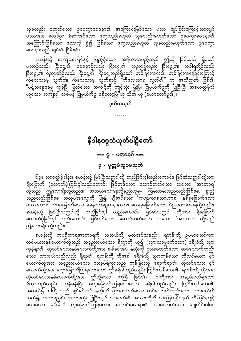သုခလည်း မဟုတ်သော ဉပေက္ခာဝေဒနာ၏ အကြောင်းဖြစ်သော ဖဿ ချုပ်ခြင်းကြောင့်သာလျှင် အကြောင်းဖြစ်သော ဖဿကို စွဲ၍ ဖြစ်သော ဒုက္ခလည်းမဟုတ် သုခလည်းမဟုတ်သော ဉပေက္ခာ ဝေဒနာသည် ချုပ်၏၊ ငြိမ်း၏။

ရဟန်းတို့ အကြားအမြင်နှင့် ပြည့်စုံသော အရိယာတပည့်သည် ဤသို့ မြင်သည် ရှိသော်<br>ဖဿ၌လည်း ငြီးငွေ့၏၊ ဝေဒနာ၌လည်း ငြီးငွေ့့၏၊ သညာ၌လည်း ငြီးငွေ့့၏၊ သင်္ခါရတို့၌လည်း "ပဋိသန္ဓေနေမှု ကုန်ပြီ၊ မြတ်သော အကျင့်ကို ကျင့်သုံး ပြီးပြီ၊ ပြုဖွယ်ကိစ္စကို ပြုပြီးပြီ၊ အရဟတ္တဖိုလ် 

ဒုတိယသုတ်

နိဒါန၀ဂွသံယုတ်ပါဠိတော်

=== ၇ - မဟာ၀ဂ် ===

၃ - ပုတ္တမံသူပမသုတ်

၆၃။ သာဝတ္ထိနိဒါန်း။ ရဟန်းတို့ ဖြစ်ပြီးသတ္တဝါတို့ တည်ခြင်းငှါလည်းကောင်း၊ ဖြစ်ဆဲသတ္တဝါတို့အား ချီးမြှောက် (ထောက်ပံ့)ခြင်းငှါလည်းကောင်း ဖြစ်ကုန်သော ဆောင်တတ်သော သဘော ်အာဟာရ' ာ<br>တို့သည် ဤလေးမျိုးတို့တည်း။ အဘယ်လေးမျိုးတို့နည်းဟူမူ- ကြမ်းတမ်းသည်လည်းဖြစ်စေ, နူးညံ့ သည်လည်းဖြစ်စေ အလုပ်အလွေးကို ပြု၍ မျိုအပ်သော 'ကဗဋီကာရအာဟာရ၊ နှစ်ခုမြောက်သော ဖဿာဟာရ၊ သုံးခုမြောက်သော မနောသဉ္စေတနာဟာရ၊ လေးခုမြောက်သော ဝိညာဏာဟာရတို့တည်း။ ရဟန်းတို့ ဖြစ်ပြီးသတ္တဝါတို့ တည်ခြင်းငှါ် လည်းကောင်း၊ ဖြစ်ဆဲသတ္တဝါ တို့အား ချီးမြှောက် ထောက်ပံ့ခြင်းငှါ လည်းကောင်း ဖြစ်ကုန်သော ဆောင်တတ်သော သဘော 'အာဟာရ' တို့သည် ဤလေးမျိုး တို့တည်း။

ရဟန်းတို့ ကဗဠီကာရအာဟာရကို အဘယ်သို့ မှတ်အပ်သနည်း။ ရဟန်းတို့ ဥပမာသော်ကား လင်မယားနှစ်ယောက်တို့သည် အနည်းငယ်သော ရိက္ခာကို ယူ၍ (သွားလာမှုခက်သော) ခရီးခဲသို့ သွား ကုန်ရာ၏၊ ထိုလင်မယားနှစ်ယောက်တို့အား ချစ်ခင်အပ် နှလုံးကို ပွားစေတတ်သော တစ်ယောက်တည်း ုံ၊ ၊ သားငယ်သည်လည်း ရှိရာ၏၊ ရဟန်းတို့ ထိုအခါ ခရီးခဲသို့ သွားကုန်သော ထိုလင်မယား နှစ်<br>ယောက်တို့အား အနည်းငယ်သော စားနပ်ရိတ္ခာသည် ကုန်ခြင်းသို့ ရောက်ရာ၏၊ ထိုလင်မယား နှစ်<br>ယောက်တို့အား မကူးမြောက်ကြရသေးသော ဤခရီးခဲသည်လည်း ကြွင်းကျ ရိက္ခာသည်လည်း ကုန်ခန်းပြီ၊ မကူးမြောက်ကြရသေးသော ခရီးခဲသည်လည်း ကြွင်းကျန်သေး၏၊ အကယ်၍ ငါတို့ သည် ချစ်ခင်အပ် နှလုံးကို ပွားစေတတ်သော တစ်ယောက်တည်းသော သားငယ်ကို သတ်၍ အသားညှင်း အသားတုံး ပြုပြီးလျှင် သားငယ်၏ အသားတို့ကို စားကြကုန်လျက် ထိုကြွင်းကျန် သေးသော ခရီးခဲကို ကူးမြောက်ကြရမူကား ကောင်းလေရာ၏၊ သုံးယောက်စလုံး မပျက်စီးပါစေ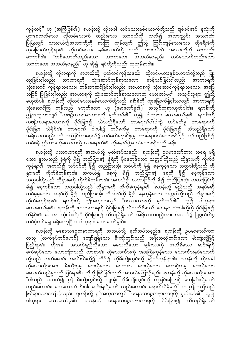ကုန်လင့်" ဟု (အကြံဖြစ်၏)၊ ရဟန်းတို့ ထိုအခါ လင်မယားနှစ်ယောက်တို့သည် ချစ်ခင်အပ် နှလုံးကို .<br>ပြုပြီးလျှင် သားငယ်၏အသားတို့ကို စားကြ ကုန်လျက် ဤသို့ ကြွင်းကျန်သေးသော ထိုခရီးခဲကို စားကုန်၏၊ "တစ်ယောက်တည်းသော သားကလေး အဘယ်မှာနည်း၊ တစ်ယောက်တည်းသော သားကလေး အဘယ်မှာနည်း" ဟု ဆို၍ ရင်တို့ကိုလည်း ထုကုန်ရာ၏။

ရဟန်းတို့ ထိုအရာကို အဘယ်သို့ မှတ်ထင်ကုန်သနည်း၊ ထိုလင်မယားနှစ်ယောက်တို့သည် မြူး တူးခြင်းငှါလည်း အာဟာရကို သုံးဆောင်ကုန်ရာသလော၊ မာန်ယစ်ခြင်းငှါလည်း အာဟာရကို သုံးဆောင် ကုန်ရာသလော၊ တန်ဆာဆင်ခြင်းငှါလည်း အာဟာရကို သုံးဆောင်ကုန်ရာသလော၊ အပြေ အပြစ် ပြုခြင်းငှါလည်း အာဟာရကို သုံးဆောင်ကုန်ရာသလောဟု မေးတော်မူ၏၊ အသျှင်ဘုရား ဤသို့ မဟုတ်ပါ။ ရဟန်းတို့ ထိုလင်မယားနှစ်ယောက်တို့သည် ခရီးခဲကို ကူးမြောက်ရုံငှါသာလျှင် အာဟာရကို သုံးဆောင်ကြ ကုန်သည် မဟုတ်လော ဟု (မေးတော်မူ၏)၊ အသျှင်ဘုရားဟုတ်ပါ၏။ ရဟန်းတို့ ဤအတူသာလျှင် "ကဗဋီကာရအာဟာရကို မှတ်အပ်၏" ဟူ၍ ငါဘုရား ဟောတော်မူ၏။ ရဟန်းတို့ —<br>ကဗဋီကာရအာဟာရကို ပိုင်းခြား၍ သိသည်ရှိသော် ကာမဂုဏ်ငါးပါး၌ တပ်မက်မှု ကာမရာဂကို ပိုင်းခြား သိနိုင်၏၊ ကာမဂုဏ် ငါးပါး၌ တပ်မက်မှု ကာမရာဂကို ပိုင်းခြား၍ သိသည်ရှိသော် ာ<br>အရိယာတပည့်သည် အကြင်ကာမဂုဏ်၌ တပ်မက်နှောင်ဖွဲ့မှု 'ကာမရာဂသံယောဇဉ်'နှင့် ယှဉ်သည်ဖြစ်၍ တစ်ဖန် ဤကာမဘုံလောကသို့ လာရောက်၏၊ ထိုနှောင်ဖွဲ့မှု သံယောဇဉ်သည် မရှိ။

ရဟန်းတို့ ဖဿာဟာရကို အဘယ်သို့ မှတ်အပ်သနည်း။ ရဟန်းတို့ ဉပမာသော်ကား အရေ မရှိ သော နွားမသည် နံရံကို မှီ၍ တည်ငြားအံ့၊ နံရံကို မှီနေကုန်သော သတ္တဝါတို့သည် ထိုနွားမကို ကိုက်ခဲ ကုန်ရာ၏၊ အကယ်၍ သစ်ပင်ကို မှီ၍ တည်ငြားအံ့၊ သစ်ပင်ကို မှီ၍ နေကုန်သော သတ္တဝါတို့သည် ထို ္ဂ်ားမကို ကိုက်ခဲကုန်ရာ၏၊ အကယ်၍ ရေကို မှီ၍ တည်ငြားအံ့၊ ရေကို မှီ၍ နေကုန်သော သတ္တဝါတို့သည် ထိုနွားမကို ကိုက်ခဲကုန်ရာ၏၊ အကယ်၍ လဟာပြင်ကို မှီ၍ တည်ငြားအံ့၊ လဟာပြင်ကို မှီ၍ နေကုန်သော သတ္တဝါတို့သည် ထိုနွားမကို ကိုက်ခဲကုန်ရာ၏၊ ရဟန်းတို့ မည်သည့် အရပ်မဆို ာခ်<br>တစ်ခုခုသော အရပ်ကို မှီ၍ တည်ငြားအံ့၊ ထိုအရပ်ကို မှီ၍ နေကုန်သော သတ္တဝါတို့သည် ထိုနွားမကို ကိုက်ခဲကုန်ရာ၏၊ ရဟန်းတို့ ဤအတူသာလျှင် "ဖဿာဟာရကို မှတ်အပ်၏" ဟူ၍ ငါဘုရား ဟောတော်မူ၏။ ရဟန်းတို့ ဖဿာဟာရကို ပိုင်းခြား၍ သိသည်ရှိသော် ဝေဒနာ သုံးပါးတို့ကို ပိုင်းခြား၍ သိနိုင်၏၊ ဝေဒနာ သုံးပါးတို့ကို ပိုင်းခြား၍ သိသည်ရှိသော် အရိယာတပည့်အား အထက်၌ ပြုဖွယ်ကိစ္စ တစ်စုံတစ်ခုမျှ မရှိတော့ပြီဟု ငါဘုရား ဟောတော်မူ၏။

ရဟန်းတို့ မနောသဥ္ရေတနာဟာရကို အဘယ်သို့ မှတ်အပ်သနည်း။ ရဟန်းတို့ ဥပမာသော်ကား တသူ (လက်ခုပ်တစ်ဖောင်) ကျော်မျှရှိသော မီးကျီးတွင်းသည် အခိုးအလျှံကင်းသော မီးကျီးတို့ဖြင့်<br>ပြည့်ရာ၏၊ ထိုအခါ အသက်ရှည်လိုသော မသေလိုသော ချမ်းသာကို အလိုရှိသော ဆင်းရဲကို ိင်္င -<br>စက်ဆုပ်သော ယောကျ်ားသည် လာရာ၏၊ ထိုယောကျ်ားကို အားကြီးကုန်သော ယောကျ်ားနှစ်ယောက် တို့သည် လက်မောင်း အသီးသီးတို့၌ ကိုင်၍ ထိုမီးကျီးတွင်းသို့ ဆွဲငင်ကုန်ရာ၏၊ ရဟန်းတို့ ထိုအခါ ထိုယောက်ျားအား မီးကျီးစုမှ ဝေးလိုသော စေတနာ ဝေးလိုသော တောင့်တမှု ဝေးလိုသော ဆောက်တည်မှုသည် ဖြစ်ရာ၏။ ထိုသို့ ဖြစ်ခြင်းသည် အဘယ်ကြောင့်နည်း၊ ရဟန်းတို့ ထိုယောက်ျားအား<br>"ငါသည် အကယ်၍ ဤ မီးကျီးတွင်းသို့ ကျအံ့၊ ထိုမီးကျီးတွင်းသို့ ကျခြင်းကြောင့် သေခြင်းသို့သော် လည်းကောင်း၊ သေလောက် နီးပါး ဆင်းရဲသို့သော် လည်းကောင်း ရောက်လိမ့်မည်" ဟု ဤအကြံသည် .<br>ဖြစ်ရာသောကြောင့်တည်း၊ ရဟန်းတို့ ဤအတူသာလျှင် "မနောသဉ္စေတနာဟာရကို မှတ်အပ်၏" ဟူ၍ ိငါဘုရား ဟောတော်မူ၏။ ရဟန်းတို့ မနောသဉ္စေတနာဟာရကို ပိုင်းခြား၍ သိသည်ရှိသော်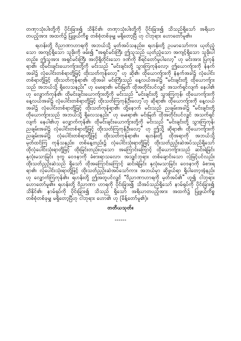တဏှာသုံးပါးတို့ကို ပိုင်းခြား၍ သိနိုင်၏၊ တဏှာသုံးပါးတို့ကို ပိုင်းခြား၍ သိသည်ရှိသော် အရိယာ တပည့်အား အထက်၌ ပြုဖွယ်ကိစ္စ တစ်စုံတစ်ခုမျှ မရှိတော့ပြီ ဟု ငါဘုရား ဟောတော်မူ၏။

ရဟန်းတို့ ဝိညာဏာဟာရကို အဘယ်သို့ မှတ်အပ်သနည်း။ ရဟန်းတို့ ဉပမာသော်ကား ယုတ်ညံ့ သော အကျင့်ရှိသော သူခိုးကို ဖမ်း၍ "အရှင်မင်းကြီး ဤသူသည် ယုတ်ညံ့သော အကျင့်ရှိသော သူခိုးပါ တည်း၊ ဤသူအား အရှင်မင်းကြီး အလိုရှိတိုင်းသော ဒဏ်ကို စီရင်တော်မူပါလော့" ဟု မင်းအား ပြကုန် ရာ၏၊ ထိုမင်းချင်းယောက်ျားတို့ကို မင်းသည် "မင်းချင်းတို့ သွားကြကုန်လော့၊ ဤယောက်ျားကို နံနက် .<br>အခါ၌ လှံပေါင်းတစ်ရာတို့ဖြင့် ထိုးသတ်ကုန်လော့" ဟု ဆို၏၊ ထိုယောက်ျားကို နံနက်အခါ၌ လှံပေါင်း တစ်ရာတို့ဖြင့် ထိုးသတ်ကုန်ရာ၏၊ ထိုအခါ မင်းကြီးသည် နေ့လယ်အခါ၌ "မင်းချင်းတို့ ထိုယောက်ျား သည် အဘယ်သို့ ရှိလေသနည်း" ဟု မေးရာ၏၊ မင်းမြတ် ထိုအတိုင်းပင်လျှင် အသက်ရှင်လျက် နေပါ၏ က လျှောက်ကုန်၏၊ ထိုမင်းချင်းယောကျ်ားတို့ကို မင်းသည် "မင်းချင်းတို့ သွားကြကုန်၊ ထိုယောကျ်ားကို နေ့လယ်အခါ၌ လုံပေါင်းတစ်ရာတို့ဖြင့် ထိုးသတ်ကြကုန်ဦးလော့"ဟု ဆိုရာ၏၊ ထိုယောကျ်ားကို နေ့လယ် အခါ၌ လုံပေါင်းတစ်ရာတို့ဖြင့် ထိုးသတ်ကုန်ရာ၏၊ ထို့နောက် မင်းသည် ညချမ်းအခါ၌ "မင်းချင်းတို့ ထိုယောက်ျားသည် အဘယ်သို့ ရှိလေသနည်း" ဟု မေးရာ၏၊ မင်းမြတ် ထိုအတိုင်းပင်လျှင် အသက်ရှင် \_<br>လျက် နေပါ၏ဟု လျှောက်ကုန်၏၊ ထိုမင်းချင်းယောကျ်ားတို့ကို မင်းသည် "မင်းချင်းတို့ သွားကြကုန်၊ ညချမ်းအခါ၌ လှံပေါင်းတစ်ရာတို့ဖြင့် ထိုးသတ်ကြကုန်ဦးလော့" ဟု ဤသို့ ဆိုရာ၏၊ ထိုယောက်ျားကို ncsrf;tcgü vSHaygif;wpf&mwdkYjzifh xdk;owfukef&m\/ &[ef;wdkY xdkt&mudk tb,fodkY မှတ်ထင်ကြ<sup>ီ</sup> ကုန်သနည်း၊ တစ်နေ့တည်း၌ လှံပေါင်းသုံးရာတို့ဖြင့် ထိုးသတ်ညှဉ်းဆဲအပ်သည်ရှိသော် ာ<br>ထိုလုံပေါင်းသုံးရာတို့ဖြင့် ထိုးခြင်းတည်းဟူသော အကြောင်းကြောင့် ထိုယောက်ျားသည် ဆင်းရဲခြင်း နှလုံးမသာခြင်း ဒုက္ခ ဝေဒနာကို ခံစားရာသလော၊ အသျှင်ဘုရား တစ်ချောင်းသော လုံဖြင့်ပင်လည်း xdk;owfn§Of;qJonf &Sdaomf xdktaMumif;aMumifh qif;&Jjcif; ESvHk;romjcif; a0'emudk cHpm;& ရာ၏၊ လှံပေါင်းသုံးရာတို့ဖြင့် ထိုးသတ်ညှဉ်းဆဲအပ်သော်ကား အဘယ်မှာ ဆိုဖွယ်ရာ ရှိပါတော့အံ့နည်း က် လျှောက်ကြကုန်၏။ ရဟန်းတို့ ဤအတူပင်လျှင် "ဝိညာဏာဟာရကို မှတ်အပ်၏" ဟူ၍ ငါဘုရား ဟောတော်မူ၏။ ရဟန်းတို့ ဝိညာဏာ ဟာရကို ပိုင်းခြား၍ သိအပ်သည်ရှိသော် နာမ်ရုပ်ကို ပိုင်းခြား၍ သိနိုင်၏၊ နာမ်ရုပ်ကို ပိုင်းခြား၍ သိသည် ရှိသော် အရိယာတပည့်အား အထက်၌ ပြုဖွယ်ကိစ္စ တစ်စုံတစ်ခုမျှ မရှိတော့ပြီဟု ငါဘုရား ဟော၏ ဟု (မိန့်တော်မူ၏)။

တတိယသုတ်။

------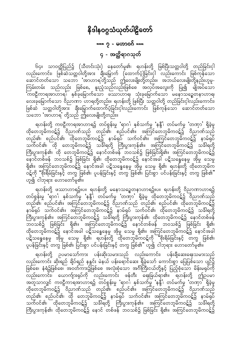### နိဒါနဝဂ္ဂသံယုတ်ပါဠိတော်

=== ၇ - မဟာ၀ဂ် ===

၄ - အတ္တိရာဂသုတ်

၆၄။ သာဝတ္ထိပြည်၌ (သီတင်းသုံး) နေတော်မူ၏၊ ရဟန်းတို့ ဖြစ်ပြီးသတ္တဝါတို့ တည်ခြင်းငှါ<br>လည်းကောင်း၊ ဖြစ်ဆဲသတ္တဝါတို့အား ချီးမြှောက် (ထောက်ပံ့)ခြင်းငှါ လည်းကောင်း ဖြစ်ကုန်သော ဆောင်တတ်သော သဘော 'အာဟာရ'တို့သည် ဤလေးမျိုးတို့တည်း။ အဘယ်လေးမျိုးတို့နည်းဟူမူ-ကြမ်းတမ်း သည်လည်း ဖြစ်စေ, နူးညံ့သည်လည်းဖြစ်စေ အလုပ်အလွေးကို ပြု၍ မျိုအပ်သော .<br>'ကဗဋီကာရအာဟာရ<sup>၊</sup> နှစ်ခုမြောက်သော ဖဿာဟာရ၊ သုံးခုမြောက်သော မနောသဉ္စေတနာဟာရ၊ လေးခုမြောက်သော ဝိညာဏာ ဟာရတို့တည်း။ ရဟန်းတို့ ဖြစ်ပြီး သတ္တဝါတို့ တည်ခြင်းငှါလည်းကောင်း၊ ဖြစ်ဆဲ သတ္တဝါတို့အား ချီးမြှောက်ထောက်ပံ့ခြင်းငှါလည်းကောင်း ဖြစ်ကုန်သော ဆောင်တတ်သော \_<br>သဘော 'အာဟာရ' တို့သည် ဤလေးမျိုးတို့တည်း။

ရဟန်းတို့ ကဗဋီကာရအာဟာရ၌ တပ်စွန်းမှု 'ရာဂ'၊ နှစ်သက်မှု 'နန္ဒိ'၊ တပ်မက်မှု 'တဏှာ' ရှိခဲ့မူ ထိုတေဘူမိကဝဋ်၌ ဝိညာဏ်သည် တည်၏၊ စည်ပင်၏။ အကြင်တေဘူမိကဝဋ်၌ ဝိညာဏ်သည် တည်၏၊ စည်ပင်၏၊ ထိုတေဘူမိကဝဋ်၌ နာမ်ရှပ် သက်ဝင်၏။ အကြင်တေဘူမိကဝဋ်၌ နာမ်ရှပ် သက်ဝင်၏၊ ထို တေဘူမိကဝဋ်၌ သင်္ခါရတို့ ကြီးပွားကုန်၏။ အကြင်တေဘူမိကဝဋ်၌ သင်္ခါရတို့ ကြီးပွားကုန်၏၊ ထို တေဘူမိကဝဋ်၌ နောင်တစ်ဖန် ဘဝသစ်၌ ဖြစ်ခြင်းရှိ၏။ အကြင်တေဘူမိကဝဋ်၌ ပြင်ကို "စိုးရိမ်ခြင်းနှင့် တကွ<sup>ိ</sup>ဖြစ်၏၊ ပူပန်ခြင်းနှင့် တကွ<sup>ိ</sup>ဖြစ်၏၊ ပြင်းစွာ ပင်ပန်းခြင်းနှင့် တကွ ဖြစ်၏" ဟူ၍ ငါဘုရား ဟောတော်မူ၏။

ရဟန်းတို့ ဖဿာဟာရ၌။ပ။ ရဟန်းတို့ မနောသဉ္စေတနာဟာရ၌။ပ။ ရဟန်းတို့ ဝိညာဏာဟာရ၌ တပ်စွန်းမှု 'ရာဂ'၊ နှစ်သက်မှု 'နန္ဒီ'၊ တပ်မက်မှု 'တဏှာ' ရှိခဲ့မူ ထိုတေဘူမိကဝဋ်၌ ဝိညာဏ်သည် တည်၏၊ စည်ပင်၏။ အကြင်တေဘူမိကဝဋ်၌ ဝိညာဏ်သည် တည်၏၊ စည်ပင်၏၊ ထိုတေဘူမိကဝဋ်၌ နာမ်ရုပ် သက်ဝင်၏။ အကြင်တေဘူမိကဝဋ်၌ နာမ်ရုပ် သက်ဝင်၏၊ ထိုတေဘူမိကဝဋ်၌ သင်္ခါရတို့ .<br>ကြီးပွားကုန်၏။ အကြင်တေဘူမိကဝဋ်၌ သင်္ခါရတို့ ကြီးပွားကုန်၏၊ ထိုတေဘူမိကဝဋ်၌ နောင်တစ်ဖန် ထိုတေဘူမိကဝဋ်၌ နောင်အခါ ပဋိသန္ဓေနေမှု အိုမှု သေမှု ရှိ၏။ အကြင်တေဘူမိကဝဋ်၌ နောင်အခါ ပဋိသန္ဓေနေမှု အိုမှု သေမှု ရှိ၏၊ ရဟန်းတို့ ထိုတေဘူမိကဝဋ်ကို "စိုးရိမ်ခြင်းနှင့် တကွ ဖြစ်၏၊ ပူပန်ခြင်းနှင့် တကွ ဖြစ်၏၊ ပြင်းစွာ ပင်ပန်းခြင်းနှင့် တကွ ဖြစ်၏" ဟူ၍ ငါဘုရား ဟောတော်မူ၏။

ရဟန်းတို့ ဉပမာသော်ကား ပန်းဆိုးသမားသည် လည်းကောင်း၊ ပန်းချီဆေးရေးသမားသည် လည်းကောင်း ဆိုးရည် ချိပ်ရည် နနွင်း မဲနယ် ပန်းရောင်ဆေး ရှိခဲ့သော် ကောင်းစွာ ပြေပြစ်သော ပျဉ်၌ ဖြစ်စေ၊ နံရံ၌ဖြစ်စေ၊ အဝတ်ကား၌ဖြစ်စေ အလုံးစုံသော အင်္ဂါကြီးငယ်တို့နှင့် ပြည့်စုံသော မိန်းမရုပ်ကို အတူသာလျှင် ကဗဋီကာရအာဟာရ၌ တပ်စွန်းမှု 'ရာဂ<sup>ှံ</sup>၊ နှစ်သက်မှု 'နန္ဒိ'၊ တပ်မက်မှု 'တဏှာ' ရှိခဲ့မူ<br>ထိုတေဘူမိကဝဋ်၌ ဝိညာဏ်သည် တည်၏၊ စည်ပင်၏။ အကြင်တေဘူမိကဝဋ်၌ ဝိညာဏ်သည် ကြီးပွားကုန်၏၊ ထိုတေဘူမိကဝဋ်၌ နောင် တစ်ဖန် ဘဝသစ်၌ ဖြစ်ခြင်း ရှိ၏။ အကြင်တေဘူမိကဝဋ်၌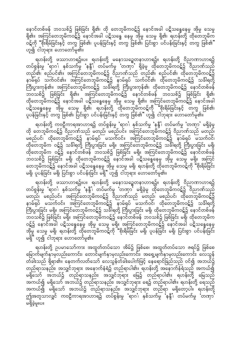နောင်တစ်ဖန် ဘဝသစ်၌ ဖြစ်ခြင်း ရှိ၏၊ ထို တေဘူမိကဝဋ်၌ နောင်အခါ ပဋိသန္ဓေနေမှု အိုမှု သေမှု ရှိ၏။ အကြင်တေဘူမိကဝဋ်၌ နောင်အခါ ပဋိသန္ဓေ နေမှု အိုမှု သေမှု ရှိ၏၊ ရဟန်းတို့ ထိုတေဘူမိက ပြင်ကို "စိုးရိမ်ခြင်းနှင့် တကွ<sup>ိ</sup>ဖြစ်၏၊ ပူပန်ခြင်းနှင့် တကွ<sup>ိ</sup>ဖြစ်၏၊ ပြင်းစွာ ပင်ပန်းခြင်းနှင့် တကွ ဖြစ်၏" ဟူ၍ ငါဘုရား ဟောတော်မူ၏။

ရဟန်းတို့ ဖဿာဟာရ၌။ပ။ ရဟန်းတို့ မနောသဥ္စေတနာဟာရ၌။ ရဟန်းတို့ ဝိညာဏာဟာရ၌ တပ်စွန်းမှု 'ရာဂ'၊ နှစ်သက်မှု 'နန္ဒိ'၊ တပ်မက်မှု 'တဏှာ' ရှိခဲ့မူ ထိုတေဘူမိကဝဋ်၌ ဝိညာဏ်သည် တည်၏၊ စည်ပင်၏။ အကြင်တေဘူမိကဝဋ်၌ ဝိညာဏ်သည် တည်၏၊ စည်ပင်၏၊ ထိုတေဘူမိကဝဋ်၌ .<br>ကြီးပွားကုန်၏။ အကြင်တေဘူမိကဝဋ်၌ သင်္ခါရတို့ ကြီးပွားကုန်၏၊ ထိုတေဘူမိကဝဋ်၌ နောင်တစ်ဖန် — ~<br>ဘဝသစ်၌ ဖြစ်ခြင်း ရှိ၏။ အကြင်တေဘူမိကဝဋ်၌ နောင်တစ်ဖန် ဘဝသစ်၌ ဖြစ်ခြင်း ရှိ၏၊ ထိုတေဘူမိကဝဋ်၌ နောင်အခါ ပဋိသန္ဓေနေမှု အိုမှု သေမှု ရှိ၏။ အကြင်တေဘူမိကဝဋ်၌ နောင်အခါ<br>ပဋိသန္ဓေနေမှု အိုမှု သေမှု ရှိ၏၊ ရဟန်းတို့ ထိုတေဘူမိကဝဋ်ကို "စိုးရိမ်ခြင်းနှင့် တကွ ဖြစ်၏၊ ပူပန်ခြင်းနှင့် တကွ ဖြစ်၏၊ ပြင်းစွာ ပင်ပန်းခြင်းနှင့် တကွ ဖြစ်၏" ဟူ၍ ငါဘုရား ဟောတော်မူ၏။

ရဟန်းတို့ ကဗဋီကာရအာဟာရ၌ တပ်စွန်းမှု 'ရာဂ<sup>'</sup>၊ နှစ်သက်မှု 'နန္ဒီ'၊ တပ်မက်မှု 'တဏှာ' မရှိခဲ့မူ ထို တေဘူမိကဝဋ်၌ ဝိညာဏ်သည် မတည်၊ မစည်ပင်။ အကြင်တေဘူမိကဝဋ်၌ ဝိညာဏ်သည် မတည်၊ မစည်ပင်၊ ထိုတေဘူမိကဝဋ်၌ နာမ်ရုပ် မသက်ဝင်။ အကြင်တေဘူမိကဝဋ်၌ နာမ်ရုပ် မသက်ဝင်၊ ထိုတေဘူမိက ဝဋ်၌ သင်္ခါရတို့ ကြီးပွားခြင်း မရှိ။ အကြင်တေဘူမိကဝဋ်၌ သင်္ခါရတို့ ကြီးပွားခြင်း မရှိ၊ ့<br>ထိုတေဘူမိက ဝဋိ၌ နောင်တစ်ဖန် ဘဝသစ်၌ ဖြစ်ခြင်း မရှိ။ အကြင်တေဘူမိကဝဋ်၌ နောင်တစ်ဖန် ာဝသစ်၌ ဖြစ်ခြင်း မရှိ၊ ထိုတေဘူမိကဝဋ်၌ နောင်အခါ ပဋိသန္ဓေနေမှု အိုမူ သေမှု မရှိ။ အကြင် တေဘူမိကဝဋ်၌ နောင်အခါ ပဋိသန္ဓေနေမှု အိုမှု သေမှု မရှိ၊ ရဟန်းတို့ ထိုတေဘူမိကဝဋ်ကို "စိုးရိမ်ခြင်း မရှိ၊ ပူပန်ခြင်း မရှိ၊ ပြင်းစွာ ပင်ပန်းခြင်း မရှိ" ဟူ၍ ငါဘုရား ဟောတော်ခ်ု၏။

ရဟန်းတို့ ဖဿာဟာရ၌။ပ။ ရဟန်းတို့ မနောသဥ္စေတနာဟာရ၌။ ရဟန်းတို့ ဝိညာဏာဟာရ၌<br>တပ်စွန်းမှု 'ရာဂ<sup>ၢ</sup> နှစ်သက်မှု 'နန္ဒီ၊ တပ်မက်မှု 'တဏှာ' မရှိခဲ့မူ ထိုတေဘူမိက္ဝ<u>ဋ်</u>၌ ဝိညာဏ်သည် မတည်၊ မစည်ပင်။ အကြင်တေဘူမိကဝဋ်၌ ဝိညာဏ်သည် မတည်၊ မစည်ပင်၊ ထိုတေဘူမိကဝဋ်၌ နာမ်ရုပ် မသက်ဝင်။ အကြင်တေဘူမိကဝဋ်၌ နာမ်ရုပ် မသက်ဝင်၊ ထိုတေဘူမိကဝဋ်၌ သင်္ခါရတို့ ကြီးပွားခြင်း မရှိ။ အကြင်တေဘူမိကဝဋ်၌ သင်္ခါရတို့ ကြီးပွားခြင်း မရှိ၊ ထိုတေဘူမိကဝဋ်၌ နောင်တစ်ဖန်<br>ဘဝသစ်၌ ဖြစ်ခြင်း မရှိ။ အကြင်တေဘူမိကဝဋ်၌ နောင်တစ်ဖန် ဘဝသစ်၌ ဖြစ်ခြင်း မရှိ၊ ထိုတေဘူမိက ဝဋ်၌ နောင်အခါ ပဋိသန္ဓေနေမှု အိုမှု သေမှု မရှိ။ အကြင်တေဘူမိကဝဋ်၌ နောင်အခါ ပဋိသန္ဓေနေမှု ာမြှ သေမှု မရှိ၊ ရဟန်းတို့ ထိုတေဘူမိကဝဋ်ကို "စိုးရိမ်ခြင်း မရှိ၊ ပူပန်ခြင်း မရှိ၊ ပြင်းစွာ ပင်ပန်းခြင်း မရှိ" ဟူ၍ ငါဘုရား ဟောတော်မူ၏။

ရဟန်းတို့ ဉပမာသော်ကား အထွတ်တပ်သော အိမ်၌ ဖြစ်စေ၊ အထွတ်တပ်သော ဇရပ်၌ ဖြစ်စေ မြောက်မျက်နှာမှလည်းကောင်း၊ တောင်မျက်နှာမှလည်းကောင်း၊ အရှေ့မျက်နှာမှလည်းကောင်း လေသွန် တံခါးသည် ရှိရာ၏။ နေတက်လတ်သော် လေသွန်တံခါးပေါက်ဖြင့် နေရောင်ခြည်သည် ဝင်၍ အဘယ်၌ တည်ရာသနည်း၊ အသျှင်ဘုရား အနောက်နံရံ၌ တည်ရာပါ၏။ ရဟန်းတို့ အနောက်နံရံသည် အကယ်၍ မရှိသော် အဘယ်၌ တည်ရာသနည်း၊ အသျှင်ဘုရား မြေ၌ တည်ရာပါ၏။ ရဟန်းတို့ မြေသည် အကယ်၍ မရှိသော် အဘယ်၌ တည်ရာသနည်း၊ အသျှင်ဘုရား ရေ၌ တည်ရာပါ၏။ ရဟန်းတို့ ရေသည် အကယ်၍ မရှိသော် အဘယ်၌ တည်ရာသနည်း၊ အသျှင်ဘုရား တည်ရာ မရှိတော့ပါ။ ရဟန်းတို့ ဤအတူသာလျှင် ကဗဋီကာရအာဟာရ၌ တပ်စွန်းမှု 'ရာဂ<sup>ုံ</sup> နှစ်သက်မှု 'နန္ဒိ<sup>ု"</sup>တပ်မက်မှု 'တဏှာ' မရှိခဲ့မှု။ပ။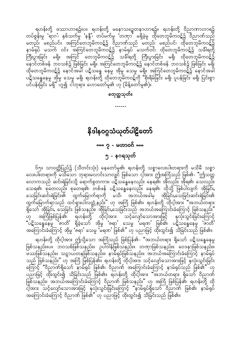ရဟန်းတို့ ဖဿာဟာရ၌။ပ။ ရဟန်းတို့ မနောသဥ္စေတနာဟာရ၌။ ရဟန်းတို့ ဝိညာဏာဟာရ၌ တပ်စွန်းမှု 'ရာဂ'၊ နှစ်သက်မှု 'နန္ဒီ၊ တပ်မက်မှု 'တဏှာ' မရှိခဲ့မူ ထိုတေဘူမိကဝဋ်၌ ဝိညာဏ်သည် မတည်၊ မစည်ပင်။ အကြင်တေဘူမိကဝဋ်၌ ဝိညာဏ်သည် မတည်၊ မစည်ပင်၊ ထိုတေဘူမိကဝဋ်၌ .<br>ကြီးပွားခြင်း မရှိ။ အကြင် တေဘူမိကဝဋ်၌ သင်္ခါရတို့ ကြီးပွားခြင်း မရှိ<sup>"</sup> ထိုတေဘူမိကဝဋ်၌ ထိုတေဘူမိကဝဋ်၌ နောင်အခါ ပဋိသန္ဓေ နေမှု အိုမှု သေမှု မရှိ။ အကြင်တေဘူမိကဝဋ်၌ နောင်အခါ ပဋိသန္ဓေနေမှု အိုမှု သေမှု မရှိ၊ ရဟန်းတို့ ထိုတေဘူမိကဝဋ်ကို "စိုးရိမ်ခြင်း မရှိ၊ ပူပန်ခြင်း မရှိ၊ ပြင်းစွာ ပင်ပန်းခြင်း မရှိ" ဟူ၍ ငါဘုရား ဟောတော်မူ၏ ဟု (မိန့်တော်မူ၏)။

စတုတ္ထသုတ်။

နိဒါနဝဂ္ဂသံယုတ်ပါဠိတော် === ၇ - မဟာ၀ဂ် ===

#### ၅ - နဂရသုတ်

၆၅။ သာဝတ္ထိပြည်၌ (သီတင်းသုံး) နေတော်မူ၏၊ ရဟန်းတို့ သစ္စာလေးပါးတရားကို မသိမီ သစ္စာ လေးပါးတရားကို မသိသော ဘုရားလောင်းသာလျှင် ဖြစ်သော ငါ့အား ဤအကြံသည် ဖြစ်၏- "ဤသတ္တ လောကသည် ဆင်းရဲခြင်းသို့ ရောက်စွတကား၊ ပဋိသန္ဓေနေလည်း နေရ၏၊ အိုလည်း အိုရ၏၊ သေလည်း သေရ၏၊ စုတေလည်း စုတေရ၏၊ တစ်ဖန် ပဋိသန္ဓေနေလည်း နေရ၏၊ ထိုသို့ ဖြစ်ပါလျက် အိုခြင်း, သေခြင်းဆင်းရဲခြင်း၏ ထွက်မြောက်ရာကို မသိ၊ အဘယ်အခါမှ အိုခြင်း,သေခြင်းဆင်းရဲခြင်း၏ ထွက်မြောက်ရာသည် ထင်ရှားပါလတ္တံ့နည်း" ဟု အကြံ ဖြစ်၏။ ရဟန်းတို့ ထိုငါ့အား "အဘယ်တရား ရှိသော် အိုခြင်း, သေခြင်း ဖြစ်သနည်း၊ အိုခြင်း,သေခြင်းသည် အဘယ်အကြောင်းခံကြောင့် ဖြစ်သနည်း" အကြံဖြစ်ပြန်၏၊ ရဟန်းတို့ ထိုငါ့အား သင့်လျော်သောအားဖြင့် နှလုံးသွင်းခြင်းကြောင့် ဟု ာင်္<br>ပဋိသန္ဓေနေမှု 'ဇာတိ' ရှိခဲ့သော် အိုမှု 'ဇရာ' သေမှု 'မရက' ဖြစ်၏၊ ပဋိသန္ဓေနေမှု 'ဇာတိ'<br>အကြောင်းခံကြောင့် အိုမှု 'ဇရာ' သေမှု 'မရဏ' ဖြစ်၏" ဟု ပညာဖြင့် ထိုးထွင်း၍ သိခြင်းသည် ဖြစ်၏။

ရဟန်းတို့ ထိုင့ါ့အား ဤသို့သော အကြံသည် ဖြစ်ပြန်၏- "အဘယ်တရား ရှိသော် ပဋိသန္ဓေနေမှု ဖြစ်သနည်း။ပ။ ဘဝသစ်ဖြစ်သနည်း။ ဥပါဒါန်ဖြစ်သနည်း။ တဏှာဖြစ်သနည်း။ ဝေဒနာဖြစ်သနည်း။ .<br>ဖဿဖြစ်သနည်း။ သဠာယတနဖြစ်သနည်း။ နာမ်ရုပ်ဖြစ်သနည်း။ အဘယ်အကြောင်းခံကြောင့် နာမ်ရုပ် သည် ဖြစ်သနည်း" ဟု အကြံ ဖြစ်ပြန်၏။ ရဟန်းတို့ ထိုငါ့အား သင့်လျော်သောအားဖြင့် နှလုံးသွင်းခြင်း ကြောင့် "ဝိညာဏ်ရှိသော် နာမ်ရှပ် ဖြစ်၏၊ ဝိညာဏ် အကြောင်းခံကြောင့် နာမ်ရှပ်သည် ဖြစ်၏" ဟု ပညာဖြင့် ထိုးထွင်း၍ သိခြင်းသည် ဖြစ်၏။ ရဟန်းတို့ ထိုင့်ါအား "အဘယ်တရား ရှိသော် ဝိညာဏ် ဖြစ်သနည်း၊ အဘယ်အကြောင်းခံကြောင့် ဝိညာဏ် ဖြစ်သနည်း" ဟု အကြံ ဖြစ်ပြန်၏၊ ရဟန်းတို့ ထို င့်ါအား သင့်လျော်သောအားဖြင့် နှလုံးသွင်းခြင်းကြောင့် "နာမ်ရုပ်ရှိသော် ဝိညာဏ် ဖြစ်၏၊ နာမ်ရုပ် အကြောင်းခံကြောင့် ဝိညာဏ် ဖြစ်၏" ဟု ပညာဖြင့် ထိုးထွင်း၍ သိခြင်းသည် ဖြစ်၏။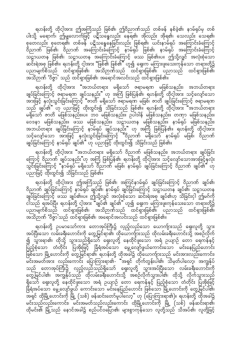ရဟန်းတို့ ထိုင့ါ့အား ဤအကြံသည် ဖြစ်၏၊ ဤဝိညာဏ်သည် တစ်ဖန် နစ်ခဲ့၏၊ နာမ်ရုပ်မှ တစ် ပါးသို့ မရောက်၊ ဤမျှလောက်ဖြင့် ပဋိသန္ဓေလည်း နေရ၏၊ အိုလည်း အိုရ၏၊ သေလည်း သေရ၏၊ စုတေလည်း စုတေရ၏၊ တစ်ဖန် ပဋိသန္ဓေနေခြင်းလည်း ဖြစ်ရ၏၊ ယင်းနာမ်ရုပ် အကြောင်းခံကြောင့် ဝိညာဏ် ဖြစ်၏၊ ဝိညာဏ် အကြောင်းခံကြောင့် နာမ်ရုပ် ဖြစ်၏၊ နာမ်ရုပ် အကြောင်းခံကြောင့် သဠာယတန ဖြစ်၏၊ သဠာယတန အကြောင်းခံကြောင့် ဖဿ ဖြစ်၏။ပ။ ဤသို့လျှင် အလုံးစုံသော ဆင်းရဲအစု ဖြစ်၏။ ရဟန်းတို့ ငါ့အား "ဖြစ်၏ ဖြစ်၏" ဟူ၍ ရှေးက မကြားဖူးသေးကုန်သော တရားတို့၌<br>ပညာမျက်စိသည် ထင်ရှားဖြစ်၏၊ အသိဉာဏ်သည် ထင်ရှားဖြစ်၏၊ ပညာသည် ထင်ရှားဖြစ်၏၊ အသိဉာဏ် 'ဝိဇ္ဇာ' သည် ထင်ရှားဖြစ်၏၊ အရောင်အလင်းသည် ထင်ရှားဖြစ်၏။

ရဟန်းတို့ ထိုင့ါ့အား "အဘယ်တရား မရှိသော် ဇရာမရဏ မဖြစ်သနည်း၊ အဘယ်တရား ချုပ်ခြင်းကြောင့် ဇရာမရဏ ချုပ်သနည်း" ဟု အကြံ ဖြစ်ပြန်၏၊ ရဟန်းတို့ ထိုငါ့အား သင့်လျော်သော း<br>အားဖြင့် နှလုံးသွင်းခြင်းကြောင့် "ဇာတိ မရှိသော် ဇရာမရဏ မဖြစ်၊ ဇာတိ ချုပ်ခြင်းကြောင့် ဇရာမရဏ သည် ချုပ်၏" ဟု ပညာဖြင့် ထိုးထွင်း၍ သိခြင်းသည် ဖြစ်၏။ ရဟန်းတို့ ထိုငါ့အား "အဘယ်တရား မရှိသော် ဇာတိ မဖြစ်သနည်း။ပ။ ဘဝ မဖြစ်သနည်း။ ဉပါဒါန် မဖြစ်သနည်း။ တဏှာ မဖြစ်သနည်း။ ဝေဒနာ မဖြစ်သနည်း။ ဖဿ မဖြစ်သနည်း။ သဠာယတန မဖြစ်သနည်း။ နာမ်ရုပ် မဖြစ်သနည်း၊ အဘယ်တရား ချပ်ခြင်းကြောင့် နာမ်ရုပ် ချုပ်သနည်း" ဟု အကြံ ဖြစ်ပြန်၏။ ရဟန်းတို့ ထိုငါ့အား<br>သင့်လျော်သော အားဖြင့် နှလုံးသွင်းခြင်းကြောင့် "ဝိညာဏ် မရှိသော် နာမ်ရုပ် မဖြစ်၊ ဝိညာဏ် ချုပ်ခြင်းကြောင့် နာမ်ရုပ် ချုပ်၏" ဟု ပညာဖြင့် ထိုးထွင်း၍ သိခြင်းသည် ဖြစ်၏။

ရဟန်းတို့ ထိုငါ့အား "အဘယ်တရား မရှိသော် ဝိညာဏ် မဖြစ်သနည်း၊ အဘယ်တရား ချုပ်ခြင်း ကြောင့် ဝိညာဏ် ချုပ်သနည်း"ဟု အကြံ ဖြစ်ပြန်၏၊ ရဟန်းတို့ ထိုငါ့အား သင့်လျော်သောအားဖြင့်နှလုံး သွင်းခြင်းကြောင့် "နာမ်ရုပ် မရှိသော် ဝိညာဏ် မဖြစ်၊ နာမ်ရုပ် ချုပ်ခြင်းကြောင့် ဝိညာဏ် ချုပ်၏" ဟု ပညာဖြင့် ထိုးထွင်း၍ သိခြင်းသည် ဖြစ်၏။

ရဟန်းတို့ ထိုငါ့အား ဤအကြံသည် ဖြစ်၏၊ အကြင်နာမ်ရုပ် ချုပ်ခြင်းကြောင့် ဝိညာဏ် ချုပ်၏၊<br>ဝိညာဏ် ချုပ်ခြင်းကြောင့် နာမ်ရုပ် ချုပ်၏၊ နာမ်ရုပ် ချုပ်ခြင်းကြောင့် သဠာယတန ချုပ်၏၊ သဠာယတန ချုပ်ခြင်းကြောင့် ဖဿ ချုပ်၏။ပ။ ဤသို့လျှင် အလုံးစုံသော ဆင်းရဲအစု ချုပ်၏ဟု သိခြင်းငှါ ဤမဂ်ကို ငါသည် ရအပ်ပြီ။ ရဟန်းတို့ ငါ့အား "ချုပ်၏ ချုပ်၏" ဟူ၍ ရှေးက မကြားဖူးကုန်သေးသော တရားတို့၌ ပညာမျက်စိသည် ထင်ရှားဖြစ်၏၊ အသိဉာဏ်သည် ထင်ရှားဖြစ်၏၊ ပညာသည် ထင်ရှားဖြစ်၏၊ အသိဉာဏ် 'ဝိဇ္ဇာ'သည် ထင်ရှားဖြစ်၏၊ အရောင်အလင်းသည် ထင်ရှားဖြစ်၏။

ရဟန်းတို့ ဉပမာသော်ကား တောအုပ်ကြီး၌ လှည့်လည်သော ယောက်ျားသည် ရှေးလူတို့ သွား အပ်ပြီးသော လမ်းခရီးဟောင်းကို တွေ့မြင်ရာ၏၊ ထိုယောက်ျားသည် ထိုလမ်းခရီးဟောင်းသို့ အစဉ်လိုက် ၍ သွားရာ၏၊ ထိုသို့ သွားသည်ရှိသော် ရှေးလူတို့ နေထိုင်ဖူးသော အရံ ဉယျာဉ် တော ရေကန်နှင့် ပြည့်စုံသော တံတိုင်း ပြအိုးဖြင့် ခြံရံအပ်သော မွေ့လျော်ဖွယ်ကောင်းသော မင်းနေပြည်ဟောင်း ဖြစ်သော မြို့ဟောင်းကို တွေ့မြင်ရာ၏၊ ရဟန်းတို့ ထိုအခါ၌ ထိုယောကျ်ားသည် မင်းအားလည်းကောင်း၊ ပ<br>မင်းအမတ်အား လည်းကောင်း ပြောကြားရာ၏- "အရှင် တိုက်တွန်းပါ၏၊ သိမှတ်ပါလော့၊ အကျွန်ုပ် သည် တောအုပ်ကြီး၌ လှည့်လည်သည်ရှိသော် ရှေးလူတို့ သွားအပ်ပြီးသော လမ်းခရီးဟောင်းကို တွေ့မြင်ပါ၏၊ အကျွန်ုပ်သည် ထိုလမ်းခရီးဟောင်းသို့ အစဉ်လိုက်သွားပါ၏၊ ထိုသို့ လိုက်သွားသည် ရှိသော် ရှေးလူတို့ နေထိုင်ဖူးသော အရံ ဥယျာဉ် တော ရေကန်နှင့် ပြည့်စုံသော တံတိုင်း ပြအိုးဖြင့် ျီရံအပ်သော ငမွ်လျော်ဖွယ် ကောင်းသော မင်းနေပြည်ဟောင်း ဖြစ်သော မြို့ဟောင်းကို တွေ့မြင်ပါ၏၊ မင်းသည်လည်းကောင်း၊ မင်းအမတ်သည်လည်းကောင်း ထိုမြို့ဟောင်းကို မြို့ (သစ်) ဖန်ဆင်းရာ၏၊ ထိုမင်း၏ မြို့သည် နောင်အခါ၌ စည်ပင်ဝပြော၏၊ များစွာကုန်သော လူတို့သည် သိအပ်၏၊ လူတို့ဖြင့်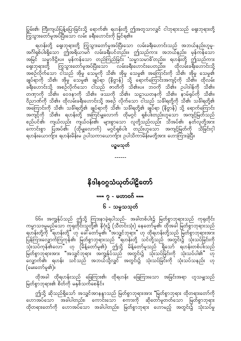ပြွမ်း၏၊ ကြီးကျယ်ပြန့်ပြောခြင်းသို့ ရောက်၏၊ ရဟန်းတို့ ဤအတူသာလျှင် ငါဘုရားသည် ရှေးဘုရားတို့ ျား<br>ကြွသွားတော်မူအပ်ပြီးသော လမ်း ခရီးဟောင်းကို မြင်ရ၏။

ရဟန်းတို့ ရှေးဘုရားတို့ ကြွသွားတော်မူအပ်ပြီးသော လမ်းခရီးဟောင်းသည် အဘယ်နည်းဟူမူ-အင်္ဂါရှစ်ပါးရှိသော ဤအရိယာမဂ်ိ လမ်းခရီးပင်တည်း။ ဤသည်ကား အဘယ်နည်း၊ မှန်ကန်သော အမြင် သမ္မာဒိဋ္ဌိ။ပ။ မှန်ကန်သော တည်ကြည်ခြင်း 'သမ္မာသမာဓိ'တည်း။ ရဟန်းတို့ ဤသည်ကား ကြွသွားတော်မူအပ်ပြီးသော လမ်းခရီးဟောင်းပေတည်း။ ထိုလမ်းခရီးဟောင်းသို့ ရှေးဘုရားတို့ ္ကာ<br>ချုပ်ရာကို သိ၏၊ အိုမှု သေမှု၏ ချုပ်ရာ (နိဗ္ဗာန်) သို့ ရောက်ကြောင်းကို သိ၏၊ အိုမှု သေမှု၏<br>ချုပ်ရာကို သိ၏၊ အိုမှု သေမှု၏ ချုပ်ရာ (နိဗ္ဗာန်) သို့ ရောက်ကြောင်းအကျင့်ကို သိ၏။ ထိုလမ်း<br>ခရီးဟောင်းသို့ အစဉ်လိုက်သော ငါသည် ဇာတိက တဏှာကို သိ၏။ ဝေဒနာကို သိ၏။ ဖဿကို သိ၏။ သဠာယတနကို သိ၏။ နာမ်ရုပ်ကို သိ၏။ ဝိညာဏ်ကို သိ၏။ ထိုလမ်းခရီးဟောင်းသို့ အစဉ် လိုက်သော ငါသည် သင်္ခါရတို့ကို သိ၏၊ သင်္ခါရတို့၏ အကျင့်ကို သိ၏။ ရဟန်းတို့ အကြင်မျှလောက် ထိုမဂ္ဂင် ရှစ်ပါးတည်းဟူသော အကျင့်မြတ်သည် စည်ပင်၏၊ ကျယ်လည်း ကျယ်ဝန်း၏၊ များစွာသော လူတို့သည်လည်း သိအပ်၏၊ နတ်လူတို့အား ကောင်းစွာ ပြအပ်၏၊ (ထိုမျှလောက်) မဂ္ဂင်ရှစ်ပါး တည်းဟူသော အကျင့်မြတ်ကို သိခြင်းငှါ ရဟန်းယောက်ျား ရဟန်းမိန်းမ ဉပါသကာယောက်ျား ဉပါသိကာမိန်းမတို့အား ဟောကြားခဲ့ပြီ။

ပဉ္စမသုတ်

------

နိဒါနဝဂွသံယုတ်ပါဠိတော် === ၇ - မဟာ၀ဂ် === ၆ - သမ္မသသုတ်

၆၆။ အကျွန်ုပ်သည် ဤသို့ ကြားနာခဲ့ရပါသည်- အခါတစ်ပါး၌ မြတ်စွာဘုရားသည် ကုရုတိုင်း ကမ္မာသဒမ္မမည်သော ကုရုတိုင်းသူတို့၏ နိဂုံး၌ (သီတင်းသုံး) နေတော်မူ၏၊ ထိုအခါ မြတ်စွာဘုရားသည် ိုး အသင့္ ေဆာင္း ေျပာင္း ေျပာင္း မွာ ေတြကို ေတြကို ေတြကို ေတြကို ေတြကို ေတြကို ေတြကို<br>ရဟန်းတို့ကို "ရဟန်းတို့" ဟု ခေါ် တော်မူ၏၊ "အသျှင်ဘုရား" ဟု ထိုရဟန်းတို့သည် မြတ်စွာဘုရားအား<br>ပြန်ကြားလျှောက်ကြကုန်၏၊ မြတ်စွာဘုရားသည် "ရဟန မြို့သပ်ကုန်၏လော" ဟု (မိန့်တော်မူ၏)၊ ဤသို့ မိန့်တော်မူသည် ရှိသော် ရဟန်းတစ်ပါးသည်<br>ငြ မြတ်စွာဘုရားအား "အသျှင်ဘုရား အကျွန်ုပ်သည် အတွင်း၌ သုံးသပ်ခြင်းကို သုံးသပ်ပါ၏" ဟု<br>လျှောက်၏၊ ရဟန်း သင်သည် အဘယ်သို့လျှင် အတွင်း၌ သုံးသပ်ခြင်းကို သုံးသပ်သနည်း ဟု (မေးတော်မူ၏)။

ထိုအခါ ထိုရဟန်းသည် ဖြေကြား၏၊ ထိုရဟန်း ဖြေကြားသော အခြင်းအရာ ဟူသမျှသည် .<br>မြတ်စွာဘုရား၏ စိတ်ကို မနှစ်သက်စေနိုင်။

ဤသို့ ဆိုသည်ရှိသော် အသျှင်အာနန္ဒာသည် မြတ်စွာဘုရားအား "မြတ်စွာဘုရား ထိုတရားတော်ကို ဟောအပ်သော အခါပါတည်း၊ ကောင်းသော စကားကို ဆိုတော်မူတတ်သော မြတ်စွာဘုရား<br>ထိုတရားတော်ကို ဟောအပ်သော အခါပါတည်း၊ မြတ်စွာဘုရား ဟောမည့် အတွင်း၌ သုံးသပ်မှု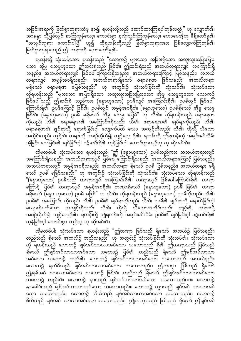အခြင်းအရာကို မြတ်စွာဘုရားထံမှ နာ၍ ရဟန်းတို့သည် ဆောင်ထားကြရပါကုန်လတ္တံ့" ဟု လျှောက်၏၊ အာနန္ဒာ သို့ဖြစ်လျှင် နာကြကုန်လော့၊ ကောင်းစွာ နှလုံးသွင်းကြကုန်လော့၊ ဟောပေအံ့ဟု မိန့်တော်မူ၏၊ "အသျှင်ဘုရား ကောင်းပါပြီ" ဟူ၍ ထိုရဟန်းတို့သည် မြတ်စွာဘုရားအား ပြန်လျှောက်ကြကုန်၏၊ မြတ်စွာဘုရားသည် ဤ တရားကို ဟောတော်မူ၏-

ရဟန်းတို့ သုံးသပ်သော ရဟန်းသည် "လောက၌ များသော အပြားရှိသော အထူးထူးအပြားပြား သော အိုမှု သေမှုဟူသော ဤဆင်းရဲသည် ဖြစ်၏၊ ဤဆင်းရဲသည် အဘယ်တရားလျှင် အကြောင်းရှိ သနည်း၊ အဘယ်တရားလျှင် ဖြစ်ပေါ်ကြောင်းရှိသနည်း၊ အဘယ်တရားကြောင့် ဖြစ်သနည်း၊ အဘယ် ာရားလျှင် အမွန်အစရှိသနည်း၊ အဘယ်တရားရှိသော် ဇရာမရဏ ဖြစ်သနည်း၊ အဘယ်တရား မရှိသော် ဇရာမရဏ မဖြစ်သနည်း" ဟု အတွင်း၌ သုံးသပ်ခြင်းကို သုံးသပ်၏။ သုံးသပ်သော ထိုရဟန်းသည် "များသော အပြားရှိသော အထူးထူးအပြားပြားသော အိုမှု သေမှုဟူသော လောက၌ ဖြစ်ပေါ် သည့် ဤဆင်းရဲ သည်ကား (ခန္ဓာဟူသော) ဉပဓိလျှင် အကြောင်းရှိ၏၊ ဉပဓိလျှင် ဖြစ်ပေါ် ကြောင်းရှိ၏၊ ဉပဓိကြောင့် ဖြစ််၏၊ ဉပဓိလျှင် အမွန်အစရှိ၏၊ (ခန္ဓာဟူသော) ဉပဓိရှိသော် အိုမှု သေမှု ဖြစ်၏၊ (ခန္ဓာဟူသော) ဥပဓိ မရှိသော် အိုမှု သေမှု မဖြစ်" ဟု သီ၏။ ထိုရဟန်းသည် ဇရာမရဏ ကိုလည်း သိ၏၊ ဇရာမရဏ၏ အကြောင်းကိုလည်း သိ၏၊ ဇရာမရဏ၏ ချုပ်ရာကိုလည်း သိ၏၊ ဇရာမရဏ၏ ချုပ်ရာသို့ ရောက်ခြင်းငှါ လျောက်ပတ် သော အကျင့်ကိုလည်း သိ၏၊ ထိုသို့ သိသော အတိုင်းလည်း ကျင့်၏၊ တရားသို့ အစဉ်လိုက်၍ ကျင့်လေ့ ရှိ၏။ ရဟန်းတို့ ဤရဟန်းကို အချင်းခပ်သိမ်း အိုခြင်း သေခြင်း၏ ချုပ်ခြင်းငှါ ဝဋ်ဆင်းရဲ၏ ကုန်ခြင်းငှါ ကောင်းစွာကျင့်သူ ဟု ဆိုအပ်၏။

ထိုမှတစ်ပါး သုံးသပ်သော ရဟန်းသည် "ဤ (ခန္ဓာဟူသော) ဉပဓိသည်ကား အဘယ်တရားလျှင် အကြောင်းရှိသနည်း၊ အဘယ်တရားလျှင် ဖြစ်ပေါ်ကြောင်းရှိသနည်း၊ အဘယ်တရားကြောင့် ဖြစ်သနည်း၊ အဘယ်တရားလျှင် အမွန်အစရှိသနည်း၊ အဘယ်တရား ရှိသော် ဉပဓိ ဖြစ်သနည်း၊ အဘယ်တရား မရှိ သော် ဉပဓိ မဖြစ်သနည်း" ဟု အတွင်း၌ သုံးသပ်ခြင်းကို သုံးသပ်၏။ သုံးသပ်သော ထိုရဟန်းသည် "(ခန္ဓာဟူသော) ဉပဓိသည် တဏှာလျှင် အကြောင်းရှိ၏၊ တဏှာလျှင် ဖြစ်ပေါ်ကြောင်းရှိ၏၊ တဏှာ ကြောင့် ဖြစ်၏၊ တဏှာလျှင် အမွန်အစရှိ၏၊ တဏှာရှိသော် (ခန္ဓာဟူသော) ဉပဓိ ဖြစ်၏၊ တဏှာ၊ မရှိသော် (ခန္ဓာ ဟူသော) ဉပဓိ မဖြစ်" ဟု သိ၏။ ထိုရဟန်းသည် (ခန္ဓာဟူသော) ဉပဓိကိုလည်း သိ၏၊ ဉပါိေ၏ အကြောင်း ကိုလည်း သိ၏၊ ဥပဓိ၏ ချုပ်ရာကိုလည်း သိ၏၊ ဥပဓိ၏ ချုပ်ရာသို့ ရောက်ခြင်းငှါ \_<br>လျှောက်ပတ်သော အကျင့်ကိုလည်း သိ၏ ထိုသို့ သိသောအတိုင်းလည်း ကျင့်၏၊ တရားသို့ အစဉ်လိုက်၍ ကျင့်လေ့ရှိ၏။ ရဟန်းတို့ ဤရဟန်းကို အချင်းခပ်သိမ်း ဉပဓိ၏ ချုပ်ခြင်းငှါ ဝဋ်ဆင်းရဲ၏ ကုန်ခြင်းငှါ ကောင်းစွာ ကျင့်သူ ဟု ဆိုအပ်၏။

ထိုမှတစ်ပါး သုံးသပ်သော ရဟန်းသည် "ဤတဏှာ ဖြစ်သည် ရှိသော် အဘယ်၌ ဖြစ်သနည်း၊ တည်သည် ရှိသော် အဘယ်၌ တည်သနည်း" ဟု အတွင်း၌ သုံးသပ်ခြင်းကို သုံးသပ်၏။ သုံးသပ်သော ထို ရဟန်းသည် လောက၌ ချစ်အပ်သာယာအပ်သော သဘောသည် ရှိ၏၊ ဤတဏှာသည် ဖြစ်သည် ရှိသော် ဤချစ်အပ်သာယာအပ်သော သဘော၌ ဖြစ်၏၊ တည်သည် ရှိသော် ဤချစ်အပ်သာယာ အပ်သော သဘော၌ တည်၏။ လောက၌ ချစ်အပ်သာယာအပ်သော သဘောသည် အဘယ်နည်း၊ လောက၌ မျက်စိသည် ချစ်အပ်သာယာအပ်သော သဘောတည်း။ ဤတဏှာ ဖြစ်သည် ရှိသော် ဤချစ်အပ် သာယာအပ်သော သဘော၌ ဖြစ်၏၊ တည်သည် ရှိသော် ဤချစ်အပ်သာယာအပ်သော<br>သဘော၌ တည်၏။ လောက၌ နားသည် ချစ်အပ်သာယာအပ်သော သဘောတည်း။ပ။ လောက၌ နှာခေါင်းသည် ချစ်အပ်သာယာအပ်သော သဘောတည်း။ လောက၌ လျှာသည် ချစ်အပ် သာယာအပ်ိ သော သဘောတည်း။ လောက၌ ကိုယ်သည် ချစ်အပ်သာယာအပ်သော သဘောတည်း။ လောက၌ စိတ်သည် ချစ်အပ် သာယာအပ်သော သဘောတည်း။ ဤတဏှာသည် ဖြစ်သည် ရှိသော် ဤချစ်အပ်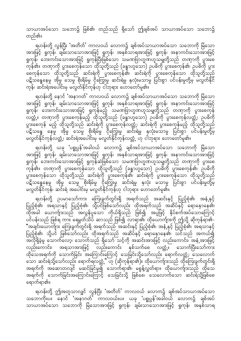သာယာအပ်သော သဘော၌ ဖြစ်၏၊ တည်သည် ရှိသော် ဤချစ်အပ် သာယာအပ်သော သဘော၌ တည်၏။

ရဟန်းတို့ လွန်ပြီး 'အတိတ်' ကာလဝယ် လောက၌ ချစ်အပ်သာယာအပ်သော သဘောကို မြဲသော အားဖြင့် ရှုကုန်၊ ချမ်းသာသောအားဖြင့် ရှုကုန်၊ အနှစ်သာရအားဖြင့် ရှုကုန်၊ အနာကင်းသောအားဖြင့် ရှုကုန်၊ ဘေးကင်းသောအားဖြင့် ရှုကုန်ပြီးဖြစ်သော သမဏဗြာဟ္မဏဟူသမျှတို့သည် တဏှာကို ပွားစေ ကုန်၏။ တဏှာကို ပွားစေကုန်သော ထိုသူတို့သည် (ခန္ဓာဟူသော) ဉပဓိကို ပွားစေကုန်၏၊ ဉပဓိကို ပွား apuke Monteraom (သို့ပါတယ်) ဆင်းရဲကို ပွားစေကုန်၏၊ ဆင်းရဲကို ပွားစေကုန်သော ထိုသူတို့သည်<br>ကြေးထိုင်ခွင့် ပဋိသန္ဓေနေမှု အိုမှု သေမှု စိုးရိမ်မှု ငိုကြွေးမှု ဆင်းရဲမှု နှလုံးမသာမှု ပြင်းစွာ ပင်ပန်းမှုတို့မှ မလွတ်နိုင် ကုန်၊ ဆင်းရဲအပေါင်းမှ မလွတ်နိုင်ကုန်ဟု ငါဘုရား ဟောတော်မူ၏။

ရဟန်းတို့ နောင် 'အနာဂတ်' ကာလဝယ် လောက၌ ချစ်အပ်သာယာအပ်သော သဘောကို မြဲသော အားဖြင့် ရှုကုန်၊ ချမ်းသာသောအားဖြင့် ရှုကုန်၊ အနှစ်သာရအားဖြင့် ရှုကုန်၊ အနာကင်းသောအားဖြင့် ရှုကုန်၊ ဘေးကင်းသောအားဖြင့် ရှုကုန်မည့် သမဏဗြာဟ္မဏဟူသမျှတို့သည် တဏှာကို ပွားစေကုန် လတ္တံ့။ တဏှာကို ပွားစေကုန်မည့် ထိုသူတို့သည် (ခန္ဓာဟူသော) ဉပဓိကို ပွားစေကုန်လတ္တံ့၊ ဉပဓိကို ပွားစေကုန် မည့် ထိုသူတို့သည် ဆင်းရဲကို ပွားစေကုန်လတ္တံ့၊ ဆင်းရဲကို ပွားစေကုန်မည့် ထိုသူတို့သည် ပိဋိသန္ဓေ် နေမှု အိုမှု သေမှု စိုးရိမ်မှု ငိုကြွေးမှု ဆင်းရဲမှု နှလုံးမသာမှု ပြင်းစွာ ပင်ပန်းမှုတို့မှ မလွတ်နိုင်ကုန်လတ္တံ့၊ ဆင်းရဲအပေါင်းမှ မလွတ်နိုင်ကုန်လတ္တံ့ ဟု ငါဘုရား ဟောတော်မူ၏။

ရဟန်းတို့ ယခု 'ပစ္စုပ္ပန်'အခါဝယ် လောက၌ ချစ်အပ်သာယာအပ်သော သဘောကို မြဲသော အားဖြင့် ရှုကုန်၊ ချမ်းသာသောအားဖြင့် ရှုကုန်၊ အနှစ်သာရအားဖြင့် ရှုကုန်၊ အနာကင်းသောအားဖြင့် ရှုကုန်၊ ဘေးကင်းသောအားဖြင့် ရှုကုန်ဆဲဖြစ်သော သမဏဗြာဟ္မဏဟူသမျှတို့သည် တဏှာကို ပွားစေ … န် မ်ာ။ တဏှာကို ပွားစေကုန်သော ထိုသူတို့သည် (ခန္ဓာဟူသော) ဉပဓိကို ပွားစေကုန်၏၊ ဉပဓိကို yားစေကုန်သော ထိုသူတို့သည် ဆင်းရဲကို ပွားစေကုန်၏ ဆင်းရဲကို ပွားစေကုန်သော ထိုသူတို့သည် ပိဋိသန္ဓေနေမှု အိုမှု သေမှု စိုးရိမ်မှု ငိုကြွေးမှု ဆင်းရဲမှု နှလုံး မသာမှု ပြင်းစွာ ပင်ပန်းမှုတို့မှ မလွတ်နိုင်ကုန်၊ ဆင်းရဲ အပေါင်းမှ မလွတ်နိုင်ကုန်ဟု ငါဘုရား ဟောတော်မူ၏။

ရဟန်းတို့ ဉပမာသော်ကား ကြေးခွက်တွင်းရှိ အရက်သည် အဆင်းနှင့် ပြည့်စုံ၏၊ အနံ့နှင့် ပြည့်စုံ၏၊ အရသာနှင့် ပြည့်စုံ၏၊ သို့ပင်ဖြစ်သော်လည်း ထိုအရက်သည် အဆိပ်နှင့် ရောနှောနေ၏၊ ထိုအခါ ယောကျ်ားသည် အလွန်ပူသော ကိုယ်ရှိသည် ဖြစ်၍ အပူဖြင့် နှိပ်စက်အပ်သောကြောင့် ပင်ပန်းသည် ဖြစ်ရ ကား ရေမွတ်သိပ် ဆာသည် ဖြစ်၍ လာရာ၏၊ ထိုယောက်ျားကို ဤသို့ ဆိုကုန်ရာ၏-"အချင်းယောက်ျား ကြေးခွက်တွင်းရှိ အရက်သည် အဆင်းနှင့် ပြည့်စုံ၏၊ အနံ့နှင့် ပြည့်စုံ၏၊ အရသာနှင့် ပြည့်စုံ၏၊ သို့ပင် ဖြစ်သော်လည်း ထိုအရက်သည် အဆိပ်နှင့် ရောနှောနေ၏၊ သင်သည် အကယ်၍ ် ထိုင်ရှိခဲ့မူ သောက်လော့၊ သောက်သည် ရှိသော် သင့်ကို အဆင်းအားဖြင့် လည်းကောင်း၊ အနံ့အားဖြင့် လည်းကောင်း၊ အရသာအားဖြင့် လည်းကောင်း နှစ်သက်စေ လတ္တံ့။ သောက်ပြီးသော်ကား ထိုသေအရက်ကို သောက်ခြင်း အကြောင်းကြောင့် သေခြင်းသို့သော်လည်း ရောက်လတ္တံ့၊ သေလောက် သော ဆင်းရဲသို့သော်လည်း ရောက်ရလတ္တံ့" ဟု (ဆိုကုန်ရာ၏)။ ထိုယောက်ျားသည် ထိုကြေးခွက်တွင်းရှိ အရက်ကို အဆောတလျင် မဆင်ခြင်မူ၍ သောက်ရာ၏၊ မစွန့်လွှတ်ရာ။ ထိုယောက်ျားသည် ထိုသေ အရက်ကို သောက်ခြင်းအကြောင်းကြောင့် သေခြင်းသို့ ဖြစ်စေ၊ သေလောက်သော ဆင်းရဲသို့ဖြစ်စေ ရောက်ရာ၏။

ရဟန်းတို့ ဤအတူသာလျှင် လွန်ပြီး 'အတိတ်' ကာလဝယ် လောက၌ ချစ်အပ်သာယာအပ်သော သဘောကို။ပ။ နောင် 'အနာဂတ်' ကာလဝယ်။ပ။ ယခု 'ပစ္စုပ္ပန်'အခါဝယ် လောက၌ ချစ်အပ် သာယာအပ်သော သဘောကို မြဲသောအားဖြင့် ရူကုန်၊ ချမ်းသာသောအားဖြင့် ရူကုန်၊ အနှစ်သာရ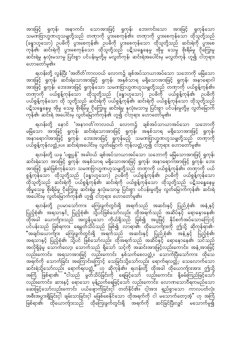အားဖြင့် ရူကုန်၊ အနာကင်း သောအားဖြင့် ရူကုန်၊ ဘေးကင်းသော အားဖြင့် ရူကုန်သော သမဏဗြာဟ္မွဏဟူသမျှတို့သည် တဏှာကို ပွားစေကုန်၏။ တဏှာကို ပွားစေကုန်သော ထိုသူတို့သည် (ခန္ဓာဟူသော) ဉပဓိကို ပွားစေကုန်၏၊ ဉပဓိကို ပွားစေကုန်သော ထိုသူတို့သည် ဆင်းရဲကို ပွားစေ ကုန်၏၊ ဆင်းရဲကို ပွားစေကုန်သော ထိုသူတို့သည် ပဋိသန္ဓေနေမှု အိုမှု သေမှု စိုးရိမ်မှု ငိုကြွေးမှု ဆင်းရဲမှု နှလုံးမသာမှု ပြင်းစွာ ပင်ပန်းမှုတို့မှ မလွတ်ကုန်၊ ဆင်းရဲအပေါင်းမှ မလွတ်ကုန် ဟူ၍ ငါဘုရား ဟောတော်မူ၏။

ရဟန်းတို့ လွန်ပြီး 'အတိတ်'ကာလဝယ် လောက၌ ချစ်အပ်သာယာအပ်သော သဘောကို မမြဲသော အားဖြင့် ရှုကုန်၊ ဆင်းရဲသောအားဖြင့် ရှုကုန်၊ အနှစ်သာရ မရှိသောအားဖြင့် ရှုကုန်၊ အနာရောဂါ အားဖြင့် ရှုကုန်၊ ဘေးအားဖြင့် ရှုကုန်သော သမဏဗြာဟ္မဏဟူသမျှတို့သည် တဏှာကို ပယ်စွန့်ကုန်၏။ wPSmudk y,fpGefYukefaom xdkolwdkYonf (cE¨m[laom) Oy"dudk y,fpGefYukef\? Oy"dudk ပယ်စွန့်ကုန်သော ထို သူတို့သည် ဆင်းရဲကို ပယ်စွန့်ကုန်၏၊ ဆင်းရဲကို ပယ်စွန့်ကုန်သော ထိုသူတို့သည် ပဋိသန္ဓေနေမှု အိုမှု သေမှု စိုးရိမ်မှု ငိုကြွေးမှု ဆင်းရဲမှု နှလုံးမသာမှု ပြင်းစွာ ပင်ပန်းမှုတို့မှ လွတ်မြောက် ကုန်၏၊ ဆင်းရဲ အပေါင်းမှ လွတ်မြောက်ကုန်၏ ဟူ၍ ငါဘုရား ဟောတော်မူ၏။

ရဟန်းတို့ နောင် 'အနာဂတ်'ကာလဝယ် လောက၌ ချစ်အပ်သာယာအပ်သော သဘောကို မမြဲသော အားဖြင့် ရှုကုန်၊ ဆင်းရဲသောအားဖြင့် ရှုကုန်၊ အနှစ်သာရ မရှိသောအားဖြင့် ရှုကုန်၊ အနာရောဂါအားဖြင့် ရှုကုန်၊ ဘေးအားဖြင့် ရှုကုန်မည့် သမဏဗြာဟ္မဏဟူသမျှတို့သည် တဏှာကို ပယ်စွန့်ကုန်လတ္တံ့။ပ။ ဆင်းရဲအပေါင်းမှ လွတ်မြောက် ကုန်လတ္တံ့ဟူ၍ ငါဘုရား ဟောတော်မူ၏။

ရဟန်းတို့ ယခု 'ပစ္စုပ္ပန်' အခါဝယ် ချစ်အပ်သာယာအပ်သော သဘောကို မမြဲသောအားဖြင့် ရူကုန်၊ ဆင်းရဲသော အားဖြင့် ရှုကုန်၊ အနှစ်သာရ မရှိသောအားဖြင့် ရှုကုန်၊ အနာရောဂါအားဖြင့် ရှုကုန်၊ ဘေး <u>အားဖြင့် ရှုဆဲဖြစ်ကုန်သော သမဏ</u>ြတတ္ထဏဟူသမျှတို့သည် တဏှာကို ပယ်စွန့်ကုန်၏။ တဏှာကို ပယ် စွန့်ကုန်သော ထိုသူတို့သည် (ခန္ဓာဟူသော) ဉပိဓိကို ပယ်စွန့်ကုန်၏၊ ဉပိဓိကို ပယ်စွန့်ကုန်သော xx<br>ထိုသူတို့သည် ဆင်းရဲကို ပယ်စွန့်ကုန်၏၊ ဆင်းရဲကို ပယ်စွန့်ကုန်သော ထိုသူတို့သည် ပဋိသန္ဓေနေမှု အိုမှုသေမှု စိုးရိမ်မှု ငိုကြွေးမှု ဆင်းရဲမှု နှလုံးမသာမှု ပြင်းစွာ ပင်ပန်းမှုတို့မှ လွတ်မြောက်ကုန်၏၊ ဆင်းရဲ ် ---<br>အပေါင်းမှ လွှတ်မြောက်ကုန်၏ ဟူ၍ ငါဘုရား ဟောတော်မူ၏။

ရဟန်းတို့ ဉပမာသော်ကား ကြေးခွက်တွင်းရှိ အရက်သည် အဆင်းနှင့် ပြည့်စုံ၏၊ အနံ့နှင့် ပြည့်စုံ၏၊ အရသာနှင် ပြည့်စုံ၏၊ သို့ပင်ဖြစ်သော်လည်း ထိုအရက်သည် အဆိပ်နှင့် ရောနှောနေ၏၊ ထိုအခါ ယောက်ျားသည် အလွန်ပူသော ကိုယ်ရှိသည် ဖြစ်၍ အပူဖြင့် နှိပ်စက်အပ်သောကြောင့် ပင်ပန်းသည် ဖြစ်ရကား ရေမွတ်သိပ်သည် ဖြစ်၍ လာရာ၏၊ ထိုယောက်ျားကို ဤသို့ ဆိုကုန်ရာ၏-"အချင်းယောက်ျား ကြေးခွက်တွင်းရှိ အရက်သည် အဆင်းနှင့် ပြည့်စုံ၏၊ အနံ့နှင့် ပြည့်စုံ၏၊ အရသာနှင့် ပြည့်စုံ၏၊ သို့ပင် ဖြစ်သော်လည်း ထိုအရက်သည် အဆိပ်နှင့် ရောနှောနေ၏၊ သင်သည် အလိုရှိခဲ့မူ သောက်လော့၊ သောက်သည် ရှိသော် သင့်ကို အဆင်းအားဖြင့်လည်းကောင်း၊ အနံ့အားဖြင့် လည်းကောင်း၊ အရသာအားဖြင့် လည်းကောင်း နှစ်သက်စေလတ္တံ့။ သောက်ပြီးသော်ကား ထိုသေ အရက်ကို သောက်ခြင်း အကြောင်းကြောင့် သေခြင်းသို့သော်လည်း ရောက်ရလတ္တံ့၊ သေလောက်သော ဆင်းရဲသို့သော်လည်း ရောက်ရလတ္တံ့" ဟု ဆိုကုန်၏။ ရဟန်းတို့ ထိုအခါ ထိုယောက်ျားအား ဤသို့ အကြံ ဖြစ်ရာ၏၊ "ငါသည် မွတ်သိပ်ခြင်းကို ရေဖြင့်သော် လည်းကောင်း၊ နို့ဓမ်းကြည်ဖြင့်သော် လည်းကောင်း၊ ဆားနှင့် ရောသော မုန့်ညက်ရေဖြင့်သော် လည်းကောင်း၊ လောဏသောဝီရကမည်သော ဆေးဖြင့်သော်လည်းကောင်း ပယ်ဖျောက်ခြင်းငှါ တတ်နိုင်၏။ ငါ့အား ရှည်စွာသော ကာလပတ်လုံး အစီးအပွားရှိခြင်းငှါ ချမ်းသာခြင်းငှါ မဖြစ်စေနိုင်သော ထိုအရက်ကို ငါ မသောက်တော့အံ့" ဟု အကြံ ဖြစ်ရာ၏၊ ထိုယောက်ျားသည် ထိုကြေးခွက်တွင်းရှိ အရက်ကို ဆင်ခြင်ပြီးလျှင် မသောက်မှု၍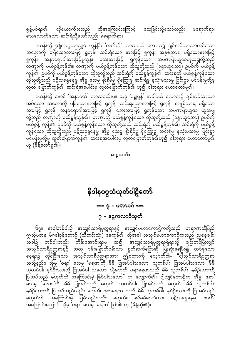စွန့်ပစ်ရာ၏၊ ထိုယောကျ်ားသည် ထိုအကြောင်းကြောင့် သေခြင်းသို့သော်လည်း မရောက်ရာ၊ ွ..<br>သေလောက်သော ဆင်းရဲသို့သော်လည်း မရောက်ရာ။

ရဟန်းတို့ ဤအတူသာလျှင် လွန်ပြီး 'အတိတ်' ကာလဝယ် လောက၌ ချစ်အပ်သာယာအပ်သော သဘောကို မမြဲသောအားဖြင့် ရှုကုန်၊ ဆင်းရဲသော အားဖြင့် ရှုကုန်၊ အနှစ်သာရ မရှိသောအားဖြင့် ရူကုန်၊ အနာရောဂါအားဖြင့်ရှုကုန်၊ ဘေးအားဖြင့် ရူကုန်သော သမဏဗြာဟ္မဏဟူသမျှတို့သည် w<br>တဏှာကို ပယ်စွန့်ကုန်၏။ တဏှာကို ပယ်စွန့်ကုန်သော ထိုသူတို့သည် (ခန္ဓာဟူသော) ဉပဓိကို ပယ်စွန့် ကုန်၏၊ ဉပဓိကို ပယ်စွန့်ကုန်သော ထိုသူတို့သည် ဆင်းရဲကို ပယ်စွန့်ကုန်၏၊ ဆင်းရဲကို ပယ်စွန့်ကုန်သော ထိုသူတို့သည် ပဋိသန္ဓေနေမှု အိုမှု သေမှု စိုးရိမ်မှု ငိုကြွေးမှု ဆင်းရဲမှု နှလုံးမသာမှု ပြင်းစွာ ပင်ပန်းမှုတို့မှ လွတ် မြောက်ကုန်၏၊ ဆင်းရဲအပေါင်းမှ လွတ်မြောက်ကုန်၏ ဟူ၍ ငါဘုရား ဟောတော်မူ၏။

ရဟန်းတို့ နောင် 'အနာဂတ်' ကာလဝယ်။ပ။ ယခု 'ပစ္စုပ္ပန်' အခါဝယ် လောက၌ ချစ်အပ်သာယာ အပ်သော သဘောကို မမြဲသောအားဖြင့် ရှုကုန်၊ ဆင်းရဲသောအားဖြင့် ရှုကုန်၊ အနှစ်သာရ မရှိသော .<br>အားဖြင့် ရှုကုန်၊ အနာရောဂါအားဖြင့် ရှုကုန်၊ ဘေးအားဖြင့် ရှုကုန်သော သမဏဗြာဟ္မဏ ဟူသမျှ တို့သည် တကာကို ပယ်စွန့်ကုန်၏။ တကာကို ပယ်စွန့်ကုန်သော ထိုသူတို့သည် (ခန္ဓာဟူသော) ဉပဓိကို ပယ်စွန့် ကုန်၏၊ ဥပဓိကို ပယ်စွန့်ကုန်သော ထိုသူတို့သည် ဆင်းရဲကို ပယ်စွန့်ကုန်၏၊ ဆင်းရဲကို ပယ်စွန့် ကုန်သော ထိုသူတို့သည် ပဋိသန္ဓေနေမှု အိုမှု သေမှု စိုးရိမ်မှု ငိုကြွေးမှု ဆင်းရဲမှု နှလုံးမသာမှု ပြင်းစွာ ပင်ပန်းမှုတို့မှ လွတ်မြောက်ကုန်၏၊ ဆင်းရဲအပေါင်းမှ လွတ်မြောက်ကုန်၏ဟူ၍ ငါဘုရား ဟောတော်မူ၏ ဟု (မိန့်တော်မူ၏)။

ဆဋ္ဌသုတ်။

------

နိဒါနဝဂွသံယုတ်ပါဠိတော် d )<br>D  $\ddot{\phantom{a}}$  $\frac{1}{2}$  $\vdots$ f d d f f ==== ၇ - မဟာ၀ဂ် === ၇ - နဠကလာပိသုတ်

၆၇။ အခါတစ်ပါး၌ အသျှင်သာရိပုတ္တရာနှင့် အသျှင်မဟာကောဋ္ဌိကတို့သည် ဗာရာဏသီပြည် က္ကသိုပတန မိဂဒါဝုန်တော၌ (သီတင်းသုံး) နေကုန်၏၊ ထိုအခါ အသျှင်မဟာကောဋ္ဌိကသည် ညနေချမ်း း<br>အခါ၌ တစ်ပါးတည်း ကိန်းအောင်းရာမှ ထ၍ အသျှင်သာရိပုတ္တရာရှိရာသို့ ချဉ်းကပ်ပြီးလျှင် အသျှင်သာရိပုတ္တရာနှင့် အတူ ဝမ်းမြောက်ဝမ်းသာ နူတ်ဆက်ပြောဆို ပြီးဆုံးစေပြီး၍ တစ်ခုသော နေရာ၌ ထိုင်ပြီးသော် အသျှင်သာရိပုတ္တရာအား ဤစကားကို လျှောက်၏- "ငါ့သျှင်သာရိပုတ္တရာ ာသို့နည်း၊ အိုမှု 'ဇရာ' သေမှု 'မရဏ'ကို မိမိ ပြုအပ်ပါသလော၊ သူတစ်ပါး ပြုအပ်ပါသလော၊ မိမိ သူတစ်ပါး နှစ်ဦးသားတို့ ပြုအပ်ပါ သလော၊ သို့မဟုတ် ဇရာမရဏသည် မိမိ သူတစ်ပါး နှစ်ဦးသားတို့ ပြုအပ်သည် မဟုတ်ဘဲ အကြောင်းမဲ့ ဖြစ်ပါသလော<sup>"</sup> ဟု လျှောက်၏။ ငါ့သျှင်ကောဋ္ဌိက အိုမူ 'ဇရာ' ပ္ပြီး<br>သေမှု 'မရဏ'ကို မိမိ ပြုအပ်သည် မဟုတ်၊ သူတစ်ပါး ပြုအပ်သည် မဟုတ်၊ မိမိ သူတစ်ပါး နှစ်ဦးသားတို့ ပြုအပ်သည်လည်း မဟုတ်၊ ဇရာမရဏ<sup>ီ</sup> သည် မိမိ<sup>ိ</sup>သူတစ်ပါး နှစ်ဦးသားတို့ ပြုအပ်သည်<br>မဟုတ်ဘဲ အကြောင်းမဲ့ ဖြစ်သည်လည်း မဟုတ်။ စင်စစ်သော်ကား ပဋိသန္ဓေနေမ 'ဇာတိ' ာ<br>မဟုတ်ဘဲ အကြောင်းမဲ့ ဖြစ်သည်လည်း မဟုတ်။ စင်စစ်သော်ကား ပဋိသန္ဓေနေမှု အကြောင်းကြောင့် အိုမှု 'ဇရာ' သေမှု 'မရဏ' ဖြစ်၏ ဟု (မိန့်ဆို၏)။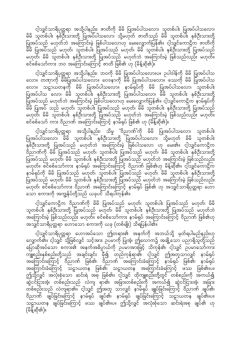င့ါ့သျှင်သာရိပုတ္တရာ အသို့ပါနည်း၊ ဇာတိကို မိမိ ပြုအပ်ပါသလော၊ သူတစ်ပါး ပြုအပ်ပါသလော၊ မိမိ သူတစ်ပါး နှစ်ဦးသားတို့ ပြုအပ်ပါသလော၊ သို့မဟုတ် ဇာတိသည် မိမိ သူတစ်ပါး နှစ်ဦးသားတို့ ပြုအပ်သည် မဟုတ်ဘဲ အကြောင်းမဲ့ ဖြစ်ပါသလောဟု မေးလျှောက်ပြန်၏။ ငါ့သျှင်ကောဠိက ဇာတိကို မိမိ ပြုအပ်သည် မဟုတ်၊ သူတစ်ပါး ပြုအပ်သည် မဟုတ်၊ မိမိ သူတစ်ပါး နှစ်ဦးသားတို့ ပြုအပ်သည် မဟုတ်၊ မိမိ သူတစ်ပါး နှစ်ဦးသားတို့ ပြုအပ်သည် မဟုတ်ဘဲ အကြောင်းမဲ့ ဖြစ်သည်လည်း မဟုတ်။ စင်စစ်သော်ကား ဘဝ အကြောင်းကြောင့် ဇာတိ ဖြစ်၏ ဟု (မိန့်ဆို၏ $\overline{\mathbb{I}\text{I}}$ 

င့ါသျှင်သာရိပုတ္တရာ အသို့ပါနည်း၊ ဘဝကို မိမိ ပြုအပ်ပါသလော။ပ။ ဉပါဒါန်ကို မိမိ ပြုအပ်ပါသ ေလာ။ တဏှာကို မိမိပြုအပ်ပါသလော။ ဝေဒနာကို မိမိ ပြုအပ်ပါသလော။ ဖဿကို မိမိ ပြုအပ်ပါသ လော။ သဠာယတနကို မိမိ ပြုအပ်ပါသလော။ နာမ်ရှပ်ကို မိမိ ပြုအပ်ပါသလော၊ သူတစ်ပါး ပြုအပ်ပါသ လော၊ မိမိ သူတစ်ပါး နှစ်ဦးသားတို့ ပြုအပ်ပါသလော၊ မိမိ သူတစ်ပါး နှစ်ဦးသားတို့ ပြုအပ်သည် မဟုတ်ဘဲ အကြောင်းမဲ့ ဖြစ်ပါသလောဟု မေးလျှောက်ပြန်၏။ ငါ့သျှင်ကောဋ္ဌိက နာမ်ရှပ်ကို မိမိ ပြုအပ် သည် မဟုတ်၊ သူတစ်ပါး ပြုအပ်သည် မဟုတ်၊ မိမိ သူတစ်ပါး နှစ်ဦးသားတို့ ပြုအပ်သည် မဟုတ်၊ မိမိ သူတစ်ပါး နှစ်ဦးသားတို့ ပြုအပ်သည် မဟုတ်ဘဲ အကြောင်းမဲ့ ဖြစ်သည်လည်း မဟုတ်။ စင်စစ်သော် ကား ဝိညာဏ် အကြောင်းကြောင့် နာမ်ရုပ် ဖြစ်၏ ဟု (မိန့်ဆို၏)။

င့ါသျှင်သာရိပုတ္တရာ အသို့ပါနည်း၊ သိမှု 'ဝိညာဏ်'ကို မိမိ ပြုအပ်ပါသလော၊ သူတစ်ပါး ပြုအပ်ပါသလော၊ မိမိ သူတစ်ပါး နှစ်ဦးသားတို့ ပြုအပ်ပါသလော၊ သို့မဟုတ် မိမိ သူတစ်ပါး မြစ်ဦးသားတို့ ပြုအပ်သည် မဟုတ်ဘဲ အကြောင်းမဲ့ ဖြစ်ပါသလော ဟု မေး၏။ ငါ့သျှင်ကောဋ္ဌိက ဝိညာဏ်ကို မိမိ ပြုအပ်သည် မဟုတ်၊ သူတစ်ပါး ပြုအပ်သည် မဟုတ်၊ မိမိ သူတစ်ပါး နှစ်ဦးသားတို့ ပြုအပ်သည် မဟုတ်၊ မိမိ သူတစ်ပါး နှစ်ဦးသားတို့ ပြုအပ်သည် မဟုတ်ဘဲ အကြောင်းမဲ့ ဖြစ်သည်လည်း ာက်။ စင်စစ်သော်ကား နာမ်ရှပ် အကြောင်းကြောင့် ဝိညာဏ် ဖြစ်၏ဟု မိန့်ဆို၏။ ငါ့သျှင်ကောဋိက နာမ်ရုပ်ကို မိမိ ပြုအပ်သည် မဟုတ်၊ သူတစ်ပါး ပြုအပ်သည် မဟုတ်၊ မိမိ သူတစ်ပါး နှစ်ဦးသားတို့ ပြုအပ်သည် မဟုတ်၊ မိမိ သူတစ်ပါး နှစ်ဦးသားတို့ ပြုအပ်သည် မဟုတ်ဘဲ အကြောင်းမဲ့ ဖြစ်သည်လည်း ာ.<br>မဟုတ်၊ စင်စစ်သော်ကား ဝိညာဏ် အကြောင်းကြောင့် နာမ်ရုပ် ဖြစ်၏ ဟု အသျှင်သာရိပုတ္တရာ ဟော သော စကားကို အကျွန်ုပ်တို့သည် ယခုပင် သိရပါကုန်၏။

င့ါသျှင်ကောဋ္ဌိက ဝိညာဏ်ကို မိမိ ပြုအပ်သည် မဟုတ်၊ သူတစ်ပါး ပြုအပ်သည် မဟုတ်၊ မိမိ သူတစ်ပါး နှစ်ဦးသားတို့ ပြုအပ်သည် မဟုတ်၊ မိမိ သူတစ်ပါး နှစ်ဦးသားတို့ ပြုအပ်သည် မဟုတ်ဘဲ အကြောင်းမဲ့ ဖြစ်သည်လည်း မဟုတ်။ စင်စစ်သော်ကား နာမ်ရုပ် အကြောင်းကြောင့် ဝိညာဏ် ဖြစ်၏ဟု အသျှင်သာရိပုတ္တရာ ဟောသော စကားကို ယခု (တစ်မျိုး) သိရပြန်ပါ၏။

င့ါသျှင်သာရိပုတ္တရာ ဟောအပ်သော ဤတရား၏ အနက်ကို အဘယ်သို့ မှတ်ရပါမည်နည်းဟု လျှောက်၏။ ငါ့သျှင် သို့ဖြစ်လျှင် သင့်အား ဉပမာကို ပြုအံ့၊ ဤလောက၌ အချို့သော ပညာရှိသူတို့သည် ကြောဆိုအပ်သော စကား၏ အနက်အဓိပ္ပာယ်ကို ဉပမာအားဖြင့် သိကုန်၏၊ ငါ့သျှင် ဉပမာသော်ကား ကျူစည်းနှစ်စည်းတို့သည် အချင်းချင်း မှီ၍ တည်ကုန်ရာ၏၊ ငါ့သျှင် ဤအတူသာလျှင် နာမ်ရှပ် အကြောင်းကြောင့် ဝိညာဏ် ဖြစ်၏၊ ဝိညာဏ် အကြောင်းခံကြောင့် နာမ်ရုပ် ဖြစ်၏၊ နာမ်ရုပ် အကြောင်းခံကြောင့် သဠာယတန ဖြစ်၏၊ သဠာယတန အကြောင်းခံကြောင့် ဖဿ ဖြစ်၏။ပ။ ဤသို့လျှင် အလုံးစုံသော ဆင်းရဲ အစု ဖြစ်၏။ ငါ့သျှင် ထိုကျူစည်းတို့တွင် တစ်စည်းကို အကယ်၍ ဆွဲငင်ငြားအံ့၊ တစ်စည်းသည် လဲကျ ရာ၏၊ အခြားတစ်စည်းကို အကယ်၍ ဆွဲငင်ငြားအံ့၊ အခြား တစ်စည်းသည် လဲကျရာ၏။ ငါ့သျှင် ဤအတူ သာလျှင် နာမ်ရုပ် ချူပ်ခြင်းကြောင့် ဝိညာဏ် ချုပ်၏၊ ဝိညာဏ် ချုပ်ခြင်းကြောင့် နာမ်ရှိပ် ချုပ်၏၊ နာမ်ရှိပ် ချုပ်ခြင်းကြောင့် သဠာယတန ချုပ်၏။ပ။ သင္ဥာယတန<sup>်း</sup> ချုပ်ခြင်းကြောင့် ဖဿ ချုပ်၏။ပ။ ဤသို့လျှင် အလုံးစုံသော ဆင်းရဲအစု ချုပ်၏ ဟု (မိန့်ဆို၏)။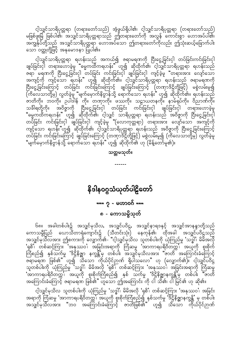င့ါသျှင်သာရိပုတ္တရာ (တရားတော်သည်) အံ့ဖွယ်ရှိပါ၏၊ ငါ့သျှင်သာရိပုတ္တရာ (တရားတော်သည်) မဖြစ်ဖူးမြဲ ဖြစ်ပါ၏၊ အသျှင်သာရိပုတ္တရာသည် ဤတရားတော်ကို အလွန် ကောင်းစွာ ဟောအပ်ပါ၏၊ အကျွန်ုပ်တို့သည် အသျှင်သာရိပုတ္တရာ ဟောအပ်သော ဤတရားတော်ကိုလည်း ဤသုံးဆယ့်ခြောက်ပါး သော ဝတ္ထုတို့ဖြင့် အနုမောဒနာ ပြုပါ၏။

င့ါသျှင်သာရိပုတ္တရာ ရဟန်းသည် အကယ်၍ ဇရာမရဏကို ငြီးငွေ့ခြင်းငှါ တပ်ခြင်းကင်းခြင်းငှါ ချုပ်ခြင်းငှါ တရားဟောခဲ့မူ **"**ဓမ္မကထိကရဟန်း" ဟူ၍ ဆိုထိုက်၏၊ ငါ့သျှင်သာရိပုတ္တရာ ရဟန်းသည် ဇရာ မရဏကို ငြီးငွေ့ခြင်းငှါ တပ်ခြင်း ကင်းခြင်းငှါ ချုပ်ခြင်းငှါ ကျင့်ခဲ့မူ **"**တရားအား လျော်သော အကျင့်ကို ကျင့်သော ရဟန်း'' ဟူ၍ ဆိုထိုက်၏။ ငါ့သျှင်သာရိပုတ္တရာ ရဟန်းသည် ဇရာမရဏကို ြီးငွေ့ခြင်းကြောင့် တပ်ခြင်း ကင်းခြင်းကြောင့် ချုပ်ခြင်းကြောင့် (တဏှာဒိဋ္ဌိတို့ဖြင့်) မစွဲလမ်းမှု၍ ၂ ၀.၂ မြို့<br>(ကိလေသာတို့မှ) လွတ်ခဲ့မှု "မျက်မှောက်နိဗ္ဗာန်သို့ ရောက်သော ရဟန်း" ဟူ၍ ဆိုထိုက်၏။ ရဟန်းသည် 、<br>ဇာတိကို။ ဘဝကို။ ဉပါဒါန် ကို။ တဏှာကို။ ဖဿကို။ သဠာယတနကို။ နာမ်ရပ်ကို။ ဝိညာဏ်ကို။ သခ်ီါရတို့ကို။ အဝိဇ္ဇာကို ငြီးငွေ့ခြင်းဌါ တပ်ခြင်း ကင်းခြင်းဌါ ချုပ်ခြင်းဌါ တရားဟောခဲ့မူ "ဓမ္မကထိကရဟန်း" ဟူ၍ ဆိုထိုက်၏၊ ငါ့သျှင် သာရိပုတ္တရာ ရဟန်းသည် အဝိဇ္ဇာကို ငြီးငွေ့ခြင်းငှါ တပ်ိခြင်း ကင်းခြင်းငှါ <sup>"</sup>ချုပ်ခြင်းငှါ ကျင့်ခဲ့မူ "(လောကုတ္တရာ) တရားအား လျော်သော အကျင့်ကို ကျင့်သော ရဟန်း"ဟူ၍ ဆိုထိုက်၏၊ ငါ့သျှင်သာရိပုတ္တရာ ရဟန်းသည် အဝိဇ္ဇာကို ငြီးငွေ့ခြင်းကြောင့် တပ်ခြင်း ကင်းခြင်းကြောင့် ချုပ်ခြင်းကြောင့် (တဏှာဒိဋ္ဌိတို့ဖြင့်) မစွဲလမ်းမူ၍ (ကိလေသာတို့မှ) လွတ်ခဲ့မူ "မျက်မှောက်နိဗ္ဗာန်သို့ ရောက်သော ရဟန်း" ဟူ၍ ဆိုထိုက်၏ ဟု (မိန့်တော်မူ၏)။

သတ္တမသုတ်။

------

နိဒါန၀ဂွသံယုတ်ပါဠိတော် )<br>D  $\ddot{\phantom{a}}$  $\frac{1}{2}$ k k f d d f f ==== ၇ - မဟာ၀ဂ် === ၈ - ကောသမ္မိသုတ်

၆၈။ အခါတစ်ပါး၌ အသျှင်မုသိလ, အသျှင်ပဝိဋ္ဌ, အသျှင်နာရဒနှင့် အသျှင်အာနန္ဒာတို့သည် ကောသမ္ဗီပြည် ယောသိတာရုံကျောင်း၌ (သီတင်းသုံး) နေကုန်၏၊ ထိုအခါ အသျှင်ပဝိဋ္ဌသည် အသျှင်မုသိလအား ဤစကားကို လျှောက်၏- "ငါ့သျှင်မုသိလ သူတစ်ပါးကို ယုံကြည်မှု 'သဒ္ဓါ'၊ မိမိအလို  $^{\prime}$ ရုစိ $^{\prime}$ ၊ တစ်ဆင့်ကြား 'အနုဿဝ $^{\prime}$ ၊ အခြင်းအရာကို ကြံဆမှု 'အာကာရပရိဝိတက္က $^{\prime}$ ၊ အယူကို စူးစိုက် ကြံစည်၍ နှစ်သက်မှု 'ဒိဋ္ဌိနိဇ္ဈာ နက္ခန္တိ′မှ တစ်ပါး အသျှင်မုသိလအား "ဇာတိ အကြောင်းခံကြောင့် Z&mr&P jzpf\}} [lí odaom ukd,fykdifÓPf &Sdygoavm}} [k (avQmuf\)/ ighoQify0d| သူတစ်ပါးကို ယုံကြည်မှု သဒ္ဓါ၊ မိမိအလို 'ရှိစ်'၊ တစ်ဆင့်ကြား 'အနုဿဝ<sup>'</sup>၊ အခြင်းအရာကို ကြံဆမှု **'**အာကာရပရိဝိတက္က'၊ အယူကို စူးစိုက်ကြံစည်၍ နှစ် သက်မှု 'ဒိဋ္ဌိနိဇ္ဈာနက္ခန္တိ'မှ တစ်ပါး "ဇာတိ အကြောင်းခံကြောင့် ဇရာမရဏ ဖြစ်၏" ဟူသော ဤအကြောင်း ကို ငါ သိ၏၊ ငါ မြင်၏ ဟု ဆို၏။

င့ါသျှင်မုသိလ သူတစ်ပါးကို ယုံကြည်မှု 'သဒ္ဓါ'၊ မိမိအလို 'ရုစိ'၊ တစ်ဆင့်ကြား 'အနုဿဝ'၊ အခြင်း အရာကို ကြံဆမှု 'အာကာရပရိဝိတက္က'၊ အယူကို စူးစိုက်ကြံစည်၍ နှစ်သက်မှု 'ဒိဋ္ဌိနိဇ္ဈာနက္ခန္တိ' မှ တစ်ပါး အသျှင်မုသိလအား "ဘဝ အကြောင်းခံကြောင့် ဇာတိဖြစ်၏" ဟူ၍ သိသော ကိုယ်ပိုင်ဉာဏ်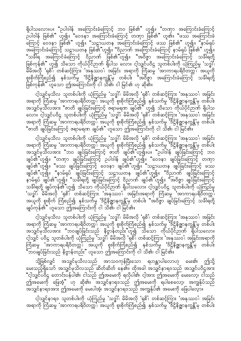ရှိပါသလော။ပ။ "ဉပါဒါန် အကြောင်းခံကြောင့် ဘဝ ဖြစ်၏" ဟူ၍။ "တဏှာ အကြောင်းခံကြောင့် ကြောင့် ဝေဒနာ ဖြစ်၏" ဟူ၍။ "သဠာယတန အကြောင်းခံကြောင့် ဖဿ<sup>ီ</sup>ဖြစ်၏" ဟူ၍။ "နာမ်ရုပ် အကြောင်းခံကြောင့် သဠာယတန ဖြစ်၏"ဟူ၍။ "ဝိညာဏ် အကြောင်းခံကြောင့် နာမ်ရုပ် ဖြစ်၏" ဟူ၍။ "သင်္ခါရ အကြောင်ခံကြောင့် ဝိညာဏ် ဖြစ်၏"ဟူ၍။ "အဝိဇ္ဇာ အကြောင်းခံကြောင့် သင်္ခါရတို့ ဖြစ်ကုန်၏" ဟူ၍ သိသော ကိုယ်ပိုင်ဉာဏ် ရှိပါသ လော။ ငါ့သျှင်ပဝိဋ္ဌ သူတစ်ပါးကို ယုံကြည်မှု 'သဒ္ဓါ၊ မိမိအလို 'ရုစိ၊ တစ်ဆင့်ကြား 'အနုဿဝ'၊ အခြင်း အရာကို ကြံဆမှု 'အာကာရပရိဝိတက္က၊ အယူကို စူးစိုက်ကြံစည်၍ နှစ်သက်မှု 'ဒိဋ္ဌိနိဇ္ဈာနက္ခန္တိ'မှ တစ်ပါး "အဝိဇ္ဇာ အကြောင်းခံကြောင့် သင်္ခါရတို့ ဖြစ်ကုန်၏" ဟူသော ဤအကြောင်းကို ငါ သိ၏၊ ငါ မြင်၏ ဟု ဆို၏။

င့ါသျှင်မုသိလ သူတစ်ပါးကို ယုံကြည်မှု 'သဒ္ဓါ'၊ မိမိအလို 'ရုစိ'၊ တစ်ဆင့်ကြား 'အနုဿဝ'၊ အခြင်း<br>အရာကို ကြံဆမှု 'အာကာရပရိဝိတက္က'၊ အယူကို စူးစိုက်ကြံစည်၍ နှစ်သက်မှု 'ဒိဋ္ဌိနိဇ္ဈာနက္ခန္တိ'မှ တစ်ပါး<br>အသျှင်မုသိလအား "ဇာတိ ချုပ်ခြင်း လော်။ ငါ့သျှင်ပဝိဋ္ဌ သူတစ်ပါးကို ယုံကြည်မှု 'သဒ္ဓါ'၊ မိမိအလို 'ရုစိ'၊ တစ်ဆင့်ကြား 'အနုဿဝ'၊ အခြင်း အရာကို ကြံဆမှု 'အာကာရပရိဝိတက္က ၊ အယူကို စူးစိုက်ကြံစည်၍ နှစ်သက်မှု 'ဒိဋ္ဌိနိဇ္ဈာနက္ခန္တိ'မှ တစ်ပါး "ဇာတိ ချပ်ခြင်းကြောင့် ဇရာမရဏ ချိုပ်၏" ဟူသော ဤအကြောင်းကို ငါ သိ၏၊ ငါ မြင်၏။

င့ါသျှင်မုသိလ သူတစ်ပါးကို ယုံကြည်မှု 'သဒ္ဓါ'၊ မိမိအလို 'ရုစိ'၊ တစ်ဆင့်ကြား 'အနုဿဝ'၊ အခြင်း အရာကို ကြံဆမှု 'အာကာရပရိဝိတက္က ၊ အယူကို စူးစိုက်ကြံစည်၍ နှစ်သက်မှု 'ဒိဋ္ဌိနိဇ္ဈာနတ္ခန္တိ'မှ တစ်ပါး ာ- ျားျား ျားသား<br>အသျှင်မုသိလအား "ဘဝ ချုပ်ခြင်းကြောင့် ဇာတိ ချုပ်၏ ဟူ၍။ပ။ "ဥပါဒါန် ချုပ်ခြင်းကြောင့် ဘဝ ချုပ်၏"ဟူ၍။ "တဏှာ ချုပ်ခြင်းကြောင့် ဉပါဒါန် ချုပ်၏"ဟူ၍။ "ဝေဒနာ ချုပ်ခြင်းကြောင့် တဏှာ ျိပ်၏"ဟူ၍။ "ဖဿ ချုပ်ခြင်းကြောင့် ဝေဒနာ ချုပ်၏"ဟူ၍။ "သဠာယတန ဓျုပ်ခြင်းကြောင့် ဖဿ ချိုပ်၏"ဟူ၍။ "နာမ်ရုပ် ချုပ်ခြင်းကြောင့် သဠာယတန ချုပ်၏"ဟူ၍။ "ဝိညာဏ် ချုပ်ခြင်းကြောင့်<br>နာမ်ရုပ် ချုပ်၏"ဟူ၍။ "သင်္ခါရတို့ ချုပ်ခြင်းကြောင့် ဝိညာဏ် ချုပ်၏"ဟူ၍။ "အဝိဇ္ဇာ ချုပ်ခြင်းကြောင့် သခါရတို့ ချုပ်ကုန်၏"ဟူ၍ သိသော ကိုယ်ပိုင်ဉာဏ် ရှိပါသလော။ ငါ့သျှင်ပဝိဋ္ဌ သူတစ်ပါးကို ယုံကြည်မှု ်သဒ္ဓါ<sup>႞</sup>္ဓိမိအလို ရုစိ<sup>ုံ</sup>တစ်ဆင့်ကြား အနုဿ၀<sup>႑ဲ</sup> အခြင်းအရာကို ကြံဆမှု အာကာရပရိဝိတက္က ၊ အယူကို စူးစိုက် ကြံစည်၍ နှစ်သက်မှု 'ဒိဋ္ဌိန်ဇ္ဈာနက္ခန္တိ'မှ တစ်ပါး "အဝိဇ္ဇာ ချုပ်ခြင်းကြောင့် သင်္ခါရတို့ ချုပ်ကုန်၏" ဟူသော ဤအကြောင်းကို ငါ သိ၏၊ ငါ မြင်၏။

င့ါသျှင်မုသိလ သူတစ်ပါးကို ယုံကြည်မှု 'သဒ္ဓါ'၊ မိမိအလို 'ရုစိ'၊ တစ်ဆင့်ကြား 'အနုဿဝ'၊ အခြင်း အရာကို ကြံဆမှု 'အာကာရပရိဝိတက္က ၊ အယူကို စူးစိုက်ကြံစည်၍ နှစ်သက်မှု 'ဒိဋ္ဌိနိဇ္ဈာနက္ခန္တိ'မှ တစ်ပါး .<br>အသျှင်မုသိလအား "ဘဝချုပ်ခြင်းသည် နိဗ္ဗာန်တည်း"ဟူ၍ သိသော ကိုယ်ပိုင်ဉာဏ် ရှိပါသလော။ င့ါသျှင် ပဝိဋ္ဌ သူတစ်ပါးကို ယုံကြည်မှု သဒ္ဓါ၊ မိမိအလို 'ရုစိ'၊ တစ်ဆင့်ကြား 'အနုဿဝ'၊ အခြင်းအရာကို<br>ကြံဆမှု 'အာကာရပရိဝိတက္က'၊ အယူကို စူးစိုက်ကြံစည်၍ နှစ်သက်မှု 'ဒိဋ္ဌိနိဇ္ဈာနက္ခန္တိ'မှ တစ်ပါး "ဘဝချပ်ခြင်းသည် နိဗ္ဗာန်တည်း" ဟူသော ဤအကြောင်းကို ငါ သိ၏၊ ငါ မြင်၏။

သို့ဖြစ်လျှင် အသျှင်မုသိလသည် အာသဝကုန်ပြီးသော ရဟန္တာပါလောဟု မေး၏၊ ဤသို့ မေးသည့်ရှိသော် အသျှင်မုသိလသည် ဆိတ်ဆိတ် နေ၏။ ထိုအခါ အသျှင်နာရဒသည် အသျှင်ပဝိဋ္ဌအား "ငါ့သျှင်ပဝိဋ္ဌ တောင်းပိန်ပါ၏၊ ငါသည် ဤအမေးကို ရလိုပါ၏၊ ငါ့အား ဤအမေးကို မေးလော့၊ ငါသည် ဤအမေးကို ဖြေအံ့" ဟု ဆို၏။ အသျှင်နာရဒသည် ဤအမေးကို ရပါစေလော့၊ အကျွန်ုပ်သည် အသျှင်နာရဒအား ဤအမေးကို မေးပါအံ့၊ အသျှင်နာရဒသည် အကျွန်ုပ်၏ အမေးကို ဖြေပါလေ့ာ။

င့ါ့သျှင်နာရဒ<sub>္</sub> သူတစ်ပါးကို ယုံကြည်မှု 'သဒ္ဓါ'၊ မိမိအလို 'ရုစိ'၊ တစ်ဆင့်ကြား 'အနုဿဝ'၊ အခြင်း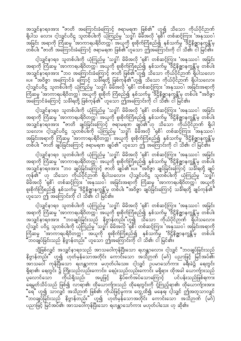အသျှင်နာရဒအား "ဇာတိ အကြောင်းခံကြောင့် ဇရာမရဏ ဖြစ်၏" ဟူ၍ သိသော ကိုယ်ပိုင်ဉာဏ် ရှိပါသ လော။ ငါ့သျှင်ပဝိဋ္ဌ သူတစ်ပါးကို ယုံကြည်မှု 'သဒ္ဓါ'၊ မိမိအလို 'ရုစိ်'၊ တစ်ဆင့်ကြား 'အနုဿဝ'၊ —<br>အခြင်း အရာကို ကြံဆမှု 'အာကာရပရိဝိတက္က'၊ အယူကို စူးစိုက်ကြံစည်၍ နှစ်သက်မှု 'ဒိဋ္ဌိနိဇ္ဈာန်က္ခန္တီ'မှ တစ်ပါး "ဇာတိ အကြောင်းခံကြောင့် ဇရာမရဏ ဖြစ်၏"ဟူသော ဤအကြောင်းကို ငါ သိ၏၊ ငါ မြင်၏။

င့ါ့သျှင်နာရဒ သူတစ်ပါးကို ယုံကြည်မှု 'သဒ္ဓါ'၊ မိမိအလို 'ရုစိ'၊ တစ်ဆင့်ကြား 'အနုဿဝ'၊ အခြင်း အရာကို ကြံဆမှု 'အာကာရပရိဝိတက္က ၊ အယူကို စူးစိုက်ကြံစည်၍ နှစ်သက်မှု 'ဒိဋ္ဌနိဇ္ဈာန်က္ခန္တိပ္ဒ္မ တစ်ပါး .<br>အသျှင်နာရဒအား "ဘဝ အကြောင်းခံကြောင့် ဇာတိ ဖြစ်၏"ဟူ၍ သိသော ကိုယ်ပိုင်ဉာဏ် ရှိပါသလော ။ပ။ "အဝိဇ္ဇာ အကြောင်ခံ ကြောင့် သင်္ခါရတို့ ဖြစ်ကုန်၏"ဟူ၍ သိသော ကိုယ်ပိုင်ဉာဏ် ရှိပါသလော။ င့ါသျှင်ပဝိဋ္ဌ သူတစ်ပါးကို ယုံကြည်မှု 'သဒ္ဓါ'၊ မိမိအလို 'ရုစိ'၊ တစ်ဆင့်ကြား 'အနုဿဝ'၊ အခြင်းအရာကို 

င့ါ့သျှင်နာရဒ သူတစ်ပါးကို ယုံကြည်မှု 'သဒ္ဓါ'၊ မိမိအလို 'ရုစိ'၊ တစ်ဆင့်ကြား 'အနုဿဝ'၊ အခြင်း အရာကို ကြံဆမှု 'အာကာရပရိဝိတက္က ၊ အယူကို စူးစိုက်ကြံစည်၍ နှစ်သက်မှု 'ဒိဋ္ဌနိဇ္ဈာနက္ခန္တိ'မှ တစ်ပါး ာသျှင်နာရဒအား "ဇာတိ ချပ်ခြင်းကြောင့် ဇရာမရဏ ချုပ်၏"ဟု သိသော ကိုယ်ပိုင်ဉာဏ် ရှိပါ<br>သလော။ ငါ့သျှင်ပဝိဋ္ဌ သူတစ်ပါးကို ယုံကြည်မှု 'သဒ္ဓါ'၊ မိမိအလို 'ရုစိ'၊ တစ်ဆင့်ကြား 'အနုဿဝ'၊ အခြင်းအရာကို ကြံဆမှု 'အာကာရပရိဝိတက္က ၊ အယူကို စူးစိုက်ကြံစည်၍ နှစ်သက်မှု 'ဒိဋ္ဌိနိဇ္ဈာန်က္ခန္တိ'မှ တစ်ပါး "ဇာတိ ချုပ်ခြင်းကြောင့် ဇရာမရဏ ချုပ်၏" ဟူသော ဤ အကြောင်းကို ငါ သိ၏၊ ငါ မြင်၏။

င့ါသျှင်နာရဒ သူတစ်ပါးကို ယုံကြည်မှု 'သဒ္ဓါ'၊ မိမိအလို 'ရုစိ'၊ တစ်ဆင့်ကြား 'အနုဿဝ'၊ အခြင်း အရာတို ကြံဆမှု 'အာကာရပရိဝိတက္က ၊ အယူကို စူးစိုက်ကြံစည်၍ နှစ်သက်မှု 'ဒိဋ္ဌနိဇ္ဈာန်က္ခန္တိ'မှ တစ်ပါး အသျှင်နာရဒအား "ဘဝ ချုပ်ခြင်းကြောင့် ဇာတိ ချုပ်၏"။ပ။ "အဝိဇ္ဇာ ချုပ်ခြင်းကြောင့် သင်္ခါရတို့ ချုပ် ကုန်၏" ဟု သိသော ကိုယ်ပိုင်ဉာဏ် ရှိပါသလော။ ငါ့သျှင်ပဝိဋ္ဌ သူတစ်ပါးကို ယုံကြည်မှု သဒ္ဓါ<sup>1</sup>၊ ိမိအလို 'ရုံစိ'၊ တစ်ဆင့်ကြား 'အနုဿဝ'၊ အခြင်းအရာကို ကြံဆမှု 'အာကာရပရိဝိတက္က<sup>၊</sup> အယူကို စူးစိုက်ကြံစည်၍ နှစ်သက်မှု 'ဒိဋ္ဌိနိဇ္ဈာနက္ခန္တိ'မှ တစ်ပါး "အဝိဇ္ဇာ ချုပ်ခြင်းကြောင့် သင်္ခါရတို့ ချုပ်ကုန်၏" က္ေသာ ဤ အကြောင်းကို ငါ သိ၏၊ ငါ မြင်၏။

င့ါ့သျှင်နာရဒ<sub>္</sub> သူတစ်ပါးကို ယုံကြည်မှု 'သဒ္ဓါ'၊ မိမိအလို 'ရုစိ'၊ တစ်ဆင့်ကြား 'အနုဿဝ'၊ အခြင်း အရာကို ကြံဆမှု 'အာကာရပရိဝိတက္က ၊ အယူကို စူးစိုက်ကြံစည်၍ နှစ်သက်မှု 'ဒိဋ္ဌိနိဇ္ဈာန်က္ခန္တိ'မှ တစ်ပါး အသျှင်နာရဒအား "ဘဝချပ်ခြင်းသည် နိဗ္ဗာန်တည်း"ဟူ၍ သိသော ကိုယ်ပိုင်ဉာဏ် ရှိပါသလော။ င့ါသျှင် ပဝိဋ္ဌ သူတစ်ပါးကို ယုံကြည်မှု သဒ္ဓါ၊ မိမိအလို 'ရုံစိၢ တစ်ဆင့်ကြား 'အနုဿဝ'၊ အခြင်းအရာကို ကြံဆမှု 'အာကာရပရိဝိတက္တ'၊ အယူကို စူးစိုက်ကြံစည်၍ နှစ်သက်မှု 'ဒိဋ္ဌိနိဇ္ဈာနက္ခန္တိမှ တစ်ပါး "ဘဝချပ်ခြင်းသည် နိဗ္ဗာန်တည်း" ဟူသော ဤအကြောင်းကို ငါ သိ၏၊ ငါ မြင်၏။

သို့ဖြစ်လျှင် အသျှင်နာရဒသည် အာသဝေါကုန်ပြီးသော ရဟန္တာလော။ င့ါသျှင် "ဘဝချုပ်ခြင်းသည် နိဗ္ဗာန်တည်း" ဟူ၍ ဟုတ်မှန်သောအတိုင်း ကောင်းသော အသိဉာဏ် (မဂ်) ပညာဖြင့် မြင်အပ်၏၊ -<br>အာသဝေါ် ကုန်ပြီးသော ရဟန္တာကား မဟုတ်ပါသေး။ ငါ့သျှင် ဉပမာသော်ကား ခရီးခဲ၌ ရေတွင်း ရှိရာ၏၊ ရေတွင်း ၌ ကြိုးသည်လည်းကောင်း၊ ရေပုံးသည်လည်းကောင်း မရှိရာ။ ထိုအခါ ယောကျ်ားသည် -<br>- ကိုယ်ရှိသည်၊ အပူဖြင့် <sup>်</sup> နှိပ်စက်အပ်သောကြောင့် ပင်ပန်းသည်ဖြစ်ရကား ပူလောင်သော \_<br>ရေမွတ်သိပ်သည် ဖြစ်၍ လာရာ၏၊ ထိုယောက်ျားသည် ထိုရေတွင်းကို ငုံ့ကြည့်ရာ၏၊ ထိုယောက်ျားအား "ရေ" ဟူ၍ သာလျှင် အသိဉာဏ် ဖြစ်၏၊ ကိုယ်ဖြင့်မူကား တွေ့ထိ၍ မနေရ၊ ငါ့သျှင် ဤအတူသာလျှင်<br>"ဘဝချုပ်ခြင်းသည် နိဗ္ဗာန်တည်း" ဟူ၍ ဟုတ်မှန်သောအတိုင်း ကောင်းသော အသိဉာဏ် (မဂ်) ပညာဖြင့် မြင်အပ်၏၊ အာသဝေါ်ကုန်ပြီးသော ရဟန္တာသော်ကား မဟုတ်ပါသေး ဟု ဆို၏။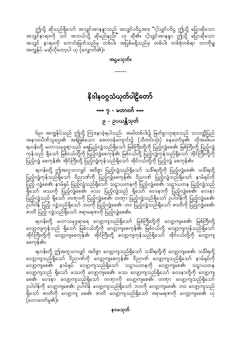ဤသို့ ဆိုသည်ရှိသော် အသျှင်အာနန္ဒာသည် အသျှင်ပဝိဋ္ဌအား "ငါ့သျှင်ပဝိဋ္ဌ ဤသို့ ပြောဆိုသော အသျှင်နာရဒကို သင် အဘယ်သို့ ဆိုမည်နည်း" ဟု ဆို၏။ ငါ့သျှင်အာနန္ဒာ ဤသို့ ပြောဆိုသော အသျှင် နာရဒကို ကောင်းမြတ်သည်မှ တစ်ပါး အပြစ်မရှိသည်မှ တစ်ပါး တစ်စုံတစ်ရာ ဘာကိုမျှ အကျွန်ုပ် မဆိုလိုတော့ပါ ဟု (လျှောက်၏)။

အဋ္ဌမသုတ်။

# နိဒါနဝဂွသံယုတ်ပါဠိတော်

## === ၇ - မဟာ၀ဂ် ===

၉ - ဉပယန္တိသုတ်

၆၉။ အကျွန်ုပ်သည် ဤသို့ ကြားနာခဲ့ရပါသည်- အခါတစ်ပါး၌ မြတ်စွာဘုရားသည် သာဝတ္ထိပြည် အနာထပိဏ်သူဌေး၏ အရံဖြစ်သော ဇေတဝန်ကျောင်း၌ (သီတင်းသုံး) နေတော်မူ၏၊ ထိုအခါ။ပ။ ရဟန်းတို့ မဟာသမုဒ္ဒရာသည် ရေပြည့်လျှံသည်ရှိသော် မြစ်ကြီးတို့ကို ပြည့်လျှံစေ၏၊ မြစ်ကြီးတို့ ပြည့်လျှံ ကုန်သည် ရှိသော် မြစ်ငယ်တို့ကို ပြည့်လျှံစေကုန်၏၊ မြစ်ငယ်တို့ ပြည့်လျှံကုန်သည်ရှိသော် အိုင်ကြီးတို့ကို ပြည့်လျှံ့ စေကုန်၏၊ အိုင်ကြီးတို့ ပြည့်လျှံကုန်သည်ရှိသော် အိုင်ငယ်တို့ကို ပြည့်လျှံ့ စေကုန်၏။

ရဟန်းတို့ ဤအတူသာလျှင် အဝိဇ္ဇာ ပြည့်လျှံသည်ရှိသော် သင်္ခါရတို့ကို ပြည့်လျှံစေ၏၊ သင်္ခါရတို့<br>ပြည့်လျှံကုန်သည်ရှိသော် ဝိညာဏ်ကို ပြည့်လျှံစေကုန်၏၊ ဝိညာဏ် ပြည့်လျှံသည်ရှိသော် နာမ်ရုပ်ကို ပြင်း သူ L ၊ ့ င ။<br>ပြည့် လျှံစေ၏၊ နာမ်ရုပ် ပြည့်လျှံသည်ရှိသော် သဠာယတနကို ပြည့်လျှံစေ၏၊ သဠာယတန ပြည့်လျှံသည် မွင္မာ …<br>ရှိသော် ဖဿကို ပြည့်လျှံစေ၏၊ ဖဿ ပြည့်လျှံသည် ရှိသော် ဝေဒနာကို ပြည့်လျှံစေ၏၊ ဝေဒနာ ျ<br>ပြည့်လျှံသည် ရှိသော် တဏှာကို ပြည့်လျှံစေ၏၊ တဏှာ ပြည့်လျှံသည်ရှိသော် ဉပါဒါန်ကို ပြည့်လျှံစေ၏၊ ဉပါဒါန် ပြည့် လျှံသည်ရှိသော် ဘဝကို ပြည့်လျှံစေ၏၊ ဘဝ ပြည့်လျှံသည်ရှိသော် ဇာတိကို ပြည့်လျှံစေ၏၊ -<br>ဇာတိ ပြည့် လျှံသည်ရှိသော် ဇရာမရဏကို ပြည့်လျှံစေ၏။

ရဟန်းတို့ မဟာသမုဒ္ဒရာရေ လျော့ကျသည်ရှိသော် မြစ်ကြီးတို့ကို လျော့ကျစေ၏၊ မြစ်ကြီးတို့ လျော့ကျကုန်သည် ရှိသော် မြစ်ငယ်တို့ကို လျော့ကျစေကုန်၏၊ မြစ်ငယ်တို့ လျော့ကျကုန်သည်ရှိသော် စေကုန်၏။

ရဟန်းတို့ ဤအတူသာလျှင် အဝိဇ္ဇာ လျော့ကျသည်ရှိသော် သခ်ီါရတို့ကို လျော့ကျစေ၏၊ သင်္ခါရတို့ လျော့ကျသည်ရှိသော် ဝိညာဏ်ကို လျော့ကျစေကုန်၏၊ ဝိညာဏ် လျော့ကျသည်ရှိသော် နာမ်ရုပ်ကို ့<br>လျှော့ကျစေ၏၊ နာမ်ရုပ် လျော့ကျသည်ရှိသော် သဠာယတနကို လျော့ကျစေ၏၊ သဠာယတန လျော့ကျသည် ရှိသော် ဖဿကို လျော့ကျစေ၏၊ ဖဿ လျော့ကျသည်ရှိသော် ဝေဒနာတို့ကို လျော့ကျ စေ၏၊ ဝေဒနာ လျော့ကျသည်ရှိသော် တဏှာကို လျော့ကျစေ၏၊ တဏှာ လျော့ကျသည်ရှိသော် ဉပါဒါန်ကို လျော့ကျစေ၏၊ ဉပါဒါန် လျော့ကျသည်ရှိသော် ဘဝကို လျော့ကျစေ၏၊ ဘဝ လျော့ကျသည် (ဟောတော်မူ၏)။

နဝမသုတ်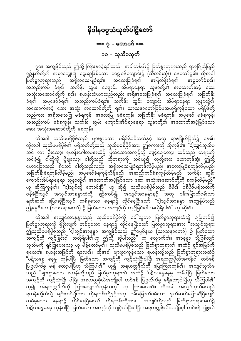# နိဒါနဝဂ္ဂသံယုတ်ပါဠိတော်

=== ၇ - မဟာ၀ဂ် ===

၁၀ - သုသိမသုတ်

၇၀။ အကျွန်ုပ်သည် ဤသို့ ကြားနာခဲ့ရပါသည်- အခါတစ်ပါး၌ မြတ်စွာဘုရားသည် ရာဇဂြိုဟ်ပြည် ရှဉ့်နက်တို့ကို အစာကျွေး၍ မွေးရာဖြစ်သော ဝေဠုဝန်ကျောင်း၌ (သီတင်းသုံး) နေတော်မူ၏၊ ထိုအခါ အပူဇော်ခံရ၏၊ အသုံးအဆောင်တို့ကို ရ၏။ ရဟန်းသံဃာသည်လည်း အရှိအသေပြုခံရ၏၊ အလေးပြုခံရ၏၊ အမြတ်နိုး ခံရ၏၊ အပူဇော်ခံရ၏၊ အဆည်းကပ်ခံရ၏၊ သင်္ကန်း ဆွမ်း ကျောင်း အိပ်ရာနေရာ သူနာတို့၏ အထောက်အပံ့ ဆေး အသုံး အဆောင်တို့ကို ရ၏။ သာသနာတော်ပြင်ပအယူရှိကုန်သော ပရိဗိုဇ်တို့ သည်ကား အရိုအသေပြု မခံရကုန်၊ အလေးပြု မခံရကုန်၊ အမြတ်နိုး မခံရကုန်၊ အပူဇော် မခံရကုန်၊ အဆည်းကပ် မခံရကုန်၊ သင်္ကန်း ဆွမ်း ကျောင်းအိပ်ရာနေရာ သူနာတို့၏ အထောက်အပံ့ဖြစ်သော ဆေး အသုံးအဆောင်တို့ကို မရကုန်။

ထိုအခါ သုသိမပရိဗိုဇ်သည် များစွာသော ပရိဗိုဇ်ပရိသတ်နှင့် အတူ ရာဇဂြိုဟ်ပြည်၌ နေ၏၊ ထိုအခါ သုသိမပရိဗိုဇ်၏ ပရိသတ်တို့သည် သုသိမပရိဗိုဇ်အား ဤစကားကို ဆိုကုန်၏၊ "ငါ့သျှင်သုသိမ သင် လာ ဦးလော့၊ ရဟန်းဂေါတမအထံ၌ မြတ်သောအကျင့်ကို ကျင့်ချေလော့၊ သင်သည် တရားကို သင်ခဲ့၍ ငါတို့ကို ပို့ချလော့၊ ငါတို့သည် ထိုတရားကို သင်ယူ၍ လူတို့အား ဟောကုန်အံ့၊ ဤသို့<br>ဟောပြောသည် ရှိသော် ငါတို့သည်လည်း အရိုအသေပြုခံရကုန်လိမ့်မည်၊ အလေးပြုခံရကုန်လိမ့်မည်၊ အမြတ်နိုးခံရကုန်လိမ့်မည်၊ အပူဇော်ခံရကုန်လိမ့်မည်၊ အဆည်းကပ်ခံရကုန်လိမ့်မည်၊ သင်္ကန်း ဆွမ်း ကျောင်းအိပ်ရာနေရာ သူနာတို့၏ အထောက်အပံ့ဖြစ်သော ဆေး အသုံးအဆောင်တို့ကို ရကုန်လိမ့်မည်" ဟု ဆိုကြကုန်၏။ "ငါ့သျှင်တို့ ကောင်းပြီ" ဟု ဆို၍ သုသိမပရိဗိုဇ်သည် မိမိ၏ ပရိဗိုဇ်ပရိသတ်ကို<br>ဝန်ခံပြီးလျှင် အသျှင်အာနန္ဒာထံသို့ ချဉ်းကပ်၍ အသျှင်အာနန္ဒာနှင့် အတူ ဝမ်းမြောက်ဝမ်းသာ နှုတ်ဆက် ပြောဆိုပြီးလျှင် တစ်ခုသော နေရာ၌ ထိုင်နေပြီးသော် "င့ါသျှင်အာနန္ဒာ အကျွန်ုပ်သည် 

ထိုအခါ အသျှင်အာနန္ဒာသည် သုသိမပရိဗိုဇ်ကို ခေါ်ယူကာ မြတ်စွာဘုရားထံသို့ ချဉ်းကပ်၍ မြတ်စွာဘုရားကို ရှိခိုးလျက် တစ်ခုသော နေရာ၌ ထိုင်နေပြီးသော် မြတ်စွာဘုရားအား "အသျှင်ဘုရား ဤသုသိမပရိဗိုဇ်သည် 'ငါ့သျှင်အာနန္ဒာ အကျွန်ုပ်သည် ဤဓမ္မဝိနယ (သာသနာတော်) ၌ မြတ်သော သည်မှ ရှင်ပြုပေးလော့ ဟု မိန့်တော်မူ၏။ သုသိမပရိဗိုဇ်သည် မြတ်စွာဘုရား၏ အထံ၌ ရှင်အဖြစ်ကို ရလေ၏၊ ရဟန်းအဖြစ်ကို ရလေ၏။ ထိုအခါ များစွာကုန်သော ရဟန်းတို့သည် မြတ်စွာဘုရားအထံ၌ "ပဋိသန္ဓေ နေမှု ကုန်ပါပြီ၊ မြတ်သော အကျင့်ကို ကျင့်သုံးပြီးပါပြီ၊ အရဟတ္တဖိုလ်အကျိုးငှါ တစ်ဖန်ိ ပြုဖွယ်ကိစ္စ မရှိ တော့ပါပြီဟု သိကြပါ၏" ဟူ၍ အရဟတ္တဖိုလ်ကို ပြောကြားကုန်၏။ အသျှင်သုသိမ အကျင့်ကို ကျင့်သုံးပြီး ပါပြီ၊ အရဟတ္တဖိုလ်အကျိုးငှါ တစ်ဖန် ပြုဖွယ်ကိစ္စ မရှိတော့ပါပြီဟု သိကြပါ၏'<br>ဟူ၍ အရဟတ္တဖိုလ်ကို ကြားလျှောက်ကုန်သတဲ့" ဟု ကြားလေ၏။ ထိုအခါ အသျှင်သုသိမသည် ႜႜႜႜႜႜႜႜ<br>ၛၯႜႜန်းတို့ထံသို့ ချဉ်းကပ်ပြီးကာ ထိုရဟန်းတို့နှင့်အတူ ဝမ်းမြောက်ဝမ်းသာ နှုတ်ဆက်ပြောဆိုပြီးလျှင် ပ်ဋိသန္ဓေနေမှု ကုန်ပါပြီ၊ မြတ်သော အကျင့်ကို ကျင့်သုံးပြီးပါပြီ၊ အရဟတ္တဖိုလ်အကျိုးငှါ တစ်ဖန် ပြုဖွယ်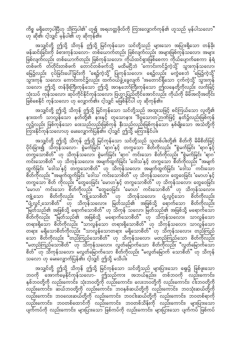ကိစ္စ မရှိတော့ပါပြီဟု သိကြပါ၏ 'ဟူ၍ အရဟတ္တဖိုလ်ကို ကြားလျှောက်ကုန်၏ ဟူသည် မှန်ပါသလော" ဟုိဆို၏၊ ငါ့သျှင် မှန်ပါ၏ ဟု ဆိုကုန်၏။

အသျှင်တို့ ဤသို့ သိကုန် ဤသို့ မြင်ကုန်သော သင်တို့သည် များသော အပြားရှိသော တန်ခိုး ဖန်ဆင်းခြင်းကို ခံစားကုန်သလော- တစ်ယောက်တည်း ဖြစ်လျက်လည်း အများဖြစ်ကုန်သလော၊ အများ ဖြစ်လျက်လည်း တစ်ယောက်တည်း ဖြစ်ကုန်သလော၊ ကိုယ်ထင်ရှားဖြစ်စေကာ ကိုယ်ပျောက်စေကာ နံရံ .<br>တစ်ဖက် တံတိုင်းတစ်ဖက် တောင်တစ်ဖက်သို့ မထိမငြိဘဲ 'ကောင်းကင်၌ကဲ့သို့' သွားကုန်သလော၊ မြေ၌လည်း ငုပ်ခြင်းပေါ်ခြင်းကို 'ရေ၌ကဲ့သို့' ပြုကုန်သလော၊ ရေ၌လည်း မကွဲစေဘဲ 'မြေ၌ကဲ့သို့'<br>သွားကုန် သလော၊ ကောင်းကင်၌လည်း ထက်ဝယ်ဖွဲ့ခွေလျက် 'အတောင်ရှိသော ငှက်ကဲ့သို့' သွားကုန် သလော၊ ဤသို့ တန်ခိုးကြီးကုန်သော ဤသို့ အာနုဘော်ကြီးကုန်သော ဤလနေတို့ကိုလည်း လက်ဖြင့် သုံးသပ် ကုန်သလော၊ ဆုပ်ကိုင်နိုင်ကုန်သလော၊ ဗြဟ္မာ့ပြည်တိုင်အောင်လည်း ကိုယ်ကို မိမိအလိုအတိုင်း ဖြစ်စေနိုင် ကုန်သလော ဟု လျှောက်၏။ ငါ့သျှင် မဖြစ်နိုင်ပါ ဟု ဆိုကုန်၏။

အသျှင်တို့ ဤသို့ သိကုန် ဤသို့ မြင်ကုန်သော သင်တို့သည် အထူးသဖြင့် စင်ကြယ်သော လူတို့၏<br>နားထက် သာလွန်သော နတ်တို့၏ နားနှင့် တူသောနား 'ဒိဗ္ဗသောတ'ဉာဏ်ဖြင့် နတ်၌လည်းဖြစ်ကုန် လူ၌လည်း ဖြစ်ကုန်သော ဝေးသည်လည်းဖြစ်ကုန် နီးသည်လည်းဖြစ်ကုန်သော နှစ်မျိုးသော အသံတို့ကို 

အသျှင်တို့ ဤသို့ သိကုန် ဤသို့ မြင်ကုန်သော သင်တို့သည် သူတစ်ပါးတို့၏ စိတ်ကို မိမိစိတ်ဖြင့် ပိုင်းခြား၍ သိကုန်သလော- စွဲမက်ခြင်း 'ရာဂ'နှင့် တကွသော စိတ်ကိုလည်း "စွဲမက်ခြင်း 'ရာဂ'နှင့် င်္ဂလာသောစိတ်"်ဟု သိကုန်သလော၊ စွဲမက်ခြင်း 'ရာဂ'ိကင်းသော စိတ်ကိုလည်း "စွဲမက်ခြင်း 'ရာဂ' ကင်းသောစိတ်" ဟု သိကုန်သလော။ အမျက်ထွက်ခြင်း 'ဒေါသ'နှင့် တကွသော စိတ်ကိုလည်း "အမျက် ထွက်ခြင်း 'ဒေါသ'နှင့် တကွသောစိတ်" ဟု သိကုန်သလော၊ အမျက်ထွက်ခြင်း 'ဒေါသ' ကင်းသော စိတ်ကိုလည်း "အမျက်ထွက်ခြင်း 'ဒေါသ' ကင်းသောစိတ်" ဟု သိကုန်သလော။ တွေဝေခြင်း 'မောဟ'နှင့် တကွသော စိတ် ကိုလည်း "တွေဝေခြင်း 'မောဟ'နှင့် တကွသောစိတ်" ဟု သိကုန်သလော၊ တွေဝေခြင်း 'မော်ဟ' ကင်းသော စိတ်ကိုလည်း "တွေဝေခြင်း 'မော်ဟ' ကင်းသောစိတ်" ဟု သိကုန်သလော။ ကျုံ့သော စိတ်ကိုလည်း "ကျုံ့သောစိတ်" ဟု သိကုန်သလော၊ ပျံ့လွင့်သော စိတ်ကိုလည်း "ပျံ့လွင့်သောစိတ်" ဟု သိကုန်သလော။ မြတ်သည်၏ အဖြစ်သို့ ရောက်သော စိတ်ကိုလည်း "မြတ်သည်၏ အဖြစ်သို့ ရောက်သောစိတ်" ဟု သိကုန် သလော၊ မြတ်သည်၏ အဖြစ်သို့ မရောက်သော စိတ်ကိုလည်း "မြတ်သည်၏ အဖြစ်သို့ မရောက်သောစိတ်" ဟု သိကုန်သလော။ သာလွန်သော သော စိတ်ကိုလည်း "တည်ကြည်သောစိတ်" ဟု သိကုန်သလော၊ မတည်ကြည်သော စိတ်ကိုလည်း "မတည်ကြည်သောစိတ်" ဟု သိကုန်သလော။ လွတ်မြောက်သော စိတ်ကိုလည်း "လွတ်မြောက်သော စိတ်" ဟု သိကုန်သလော၊ မလွတ်မြောက်သော စိတ်ကိုလည်း "မလွတ်မြောက် သောစိတ်" ဟု သိကုန် သလော ဟု မေးလျှောက်ပြန်၏။ ငါ့သျှင် ဤသို့ မသိပါ။

အသျှင်တို့ ဤသို့ သိကုန် ဤသို့ မြင်ကုန်သော သင်တို့သည် များပြားသော ရှေး၌ ဖြစ်ဖူးသော ဘဝကို အောက်မေ့နိုင်ကုန်သလော- ဤသည်ကား အဘယ်နည်း။ တစ်ဘဝကို လည်းကောင်း၊ နှစ်ဘဝတို့ကို လည်းကောင်း၊ သုံးဘဝတို့ကို လည်းကောင်း၊ လေးဘဝတို့ကို လည်းကောင်း၊ ငါးဘဝတို့ကို လည်းကောင်း၊ ဆယ်ဘဝတို့ကို လည်းကောင်း၊ ဘဝနှစ်ဆယ်တို့ကို လည်းကောင်း၊ ဘဝသုံးဆယ်တို့ကို လည်းကောင်း၊ ဘဝလေးဆယ်တို့ကို လည်းကောင်း၊ ဘဝငါးဆယ်တို့ကို လည်းကောင်း၊ ဘဝတစ်ရာကို ု့<br>လည်းကောင်း၊ ဘဝတစ်ထောင်ကို လည်းကောင်း၊ ဘဝတစ်သိန်းကို လည်းကောင်း၊ များပြားသော ပျက်ကပ်ကို လည်းကောင်း၊ များပြားသော ဖြစ်ကပ်ကို လည်းကောင်း၊ များပြားသော ပျက်ကပ် ဖြစ်ကပ်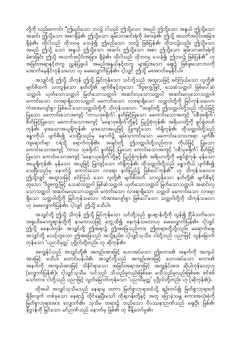တို့ကို လည်းကောင်း "ဤမည်သော ဘဝ၌ ငါသည် ဤသို့သော အမည် ဤသို့သော အနွယ် ဤသို့သော ာသင်း ဤသို့သော အစာရှိခဲ့၏၊ ဤသို့သော ချမ်းသာဆင်းရဲကို ခံစားခဲ့၏၊ ဤသို့ အသက်အပိုင်းအခြား ရှိခဲ့၏။ ထိုငါသည် ထိုဘဝမှ သေခဲ့၍ ဤမည်သော ဘဝ၌ ဖြစ်ပြန်၏၊ ထိုဘဝ၌လည်း ဤသို့သော —<br>အမည် ဤသို့ သော အနွယ် ဤသို့သော အဆင်း ဤသို့သော အစာ ဤသို့သော ချမ်းသာဆင်းရဲကို ခံစားခြင်း ဤသို့ အသက်အပိုင်းအခြား ရှိခဲ့၏။ ထိုငါသည် ထိုဘဝမှ သေခဲ့၍ ဤဘဝ၌ ဖြစ်ပြန်၏" ဟု အခြင်းအရာနှင့်တကွ ညွှန်ပြဖွယ် အမည်အနွယ်နှင့်တကွ များပြားသော ရှေး၌ ဖြစ်ဖူးသောဘဝကို အောက်မေ့နိုင်ကုန်သလော ဟု မေးလျှောက်ပြန်၏။ ငါ့သျှင် ဤသို့ မအောက်မေ့နိုင်ပါ။

အသျှင်တို့ ဤသို့ သိကုန် ဤသို့ မြင်ကုန်သော သင်တို့သည် အထူးသဖြင့် စင်ကြယ်သော လူတို့၏ မျက်စိထက် သာလွန်သော နတ်တို့၏ မျက်စိနှင့်တူသော 'ဒိဗ္ဗစက္ခု'ဖြင် ့သေဆဲသတ္တဝါ ဖြစ်ပေါ်ဆဲ သတ္တဝါ၊ ယုတ်သောသတ္တဝါ၊ အဆင်းလှသောသတ္တဝါ အဆင်းမလှသောသတ္တဝါ၊ ကောင်းသော လားရာရှိသောသတ္တဝါ မကောင်းသော လားရာရှိသော သတ္တဝါတို့ကို မြင်ကုန်သလော၊ ကံအားလျော်စွာ ဖြစ်ပေါ် သောသတ္တဝါတို့ကို သိကုန်သလော- "အချင်းတို့ ဤသတ္တဝါတို့သည် ကိုယ်ဖြင့် ပြုသော မကောင်းသောအကျင့် 'ကာယဒုစရိုက်'၊ နှုတ်ဖြင့်ပြုသော မကောင်းသောအကျင့် 'ဝစီဒုစရိုက်'၊ စိတ်ဖြင့်ပြုသော မကောင်းသောအကျင့် 'မနောဒုစရိုက်'တို့နှင့် ပြည့်စုံကုန်၏၊ အရိယာတို့ကို စွပ်စွဲတတ် ကုန်၏၊ မှားသောအယူရှိကုန်၏၊ မှားသောအယူဖြင့် ပြုကျင့်သော ကံရှိကုန်၏၊ ထိုသတ္တဝါတို့သည် ခန္ဓာကိုယ် ပျက်စီး၍ သေပြီးသည်မှ နောက်၌ ချမ်းသာကင်းသော မကောင်းသောလားရာ ပျက်စီး ကျရောက်ရာ ငရဲသို့ ရောက်ကုန်၏။ အချင်းတို့ ဤသတ္တဝါတို့သည်ကား ကိုယ်ဖြင့် ပြုသော ကောင်းသောအကျင့် ်ကာယ သုစရိုက် ၊ နှုတ်ဖြင့် ပြုသော ကောင်းသောအကျင့် 'ဝစီသုစရိုက် ၊ စိတ်ဖြင့် ပြုသော ကောင်းသောအကျင့် 'မနောသုစရိုက်'တို့နှင့် ပြည့်စုံကုန်၏၊ အရိယာတို့ကို မစွပ်စွဲကုန်၊ မှန်သော \_\_\_<br>အယူရှိကုန်၏၊ မှန်သော အယူဖြင့် ပြုကျင့်သော ကံရှိကုန်၏၊ ထိုသတ္တဝါတို့သည် ခန္ဓာကိုယ် ပျက်စီး၍ သေပြီးသည်မှ နောက်၌ ကောင်းသော လားရာ နတ်ပြည်၌ ဖြစ်ပေါ် ကုန်၏" ဟု သိကုန်သလော။ ဤသို့လျှင် အထူးသဖြင့် စင်ကြယ် သော လူတို့၏ မျက်စိထက် သာလွန်သော နတ်တို့၏ မျက်စိနှင့် wlaom ]'dAÁpu©K}jzifh aoqJowå0g jzpfqJowå0g? ,kwfaomowå0g jrwfaomowå0g? tqif;vS သောသတ္တဝါ အဆင်းမလှသောသတ္တဝါ၊ ကောင်းသော လားရာရှိသော သတ္တဝါ မကောင်းသော လားရာ  $\frac{\pi}{2}$ တော့ သတ္တဝါတို့ကို မြင်ကုန်သလော၊ ကံအားလျော်စွာ ဖြစ်ပေါ်သော သတ္တဝါတို့ကို သိကုန်သလော ဟု မေးလျှောက်ပြန်၏။ ငါ့သျှင် ဤသို့ မသိပါ။

အသျှင်တို့ ဤသို့ သိကုန် ဤသို့ မြင်ကုန်သော သင်တို့သည် ရူပဈာန်တို့ကို လွန်၍ ငြိမ်သက်သော အရူပဝိမောက္ခဈာန်တို့ကို နာမကာယဖြင့် တွေ့ထိ၍ နေကုန်သလောဟု မေးလျှောက်ပြန်၏။ ငါ့သျှင် ဤသို့ မနေပါကုန်။ အသျှင်တို့ ဤအရာ၌ ဤအဖြေသည်ကား ဤတရားတို့သို့လည်း မရောက်ချေ၊ ်<br>အသျှင်တို့ မသင့်ဟူသော ဤအဖြေသည် အသို့နည်း။ ငါ့သျှင်သုသိမ ငါတို့သည် ပညာဖြင့် လွန်မြောက် ကုန်သော 'ပညာဝိမုတ္တ' ပုဂ္ဂိုလ်တို့တည်း ဟု ဆိုကုန်၏။

အကျွန်ုပ်သည် အသျှင်တို့၏ အကျဉ်းအားဖြင့် ဟောအပ်သော ဤစကား၏ အနက်ကို အကျယ် အားဖြင့် မသိပါ၊ တောင်းပန်ပါ၏၊ အသျှင်တို့သည် အကျဉ်းအားဖြင့် ဟောအပ်သော စကား၏ အနက််ကို အကျယ်အားဖြင့် သိနိုင်ရာသော အခြင်းအရာအားဖြင့် အကျွန်ုပ်အား ဆိုပါကုန်လော့ဟု (လျှောက်ပြန်၏)။ ငါ့သျှင်သုသိမ သင်သည် သိသည်မူလည်းဖြစ်စေ၊ မသိသည်မူလည်းဖြစ်စေ၊ စင်စစ် သော်ကား ငါတို့သည် ပညာဖြင့် လွတ်မြောက်ကုန်သော 'ပညာဝိမုတ္တ' ပုဂ္ဂိုလ်တို့တည်း ဟု (ဆိုကုန်၏)။

ထိုအခါ အသျှင်သုသိမသည် နေရာမှ ထကာ မြတ်စွာဘုရားထံသို့ ချဉ်းကပ်၍ မြတ်စွာဘုရားကို ရှိခိုးလျက် တစ်ခုသော နေရာ၌ ထိုင်နေပြီးသော် ထိုရဟန်းတို့နှင့် အတူ ပြောခဲ့သမျှ စကားအလုံးစုံကို မြတ်စွာဘုရားအား လျှောက်၏။ သုသိမ တရား၌ တည်သော ဝိပဿနာဉာဏ်သည် ရှေးဦး ဖြစ်၏၊ နိဗ္ဗာန်ကို မြင်သော မဂ်ဉာဏ်သည် နောက်မှ ဖြစ်၏ ဟု မိန့်တော်မှု၏။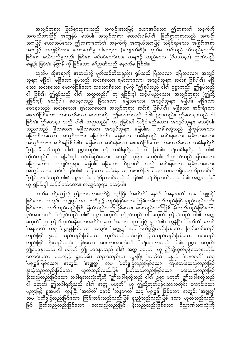အသျှင်ဘုရား မြတ်စွာဘုရားသည် အကျဉ်းအားဖြင့် ဟောအပ်သော ဤတရား၏ အနက်ကို အကျယ်အားဖြင့် အကျွန်ုပ် မသိပါ၊ အသျှင်ဘုရား တောင်းပန်ပါ၏၊ မြတ်စွာဘုရားသည် အကျဉ်း အားဖြင့် ဟောအပ်သော ဤတရားတော်၏ အနက်ကို အကျယ်အားဖြင့် သိနိုင်ရာသော အခြင်းအရာ အားဖြင့် အကျွန်ုပ်အား ဟောတော်မူ ပါလော့ဟု (လျှောက်၏)။ သုသိမ သင်သည် သိသည်မူလည်း ဖြစ်စေ၊ မသိသည်မူလည်း ဖြစ်စေ စင်စစ်သော်ကား တရား၌ တည်သော (ဝိပဿနာ) ဉာဏ်သည်။ ရှေးဦး ဖြစ်၏၊ နိဗ္ဗာန် ကို မြင်သော မဂ်ဉာဏ်သည် နောက်မှ ဖြစ်၏။

သုသိမ ထိုအရာကို အဘယ်သို့ မှတ်ထင်ဘိသနည်း။ ရုပ်သည် မြဲသလော၊ မမြဲသလော။ အသျှင် ဘုရား မမြံပါ။ မမြဲသော ရုပ်သည် ဆင်းရဲလော၊ ချမ်းသာလော။ အသျှင်ဘုရား ဆင်းရဲ ဖြစ်ပါ၏။ မမြံ - - - - ဆင်းရဲသော ဖောက်ပြန်သော သဘောရှိသော ရုပ်ကို "ဤရုပ်သည် ငါ၏ ဉစ္စာတည်း၊ ဤရုပ်သည် ငါ ဖြစ်၏၊ ဤရုပ်သည် ငါ၏ အတ္တတည်း" ဟု ရှုခြင်းငှါ သင့်ပါမည်လော။ အသျှင်ဘုရား (ဤသို့ ရှုခြင်းငှါ) မသင့်ပါ။ ဝေဒနာသည် မြဲသလော၊ မမြဲသလော။ အသျှင်ဘုရား မမြဲပါ။ မမြဲသော ဝေဒနာသည် ဆင်းရဲလော၊ ချမ်းသာလော။ အသျှင်ဘုရား ဆင်းရဲ ဖြစ်ပါ၏။ မမြဲသော ဆင်းရဲသော ဖောက်ပြန်သော သဘောရှိသော ဝေဒနာကို "ဤဝေဒနာသည် ငါ၏ ဉစ္စာတည်း၊ ဤဝေဒနာသည် ငါ ဖြစ်၏၊ ဤဝေဒနာ သည် ငါ၏ အတ္တတည်း" ဟု ရှုခြင်းငှါ သင့်ပါမည်လော။ အသျှင်ဘုရား မသင့်ပါ။ \_<br>သညာသည် မြဲသလော၊ မမြဲသလော။ အသျှင်ဘုရား မမြဲပါ။ပ။ သင်္ခါရတို့သည် မြဲကုန်သလော၊ မမြဲကုန်သလော။ အသျှင်ဘုရား မမြဲပါကုန်။ မမြဲသော သင်္ခါရသည် ဆင်းရဲလော၊ ချမ်းသာလော။ အသျှင်ဘုရား ဆင်းရဲဖြစ်ပါ၏။ မမြဲသော ဆင်းရဲသော ဖောက်ပြန်သော သဘောရှိသော သင်္ခါရတို့ကို "ဤသင်္ခါရတို့သည် ငါ်၏ ဉစ္စာတည်း၊ ဤ သင်္ခါရတို့သည် ငါ ဖြစ်၏၊ ဤသင်္ခါရတို့သည် ငါ၏ ကိုယ်တည်း" ဟု ရှုခြင်းငှါ သင့်ပါမည်လော။ အသျှင် ဘုရား မသင့်ပါ။ ဝိညာဏ်သည် မြဲသလော၊ မမြဲသလော။ အသျှင်ဘုရား မမြဲပါ။ မမြဲသော ဝိညာဏ် သည် ဆင်းရဲလော၊ ချမ်းသာလော။ အသျှင်ဘုရား ဆင်းရဲ ဖြစ်ပါ၏။ မမြဲသော ဆင်းရဲသော ဖောက်ပြန် သော သဘောရှိသော ဝိညာဏ်ကို "ဤဝိညာဏ်သည် ငါ၏ ဥစ္စာတည်း၊ ဤဝိညာဏ်သည် ငါ ဖြစ်၏၊ ဤ ဝိညာဏ်သည် ငါ၏ အတ္တတည်း" ကြေး<br>(၁) ရှုခြင်းငှါ သင့်ပါမည်လော။ အသျှင်ဘုရား မသင့်ပါ။

သုသိမ ထို့ကြောင့် ဤသာသနာတော်၌ လွန်ပြီး 'အတိတ်' နောင် 'အနာဂတ်' ယခု 'ပစ္စုပ္ပန်' .<br>ဖြစ်သော၊ အတွင်း 'အဇ္ဈတ္တ' အပ 'ဗဟိဒ္ဓ'၌ လည်းဖြစ်သော၊ ကြမ်းတမ်းသည်လည်းဖြစ် နူးညံ့သည်လည်း<br>ဖြစ်သော၊ ယုတ်သည်လည်းဖြစ် မြတ်သည်လည်းဖြစ်သော၊ ဝေးသည်လည်းဖြစ် နိုးသည်လည်းဖြစ်သော ရုပ်အားလုံးကို "ဤရုပ်သည် ငါ၏ ဥစ္စာ မဟုတ်၊ ဤရုပ်သည် ငါ မဟုတ်၊ ဤရုပ်သည် ငါ၏ အတ္တ .<br>မဟုတ်" ဟု ဤသို့ဟုတ်မှန်သောအတိုင်း ကောင်းသော ပညာဖြင့် ရှုအပ်၏။ လွန်ပြီး 'အတိတ်' နောင် 'အနာဂတ်' ယခု ပစ္စုပ္ပန်ဖြစ်သော၊ အတွင်း 'အဇ္ဈတ္တ' အပ 'ဗဟိဒ္ဓ'၌လည်းဖြစ်သော၊ ကြမ်းတမ်းသည် လည်းဖြစ် နူးညံ့ သည်လည်းဖြစ်သော၊ ယုတ်သည်လည်းဖြစ် မြတ်သည်လည်းဖြစ်သော၊ ဝေးသည် လည်းဖြစ် နီးသည်လည်း ဖြစ်သော ဝေဒနာအားလုံးကို "ဤဝေဒနာသည် ငါ၏ ဉစ္စာ မဟုတ်၊ ဤဝေဒနာသည် ငါ မဟုတ်၊ ဤ ဝေဒနာသည် ငါ၏ အတ္တ မဟုတ်" ဟု ဤသို့ဟုတ်မှန်သောအတိုင်း နူးညံ့သည်လည်းဖြစ်သော၊ ယုတ်သည်လည်းဖြစ် မြတ်သည်လည်းဖြစ်သော၊ ဝေးသည်လည်းဖြစ် ္ခ်ီ (၂)<br>နီးသည်လည်းဖြစ်သော သင်္ခါရအားလုံးတို့ကို "ဤသင်္ခါရတို့သည် ငါ၏ ဥစ္စာ မဟုတ်၊ ဤသင်္ခါရတို့သည် ှ<br>ငါ မဟုတ်၊ ဤသင်္ခါရတို့သည် ငါ၏ အတ္တ မဟုတ်" ဟု ဤသို့ဟုတ်မှန်သောအတိုင်း ကောင်းသော<br>ပညာဖြင့် ရှုအပ်၏။ လွန်ပြီး အတိတ်' နောင် 'အနာဂတ်' ယခု ပစ္စုပ္ပန်' ဖြစ်သော၊ အတွင်း 'အဇ္ဈတ္တ' အပ ဗဟိဒ္ဓ'၌လည်းဖြစ်သော၊ ကြမ်းတမ်းသည်လည်းဖြစ် နူးညံ့သည်လည်းဖြစ် သော၊ ယုတ်သည်လည်း ဖြစ် မြတ်သည်လည်းဖြစ်သော၊ ဝေးသည်လည်းဖြစ် နီးသည်လည်းဖြစ်သော ဝိညာဏ်အားလုံးကို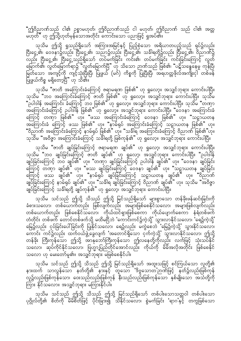"ဤဝိညာဏ်သည် ငါ၏ ဉစ္စာမဟုတ်၊ ဤဝိညာဏ်သည် ငါ မဟုတ်၊ ဤဝိညာဏ် သည် ငါ၏ အတ္တ ု့ ပြုပြီး<br>မဟုတ်" ဟု ဤသို့ဟုတ်မှန်သောအတိုင်း ကောင်းသော ပညာဖြင့် ရှုအပ်၏။

သုသိမ ဤသို့ ရှုသည်ရှိသော် အကြားအမြင်နှင့် ပြည့်စုံသော အရိယာတပည့်သည် ရုပ်၌လည်း ပြီး ပြီးငွေ့၏၊ ငြီးငွေ့သည်ရှိသော် တပ်မက်ခြင်း ကင်း၏၊ တပ်မက်ခြင်း ကင်းခြင်းကြောင့် လွတ် ္မွာ ေပါင္း ေပါင္း ေျပာလံုး ျပည္တာေတြက ေပါင္း ေပါင္း ေပါင္း ေပါင္း<br>၂ ေပါင္း ေပါင္း ေပါင္း ေပါင္း ေပါင္း ေပါင္း ေပါင္း ေပါင္း ေပါင္း မြတ်သော အကျင့်ကို ကျင့်သုံးပြီးပြီ၊ ပြုဖွယ် (မဂ်) ကိစ္စကို ပြုပြီးပြီ၊ အရဟတ္တဖိုလ်အကျိုးငှါ တစ်ဖန် .<br>ပြုဖွယ်ကိစ္စ မရှိတော့ပြီ" ဟု သိ၏။

သုသိမ "ဇာတိ အကြောင်းခံကြောင့် ဇရာမရဏ ဖြစ်၏" ဟု ရှုလော့။ အသျှင်ဘုရား ကောင်းပါပြီ။ သုသိမ<sup>် "</sup>ဘဝ အကြောင်းခံကြောင့် ဇာတိ ဖြစ်၏" ဟု ရူလော့။ အသျှင်ဘုရား ကောင်းပါပြီ။ သုသိမ အကြောင်းခံကြောင့် ဥပါဒါန် ဖြစ်၏" ဟု ရှုလော့။ အသျှင်ဘုရား ကောင်းပါပြီ။ "ဝေဒနာ အကြောင်းခံ ကြောင့် တဏှာ ဖြစ်၏" ဟု။ "ဖဿ အကြောင်းခံကြောင့် ဝေဒနာ ဖြစ်၏" ဟု။ "သဠာယတန .<br>အကြောင်းခံ ကြောင့် ဖဿ ဖြစ်၏" ဟု။ "နာမ်ရုပ် အကြောင်းခံကြောင့် သဠာယတန ဖြစ်၏" ဟု။ "ဝိညာဏ် အကြောင်းခံကြောင့် နာမ်ရုပ် ဖြစ်၏" ဟု။ "သင်္ခါရ အကြောင်းခံကြောင့် ဝိညာဏ် ဖြစ်၏"ဟု။ သုသိမ "အဝိဇ္ဇာ အကြောင်းခံကြောင့် သင်္ခါရတို့ ဖြစ်ကုန်၏" ဟု ရှုလော့။ အသျှင်ဘုရား ကောင်းပါပြီ။

သုသိမ "ဇာတိ ချုပ်ခြင်းကြောင့် ဇရာမရဏ ချုပ်၏" ဟု ရှုလော့၊ အသျှင်ဘုရား ကောင်းပါပြီ။ သုသိမ "ဘဝ ချုပ်ခြင်းကြောင့် ဇာတိ ချုပ်၏" ဟု ရှုလော့၊ အသျှင်ဘုရား ကောင်းပါပြီ။ "ဥပါဒါန် ချုပ်ခြင်းကြောင့် ဘဝ ချုပ်၏" ဟု။ "တဏှာ ချုပ်ခြင်းကြောင့် ဉပါဒါန်ိ ချုပ်၏" ဟု။ "ဝေဒနာ ချုပ်ခြင်း ကြောင့် တဏှာ ချုပ်၏" ဟု။ "ဖဿ ချုပ်ခြင်းကြောင့် ဝေဒနာ ချုပ်၏" ဟု။ "သဠာယတန ချုပ်ခြင်း ့ ၂ န့်<br>ကြောင့် ဖဿ ချုပ်၏" ဟု။ "နာမ်ရုပ် ချုပ်ခြင်းကြောင့် သဠာယတန ချုပ်၏" ဟု။ "ဝိညာဏ် ချုပ်ခြင်းကြောင့် နာမ်ရုပ် ချုပ်၏" ဟု။ "သင်္ခါရ ချုပ်ခြင်းကြောင့် ဝိညာဏ် ချုပ်၏" ဟု။ သုသိမ "အဝိဇ္ဇာ ျို့<br>ချုပ်ခြင်းကြောင့် သင်္ခါရတို့ ချုပ်ကုန်၏" ဟု ရူလော့၊ အသျှင်ဘုရား ကောင်းပါပြီ။

သုသိမ သင်သည် ဤသို့ သိသည် ဤသို့ မြင်သည်ရှိသော် များစွာသော တန်ခိုးဖန်ဆင်းခြင်းကို ခံစားသလော၊ တစ်ယောက်တည်း ဖြစ်လျက်လည်း အများဖြစ်စေနိုင်သလော၊ အများဖြစ်လျက်လည်း တစ်ယောက်တည်း ဖြစ်စေနိုင်သလော၊ ကိုယ်ထင်ရှားဖြစ်စေကာ ကိုယ်ပျောက်စေကာ နံရံတစ်ဖက် တံတိုင်း တစ်ဖက် တောင်တစ်ဖက်သို့ မထိမငြိဘဲ 'ကောင်းကင်၌ကဲ့သို့' သွားလာနိုင်သလော၊ 'ရေ၌ကဲ့သို့' မြေ၌လည်း ငုပ်ခြင်းပေါ်ခြင်းကို ပြုနိုင်သလော၊ ရေ၌လည်း မကွဲစေဘဲ 'မြေ၌ကဲ့သို့' သွားနိုင်သလော၊ ကောင်း ကင်၌လည်း ထက်ဝယ်ဖွဲ့ခွေလျက် 'အတောင်ရှိသော ငှက်ကဲ့သို့' သွားလာနိုင်သလော၊ ဤသို့ တန်ခိုး ကြီးကုန်သော ဤသို့ အာနုဘော်ကြီးကုန်သော ဤလနေတို့ကိုလည်း လက်ဖြင့် သုံးသပ်နိုင် သလော၊ ဆုပ်ကိုင်နိုင်သလော၊ ဗြဟ္မာ့ပြည်တိုင်အောင်လည်း ကိုယ်ကို မိမိအလိုအတိုင်း ဖြစ်စေနိုင် သလော ဟု မေးတော်မူ၏။ အသျှင်ဘုရား မဖြစ်စေနိုင်ပါ။

သုသိမ သင်သည် ဤသို့ သိသည် ဤသို့ မြင်သည်ရှိသော် အထူးသဖြင့် စင်ကြယ်သော လူတို့၏<br>နားထက် သာလွန်သော နတ်တို့၏ နားနှင့် တူသော 'ဒိဗ္ဗသောတ'ဉာဏ်ဖြင့် နတ်၌လည်းဖြစ်ကုန် လူ၌လည်းဖြစ်ကုန်သော၊ ဝေးသည်လည်းဖြစ်ကုန် နီးသည်လည်းဖြစ်ကုန်သော နှစ်မျိုးသော အသံတို့ကို ကြား နိုင်သလော။ အသျှင်ဘုရား မကြားနိုင်ပါ။

သုသိမ သင်သည် ဤသို့ သိသည် ဤသို့ မြင်သည်ရှိသော် တစ်ပါးသောသတ္တဝါ တစ်ပါးသော ပုဂ္ဂိုလ်တို့၏ စိတ်ကို မိမိစိတ်ဖြင့် ပိုင်းခြား၍ သိနိုင်သလော၊ စွဲမက်ခြင်း 'ရာဂ**ႆ**နှင့် တကွဖြစ်သော၊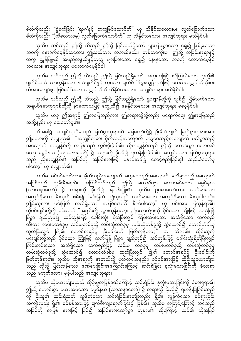စိတ်ကိုလည်း "စွဲမက်ခြင်း 'ရာဂ'နှင့် တကွဖြစ်သောစိတ်" ဟု သိနိုင်သလော။ပ။ လွတ်မြောက်သော စိတ်ကိုလည်း "(ကိလေသာမှ) လွတ်မြောက်သောစိတ်" ဟု သိနိုင်သလော။ အသျှင်ဘုရား မသိနိုင်ပါ။

သုသိမ သင်သည် ဤသို့ သိသည် ဤသို့ မြင်သည်ရှိသော် များပြားစွာသော ရှေး၌ ဖြစ်ဖူးသော ဘဝကို အောက်မေ့နိုင်သလော၊ ဤသည်တား အဘယ်နည်း။ တစ်ဘဝကို။ပ။ ဤသို့ အခြင်းအရာနှင့် တကွ ညွှန်ပြဖွယ် အမည်အနွယ်နှင့်တကွ များပြားသော ရှေး၌ နေဖူးသော ဘဝကို အောက်မေ့နိုင် သလော။ အသျှင်ဘုရား မအောက်မေ့နိုင်ပါ။

သုသိမ သင်သည် ဤသို့ သိသည် ဤသို့ မြင်သည်ရှိသော် အထူးသဖြင့် စင်ကြယ်သော လူတို့၏ မျက်စိထက် သာလွန်သော နတ်မျက်စိနှင့် တူသော မျက်စိ 'ဒိဗ္ဗစက္ခု'ဉာဏ်ဖြင့် သေဆဲသတ္တဝါတို့ကို။ပ။ .<br>ကံအားလျော်စွာ ဖြစ်ပေါ် သော သတ္တဝါတို့ကို သိနိုင်သလော။ အသျှင်ဘုရား မသိနိုင်ပါ။

သုသိမ သင်သည် ဤသို့ သိသည် ဤသို့ မြင်သည်ရှိသော် ရူပဈာန်တို့ကို လွန်၍ ငြိမ်သက်သော အရူပဝိမောက္ခဈာန်တို့ကို နာမကာယဖြင့် တွေ့ထိ၍ နေနိုင်သလော။ အသျှင်ဘုရား မနေနိုင်ပါ။

သုသိမ ယခု ဤအရာ၌ ဤအဖြေသည်ကား ဤတရားတို့သို့လည်း မရောက်ချေ၊ ဤအဖြေသည် အသို့နည်း ဟု မေးတော်မူ၏။

ထိုအခါ၌ အသျှင်သုသိမသည် မြတ်စွာဘုရား၏ ခြေတော်တို့၌ ဦးခိုက်လျက် မြတ်စွာဘုရားအား ဤစကားကို လျှောက်၏- "အသျှင်ဘုရား မိုက်သည့်အလျောက် တွေဝေသည့်အလျောက် မလိမ္မာသည့် —<br>အလျောက် အကျွန်ုပ်ကို အပြစ်သည် လွှမ်းမိုးခဲ့ပါ၏၊ ထိုအကျွန်ုပ်သည် ဤသို့ ကောင်းစွာ ဟောအပ် သော ဓမ္မဝိနယ (သာသနာတော်) ၌ တရားကို ခိုးလို၍ ရဟန်းပြုခဲ့ပါ၏၊ အသျှင်ဘုရား မြတ်စွာဘုရား သည် ထိုအကျွန်ုပ်၏ အပြစ်ကို အပြစ်အားဖြင့် နောင်အခါ၌ စောင့်စည်းခြင်းငှါ သည်းခံတော်မူ ပါလော့" ဟု လျှောက်၏။

သုသိမ စင်စစ်သော်ကား မိုက်သည့်အလျောက် တွေဝေသည့်အလျောက် မလိမ္မာသည့်အလျောက် အပြစ်သည် လွှမ်းမိုးနေ၏၊ အကြင်သင်သည် ဤသို့ ကောင်းစွာ ဟောအပ်သော ဓမ္မဝိနယ ာျမသည္ သွမ်ိဳးပိုးရာမ်ိဳး။ သိုးကိုသောအညီ အကြန္းပြု၏။ သူသိမ ဥပမာသော်ကား ယုတ်မာသော<br>အကျင့်ရှိသော ခိုးသူကို ဖမ်း၍ "မင်းမြတ် ဤသူသည် ယုတ်မာသော အကျင့်ရှိသော ခိုးသူပါတည်း၊<br>ဤခိုးသူအား မင်းမြတ် အလိုရှိသော အပြစ်ဒဏ်ကို စီရင်ပါလော့" ဟ ြီး -<br>ထိုမင်းချင်းတို့ကို မင်းသည် "အချင်းတို့ သွားကုန်လော့၊ ဤယောက်ျားကို ခိုင်သော ကြိုးဖြင့် လက်ပြန်<br>မြဲစွာ ချည်တုပ်၍ သင်တုန်းဖြင့် ခေါင်းတုံး ရိတ်ပြီးလျှင် ကြမ်းတမ်းသော အသံရှိသော ထက်စည် - တီးကာ လမ်းမတစ်ခုမှ လမ်းမတစ်ခုသို့ လမ်းဆုံတစ်ခုမှ လမ်းဆုံတစ်ခုသို့ ဆွဲဆောင်၍ တောင်တံခါးမှ<br>ထုတ်ပြီးလျှင် - မြို့၏ - တောင်အရပ်၌ - ဦးခေါင်းကို - ဖြတ်ကုန်လော့ - ဟု - ဆိုရာ၏၊ - ထိုခိုးသူကို မင်းချင်းတို့သည် ခိုင်သော ကြိုးဖြင့် လက်ပြန် မြဲစွာ ချည်တုပ်၍ သင်တုန်းဖြင့် ခေါင်းတုံးရိတ်ပြီးလျှင်<br>ကြမ်းတမ်းသော အသံရှိသော ထက်စည်ဖြင့် လမ်းမ တစ်ခုမှ လမ်းမတစ်ခုသို့ လမ်းဆုံတစ်ခုမှ လမ်းဆုံတစ်ခုသို့ ဆွဲဆောင်၍ တောင်တံခါးမှ ထုတ်ပြီးလျှင် မြို့၏ တောင်အရပ်၌ ဦးခေါင်းကို ဖြတ်ကုန်ရာ၏။ သုသိမ ထိုအရာကို အဘယ်သို့ မှတ်ထင်သနည်း၊ စင်စစ်အားဖြင့် ထိုခိုးသူယောက်ျား .<br>သည် ထိုသို့ ပြင်းထန်သော ဒဏ်ပေးခြင်းအကြောင်းကြောင့် ဆင်းရဲခြင်း နှလုံးမသာခြင်းကို ခံစားရာ သည် မဟုတ်လော။ မှန်ပါသည် အသျှင်ဘုရား။

သုသိမ ထိုယောက်ျားသည် ထိုခိုးမှုအပြစ်ဒဏ်ကြောင့် ဆင်းရဲခြင်း နှလုံးမသာခြင်းကို ခံစားရရာ၏၊ ဤသို့ ကောင်းစွာ ဟောအပ်သော ဓမ္မဝိနယ (သာသနာတော်) ၌ တရားကို ခိုးလို၍ ရဟန်းပြုခြင်းသည် ထို ခိုးသူ၏ ဆင်းရဲထက် လွန်ကဲသော ဆင်းရဲခြင်းအကျိုးလည်း ရှိ၏၊ လွန်ကဲသော စပ်ရှားခြင်း အကျိုးလည်း ရှိ၏၊ စင်စစ်အားဖြင့် ပျက်စီးကျရောက်ခြင်းငှါ ဖြစ်၏။ သုသိမ အကြင့်ကြောင့် သင်သည် အပြစ်ကို အပြစ် အားဖြင့် မြင်၍ အပြစ်အားလျော်စွာ ကုစား၏၊ ထိုကြောင့် သင်၏ ထိုအပြစ်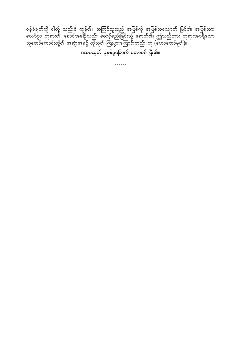## ဒသမသုတ် ခုနစ်ခုမြောက် မဟာဝဂ် <mark>ပြီး၏</mark>။

 $\begin{array}{cccccccccc} - & - & - & - & - & - \\ \hline \end{array}$ 

ဝန်ခံချက်ကို ငါတို့ သည်းခံ ကုန်၏။ အကြင်သူသည် အပြစ်ကို အပြစ်အလျောက် မြင်၏၊ အပြစ်အား<br>လျော်စွာ ကုစား၏၊ နောင်အခါ၌လည်း စောင့်စည်းခြင်းသို့ ရောက်၏၊ ဤသည်ကား ဘုရားအစရှိသော<br>သူတော်ကောင်းတို့၏ အဆုံးအမ၌ ထိုသူ၏ ကြီးပွားကြောင်းတည်း ဟု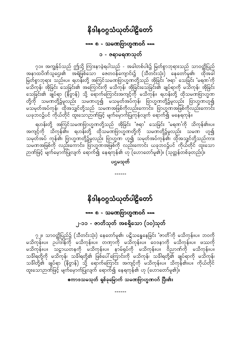နိဒါနဝဂ္ဂသံယုတ်ပါဠိတော် ၁ - ဇရာမရဏသုတ်

၇၁။ အကျွန်ုပ်သည် ဤသို့ ကြားနာခဲ့ရပါသည် - အခါတစ်ပါး၌ မြတ်စွာဘုရားသည် သာဝတ္ထိပြည်<br>အနာထပိဏ်သူဌေး၏ အရံဖြစ်သော ဇေတဝန်ကျောင်း၌ (သီတင်းသုံး) နေတော်မူ၏၊ ထိုအခါ<br>မြတ်စွာဘုရား သည်။ပ။ ရဟန်းတို့ အကြင်သမဏဗြာဟ္မဏတို့သည် အိုခြင်း 'ဇ မသိကုန်၊ အိုခြင်း သေခြင်း၏ အကြောင်းကို မသိကုန်၊ အိုခြင်းသေခြင်း၏ ချုပ်ရာကို မသိကုန်၊ အိုခြင်း သေခြင်း၏ ချုပ်ရာ (နိဗ္ဗာန်) သို့ ရောက်ကြောင်းအကျင့်ကို မသိကုန်။ ရဟန်းတို့ ထိုသမဏဗြာဟ္မဏ တို့ကို သမဏတို့၌မူလည်း သမဏဟူ၍ မသမုတ်အဲပ်ကုန်၊ ဗြာဟ္မဏတို့၌မူလည်း ဗြာဟ္မဏဟူ၍ မသမုတ်အပ်ကုန်၊ ထိုအသျှင်တို့သည် သမဏအဖြစ်ကိုလည်းကောင်း၊ ဗြာဟ္မဏအဖြစ်ကိုလည်းကောင်း ယခုဘဝ၌ပင် ကိုယ်တိုင် ထူးသောဉာဏ်ဖြင့် မျက်မှောက်ပြုကုန်လျက် ရောက်၍ မနေရကုန်။

ရဟန်းတို့ အကြင်သမဏဗြာဟ္မဏတို့သည် အိုခြင်း 'ဇရာ' သေခြင်း 'မရဏ'ကို သိကုန်၏။ပ။ ့<br>အကျင့်ကို သိကုန်၏။ ရဟန်းတို့ ထိုသမဏဗြာဟ္မဏတို့ကို သမဏတို့၌မူလည်း သမဏ ဟူ၍ သမုတ်အပ် ကုန်၏၊ ဗြာဟ္မဏတို့၌မူလည်း ဗြာဟ္မဏ ဟူ၍ သမုတ်အပ်ကုန်၏၊ ထိုအသျှင်တို့သည်ကား သမဏအဖြစ်ကို လည်းကောင်း၊ ဗြာဟ္မဏအဖြစ်ကို လည်းကောင်း ယခုဘဝ၌ပင် ကိုယ်တိုင် ထူးသော 

ပဌမသုတ်

နိဒါနဝဂ္ဂသံယုတ်ပါဠိတော်

=== ၈ - သမဏဗြာဟ္မဏဝဂ် === ၂-၁၁ - ဇာတိသုတ် အစရှိသော (၁၀)သုတ်

၇၂။ သာဝတ္ထိပြည်၌ (သီတင်းသုံး) နေတော်မူ၏၊ ပဋိသန္ဓေနေခြင်း 'ဇာတိ'ကို မသိကုန်။ပ။ ဘဝကို မသိကုန်။ပ။ ဉပါဒါန်ကို မသိကုန်။ပ။ တဏှာကို မသိကုန်။ပ။ ဝေဒနာကို မသိကုန်။ပ။ ဖဿကို မသိကုန်။ပ။ သဠာယတနကို မသိကုန်။ပ။ နာမ်ရှပ်ကို မသိကုန်။ပ။ ဝိညာဏ်ကို မသိကုန်။ပ။ သခ်္ခါရတို့ကို မသိကုန်၊ သင်္ခါရတို့၏ ဖြစ်ပေါ်ကြောင်းကို မသိကုန်၊ သင်္ခါရတို့၏ ချုပ်ရာကို မသိကုန်၊ သခ်ီါတို့၏ ချုပ်ရာ (နိဗ္ဗာန်) သို့ ရောက်ကြောင်း အကျင့်ကို မသိကုန်။ပ။ သိကုန်၏။ပ။ ကိုယ်တိုင် ထူးသောဉာဏ်ဖြင့် မျက်မှောက်ပြုလျက် ရောက်၍ နေရကုန်၏ ဟု (ဟောတော်မူ၏)။

ဧကာဒသမသုတ် ရှစ်ခုမြောက် သမဏဗြာဟ္မဏဝဂ် ပြီး၏။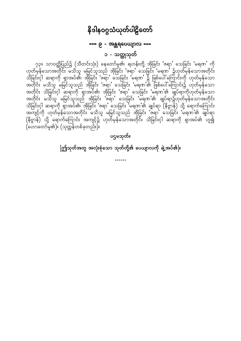## နိဒါနဝဂ္ဂသံယုတ်ပါဠိတော်

=== ၉ - အန္တရပေယျာလ ===

၁ - သတ္တုသုတ်

၇၃။ သာဝတ္ထိပြည်၌ (သီတင်းသုံး) နေတော်မူ၏၊ ရဟန်းတို့ အိုခြင်း 'ဇရာ' သေခြင်း 'မရဏ' ကို ုင်း စာပြောသည်။ အများသည် အသုံး ရှိခြင်း အသုံး အသုံး မရက သောက်မှန်သောအတိုင်း<br>သိခြင်းငှါ ဆရာကို ရှာအပ်၏၊ အိုခြင်း 'ဇရာ' သေခြင်း 'မရက ၌ ဖြစ်ပေါ်ကြောင်းကို ဟုတ်မှန်သော<br>သိခြင်းငှါ ဆရာကို ရှာအပ်၏၊ အိုခြင်း 'ဇရာ' သေခြင်း 'မရဏ ၌ အတိုင်း မသိသူ မမြင်သူသည် အိုခြင်း 'ဇရာ' သေခြင်း 'မရဏ'၏ ဖြစ်ပေါ်ကြောင်း၌ ဟုတ်မှန်သော အတိုင်း သိခြင်းငှါ ဆရာကို ရှာအပ်၏၊ အိုခြင်း 'ဇရာ' သေခြင်း 'မရဏ'၏ ချုပ်ရာကိုဟုတ်မှန်သော အတိုင်း မသိသူ မမြင်သူသည် အိုခြင်း 'ဇရာ' သေခြင်း 'မရဏ'၏ ချုပ်ရာ၌ဟုတ်မှန်သောအတိုင်း သိခြင်းငှါ ဆရာကို ရှာအပ်၏၊ အိုခြင်း 'ဇရာ' သေခြင်း 'မရဏ'၏ ချုပ်ရာ (နိဗ္ဗာန်) သို့ ရောက်ကြောင်း အကျင့်ကို ဟုတ်မှန်သောအတိုင်း မသိသူ မမြင်သူသည် အိုခြင်း 'ဇဲရာ' သေခြင်း 'မရဏ'၏ ချုပ်ရာ (နိဗ္ဗာန်) သို့ ရောက်ကြောင်း အကျင့်၌ ဟုတ်မှန်သောအတိုင်း သိခြင်းငှါ ဆရာကို ရှာအပ်၏ ဟူ၍ (ဟောတော်မူ၏)။ (သုတ္တန်တစ်ခုတည်း)။

ပဌမသုတ်။

ကြုသုတ်အတူ အလုံးစုံသော သုတ်တို့၏ ပေယျာလကို ချဲ့အပ်၏ $|{\scriptstyle \parallel}$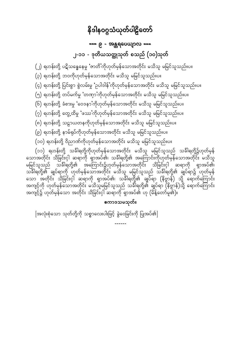## နိဒါနဝဂ္ဂသံယုတ်ပါဠိတော်

=== ၉ - အန္တရပေယျာလ === ၂-၁၁ - ဒုတိယသတ္ထုသုတ် စသည် (၁၀)သုတ်

(၂) ရဟန်းတို့ ပဋိသန္ဓေနေမှု 'ဇာတိ'ကိုဟုတ်မှန်သောအတိုင်း မသိသူ မမြင်သူသည်။ပ။

(၃) ရဟန်းတို့ ဘဝကိုဟုတ်မှန်သောအတိုင်း မသိသူ မမြင်သူသည်။ပ။

(၄) ရဟန်းတို့ ပြင်းစွာ စွဲလမ်းမှု 'ဥပါဒါန်'ကိုဟုတ်မှန်သောအတိုင်း မသိသူ မမြင်သူသည်။ပ။

(၅) ရဟန်းတို့ တပ်မက်မှု 'တဏှာ'ကိုဟုတ်မှန်သောအတိုင်း မသိသူ မမြင်သူသည်။ပ။

(၆) ရဟန်းတို့ ခံစားမှု 'ဝေဒနာ'ကိုဟုတ်မှန်သောအတိုင်း မသိသူ မမြင်သူသည်။ပ။

(၇) ရဟန်းတို့ တွေ့ထိမှု 'ဖဿ'ကိုဟုတ်မှန်သောအတိုင်း မသိသူ မမြင်သူသည်။ပ။

(၈) ရဟန်းတို့ သဠာယတနကိုဟုတ်မှန်သောအတိုင်း မသိသူ မမြင်သူသည်။ပ။

- (၉) ရဟန်းတို့ နာမ်ရုပ်ကိုဟုတ်မှန်သောအတိုင်း မသိသူ မမြင်သူသည်။ပ။
- (၁၀) ရဟန်းတို့ ဝိညာဏ်ကိုဟုတ်မှန်သောအတိုင်း မသိသူ မမြင်သူသည်။ပ။

(၁၁) ရဟန်းတို့ သင်္ခါရတို့ကိုဟုတ်မှန်သောအတိုင်း မသိသူ မမြင်သူသည် သင်္ခါရတို့၌ဟုတ်မှန် သောအတိုင်း သိခြင်းငှါ ဆရာကို ရှာအပ်၏၊ သင်္ခါရတို့၏ အကြောင်းကိုဟုတ်မှန်သောအတိုင်း မသိသူ မမြင်သူသည် သင်္ခါရတို့၏ အကြောင်း၌ဟုတ်မှန်သောအတိုင်း သိခြင်းငှါ ဆရာကို ' ရှာအပ်၏၊ သင်္ခါရတို့၏ ချုပ်ရာကို ဟုတ်မှန်သောအတိုင်း မသိသူ မမြင်သူသည် သင်္ခါရတို့၏ ချုပ်ရာ၌ ဟုတ်မှန် သော အတိုင်း သိခြင်းငှါ ဆရာကို ရှာအပ်၏၊ သင်္ခါရတို့၏ ချုပ်ရာ (နိဗ္ဗာန်) သို့ ရောက်ကြောင်း အကျင့်ကို ဟုတ်မှန်သောအတိုင်း မသိသူမမြင်သူသည် သင်္ခါရတို့၏ ချပ်ရာ (နိဗ္ဗာန်)သို့ ရောက်ကြောင်း အကျင့်၌ ဟုတ်မှန်သော အတိုင်း သိခြင်းငှါ ဆရာကို ရှာအပ်၏ ဟု (မိန့်တော်မူ၏)။

#### ဧကာဒသမသုတ်။

အြလုံးစုံသော သုတ်တို့ကို သစ္စာလေးပါးဖြင့် ခွဲဝေခြင်းကို ပြုအပ်၏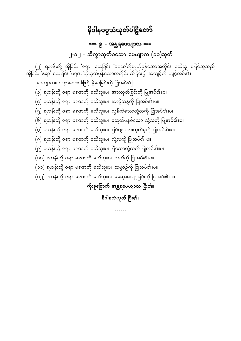## နိဒါန၀ဂွသံယုတ်ပါဠိတော်

=== ၉ - အန္တရပေယျာလ ===

၂-၁၂ - သိက္ခာသုတ်စသော ပေယျာလ (၁၁)သုတ်

(၂) ရဟန်းတို့ အိုခြင်း 'ဇရာ' သေခြင်း 'မရဏ'ကိုဟုတ်မှန်သောအတိုင်း မသိသူ မမြင်သူသည်<br>အိုခြင်း 'ဇရာ' သေခြင်း 'မရဏ'ကိုဟုတ်မှန်သောအတိုင်း သိခြင်းငှါ အကျင့်ကို ကျင့်အပ်၏။

မြပယျာလ။ သစ္စာလေးပါးဖြင့် ခွဲဝေခြင်းကို ပြုအပ်၏။

(၃) ရဟန်းတို့ ဇရာ မရဏကို မသိသူ။ပ။ အားထုတ်ခြင်းကို ပြုအပ်၏။ပ။

(၅) ရဟန်းတို့ ဇရာ မရဏကို မသိသူ။ပ။ လွန်ကဲသောလုံ့လကို ပြုအပ်၏။ပ။

(၇) ရဟန်းတို့ ဇရာ မရဏကို မသိသူ။ပ။ ပြင်းစွာအားထုတ်မှုကို ပြုအပ်၏။ပ။

(၁၂) ရဟန်းတို့ ဇရာ မရဏကို မသိသူ။ပ။ မမေ့မလျော့ခြင်းကို ပြုအပ်၏။ပ။

ကိုးခုမြောက် အန္တရပေယျာလ ပြီး၏။

နိဒါနသံယုတ် ပြီး၏။

 $\frac{1}{2}$ 

(၆) ရဟန်းတို့ ဇရာ မရဏကို မသိသူ။ပ။ မဆုတ်မနစ်သော လုံ့လကို ပြုအပ်၏။ပ။

(၄) ရဟန်းတို့ ဇရာ မရဏကို မသိသူ။ပ။ အလိုဆန္ဒကို ပြုအပ်၏။ပ။

(၈) ရဟန်းတို့ ဇရာ မရဏကို မသိသူ။ပ။ လုံ့လကို ပြုအပ်၏။ပ။

(၁၀) ရဟန်းတို့ ဇရာ မရဏကို မသိသူ။ပ။ သတိကို ပြုအပ်၏။ပ။

(၁၁) ရဟန်းတို့ ဇရာ မရဏကို မသိသူ။ပ။ သမ္ပဇဉ်ကို ပြုအပ်၏။ပ။

(၉) ရဟန်းတို့ ဇရာ မရဏကို မသိသူ။ပ။ မြဲသောလုံ့လကို ပြုအပ်၏။ပ။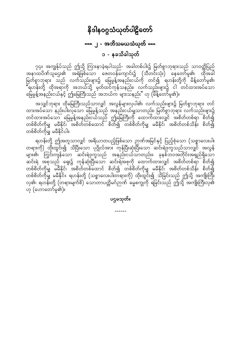## နိဒါနဝဂ္ဂသံယုတ်ပါဠိတော် === ၂ - အဘိသမယသံယုတ် === ၁ - နခသိခါသုတ်

၇၄။ အကျွန်ုပ်သည် ဤသို့ ကြားနာခဲ့ရပါသည်- အခါတစ်ပါး၌ မြတ်စွာဘုရားသည် သာဝတ္ထိပြည် မှ တန်းတို့ ထိုအရာကို အဘယ်သို့ မှတ်ထင်ကုန်သနည်း၊ လက်သည်းဖျား၌ ငါ တင်ထားအပ်သော<br>မြေမှုန့်အနည်းငယ်နှင့် ဤမြေကြီးသည် အဘယ်က များသနည်း" ဟု (မိန့်တော်မူ၏)။

အသျှင်ဘုရား ထိုမြေကြီးသည်သာလျှင် အလွန်များလှပါ၏၊ လက်သည်းဖျား၌ မြတ်စွာဘုရား တင် ထားအပ်သော နည်းပါးလှသော မြေမှုန့်သည် အနည်းငယ်မျှသာတည်း၊ မြတ်စွာဘုရား လက်သည်းဖျား၌<br>တင်ထားအပ်သော မြေမှုန့်အနည်းငယ်သည် ဤမြေကြီးကို ထောက်ထားလျှင် အစိတ်တစ်ရာ စိတ်၍ တစ်စိတ်ကိုမျှ မမီနိုင်၊ အစိတ်တစ်ထောင် စိတ်၍ တစ်စိတ်ကိုမျှ မမီနိုင်၊ အစိတ်တစ်သိန်း စိတ်၍ တစ်စိတ်ကိုမျှ မမီနိုင်ပါ။

ရဟန်းတို့ ဤအတူသာလျှင် အရိယာတပည့်ဖြစ်သော ဉာဏ်အမြင်နှင့် ပြည့်စုံသော (သစ္စာလေးပါး တရားကို) ထိုးထွင်း၍ သိပြီးသော ပုဂ္ဂိုလ်အား ကုန်ပြီးဆုံးပြီးသော ဆင်းရဲဒုက္ခသည်သာလျှင် အလွန် များ၏၊ ကြွင်းကျန်သော ဆင်းရဲဒုက္ခသည် အနည်းငယ်သာတည်း။ ခုနစ်ဘဝအတိုင်းအရှည်ရှိသော ှ<br>ဆင်းရဲ အစုသည် ရှေး၌ ကုန်ဆုံးပြီးသော ဆင်းရဲအစုကို ထောက်ထားလျှင် အစိတ်တစ်ရာ စိတ်၍ တစ်စိတ်ကိုမျှ မမီနိုင်၊ အစိတ်တစ်ထောင် စိတ်၍ တစ်စိတ်ကိုမျှ မမီနိုင်၊ အစိတ်တစ်သိန်း စိတ်၍ တစ်စိတ်ကိုမျှ မမီနိုင်။ ရဟန်းတို့ (သစ္စာလေးပါးတရားကို) ထိုးထွင်း၍ သိခြင်းသည် ဤသို့ အကျိုးကြီး လှ၏၊ ရဟန်းတို့ (တရားမျက်စိ) သောတာပတ္တိမဂ်ဉာဏ် ဓမ္မစက္ခုကို ရခြင်းသည် ဤသို့ အကျိုးကြီးလှ၏ ဟု (ဟောတော်မူ၏)။

ပဌမသုတ်။

 $- - - - - -$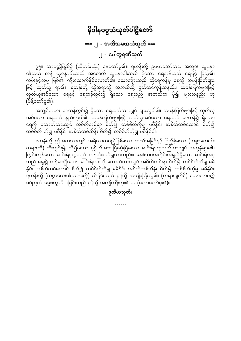# နိဒါနဝဂ္ဂသံယုတ်ပါဠိတော် === ၂ - အဘိသမယသံယုတ် === ၂ - ပေါက္ခရဏီသုတ်

၇၅။ သာဝတ္ထိပြည်၌ (သီတင်းသုံး) နေတော်မူ၏။ ရဟန်းတို့ ဥပမာသော်ကား အလျား ယူဇနာ ငါးဆယ် အနံ ယူဇနာငါးဆယ် အစောက် ယူဇနာငါးဆယ် ရှိသော ရေကန်သည် ရေဖြင့် ပြည့်၏၊ ကမ်းနှင့်အမျှ ဖြစ်၏၊ ကျီးသောက်နိုင်လောက်၏၊ ယောက်ျားသည် ထိုရေကန်မှ ရေကို သမန်းမြက်ဖျား ဖြင့် ထုတ်ယူ ရာ၏။ ရဟန်းတို့ ထိုအရာကို အဘယ်သို့ မှတ်ထင်ကုန်သနည်း၊ သမန်းမြက်ဖျားဖြင့် ်ာ<br>ထုတ်ယူအပ်သော ရေနှင့် ရေကန်တွင်း၌ ရှိသော ရေသည် အဘယ်က ပို၍ များသနည်း ဟု (မိန့်တော်မူ၏)။

အသျှင်ဘုရား ရေကန်တွင်း၌ ရှိသော ရေသည်သာလျှင် များလှပါ၏၊ သမန်းမြက်ဖျားဖြင့် ထုတ်ယူ အပ်သော ရေသည် နည်းလှပါ၏၊ သမန်းမြက်ဖျားဖြင့် ထုတ်ယူအပ်သော ရေသည် ရေကန်၌ ရှိသော ရေကို ထောက်ထားလျှင် အစိတ်တစ်ရာ စိတ်၍ တစ်စိတ်ကိုမျှ မမီနိုင်၊ အစိတ်တစ်ထောင် စိတ်၍ တစ်စိတ် ကိုမျှ မမီနိုင်၊ အစိတ်တစ်သိန်း စိတ်၍ တစ်စိတ်ကိုမျှ မမီနိုင်ပါ။

ရဟန်းတို့ ဤအတူသာလျှင် အရိယာတပည့်ဖြစ်သော ဉာဏ်အမြင်နှင့် ပြည့်စုံသော (သစ္စာလေးပါး တရားကို) ထိုးထွင်း၍ သိပြီးသော ပုဂ္ဂိုလ်အား ပြီးဆုံးပြီးသော ဆင်းရဲဒုက္ခသည်သာလျှင် အလွန်များ၏၊ ကြွင်းကျန်သော ဆင်းရဲဒုက္ခသည် အနည်းငယ်မျှသာတည်း။ ခုနစ်ဘဝအတိုင်းအရှည်ရှိသော ဆင်းရဲအစု သည် ရှေး၌ ကုန်ဆုံးပြီးသော ဆင်းရဲအစုကို ထောက်ထားလျှင် အစိတ်တစ်ရာ စိတ်၍ တစ်စိတ်ကိုမျှ မမီ နိုင်၊ အစိတ်တစ်ထောင် စိတ်၍ တစ်စိတ်ကိုမျှ မမီနိုင်၊ အစိတ်တစ်သိန်း စိတ်၍ တစ်စိတ်ကိုမျှ မမီနိုင်။ .<br>ရဟန်းတို့ (သစ္စာလေးပါးတရားကို) သိခြင်းသည် ဤသို့ အကျိုးကြီးလှ<sup>င်္ချ</sup>၊ (တရားမျက်စိ) သောတာပတ္တိ မဂ်ဉာဏ် ဓမ္မစက္ခုကို ရခြင်းသည် ဤသို့ အကျိုးကြီးလှ၏ ဟု (ဟောတော်မူ၏)။

ဒုတိယသုတ်။

 $- - - - - -$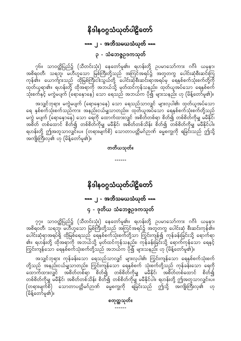နိဒါနဝဂ္ဂသံယုတ်ပါဠိတော် === ၂ - အဘိသမယသံယုတ် === ၃ - သံဘေဇ္ဇဉဒကသုတ်

၇၆။ သာဝတ္ထိပြည်၌ (သီတင်းသုံး) နေတော်မူ၏။ ရဟန်းတို့ ဉပမာသော်ကား ဂင်္ဂါ၊ ယမုနာ၊ အစိရဝတီ၊ သရဘူ၊ မဟီဟူသော မြစ်ကြီးတို့သည် အကြင်အရပ်၌ အတူတကွ ပေါင်းဆုံစီးဆင်းကြွ (၂)<br>ကုန်၏။ ယောက်ျားသည် ထိုမြစ်ကြီးငါးသွယ်တို့ ပေါင်းဆုံစီးဆင်းရာအရပ်မှ ရေနှစ်စက်သုံးစက်တို့ကို ထုတ်ယူရာ၏။ ရဟန်းတို့ ထိုအရာကို အဘယ်သို့ မှတ်ထင်ကုန်သနည်း၊ ထုတ်ယူအပ်သော ရေနှစ်စက် သုံးစက်နှင့် မကွဲမပျက် (ရောနှောနေ) သော ရေသည် အဘယ်က ပို၍ များသနည်း ဟု (မိန့်တော်မူ၏)။

အသျှင်ဘုရား မကွဲမပျက် (ရောနှောနေ) သော ရေသည်သာလျှင် များလှပါ၏၊ ထုတ်ယူအပ်သော ရေ နှစ်စက်သုံးစက်သည်ကား အနည်းငယ်မျှသာတည်း။ ထုတ်ယူအပ်သော ရေနှစ်စက်သုံးစက်တို့သည် မကွဲ မပျက် (ရောနှောနေ) သော ရေကို ထောက်ထားလျှင် အစိတ်တစ်ရာ စိတ်၍ တစ်စိတ်ကိုမျှ မမီနိုင်၊ အစိတ် တစ်ထောင် စိတ်၍ တစ်စိတ်ကိုမျှ မမီနိုင်၊ အစိတ်တစ်သိန်း စိတ်၍ တစ်စိတ်ကိုမျှ မိမီနိုင်ပါ။ ရဟန်းတို့ ဤအတူသာလျှင်။ပ။ (တရားမျက်စိ) သောတာပတ္တိမဂ်ဉာဏ် ဓမ္မစက္ခုကို ရခြင်းသည် ဤသို့ အကျိုးကြီးလှ၏ ဟု (မိန့်တော်မူ၏)။

တတိယသုတ်။

နိဒါနဝဂ္ဂသံယုတ်ပါဠိတော် === ၂ - အဘိသမယသံယုတ် === ၄ - ဒုတိယ သံဘေဇ္ဇဉဒကသုတ်

၇၇။ သာဝတ္ထိပြည်၌ (သီတင်းသုံး) နေတော်မူ၏။ ရဟန်းတို့ ဉပမာသော်ကား ဂင်္ဂါ၊ ယမုနာ၊ အစိရဝတီ၊ သရဘူ၊ မဟီဟူသော မြစ်ကြီးတို့သည် အကြင်အရပ်၌ အတူတကွ ပေါင်းဆုံ စီးဆင်းကုန်၏။<br>ပေါင်းဆုံရာအရပ်ရှိ ထိုမြစ်ရေသည် ရေနှစ်စက်သုံးစက်တို့သာ ကြွင်းကျန်၍ ကုန်ခန်းခြင်းသို့ ရောက်ရာ ၏။ ရဟန်းတို့ ထိုအရာကို အဘယ်သို့ မှတ်ထင်ကုန်သနည်း၊ ကုန်ခန်းခြင်းသို့ ရောက်ကုန်သော ရေနှင့် 

အသျှင်ဘုရား ကုန်ခန်းသော ရေသည်သာလျှင် များလှပါ၏၊ ကြွင်းကျန်သော ရေနှစ်စက်သုံးစက် တို့သည် အနည်းငယ်မျှသာတည်း၊ ကြွင်းကျန်သော ရေနှစ်စက် သုံးစက်တို့သည် ကုန်ခန်းသော ရေကို ထောက်ထားလျှင် အစိတ်တစ်ရာ စိတ်၍ တစ်စိတ်ကိုမျှ မမီနိုင်၊ အစိတ်တစ်ထောင် စိတ်၍ တစ်စိတ်ကိုမျှ မိနိနိုင်၊ အစိတ်တစ်သိန်း စိတ်၍ တစ်စိတ်ကိုမျှ မမီနိုင်ပါ။ ရဟန်းတို့ ဤအတူသာလျှင်။ပ။ (တရားမျက်စိ) သောတာပတ္တိမဂ်ဉာဏ် ဓမ္မစက္ခုကို ရခြင်းသည် ဤသို့ အကျိုးကြီးလှ၏ ဟု (မိန့်တော်မူ၏)။

စတုတ္ထသုတ်။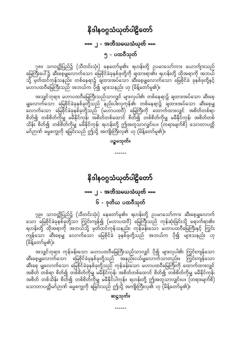နိဒါနဝဂ္ဂသံယုတ်ပါဠိတော် === ၂ - အဘိသမယသံယုတ် === ၅ - ပထဝီသုတ်

၇၈။ သာဝတ္ထိပြည်၌ (သီတင်းသုံး) နေတော်မူ၏။ ရဟန်းတို့ ဉပမာသော်ကား ယောက်ျားသည် မြေကြီးပေါ်၌ ဆီးစေ့မျှလောက်သော မြေစိုင်ခဲခုနစ်ခုတို့ကို ချထားရာ၏။ ရဟန်းတို့ ထိုအရာကို အဘယ် ုပ္ပြဲ<br>သို့ မှတ်ထင်ကုန်သနည်း၊ တစ်နေရာ၌ ချထားအပ်သော ဆီးစေ့မျှလောက်သော မြေစိုင်ခဲ ခုနစ်ခုတို့နှင့် မဟာပထဝီမြေကြီးသည် အဘယ်က ပို၍ များသနည်း ဟု (မိန့်တော်မူ၏)။

အသျှင်ဘုရား မဟာပထဝီမြေကြီးသည်သာလျှင် များလှပါ၏၊ တစ်နေရာ၌ ချထားအပ်သော ဆီးစေ့ မျှလောက်သော မြေစိုင်ခဲခုနစ်ခုတို့သည် နည်းပါးလှကုန်၏၊ တစ်နေရာ၌ ချထားအပ်သော ဆီးစေ့မျှ ္<br>လောက်သော မြေစိုင်ခဲခုနစ်ခုတို့သည် (မဟာပထဝီ) မြေကြီးကို ထောက်ထားလျှင် အစိတ်တစ်ရာ<br>စိတ်၍ တစ်စိတ်ကိုမျှ မမီနိုင်ကုန်၊ အစိတ်တစ်ထောင် စိတ်၍ တစ်စိတ်ကိုမျှ မမီနိုင်ကုန်၊ အစိတ်တစ် သိန်း စိတ်၍ တစ်စိတ်ကိုမျှ မမီနိုင်ကုန်၊ ရဟန်းတို့ ဤအတူသာလျှင်။ပ။ (တရားမျက်စိ) သောတာပတ္တိ မဂ်ဉာဏ် ဓမ္မစက္ခုကို ရခြင်းသည် ဤသို့ အကျိုးကြီးလှ၏ ဟု (မိန့်တော်မူ၏)။

ပဥ္စမသုတ်။

 $- - - - - -$ 

နိဒါနဝဂွသံယုတ်ပါဠိတော် === ၂ - အဘိသမယသံယုတ် === ၆ - ဒုတိယ ပထဝီသုတ်

၇၉။ သာဝတ္ထိပြည်၌ (သီတင်းသုံး) နေတော်မူ၏။ ရဟန်းတို့ ဉပမာသော်ကား ဆီးစေ့မျှလောက် သော မြေစိုင်ခဲခုနစ်ခုတို့သာ ကြွင်းကျန်၍ (မဟာပထဝီ) မြေကြီးသည် ကုန်ဆုံးခြင်းသို့ ရောက်ရာ၏။ ရဟန်းတို့ ထိုအရာကို အဘယ်သို့ မှတ်ထင်ကုန်သနည်း၊ ကုန်ခန်းသော မဟာပထဝီမြေကြီးနှင့် ကြွင်း ု<br>ကျန်သော ဆီးစေ့မျှ လောက်သော မြေစိုင်ခဲ ခုနစ်ခုတို့သည် အဘယ်က ပို၍ များသနည်း ဟု (မိန့်တော်မူ၏)။

အသျှင်ဘုရား ကုန်ခန်းသော မဟာပထဝီမြေကြီးသည်သာလျှင် ပို၍ များလှပါ၏၊ ကြွင်းကျန်သော ဆီးစေ့မျှလောက်သော မြေစိုင်ခဲခုနစ်ခုတို့သည် အနည်းငယ်မျှလောက်သာတည်း။ ကြွင်းကျန်သော ဆီးစေ့ မျှလောက်သော မြေစိုင်ခဲခုနစ်ခုတို့သည် ကုန်ခန်းသော မဟာပထဝီမြေကြီးကို ထောက်ထားလျှင် အစိတ် တစ်ရာ စိတ်၍ တစ်စိတ်ကိုမျှ မမီနိုင်ကုန်၊ အစိတ်တစ်ထောင် စိတ်၍ တစ်စိတ်ကိုမျှ မမီနိုင်ကုန်၊ အစိတ် တစ်သိန်း စိတ်၍ တစ်စိတ်ကိုမျှ မမီနိုင်ပါကုန်။ ရဟန်းတို့ ဤအတူသာလျှင်။ပ။ (တရားမျက်စိ) သောတာပတ္တိမဂ်ဉာဏ် ဓမ္မစက္ခုကို ရခြင်းသည် ဤသို့ အကျိုးကြီးလှ၏ ဟု (မိန့်တော်မူ၏)။

ဆဋ္ဌသုတ်။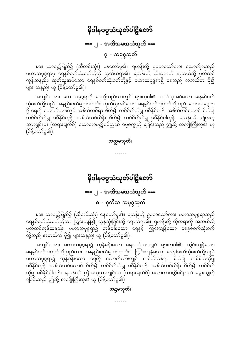# နိဒါနဝဂ္ဂသံယုတ်ပါဠိတော် === ၂ - အဘိသမယသံယုတ် === ၇ - သမုဒ္ဒသုတ်

၈၀။ သာဝတ္ထိပြည်၌ (သီတင်းသုံး) နေတော်မူ၏။ ရဟန်းတို့ ဉပမာသော်ကား ယောက်ျားသည် မဟာသမုဒ္ဒရာမှ ရေနှစ်စက်သုံးစက်တို့ကို ထုတ်ယူရာ၏။ ရဟန်းတို့ ထိုအရာကို အဘယ်သို့ မှတ်ထင်<br>ကုန်သနည်း၊ ထုတ်ယူအပ်သော ရေနှစ်စက်သုံးစက်တို့နှင့် မဟာသမုဒ္ဒရာရှိ ရေသည် အဘယ်က ပို၍ များ သနည်း ဟု (မိန့်တော်မူ၏)။

အသျှင်ဘုရား မဟာသမုဒ္ဒရာရှိ ရေတို့သည်သာလျှင် များလှပါ၏၊ ထုတ်ယူအပ်သော ရေနှစ်စက် သုံးစက်တို့သည် အနည်းငယ်မျှသာတည်း ထုတ်ယူအပ်သော ရေနှစ်စက်သုံးစက်တို့သည် မဟာသမုဒ္ဒရာ ရှိ ရေကို ထောက်ထားလျှင် အစိတ်တစ်ရာ စိတ်၍ တစ်စိတ်ကိုမျှ မမီနိုင်ကုန်၊ အစိတ်တစ်ထောင် စိတ်၍ \_\_<br>တစ်စိတ်ကိုမျှ မမီနိုင်ကုန်၊ အစိတ်တစ်သိန်း စိတ်၍ တစ်စိတ်ကိုမျှ မမီနိုင်ပါကုန်။ ရဟန်းတို့ ဤအတူ သာလျှင်။ပ။ (တရားမျက်စိ) သောတာပတ္တိမဂ်ဉာဏ် ဓမ္မစက္ခုကို ရခြင်းသည် ဤသို့ အကျိုးကြီးလှ၏ ဟု (မိန့်တော်မူ၏)။

သတ္တမသုတ်။

 $\frac{1}{2}$ 

နိဒါန၀ဂွသံယုတ်ပါဠိတော် === ၂ - အဘိသမယသံယုတ် === ၈ - ဒုတိယ သမုဒ္ဒသုတ်

၈၁။ သာဝတ္ထိပြည်၌ (သီတင်းသုံး) နေတော်မူ၏။ ရဟန်းတို့ ဉပမာသော်ကား မဟာသမုဒ္ဒရာသည် ္ အိုပ္ပင္လာသည္ အသင္း<br>ရေနှစ်စက်သုံးစက်တို့သာ ကြွင်းကျန်၍ ကုန်ဆုံးခြင်းသို့ ရောက်ရာ၏။ ရဟန်းတို့ ထိုအရာကို အဘယ်သို့ မှတ်ထင်ကုန်သနည်း၊ မဟာသမုဒ္ဒရာ၌ ကုန်ခန်းသော ရေနှင့် ကြွင်းကျန်သော ရေနှစ်စက်သုံးစက် ာ<br>တို့သည် အဘယ်က ပို၍ များသနည်း ဟု (မိန့်တော်မူ၏)။

အသျှင်ဘုရား မဟာသမုဒ္ဒရာ၌ ကုန်ခန်းသော ရေသည်သာလျှင် များလှပါ၏၊ ကြွင်းကျန်သော ရေနှစ်စက်သုံးစက်တို့သည်ကား အနည်းငယ်မျှသာတည်း။ ကြွင်းကျန်သော ရေနှစ်စက်သုံးစက်တို့သည် မမီနိုင်ကုန်၊ အစိတ်တစ်ထောင် စိတ်၍ တစ်စိတ်ကိုမျှ မမီနိုင်ကုန်၊ အစိတ်တစ်သိန်း စိတ်၍ တစ်စိတ် ကိုမျှ မမီနိုင်ပါကုန်။ ရဟန်းတို့ ဤအတူသာလျှင်။ပ။ (တရားမျက်စိ) သောတာပတ္တိမဂ်ဉာဏ် ဓမ္မစက္ခုကို ရခြင်းသည် ဤသို့ အကျိုးကြီးလှ၏ ဟု (မိန့်တော်မူ၏)။

အဋ္ဌမသုတ်။

 $- - - - - -$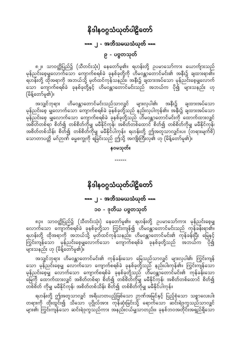နိဒါနဝဂ္ဂသံယုတ်ပါဠိတော် === ၂ - အဘိသမယသံယုတ် === ၉ - ပဗ္ဗတသုတ်

၈၂။ သာဝတ္ထိပြည်၌ (သီတင်းသုံး) နေတော်မူ၏။ ရဟန်းတို့ ဉပမာသော်ကား ယောက်ျားသည် မုန်ညင်းစေ့မျှလောက်သော ကျောက်စရစ်ခဲ ခုနစ်ခုတို့ကို ဟိမဝန္တာတောင်မင်း၏ အနီး၌ ချထားရာ၏။ -<br>ရဟန်းတို့ ထိုအရာကို အဘယ်သို့ မှတ်ထင်ကုန်သနည်း၊ အနီး၌ ချထားအပ်သော မုန်ညင်းစေ့မျှလောက် သော ကျောက်စရစ်ခဲ ခုနစ်ခုတို့နှင့် ဟိမဝန္တာတောင်မင်းသည် အဘယ်က ပို၍ များသနည်း ဟု (မိန့်တော်မှု၏)။

အသျှင်ဘုရား ဟိမဝန္တာတောင်မင်းသည်သာလျှင် များလှပါ၏၊ အနီး၌ ချထားအပ်သော မုန်ညင်းစေ့ မျှလောက်သော ကျောက်စရစ်ခဲ ခုနစ်ခုတို့သည် နည်းလှပါကုန်၏။ အနီး၌ ချထားအပ်သော .<br>မုန်ညင်းစေ့ မျှလောက်သော ကျောက်စရစ်ခဲ ခုနစ်ခုတို့သည် ဟိမဝန္တာတောင်မင်းကို ထောက်ထားလျှင် ာ<br>အစိတ်တစ်ရာ စိတ်၍ တစ်စိတ်ကိုမျှ မမီနိုင်ကုန်၊ အစိတ်တစ်ထောင် စိတ်၍ တစ်စိတ်ကိုမျှ မမီနိုင်ကုန်၊ အစိတ်တစ်သိန်း စိတ်၍ တစ်စိတ်ကိုမျှ မမီနိုင်ပါကုန်။ ရဟန်းတို့ ဤအတူသာလျှင်။ပ။ (တရားမျက်စိ) သောတာပတ္တိ မဂ်ဉာဏ် ဓမ္မစက္ခုကို ရခြင်းသည် ဤသို့ အကျိုးကြီးလှ၏ ဟု (မိန့်တော်မူ၏)။

နဝမသုတ်။

နိဒါန၀ဂွသံယုတ်ပါဠိတော် === ၂ - အဘိသမယသံယုတ် === ၁၀ - ဒုတိယ ပဗ္ဗတသုတ်

၈၃။ သာဝတ္ထိပြည်၌ (သီတင်းသုံး) နေတော်မူ၏။ ရဟန်းတို့ ဉပမာသော်ကား မုန်ညင်းစေ့မျှ လောက်သော ကျောက်စရစ်ခဲ ခုနစ်ခုတို့သာ ကြွင်းကျန်၍ ဟိမဝန္တာတောင်မင်းသည် ကုန်ခန်းရာ၏။<br>ရဟန်းတို့ ထိုအရာကို အဘယ်သို့ မှတ်ထင်ကုန်သနည်း၊ ဟိမဝန္တာတောင်မင်း၏ ကုန်ခန်းပြီး မြေနှင့် ကြွင်းကျန်သော မုန်ညင်းစေ့မျှလောက်သော ကျောက်စရစ်ခဲ ခုနစ်ခုတို့သည် အဘယ်က ပို၍ ယ<br>များသနည်း ဟု (မိန့်တော်မူ၏)။

အသျှင်ဘုရား ဟိမဝန္တာတောင်မင်း၏ ကုန်ခန်းသော မြေသည်သာလျှင် များလှပါ၏၊ ကြွင်းကျန် သော မုန်ညင်းစေ့မျှ လောက်သော ကျောက်စရစ်ခဲ ခုနစ်ခုတို့သည် နည်းပါးကုန်၏။ ကြွင်းကျန်သော မုန်ညင်းစေ့မျှ လောက်သော ကျောက်စရစ်ခဲ ခုနစ်ခုတို့သည် ဟိမဝန္တာတောင်မင်း၏ ကုန်ခန်းသော .<br>မြေကို ထောက်ထားလျှင် အစိတ်တစ်ရာ စိတ်၍ တစ်စိတ်ကိုမျှ မမီနိုင်ကုန်၊ အစိတ်တစ်ထောင် စိတ်၍ တစ်စိတ် ကိုမျှ မမီနိုင်ကုန်၊ အစိတ်တစ်သိန်း စိတ်၍ တစ်စိတ်ကိုမျှ မမီနိုင်ပါကုန်။

ရဟန်းတို့ ဤအတူသာလျှင် အရိယာတပည့်ဖြစ်သော ဉာဏ်အမြင်နှင့် ပြည့်စုံသော သစ္စာလေးပါး တရားကို ထိုးထွင်း၍ သိသော ပုဂ္ဂိုလ်အား ကုန်ဆုံးခြင်းသို့ ရောက်သော ဆင်းရဲဒုက္ခသည်သာလျှင် ျား<br>များ၏၊ ကြွင်းကျန်သော ဆင်းရဲဒုက္ခသည်ကား အနည်းငယ်မျှသာတည်း။ ခုနစ်ဘဝအတိုင်းအရှည်ရှိသော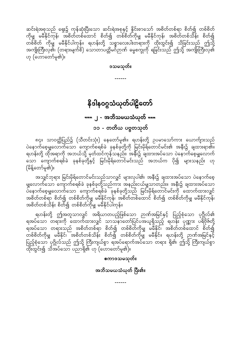ဆင်းရဲအစုသည် ရှေး၌ ကုန်ဆုံးပြီးသော ဆင်းရဲအစုနှင့် နှိုင်းစာသော် အစိတ်တစ်ရာ စိတ်၍ တစ်စိတ် ကိုမျှ မမီနိုင်ကုန်၊ အစိတ်တစ်ထောင် စိတ်၍ တစ်စိတ်ကိုမျှ မမီနိုင်ကုန်၊ အစိတ်တစ်သိန်း စိတ်၍ တစ်စိတ် ကိုမျှ မမီနိုင်ပါကုန်။ ရဟန်းတို့ သစ္စာလေးပါးတရားကို ထိုးထွင်း၍ သိခြင်းသည် ဤသို့ အကျိုးကြီးလှ၏၊ (တရားမျက်စိ) သောတာပတ္တိမဂ်ိဉာဏ် ဓမ္မစက္ခုကို ရခြင်းသည် ဤသို့ အကျိုးကြီးလှ၏ ဟု (ဟောတော်မူ၏)။

ဒသမသုတ်။

------

## နိဒါနဝဂ္ဂသံယုတ်ပါဠိတော်

## === ၂ - အဘိသမယသံယုတ် ===

## ၁၁ - တတိယ ပဗ္ဗတသုတ်

၈၄။ သာဝတ္ထိပြည်၌ (သီတင်းသုံး) နေတော်မူ၏။ ရဟန်းတို့ ဉပမာသော်ကား ယောက်ျားသည် ပဲနောက်စေ့မျှလောက်သော ကျောက်စရစ်ခဲ<sup>်</sup> ခုနစ်ခုတို့ကို မြင်းမိုရ်တောင်မင်း၏ အနီး၌ ချထားရာ၏။<br>ရဟန်းတို့ ထိုအရာကို အဘယ်သို့ မှတ်ထင်ကုန်သနည်း၊ အနီး၌ ချထားအပ်သော ပဲနောက်စေ့မျှလောက် သော ကျောက်စရစ်ခဲ ခုနစ်ခုတို့နှင့် မြင်းမိုရ်တောင်မင်းသည် အဘယ်က ပို၍ များသနည်း ဟု (မိန့်တော်မှု၏)။

အသျှင်ဘုရား မြင်းမိုရ်တောင်မင်းသည်သာလျှင် များလှပါ၏၊ အနီး၌ ချထားအပ်သော ပဲနောက်စေ့ မျှလောက်သော ကျောက်စရစ်ခဲ ခုနစ်ခုတို့သည်ကား အနည်းငယ်မျှသာတည်း။ အနီး၌ ချထားအပ်သော ာ<br>ပဲနောက်စေ့မျှလောက်သော ကျောက်စရစ်ခဲ ခုနစ်ခုတို့သည် မြင်းမိုရ်တောင်မင်းကို ထောက်ထားလျှင်<br>အစိတ်တစ်ရာ စိတ်၍ တစ်စိတ်ကိုမျှ မမီနိုင်ကုန်၊ အစိတ်တစ်ထောင် စိတ်၍ တစ်စိတ်ကိုမျှ မမီနိုင်ကုန်၊ အစိတ်တစ်သိန်း စိတ်၍ တစ်စိတ်ကိုမျှ မမီနိုင်ပါကုန်။

ရဟန်းတို့ ဤအတူသာလျှင် အရိယာတပည့်ဖြစ်သော ဉာဏ်အမြင်နှင့် ပြည့်စုံသော ပုဂ္ဂိုလ်၏ ရအပ်သော တရားကို ထောက်ထားလျှင် သာသနာတော်ပြင်ပအယူရှိသည့် ရဟန်း ပုဏ္ဏား ပရိဗိုဇ်တို့ ရအပ်သော တရားသည် အစိတ်တစ်ရာ စိတ်၍ တစ်စိတ်ကိုမျှ မမီနိုင်၊ အစိတ်တစ်ထောင် စိတ်၍ တစ်စိတ်ကိုမျှ မမီနိုင်၊ အစိတ်တစ်သိန်း စိတ်၍ တစ်စိတ်ကိုမျှ မမီနိုင်။ ရဟန်းတို့ ဉာဏ်အမြင်နှင့် ပြည့်စုံသော ပုဂ္ဂိုလ်သည် ဤသို့ ကြီးကျယ်စွာ ရအပ်ရောက်အပ်သော တရား ရှိ၏၊ ဤသို့ ကြီးကျယ်စွာ ထိုးထွင်း၍ သိအပ်သော ပညာရှိ၏ ဟု (ဟောတော်မူ၏)။

### ဧကာဒသမသုတ်။

## အဘိသမယသံယုတ် <mark>ပြီး၏</mark>။

------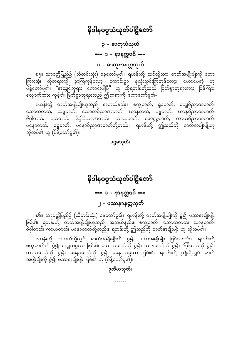နိဒါနဝဂ္ဂသံယုတ်ပါဠိတော် ၃ - ဓာတုသံယုတ် === ၁ - နာနတ္တဝဂ် === ၁ - ဓာတုနာနတ္တသုတ်

၈၅။ သာဝတ္ထိပြည်၌ (သီတင်းသုံး) နေတော်မူ၏။ ရဟန်းတို့ သင်တို့အား ဓာတ်အမျိုးမျိုးကို ဟော မြန်တော်မူ၏။ "အသျှင်ဘုရား ကောင်းပါပြီ" ဟု ထိုရဟန်းတို့သည် မြတ်စွာဘုရားအား ပြန်ကြား လျှောက်ထား ကုန်၏၊ မြတ်စွာဘုရားသည် ဤတရားကို ဟောတော်မူ၏-

ရဟန်းတို့ ဓာတ်အမျိုးမျိုးဟူသည် အဘယ်နည်း။ စက္ခုဓာတ်, ရူပဓာတ်, စက္ခုဝိညာဏဓာတ်၊ သောတတတ်, သဒ္ဒဓာတ်, သောတဝိညာဏဓာတ်၊ ဃာနဓာတ်, ဂန္ဓဓာတ်, ဃာနဝိညာဏဓာတ်၊ <sup>ဇိ</sup>ဝှါဓာတ်, ရသဓာတ်, ဇိဝှါဝိညာဏဓာတ်၊ ကာယဓာတ်, ဖောဋ္ဌဗွဓာတ်, ကာယဝိညာဏဓာတ်၊ မနောဓာတ်, ဓမ္မဓာတ်, မနောဝိညာဏဓာတ်တို့တည်း။ ရဟန်းတို့ ဤသည်ကို ဓာတ်အမျိုးမျိုးဟု ဆိုအပ်၏ ဟု (မိန့်တော်မူ၏)။

ပဌမသုတ်။

နိဒါန၀ဂွသံယုတ်ပါဠိတော် === ၁ - နာနတ္တဝဂ် === ၂ - ဖဿနာနတ္တသုတ်

၈၆။ သာဝတ္ထိပြည်၌ (သီတင်းသုံး) နေတော်မူ၏။ ရဟန်းတို့ ဓာတ်အမျိုးမျိုးကို စွဲ၍ ဖဿအမျိုးမျိုး ဖြစ်၏၊ ရဟန်းတို့ ဓာတ်အမျိုးမျိုးဟူသည် အဘယ်နည်း။ စက္ခုဓာတ်၊ သောတဓာတ်၊ ဃာနဓာတ်၊<br>ဖြစ်၏၊ ရဟန်းတို့ ဓာတ်အမျိုးမျိုးဟူသည် အဘယ်နည်း။ စက္ခုဓာတ်၊ သောတဓာတ်၊ ဃာနဓာတ်၊ )<br>ဇိဝှါဓာတ်၊ ကာယဓာတ်၊ မနောဓာတ်တို့တည်း။ ရဟန်းတို့ ဤသည်ကို ဓာတ်အမျိုးမျိုး ဟု ဆိုအပ်၏။

ရဟန်းတို့ အဘယ်သို့လျှင် ဓာတ်အမျိုးမျိုးကို စွဲ၍ ဖဿအမျိုးမျိုး ဖြစ်သနည်း။ ရဟန်းတို့ စက္ခုဓာတ်ကို စွဲ၍ စက္ခုသမ္ဗဿ ဖြစ်၏၊ သောတဓာတ်ကို စွဲ၍၊ ယာနဓာတ်ကို စွဲ၍၊ ဇိဝ္ဒါဓာတ်ကို စွဲ၍၊ ာ္ခံ၊<br>ကာယဓာတ်ကို စွဲ၍၊ မနောဓာတ်ကို စွဲ၍ မနော့သမ္မသာ ဖြစ်၏။ ရဟန်းတို့ ဤသို့လျှင် ဓာတ် အမျိုးမျိုးကို စွဲ၍ ဖဿအမျိုးမျိုး ဖြစ်၏ ဟု (မိန့်တော်မူ၏)။

ဒုတိယသုတ်။

 $- - - - - -$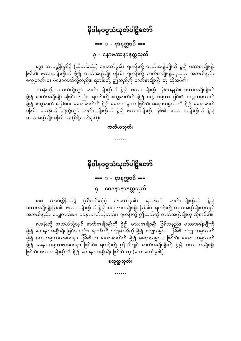# နိဒါနဝဂ္ဂသံယုတ်ပါဠိတော်

=== ၁ - နာနတ္တဝဂ် ===

၃ - နောဖဿနာနတ္ထသုတ်

၈၇။ သာဝတ္ထိပြည်၌ (သီတင်းသုံး) နေတော်မူ၏။ ရဟန်းတို့ ဓာတ်အမျိုးမျိုးကို စွဲ၍ ဖဿအမျိုးမျိုး ဖြစ်၏၊ ဖဿအမျိုးမျိုးကို စွဲ၍ ဓာတ်အမျိုးမျိုး မဖြစ်။ ရဟန်းတို့ ဓာတ်အမျိုးမျိုးဟူသည် အဘယ်နည်း၊ ပ<br>စက္ခုဓာတ်။ပ။ မနောဓာတ်တို့တည်း။ ရဟန်းတို့ ဤသည်ကို ဓာတ်အမျိုးမျိုး ဟု ဆိုအပ်၏။

ရဟန်းတို့ အဘယ်သို့လျှင် ဓာတ်အမျိုးမျိုးကို စွဲ၍ ဖဿအမျိုးမျိုး ဖြစ်သနည်း၊ ဖဿအမျိုးမျိုးကို စွဲ၍ ဓာတ်အမျိုးမျိုး မဖြစ်သနည်း။ ရဟန်းတို့ စက္ခုဓာတ်ကို စွဲ၍ စက္ခုသမ္ဗဿ ဖြစ်၏၊ စက္ခုသမ္ဗဿကို ပို့ချိ စက္ခုဓာတ် မဖြစ်။ပ။ မနောဓာတ်ကို စွဲ၍ မနောသမ္ဗဿ ဖြစ်၏၊ မနောသမ္ဗဿကို စွဲ၍ မနောဓာတ် မြံဖြစ်။ ရဟန်းတို့ ဤသို့လျှင် ဓာတ်အမျိုးမျိုးကို စွဲ၍ ဖဿအမျိုးမျိုး ဖြစ်၏၊ ဖဿ အမျိုးမျိုးကို စွဲ၍ ဓာတ်အမျိုးမျိုး မဖြစ် ဟု (မိန့်တော်မူ၏)။

တတိယသုတ်။

------

နိဒါန၀ဂွသံယုတ်ပါဠိတော်

=== ၁ - နာနတ္တဝဂ် ===

၄ - ဝေဒနာနာနတ္တသုတ်

သာဝတ္ထိပြည်၌ (သီတင်းသုံး) နေတော်မူ၏။ ရဟန်းတို့ ဓာတ်အမျိုးမျိုးကို စွဲ၍ ၈၈။ ဖဿအမျိုးမျိုးဖြစ်၏၊ ဖဿအမျိုးမျိုးကို စွဲ၍ ဝေဒနာအမျိုးမျိုး ဖြစ်၏။ ရဟန်းတို့ ဓာတ်အမျိုးမျိုးဟူသည် အဘယ်နည်း၊ စက္ခုဓာတ်။ပ။ မနောဓာတ်တို့တည်း။ ရဟန်းတို့ ဤသည်ကို ဓာတ်အမျိုးမျိုးဟု ဆိုအပ်၏။

ရဟန်းတို့ အဘယ်သို့လျှင် ဓာတ်အမျိုးမျိုးကို စွဲ၍ ဖဿအမျိုးမျိုး ဖြစ်သနည်း၊ ဖဿအမျိုးမျိုးကို ပို့ဆို၏၊ ဖဿအမျိုးမျိုးကို စွဲ၍ ဝေဒနာအမျိုးမျိုး ဖြစ်၏ ဟု (ဟောတော်မူ၏)။

စတုတ္ထသုတ်။

------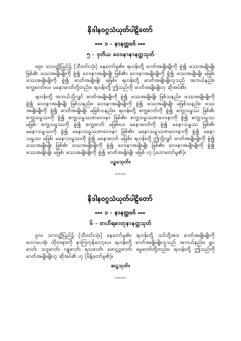## နိဒါနဝဂ္ဂသံယုတ်ပါဠိတော်

=== ၁ - နာနတ္တဝဂ် ===

### ၅ - ဒုတိယ ဝေဒနာနာနတ္တသုတ်

၈၉။ သာဝတ္တိပြည်၌ (သီတင်းသုံး) နေတော်မူ၏။ ရဟန်းတို့ ဓာတ်အမျိုးမျိုးကို စွဲ၍ ဖဿအမျိုးမျိုး ု့<br>ဖြစ်၏၊ ဖဿအမျိုးမျိုးကို စွဲ၍ ဝေဒနာအမျိုးမျိုး ဖြစ်၏။ ဝေဒနာအမျိုးမျိုးကို စွဲ၍ ဖဿအမျိုးမျိုး မဲဖြစ်၊<br>ဖဿအမျိုးမျိုးကို စွဲ၍ ဓာတ်အမျိုးမျိုး မဖြစ်။ ရဟန်းတို့ ဓာတ်အမျိုးမျိုးဟူသည် အဘယ်နည်း၊ စက္ခုဓာတ်။ပ။ မနောဓာတ်တို့တည်း။ ရဟန်းတို့ ဤသည်ကို ဓာတ်အမျိုးမျိုးဟု ဆိုအပ်၏။

ရဟန်းတို့ အဘယ်သို့လျှင် ဓာတ်အမျိုးမျိုးကို စွဲ၍ ဖဿအမျိုးမျိုး ဖြစ်သနည်း၊ ဖဿအမျိုးမျိုးကို<br>စွဲ၍ ဝေဒနာအမျိုးမျိုး ဖြစ်သနည်း။ ဝေဒနာ့အမျိုးမျိုးကို စွဲ၍ ဖဿအမျိုးမျိုး မဖြစ်သနည်း၊ ဖဿ ိ့်<br>အမျိုးမျိုးကို စွဲ၍ ဓာတ်အမျိုးမျိုး မဖြစ်သနည်း။ ရဟန်းတို့ စက္ခုဓာတ်ကို စွဲ၍ စက္ခုသမ္ပဿ ဖြစ်၏၊ စက္ခိုသမ္မဿကို စွဲ၍ စက္ခုသမ္မသၖဇာဝေဒနာ ဖြစ်၏။ စက္ခုသမ္မဿဇာဝေဒနာကို စွဲ၍ စက္ခုသမ္မဿ မဖြစ်၊ စက္ခုသမ္ဗဿကို စွဲ၍ စက္ခုဓာတ် မဖြစ်။ပ။ မနောဓာတ်ကို စွဲ၍ မနောသမ္ဗဿ ဖြစ်၏၊ မနောသမ္ဖဿကို စွဲ၍ မနောသမ္ဖဿဇာဝေဒနာ ဖြစ်၏။ မနောသမ္ဖဿဇာဝေဒနာကို စွဲ၍ မနော သမ္မဿ မဖြစ်၊ မနောသမ္မဿကို စွဲ၍ မနောဓာတ် မဖြစ်။ ရဟန်းတို့ ဤသို့လျှင် ဓာတ်အမျိုးမျိုးကို စွဲ၍ ဖဿအမျိုးမျိုး ဖြစ်၏၊ ဖိဿအမျိုးမျိုးကို စွဲ၍ ဝေဒနာအမျိုးမျိုး ဖြစ်၏။ ဝေဒနာအမျိုးမျိုးကို စွဲ၍<br>ဖဿအမျိုးမျိုး မဖြစ်၊ ဖဿအမျိုးမျိုးကို စွဲ၍ ဓာတ်အမျိုးမျိုး မဖြစ် ဟု (ဟောတော်မူ၏)။

ပဥ္စမသုတ်။

နိဒါန၀ဂွသံယုတ်ပါဠိတော်

=== ၁ - နာနတ္တဝဂ် ===

## ၆ - ဗာဟိရဓာတုနာနတ္တသုတ်

၉ဝ။ သာဝတ္ထိပြည်၌ (သီတင်းသုံး) နေတော်မူ၏။ ရဟန်းတို့ သင်တို့အား ဓာတ်အမျိုးမျိုးကို ဟောပေအံ့၊ ထိုတရားကို နာကြကုန်လော့။ပ။ ရဟန်းတို့ ဓာတ်အမျိုးမျိုးဟူသည် အဘယ်နည်း။ ရူပ ဓာတ်၊ သဒ္ဒဓာတ်၊ ဂန္ဓဓာတ်၊ ရသဓာတ်၊ ဖောဋ္ဌဗ္ဗဓာတ်၊ ဓမ္မဓာတ်တို့တည်း။ ရဟန်းတို့ ဤသည်ကို ဓာတ်အမျိုးမျိုးဟု ဆိုအပ်၏ ဟု (မိန့်တော်မူ၏)။

ဆဋ္ဌသုတ်။

-------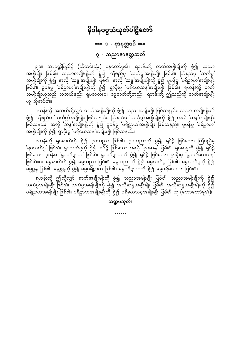## နိဒါန၀ဂွသံယုတ်ပါဠိတော်

=== ၁ - နာနတ္တဝဂ် ===

၇ - သညာနာနတ္တသုတ်

၉၁။ သာဝတ္ထိပြည်၌ (သီတင်းသုံး) နေတော်မူ၏။ ရဟန်းတို့ ဓာတ်အမျိုးမျိုးကို စွဲ၍ သညာ<br>အမျိုးမျိုး ဖြစ်၏၊ သညာအမျိုးမျိုးကို စွဲ၍ ကြံစည်မှု သင်္ကပ္ပ'အမျိုးမျိုး ဖြစ်၏၊ ကြံစည်မှု သင်္ကပ္ပ'<br>အမျိုးမျိုးကို စွဲ၍ အလို ဆန္ဒ'အမျိုးမျိုးဖ .<br>ဖြစ်၏၊ ပူပန်မှု ပရိဠာဟ'အမျိုးမျိုးကို စွဲ၍ ရှာမှီးမှု 'ပရိယေသန'အမျိုးမျိုး ဖြစ်၏။ ရဟန်းတို့ ဓာတ် ဟု ဆိုအပ်၏။

ရဟန်းတို့ အဘယ်သို့လျှင် ဓာတ်အမျိုးမျိုးကို စွဲ၍ သညာအမျိုးမျိုး ဖြစ်သနည်း၊ သညာ အမျိုးမျိုးကို စွဲ၍ ကြံစည်မှု 'သင်္ကပ္ပ'အမျိုးမျိုး ဖြစ်သနည်း၊ ကြံစည်မှု 'သင်္ကပ္ပ'အမျိုးမျိုးကို စွဲ၍ အလို 'ဆန္ဒ'အမျိုးမျိုး ပို့ဆို ကြားသည်။<br>ဖြစ်သနည်း၊ အလို 'ဆန္ဒ'အမျိုးမျိုးကို စွဲ၍ ပူပန်မှု ပရိဠာဟ'အမျိုးမျိုး ဖြစ်သနည်း၊ ပူပန်မှု ပရိဠာဟ 

ရဟန်းတို့ ရူပဓာတ်ကို စွဲ၍ ရူပသညာ ဖြစ်၏၊ ရူပသညာကို စွဲ၍ ရုပ်၌ ဖြစ်သော ကြံစည်မှု ်ရူပသင်္ကပ္ပ' ဖြစ်၏၊ ရူပသင်္ကပ္ပတို စွဲ၍ ရုပ်ံ၌ ဖြစ်သော အလို ်ရူပဆန္ဒ' ဖြစ်၏၊ ရူပဆန္ဒကို စွဲ၍ ရုပ်ံ၌ .<br>ဖြစ်သော ပူပန်မှု 'ရူပ်ပရိဠာဟ' ဖြစ်၏၊ ရူပပရိဠာဟကို စွဲ၍ ရုပ်၌ ဖြစ်သော ရှာမှီးမှု 'ရူပပရိယေသန ဖြစ်၏။ပ။ ဓမ္မဓာတ်ကို စွဲ၍ ဓမ္မသညာ ဖြစ်၏၊ ဓမ္မသညာကို စွဲ၍ ဓမ္မသင်္ကပ္ပ ဖြစ်၏၊ ဓမ္မသင်္ကပ္ပကို စွဲ၍ ်<br>မမ္မစ္ဆန္ဒ ဖြစ်၏၊ ဓမ္မစ္ဆန္ဒကို စွဲ၍ ဓမ္မပရိဠာဟ ဖြစ်၏၊ ဓမ္မပရိဠာဟကို စွဲ၍ ဓမ္မပရိယေသန ဖြစ်၏။

ရဟန်းတို့ ဤသို့လျှင် ဓာတ်အမျိုးမျိုးကို စွဲ၍ သညာအမျိုးမျိုး ဖြစ်၏၊ သညာအမျိုးမျိုးကို စွဲ၍<br>သင်္ကပ္ပအမျိုးမျိုး ဖြစ်၏၊ သင်္ကပ္ပအမျိုးမျိုးကို စွဲ၍ အလိုဆန္ဒအမျိုးမျိုး ဖြစ်၏၊ အလိုဆန္ဒအမျိုးမျိုးကို စွဲ၍ ပရိဋ္ဌာဟအမျိုးမျိုး ဖြစ်၏၊ ပရိဋ္ဌာဟအမျိုးမျိုးကို စွဲ၍ ပရိယေသနအမျိုးမျိုး ဖြစ်၏ ဟု (ဟောတော်မူ၏)။

သတ္တမသုတ်။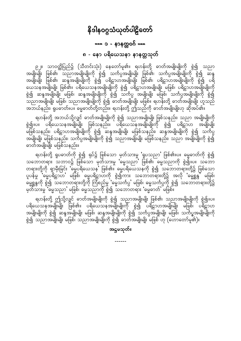## နိဒါန၀ဂွသံယုတ်ပါဠိတော်

### === ၁ - နာနတ္တဝဂ် ===

### ၈ - နော ပရိယေသနာ နာနတ္တသုတ်

၉၂။ သာဝတ္ထိပြည်၌ (သီတင်းသုံး) နေတော်မူ၏။ ရဟန်းတို့ ဓာတ်အမျိုးမျိုးကို စွဲ၍ သညာ အမျိုးမျိုး ဖြစ်၏၊ သညာအမျိုးမျိုးကို စွဲ၍ သင်္ကပ္ပအမျိုးမျိုး ဖြစ်၏၊ သင်္ကပ္ပအမျိုးမျိုးကို စွဲ၍ ဆန္ဒ<br>အမျိုးမျိုး ဖြစ်၏၊ ဆန္ဒအမျိုးမျိုးကို စွဲ၍ ပရိဠာဟအမျိုးမျိုး ဖြစ်၏၊ ပရိဠာဟအမျိုးမျိုးကို စွဲ၍ ပရိ ယေသနအမျိုးမျိုး ဖြစ်၏။ ပဲရိယေသနအမျိုးမျိုးကို စွဲ၍ ပရိဋ္ဌာဟအမျိုးမျိုး မဖြစ်၊ ပရိဋ္ဌာဟအမျိုးမျိုးကို စွဲ၍ ဆန္ဒအမျိုးမျိုး မဖြစ်၊ ဆန္ဒအမျိုးမျိုးကို စွဲ၍ သင်္ကပ္ပ အမျိုးမျိုး မဖြစ်၊ သင်္ကပ္ပအမျိုးမျိုးကို စွဲ၍ သညာအမျိုးမျိုး မဖြစ်၊ သညာအမျိုးမျိုးကို စွဲ၍ ဓာတ်အမျိုးမျိုး မဖြစ်။ ရဟန်းတို့ ဓာတ်အမျိုးမျိုး ဟူသည် အဘယ်နည်း၊ ရူပဓာတ်။ပ။ ဓမ္မဓာတ်တို့တည်း။ ရဟန်းတို့ ဤသည်ကို ဓာတ်အမျိုးမျိုးဟု ဆိုအပ်၏။

ရဟန်းတို့ အဘယ်သို့လျှင် ဓာတ်အမျိုးမျိုးကို စွဲ၍ သညာအမျိုးမျိုး ဖြစ်သနည်း၊ သညာ အမျိုးမျိုးကို စြောက်သည်။ ပြန်ထေသနအမျိုးမျိုး ဖြစ်သနည်း။ ပရိယေသနအမျိုးမျိုးကို စွဲ၍ ပရိဠာဟ အမျိုးမျိုး ိမ္မိတ်သနည်း၊ ပရိဋ္ဌာဟအမျိုးမျိုးကို စွဲ၍ ဆန္ဒအမျိုးမျိုး မဖြစ်သနည်း၊ ဆန္ဒအမျိုးမျိုးကို စွဲ၍ သင်္ကပ္ပ အမျိုးမျိုး မဖြစ်သနည်း၊ သင်္ကပ္ပအမျိုးမျိုးကို စွဲ၍ သညာအမျိုးမျိုး မဖြစ်သနည်း၊ သညာ အမျိုးမျိုးကို စွဲ၍ ဓာတ်အမျိုးမျိုး မဖြစ်သနည်း။

ရဟန်းတို့ ရူပဓာတ်ကို စွဲ၍ ရုပ်၌ ဖြစ်သော မှတ်သားမှု 'ရူပသညာ' ဖြစ်၏။ပ။ ဓမ္မဓာတ်ကို စွဲ၍<br>သဘောတရား သဘာဝ၌ ဖြစ်သော မှတ်သားမှု 'မွေသညာ' ဖြစ်၏၊ ဓမ္မသညာကို စွဲ၍။ပ။ သဘော တရားတို့ကို ရှာမှီးခြင်း 'ဓမ္မပရိယေသနႛ ဖြစ်၏။ ဓမ္မပရိယေသနကို စွဲ၍ သဘောတရားတို့၌ ဖြစ်သော ပူပန်မှု ်ဓမ္မပရိဠာဟ' မဖြစ်၊ ဓမ္မပရိဠာဟကို စွဲ၍ကား သဘောတရားတို့၌ အလို 'ဓမ္မစ္ဆန္ဒ' မဖြစ်၊<br>ဓမ္မစ္ဆန္ဒကို စွဲ၍ သဘောတရားတို့ကို ကြံစည်မှု ဓမ္မသင်္ကပ္ပ' မဖြစ်၊ ဓမ္မသင်္ကပ္ပတို စွဲ၍ သဘောတရားတို့၌ မှတ်သားမှု 'ဓမ္မသညာ' မဖြစ်၊ ဓမ္မသညာကို စွဲ၍ သဘောတရား 'ဓမ္မဓာတ်' မဖြစ်။

ရဟန်းတို့ ဤသို့လျှင် ဓာတ်အမျိုးမျိုးကို စွဲ၍ သညာအမျိုးမျိုး ဖြစ်၏၊ သညာအမျိုးမျိုးကို စွဲ၍။ပ။<br>ပရိယေသနအမျိုးမျိုး ဖြစ်၏။ ပရိယေသနအမျိုးမျိုးကို စွဲ၍ ပရိဠာဟအမျိုးမျိုး မဖြစ်၊ ပရိဠာဟ ့<br>အမျိုးမျိုးကို စွဲ၍ ဆန္ဒအမျိုးမျိုး မဖြစ်၊ ဆန္ဒအမျိုးမျိုးကို စွဲ၍ သင်္ကပ္ပအမျိုးမျိုး မဖြစ်၊ သင်္ကပ္စအမျိုးမျိုးကို စွဲ၍ သညာအမျိုးမျိုး မဖြစ်၊ သညာအမျိုးမျိုးကို စွဲ၍ ဓာတ်အမျိုးမျိုး မဖြစ် ဟု (ဟောတော်မူ၏)။

အဋ္ဌမသုတ်။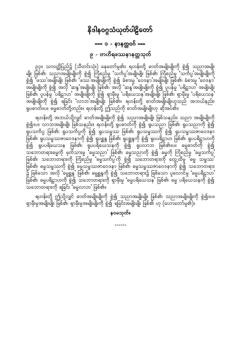# နိဒါန၀ဂွသံယုတ်ပါဠိတော် === ၁ - နာနတ္တဝဂ် === ၉ - ဗာဟိရဖဿနာနတ္တသုတ်

၉၃။ သာဝတ္ထိပြည်၌ (သီတင်းသုံး) နေတော်မူ၏။ ရဟန်းတို့ ဓာတ်အမျိုးမျိုးကို စွဲ၍ သညာအမျိုး ျေး ဖြစ်၏၊ သညာအမျိုးမျိုးကို စွဲ၍ ကြံစည်မှု 'သင်္ကပ္ပ'အမျိုးမျိုး ဖြစ်၏၊ ကြံစည်မှု 'သင်္ကပ္ပ'အမျိုးမျိုးကို<br>စွဲ၍ 'ဖဿ'အမျိုးမျိုး ဖြစ်၏၊ 'ဖဿ'အမျိုးမျိုးကို စွဲ၍ ခံစားမှု 'ဝေဒနာ'အမျိုးမျိုး ဖြစ်၏၊ ခံစားမှု 'ဝေဒနာ' ိဆိုမျိုးမျိုးကို စွဲ၍ အလို 'ဆန္ဒ'အမျိုးမျိုး ဖြစ်၏၊ အလို 'ဆန္ဒ'အမျိုးမျိုးကို စွဲ၍ ပူပန်မှု 'ပရိဠာဟ' အမျိုးမျိုး<br>ဖြစ်၏၊ ပူပန်မှု 'ပရိဠာဟ' အမျိုးမျိုးကို စွဲ၍ ရှာမှီးမှု 'ပရိယေသန'အမျိုးမျိုး ဖြစ်၏၊ ရှာမှီးမှု 'ပရိယေသန' -<br>အမျိုးမျိုးကို စွဲ၍ ရြခြင်း 'လာဘ'အမျိုးမျိုး ဖြစ်၏။ ရဟန်းတို့ ဓာတ်အမျိုးမျိုးဟူသည် အဘယ်နည်း၊ ရူပဓာတ်။ပ။ ဓမ္မဓာတ်တို့တည်း။ ရဟန်းတို့ ဤသည်ကို ဓာတ်အမျိုးမျိုးဟု ဆိုအပ်၏။

ရဟန်းတို့ အဘယ်သို့လျှင် ဓာတ်အမျိုးမျိုးကို စွဲ၍ သညာအမျိုးမျိုး ဖြစ်သနည်း၊ သညာ အမျိုးမျိုးကို စွဲ၍။ပ။ လာဘအမျိုးမျိုး ဖြစ်သနည်း။ ရဟန်းတို့ ရူပဓာတ်ကို စွဲ၍ ရူပသညာ ဖြစ်၏၊ ရူပသညာကို စွဲ၍ ိမ္မွ<br>ရူပသင်္ကပ္ပ ဖြစ်၏၊ ရူပသင်္ကပ္ပကို စွဲ၍ ရူပသမ္ဖဿ ဖြစ်၏၊ ရူပသမ္ဖဿကို စွဲ၍ ရူပသမ္ဖဿဇာဝေဒနာ ဖြစ်၏၊ ရူပသမ္မဿဇာဝေဒနာကို စွဲ၍ ရူပစ္ဆန္ဒ ဖြစ်၏၊ ရူပစ္ဆန္ဒကို စွဲ၍ ရူပပရိဠာဟ ဖြစ်၏၊ ရူပပရိဠာဟကို .<br>စွဲ၍ ရူပပရိယေသန ဖြစ်၏၊ ရူပပရိယေသနကို စွဲ၍ ရူပလာဘ ဖြစ်၏။ပ။ ဓမ္မဓာတ်ကို စွဲ၍ ိ<sup>႕ ။ ၊</sup> ပြ<br>သဘောတရားဓမ္မကို မှတ်သားမှု ဓမ္မသညာ ဖြစ်၏၊ ဓမ္မသညာကို စွဲ၍ ဓမ္မကို ကြံစည်မှု ဓမ္မသင်္ကပ္ပ**ဲ** .<br>ဖြစ်၏၊ သဘောတရားကို ကြံစည်မှု 'ဓမ္မသင်္ကပ္ပ'ကို စွဲ၍ သဘောတရားကို တွေ့ထိမှု 'ဓမ္မ သမ္ဗဿ' ဖြစ်၏၊ ဓမ္မသမ္ဗဿကို စွဲ၍ ဓမ္မသမ္ဗဿဇာဝေဒနာ ဖြစ်၏၊ ဓမ္မသမ္ဗဿဇာဝေဒနာကို စွဲ၍ သဘောတရား ၌ ဖြစ်သော အလို 'ဓမ္မစ္ဆန္ဒ' ဖြစ်၏၊ ဓမ္မစ္ဆန္ဒကို စွဲ၍ သဘောတရား၌ ဖြစ်သော ပူလောင်မှု 'ဓမ္မပရိဋ္ဌာဟ' ဖြစ်၏၊ ဓမ္မပရိဋ္ဌာဟကို စွဲ၍ သဘောတရားကို ရှာမှီးမှု**ံ**ဓမ္မပရိယေသန**ံ** ဖြစ်၏၊ ဓမ္မ ပရိယေသနကို စွဲ၍ သဘောတရားကို ရခြင်း်ခ်မ္မလာဘဲ ဖြစ်၏။

ရဟန်းတို့ ဤသို့လျှင် ဓာတ်အမျိုးမျိုးကို စွဲ၍ သညာအမျိုးမျိုး ဖြစ်၏၊ သညာအမျိုးမျိုးကို စွဲ၍။ပ။<br>ရှာမှီးမှုအမျိုးမျိုး ဖြစ်၏၊ ရှာမှီးမှုအမျိုးမျိုးကို စွဲ၍ ရခြင်းအမျိုးမျိုး ဖြစ်၏ ဟု (ဟောတော်မူ၏)။

နဝမသုတ်။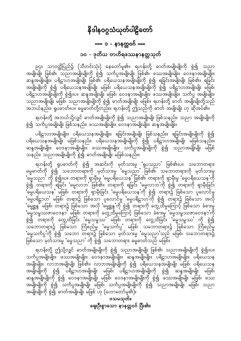# နိဒါနဝဂ္ဂသံယုတ်ပါဠိတော် === ၁ - နာနတ္တဝဂ် ===

### ၁၀ - ဒုတိယ ဗာဟိရဖဿနာနတ္တသုတ်

၉၄။ သာဝတ္တိပြည်၌ (သီတင်းသုံး) နေတော်မူ၏။ ရဟန်းတို့ ဓာတ်အမျိုးမျိုးကို စွဲ၍ သညာ .<br>အမျိုးမျိုး ဖြစ်၏၊ သညာအမျိုးမျိုးကို စွဲ၍ သင်္ကပ္ပအမျိုးမျိုး ဖြစ်၏၊ ဖဿအမျိုးမျိုး။ ဝေဒနာအမျိုးမျိုး။ ဆန္ဒအမျိုးမျိုး။ ပရိဋ္ဌာဟအမျိုးမျိုး ဖြစ်၏၊ ပရိယေသနအမျိုးမျိုးကို စွဲ၍ ရခြင်းအမျိုးမျိုး ဖြစ်၏။ ရခြင်း အမျိုးမျိုးကို စွဲ၍ ပရိယေသနအမျိုးမျိုး မဖြစ်၊ ပရိယေသနအမျိုးမျိုးကို စွဲ၍ ပရိဋ္ဌာဟအမျိုးမျိုး မဖြစ်၊ ပရိင္မွာဟအမျိုးမျိုးကို စွဲ၍။ပ။ ဆန္ဒအမျိုးမျိုး မဖြစ်၊ ဝေဒနာအမျိုးမျိုး။ ဖဿအမျိုးမျိုး။ သင်္ကပ္ပ အမျိုးမျိုး။ သညာအမျိုးမျိုး မဖြစ်၊ သညာအမျိုးမျိုးကို စွဲ၍ ဓာတ်အမျိုးမျိုး မဖြစ်။ ရဟန်းတို့ ဓာတ် အမျိုးမျိုးတို့သည် အဘယ်နည်း။ ရူပဓာတ်။ပ။ ဓမ္မဓာတ်တို့တည်း။ ရဟန်းတို့ ဤသည်ကို ဓာတ် အမျိုးမျိုး ဟု ဆိုအပ်၏။

ရဟန်းတို့ အဘယ်သို့လျှင် ဓာတ်အမျိုးမျိုးကို စွဲ၍ သညာအမျိုးမျိုး ဖြစ်သနည်း၊ သညာ အမျိုးမျိုးကို စွဲ၍ သင်္ကပ္ပအမျိုးမျိုး ဖြစ်သနည်း၊ ဖဿအမျိုးမျိုး။ ဝေဒနာအမျိုးမျိုး။ ဆန္ဒအမျိုးမျိုး။

ပရိဠာဟအမျိုးမျိုး။ ပရိယေသနအမျိုးမျိုး။ ရခြင်းအမျိုးမျိုး ဖြစ်သနည်း။ ရခြင်းအမျိုးမျိုးကို စွဲ၍ ပရိယေသနအမျိုးမျိုး မဖြစ်သနည်း၊ ပရိယေသနအမျိုးမျိုးကို စွဲ၍ ပရိဠာဟအမျိုးမျိုး မဖြစ်သနည်း။ ဆန္ဒအမျိုးမျိုး။ ငေဒနာအမျိုးမျိုး။ ဖဿအမျိုးမျိုး။ သင်္ကပ္ပအမျိုးမျိုးကို စွဲ၍ သညာအမျိုးမျိုး မဖြစ် သနည်း၊ သညာအမျိုးမျိုးကို စွဲ၍ ဓာတ်အမျိုးမျိုး မဲဖြစ်သနည်း။

ရဟန်းတို့ ရူပဓာတ်ကို စွဲ၍ အဆင်းကို မှတ်သားမှု 'ရူပသညာ' ဖြစ်၏။ပ။ သဘောတရား<br>ဓုမ္မဓာတ်ကို စွဲ၍ သဘောတရားကို မှတ်သားမှု 'ဓမ္မသညာ' ဖြစ်၏၊ သဘောတရားကို မှတ်သားမှု ်မိမ္မသညာ ကို စွဲ၍။ပ။ တရားကို ရှာမှီးမှု 'ဓမ္မပရိယေ့သန' ဖြစ်၏၊ တရားကို ရှာမှီးမှု 'ဓမ္မပရိယေသန'ကို စွဲ၍ တရားကို ရခြင်း 'ဓမ္မလာဘ'်ဖြစ်၏။ တရားကို ရခြင်း 'ဓမ္မလာဘ'ကို စွဲ၍ တရားကို ရှာမှီးခြင်း ို့<br>'ဓမ္မပရိယေသန' မဖြစ်၊ တရားကို ရှာမှီးခြင်း 'ဓမ္မပရိယေသန'ကို စွဲ၍ တရား၌ ဖြစ်သော ပူလောင်မှု<br>'ဓမ္မပရိဋ္ဌာဟ' မဖြစ်၊ တရား၌ ဖြစ်သော ပူလောင်မှု 'ဓမ္မပရိဋ္ဌာဟ'ကို စွဲ၍ တရား၌ ဖြစ်သော အလို **်**ဓမ္မစ္ဆန္ဒ<sup>ဲ</sup> မဖြစ်၊ တရား၌ ဖြစ်သော အလို 'ဓမ္မစ္ဆန္ဒ'ကို စွဲ၍ တရားကို တွေ့ထိမှုကြောင့် ဖြစ်သော ခံစားမှု ်မ္မေသမ္ဗဿဇာဝေဒနာႛမဖြစ်၊ တရားကို တွေ့ထိမှုကြောင့် ဖြစ်သော ခံစားမှု `ဓမ္မသမ္ဗဿဇာဝေဒနာႛကို စွဲ၍ တရားကို တွေ့ထိခြင်း 'မွေသမ္ဖဿ' မဖြစ်၊ တရားကို တွေ့ထိခြင်း 'မွေသမ္ဖဿ' ကို စွဲ၍ ိမ္မိဘာတရား၌ ဖြစ်သော ကြံစည်မှု 'ဓမ္မသင်္ကပ္ပ' မဖြစ်၊ သဘောတရား၌ ဖြစ်သော ကြံစည်မှု 'ဓမ္မသင်္ကပ္ပ'ကို စွဲ၍ သဘော တရား၌ ဖြစ်သော မှတ်သားမှု 'ဓမ္မသညာ'သည် မဖြစ်၊ သဘောတရား၌<br>ဖြစ်သော မှတ်သားမှု 'ဓမ္မသညာ' ကို စွဲ၍ သဘောတရား ဓမ္မဓာတ်သည် မဖြစ်။

ရဟန်းတို့ ဤသို့လျှင် ဓာတ်အမျိုးမျိုးကို စွဲ၍ သညာအမျိုးမျိုး ဖြစ်၏၊ သညာအမျိုးမျိုးကို စွဲ၍။ပ။ သင်္ကပ္ပအမျိုးမျိုး။ ဖဿအမျိုးမျိုး။ ဝေဒနာအမျိုးမျိုး။ ဆန္ဒအမျိုးမျိုး။ ပရိဠာဟအမျိုးမျိုး။ ပရိယေသန အမျိုးမျိုး။ လာဘအမျိုးမျိုး ဖြစ်၏။ လာဘအမျိုးမျိုးကို စွဲ၍ ပရိယေသနအမျိုးမျိုး မဖြစ်၊ ပရိယေသန အမျိုးမျိုးကို စွဲ၍ ပရိဠာဟအမျိုးမျိုး မဖြစ်၊ ပရိဠာဟအမျိုးမျိုးကို စွဲ၍ ဆန္ဒအမျိုးမျိုး မဖြစ်၊<br>ဆန္ဒအမျိုးမျိုးကို စွဲ၍ ဝေဒနာအမျိုးမျိုး မဖြစ်၊ ဝေဒနာအမျိုးမျိုးကို စွဲ၍ ဖဿအမျိုးမျိုး မဖြစ်၊ ဖဿ<br>အမျိုးမျိုးကို စွဲ၍ သင်္ကပ္ပအမ အမျိုးမျိုးကို စွဲ၍ ဓာတ်အမျိုးမျိုး မဲဖြစ် ဟု (ဟောတော်မူ၏)။

> ဒသမသုတ်။ ရှေးဦးစွာသော နာနတ္တဝဂ် ပြီး၏။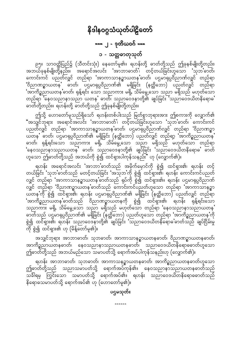## နိဒါန၀ဂ္ဂသံယုတ်ပါဠိတော်

=== ၂ - ဒုတိယဝဂ် ===

၁ - သတ္တဓာတုသုတ်

၉၅။ သာဝတ္ထိပြည်၌ (သီတင်းသုံး) နေတော်မူ၏။ ရဟန်းတို့ ဓာတ်တို့သည် ဤခုနစ်မျိုးတို့တည်း၊ အဘယ်ခုနစ်မျိုးတို့နည်း။ အရောင်အလင်း အာဘာဓာတ်<sup>၊</sup> တင့်တယ်ခြင်းဟူသော သုတ် ဓာတ်၊ ကောင်းကင် ပညတ်လျှင် တည်ရာ 'အာကာသာနဉ္စာယတန'ဓာတ်၊ ပဌမာရုပ္ပဝိညာဏ်လျှင် တည်ရာ 'ဝိညာဏဉ္စာယတန' ဓာတ်၊ ပဌမာရုပ္ပဝိညာဏ်၏ မရှိခြင်း (နတ္ထိဘော) ပညတ်လျှင် တည်ရာ 'အာကိဥ္စညာယတန'ဓာတ်၊ ရုန့်ရင်း သော သညာကား မရှိ, သိမ်မွေ့သော သညာ မရှိသည် မဟုတ်သော တည်ရာ 'နေဝသညာနာသညာ ယတန' ဓာတ်၊ သညာဝေဒနာတို့၏ ချုပ်ခြင်း 'သညာဝေဒယိတန်ရောဓ' ဓာတ်တို့တည်း။ ရဟန်းတို့ ဓာတ်တို့သည် ဤခုနစ်မျိုးတို့တည်း။

ဤသို့ ဟောတော်မူသည်ရှိသော် ရဟန်းတစ်ပါးသည် မြတ်စွာဘုရားအား ဤစကားကို လျှောက်၏ "အသျှင်ဘုရား အရောင်အလင်း 'အာဘာဓာတ်'၊ တင့်တယ်ခြင်းဟူသော 'သုဘ'ဓာတ်၊ ကောင်းကင် ပညတ်လျှင် တည်ရာ 'အာကာသာနဉ္စာယတန'ဓာတ်၊ ပဌမာရုပ္ပဝိညာဏ်လျှင် တည်ရာ 'ဝိညာဏဉ္စာ ယတနႛ ဓာတ်၊ ပဌမာရုပ္ပဝိညာဏ်၏ မရှိခြင်း (နတ္တိဘော) ပညတ်လျှင် တည်ရာ့ 'အာကိဥ္စညာယတန' ဓာတ်၊ ရုန့်ရင်းသော သညာကား မရှိ သိမ်မွေ့သော သညာ မရှိသည် မဟုတ်သော တည်ရာ 'နေဝသညာနာသညာယတနှ' ဓာတ်၊ သညာဝေဒနာတို့၏ ချပ်ခြင်း 'သညာဝေဒယိတနိရောဓ' ဓာတ် ဟူသော ဤဓာတ်တို့သည် အဘယ်ကို စွဲ၍ ထင်ရှားပါကုန်သနည်း" ဟု (လျှောက်၏)။

ရဟန်း အရောင်အလင်း 'အာဘာ'ဓာတ်သည် အမိုက်မှောင်ကို စွဲ၍ ထင်ရှား၏၊ ရဟန်း တင့် တယ်ခြင်း 'သုဘ'ဓာတ်သည် မတင့်တယ်ခြင်း 'အသုဘ'ကို စွဲ၍ ထင်ရှား၏၊ ရဟန်း ကောင်းကင်ပညတ် လျှင် တည်ရာ 'အာကာသာနဥ္စာယတန'ဓာတ်သည် ရုပ်ကို စွဲ၍ ထင်ရှား၏။ ရဟန်း ပဌမာရုပ္ပဝိညာဏ်<br>လျှင် တည်ရာ 'ဝိညာဏဉ္စာယတန'ဓာတ်သည် ကောင်းကင်ပညတ်ဟူသော တည်ရာ 'အာကာသာနဉ္စာ ္ "<br>ယတန ကို စွဲ၍ ထင်ရှား၏၊ ရဟန်း ပဌမာရုပ္ပဝိညာဏ်၏ မရှိခြင်း (နတ္ထိဘော) ပညတ်လျှင် တည်ရာ 'အာကိဥ္စညာယတန'ဓာတ်သည် ဝိညာဏဥ္စာယတနကို စွဲ၍ ထင်ရှား၏၊ ရဟန်း ရုန့်ရင်းသော သညာကား မရှိ, သိမ်မွေ့သော သညာ မရှိသည် မဟုတ်သော တည်ရာ 'နေဝသညာနာသညာယတန' ဓာတ်သည် ပဌမာရုပ္ပဝိညာဏ်၏ မရှိခြင်း (နတ္ထိဘော) ပညတ်ဟူသော တည်ရာ 'အာကိဥ္စညာယတန'ကို စွဲ၍ ထင်ရှား၏၊ ရဟန်း သညာဝေဒနာတို့၏ ချုပ်ခြင်း 'သညာဝေဒယိတနိရောဓ'ဓာတ်သည် ချုပ်ငြိမ်းမှု ကို စွဲ၍ ထင်ရှား၏ ဟု (မိန့်တော်မူ၏)။

အသျှင်ဘုရား အာဘာဓာတ်၊ သုဘဓာတ်၊ အာကာသာနဉ္စာယတနဓာတ်၊ ဝိညာဏဉ္စာယတနဓာတ်၊ အာကိဥ္စညာယတနဓာတ်၊ နေ၀သညာနာသညာယတနဓာတ်၊ သညာဝေဒယိတနိရောဓဓာတ်ဟူသော ဤဓာတ်တို့သည် အဘယ်မည်သော သမာပတ်သို့ ရောက်အပ်ပါကုန်သနည်းဟု (လျှောက်၏)။

ရဟန်း အာဘာဓာတ်၊ သုဘဓာတ်၊ အာကာသနဉ္စာယတနဓာတ်၊ အာကိဉ္စညာယတနဓာတ်ဟူသော ဤဓာတ်တို့သည် သညာသမာပတ်သို့ ရောက်အပ်ကုန်၏။ နေဝသညာနာသညာယတနဓာတ်သည် —<br>သခ်ီါရမှ ကြွင်းသော သမာပတ်သို့ ရောက်အပ်၏။ ရဟန်း သညာဝေဒယိတနိရောဓဓာတ်သည် နိရောဓသမာပတ်သို့ ရောက်အပ်၏ ဟု (ဟောတော်မူ၏)။

### ပဌမသုတ်။

 $- - - - - -$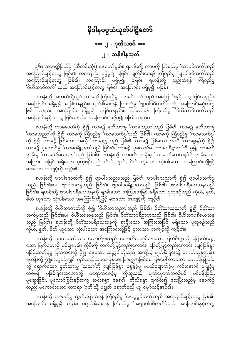## နိဒါန၀ဂွသံယုတ်ပါဠိတော်

=== ၂ - ဒုတိယဝဂ် ===

၂ - သနိဒါနသုတ်

၉၆။ သာဝတ္တိပြည်၌ (သီတင်းသုံး) နေတော်မူ၏။ ရဟန်းတို့ ကာမကို ကြံစည်မှု 'ကာမဝိတက်'သည် အကြောင်းနှင့်တကွ ဖြစ်၏၊ အကြောင်း မရှိမူ၍ မဖြစ်။ ပျက်စီးစေရန် ကြံစည်မှု 'ဗျာပါဒဝိတက်'သည် 'ဝိတိံသာဝိတက်' သည် အကြောင်းနှင့်တကွ ဖြစ်၏၊ အကြောင်း မရှိမူ၍ မဖြစ်။

ရဟန်းတို့ အဘယ်သို့လျှင် ကာမကို ကြံစည်မှု 'ကာမဝိတက်'သည် အကြောင်းနှင့်တကွ ဖြစ်သနည်း၊<br>အကြောင်း မရှိမူ၍ မဖြစ်သနည်း။ ပျက်စီးစေရန် ကြံစည်မှု 'ဗျာပါဒဝိတက်'သည် အကြောင်းနှင့်တကွ ဖြစ် သနည်း၊ အကြောင်း မရှိမူ၍ မဖြစ်သနည်း။ ညှဉ်းဆဲရန် ကြံစည်မှု ဝိဟိံသာဝိတက်'သည် အကြောင်းနှင့် တကွ ဖြစ်သနည်း၊ အကြောင်း မရှိမှု၍ မဖြစ်သနည်း။

ရဟန်းတို့ ကာမဓာတ်ကို စွဲ၍ ကာမ၌ မှတ်သားမှု 'ကာမသညာ'သည် ဖြစ်၏၊ ကာမ၌ မှတ်သားမှု **်**ကာမသညာ ကို စွဲ၍ ကာမကို ကြံစည်မှု 'ကာမသင်္ကပ္ပ'သည် ဖြစ်၏၊ ကာမကို ကြံစည်မှု 'ကာမသင်္ကပ္ပ' ကို စွဲ၍ ကာမ၌ ဖြစ်သော အလို 'ကာမစ္ဆန္ဒ'သည် ဖြစ်၏၊ ကာမ၌ ဖြစ်သော အလို 'ကာမစ္ဆန္ဒ'ကို စွဲ၍<br>ကာမ၌ ပူလောင်မှု 'ကာမပရိဋ္ဌာဟ'သည် ဖြစ်၏၊ ကာမ၌ ပူလောင်မှု 'ကာမပရိဋ္ဌာဟ'ကို စွဲ၍ ကာမကို ရှာမှီးမှု 'ကာမပရိယေသန'သည် ဖြစ်၏။ ရဟန်းတို့ ကာမကို ရှာမှီးမှု 'ကာမပရိယေသန'ကို ရှာမှီးသော<br>အကြား အမြင် မရှိသော ပုထုဇဉ်သည် ကိုယ်, နှုတ်, စိတ် ဟူသော သုံးပါးသော အကြောင်းတို့ဖြင့် မှားသော အကျင့်ကို ကျင့်၏။

ရဟန်းတို့ ဗျာပါဒဓာတ်ကို စွဲ၍ ဗျာပါဒသညာသည် ဖြစ်၏၊ ဗျာပါဒသညာကို စွဲ၍ ဗျာပါဒသင်္ကပ္ပ<br>သည် ဖြစ်၏။ပ။ ဗျာပါဒဆန္ဒသည် ဖြစ်၏၊ ဗျာပါဒပရိဋာဟသည် ဖြစ်၏၊ ဗျာပါဒပရိယေသနသည် ဖြစ်၏။ ရဟန်းတို့ ဗျာပါဒပရိယေသနကို ရှာမှီးသော အကြားအမြင် မရှိသော ပုထုဇဉ်သည် ကိုယ်, နူတ်, စိတ် ဟူသော သုံးပါးသော အကြောင်းတို့ဖြင့် မှားသော အကျင့်ကို ကျင့်၏။

ရဟန်းတို့ ဝိဟိံသာဓာတ်ကို စွဲ၍ 'ဝိဟိံသာသညာ'သည် ဖြစ်၏၊ ဝိဟိံသာသညာကို စွဲ၍ ဝိဟိံသာ သင်္ကပ္ပသည် ဖြစ်၏။ပ။ ဝိတိံသာဆန္ဒသည် ဖြစ်၏၊ ဝိတိံသာပရိဋ္ဌာဟသည် ဖြစ်၏၊ ဝိတိံသာပရိယေသန သည် ဖြစ်၏။ ရဟန်းတို့ ဝိတိံသာပရိယေသနကို ရှာမှီးသော အကြားအမြင် မရှိသော ပုထုဇဉ်သည် ကိုယ်, နူတ်, စိတ် ဟူသော သုံးပါးသော အကြောင်းတို့ဖြင့် မှားသော အကျင့်ကို ကျင့်၏။

ရဟန်းတို့ ဉပမာသော်ကား ယောက်ျားသည် တောက်လောင်နေသော မြက်မီးရှူးကို ခြောက်သွေ့ သော မြက်တော၌ ပစ်ချရာ၏၊ ထိုမီးကို လက်တို့ဖြင့်လည်းကောင်း၊ ခြေတို့ဖြင့်လည်းကောင်း လျင်မြန်စွာ မငြိမ်းသတ်ခဲ့မူ မြက်ထင်းကို မှီ၍ နေသော သတ္တဝါတို့သည် အကျိုးမဲ့ ပျက်စီးခြင်းသို့ ရောက်ကုန်ရာ၏။ ရဟန်းတို့ ဤအတူပင်လျှင် မည်သည့်သမဏဖြစ်စေ၊ ဗြာဟ္မဏဖြစ်စေ ဖြစ်ပေါ် လာသော ဖောက်ပြန်ခြင်း ာ်<br>သို့ ရောက်သော မှတ်သားမှု သညာ ကို လျင်မြန်စွာ မစွန့်ခဲ့မှု မပယ်ဖျောက်ခဲ့မှု ကင်းအောင် မပြုခဲ့မှု တစ်ဖန် မဖြစ်ခြင်းသဘောသို့ မရောက်စေခဲ့မှု ထိုသူသည် မျက်မှောက်ဘဝ၌ပင် ပင်ပန်းခြင်း, ပူဆွေးခြင်း, ပူလောင်ခြင်းနှင့်တကွ ဆင်းရဲစွာ နေရ၏၊ ကိုယ်ခန္ဓာ ပျက်စီး၍ သေပြီးသည်မှ နောက်၌ လည်း မကောင်းသော လားရာ 'ဂတိ'သို့ မချွတ် ရောက်မည် ဟု မျှော်လင့်အပ်၏။

ရဟန်းတို့ ကာမတို့မှ ထွက်မြောက်ရန် ကြံစည်မှု 'နေက္ခမ္မဝိတက်'သည် အကြောင်းနှင့်တကွ ဖြစ်၏၊<br>အကြောင်း မရှိမူ၍ မဖြစ်။ မပျက်စီးစေရန် ကြံစည်မှု 'အဗျာပါဒဝိတက်'သည် အကြောင်းနှင့်တကွ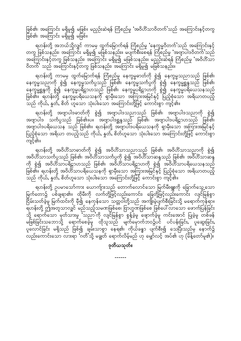ဖြစ်၏၊ အကြောင်း မရှိမူ၍ မဖြစ်။ မညှဉ်းဆဲရန် ကြံစည်မှု 'အဝိတိံသာဝိတက်'သည် အကြောင်းနှင့်တကွ ဖြစ်၏၊ အကြောင်း မရှိမူ၍ မဖြစ်။

ရဟန်းတို့ အဘယ်သို့လျှင် ကာမမှ ထွက်မြောက်ရန် ကြံစည်မှု 'နေက္ခမ္မဝိတက်'သည် အကြောင်းနှင့် တကွ ဖြစ်သနည်း၊ အကြောင်း မရှိမူ၍ မဖြစ်သနည်း။ မပျက်စီးစေရန် ကြံစည်မှု 'အဗျာပါဒဝိတက်'သည် အကြောင်းနှင့်တကွ ဖြစ်သနည်း၊ အကြောင်း မရှိမူ၍ မဖြစ်သနည်း။ မညှဉ်းဆဲရန် ကြံစည်မှု 'အဝိဟိံသာ ဝိတက် သည် အကြောင်းနှင့်တကွ ဖြစ်သနည်း၊ အကြောင်း မရှိမူ၍ မဖြစ်သနည်း။

ရဟန်းတို့ ကာမမှ ထွက်မြောက်ရန် ကြံစည်မှု နေက္ခမ္မဓာတ်ကို စွဲ၍ နေက္ခမ္မသညာသည် ဖြစ်၏၊ နေက္ခမ္မသညာကို စွဲ၍ နေက္ခမ္မသင်္ကပ္ပသည် ဖြစ်၏၊ နေက္ခမ္မသင်္ကပ္ပတို စွဲ၍ နေက္ခမ္မစ္ဆန္ဒသည် ဖြစ်၏၊<br>နေက္ခမ္မစ္ဆန္ဒကို စွဲ၍ နေက္ခမ္မပရိဠာဟသည် ဖြစ်၏၊ နေက္ခမ္မပရိဠာဟကို စွဲ၍ နေက္ခမ္မပရိယေသနသည် ဖြစ်၏။ ရဟန်းတို့ နေက္ခမ္မပရိယေသနကို ရှာမှီးသော အကြားအမြင်နှင့် ပြည့်စုံသော အရိယာတပည့် သည် ကိုယ်, နူတ်, စိတ် ဟူသော သုံးပါးသော အကြောင်းတို့ဖြင့် ကောင်းစွာ ကျင့်၏။

ရဟန်းတို့ အဗျာပါဒဓာတ်ကို စွဲ၍ အဗျာပါဒသညာသည် ဖြစ်၏၊ အဗျာပါဒသညာကို စွဲ၍ အဗျာပါဒ သင်္ကပ္ပသည် ဖြစ်၏။ပ။ အဗျာပါဒစ္ဆန္ဒသည် ဖြစ်၏၊ အဗျာပါဒပရိဠာဟသည် ဖြစ်၏၊<br>အဗျာပါဒပရိယေသန သည် ဖြစ်၏။ ရဟန်းတို့ အဗျာပါဒပရိယေသနကို ရှာမှီးသော အကြားအမြင်နှင့် ပြည့်စုံသော အရိယာ တပည့်သည် ကိုယ်, နှုတ်, စိတ်ဟူသော သုံးပါးသော အကြောင်းတို့ဖြင့် ကောင်းစွာ 

ရဟန်းတို့ အဝိဟိံသာဓာတ်ကို စွဲ၍ အဝိဟိံသာသညာသည် ဖြစ်၏၊ အဝိဟိံသာသညာကို စွဲ၍<br>အဝိဟိံသာသင်္ကပ္ပသည် ဖြစ်၏၊ အဝိဟိံသာသင်္ကပ္ပကို စွဲ၍ အဝိဟိံသာဆန္ဒသည် ဖြစ်၏၊ အဝိဟိံသာဆန္ဒ ကို စွဲ၍ အဝိတိံသာပရိဋ္ဌာဟသည် ဖြစ်၏၊ အဝိတိံသာပရိဋ္ဌာဟကို စွဲ၍ အဝိတိံသာပရိယေသနသည် ဖြစ်၏။ ရဟန်းတို့ အဝိတိံသာပရိယေသနကို ရှာမှီးသော အကြားအမြင်နှင့် ပြည့်စုံသော အရိယာတပည့် .<br>သည် ကိုယ်, နှုတ်, စိတ်ဟူသော သုံးပါးသော အကြောင်းတို့ဖြင့် ကောင်းစွာ ကျင့်၏။

ရဟန်းတို့ ဉပမာသော်ကား ယောက်ျားသည် တောက်လောင်သော မြက်မီးရှူးကို ခြောက်သွေ့သော .<br>မြက်တော၌ ပစ်ချရာ၏။ ထိုမီးကို လက်တို့ဖြင့်လည်းကောင်း၊ ခြေတို့ဖြင့်လည်းကောင်း လျင်မြန်စွာ ၂၂<br>ငြိမ်းသတ်ခဲ့မူ မြက်ထင်းကို မှီ၍ နေကုန်သော သတ္တဝါတို့သည် အကျိုးမဲ့ပျက်စီးခြင်းသို့ မရောက်ကုန်ရာ။ -<br>ရဟန်းတို့ ဤအတူသာလျှင် မည်သည့်သမဏဖြစ်စေ၊ ဗြာဟ္မဏဖြစ်စေ ဖြစ်ပေါ် လာသော ဖောက်ပြန်ခြင်း သို့ ရောက်သော မှတ်သားမှု သညာ ကို လျင်မြန်စွာ စွန့်ခဲ့မူ ဖျောက်ခဲ့မူ ကင်းအောင် ပြုခဲ့မူ တစ်ဖန် မဖြစ်ခြင်းသဘောသို့ ရောက်စေခဲ့မူ ထိုသူသည် မျက်မှောက်ဘဝ၌ပင် ပင်ပန်းခြင်း, ပူဆွေးခြင်း, ပူလောင်ခြင်း မရှိသည် ဖြစ်၍ ချမ်းသာစွာ နေရ၏၊ ကိုယ်ခန္ဓာ ပျက်စီး၍ သေပြီးသည်မှ နောက်၌ .<br>လည်းကောင်းသော လားရာ 'ဂတိ'သို့ မချွတ် ရောက်လိမ့်မည် ဟု မျှော်လင့် အပ်၏ ဟု (မိန့်တော်မူ၏)။

ဒုတိယသုတ်။

 $\frac{1}{2}$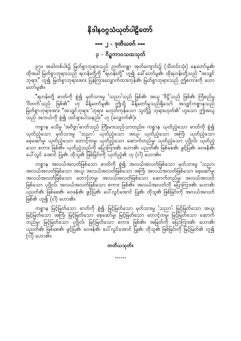#### နိဒါန၀ဂွသံယုတ်ပါဠိတော်

=== ၂ - ဒုတိယဝဂ် ===

၃ - ဂိဥ္ဇကာဝသထသုတ်

၉၇။ အခါတစ်ပါး၌ မြတ်စွာဘုရားသည် ဉာတိကရွာ အုတ်ကျောင်း၌ (သီတင်းသုံး) နေတော်မူ၏၊ ထိုအခါ မြတ်စွာဘုရားသည် ရဟန်းတို့ကို "ရဟန်းတို့" ဟူ၍ ခေါ် တော်မူ၏၊ ထိုရဟန်းတို့သည် "အသျှင် ဘုရား" ဟူ၍ မြတ်စွာဘုရားအား ပြန်ကြားလျှောက်ထားကုန်၏၊ မြတ်စွာဘုရားသည် ဤစကားကို ဟော တော်မူ၏။

"ရဟန်းတို့ ဓာတ်ကို စွဲ၍ မှတ်သားမှု 'သညာ'သည် ဖြစ်၏၊ အယူ 'ဒိဋ္ဌိ'သည် ဖြစ်၏၊ ကြံစည်မှု<br>'ဝိတက်'သည် ဖြစ်၏" ဟု မိန့်တော်မူ၏၊ ဤသို့ မိန့်တော်မူသည်ရှိသော် အသျှင်ကစ္စာနသည် မြတ်စွာဘုရားအား "အသျှင်ဘုရား 'ဘုရား မဟုတ်ကုန်သော သူတို့၌ ဘုရားဟုတ်၏' ဟူသော ဤအယူ သည် အဘယ်ကို စွဲ၍ ထင်ရှားပါသနည်း" ဟု (လျှောက်၏)။

ကစ္စာန မသိမှု 'အဝိဇ္ဇာ'ဓာတ်သည် ကြီးမားသည်သာတည်း။ ကစ္စာန ယုတ်ညံ့သော ဓာတ်ကို စွဲ၍ ယုတ်ညံ့သော မုတ်သားမှု 'သညာ'၊ ယုတ်ညံ့သော အယူ၊ ယုတ်ညံ့သော အကြံ၊ ယုတ်ညံ့သော ု မ<br>စေ့ဆော်မူ၊ ယုတ်ညံ့သော တောင့်တမှု၊ ယုတ်ညံ့သော ဆောက်တည်မှု၊ ယုတ်ညံ့သော ပုဂ္ဂိုလ်၊ ယုတ်ညံ့ သော စကား ဖြစ်၏။ ယုတ်ညံ့သည်ကို ပြောကြား၏၊ ဟော၏၊ ပညတ်၏၊ ဖြစ်စေ၏၊ ဖွင့်ပြဲ၏၊ ဝေဖန်၏၊ ပေါ် လွင် အောင် ပြု၏၊ ထိုသူ၏ ဖြစ်ခြင်းကို ယုတ်ညံ့၏ ဟု (ငါ) ဟော၏။

ကစ္စာန အလယ်အလတ်ဖြစ်သော ဓာတ်ကို စွဲ၍ အလယ်အလတ်ဖြစ်သော မှတ်သားမှု 'သညာ၊<br>အလယ်အလတ်ဖြစ်သော အယူ၊ အလယ်အလတ်ဖြစ်သော အကြံ၊ အလယ်အလတ်ဖြစ်သော စေ့ဆော်မှု၊ အလယ်အလတ်ဖြစ်သော တောင့်တမှု၊ အလယ်အလတ်ဖြစ်သော ဆောက်တည်မှု၊ အလယ်အလတ် ဖြစ်သော ပုဂ္ဂိုလ်၊ အလယ်အလတ်ဖြစ်သော စကား ဖြစ်၏။ အလယ်အလတ်ကို ပြောကြား၏၊ ဟော၏၊ .<br>ပညတ်၏၊ ဖြစ်စေ၏၊ ဝေဖန်၏၊ ဖွင့်ပြ၏၊ ပေါ်လွင်အောင် ပြု၏၊ ထိုသူ၏ ဖြစ်ခြင်းကို အလယ်အလတ် ဖြစ်၏ ဟူ၍ (ငါ) ဟော၏။

ကစ္စာန မြင့်မြတ်သော ဓာတ်ကို စွဲ၍ မြင့်မြတ်သော မှတ်သားမှု 'သညာ'၊ မြင့်မြတ်သော အယူ၊ .<br>မြင့်မြတ်သော အကြံ၊ မြင့်မြတ်သော စေ့ဆော်မှု၊ မြင့်မြတ်သော တောင့်တမှု၊ မြင့်မြတ်သော ဆောက် ပညတ်၏၊ ဖြစ်စေ၏၊ ဖွင့်ပြ၏၊ ဝေဖန်၏၊ ပေါ်လွင်အောင် ပြု၏၊ ထိုသူ၏ ဖြစ်ခြင်းကို မြင့်မြတ်၏ ဟူ၍ (ငါ) ဟော၏။

#### တတိယသုတ်။

------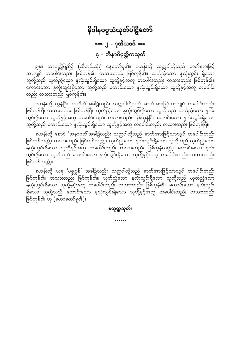#### နိဒါန၀ဂွသံယုတ်ပါဠိတော်

=== ၂ - ဒုတိယဝဂ် ===

၄ - ဟီနာဓိမုတ္တိကသုတ်

၉၈။ သာဝတ္ထိပြည်၌ (သီတင်းသုံး) နေတော်မူ၏။ ရဟန်းတို့ သတ္တဝါတို့သည် ဓာတ်အားဖြင့် သာလျှင် တပေါင်းတည်း ဖြစ်ကုန်၏၊ တသားတည်း ဖြစ်ကုန်၏။ ယုတ်ညံ့သော နှလုံးသွင်း ရှိသော သူတို့သည် ယုတ်ညံ့သော နှလုံးသွင်းရှိသော သူတို့နှင့်အတူ တပေါင်းတည်း တသားတည်း ဖြစ်ကုန်၏။ ကောင်းသော နှလုံးသွင်းရှိသော သူတို့သည် ကောင်းသော နှလုံးသွင်းရှိသော သူတို့နှင့်အတူ တပေါင်း တည်း တသားတည်း ဖြစ်ကုန်၏။

ရဟန်းတို့ လွန်ပြီး 'အတိတ်'အခါ၌လည်း သတ္တဝါတို့သည် ဓာတ်အားဖြင့်သာလျှင် တပေါင်းတည်း ဖြစ်ကုန်ပြီ၊ တသားတည်း ဖြစ်ကုန်ပြီ။ ယုတ်ညံ့သော နှလုံးသွင်းရှိသော သူတို့သည် ယုတ်ညံ့သော နှလုံး မြန်မြန်မြန်မာ သူတို့နှင့်အတူ တပေါင်းတည်း တသားတည်း ဖြစ်ကုန်ပြီ။ ကောင်းသော နှလုံးသွင်းရှိသော သူတို့သည် ကောင်းသော နှလုံးသွင်းရှိသော သူတို့နှင့်အတူ တပေါင်းတည်း တသားတည်း ဖြစ်ကုန်ပြီ။

ရဟန်းတို့ နောင် 'အနာဂတ်'အခါ၌လည်း သတ္တဝါတို့သည် ဓာတ်အားဖြင့်သာလျှင် တပေါင်းတည်း .<br>ဖြစ်ကုန်လတ္တံ့၊ တသားတည်း ဖြစ်ကုန်လတ္တံ့။ ယုတ်ညံ့သော နှလုံးသွင်းရှိသော သူတို့သည် ယုတ်ညံ့သော မြစ္ပြဲ သိုင္း အသင္း အေမာ္ေကာင္း ထိုင္း အသံုး အသံုး အသံုး ေကာင္းေသာ နယုံး ာ<br>သွင်းရှိသော သူတို့သည် ကောင်းသော နှလုံးသွင်းရှိသော သူတို့နှင့်အတူ တပေါင်းတည်း တသားတည်း ဖြစ်ကုန်လတ္တံ့။

ရဟန်းတို့ ယခု 'ပစ္စုပ္ပန်' အခါ၌လည်း သတ္တဝါတို့သည် ဓာတ်အားဖြင့်သာလျှင် တပေါင်းတည်း ဖြစ်ကုန်၏၊ တသားတည်း ဖြစ်ကုန်၏။ ယုတ်ညံ့သော နှလုံးသွင်းရှိသော သူတို့သည် ယုတ်ညံ့သော ဖြစ်ကုန်၏ ဟု (ဟောတော်မူ၏)။

စတုတ္ထသုတ်။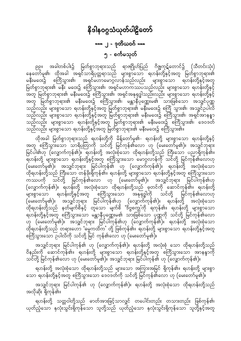# နိဒါနဝဂ္ဂသံယုတ်ပါဠိတော်

=== ၂ - ဒုတိယဝဂ် ===

၅ - စင်္ကမသုတ်

၉၉။ အခါတစ်ပါး၌ မြတ်စွာဘုရားသည် ရာဇဂြိုဟ်ပြည် ဂိဇ္ဈကုဋ်တောင်၌ (သီတင်းသုံး)<br>နေတော်မူ၏၊ ထိုအခါ အရှင်သာရိပုတ္တရာသည် များစွာသော ရဟန်းတို့နှင့်အတူ မြတ်စွာဘုရား၏ မနီးမဝေး၌ စင်္ကြံသွား၏၊ အရှင်မဟာမောဂ္ဂလာန်သည်လည်း များစွာသော ရဟန်းတို့နှင့်အတူ မြတ်စွာဘုရား၏ မနီး မဝေး၌ စင်္ကြံသွား၏၊ အရှင်မဟာကဿပသည်လည်း များစွာသော ရဟန်းတို့နှင့် -<br>အတူ မြတ်စွာဘုရား၏ မနီးမဝေး၌ စင်္ကြံသွား၏၊ အရှင်အနုရုဒ္ဓါသည်းလည်း များစွာသော ရဟန်းတို့နှင့် အတူ မြတ်စွာဘုရား၏ မနီးမဝေး၌ စကြီသွား၏၊ မန္တာနီပုဏ္ဏေးမ၏ သားဖြစ်သော အသျှင်ပုဏ္ဏ သည်လည်း များစွာသော ရဟန်းတို့နှင့်အတူ မြတ်စွာဘုရား၏ မနီးမဝေး၌ စကြီ သွား၏၊ အသျှင်ဉပါလိ သည်လည်း များစွာသော ရဟန်းတို့နှင့်အတူ မြတ်စွာဘုရား၏ မနီးမဝေး၌ စကြံံသွား၏၊ အရှင်အာနန္နာ သည်လည်း များစွာသော ရဟန်းတို့နှင့်အတူ မြတ်စွာဘုရား၏ မနီးမဝေး၌ စကြံသွား၏၊ ဒေဝဒတ် သည်လည်း များစွာသော ရဟန်းတို့နှင့်အတူ မြတ်စွာဘုရား၏ မနီးမဝေး၌ စင်္ကြံသွား၏။

ထိုအခါ မြတ်စွာဘုရားသည် ရဟန်းတို့ကို မိန့်တော်မူ၏- ရဟန်းတို့ များစွာသော ရဟန်းတို့နှင့် အတူ စကြီသွားသော သာရိပုတြာကို သင်တို့ မြင်ကုန်၏လော ဟု (မေးတော်မူ၏)။ အသျှင်ဘုရား မြင်ပါ၏ဟု (လျှောက်ကုန်၏)။ ရဟန်းတို့ အလုံးစုံသော ထိုရဟန်းတို့သည် ကြီးသော ပညာရှိကုန်၏။ ခြံတန်းတို့ များစွာသော ရဟန်းတို့နှင့်အတူ စင်္ကြံသွားသော မောဂ္ဂလာန်ကို သင်တို့ မြင်ကုန်၏လောဟု (မေးတော်မူ၏)။ အသျှင်ဘုရား မြင်ပါကုန်၏ ဟု (လျှောက်ကုန်၏)။ ရဟန်းတို့ အလုံးစုံသော .<br>ထိုရဟန်းတို့သည် ကြီးသော တန်ခိုးရှိကုန်၏။ ရဟန်းတို့ များစွာသော ရဟန်းတို့နှင့်အတူ စကြံသွားသော သင်တို့ မြင်ကုန်၏လော ဟု (မေးတော်မူ၏)။ အသျှင်ဘုရား မြင်ပါကုန်၏ဟု ကဿပကို ိမ္နာတွင် အသံတို့<br>(လျှောက်ကုန်၏)။ ရဟန်းတို့ အလုံးစုံသော ထိုရဟန်းတို့သည် ဓုတင်ကို ဆောင်ကုန်၏။ ရဟန်းတို့ .<br>များစွာသော ရဟန်းတို့နှင့်အတူ စကြံသွားသော အနုရုဒ္ဓါကို သင်တို့ မြင်ကုန်၏လောဟု<br>(မေးတော်မူ၏)။ အသျှင်ဘုရား မြင်ပါကုန်၏ဟု (လျှောက်ကုန်၏)။ ရဟန်းတို့ အလုံးစုံသော ရဟန်းတို့နှင့်အတူ စကြီသွားသော မန္တာနီပုဏ္ဏေးမ၏ သားဖြစ်သော ပုဏ္ဏကို သင်တို့ မြင်ကုန်၏လော ဟု (မေးတော်မူ၏)။ အသျှင်ဘုရား မြင်ပါကုန်၏ဟု (လျှောက်ကုန်၏)။ ရဟန်းတို့ အလုံးစုံသော ထိုရဟန်းတို့သည် တရားဟော 'မြွေကထိက' တို့ ဖြစ်ကုန်၏။ ရဟန်းတို့ များစွာသော ရဟန်းတို့နှင့်အတူ စကြံံသွားသော ဉပါလိကို သင်တို့ မြင် ကုန်၏လော ဟု (မေးတော်မူ၏)။

အသျှင်ဘုရား မြင်ပါကုန်၏ ဟု (လျှောက်ကုန်၏)။ ရဟန်းတို့ အလုံးစုံ သော ထိုရဟန်းတို့သည် ဝိနည်းကို ဆောင်ကုန်၏။ ရဟန်းတို့ များစွာသော ရဟန်းတို့နှင့်အတူ စကြီသွားသော အာနန္ဒာကို သင်တို့ မြင်ကုန်၏လော ဟု (မေးတော်မူ၏)။ အသျှင်ဘုရား မြင်ပါကုန်၏ ဟု (လျှောက်ကုန်၏)။

ရဟန်းတို့ အလုံးစုံသော ထိုရဟန်းတို့သည် များသော အကြားအမြင် ရှိကုန်၏။ ရဟန်းတို့ များစွာ သော ရဟန်းတို့နှင့်အတူ စကြံံသွားသော ဒေဝဒတ်ကို သင်တို့ မြင်ကုန်၏လော ဟု (မေးတော်မူ၏)။

အသျှင်ဘုရား မြင်ပါကုန်၏ ဟု (လျှောက်ကုန်၏)။ ရဟန်းတို့ အလုံးစုံသော ထိုရဟန်းတို့သည် အလိုဆိုး ရှိကုန်၏။

ရဟန်းတို့ သတ္တဝါတို့သည် ဓာတ်အားဖြင့်သာလျှင် တပေါင်းတည်း တသားတည်း ဖြစ်ကုန်၏၊ ယုတ်ညံ့သော နှလုံးသွင်းရှိကုန်သော သူတို့သည် ယုတ်ညံ့သော နှလုံးသွင်းရှိကုန်သော သူတို့နှင့်အတူ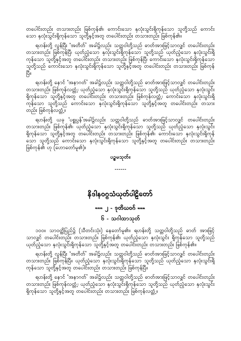တပေါင်းတည်း တသားတည်း ဖြစ်ကုန်၏၊ ကောင်းသော နှလုံးသွင်းရှိကုန်သော သူတို့သည် ကောင်း <u>သော နှလုံးသွင်းရှိ</u>ကုန်သော သူတို့နှင့်အတူ တပေါင်းတည်း တသားတည်း ဖြစ်ကုန်၏။

ရဟန်းတို့ လွန်ပြီး 'အတိတ်' အခါ၌လည်း သတ္တဝါတို့သည် ဓာတ်အားဖြင့်သာလျှင် တပေါင်းတည်း တသားတည်း ဖြစ်ကုန်ပြီ၊ ယုတ်ညံ့သော နှလုံးသွင်းရှိကုန်သော သူတို့သည် ယုတ်ညံ့သော နှလုံးသွင်းရှိ ကုန်သော သူတို့နှင့်အတူ တပေါင်းတည်း တသားတည်း ဖြစ်ကုန်ပြီ၊ ကောင်းသော နှလုံးသွင်းရှိကုန်သော ာကိုသည် ကောင်းသော နှလုံးသွင်းရှိကုန်သော သူတို့နှင့်အတူ တပေါင်းတည်း တသားတည်း ဖြစ်ကုန် ပြီ။

ရဟန်းတို့ နောင် 'အနာဂတ်' အခါ၌လည်း သတ္တဝါတို့သည် ဓာတ်အားဖြင့်သာလျှင် တပေါင်းတည်း တသားတည်း ဖြစ်ကုန်လတ္တံ့၊ ယုတ်ညံ့သော နှလုံးသွင်းရှိကုန်သော သူတို့သည် ယုတ်ညံ့သော နှလုံးသွင်း ္သိကုန်သော သူတို့နှင့်အတူ တပေါင်းတည်း တသားတည်း ဖြစ်ကုန်လတ္တံ့၊ ကောင်းသော နှလုံးသွင်းရှိ ာ် န်သော သူတို့သည် ကောင်းသော နှလုံးသွင်းရှိကုန်သော သူတို့နှင့်အတူ တပေါင်းတည်း တသား တည်း ဖြစ်ကုန်လတ္တံ့။

ရဟန်းတို့ ယခု 'ပစ္စုပ္ပန်'အခါ၌လည်း သတ္တဝါတို့သည် ဓာတ်အားဖြင့်သာလျှင် တပေါင်းတည်း wom; ကျော်; ဖြစ်ကုန်၏၊ ယုတ်ညံ့သော နှလုံးသွင်းရှိကုန်သော သူတို့သည် ယုတ်ညံ့သော နှလုံးသွင်း ရှိကုန်သော သူတို့နှင့်အတူ တပေါင်းတည်း တသားတည်း ဖြစ်ကုန်၏၊ ကောင်းသော နှလုံးသွင်းရှိကုန် ာ<br>သော သူတို့သည် ကောင်းသော နှလုံးသွင်းရှိကုန်သော သူတို့နှင့်အတူ တပေါင်းတည်း တသားတည်း ဖြစ်ကုန်၏ ဟု  $\overline{\left(\text{ev}}$ ာတော်မူ၏ $\right)$ ။

ပဉ္စမသုတ်။

------

နိဒါနဝဂွသံယုတ်ပါဠိတော် d )<br>D  $\frac{1}{2}$  $\vdots$ f d d f === ၂ - ဒုတိယဝဂ် === k k l<br>Barat da Barat da Barat da Barat da Barat da Barat da Barat da Barat da Barat da Barat da Barat da Barat da B<br>Barat da Barat da Barat da Barat da Barat da Barat da Barat da Barat da Barat da Barat da Barat da Barat da Ba ၆ - သဂါထာသုတ်

၁၀၀။ သာဝတ္ထိပြည်၌ (သီတင်းသုံး) နေတော်မူ၏။ ရဟန်းတို့ သတ္တဝါတို့သည် ဓာတ် အားဖြင့် သာလျှင် တပေါင်းတည်း တသားတည်း ဖြစ်ကုန်၏၊ ယုတ်ညံ့သော နှလုံးသွင်း ရှိကုန်သော သူတို့သည် ယုတ်ညံ့သော နှလုံးသွင်းရှိကုန်သော သူတို့နှင့်အတူ တပေါင်းတည်း တသားတည်း ဖြစ်ကုန်၏။

ရဟန်းတို့ လွန်ပြီး 'အတိတ်' အခါ၌လည်း သတ္တဝါတို့သည် ဓာတ်အားဖြင့်သာလျှင် တပေါင်းတည်း တသားတည်း ဖြစ်ကုန်ပြီ။ ယုတ်ညံ့သော နှလုံးသွင်းရှိကုန်သော သူတို့သည် ယုတ်ညံ့သော နှလုံးသွင်းရှိ ကုန်သော သူတို့နှင့်အတူ တပေါင်းတည်း တသားတည်း ဖြစ်ကုန်ပြီ။

ရဟန်းတို့ နောင် 'အနာဂတ်' အခါ၌လည်း သတ္တဝါတို့သည် ဓာတ်အားဖြင့်သာလျှင် တပေါင်းတည်း တသားတည်း ဖြစ်ကုန်လတ္တံ့၊ ယုတ်ညံ့သော နှလုံးသွင်းရှိကုန်သော သူတို့သည် ယုတ်ညံ့သော နှလုံးသွင်း နိုကုန်သော သူတို့နှင့်အတူ တပေါင်းတည်း တသားတည်း ဖြစ်ကုန်လတ္တံ့။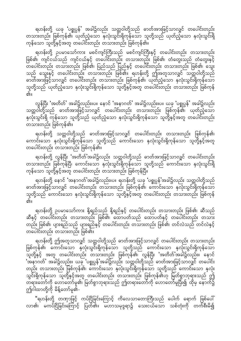ရဟန်းတို့ ယခု 'ပစ္စုပ္ပန်' အခါ၌လည်း သတ္တဝါတို့သည် ဓာတ်အားဖြင့်သာလျှင် တပေါင်းတည်း တသားတည်း ဖြစ်ကုန်၏၊ ယုတ်ညံ့သော နှလုံးသွင်းရှိကုန်သော သူတို့သည် ယုတ်ညံ့သော နှလုံးသွင်းရှိ ကုန်သော သူတို့နှင့်အတူ တပေါင်းတည်း တသားတည်း ဖြစ်ကုန်၏။

ရဟန်းတို့ ဉပမာသော်ကား မစင်ကျင်ကြီးသည် မစင်ကျင်ကြီးနှင့် တပေါင်းတည်း တသားတည်း ဖြစ်၏၊ ကျင်ငယ်သည် ကျင်ငယ်နှင့် တပေါင်းတည်း တသားတည်း ဖြစ်၏၊ တံတွေးသည် တံတွေးနှင့် waygif;with which way way is the conference of the contract of the contract of the contract of the contract of<br>Giga di Bilis was giga wang pangalang ang disegnal was disegned to the contract of the contract of the contra<br> သည် သွေးနှင့် တပေါင်းတည်း တသားတည်း ဖြစ်၏။ ရဟန်းတို့ ဤအတူသာလျှင် သတ္တဝါတို့သည် ဓာတ်အားဖြင့်သာလျှင် တပေါင်းတည်း တသားတည်း ဖြစ်ကုန်၏၊ ယုတ်ညံ့သော နှလုံးသွင်းရှိကုန်သော သူတို့သည် ယုတ်ညံ့သော နှလုံးသွင်းရှိကုန်သော သူတို့နှင့်အတူ တပေါင်းတည်း တသားတည်း ဖြစ်ကုန် မျာ။

လွန်ပြီး 'အတိတ်' အခါ၌လည်း။ပ။ နောင် 'အနာဂတ်' အခါ၌လည်း။ပ။ ယခု 'ပစ္စုပ္ပန်' အခါ၌လည်း သတ္တဝါတို့သည် ဓာတ်အားဖြင့်သာလျှင် တပေါင်းတည်း တသားတည်း ဖြစ်ကုန်၏၊ ယုတ်ညံ့သော နှလုံးသွင်းရှိ ကုန်သော သူတို့သည် ယုတ်ညံ့သော နှလုံးသွင်းရှိကုန်သော သူတို့နှင့်အတူ တပေါင်းတည်း တသားတည်း ဖြစ်ကုန်၏။

ရဟန်းတို့ သတ္တဝါတို့သည် ဓာတ်အားဖြင့်သာလျှင် တပေါင်းတည်း တသားတည်း ဖြစ်ကုန်၏၊ ကောင်းသော နှလုံးသွင်းရှိကုန်သော သူတို့သည် ကောင်းသော နှလုံးသွင်းရှိကုန်သော သူတို့နှင့်အတူ တပေါင်းတည်း တသားတည်း ဖြစ်ကုန်၏။

ရဟန်းတို့ လွန်ပြီး 'အတိတ်'အခါ၌လည်း သတ္တဝါတို့သည် ဓာတ်အားဖြင့်သာလျှင် တပေါင်းတည်း တသားတည်း ဖြစ်ကုန်ပြီ၊ ကောင်းသော နှလုံးသွင်းရှိကုန်သော သူတို့သည် ကောင်းသော နှလုံးသွင်းရှိ ကုန်သော သူတို့နှင့်အတူ တပေါင်းတည်း တသားတည်း ဖြစ်ကုန်ပြီ။

ရဟန်းတို့ နောင် 'အနာဂတ်'အခါ၌လည်း။ပ။ ရဟန်းတို့ ယခု 'ပစ္စုပ္ပန်'အခါ၌လည်း သတ္တဝါတို့သည် ဓာတ်အားဖြင့်သာလျှင် တပေါင်းတည်း တသားတည်း ဖြစ်ကုန်၏၊ ကောင်းသော နှလုံးသွင်းရှိကုန်သော သူတို့သည် ကောင်းသော နှလုံးသွင်းရှိကုန်သော သူတို့နှင့်အတူ တပေါင်းတည်း တသားတည်း ဖြစ်ကုန် الق

ရဟန်းတို့ ဉပမာသော်ကား နို့ရည်သည် နို့ရည်နှင့် တပေါင်းတည်း တသားတည်း ဖြစ်၏၊ ဆီသည် ဆီနှင့် တပေါင်းတည်း တသားတည်း ဖြစ်၏၊ ထောပတ်သည် ထောပတ်နှင့် တပေါင်းတည်း တသား တည်း ဖြစ်၏၊ ပျားရည်သည် ပျားရည်နှင့် တပေါင်းတည်း တသားတည်း ဖြစ်၏၊ တင်လဲသည် တင်လဲနှင့် တပေါင်းတည်း တသားတည်း ဖြစ်၏။

ရဟန်းတို့ ဤအတူသာလျှင် သတ္တဝါတို့သည် ဓာတ်အားဖြင့်သာလျှင် တပေါင်းတည်း တသားတည်း ဖြစ်ကုန်၏၊ ကောင်းသော နဲ့လုံးသွင်းရှိကုန်သော သူတို့သည် ကောင်းသော နှလုံးသွင်းရှိကုန်သော တို့တို့နှင့် အတူ တပေါင်းတည်း တသားတည်း ဖြစ်ကုန်၏၊ လွန်ပြီး 'အတိတ်'အခါ၌လည်း။ နောင် '္ဖြာသောက်' အခါ၌လည်း။ ယခု 'ပစ္စုပ္ပန်'အခါ၌လည်း သတ္တဝါတို့သည် ဓာတ်အားဖြင့်သာလျှင် တပေါင်း တည်း တသားတည်း ဖြစ်ကုန်၏၊ ကောင်းသော နှလုံးသွင်းရှိကုန်သော သူတို့သည် ကောင်းသော နှလုံး သွင်းရှိကုန်သော သူတို့နှင့်အတူ တပေါင်းတည်း တသားတည်း ဖြစ်ကုန်၏ဟု မြတ်စွာဘုရားသည် ဤ တရားတော်ကို ဟောတော်မူ၏၊ မြတ်စွာဘုရားသည် ဤတရားတော်ကို ဟောတော်မူပြီး၍ ထိုမှ နောက်၌ ဤဂါထာတို့ကို မိန့်တော်မူ၏-

"ရဟန်းတို့ တဏှာဖြင့် ကပ်ငြိခြင်းကြောင့် ကိလေသာတောကြီးသည် ပေါက် ရောက် ဖြစ်ပေါ် လာ၏၊ မကပ်ငြိခြင်းကြောင့် ပြတ်၏။ မဟာသမုဒ္ဒရာ၌ သေးငယ်သော သစ်တုံးကို တက်ိစီးမိ၍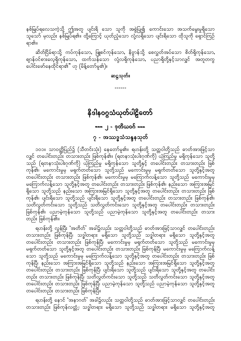နစ်မြုပ်ရလေသကဲ့သို့ ဤအတူ ပျင်းရိ သော သူကို အစွဲပြု၍ ကောင်းသော အသက်မွေးမှုရှိသော ရာ၏။

ဆိတ်ငြိမ်ရာသို့ ကပ်ကုန်သော, ဖြူစင်ကုန်သော, နိဗ္ဗာန်သို့ စေလွှတ်အပ်သော စိတ်ရှိကုန်သော, ဈာန်ဝင်စားလေ့ရှိကုန်သော, ထက်သန်သော လုံ့လရှိကုန်သော, ပညာရှိတို့နှင့်သာလျှင် အတူတကွ ပေါင်းဖော်နေထိုင်ရာ၏" ဟု (မိန့်တော်မူ၏)။

ဆဋ္ဌသုတ်။

နိဒါန၀ဂွသံယုတ်ပါဠိတော် === ၂ - ဒုတိယဝဂ် === ၇ - အဿဒ္ဓသံသန္ဒနသုတ်

၁၀၁။ သာဝတ္တိပြည်၌ (သီတင်းသုံး) နေတော်မူ၏။ ရဟန်းတို့ သတ္တဝါတို့သည် ဓာတ်အားဖြင့်သာ လျှင် တပေါင်းတည်း တသားတည်း ဖြစ်ကုန်၏။ (ရတနာသုံးပါးဂုဏ်ကို) ယုံကြည်မှု မရှိကုန်သော သူတို့ သည် (ရတနာသုံးပါးဂုဏ်ကို) ယုံကြည်မှု မရှိကုန်သော သူတို့နှင့် တပေါင်းတည်း တသားတည်း ဖြစ် တပေါင်းတည်း တသားတည်း ဖြစ်ကုန်၏၊ မကောင်းမှုမှ မကြောက်လန့်သော သူတို့သည် မကောင်းမှုမှ မကြောက်လန့်သော သူတို့နှင့်အတူ တပေါင်းတည်း တသားတည်း ဖြစ်ကုန်၏၊ နည်းသော အကြားအမြင် ရှိသော သူတို့သည် နည်းသော အကြားအမြင်ရှိသော သူတို့နှင့်အတူ တပေါင်းတည်း တသားတည်း ဖြစ် .<br>ကုန်၏၊ ပျင်းရိသော သူတို့သည် ပျင်းရိသော သူတို့နှင့်အတူ တပေါင်းတည်း တသားတည်း ဖြစ်ကုန်၏၊ သတိလွတ်ကင်းသော သူတို့သည် သတိလွတ်ကင်းသော သူတို့နှင့်အတူ တပေါင်းတည်း တသားတည်း ဖြစ်ကုန်၏၊ ပညာမဲ့ကုန်သော သူတို့သည် ပညာမဲ့ကုန်သော သူတို့နှင့်အတူ တပေါင်းတည်း တသား တည်း ဖြစ်ကုန်၏။

ရဟန်းတို့ လွန်ပြီး 'အတိတ်' အခါ၌လည်း သတ္တဝါတို့သည် ဓာတ်အားဖြင့်သာလျှင် တပေါင်းတည်း တသားတည်း ဖြစ်ကုန်ပြီ၊ သဒ္ဓါတရား မရှိသော သူတို့သည် သဒ္ဓါတရား မရှိသော သူတို့နှင့်အတူ မရှက်တတ်သော သူတို့နှင့်အတူ တပေါင်းတည်း တသားတည်း ဖြစ်ကုန်ပြီ၊ မကောင်းမှုမှ မကြောက်လန့် သော သူတို့သည် မကောင်းမှုမှ မကြောက်လန့်သော သူတို့နှင့်အတူ တပေါင်းတည်း တသားတည်း ဖြစ် ကုန်ပြီ၊ နည်းသော အကြားအမြင်ရှိသော သူတို့သည် နည်းသော အကြားအမြင်ရှိသော သူတို့နှင့်အတူ ားပြင်းတည်း တသားတည်း ဖြစ်ကုန်ပြီ၊ ပျင်းရိသော သူတို့သည် ပျင်းရိသော သူတို့နှင့်အတူ တပေါင်း တည်း တသားတည်း ဖြစ်ကုန်ပြီ၊ သတိလွတ်ကင်းသော သူတို့သည် သတိလွတ်ကင်းသော သူတို့နှင့်အတူ တပေါင်းတည်း တသားတည်း ဖြစ်ကုန်ပြီ၊ ပညာမဲ့ကုန်သော သူတို့သည် ပညာမဲ့ကုန်သော သူတို့နှင့်အတူ တပေါင်းတည်း တသားတည်း ဖြစ်ကုန်ပြီ။

ရဟန်းတို့ နောင် 'အနာဂတ်' အခါ၌လည်း သတ္တဝါတို့သည် ဓာတ်အားဖြင့်သာလျှင် တပေါင်းတည်း တသားတည်း ဖြစ်ကုန်လတ္တံ့၊ သဒ္ဓါတရား မရှိသော သူတို့သည် သဒ္ဓါတရား မရှိသော သူတို့နှင့်အတူ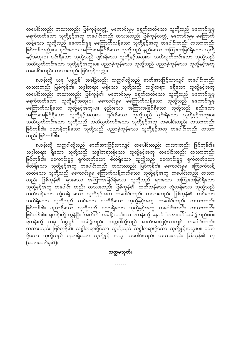တပေါင်းတည်း တသားတည်း ဖြစ်ကုန်လတ္တံ့၊ မကောင်းမှုမှ မရှက်တတ်သော သူတို့သည် မကောင်းမှုမှ မရှက်တတ်သော သူတို့နှင့်အတူ တပေါင်းတည်း တသားတည်း ဖြစ်ကုန်လတ္တံ့၊ မတောင်းမှုမှ မကြောက် ---<br>လန့်သော သူတို့သည် မကောင်းမှုမှ မကြောက်လန့်သော သူတို့နှင့်အတူ တပေါင်းတည်း တသားတည်း ဖြစ်ကုန်လတ္တံ့။ပ။ နည်းသော အကြားအမြင်ရှိသော သူတို့သည် နည်းသော အကြားအမြင်ရှိသော သူတို့ ESifhtwl/y/ ysif;&daom olwdkYonf ysif;&daom olwdkYESifhtwl/y/ owdvGwfuif;aom olwdkYonf -<br>သတိလွတ်ကင်းသော သူတို့နှင့်အတူ။ပ။ ပညာမဲ့ကုန်သော သူတို့သည် ပညာမဲ့ကုန်သော သူတို့နှင့်အတူ တပေါင်းတည်း တသားတည်း ဖြစ်ကုန်လတ္တံ့။

ရဟန်းတို့ ယခု 'ပစ္စုပ္ပန်' အခါ၌လည်း သတ္တဝါတို့သည် ဓာတ်အားဖြင့်သာလျှင် တပေါင်းတည်း တသားတည်း ဖြစ်ကုန်၏၊ သဒ္ဓါတရား မရှိသော သူတို့သည် သဒ္ဓါတရား မရှိသော သူတို့နှင့်အတူ တပေါင်းတည်း တသားတည်း ဖြစ်ကုန်၏၊ မကောင်းမှုမှ မရှက်တတ်သော သူတို့သည် မကောင်းမှုမှ မရှက်တတ်သော သူတို့နှင့်အတူ။ပ။ မကောင်းမှုမှ မကြောက်လန့်သော သူတို့သည် မကောင်းမှုမှ မကြောက်လန့်သော သူတို့နှင့်အတူ။ပ။ နည်းသော အကြားအမြင်ရှိသော သူတို့သည် နည်းသော အကြားအမြင်ရှိသော သူတို့နှင့်အတူ။ပ။ ပျင်းရိသော သူတို့သည် ပျင်းရိသော သူတို့နှင့်အတူ။ပ။ သတ်လွတ်ကင်းသော သူတို့သည် သတိလွတ်ကင်းသော သူတို့နှင့်အတူ တပေါင်းတည်း တသားတည်း ဖြစ်ကုန််၏၊ ပညာမဲ့ကုန်သော သူတို့သည် ပညာမဲ့ကုန်သော သူတို့နှင့်အတူ တပေါင်းတည်း တသား တည်း ဖြစ်ကုန်၏။

ရဟန်းတို့ သတ္တဝါတို့သည် ဓာတ်အားဖြင့်သာလျှင် တပေါင်းတည်း တသားတည်း ဖြစ်ကုန်၏။ သဒ္ဓါတရား ရှိသော သူတို့သည် သဒ္ဓါတရားရှိသော သူတို့နှင့်အတူ တပေါင်းတည်း တသားတည်း ဖြစ်ကုန်၏၊ မကောင်းမှုမှ ရှက်တတ်သော စိတ်ရှိသော သူတို့သည် မကောင်းမှုမှ ရှက်တတ်သော စိတ်ရှိသော သူတို့နှင့်အတူ တပေါင်းတည်း တသားတည်း ဖြစ်ကုန်၏၊ မကောင်းမှုမှ ကြောက်လန့် တတ်သော သူတို့သည် မကောင်းမှုမှ ကြောက်လန့်တတ်သော သူတို့နှင့်အတူ တပေါင်းတည်း တသား တည်း ဖြစ်ကုန်၏၊ များသော အကြားအမြင်ရှိသော သူတို့သည် များသော အကြားအမြင်ရှိသော သူတို့နှင့်အတူ တပေါင်း တည်း တသားတည်း ဖြစ်ကုန်၏၊ ထက်သန်သော လုံ့လရှိသော သူတို့သည် \_\_<br>ထက်သန်သော လုံ့လရှိ သော သူတို့နှင့်အတူ တပေါင်းတည်း တသားတည်း ဖြစ်ကုန်၏၊ ထင်သော သတိရှိသော သူတို့သည် ထင်သော သတိရှိသော သူတို့နှင့်အတူ တပေါင်းတည်း တသားတည်း ဖြစ်ကုန်၏၊ ပညာရှိသော သူတို့သည် ပညာရှိသော သူတို့နှင့်အတူ တပေါင်းတည်း တသားတည်း ဖြစ်ကုန်၏။ ရဟန်းတို့ လွန်ပြီး 'အတိတ်' အခါ၌လည်း။ပ။ <sup>ရ</sup>ဟန်းတို့ နောင် 'အနာဂတ်'အခါ၌လည်း။ပ။  $\frac{1}{2}$ တန်းတို့ ယခု 'ပစ္စုပ္ပန် $\cdot$  အခါ၌လည်း သတ္တဝါတို့သည် ဓာတ်အားဖြင့်သာလျှင် တပေါင်းတည်း wom;wom; ဖြစ်ကုန်၏၊ သဒ္ဓါတရားရှိသော သူတို့သည် သဒ္ဓါတရားရှိသော သူတို့နှင့်အတူ။ပ။ ပညာ ရှိသော သူတို့သည် ပညာရှိသော သူတို့နှင့် အတူ တပေါင်းတည်း တသားတည်း ဖြစ်ကုန်၏ ဟု  $(\mathsf{ev}$ ာတော်မူ၏)။ $\overline{\phantom{a}}$ 

သတ္တမသုတ်။

------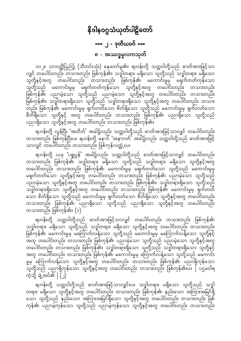#### နိဒါနဝဂ္ဂသံယုတ်ပါဠိတော် === ၂ - ဒုတိယ၀ဂ် === ၈ - အဿဒ္ဓမူလကသုတ်

၁၀၂။ သာဝတ္ထိပြည်၌ (သီတင်းသုံး) နေတော်မူ၏။ ရဟန်းတို့ သတ္တဝါတို့သည် ဓာတ်အားဖြင့်သာ လျှင် တပေါင်းတည်း တသားတည်း ဖြစ်ကုန်၏။ သဒ္ဓါတရား မရှိသော သူတို့သည် သဒ္ဓါတရား မရှိသော ာ<br>သူတို့နှင့်အတူ တပေါင်းတည်း တသားတည်း ဖြစ်ကုန်၏ မကောင်းမှုမှ မရှက်တတ်ကုန်သော ာ<sup>ုံ</sup>တို့သည် မကောင်းမှုမှ မရှက်တတ်ကုန်သော သူတို့နှင့်အတူ တပေါင်းတည်း တသားတည်း ဖြစ်ကုန်၏၊ ပညာမဲ့သော သူတို့သည် ပညာမဲ့သော သူတို့နှင့်အတူ တပေါင်းတည်း တသားတည်း ဖြစ်ကုန်၏။ သဒ္ဓါတရားရှိသော သူတို့သည် သဒ္ဓါတရားရှိသော သူတို့နှင့်အတူ တပေါင်းတည်း တသား<br>တည်း ဖြစ်ကုန်၏၊ မကောင်းမှုမှ ရှက်တတ်သော စိတ်ရှိသော သူတို့သည် မကောင်းမှုမှ ရှက်တတ်သော စိတ်ရှိသော သူတို့နှင့် အတူ တပေါင်းတည်း တသားတည်း ဖြစ်ကုန်၏၊ ပညာရှိသော သူတို့သည် ပညာရှိသော သူတို့နှင့်အတူ တပေါင်းတည်း တသားတည်း ဖြစ်ကုန်၏။

ရဟန်းတို့ လွန်ပြီး 'အတိတ်' အခါ၌လည်း သတ္တဝါတို့သည် ဓာတ်အားဖြင့်သာလျှင် တပေါင်းတည်း တသားတည်း ဖြစ်ကုန်ပြီ။ပ။ ရဟန်းတို့ နောင် 'အနာဂတ်' အခါ၌လည်း သတ္တဝါတို့သည် ဓာတ်အားဖြင့် သာလျှင် တပေါင်းတည်း တသားတည်း ဖြစ်ကုန်လတ္တံ့။ပ။

ရဟန်းတို့ ယခု 'ပစ္စုပ္ပန်' အခါ၌လည်း သတ္တဝါတို့သည် ဓာတ်အားဖြင့်သာလျှင် တပေါင်းတည်း တသားတည်း ဖြစ်ကုန်၏၊ သဒ္ဓါတရား မရှိသော သူတို့သည် သဒ္ဓါတရား မရှိသော သူတို့နှင့်အတူ မရှက်တတ်သော သူတို့နှင့်အတူ တပေါင်းတည်း တသားတည်း ဖြစ်ကုန်၏၊ ပညာမဲ့သော သူတို့သည် ပညာမဲ့သော သူတို့နှင့်အတူ တပေါင်းတည်း တသားတည်း ဖြစ်ကုန်၏။ သဒ္ဓါတရားရှိသော သူတို့သည်<br>သဒ္ဓါတရားရှိသော သူတို့နှင့်အတူ တပေါင်းတည်း တသားတည်း ဖြစ်ကုန်၏၊ မကောင်းမှုမှ ရှက်တတ် သော စိတ်ရှိသော သူတို့သည် မကောင်းမှုမှ ရှက်တတ်သော စိတ်ရှိသော သူတို့နှင့်အတူ တပေါင်းတည်း တသားတည်း ဖြစ်ကုန်၏၊ ပညာရှိသော သူတို့သည် ပညာရှိသော သူတို့နှင့်အတူ တပေါင်းတည်း တသားတည်း ဖြစ်ကုန်၏။ (၁)

ရဟန်းတို့ သတ္တဝါတို့သည် ဓာတ်အားဖြင့်သာလျှင် တပေါင်းတည်း တသားတည်း ဖြစ်ကုန်၏၊ သဒ္ဓါတရား မရှိသော သူတို့သည် သဒ္ဓါတရား မရှိသော သူတို့နှင့်အတူ တပေါင်းတည်း တသားတည်း ဖြစ်ကုန်၏၊ မကောင်းမှုမှ မကြောက်လန့်သော သူတို့သည် မကောင်းမှုမှ မကြောက်လန့်သော သူတို့နှင့် -<br>အတူ တပေါင်းတည်း တသားတည်း ဖြစ်ကုန်၏၊ ပညာမဲ့သော သူတို့သည် ပညာမဲ့သော သူတို့နှင့်အတူ တပေါင်းတည်း တသားတည်း ဖြစ်ကုန်၏။ သဒ္ဓါတရားရှိသော သူတို့သည် သဒ္ဓါတရားရှိသော သူတို့နှင့် အတူ တပေါင်းတည်း တသားတည်း ဖြစ်ကုန်၏၊ မကောင်းမှုမှ ကြောက်လန့်သော သူတို့သည် မကောင်း မှုမှ<sup>ီ</sup>ကြောက်လန့်သော သူတို့နှင့်အတူ တပေါင်းတည်း တသားတည်း ဖြစ်ကုန်၏၊ ပညာရှိကုန်သော ာ-<br>သူတို့သည် ပညာရှိကုန်သော သူတို့နှင့်အတူ တပေါင်းတည်း တသားတည်း ဖြစ်ကုန်၏။ပ။ | ပဌမဝါရ ကဲ့သို့ ချဲ့အပ်၏ | (၂)

ရဟန်းတို့ သတ္တဝါတို့သည် ဓာတ်အားဖြင့်သာလျှင်။ပ။ သဒ္ဓါတရား မရှိသော သူတို့သည် သဒ္ဓါ တရား မရှိသော သူတို့နှင့်အတူ တပေါင်းတည်း တသားတည်း ဖြစ်ကုန်၏၊ နည်းသော အကြားအမြင်ရှိ သော သူတို့သည် နည်းသော အကြားအမြင်ရှိသော သူတို့နှင့်အတူ တပေါင်းတည်း တသားတည်း ဖြစ် ကုန်၏၊ ပညာမဲ့ကုန်သော သူတို့သည် ပညာမဲ့ကုန်သော သူတို့နှင့်အတူ တပေါင်းတည်း တသားတည်း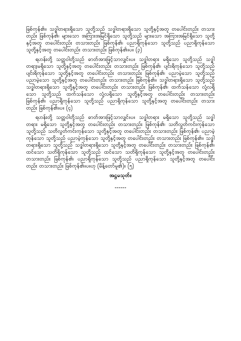ဖြစ်ကုန်၏။ သဒ္ဓါတရားရှိသော သူတို့သည် သဒ္ဓါတရားရှိသော သူတို့နှင့်အတူ တပေါင်းတည်း တသား .<br>တည်း ဖြစ်ကုန်၏၊ များသော အကြားအမြင်ရှိသော သူတို့သည် များသော အကြားအမြင်ရှိသော သူတို့ နှင့်အတူ တပေါင်းတည်း တသားတည်း ဖြစ်ကုန်၏၊ ပညာရှိကုန်သော သူတို့သည် ပညာရှိကုန်သော သူတို့နှင့်အတူ တပေါင်းတည်း တသားတည်း ဖြစ်ကုန်၏။ပါ  $\overline{ \left( \mathfrak{d} \right) }$ 

ရဟန်းတို့ သတ္တဝါတို့သည် ဓာတ်အားဖြင့်သာလျှင်။ပ။ သဒ္ဓါတရား မရှိသော သူတို့သည် သဒ္ဓါ တရားမရှိသော သူတို့နှင့်အတူ တပေါင်းတည်း တသားတည်း ဖြစ်ကုန်၏၊ ပျင်းရိကုန်သော သူတို့သည် ပျင်းရိကုန်သော သူတို့နှင့်အတူ တပေါင်းတည်း တသားတည်း ဖြစ်ကုန်၏၊ ပညာမဲ့သော သူတို့သည် ္ပြဲ ပါတယ္ေတာ့ သူတို့နှင့်အတူ တပေါင်းတည်း တသားတည်း ဖြစ်ကုန်၏။ သဒ္ဓါတရားရှိသော သူတို့သည် o'¨gw&m;&Sdaom olwdkYESifhtwl waygif;wnf; wom;wnf; jzpfukef\? xufoefaom vkHYv&Sd သော သူတို့သည် ထက်သန်သော လုံ့လရှိသော သူတို့နှင့်အတူ တပေါင်းတည်း တသားတည်း ဖြစ်ကုန်၏၊ ပညာရှိကုန်သော သူတို့သည် ပညာရှိကုန်သော သူတို့နှင့်အတူ တပေါင်းတည်း တသား တည်း ဖြစ်ကုန်၏။ပ။  $(q)$ 

ရဟန်းတို့ သတ္တဝါတို့သည် ဓာတ်အားဖြင့်သာလျှင်။ပ။ သဒ္ဓါတရား မရှိသော သူတို့သည် သဒ္ဓါ တရား မရှိသော သူတို့နှင့်အတူ တပေါင်းတည်း တသားတည်း ဖြစ်ကုန်၏၊ သတိလွတ်ကင်းကုန်သော သူတို့သည် သတိလွတ်ကင်းကုန်သော သူတို့နှင့်အတူ တပေါင်းတည်း တသားတည်း ဖြစ်ကုန်၏၊ ပညာမဲ့ ကုန်သော သူတို့သည် ပညာမဲ့ကုန်သော သူတို့နှင့်အတူ တပေါင်းတည်း တသားတည်း ဖြစ်ကုန်၏။ သဒ္ဓါ w&m;&Sdaom olwdkYonf o'¨gw&m;&Sdaom olwdkYESifhtwl waygif;wnf; wom;wnf; jzpfukef\? ထင်သော သတိရှိကုန်သော သူတို့သည် ထင်သော သတိရှိကုန်သော သူတို့နှင့်အတူ တပေါင်းတည်း တသားတည်း ဖြစ်ကုန်၏၊ ပညာရှိကုန်သော သူတို့သည် ပညာရှိကုန်သော သူတို့နှင့်အတူ တပေါင်း တည်း တသားတည်း ဖြစ်ကုန်၏။ပါဟု (မိန့်တော်မူ၏)။  $\overline{\H(\gamma)}$ 

အဋ္ဌမသုတ်။

------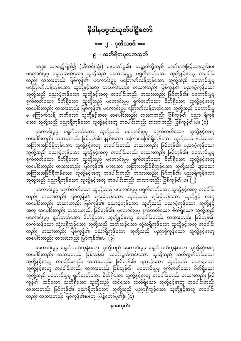#### နိဒါန၀ဂ္ဂသံယုတ်ပါဠိတော် === ၂ - ဒုတိယဝဂ် === ၉ - အဟိရိကမူလကသုတ်

၁၀၃။ သာဝတ္ထိပြည်၌ (သီတင်းသုံး) နေတော်မူ၏။ သတ္တဝါတို့သည် ဓာတ်အားဖြင့်သာလျှင်။ပ။ မကောင်းမှုမှ မရှက်တတ်သော သူတို့သည် မကောင်းမှုမှ မရှက်တတ်သော သူတို့နှင့်အတူ တပေါင်း တည်း တသားတည်း ဖြစ်ကုန်၏၊ မကောင်းမှုမှ မကြောက်လန့်ကုန်သော သူတို့သည် မကောင်းမှုမှ မကြောက်လန့်ကုန်သော သူတို့နှင့်အတူ တပေါင်းတည်း တသားတည်း ဖြစ်ကုန်၏၊ ပညာမဲ့ကုန်သော သူတို့သည် ပညာမဲ့ကုန်သော သူတို့နှင့်အတူ တပေါင်းတည်း တသားတည်း ဖြစ်ကုန်၏။ မကောင်းမှုမှ ရ<sup>ှိ</sup>က်တတ်သော စိတ်ရှိသော သူတို့သည် မကောင်းမှုမှ ရှက်တတ်သော စိတ်ရှိသော သူတို့နှင့်အတူ တပေါင်းတည်း တသားတည်း ဖြစ်ကုန်၏၊ မကောင်းမှုမှ ကြောက်လန့်တတ်သော သူတို့သည် မကောင်းမှု မှ ကြောက်လန့် တတ်သော သူတို့နှင့်အတူ တပေါင်းတည်း တသားတည်း ဖြစ်ကုန်၏၊ ပညာ ရှိကုန် -<br>သော သူတို့သည် ပညာရှိကုန်သော သူတို့နှင့်အတူ တပေါင်းတည်း တသားတည်း ဖြစ်ကုန်၏။ပ။ (၁)

မကောင်းမှုမှ မရှက်တတ်သော သူတို့သည် မကောင်းမှုမှ မရှက်တတ်သော သူတို့နှင့်အတူ အကြားအမြင်ရှိကုန်သော သူတို့နှင့်အတူ တပေါင်းတည်း တသားတည်း ဖြစ်ကုန်၏၊ ပညာမဲ့ကုန်သော သူတို့သည် ပညာမဲ့ကုန်သော သူတို့နှင့်အတူ တပေါင်းတည်း တသားတည်း ဖြစ်ကုန်၏။ မကောင်းမှုမှ ရ<sup>ှိ</sup>က်တတ်သော စိတ်ရှိသော သူတို့သည် မကောင်းမှုမှ ရှက်တတ်သော စိတ်ရှိသော သူတို့နှင့်အတူ တပေါင်းတည်း တသားတည်း ဖြစ်ကုန်၏၊ များသော အကြားအမြင်ရှိကုန်သော သူတို့သည် များသော အကြားအမြင်ရှိကုန်သော သူတို့နှင့်အတူ တပေါင်းတည်း တသားတည်း ဖြစ်ကုန်၏၊ ပညာရှိကုန်သော သူတို့သည် ပညာရှိကုန်သော သူတို့နှင့်အတူ တပေါင်းတည်း တသားတည်း ဖြစ်ကုန်၏။ပ။ (၂)

မကောင်းမှုမှ မရှက်တတ်သော သူတို့သည် မကောင်းမှုမှ မရှက်တတ်သော သူတို့နှင့်အတူ တပေါင်း တည်း တသားတည်း ဖြစ်ကုန်၏၊ ပျင်းရိကုန်သော သူတို့သည် ပျင်းရိကုန်သော သူတို့နှင့် အတူ တပေါင်းတည်း တသားတည်း ဖြစ်ကုန်၏၊ ပညာမဲ့ကုန်သော သူတို့သည် ပညာမဲ့ကုန်သော သူတို့နှင့် အတူ တပေါင်းတည်း တသားတည်း ဖြစ်ကုန်၏။ မကောင်းမှုမှ ရှက်တတ်သော စိတ်ရှိသော သူတို့သည် မကောင်းမှုမှ ရှက်တတ်သော စိတ်ရှိသော သူတို့နှင့်အတူ တပေါင်းတည်း တသားတည်း ဖြစ်ကုန်၏၊ ထက်သန်သော လုံ့လရှိကုန်သော သူတို့သည် ထက်သန်သော လုံ့လရှိကုန်သော သူတို့နှင့်အတူ တပေါင်း တည်း တသားတည်း ဖြစ်ကုန်၏၊ ပညာရှိကုန်သော သူတို့သည် ပညာရှိကုန်သော သူတို့နှင့်အတူ တပေါင်းတည်း တသားတည်း ဖြစ်ကုန်၏။ပ။ (၃)

မကောင်းမှုမှ မရှက်တတ်ကုန်သော သူတို့သည် မကောင်းမှုမှ မရှက်တတ်ကုန်သော သူတို့နှင့်အတူ တပေါင်းတည်း တသားတည်း ဖြစ်ကုန်၏၊ သတိလွတ်ကင်းသော သူတို့သည် သတိလွတ်ကင်းသော သူတို့နှင့်အတူ တပေါင်းတည်း တသားတည်း ဖြစ်ကုန်၏၊ ပညာမဲ့သော သူတို့သည် ပညာမဲ့သော သူတို့နှင့်အတူ တပေါင်းတည်း တသားတည်း ဖြစ်ကုန်၏။ မကောင်းမှုမှ ရှက်တတ်သော စိတ်ရှိသော သူတို့သည် မတောင်းမှုမှ ရှက်တတ်သော စိတ်ရှိသော သူတို့နှင့်အတူ တပေါင်းတည်း တသားတည်း ဖြစ် က်န်၏၊ ထင်သော သတိရှိသော သူတို့သည် ထင်သော သတိရှိသော သူတို့နှင့်အတူ တပေါင်းတည်း ု ၊<br>တသားတည်း ဖြစ်ကုန်၏၊ ပညာရှိကုန်သော သူတို့သည် ပညာရှိကုန်သော သူတို့နှင့်အတူ တပေါင်း တည်း တသားတည်း ဖြစ်ကုန်၏။ပါဟု (မိန့်တော်မူ၏)။ (၄)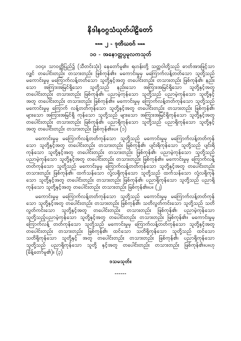#### နိဒါနဝဂွသံယုတ်ပါဠိတော် === ၂ - ဒုတိယဝဂ် === ၁၀ - အနောတ္ထပ္ပမူလကသုတ်

၁၀၄။ သာဝတ္တိပြည်၌ (သီတင်းသုံး) နေတော်မူ၏။ ရဟန်းတို့ သတ္တဝါတို့သည် ဓာတ်အားဖြင့်သာ လျှင် တပေါင်းတည်း တသားတည်း ဖြစ်ကုန်၏။ မကောင်းမှုမှ မကြောက်လန့်တတ်သော သူတို့သည် မကောင်းမှုမှ မကြောက်လန့်တတ်သော သူတို့နှင့်အတူ တပေါင်းတည်း တသားတည်း ဖြစ်ကုန်၏၊ နည်း သော အကြားအမြင်ရှိသော သူတို့သည် နည်းသော အကြားအမြင်ရှိသော သူတို့နှင့်အတူ တပေါင်းတည်း တသားတည်း ဖြစ်ကုန်၏၊ ပညာမဲ့ကုန်သော သူတို့သည် ပညာမဲ့ကုန်သော သူတို့နှင့် အတူ တပေါင်းတည်း တသားတည်း ဖြစ်ကုန်၏။ မကောင်းမှုမှ ကြောက်လန့်တတ်ကုန်သော သူတို့သည် မကောင်းမှုမှ ကြောက် လန့်တတ်ကုန်သော သူတို့နှင့်အတူ တပေါင်းတည်း တသားတည်း ဖြစ်ကုန်၏၊ များသော အကြားအမြင်ရှိ ကုန်သော သူတို့သည် များသော အကြားအမြင်ရှိကုန်သော သူတို့နှင့်အတူ အတူ တပေါင်းတည်း တသားတည်း ဖြစ်ကုန်၏။ပ။ (၁)

မကောင်းမှုမှ မကြောက်လန့်တတ်ကုန်သော သူတို့သည် မကောင်းမှုမှ မကြောက်လန့်တတ်ကုန် သော သူတို့နှင့်အတူ တပေါင်းတည်း တသားတည်း ဖြစ်ကုန်၏၊ ပျင်းရိကုန်သော သူတို့သည် ပျင်းရိ ကုန်သော သူတို့နှင့်အတူ တပေါင်းတည်း တသားတည်း ဖြစ်ကုန်၏၊ ပညာမဲ့ကုန်သော သူတို့သည် ပညာမဲ့ကုန်သော သူတို့နှင့်အတူ တပေါင်းတည်း တသားတည်း ဖြစ်ကုန်၏။ မကောင်းမှုမှ ကြောက်လန့် တတ်ကုန်သော သူတို့သည် မကောင်းမှုမှ ကြောက်လန့်တတ်ကုန်သော သူတို့နှင့်အတူ တပေါင်းတည်း တသားတည်း ဖြစ်ကုန်၏၊ ထက်သန်သော လုံ့လရှိကုန်သော သူတို့သည် ထက်သန်သော လုံ့လရှိကုန် သော သူတို့နှင့်အတူ တပေါင်းတည်း တသားတည်း ဖြစ်ကုန်၏၊ ပညာရှိကုန်သော သူတို့သည် ပညာရှိ ကုန်သော သူတို့နှင့်အတူ တပေါင်းတည်း တသားတည်း ဖြစ်ကုန်၏။ပ။ (၂)

မကောင်းမှုမှ မကြောက်လန့်တတ်ကုန်သော သူတို့သည် မကောင်းမှုမှ မကြောက်လန့်တတ်ကုန်<br>သော သူတို့နှင့်အတူ တပေါင်းတည်း တသားတည်း ဖြစ်ကုန်၏၊ သတိလွတ်ကင်းသော သူတို့သည် သတိ လွတ်ကင်းသော သူတို့နှင့်အတူ တပေါင်းတည်း တသားတည်း ဖြစ်ကုန်၏၊ ပညာမဲ့ကုန်သော သူတို့သည့်ပညာမဲ့ကုန်သော သူတို့နှင့်အတူ တပေါင်းတည်း တသားတည်း ဖြစ်ကုန်၏။ မကောင်းမှုမှ သတိရှိကုန်သော သူတို့နှင့် အတူ တပေါင်းတည်း တသားတည်း ဖြစ်ကုန်၏၊ ပညာရှိကုန်သော သူတို့သည် ပညာရှိကုန်သော သူတို့ နှင့်အတူ တပေါင်းတည်း တသားတည်း ဖြစ်ကုန်၏။ပ။ဟု (မိန့်တော်မူ၏)။  $\overline{(\rho)}$ 

ဒသမသုတ်။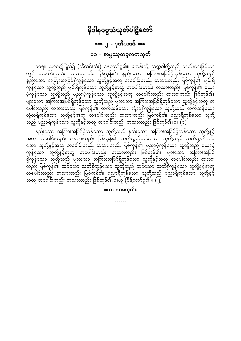# နိဒါန၀ဂွသံယုတ်ပါဠိတော် === ၂ - ဒုတိယ၀ဂ် ===

#### ၁၁ - အပ္ပဿုတမူလကသုတ်

၁၀၅။ သာဝတ္တိပြည်၌ (သီတင်းသုံး) နေတော်မူ၏။ ရဟန်းတို့ သတ္တဝါတို့သည် ဓာတ်အားဖြင့်သာ လျှင် တပေါင်းတည်း တသားတည်း ဖြစ်ကုန်၏။ နည်းသော အကြားအမြင်ရှိကုန်သော သူတို့သည် ှာ ကျွန်းသော အကြားအမြင်ရှိကုန်သော သူတို့နှင့်အတူ တပေါင်းတည်း တသားတည်း ဖြစ်ကုန်၏၊ ပျင်းရိ .<br>ကုန်သော သူတို့သည် ပျင်းရိကုန်သော သူတို့နှင့်အတူ တပေါင်းတည်း တသားတည်း ဖြစ်ကုန်၏၊ ပညာ ့်<br>မဲ့ကုန်သော သူတို့သည် ပညာမဲ့ကုန်သော သူတို့နှင့်အတူ တပေါင်းတည်း တသားတည်း ဖြစ်ကုန်၏။ များသော အကြားအမြင်ရှိကုန်သော သူတို့သည် များသော အကြားအမြင်ရှိကုန်သော သူတို့နှင့်အတူ တ ပေါင်းတည်း တသားတည်း ဖြစ်ကုန်၏၊ ထက်သန်သော လုံ့လရှိကုန်သော သူတို့သည် ထက်သန်သော လုံ့လရှိကုန်သော သူတို့နှင့်အတူ တပေါင်းတည်း တသားတည်း ဖြစ်ကုန်၏၊ ပညာရှိကုန်သော သူတို့ ာက် "<br>သည် ပညာရှိကုန်သော သူတို့နှင့်အတူ တပေါင်းတည်း တသားတည်း ဖြစ်ကုန်၏။ပ။ (၁)

နည်းသော အကြားအမြင်ရှိကုန်သော သူတို့သည် နည်းသော အကြားအမြင်ရှိကုန်သော သူတို့နှင့် အတူ တပေါင်းတည်း တသားတည်း ဖြစ်ကုန်၏၊ သတိလွတ်ကင်းသော သူတို့သည် သတိလွတ်ကင်း သော သူတို့နှင့်အတူ တပေါင်းတည်း တသားတည်း ဖြစ်ကုန်၏၊ ပညာမဲ့ကုန်သော သူတို့သည် ပညာမဲ့ ကုန်သော သူတို့နှင့်အတူ တပေါင်းတည်း တသားတည်း ဖြစ်ကုန်၏။ များသော အကြားအမြင် ရှိကုန်သော သူတို့သည် များသော အကြားအမြင်ရှိကုန်သော သူတို့နှင့်အတူ တပေါင်းတည်း တသား အတူ တပေါင်းတည်း တသားတည်း ဖြစ်ကုန်၏။ပ။ဟု (မိန့်တော်မူ၏)။ (၂)

<mark>ကောဒသမသုတ်။</mark>

 $\frac{1}{2}$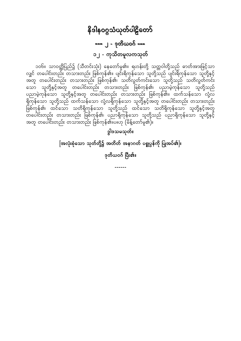#### နိဒါန၀ဂွသံယုတ်ပါဠိတော် === ၂ - ဒုတိယဝဂ် === ၁၂ - ကုသိတမူလကသုတ်

၁၀၆။ သာဝတ္ထိပြည်၌ (သီတင်းသုံး) နေတော်မူ၏။ ရဟန်းတို့ သတ္တဝါတို့သည် ဓာတ်အားဖြင့်သာ လျှင် တပေါင်းတည်း တသားတည်း ဖြစ်ကုန်၏။ ပျင်းရိကုန်သော သူတို့သည် ပျင်းရိကုန်သော သူတို့နှင့်<br>အတူ တပေါင်းတည်း တသားတည်း ဖြစ်ကုန်၏၊ သတိလွတ်ကင်းသော သူတို့သည် သတိလွတ်ကင်း သော သူတို့နှင့်အတူ တပေါင်းတည်း တသားတည်း ဖြစ်ကုန်၏၊ ပညာမဲ့ကုန်သော သူတို့သည် ပညာမဲ့ကုန်သော သူတို့နှင့်အတူ တပေါင်းတည်း တသားတည်း ဖြစ်ကုန်၏။ ထက်သန်သော လုံ့လ ာကား<br>ရိုကုန်သော သူတို့သည် ထက်သန်သော လုံ့လရှိကုန်သော သူတို့နှင့်အတူ တပေါင်းတည်း တသားတည်း<br>ဖြစ်ကုန်၏၊ ထင်သော သတိရှိကုန်သော သူတို့သည် ထင်သော သတိရှိကုန်သော သူတို့နှင့်အတူ -<br>တပေါင်းတည်း တသားတည်း ဖြစ်ကုန်၏၊ ပညာရှိကုန်သော သူတို့သည် ပညာရှိကုန်သော သူတို့နှင့် အတူ တပေါင်းတည်း တသားတည်း ဖြစ်ကုန်၏။ပ။ဟု (မိန့်တော်မူ၏)။

ဒွါဒသမသုတ်။

အြလုံးစုံသော သုတ်တို့၌ အတိတ် အနာဂတ် ပစ္စုပ္ပန်ကို ပြုအပ်၏။

ဒုတိယဝဂ် ပြီး၏။

 $\frac{1}{2}$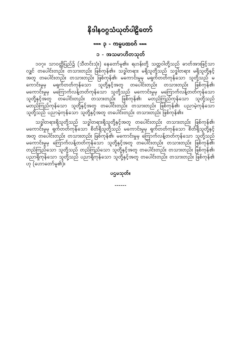#### နိဒါနဝဂ္ဂသံယုတ်ပါဠိတော်

=== ၃ - ကမ္မပထဝဂ် ===

၁ - အသမာဟိတသုတ်

၁၀၇။ သာ၀တ္ထိပြည်၌ (သီတင်းသုံး) နေတော်မူ၏။ ရဟန်းတို့ သတ္တဝါတို့သည် ဓာတ်အားဖြင့်သာ လျှင် တပေါင်းတည်း တသားတည်း ဖြစ်ကုန်၏။ သဒ္ဓါတရား မရှိသူတို့သည် သဒ္ဓါတရား မရှိသူတို့နှင့် ကောင်းမှုမှ မရှက်တတ်ကုန်သော သူတို့နှင့်အတူ တပေါင်းတည်း တသားတည်း ဖြစ်ကုန်၏၊ မကောင်းမှုမှ မကြောက်လန့်တတ်ကုန်သော သူတို့သည် မကောင်းမှုမှ မကြောက်လန့်တတ်ကုန်သော သူတို့နှင့်အတူ တပေါင်းတည်း တသားတည်း ဖြစ်ကုန်၏၊ မတည်ကြည်ကုန်သော သူတို့သည် မတည်ကြည်ကုန်သော သူတို့နှင့်အတူ တပေါင်းတည်း တသားတည်း ဖြစ်ကုန်၏၊ ပညာမဲ့ကုန်သော သူတို့သည် ပညာမဲ့ကုန်သော သူတို့နှင့်အတူ တပေါင်းတည်း တသားတည်း ဖြစ်ကုန်၏။

သဒ္ဓါတရားရှိသူတို့သည် သဒ္ဓါတရားရှိသူတို့နှင့်အတူ တပေါင်းတည်း တသားတည်း ဖြစ်ကုန်၏၊ မကောင်းမှုမှ ရှက်တတ်ကုန်သော စိတ်ရှိသူတို့သည် မကောင်းမှုမှ ရှက်တတ်ကုန်သော စိတ်ရှိသူတို့နှင့် အတူ တပေါင်းတည်း တသားတည်း ဖြစ်ကုန်၏၊ မကောင်းမှုမှ ကြောက်လန့်တတ်ကုန်သော သူတို့သည် မကောင်းမှုမှ ကြောက်လန့်တတ်ကုန်သော သူတို့နှင့်အတူ တပေါင်းတည်း တသားတည်း ဖြစ်ကုန်၏၊ တည်ကြည်သော သူတို့သည် တည်ကြည်သော သူတို့နှင့်အတူ တပေါင်းတည်း တသားတည်း ဖြစ်ကုန်၏၊ ပညာရှိကုန်သော သူတို့သည် ပညာရှိကုန်သော သူတို့နှင့်အတူ တပေါင်းတည်း တသားတည်း ဖြစ်ကုန်၏ ဟု (ဟောတော်မူ၏)။

ပဌမသုတ်။

------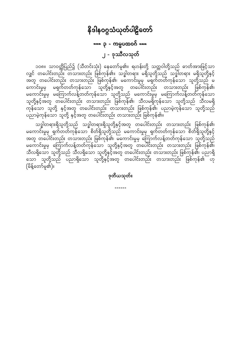#### နိဒါန၀ဂွသံယုတ်ပါဠိတော် === ၃ - ကမ္မပထဝဂ် === ၂ - ဒုဿီလသုတ်

၁၀၈။ သာဝတ္ထိပြည်၌ (သီတင်းသုံး) နေတော်မူ၏။ ရဟန်းတို့ သတ္တဝါတို့သည် ဓာတ်အားဖြင့်သာ လျှင် တပေါင်းတည်း တသားတည်း ဖြစ်ကုန်၏။ သဒ္ဓါတရား မရှိသူတို့သည် သဒ္ဓါတရား မရှိသူတို့နှင့် ာ<br>အတူ တပေါင်းတည်း တသားတည်း ဖြစ်ကုန်၏၊ မကောင်းမှုမှ မရှက်တတ်ကုန်သော သူတို့သည် မ မရှက်တတ်ကုန်သော သူတို့နှင့်အတူ တပေါင်းတည်း တသားတည်း <sup>"</sup> ဖြစ်ကုန်၏၊ ကောင်းမှုမှ မကောင်းမှုမှ မကြောက်လန့်တတ်ကုန်သော သူတို့သည် မကောင်းမှုမှ မကြောက်လန့်တတ်ကုန်သော သူတို့နှင့်အတူ တပေါင်းတည်း တသားတည်း ဖြစ်ကုန်၏၊ သီလမရှိကုန်သော သူတို့သည် သီလမရှိ က်န်သော သူတို့ နှင့်အတူ တပေါင်းတည်း တသားတည်း ဖြစ်ကုန်၏၊ ပညာမဲ့ကုန်သော သူတို့သည် ပညာမဲ့ကုန်သော သူတို့ နှင့်အတူ တပေါင်းတည်း တသားတည်း ဖြစ်ကုန်၏။

သဒ္ဓါတရားရှိသူတို့သည် သဒ္ဓါတရားရှိသူတို့နှင့်အတူ တပေါင်းတည်း တသားတည်း ဖြစ်ကုန်၏၊ မကောင်းမှုမှ ရှက်တတ်ကုန်သော စိတ်ရှိသူတို့သည် မကောင်းမှုမှ ရှက်တတ်ကုန်သော စိတ်ရှိသူတို့နှင့် အတူ တပေါင်းတည်း တသားတည်း ဖြစ်ကုန်၏၊ မကောင်းမှုမှ ကြောက်လန့်တတ်ကုန်သော သူတို့သည် မကောင်းမှုမှ ကြောက်လန့်တတ်ကုန်သော သူတို့နှင့်အတူ တပေါင်းတည်း တသားတည်း ဖြစ်ကုန်၏၊ သီလရှိသော သူတို့သည် သီလရှိသော သူတို့နှင့်အတူ တပေါင်းတည်း တသားတည်း ဖြစ်ကုန်၏၊ ပညာရှိ သော သူတို့သည် ပညာရှိသော သူတို့နှင့်အတူ တပေါင်းတည်း တသားတည်း ဖြစ်ကုန်၏ ဟု (မိန့်တော်မူ၏)။

ဒုတိယသုတ်။

 $- - - - - -$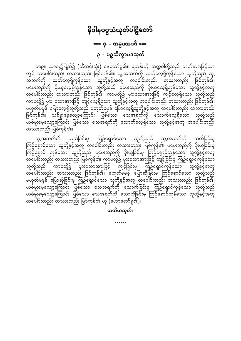#### နိဒါနဝဂ္ဂသံယုတ်ပါဠိတော် === ၃ - ကမ္မပထဝဂ် === ၃ - ပဉ္စသိက္ခာပဒသုတ်

၁၀၉။ သာဝတ္ထိပြည်၌ (သီတင်းသုံး) နေတော်မူ၏။ ရဟန်းတို့ သတ္တဝါတို့သည် ဓာတ်အားဖြင့်သာ လျှင် တပေါင်းတည်း တသားတည်း ဖြစ်ကုန်၏။ သူ့အသက်ကို သတ်လေ့ရှိကုန်သော သူတို့သည် သူ့ မပေးသည်ကို ခိုးယူလေ့ရှိကုန်သော သူတို့သည် မပေးသည်ကို ခိုးယူလေ့ရှိကုန်သော သူတို့နှင့်အတူ တပေါင်းတည်း တသားတည်း ဖြစ်ကုန်၏၊ ကာမတို့၌ မှားသောအားဖြင့် ကျင့်လေ့ရှိသော သူတို့သည် ကာမတို့၌ မှား သောအားဖြင့် ကျင့်လေ့ရှိသော သူတို့နှင့်အတူ တပေါင်းတည်း တသားတည်း ဖြစ်ကုန်၏၊ မဟုတ်မမှန် ပြောလေ့ရှိသူတို့သည် မဟုတ်မမှန် ပြောလေ့ရှိသူတို့နှင့်အတူ တပေါင်းတည်း တသားတည်း ဖြစ်ကုန်၏၊ ယစ်မူးမေ့လျော့ကြောင်း ဖြစ်သော သေအရက်ကို သောက်လေ့ရှိသော သူတို့သည် .<br>ယစ်မူးမေ့လျော့ကြောင်း ဖြစ်သော သေအရက်ကို သောက်လေ့ရှိသော သူတို့နှင့်အတူ တပေါင်းတည်း တသားတည်း ဖြစ်ကုန်၏။

သူ့အသက်ကို သတ်ခြင်းမှ ကြဉ်ရှောင်သော သူတို့သည် သူ့အသက်ကို သတ်ခြင်းမှ သူတို့သည် ကာမတို့၌ မှားသောအားဖြင့် ကျင့်ခြင်းမှ ကြဉ်ရှောင်ကုန်သော သူတို့နှင့်အတူ ကပေါင်းတည်း တသားတည်း ဖြစ်ကုန်၏၊ မဟုတ်မမှန် ပြောဆိုခြင်းမှ ကြဉ်ရှောင်သော သူတို့သည် မဟုတ်မမှန် ပြောဆိုခြင်းမှ ကြဉ်ရှောင်သော သူတို့နှင့်အတူ တပေါင်းတည်း တသားတည်း ဖြစ်ကုန်၏၊<br>ယစ်မူးမေ့လျော့ကြောင်း ဖြစ်သော သေအရက်ကို သောက်ခြင်းမှ ကြဉ်ရှောင်ကုန်သော သူတို့သည် ယစ်မူးမေ့လျော့ကြောင်း ဖြစ်သော သေအရက်ကို သောက်ခြင်းမှ ကြဉ်ရှောင်ကုန်သော သူတို့နှင့်အတူ တပေါင်းတည်း တသားတည်း ဖြစ်ကုန်၏ ဟု (ဟောတော်မူ၏)။

တတိယသုတ်။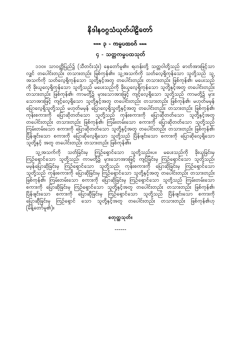### နိဒါန၀ဂွသံယုတ်ပါဠိတော် === ၃ - ကမ္မပထဝဂ် === ၄ - သတ္တကမ္မပထသုတ်

၁၁၀။ သာဝတ္ထိပြည်၌ (သီတင်းသုံး) နေတော်မူ၏။ ရဟန်းတို့ သတ္တဝါတို့သည် ဓာတ်အားဖြင့်သာ လျှင် တပေါင်းတည်း တသားတည်း ဖြစ်ကုန်၏။ သူ့အသက်ကို သတ်လေ့ရှိကုန်သော သူတို့သည် သူ့ ္သာ<br>အသက်ကို သတ်လေ့ရှိကုန်သော သူတို့နှင့်အတူ တပေါင်းတည်း တသားတည်း ဖြစ်ကုန်၏၊ မပေးသည် ကို ခိုးယူလေ့ရှိကုန်သော သူတို့သည် မပေးသည်ကို ခိုးယူလေ့ရှိကုန်သော သူတို့နှင့်အတူ တပေါင်းတည်း သောအားဖြင့် ကျင့်လေ့ရှိသော သူတို့နှင့်အတူ တပေါင်းတည်း တသားတည်း ဖြစ်ကုန်၏၊ မဟုတ်မမှန် ပြောလေ့ရှိသူတို့သည် မဟုတ်မမှန် ပြောလေ့ရှိသူတို့နှင့်အတူ တပေါင်းတည်း တသားတည်း ဖြစ်ကုန်၏၊ တပေါင်းတည်း တသားတည်း ဖြစ်ကုန်၏၊ ကြမ်းတမ်းသော စကားကို ပြောဆိုတတ်သော သူတို့သည် .<br>ကြမ်းတမ်းသော စကားကို ပြောဆိုတတ်သော သူတို့နှင့်အတူ တပေါင်းတည်း တသားတည်း ဖြစ်ကုန်၏၊ .<br>ပြိန်ဖျင်းသော စကားကို ပြောဆိုလေ့ရှိသော သူတို့သည် ပြိန်ဖျင်းသော စကားကို ပြောဆိုလေ့ရှိသော .<br>သူတို့နှင့် အတူ တပေါင်းတည်း တသားတည်း ဖြစ်ကုန်၏။

သူ့အသက်ကို သတ်ခြင်းမှ ကြဉ်ရှောင်သော သူတို့သည်။ပ။ မပေးသည်ကို ခိုးယူခြင်းမှ ာ ကမာေလျာင္း ေျပာင္းေတာ္ေလာင္းေကာင္း အေပးလုပ္ေတြကို အေပးလုပ္ေတြကို ေကာင္း<br>ေကာင္ပါတယ္ တုပ္ခ်ဳပ္ေတာ့ စကားကို ေပြာဆိုခြင်းမှ ကြဉ်ရှောင်သော သူတို့သည် ကြမ်းတမ်းသော<br>- ပြန်ပျင်းသော စကားကို ေပြာဆိုခြင်းမှ ကြဉ်ရောင်သော တပေါင်းတည်း -<br>ပြောဆိုခြင်းမှ ကြဉ်ရှောင် သော သူတို့နှင့်အတူ တပေါင်းတည်း တသားတည်း ဖြစ်ကုန်၏ဟု (မိန့်တော်မှု၏)။

စတုတ္ထသုတ်။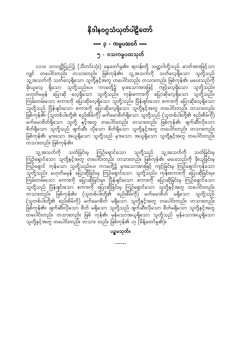# နိဒါနဝဂ္ဂသံယုတ်ပါဠိတော် === ၃ - ကမ္မပထဝဂ် ===

၅ - ဒသကမ္မပထသုတ်

၁၁၁။ သာဝတ္ထိပြည်၌ (သီတင်းသုံး) နေတော်မူ၏။ ရဟန်းတို့ သတ္တဝါတို့သည် ဓာတ်အားဖြင့်သာ လျှင် တပေါင်းတည်း တသားတည်း ဖြစ်ကုန်၏။ သူ့အသက်ကို သတ်လေ့ရှိသော သူတို့သည် ာ<br>သူ့အသက်ကို သတ်လေ့ရှိသော သူတို့နှင့်အတူ တပေါင်းတည်း တသားတည်း ဖြစ်ကုန်၏၊ မပေးသည်ကို -<br>ခိုးယူလေ့ ရှိသော သူတို့သည်။ပ။ ကာမတို့၌ မှားသောအားဖြင့် ကျင့်လေ့ရှိသော သူတို့သည်။ မဟုတ်မမှန် ပြောဆို လေ့ရှိသော သူတို့သည်။ ကုန်းစကားကို ပြောဆိုလေ့ရှိသော သူတို့သည်။ ကြမ်းတမ်းသော စကားကို ပြောဆိုလေ့ရှိသော သူတို့သည်။ ပြိန်ဖျင်းသော စကားကို ပြောဆိုလေ့ရှိသော သူတို့သည် ပြိန်ဖျင်းသော စကားကို ပြောဆိုလေ့ရှိသော သူတို့နှင့်အတူ တပေါင်းတည်း တသားတည်း ဖြစ်ကုန်၏၊ (သူတစ်ပါးတို့၏ စည်းစိမ်ကို) မက်မောစိတ်ရှိသော သူတို့သည် (သူတစ်ပါးတို့၏ စည်းစိမ်ကို) U ၊ ၊ ့ ့ "<br>မက်မောစိတ်ရှိသော သူတို့ နှင့်အတူ တပေါင်းတည်း တသားတည်း ဖြစ်ကုန်၏၊ ဖျက်ဆီးလိုသော စိတ်ရှိသော သူတို့သည် ဖျက်ဆီး လိုသော စိတ်ရှိသော သူတို့နှင့်အတူ တပေါင်းတည်း တသားတည်း ဖြစ်ကုန်၏၊ မှားသော အယူရှိသော သူတို့သည် မှားသော အယူရှိသော သူတို့နှင့်အတူ တပေါင်းတည်း တသားတည်း ဖြစ်ကုန်၏။

သူ့အသက်ကို သတ်ခြင်းမှ ကြဉ်ရှောင်သော သူတို့သည် သူ့အသက်ကို သတ်ခြင်းမှ ကြဉ်ရှောင်သော သူတို့နှင့်အတူ တပေါင်းတည်း တသားတည်း ဖြစ်ကုန်၏၊ မပေးသည်ကို ခိုးယူခြင်းမှ ကြမ်းတမ်းသော စကားကို ပြောဆိုခြင်းမှ။ ပြိန်ဖျင်းသော စကားကို ပြောဆိုခြင်းမှ ကြဉ်ရှောင်သော \_\_<br>သူတို့သည် ပြိန်ဖျင်းသော စကားကို ပြောဆိုခြင်းမှ ကြဉ်ရှောင်သော သူတို့နှင့်အတူ တပေါင်းတည်း (သူတစ်ပါးတို့၏ စည်းစိမ်ကို) မက်မောစိတ် မရှိသော သူတို့နှင့်အတူ တပေါင်းတည်း တသားတည်း ဖြစ်ကုန်၏။ ဖျက်ဆီးလိုသော<sup>်</sup> စိတ် မရှိသော သူတို့သည် ဖျက်ဆီးလိုသော စိတ်မရှိသော သူတို့နှင့်အတူ .<br>တပေါင်းတည်း တသားတည်း ဖြစ် ကုန်၏၊ မှန်သောအယူရှိသော သူတို့သည် မှန်သောအယူရှိသော သူတို့နှင့်အတူ တပေါင်းတည်း တသား တည်း ဖြစ်ကုန်၏ ဟု (မိန့်တော်မူ၏)။

ပဉ္စမသုတ်။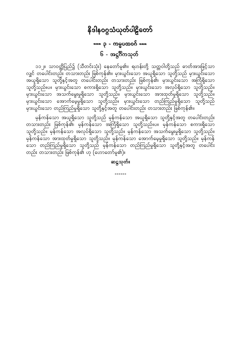#### နိဒါနဝဂ္ဂသံယုတ်ပါဠိတော် === ၃ - ကမ္မပထဝဂ် === ၆ - အဋ္ဌဂီကသုတ်

၁၁၂။ သာဝတ္ထိပြည်၌ (သီတင်းသုံး) နေတော်မူ၏။ ရဟန်းတို့ သတ္တဝါတို့သည် ဓာတ်အားဖြင့်သာ လျှင် တပေါင်းတည်း တသားတည်း ဖြစ်ကုန်၏။ မှားယွင်းသော အယူရှိသော သူတို့သည် မှားယွင်းသော ္သာ<br>အယူရှိသော သူတို့နှင့်အတူ တပေါင်းတည်း တသားတည်း ဖြစ်ကုန်၏၊ မှားယွင်းသော အကြံရှိသော သူတို့သည်။ပ။ မှားယွင်းသော စကားရှိသော သူတို့သည်။ မှားယွင်းသော အလုပ်ရှိသော သူတို့သည်။ မှားယွင်းသော အသက်မွေးမှုရှိသော သူတို့သည်။ မှားယွင်းသော အားထုတ်မှုရှိသော သူတို့သည်။ .<br>မှားယွင်းသော အောက်မေ့မှုရှိသော သူတို့သည်။ မှားယွင်းသော တည်ကြည်မှုရှိသော သူတို့သည် .<br>မှားယွင်းသော တည်ကြည်မှုရှိသော သူတို့နှင့်အတူ တပေါင်းတည်း တသားတည်း ဖြစ်ကုန်၏။

မှန်ကန်သော အယူရှိသော သူတို့သည် မှန်ကန်သော အယူရှိသော သူတို့နှင့်အတူ တပေါင်းတည်း သူတို့သည်။ မှန်ကန်သော အလုပ်ရှိသော သူတို့သည်။ မှန်ကန်သော အသက်မွေးမှုရှိသော သူတို့သည်။<br>မှန်ကန်သော အားထုတ်မှုရှိသော သူတို့သည်။ မှန်ကန်သော အောက်မေ့မှုရှိသော သူတို့သည်။ မှန်ကန် ဒါသာ တည်ကြည်မှုရှိသော သူတို့သည် မှန်ကန်သော တည်ကြည်မှုရှိသော သူတို့နှင့်အတူ တပေါင်း တည်း တသားတည်း ဖြစ်ကုန်၏ ဟု (ဟောတော်မူ၏)။

ဆဋ္ဌသုတ်။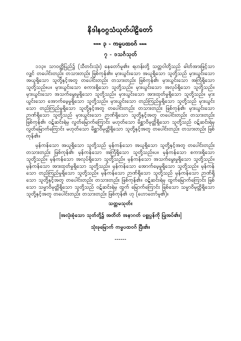#### နိဒါနဝဂ္ဂသံယုတ်ပါဠိတော် === ၃ - ကမ္မပထဝဂ် === ၇ - ဒသင်္ဂသုတ်

၁၁၃။ သာဝတ္ထိပြည်၌ (သီတင်းသုံး) နေတော်မူ၏။ ရဟန်းတို့ သတ္တဝါတို့သည် ဓါတ်အားဖြင့်သာ လျှင် တပေါင်းတည်း တသားတည်း ဖြစ်ကုန်၏။ မှားယွင်းသော အယူရှိသော သူတို့သည် မှားယွင်းသော ာ<br>အယူရှိသော သူတို့နှင့်အတူ တပေါင်းတည်း တသားတည်း ဖြစ်ကုန်၏၊ မှားယွင်းသော အကြံရှိသော သူတို့သည်။ပ။ မှားယွင်းသော စကားရှိသော သူတို့သည်။ မှားယွင်းသော အလုပ်ရှိသော သူတို့သည်။ မှားယွင်းသော အသက်မွေးမှုရှိသော သူတို့သည်။ မှားယွင်းသော အားထုတ်မှုရှိသော သူတို့သည်။ မှား .<br>ယွင်းသော အောက်မေ့မှုရှိသော သူတို့သည်။ မှားယွင်းသော တည်ကြည်မှုရှိသော သူတို့သည် မှားယွင်း သော တည်ကြည်မှုရှိသော သူတို့နှင့်အတူ တပေါင်းတည်း တသားတည်း ဖြစ်ကုန်၏၊ မှားယွင်းသော ဉာဏ်ရှိသော သူတို့သည် မှားယွင်းသော ဉာဏ်ရှိသော သူတို့နှင့်အတူ တပေါင်းတည်း တသားတည်း .<br>ဖြစ်ကုန်၏၊ ဝဋ်ဆင်းရဲမှ လွတ်မြောက်ကြောင်း မဟုတ်သော မိစ္ဆာဝိမုတ္တိရှိသော သူတို့သည် ဝဋ်ဆင်းရဲမှ .<br>လွတ်မြောက်ကြောင်း မဟုတ်သော မိစ္ဆာ၀ိမုတ္တိရှိသော သူတို့နှင့်အတူ တပေါင်းတည်း တသားတည်း ဖြစ် ကုန်၏။

မှန်ကန်သော အယူရှိသော သူတို့သည် မှန်ကန်သော အယူရှိသော သူတို့နှင့်အတူ တပေါင်းတည်း တသားတည်း ဖြစ်ကုန်၏၊ မှန်ကန်သော အကြံရှိသော သူတို့သည်။ပ။ မှန်ကန်သော စကားရှိသော သူတို့သည်။ မှန်ကန်သော အလုပ်ရှိသော သူတို့သည်။ မှန်ကန်သော အသက်မွေးမှုရှိသော သူတို့သည်။ မှန်ကန်သော အားထုတ်မှုရှိသော သူတို့သည်။ မှန်ကန်သော အောက်မေ့မှုရှိသော သူတို့သည်။ မှန်ကန် ှ<br>သော တည်ကြည်မှုရှိသော သူတို့သည်။ မှန်ကန်သော ဉာဏ်ရှိသော သူတို့သည် မှန်ကန်သော ဉာဏ်ရှိ သော သူတို့နှင့်အတူ တပေါင်းတည်း တသားတည်း ဖြစ်ကုန်၏။ ဝဋ်ဆင်းရဲမှ ထွက်မြောက်ကြောင်း ဖြစ် သော သမ္မာဝိမုတ္တိရှိသော သူတို့သည် ဝဋ်ဆင်းရဲမှ ထွက် မြောက်ကြောင်း ဖြစ်သော သမ္မာဝိမုတ္တိရှိသော သူတို့နှင့်အတူ တပေါင်းတည်း တသားတည်း ဖြစ်ကုန်၏ ဟု (ဟောတော်မူ၏)။

သတ္တမသုတ်။

အလုံးစုံသော သုတ်တို့၌ အတိတ် အနာဂတ် ပစ္စုပ္ပန်ကို ပြုအပ်၏။]

သုံးခုမြောက် ကမ္မပထဝဂ် ပြီး၏။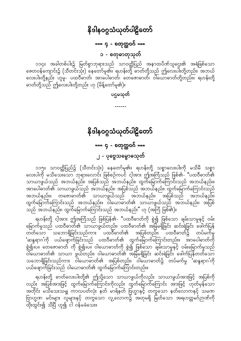နိဒါနဝဂ္ဂသံယုတ်ပါဠိတော်

=== ၄ - စတုတ္ထဝဂ် ===

၁ - စတုဓာတုသုတ်

၁၁၄။ အခါတစ်ပါး၌ မြတ်စွာဘုရားသည် သာဝတ္ထိပြည် အနာထပိဏ်သူဌေး၏ အရံဖြစ်သော ထောဝန်ကျောင်း၌ (သီတင်းသုံး) နေတော်မူ၏။ ရဟန်းတို့ ဓာတ်တို့သည် ဤလေးပါးတို့တည်း၊ အဘယ် လေးပါးတို့နည်း ဟူမှု- ပထဝီဓာတ်၊ အာပေါဓာတ်၊ တေဇောဓာတ်၊ ဝါယောဓာတ်တို့တည်း။ ရဟန်းတို့ ဓာတ်တို့သည် ဤလေးပါးတို့တည်း ဟု (မိန့်တော်မူ၏)။

ပဌမသုတ်

------

နိဒါန၀ဂွသံယုတ်ပါဠိတော် === ၄ - စတုတ္ထဝဂ် === ၂ - ပုဗ္ဗေသမွောဓသုတ်

၁၁၅။ သာဝတ္တိပြည်၌ (သီတင်းသုံး) နေတော်မူ၏။ ရဟန်းတို့ သစ္စာလေးပါးကို မသိမီ သစ္စာ လေးပါကို မသိသေးသော ဘုရားလောင်း ဖြစ်စဉ်ကပင် ငါ့အား ဤအကြံသည် ဖြစ်၏- "ပထဝီဓာတ်၏ သာယာဖွယ်သည် အဘယ်နည်း၊ အပြစ်သည် အဘယ်နည်း၊ ထွက်မြောက်ကြောင်းသည် အဘယ်နည်း။ အာပေါ်ဓာတ်၏ သာယာဖွယ်သည် အဘယ်နည်း၊ အပြစ်သည် အဘယ်နည်း၊ ထွက်မြောက်ကြောင်းသည် အဘယ်နည်း။ တဇောဓာတ်၏ သာယာဖွယ်သည် အဘယ်နည်း၊ အပြစ်သည် အဘယ်နည်း၊ ထွက်မြောက်ကြောင်းသည် အဘယ်နည်း။ ဝါယောဓာတ်၏ သာယာဖွယ်သည် အဘယ်နည်း၊ အပြစ် ာ<br>သည် အဘယ်နည်း၊ ထွက်မြောက်ကြောင်းသည် အဘယ်နည်း" ဟု (အကြံ ဖြစ်၏)။

ရဟန်းတို့ ငါ့အား ဤအကြံသည် ဖြစ်ပြန်၏- "ပထဝီဓာတ်ကို စွဲ၍ ဖြစ်သော ချမ်းသာမှုနှင့် ဝမ်း မြောက်မှုသည် ပထဝီဓာတ်၏ သာယာဖွယ်တည်း၊ ပထဝီဓာတ်၏ အမြဲမရှိခြင်း ဆင်းရဲခြင်း ဖေါက်ပြန် အပြစ်တည်း၊ ပထဝီဓာတ်၌ တပ်မက်မှု ်ဆန္ဒရာဂ'ကို ပယ်ဖျောက်ခြင်းသည် ပထဝီဓာတ်၏ ထွက်မြောက်ကြောင်းတည်း။ အာပေါဓာတ်ကို စွဲ၍။ပ။ တေဇောဓာတ် ကို စွဲ၍။ပ။ ဝါယောဓာတ်ကို စွဲ၍ ဖြစ်သော ချမ်းသာမှုနှင့် ဝမ်းမြောက်မှုသည် ို့<br>ဝါယောဓာတ်၏ သာယာ ဖွယ်တည်း၊ ဝါယောဓာတ်၏ အမြဲမရှိခြင်း ဆင်းရဲခြင်း ဖေါက်ပြန်တတ်သော သဘောရှိခြင်းသည်ကား ဝါယောဓာတ်၏ အပြစ်တည်း၊ ဝါယောဓာတ်၌ တပ်မက်မှု ဆန္ဒရာဂ**'**ကို ပယ်ဖျောက်ခြင်းသည် ဝါယောဓာတ်၏ ထွက်မြောက်ကြောင်းတည်း။

ရဟန်းတို့ ဓာတ်လေးပါးတို့၏ ဤသို့သော သာယာဖွယ်ကိုလည်း သာယာဖွယ်အားဖြင့် အပြစ်ကို လည်း အပြစ်အားဖြင့် ထွက်မြောက်ကြောင်းကိုလည်း ထွက်မြောက်ကြောင်း အားဖြင့် ဟုတ်မှန်သော အတိုင်း မသိသေးသမျှ ကာလပတ်လုံး နတ် မာရ်နတ် ဗြဟ္မာနှင့် တကွသော နတ်လောကနှင့် သမဏ ဗြာဟ္မဏ မင်းများ လူများနှင့် တကွသော လူ့လောက၌ အတုမရှိ မြတ်သော အရဟတ္တမဂ်ဉာဏ်ကို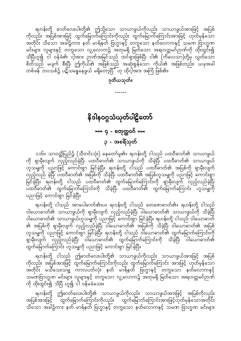ရဟန်းတို့ ဓာတ်လေးပါးတို့၏ ဤသို့သော သာယာဖွယ်ကိုလည်း သာယာဖွယ်အားဖြင့် အပြစ် ကိုလည်း အပြစ်အားဖြင့် ထွက်မြောက်ကြောင်းကိုလည်း ထွက်မြောက်ကြောင်းအားဖြင့် ဟုတ်မှန်သော အတိုင်း သိသော အခါ၌ကား နတ် မာရ်နတ် ဗြဟ္မာနှင့် တကွသော နတ်လောကနှင့် သမဏ ဗြာဟ္မဏ မင်းများ လူများနှင့် တကွသော လူ့လောက၌ အတုမရှိ မြတ်သော အရဟတ္တမဂ်ဉာဏ်ကို ထိုးထွင်း၍ သိပြီဟူ၍ ငါ ဝန်ခံ၏၊ ငါ့အား ဉာဏ်အမြင်သည် ထင်ရှားဖြစ်ပြီ၊ ငါ၏ (ကိလေသာ)တို့မှ လွတ်သော စိတ်သည် မပျက် စီးပြီ၊ ဤကိုယ်၏ အဖြစ်သည် အဆုံးစွန်သော ကိုယ်၏ အဖြစ်တည်း၊ ယခုအခါ<br>တစ်ဖန် ဘဝသစ်၌ ပဋိသန္ဓေနေဖွယ် မရှိတော့ပြီ"ဟု ထိုငါ့အား အကြံ ဖြစ်၏။

ဒုတိယသုတ်။

နိဒါန၀ဂွသံယုတ်ပါဠိတော် === ၄ - စတုတ္ထဝဂ် === ၃ - အစရိသုတ်

၁၁၆။ သာဝတ္ထိပြည်၌ (သီတင်းသုံး) နေတော်မူ၏။ ရဟန်းတို့ ငါသည် ပထဝီဓာတ်၏ သာယာဖွယ် ကို ရှာမှီးလျက် လှည့်လည်ခဲ့ပြီ၊ ပထဝီဓာတ်၏ သာယာဖွယ်ကို သိခဲ့ပြီ၊ ပထဝီဓာတ်၏ သာယာဖွယ် ပ္ပ္လြယ္ခဲ့တဲ့ ပညာဖြင့် ကောင်းစွာ မြင်ခဲ့ပြီ။ ရဟန်းတို့ ငါသည် ပထဝီဓာတ်၏ အပြစ်ကို ရှာမှီးလျက် လှည့်လည် ခဲ့ပြီ၊ ပထဝီဓာတ်၏ အပြစ်ကို သိခဲ့ပြီ၊ ပထဝီဓာတ်၏ အပြစ်ဟူသမျှကို ပညာဖြင့် ကောင်းစွာ မြင််ခဲ့ပြီ။ ရဟန်းတို့ ငါသည် ပထဝီဓာတ်၏ ထွက်မြောက်ကြောင်းကို ရှာမှီးလျက် လှည့်လည်ခဲ့ပြီ၊ ပထဝီဓာတ်၏ ထွက်မြောက်ကြောင်းကို သိခဲ့ပြီ၊ ပထဝီဓာတ်၏ ထွက်မြောက်ကြောင်း ဟူသမျှကို ပညာဖြင့် ကောင်းစွာ မြင်ခဲ့ပြီ။

ရဟန်းတို့ ငါသည် အာပေါဓာတ်၏။ပ။ ရဟန်းတို့ ငါသည် တေဇောဓာတ်၏။ ရဟန်းတို့ ငါသည် ဝါယော်ဓာတ်၏ သာယာဖွယ်ကို ရှာမှီးလျက် လှည့်လည်ခဲ့ပြီ၊ ဝါယောဓာတ်၏ သာယာဖွယ်ကို သိခဲ့ပြီ၊ ဝါယောဓာတ်၏ သာယာဖွယ်ဟူသမျှကို ပညာဖြင့် ကောင်းစွာ မြင်ခဲ့ပြီ။ ရဟန်းတို့ ငါသည် ဝါယောဓာတ် ၏ အပြစ်ကို ရှာမှီးလျက် လှည့်လည်ခဲ့ပြီ၊ ဝါယောဓာတ်၏ အပြစ်ကို သိခဲ့ပြီ၊ ဝါယောဓာတ်၏ အပြစ် ဟူသမျှကို ပညာဖြင့် ကောင်းစွာ မြင်ခဲ့ပြီ။ ရဟန်းတို့ ငါသည် ဝါယောဓာတ်၏ ထွက်မြောက်ကြောင်းကို ရာမှီးလျက် လှည့်လည်ခဲ့ပြီ၊ ဝါယောဓာတ်၏ ထွက်မြောက်ကြောင်းကို သိခဲ့ပြီ၊ ဝါယောဓာတ်၏ ာ<br>ထွက်မြောက်ကြောင်း ဟူသမျှကို ပညာဖြင့် ကောင်းစွာ မြင်ခဲ့ပြီ။

ရဟန်းတို့ ငါသည် ဤဓာတ်လေးပါးတို့၏ သာယာဖွယ်ကိုလည်း သာယာဖွယ်အားဖြင့် အပြစ်<br>ကိုလည်း အပြစ်အားဖြင့် ထွက်မြောက်ကြောင်းကိုလည်း ထွက်မြောက်ကြောင်း အားဖြင့် ဟုတ်မှန်သော ာ<br>အတိုင်း မသိသေးသမျှ ကာလပတ်လုံး နတ် မာရ်နတ် ဗြဟ္မာနှင့် တကွသော နတ်လောကနှင့် ကို ထိုးထွင်း၍ သိပြီ ဟူ၍ ငါ ဝန်မခံသေး။

ရဟန်းတို့ ဤဓာတ်လေးပါးတို့၏ သာယာဖွယ်ကိုလည်း သာယာဖွယ်အားဖြင့် အပြစ်ကိုလည်း အပြစ်အားဖြင့် ထွက်မြောက်ကြောင်းကိုလည်း ထွက်မြောက်ကြောင်းအားဖြင့်ဟုတ်မှန်သောအတိုင်း .<br>သိသော အခါ၌ကား နတ် မာရ်နတ် ဗြဟ္မာနှင့် တကွသော နတ်လောကနှင့် သမဏ ဗြာဟ္မဏ မင်းများ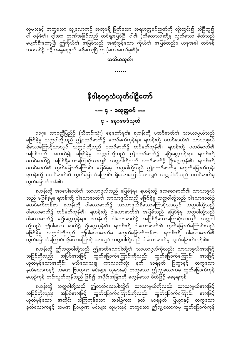လူများနှင့် တကွသော လူ့လောက၌ အတုမရှိ မြတ်သော အရဟတ္တမဂ်ဉာဏ်ကို ထိုးထွင်း၍ သိပြီဟူ၍ ငါ ဝန်ခံ၏။ ငါ့အား ဉာဏ်အမြင်သည် ထင်ရှားဖြစ်ပြီ၊ ငါ၏ (ကိလေသာ)တို့မှ လွတ်သော စိတ်သည် မပျက်စီးတော့ပြီ၊ ဤကိုယ်၏ အဖြစ်သည် အဆုံးစွန်သော ကိုယ်၏ အဖြစ်တည်း၊ ယခုအခါ တစ်ဖန် ဘဝသစ်၌ ပဋိသန္ဓေနေဖွယ် မရှိတော့ပြီ ဟု (ဟောတော်မူ၏)။

တတိယသုတ်။

နိဒါနဝဂွသံယုတ်ပါဠိတော် === ၄ - စတုတ္ထဝဂ် === ၄ - နောစေဒံသုတ်

၁၁၇။ သာဝတ္ထိပြည်၌ (သီတင်းသုံး) နေတော်မူ၏၊ ရဟန်းတို့ ပထဝီဓာတ်၏ သာယာဖွယ်သည် မဖြစ်ခဲ့မှု<sup>ိ</sup> သတ္တဝါတို့သည် ဤပထဝီဓာတ်၌ မတပ်မက်ကုန်ရာ၊ ရဟန်းတို့ ပထဝီဓာတ်၏ သာယာဖွယ် ရှိသောကြောင့်သာလျှင် သတ္တဝါတို့သည် ပထဝီဓာတ်၌ တပ်မက်ကုန်၏။ ရဟန်းတို့ ပထဝီဓာတ်၏ ာ<br>အပြစ်သည် အကယ်၍ မဖြစ်ခဲ့မူ သတ္တဝါတို့သည် ဤပထဝီဓာတ်၌ မငြီးငွေ့ကုန်ရာ၊ ရဟန်းတို့ ပထဝီဓာတ်၌ အပြစ်ရှိသောကြောင့်သာလျှင် သတ္တဝါတို့သည် ပထဝီဓာတ်၌ ငြီးငွေ့ကုန်၏။ ရဟန်းတို့ ပထဝီဓာတ်၏ ထွက်မြောက်ကြောင်း မဖြစ်ခဲ့မှု သတ္တဝါတို့သည် ဤပထဝီဓာတ်မှ မထွက်မြောက်ကုန်၊ ရဟန်းတို့ ပထဝီဓာတ်၏ ထွက်မြောက်ကြောင်း ရှိသောကြောင့်သာလျှင် သတ္တဝါတို့သည် ပထဝီဓာတ်မှ ထွက်မြောက်ကုန်၏။

ရဟန်းတို့ အာပေါဓာတ်၏ သာယာဖွယ်သည် မဖြစ်ခဲ့မူ။ ရဟန်းတို့ တေဇောဓာတ်၏ သာယာဖွယ် သည် မဖြစ်ခဲ့မှု။ ရဟန်းတို့ ဝါယောဓာတ်၏ သာယာဖွယ်သည် မဖြစ်ခဲ့မူ သတ္တဝါတို့သည် ဝါယောဓာတ်၌ မတပ်မက်ကုန်ရာ၊ ရဟန်းတို့ ဝါယောဓာတ်၌ သာယာဖွယ်ရှိသောကြောင့်သာလျှင် သတ္တဝါတို့သည့် ဝါယောဓာတ်၌ တပ်မက်ကုန်၏။ ရဟန်းတို့ ဝါယောဓာတ်၏ အပြစ်သည် မဖြစ်ခဲ့မူ သတ္တဝါတို့သည် ဝါယောဓာတ်၌ မငြီးငွေ့ကုန်ရာ၊ ရဟန်းတို့ ဝါယောဓာတ်၌ အပြစ်ရှိသောကြောင့်သာလျှင် သတ္တဝါ တို့သည် ဤဝါယော ဓာတ်၌ ငြီးငွေ့ကုန်၏။ ရဟန်းတို့ ဝါယောဓာတ်၏ ထွက်မြောက်ကြောင်းသည် မဖြစ်ခဲ့မူ သတ္တဝါတို့သည် ဤဝါယောဓာတ်မှ မထွက်မြောက်ကုန်ရာ၊ ရဟန်းတို့ ဝါယောဓာတ်၏ ထွက်မြောက်ကြောင်း ရှိသောကြောင့် သာလျှင် သတ္တဝါတို့သည် ဝါယောဓာတ်မှ ထွက်မြောက်ကုန်၏။

ရဟန်းတို့ ဤသတ္တဝါတို့သည် ဤဓာတ်လေးပါးတို့၏ သာယာဖွယ်ကိုလည်း သာယာဖွယ်အားဖြင့် အပြစ်ကိုလည်း "အပြစ်အားဖြင့်" ထွက်မြောက်ကြောင်းကိုလည်း ထွက်မြောက်ကြောင်း အားဖြင့် နတ်လောကနှင့် သမဏ ဗြာဟ္မဏ မင်းများ လူများနှင့် တကွသော ဤလူ့လောကမှ ထွက်မြောက်ကုန် မယှဉ်ကုန် ကင်းလွတ်ကုန်သည် ဖြစ်၍ အပိုင်းအခြားကို မလွန်သော စိတ်ဖြင့် မနေရကုန်။

ရဟန်းတို့ သတ္တဝါတို့သည် ဤဓာတ်လေးပါးတို့၏ သာယာဖွယ်ကိုလည်း သာယာဖွယ်အားဖြင့် အပြစ်ကိုလည်း အပြစ်အားဖြင့် ထွက်မြောက်ကြောင်းကိုလည်း ထွက်မြောက်ကြောင်း အားဖြင့်<br>ဟုတ်မှန်သော အတိုင်း သိကြကုန်သော အခါ၌ကား နတ် မာရ်နတ် ဗြဟ္မာနှင့် တကွသော နတ်လောကနှင့် သမဏ ဗြာဟ္မဏ မင်းများ လူများနှင့် တကွသော ဤလူ့လောကမှ ထွက်မြောက်ကုန်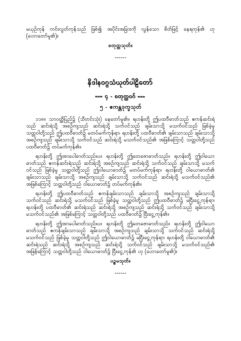မယှဉ်ကုန် ကင်းလွတ်ကုန်သည် ဖြစ်၍ အပိုင်းအခြားကို လွန်သော စိတ်ဖြင့် နေရကုန်၏ ဟု (ဟောတော်မူ၏)။

စတုတ္ထသုတ်။

## နိဒါနဝဂွသံယုတ်ပါဠိတော် === ၄ - စတုတ္ထဝဂ် === ၅ - ဧကန္တဒုက္ခသုတ်

၁၁၈။ သာဝတ္ထိပြည်၌ (သီတင်းသုံး) နေတော်မူ၏။ ရဟန်းတို့ ဤပထဝီဓာတ်သည် ဧကန်ဆင်းရဲ သည် ဆင်းရဲသို့ အစဉ်ကျသည် ဆင်းရဲသို့ သက်ဝင်သည် ချမ်းသာသို့ မသက်ဝင်သည် ဖြစ်ခဲ့မူ သတ္တဝါတို့သည် ဤပထဝီဓာတ်၌ မတပ်မက်ကုန်ရာ၊ ရဟန်းတို့ ပထဝီဓာတ်၏ ချမ်းသာသည် ချမ်းသာသို့ ္တာ<br>အစဉ်ကျသည် ချမ်းသာသို့ သက်ဝင်သည် ဆင်းရဲသို့ မသက်ဝင်သည်၏ အဖြစ်ကြောင့် သတ္တဝါတို့သည် ပထဝီဓာတ်၌ တပ်မက်ကုန်၏။

ရဟန်းတို့ ဤအာပေါဓာတ်သည်။ပ။ ရဟန်းတို့ ဤတေဇောဓာတ်သည်။ ရဟန်းတို့ ဤဝါယော<br>ဓာတ်သည် ဧကန်ဆင်းရဲသည် ဆင်းရဲသို့ အစဉ်ကျသည် ဆင်းရဲသို့ သက်ဝင်သည် ချမ်းသာသို့ မသက် ဝင်သည် ဖြစ်ခဲ့မူ သတ္တဝါတို့သည် ဤဝါယောဓာတ်၌ မတပ်မက်ကုန်ရာ၊ ရဟန်းတို့ ဝါယောဓာတ်၏ ချမ်းသာသည် ချမ်းသာသို့ အစဉ်ကျသည် ချမ်းသာသို့ သက်ဝင်သည် ဆင်းရဲသို့ မသက်ဝင်သည်၏ အဖြစ်ကြောင့် သတ္တဝါတို့သည် ဝါယောဓာတ်၌ တပ်မက်ကုန်၏။

ရဟန်းတို့ ဤပထဝီဓာတ်သည် ဧကန်ချမ်းသာသည် ချမ်းသာသို့ အစဉ်ကျသည် ချမ်းသာသို့<br>သက်ဝင်သည် ဆင်းရဲသို့ မသက်ဝင်သည် ဖြစ်ခဲ့မူ သတ္တဝါတို့သည် ဤပထဝီဓာတ်၌ မငြီးငွေ့ကုန်ရာ၊<br>ရဟန်းတို့ ပထဝီဓာတ်၏ ဆင်းရဲသည် ဆင်းရဲသို့ အစဉ်ကျသည် ဆင်းရဲသို့ သက် မသက်ဝင်သည်၏ အဖြစ်ကြောင့် သတ္တဝါတို့သည် ပထဝီဓာတ်၌ ငြီးငွေ့ကုန်၏။

ရဟန်းတို့ ဤအာပေါဓာတ်သည်။ပ။ ရဟန်းတို့ ဤတေဇောဓာတ်သည်။ ရဟန်းတို့ ဤဝါယော<br>ဓာတ်သည် ဧကန်ချမ်းသာသည် ချမ်းသာသို့ အစဉ်ကျသည် ချမ်းသာသို့ သက်ဝင်သည် ဆင်းရဲသို့ မသက်ဝင်သည် ဖြစ်ခဲ့မူ သတ္တဝါတို့သည် ဤဝါယောဓာတ်၌ မငြီးငွေ့ကုန်ရာ၊ ရဟန်းတို့ ဝါယောဓာတ်၏<br>ဆင်းရဲသည် ဆင်းရဲသို့ အစဉ်ကျသည် ဆင်းရဲသို့ သက်ဝင်သည် ချမ်းသာသို့ မသက်ဝင်သည်၏ အဖြစ့်ကြောင့် သတ္တဝါတို့သည် ဝါယောဓာတ်၌ ငြီးငွေ့ကုန်၏ ဟု (ဟောတော်မူ၏)။

ပဥ္စမသုတ်။

------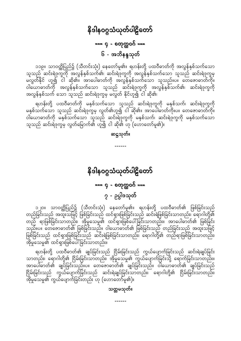### နိဒါနဝဂ္ဂသံယုတ်ပါဠိတော် === ၄ - စတုတ္ထဝဂ် === ၆ - အဘိနန္ဒသုတ်

၁၁၉။ သာဝတ္ထိပြည်၌ (သီတင်းသုံး) နေတော်မူ၏။ ရဟန်းတို့ ပထဝီဓာတ်ကို အလွန်နှစ်သက်သော သူသည် ဆင်းရဲဒုက္ခကို အလွန်နှစ်သက်၏၊ ဆင်းရဲဒုက္ခကို အလွန်နှစ်သက်သော သူသည် ဆင်းရဲဒုက္ခမှ ္။<br>မလွတ်နိုင် ဟူ၍ ငါ ဆို၏။ အာပေါဓာတ်ကို အလွန်နှစ်သက်သော သူသည်။ပ။ တေဇောဓာတ်ကို။ ဝါယောဓာတ်ကို အလွန်နှစ်သက်သော သူသည် ဆင်းရဲဒုက္ခကို အလွန်နှစ်သက်၏၊ ဆင်းရဲဒုက္ခကို အလွန်နှစ်သက် သော သူသည် ဆင်းရဲဒုက္ခမှ မလွတ် နိုင်ဟူ၍ ငါ ဆို၏၊

ရဟန်းတို့ ပထဝီဓာတ်ကို မနှစ်သက်သော သူသည် ဆင်းရဲဒုက္ခကို မနှစ်သက်၊ ဆင်းရဲဒုက္ခကို မနှစ်သက်သော သူသည် ဆင်းရဲဒုက္ခမှ လွတ်၏ဟူ၍ ငါ ဆို၏။ အာပေါ်ဓာတ်ကို။ပ။ တေဇောဓာတ်ကို။ ဝါယောဓာတ်ကို မနှစ်သက်သော သူသည် ဆင်းရဲဒုက္ခကို မနှစ်သက်၊ ဆင်းရဲဒုက္ခကို မနှစ်သက်သော သူသည် ဆင်းရဲဒုက္ခမှ လွတ်မြောက်၏ ဟူ၍ ငါ ဆို၏ ဟု (ဟောတော်မူ၏)။

ဆဋ္ဌသုတ်။

နိဒါန၀ဂွသံယုတ်ပါဠိတော် === ၄ - စတုတ္ထဝဂ် === ၇ - ဉပ္ပါဒသုတ်

၁၂၀။ သာဝတ္ထိပြည်၌ (သီတင်းသုံး) နေတော်မူ၏။ ရဟန်းတို့ ပထဝီဓာတ်၏ ဖြစ်ခြင်းသည်<br>တည်ခြင်းသည် အထူးသဖြင့် ဖြစ်ခြင်းသည် ထင်ရှားဖြစ်ခြင်းသည် ဆင်းရဲဖြစ်ခြင်းသာတည်း၊ ရောဂါတို့၏<br>တည် ရာဖြစ်ခြင်းသာတည်း၊ အိုမှုသေမှု၏ ထင်ရှားဖြစ်ပေါ်ခြင်း သည်။ပ။ တေဇောဓာတ်၏ ဖြစ်ခြင်းသည်။ ဝါယောဓာတ်၏ ဖြစ်ခြင်းသည် တည်ခြင်းသည် အထူးသဖြင့် . ပြ<br>ဖြစ်ခြင်းသည် ထင်ရှားဖြစ်ခြင်းသည် ဆင်းရဲဖြစ်ခြင်းသာတည်း၊ ရောဂါတို့၏ တည်ရာဖြစ်ခြင်းသာတည်း၊ ပ္ပ<br>အိုမူသေမှု၏ ထင်ရှားဖြစ်ပေါ်ခြင်းသာတည်း။

ရဟန်းတို့ ပထဝီဓာတ်၏ ချုပ်ခြင်းသည် ငြိမ်းခြင်းသည် ကွယ်ပျောက်ခြင်းသည် ဆင်းရဲချုပ်ခြင်း သာတည်း၊ ရောဂါတို့၏ ငြိမ်းခြင်းသာတည်း၊ အိုမှုသေမှု၏ ကွယ်ပျောက်ခြင်းသို့ ရောက်ခြင်းသာတည်း။ အာပေါ်ဓာတ်၏ ချုပ်ခြင်းသည်။ပ။ တေဇောဓာတ်၏ ချုပ်ခြင်းသည်။ ဝါယောဓာတ်၏ ချုပ်ခြင်းသည် ငြိမ်းခြင်းသည် ကွယ်ပျောက်ခြင်းသည် ဆင်းရဲချုပ်ခြင်းသာတည်း၊ ရောဂါတို့၏ ငြိမ်းခြင်းသာတည်း၊ .<br>အိုမူသေမှု၏ ကွယ်ပျောက်ခြင်းတည်း ဟု (ဟောတော်မူ၏)။

သတ္တမသုတ်။

 $- - - - - -$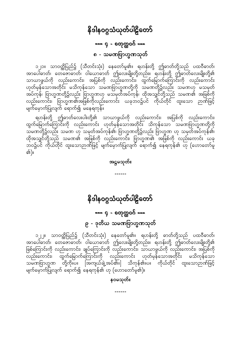### နိဒါနဝဂ္ဂသံယုတ်ပါဠိတော် === ၄ - စတုတ္ထဝဂ် === ၈ - သမဏဗြာဟ္မဏသုတ်

၁၂၁။ သာဝတ္ထိပြည်၌ (သီတင်းသုံး) နေတော်မူ၏။ ရဟန်းတို့ ဤဓာတ်တို့သည် ပထဝီဓာတ်၊ သာယာဖွယ်ကို လည်းကောင်း၊ အပြစ်ကို လည်းကောင်း၊ ထွက်မြောက်ကြောင်းကို လည်းကောင်း ဟုတ်မှန်သောအတိုင်း မသိကုန်သော သမဏဗြာဟ္မဏတို့ကို သမဏတို့၌လည်း သမဏဟု မသမုတ် အပ်ကုန်၊ ဗြာဟ္မဏတို့၌လည်း ဗြာဟ္မဏဟု မသမုတ်အပ်ကုန်၊ ထိုအသျှင်တို့သည် သမဏ၏ အဖြစ်ကို လည်းကောင်း၊ ဗြာဟ္မဏ၏အဖြစ်ကိုလည်းကောင်း ယခုဘဝ၌ပင် ကိုယ်တိုင် ထူးသော ဉာဏ်ဖြင့် မျက်မှောက်ပြုလျက် ရောက်၍ မနေရကုန်။

ရဟန်းတို့ ဤဓာတ်လေးပါးတို့၏ သာယာဖွယ်ကို လည်းကောင်း၊ အပြစ်ကို လည်းကောင်း၊<br>ထွက်မြောက်ကြောင်းကို လည်းကောင်း ဟုတ်မှန်သောအတိုင်း သိကုန်သော သမဏဗြာဟ္မဏတို့ကို ာ<br>မထောတို့၌လည်း သမဏ ဟု သမုတ်အပ်ကုန်၏၊ ဗြာဟ္မဏတို့၌လည်း ဗြာဟ္မဏ ဟု သမုတ်အပ်ကုန်၏၊ ထိုအသျှင်တို့သည် သမဏ၏ အဖြစ်ကို လည်းကောင်း၊ ဗြာဟ္မဏ၏ အဖြစ်ကို လည်းကောင်း ယခု .<br>ဘဝ၌ပင် ကိုယ်တိုင် ထူးသောဉာဏ်ဖြင့် မျက်မှောက်ပြုလျက် ရောက်၍ နေရကုန်၏ ဟု (ဟောတော်မူ ၏)။

အဋ္ဌမသုတ်။

နိဒါနဝဂွသံယုတ်ပါဠိတော် === ၄ - စတုတ္ထဝဂ် ===

#### ၉ - ဒုတိယ သမဏဗြာဟ္မဏသုတ်

၁၂၂။ သာဝတ္ထိပြည်၌ (သီတင်းသုံး) နေတော်မူ၏။ ရဟန်းတို့ ဓာတ်တို့သည် ပထဝီဓာတ်၊ အာပေါ်ဓာတ်၊ တေဇောဓာတ်၊ ဝါယောဓာတ် ဤလေးမျိုးတို့တည်း။ ရဟန်းတို့ ဤဓာတ်လေးမျိုးတို့၏ .<br>ဖြစ်ကြောင်းကို လည်းကောင်း၊ ချုပ်ကြောင်းကို လည်းကောင်း၊ သာယာဖွယ်ကို လည်းကောင်း၊ အပြစ်ကို သမဏဗြာဟ္မဏ တို့ကို။ပ။ အြကျယ်ချဲ့အပ်၏။] သိကုန်၏။ပ။ ကိုယ်တိုင် ထူးသောဉာဏ်ဖြင့် မျက်မှောက်ပြုလျက် ရောက်၍ နေရကုန်၏ ဟု (ဟောတော်မူ၏)။

နဝမသုတ်။

 $- - - - - -$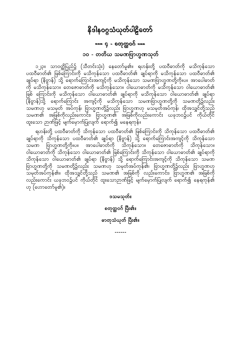### နိဒါန၀ဂွသံယုတ်ပါဠိတော် === ၄ - စတုတ္ထဝဂ် === ၁၀ - တတိယ သမဏဗြာဟ္မဏသုတ်

၁၂၃။ သာဝတ္ထိပြည်၌ (သီတင်းသုံး) နေတော်မူ၏။ ရဟန်းတို့ ပထဝီဓာတ်ကို မသိကုန်သော ပထဝီဓာတ်၏ ဖြစ်ကြောင်းကို မသိကုန်သော ပထဝီဓာတ်၏ ချုပ်ရာကို မသိကုန်သော ပထဝီဓာတ်၏ ချုပ်ရာ (နိဗ္ဗာန်) သို့ ရောက်ကြောင်းအကျင့်ကို မသိကုန်သော သမဏဗြာဟ္မဏတို့ကို။ပ။ အာပေါဓာတ် ကို မသိကုန်သော။ တေဇောဓာတ်ကို မသိကုန်သော။ ဝါယောဓာတ်ကို မသိကုန်သော ဝါယောဓာတ်၏ ဖြစ် ကြောင်းကို မသိကုန်သော ဝါယောဓာတ်၏ ချုပ်ရာကို မသိကုန်သော ဝါယောဓာတ်၏ ချုပ်ရာ (နိဗ္ဗာန်)သို့ ရောက်ကြောင်း အကျင့်ကို မသိကုန်သော သမဏဗြာဟ္မဏတို့ကို သမဏတို့၌လည်း ုိပ္ပံ ကို မသမုတ် အပ်ကုန်၊ ဗြာဟ္မဏတို့၌လည်း ဗြာဟ္မဏဟု မသမုတ်အပ်ကုန်၊ ထိုအသျှင်တို့သည် သမဏ၏ အဖြစ်ကိုလည်းကောင်း၊ ဗြာဟ္မဏ၏ အဖြစ်ကိုလည်းကောင်း ယခုဘဝ၌ပင် ကိုယ်တိုင် ထူးသော ဉာဏ်ဖြင့် မျက်မှောက်ပြုလျက် ရောက်၍ မနေရကုန်။

ရဟန်းတို့ ပထဝီဓာတ်ကို သိကုန်သော ပထဝီဓာတ်၏ ဖြစ်ကြောင်းကို သိကုန်သော ပထဝီဓာတ်၏ ချုပ်ရာကို သိကုန်သော ပထဝီဓာတ်၏ ချုပ်ရာ (နိဗ္ဗာန်) သို့ ရောက်ကြောင်းအကျင့်ကို သိကုန်သော - ဗြာဟ္မဏတို့ကို။ပ။ အာပေါ့ဓာတ်ကို သိကုန်သော။ တေဇောဓာတ်ကို သိကုန်သော။ သမဏ ဝါယောဓာတ်ကို သိကုန်သော ဝါယောဓာတ်၏ ဖြစ်ကြောင်းကို သိကုန်သော ဝါယောဓာတ်၏ ချုပ်ရာကို သိကုန်သော ဝါယောဓာတ်၏ ချုပ်ရာ (နိဗ္ဗာန်) သို့ ရောက်ကြောင်းအကျင့်ကို သိကုန်သော သမဏ ဗြာဟ္မဏတို့ကို သမဏတို့၌လည်း သမဏဟု သမုတ်အပ်ကုန်၏၊ ဗြာဟ္မဏတို့၌လည်း ဗြာဟ္မဏဟု .<br>သမုတ်အပ်ကုန်၏။ ထိုအသျှင်တို့သည် သမဏ၏ အဖြစ်ကို လည်းကောင်း၊ ဗြာဟ္မဏ၏ အဖြစ်ကို လည်းကောင်း ယခုဘဝ၌ပင် ကိုယ်တိုင် ထူးသောဉာဏ်ဖြင့် မျက်မှောက်ပြုလျက် ရောက်၍ နေရကုန်၏ ဟု (ဟောတော်မူ၏)။

> ဒသမသုတ်။ စတုတ္ထဝဂ် ပြီး၏။ ဓာတုသံယုတ် ပြီး၏။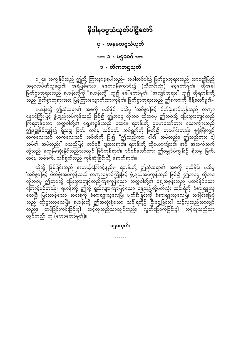### နိဒါနဝဂ္ဂသံယုတ်ပါဠိတော် ၄ - အနမတဂ္ဂသံယုတ် === ၁ - ပဌမဝဂ် === ၁ - တိဏကဋ္ဌသုတ်

၁၂၄။ အကျွန်ုပ်သည် ဤသို့ ကြားနာခဲ့ရပါသည်- အခါတစ်ပါး၌ မြတ်စွာဘုရားသည် သာဝတ္ထိပြည် အနာထပိဏ်သူဌေး၏ အရံဖြစ်သော ဇေတဝန်ကျောင်း၌ (သီတင်းသုံး) နေတော်မူ၏၊ ထိုအခါ .<br>မြတ်စွာဘုရားသည် ရဟန်းတို့ကို "ရဟန်းတို့" ဟူ၍ ခေါ် တော်မူ၏၊ "အသျှင်ဘုရား" ဟူ၍ ထိုရဟန်းတို့ .<br>သည် မြတ်စွာဘုရားအား ပြန်ကြားလျှောက်ထားကုန်၏၊ မြတ်စွာဘုရားသည် ဤစကားကို မိန့်တော်မူ၏-

ရဟန်းတို့ ဤသံသရာ၏ အစကို မသိနိုင်၊ မသိမှု 'အဝိဇ္ဇာ'ဖြင့် ပိတ်ဖုံးအပ်ကုန်သည် တဏှာ နှောင်ကြိုးဖြင့် ဖွဲ့ချည်အပ်ကုန်သည် ဖြစ်၍ ဤဘဝမှ ထိုဘဝ ထိုဘဝမှ ဤဘဝသို့ ပြေးသွားကျင်လည်<br>ကြရကုန်သော သတ္တဝါတို့၏ ရှေ့အစွန်းသည် မထင်။ ရဟန်းတို့ ဥပမာသော်ကား ယောက်ျားသည် ကြရက္စုနာတော့ ထဲမွာလည္း တျခားမွာမလည္း သားေျပာ ကားျပီး ေတာက္ေတြကို ျပည္တြင္<br>ကြဲဇမ္ဗူဒိပ်ကျွန်း၌ ရှိသမျှ မြက်ႇ ထင်းႇ သစ်ခက်ႇ သစ်ရွက်ကို ဖြတ်၍ တပေါင်းတည်း စုရုံးပြီးလျှင် အမိ၏ အမိတည်း" စသည်ဖြင့် တစ်ခုစီ ချထားရာ၏၊ ရဟန်းတို့ ထိုယောက်ျား၏ အမိ အဆက်ဆက် တို့သည် မကုန်မဆုံးနိုင်သည်သာလျှင် ဖြစ်ကုန်ရာ၏၊ စင်စစ်သော်ကား ဤဇမ္ဗူဒိပ်ကျွန်း၌ ရှိသမျှ မြက်**,** ထင်း, သစ်ခက်, သစ်ရွက်သည် ကုန်ဆုံးခြင်းသို့ ရောက်ရာ၏။

ထိုသို့ ဖြစ်ခြင်းသည် အဘယ့်ကြောင့်နည်း- ရဟန်းတို့ ဤသံသရာ၏ အစကို မသိနိုင်၊ မသိမှု 'အဝိဇ္ဇာ'ဖြင့် ပိတ်ဖုံးအပ်ကုန်သည် တဏှာနှောင်ကြိုးဖြင့် ဖွဲ့ချည်အပ်ကုန်သည် ဖြစ်၍ ဤဘဝမှ ထိုဘဝ ထိုဘဝမှ ဤဘဝသို့ ပြေးသွားကျင်လည်ကြရကုန်သော သတ္တဝါတို့၏ ရှေ့အစွန်းသည် မထင်နိုင်သော ကြောင့်ပင်တည်း။ ရဟန်းတို့ ဤသို့ ရှည်လျားကြာမြင့်သော နေ့ညဉ့်တို့ပတ်လုံး ဆင်းရဲကို ခံစားရဖူးလှ ထေပြီ၊ ပြင်းထန်သော ဆင်းရဲကို ခံစားရဖူးလှလေပြီ၊ ပျက်စီးခြင်းကို ခံစားရဖူးလှလေပြီ၊ သချိုင်းမြေပုံ သည် တိုးပွားလှလေပြီ။ ရဟန်းတို့ ဤအလုံးစုံသော သင်္ခါရတို့၌ ငြီးငွေ့ခြင်းငှါ သင့်လှသည်သာလျှင် တည်း၊ တပ်ခြင်းကင်းခြင်းငှါ သင့်လှသည်သာလျှင်တည်း၊ လွတ်မြောက်ခြင်းငှါ သင့်လှသည်သာ လျှင်တည်း ဟု (ဟောတော်မူ၏)။

ပဌမသုတ်။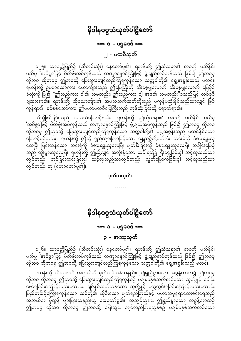#### နိဒါန၀ဂ္ဂသံယုတ်ပါဠိတော် === ၁ - ပဌမဝဂ် === ၂ - ပထဝီသုတ်

၁၂၅။ သာဝတ္ထိပြည်၌ (သီတင်းသုံး) နေတော်မူ၏။ ရဟန်းတို့ ဤသံသရာ၏ အစကို မသိနိုင်၊ မသိမှု `အဝိဇ္ဇာ'ဖြင့် ပိတ်ဖုံးအပ်ကုန်သည် တဏှာနှောင်ကြိုးဖြင့် ဖွဲ့ချည်အပ်ကုန်သည် ဖြစ်၍ ဤဘဝမှ ျော<br>နဲ့သည် သော အောက်သည် ရောင်းကို အိုးစေ့မျှလောက် ဆီးစေ့မျှလောက် မြေစိုင် ခဲလုံးကို ပြု၍ "ဤသည်ကား ငါ၏ အဖတည်း၊ ဤသည်ကား ငါ့ အဖ၏ အဖတည်း"စသည်ဖြင့် တစ်ခုစီ ချထားရာ၏။ ရဟန်းတို့ ထိုယောက်ျား၏ အဖအဆက်ဆက်တို့သည် မကုန်မဆုံးနိုင်သည်သာလျှင် ဖြစ် .<br>ကုန်ရာ၏၊ စင်စစ်သော်ကား ဤမဟာပထဝီမြေကြီးသည် ကုန်ဆုံးခြင်းသို့ ရောက်ရာ၏။

ထိုသို့ဖြစ်ခြင်းသည် အဘယ်ကြောင့်နည်း- ရဟန်းတို့ ဤသံသရာ၏ အစကို မသိနိုင်၊ မသိမှု 'အဝိဇ္ဇာ'ဖြင့် ပိတ်ဖုံးအပ်ကုန်သည် တဏှာနှောင်ကြိုးဖြင့် ဖွဲ့ချည်အပ်ကုန်သည် ဖြစ်၍ ဤဘဝမှ ထိုဘဝ ကြောင့်ပင်တည်း။ ရဟန်းတို့ ဤသို့ ရှည်လျားကြာမြင့်သော နေ့ညဉ့်တို့ပတ်လုံး ဆင်းရဲကို ခံစားရဖူးလှ လေပြီ၊ ပြင်းထန်သော ဆင်းရဲကို ခံစားရဖူးလှလေပြီ၊ ပျက်စီးခြင်းကို ခံစားရဖူးလှလေပြီ၊ သချိုင်းမြေပုံ သည် တိုးပွားလှလေပြီ။ ရဟန်းတို့ ဤသို့လျှင် အလုံးစုံသော သင်္ခါရတို့၌ ငြီးငွေ့ခြင်းငှါ သင့်လှသည်သာ လျှင်တည်း၊ တပ်ခြင်းကင်းခြင်းငှါ သင့်လှသည်သာလျှင်တည်း၊ လွတ်မြောက်ခြင်းငှါ သင့်လှသည်သာ လျှင်တည်း ဟု (ဟောတော်မှု၏)။

ဒုတိယသုတ်။

နိဒါန၀ဂွသံယုတ်ပါဠိတော် === ၁ - ပဌမ၀ဂ် === ၃ - အသုသုတ်

၁၂၆။ သာဝတ္တိပြည်၌ (သီတင်းသုံး) နေတော်မူ၏။ ရဟန်းတို့ ဤသံသရာ၏ အစကို မသိနိုင်၊ မသိမှု 'အဝိဇ္ဇာ'ဖြင့် ပိတ်ဖုံးအပ်ကုန်သည် တဏှာနှောင်ကြိုးဖြင့် ဖွဲ့ချည်အပ်ကုန်သည် ဖြစ်၍ ဤဘဝမှ ထိုဘဝ ထိုဘဝမှ ဤဘဝသို့ ပြေးသွားကျင်လည်ကြရကုန်သော သတ္တဝါတို့၏ ရှေ့အစွန်းသည် မထင်။

ရဟန်းတို့ ထိုအရာကို အဘယ်သို့ မှတ်ထင်ကုန်သနည်း၊ ဤရှည်စွာသော အဓွန့်ကာလ၌ ဤဘဝမှ .<br>ထိုဘဝ ထိုဘဝမှ ဤဘဝသို့ ပြေးသွားကျင်လည်ကြရကုန်စဉ် မချစ်မနှစ်သက်အပ်သော သူတို့နှင့် ပေါင်း ဖော်ရခြင်းကြောင့်လည်းကောင်း၊ ချစ်နှစ်သက်ကုန်သော သူတို့နှင့် တွေကွင်းရခြင်းကြောင့်လည်းကောင်း မြည်တမ်းငိုကြွေးရကုန်သော သင်တို့၏ ယိုစီးသော မျက်ရည်ကြည်နှင့် မဟာသမုဒ္ဒရာလေးစင်းရေသည် ပြော<br>အဘယ်က ပိုလွန် များပြားသနည်းဟု မေးတော်မူ၏။ အသျှင်ဘုရား ဤရှည်စွာသော အဓွန့်ကာလ၌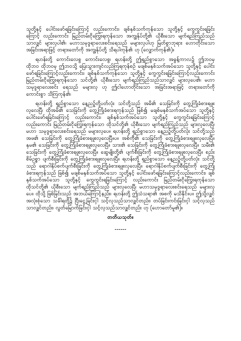သူတို့နှင့် ပေါင်းဖော်ရခြင်းကြောင့် လည်းကောင်း၊ ချစ်နှစ်သက်ကုန်သော သူတို့နှင့် ကွေကွင်းရခြင်း aMumifh vnf;aumif; jrnfwrf;idka<u;&ukefaom tuREkfyfwdkY\ ,dkpD;aom rsuf&nfMunfonf သာလျှင် များလှပါ၏၊ မဟာသမုဒ္ဒရာလေးစင်းရေသည် မများလှပါဟု မြတ်စွာဘုရား ဟောတိုင်းသော အခြင်းအရာဖြင့် တရားတော်ကို အကျွန်ုပ်တို့ သိရပါကုန်၏ ဟု (လျှောက်ကုန်၏)။

ရဟန်းတို့ ကောင်းလေစွ ကောင်းလေစွ၊ ရဟန်းတို့ ဤရှည်စွာသော အဓွန့်ကာလ၌ ဤဘဝမှ ထိုဘဝ ထိုဘဝမှ ဤဘဝသို့ ပြေးသွားကျင်လည်ကြရကုန်စဉ် မချစ်မနှစ်သက်အပ်သော သူတို့နှင့် ပေါင်း ဖော်ရခြင်းကြောင့်လည်းကောင်း၊ ချစ်နှစ်သက်ကုန်သော သူတို့နှင့် ကွေကွင်းရခြင်းကြောင့်လည်းကောင်း ျား<br>မြည်တမ်းငိုကြွေးရကုန်သော သင်တို့၏ ယိုစီးသော မျက်ရည်ကြည်သည်သာလျှင် များလှပေ၏၊ မဟာ ပ်ထို့<br>'သမုဒ္ဒရာလေးစင်း ရေသည် မများလှ ဟု ဤငါဟောတိုင်းသော အခြင်းအရာဖြင့် တရားတော်ကို ကောင်းစွာ သိကြကုန်၏၊

ရဟန်းတို့ ရှည်စွာသော နေ့ညဉ့်တို့ပတ်လုံး သင်တို့သည် အမိ၏ သေခြင်းကို တွေ့ကြုံခံစားရဖူး လှလေပြီ၊ ထိုအမိ၏ သေခြင်းကို တွေ့ကြုံခံစားရကုန်သည် ဖြစ်၍ မချစ်မနှစ်သက်အပ်သော သူတို့နှင့် ပေါင်းဖော်ရခြင်းကြောင့် လည်းကောင်း၊ ချစ်နှစ်သက်အပ်သော သူတို့နှင့် ကွေကွင်းရခြင်းကြောင့် လည်းကောင်း မြည်တမ်းငိုကြွေးရကုန်သော ထိုသင်တို့၏ ယိုစီးသော မျက်ရည်ကြည်သည် များလှလေပြီ၊ r က တိုက်ကြီး<br>''ဆော် သမုဒ္ဒရာလေးစင်းရေသည် မများလှပေ။ ရဟန်းတို့ ရှည်စွာသော နေ့ညဉ့်တို့ပတ်လုံး သင်တို့သည် အဖ၏ သေခြင်းကို တွေ့ကြုံခံစားရဖူးလှလေပြီ။ပ။ အစ်ကို၏ သေခြင်းကို တွေ့ကြုံခံစားရဖူးလှလေပြီ။ နှမ၏ သေခြင်းကို တွေ့ကြုံခံစားရဖူးလှလေပြီ။ သား၏ သေခြင်းကို တွေ့ကြုံခံစားရဖူးလှလေပြီ။ သမီး၏ သေခြင်းကို တွေ့ကြုံခံစားရဖူးလှလေပြီ။ ဆွေမျိုးတို့၏ ပျက်စီးခြင်းကို တွေ့ကြုံခံစားရဖူးလှလေပြီ။ စည်း စိမ်ဉစ္စာ ပျက်စီးခြင်းကို တွေ့ကြုံခံစားရဖူးလှလေပြီ။ ရဟန်းတို့ ရှည်စွာသော နေ့ညဉ့်တို့ပတ်လုံး သင်တို့ သည် ရောဂါနှိပ်စက်ပျက်စီးခြင်းကို တွေ့ကြုံခံစားရဖူးလှလေပြီ။ ရောဂါနှိပ်စက်ပျက်စီးခြင်းကို တွေ့ကြုံ ခံစားရကုန်သည် ဖြစ်၍ မချစ်မနှစ်သက်အပ်သော သူတို့နှင့် ပေါင်းဖော်ရခြင်းကြောင့်လည်းကောင်း၊ ချစ် နှစ်သက်အပ်သော သူတို့နှင့် တွေကွင်းရခြင်းကြောင့် လည်းကောင်း မြည်တမ်းငိုကြွေးရကုန်သော ထိုသင်တို့၏ ယိုစီးသော မျက်ရည်ကြည်သည် များလှလေပြီ၊ မဟာသမုဒ္ဒရာလေးစင်းရေသည် မများလှ ပေ။ ထိုသို့ ဖြစ်ခြင်းသည် အဘယ်ကြောင့်နည်း၊ ရဟန်းတို့ ဤသံသရာ၏ အစကို မသိနိုင်။ပ။ ဤသို့လျှင် အလုံးစုံသော သင်္ခါရတို့၌ ငြီးငွေ့ခြင်းငှါ သင့်လှသည်သာလျှင်တည်း၊ တပ်ခြင်းကင်းခြင်းငှါ သင့်လှသည် သာလျှင်တည်း၊ လွတ်မြောက်ခြင်းငှါ သင့်လှသည်သာလျှင်တည်း ဟု (ဟောတော်မူ၏)။

တတိယသုတ်။

------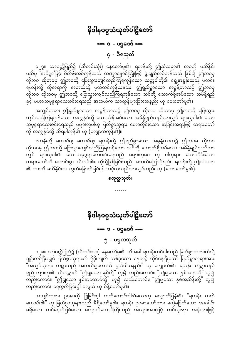#### နိဒါနဝဂ္ဂသံယုတ်ပါဠိတော် === ၁ - ပဌမဝဂ် === ၄ - ခ်ီရသုတ်

၁၂၇။ သာဝတ္တိပြည်၌ (သီတင်းသုံး) နေတော်မူ၏။ ရဟန်းတို့ ဤသံသရာ၏ အစကို မသိနိုင်၊ မသိမှု `အဝိဇ္ဇာ'ဖြင့် ပိတ်ဖုံးအပ်ကုန်သည် တဏှာနှောင်ကြိုးဖြင့် ဖွဲ့ချည်အပ်ကုန်သည် ဖြစ်၍ ဤဘဝမှ ထိုဘဝ ထိုဘဝမှ ဤဘဝသို့ ပြေးသွားကျင်လည်ကြရကုန်သော သတ္တဝါတို့၏ ရှေ့အစွန်းသည် မထင်။ ရဟန်းတို့ ထိုအရာကို အဘယ်သို့ မှတ်ထင်ကုန်သနည်း၊ ဤရှည်စွာသော အဓွန့်ကာလ၌ ဤဘဝမှ .<br>ထိုဘဝ ထိုဘဝမှ ဤဘဝသို့ ပြေးသွားကျင်လည်ကြရကုန်သော သင်တို့ သောက်စို့အပ်သော အမိန့်ရည် နှင့် မဟာသမုဒ္ဒရာလေးစင်းရေသည် အဘယ်က သာလွန်များပြားသနည်း ဟု မေးတော်မူ၏။

အသျှင်ဘုရား ဤရှည်စွာသော အဓွန့်ကာလ၌ ဤဘဝမှ ထိုဘဝ ထိုဘဝမှ ဤဘဝသို့ ပြေးသွား .<br>ကျင်လည်ကြရကုန်သော အကျွန်ုပ်တို့ သောက်စို့အပ်သော အမိနို့ရည်သည်သာလျှင် များလှပါ၏၊ မဟာ သမုဒ္ဒရာလေးစင်းရေသည် မများလှပါဟု မြတ်စွာဘုရား ဟောတိုင်းသော အခြင်းအရာဖြင့် တရားတော် ကို အကျွန်ုပ်တို့ သိရပါကုန်၏ ဟု (လျှောက်ကုန်၏)။

ရဟန်းတို့ ကောင်းစွ ကောင်းစွ၊ ရဟန်းတို့ ဤရှည်စွာသော အဓွန့်ကာလ၌ ဤဘဝမှ ထိုဘဝ .<br>ထိုဘဝမှ ဤဘဝသို့ ပြေးသွားကျင်လည်ကြရကုန်သော သင်တို့ သောက်စို့အပ်သော အမိန့်ရည်သည်သာ ..<br>တရားတော်ကို ကောင်းစွာ သိအပ်၏။ ထိုသို့ဖြစ်ခြင်းသည် အဘယ်ကြောင့်နည်း၊ ရဟန်းတို့ ဤသံသရာ ္။<br>၏ အစကို မသိနိုင်။ပ။ လွတ်မြောက်ခြင်းငှါ သင့်လှသည်သာလျှင်တည်း ဟု (ဟောတော်မူ၏)။

စတုတ္ထသုတ်။

# နိဒါန၀ဂွသံယုတ်ပါဠိတော်

=== ၁ - ပဌမ၀ဂ် === ၅ - ပဗ္ဗတသုတ်

၁၂၈။ သာဝတ္ထိပြည်၌ (သီတင်းသုံး) နေတော်မူ၏၊ ထိုအခါ ရဟန်းတစ်ပါးသည် မြတ်စွာဘုရားထံသို့ ချဉ်းကပ်ပြီးလျှင် မြတ်စွာဘုရားကို ရှိခိုးလျက် တစ်ခုသော နေရာ၌ ထိုင်နေပြီးသော် မြတ်စွာဘုရားအား ္ ျပာေတြ အေပါက္ေတြ အသည္ အသက္ေတြ အသက္သို႔ အသက္ ေတြ ေတြ ေလာက္ထား<br>ျပာေလျားတဲ့၏၊ ထိုကမ္ဘာတို "ဤမျှသော နှစ်တို့" ဟူ၍ လည်းကောင်း၊ "ဤမျှသော နှစ်အရာတို့" ဟူ၍<br>"အသျှင်ဘုရား၊ ထိုကမ္ဘာတို "ဤမျှသော နှစ်တို့" ဟူ၍ လည်းကောင်း၊ "ဤမျှသော န လည်းကောင်း ရေတွက်ခြင်းငှါ မလွယ် ဟု မိန့်တော်မူ၏။

အသျှင်ဘုရား ဉပမာကို ပြုခြင်းငှါ တတ်ကောင်းပါ၏လောဟု လျှောက်ပြန်၏။ "ရဟန်း တတ် ကောင်း၏" ဟု မြတ်စွာဘုရားသည် မိန့်တော်မူ၏။ ရဟန်း ဥပမာသော်ကား မကွဲမပြတ်သော အခေါင်း မရှိသော တစ်ခဲနက်ဖြစ်သော ကျောက်တောင်ကြီးသည် အလျားအားဖြင့် တစ်ယူဇနာ အနံအားဖြင့်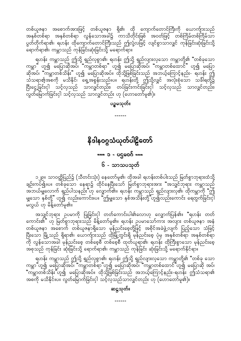တစ်ယူဇန္၁ အစောက်အားဖြင့် တစ်ယူဇနာ ရှိ၏၊ ထို ကျောက်တောင်ကြီးကို ယောက်ျားသည် အနှစ်တစ်ရာ အနှစ်တစ်ရာ လွန်သောအခါ၌ ကာသိတိုင်းဖြစ် အဝတ်ဖြင့် တစ်ကြိမ်တစ်ကြိမ်သာ ပွတ်တိုက်ရာ၏၊ ရဟန်း ထိုကျောက်တောင်ကြီးသည် ဤလုံ့လဖြင့် လျင်စွာသာလျှင် ကုန်ခြင်းဆုံးခြင်းသို့ .<br>ရောက်ရာ၏၊ ကမ္ဘာသည် ကုန်ခြင်းဆုံးခြင်းသို့ မရောက်ရာ။

ရဟန်း ကမ္ဘာသည် ဤသို့ ရှည်လှစွာ၏၊ ရဟန်း ဤသို့ ရှည်လျားလှသော ကမ္ဘာတို့၏ "တစ်ခုသော<br>ကမ္ဘာ" ဟူ၍ မပြောဆိုအပ်၊ "ကမ္ဘာတစ်ရာ" ဟူ၍ မပြောဆိုအပ်၊ "ကမ္ဘာတစ်ထောင်" ဟူ၍ မပြော ္သာ<br>ဆိုအပ်၊ "ကမ္ဘာတစ်သိန်း" ဟူ၍ မပြောဆိုအပ်။ ထိုသို့ဖြစ်ခြင်းသည် အဘယ့်ကြောင့်နည်း- ရဟန်း ဤ<br>သံသရာ၏့အစကို မသိနိုင်၊ ရှေ့အစွန်းသည်။ပ။ ရဟန်းတို့ ဤသို့လျှင် အလုံးစုံသော သင်္ခါရတို့၌ ငြီးငွေ့ခြင်းငှါ သင့်လှသည် သာလျှင်တည်း၊ တပ်ခြင်းကင်းခြင်းငှါ သင့်လှသည် သာလျှင်တည်း၊ .<br>လွတ်မြောက်ခြင်းငှါ သင့်လှသည် သာလျှင်တည်း ဟု (ဟောတော်မူ၏)။

ပဥ္စမသုတ်။

နိဒါန၀ဂွသံယုတ်ပါဠိတော်

=== ၁ - ပဌမဝဂ် ===

၆ - သာသပသုတ်

၁၂၉။ သာဝတ္ထိပြည်၌ (သီတင်းသုံး) နေတော်မူ၏၊ ထိုအခါ ရဟန်းတစ်ပါးသည် မြတ်စွာဘုရားထံသို့ ချဉ်းကပ်၍။ပ။ တစ်ခုသော နေရာ၌ ထိုင်နေပြီးသော် မြတ်စွာဘုရားအား "အသျှင်ဘုရား ကမ္ဘာ့သည် .<br>အဘယ်မျှလောက် ရှည်ပါသနည်း"ဟု လျှောက်၏။ ရဟန်း ကမ္ဘာသည် ရှည်လျားလှ၏၊ ထိုကမ္ဘာကို "ဤ မျှသော နှစ်တို့" ဟူ၍ လည်းကောင်း။ပ။ "ဤမျှသော နှစ်အသိန်းတို့"ဟူ၍လည်းကောင်း ရေတွက်ခြင်းငှါ မလွယ် ဟု မိန့်တော်မူ၏။

အသျှင်ဘုရား ဉပမာကို ပြုခြင်းငှါ တတ်ကောင်းပါ၏လောဟု လျှောက်ပြန်၏။ "ရဟန်း တတ် ကောင်း၏" ဟု မြတ်စွာဘုရားသည် မိန့်တော်မူ၏။ ရဟန်း ဥပမာသော်ကား အလျား တစ်ယူဇနာ အနံ တစ်ယူဇနာ အစောက် တစ်ယူဇနာရှိသော မုန်ညင်းစေ့တို့ဖြင့် အစိုင်အခဲဖွဲ့လျက် ပြည့်သော သံဖြင့် အစုသည် ကုန်ခြင်း ဆုံးခြင်းသို့ ရောက်ရာ၏၊ ကမ္ဘာသည် ကုန်ခြင်း ဆုံးခြင်းသို့ မရောက်နိုင်ရာ။

ရဟန်း ကမ္ဘာသည် ဤသို့ ရှည်လှစွာ၏၊ ရဟန်း ဤသို့ ရှည်လျားလှသော ကမ္ဘာတို့၏ "တစ်ခု သော<br>ကမ္ဘာ"ဟူ၍ မပြောဆိုအပ်၊ "ကမ္ဘာတစ်ရာ"ဟူ၍ မပြောဆိုအပ်၊ "ကမ္ဘာတစ်ထောင်"ဟူ၍ မပြောဆို အပ်၊<br>"ကမ္ဘာ့တစ်သိန်း"ဟူ၍ မပြောဆိုအပ်။ ထိုသို့ဖြစ်ခြင်းသည် .<br>အစကို မသိနိုင်။ပ။ လွတ်မြောက်ခြင်းငှါ သင့်လှသည်သာလျှင်တည်း ဟု (ဟောတော်မူ၏)။

ဆဋ္ဌသုတ်။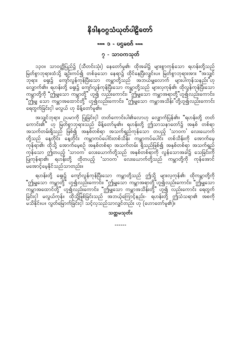#### နိဒါန၀ဂွသံယုတ်ပါဠိတော်

၇ - သာဝကသုတ်

၁၃၀။ သာဝတ္ထိပြည်၌ (သီတင်းသုံး) နေတော်မူ၏၊ ထိုအခါ၌ များစွာကုန်သော ရဟန်းတို့သည် မြတ်စွာဘုရားထံသို့ ချဉ်းကပ်၍ တစ်ခုသော နေရာ၌ ထိုင်နေပြီးလျှင်။ပဲ။ မြတ်စွာဘုရားအား "အသျှင် ပ ပ ရေး၌ ကျော်လွန်ကုန်ပြီးသော ကမ္ဘာတို့သည် အဘယ်မျှလောက် များပါကုန်သနည်း ဟု ာ္<br>ကမ္ဘာတို့ကို "ဤမျှသော ကမ္ဘာတို့" ဟူ၍ လည်းကောင်း၊ "ဤမျှသော ကမ္ဘာအရာတို့"ဟူ၍လည်းကောင်း၊ "ဤိမျှ သော ကမ္ဘာအထောင်တို့" ဟူ၍လည်းကောင်း၊ "ဤိမျှသော ကမ္ဘာအသိန်း"တို့ဟူ၍လည်းကောင်း —…<br>ရေတွက်ခြင်းငှါ မလွယ် ဟု မိန့်တော်မူ၏။

အသျှင်ဘုရား ဉပမာကို ပြုခြင်းငှါ တတ်ကောင်းပါ၏လောဟု လျှောက်ပြန်၏။ "ရဟန်းတို့ တတ် ကောင်း၏" ဟု မြတ်စွာဘုရားသည် မိန့်တော်မူ၏။ ရဟန်းတို့ ဤသာသနာတော်၌ အနှစ် တစ်ရာ .<br>အသက်တမ်းရှိသည် ဖြစ်၍ အနှစ်တစ်ရာ အသက်ရှည်ကုန်သော တပည့် သာဝက လေးယောက် တို့သည် နေ့တိုင်း နေ့တိုင်း ကမ္ဘာကပ်ပေါင်းတစ်သိန်း ကမ္ဘာကပ်ပေါင်း တစ်သိန်းကို အောက်မေ့ ကုန်ရာ၏၊ ထိုသို့ အောက်မေ့စဉ် အနှစ်တစ်ရာ အသက်တမ်း ရှိသည်ဖြစ်၍ အနှစ်တစ်ရာ အသက်ရှည် .<br>ကုန်သော ဤတပည့် 'သာဝက' လေးယောက်တို့သည် အနှစ်တစ်ရာကို လွန်သောအခါ၌ သေခြင်းကို မအောင့်မေ့နိုင်သည်သာတည်း။

ရဟန်းတို့ ရှေး၌ ကျော်လွန်ကုန်ပြီးသော ကမ္ဘာတို့သည် ဤသို့ များလှကုန်၏၊ ထိုကမ္ဘာတို့ကို<br>"ဤမျှသော ကမ္ဘာတို့" ဟူ၍လည်းကောင်း၊ "ဤမျှသော ကမ္ဘာအရာတို့"ဟူ၍လည်းကောင်း၊ "ဤမျှသော<br>ကမ္ဘာအထောင်တို့" ဟူ၍လည်းကောင်း၊ "ဤမျှသော ကမ္ဘာအသိန်းတို မ<br>မသိနိုင်။ပ။ လွတ်မြောက်ခြင်းငှါ သင့်လှသည်သာလျှင်တည်း ဟု (ဟောတော်မူ၏)။

သတ္တမသုတ်။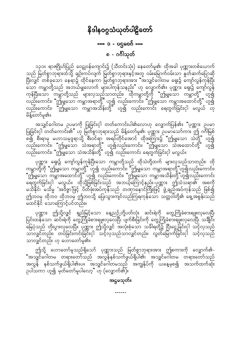#### နိဒါန၀ဂွသံယုတ်ပါဠိတော်

=== ၁ - ပဌမဝဂ် ===

၈ - ဂင်္ဂါသုတ်

၁၃၁။ ရာဇဂြိုဟ်ပြည် ဝေဠုဝန်ကျောင်း၌ (သီတင်းသုံး) နေတော်မူ၏၊ ထိုအခါ ပုဏ္ဏားတစ်ယောက် သည် မြတ်စွာဘုရားထံသို့ ချဉ်းကပ်လျက် မြတ်စွာဘုရားနှင့်အတူ ဝမ်းမြောက်ဝမ်းသာ နှုတ်ဆက်ပြောဆို <u>ပြီးလျှင် တစ်ခုသော နေရာ၌ ထိုင်နေကာ မြတ်စွာဘုရားအား "အသျှင်ဂေါတမ ရှေး၌ ကျော်လွန်ကုန်ပြီး</u> င္တြာလို့ အသည့္ အသက္သိမ္ေလာက္ များပါတုနိသနည်း" ဟု လျှောက်၏။ ပုဏ္ဏား ေရး၌ ကျော်လွန် ကုန်ပြီးသော ကမ္ဘာတို့သည် များလှသည်သာတည်း၊ ထိုကမ္ဘာတို့ကို "ဤမျှသော ကမ္ဘာတို့" ဟူ၍ ္သည္မ်ားေကာင္ငံ။ "ဤမျှသော ကမ္ဘာအရာတို့" ဟူ၍ လည်းေကာင္ငံ။ "ဤမျှသော ကမ္ဘာအထောင်တို့" ဟူ၍<br>လည်းကောင်း၊ "ဤမျှသော ကမ္ဘာအသိန်းတို့" ဟူ၍ လည်းကောင်း ရေတွက်ခြင်းငှါ မလွယ် ဟု မိန့်တော်မူ၏။

အသျှင်ဂေါတမ ဉပမာကို ပြုခြင်းငှါ တတ်ကောင်းပါ၏လောဟု လျှောက်ပြန်၏။ "ပုဏ္ဏား ဉပမာ .<br>ပြုခြင်းငှါ တတ်ကောင်း၏" ဟု မြတ်စွာဘုရားသည် မိန့်တော်မူ၏၊ ပုဏ္ဏား ဥပမာသော်ကား ဤ ဂင်္ဂါမြစ် ပြော<br>စ၍ စီးရာမှ မဟာသမုဒ္ဒရာသို့ စီးဝင်ရာ အရပ်တိုင်အောင် ထိုအကြား၌ "ဤမျှသော သဲတို့" ဟူ၍ ု<br>လည်းကောင်း၊ "ဤမျှသော သဲအရာတို့" ဟူ၍လည်းကောင်း၊ "ဤမျှသော သဲအထောင်တို့" ဟူ၍ လည်းကောင်း၊ "ဤမျှသော သဲအသိန်းတို့" ဟူ၍ လည်းကောင်း ရေတွက်ခြင်းငှါ မလွယ်။

ပုဏ္ဏား ရှေး၌ ကျော်လွန်ကုန်ပြီးသော ကမ္ဘာတို့သည် ထိုသဲတို့ထက် များလှသည်သာတည်း၊ ထို<br>ကမ္ဘာတို့ကို "ဤမျှသော ကမ္ဘာတို့" ဟူ၍ လည်းကောင်း၊ "ဤမျှသော ကမ္ဘာအရာတို့"ဟူ၍လည်းကောင်း၊<br>"ဤမျှသော ကမ္ဘာအထောင်တို့" ဟူ၍ လည်းကောင်း၊ "ဤမျှသော ကမ ်ငြို့သို့<br>ရေတွက်ခြင်းငှါ မလွယ်။ ထိုသို့ဖြစ်ခြင်းသည် အဘယ့်ကြောင့်နည်း-ပုဏ္ဏား ဤသံသရာ၏ အစကို မသိနိုင်၊ မသိမှု 'အဝိဇ္ဇာ'ဖြင့် ပိတ်ဖုံးအပ်ကုန်သည် တဏှာနှောင်ကြိုးဖြင့် ဖွဲ့ချည်အပ်ကုန်သည် ဖြစ်၍ ဤဘဝမှ ထိုဘဝ ထိုဘဝမှ ဤဘဝသို့ ပြေးသွားကျင်လည်ကြရကုန်သော သတ္တဝါတို့၏ ရှေ့အစွန်းသည် —<br>မထင်နိုင် သောကြောင့်ပင်တည်း။

ပုဏ္ဏား ဤသို့လျှင် ရှည်မြင့်သော နေ့ညဉ့်တို့ပတ်လုံး ဆင်းရဲကို တွေ့ကြုံခံစားရဖူးလှလေပြီ၊ ပြင်းထန်သော ဆင်းရဲကို တွေ့ကြုံခံစားရဖူးလှလေပြီ၊ ပျက်စီးခြင်းကို တွေ့ကြုံခံစားရဖူးလှလေပြီ၊ သချိုင်း မြေပုံသည် တိုးပွားလှလေပြီ။ ပုဏ္ဏား ဤသို့လျှင် အလုံးစုံသော သင်္ခါရတို့၌ ငြီးငွေ့ခြင်းငှါ သင့်လှသည် ု့<br>သာလျှင်တည်း၊ တပ်ခြင်းကင်းခြင်းငှါ သင့်လှသည်သာလျှင်တည်း၊ လွတ်မြောက်ခြင်းငှါ သင့်လှသည် သာလျှင်တည်း ဟု ဟောတော်မူ၏။

ဤသို့ ဟောတော်မူသည်ရှိသော် ပုဏ္ဏားသည် မြတ်စွာဘုရားအား ဤစကားကို လျှောက်၏-"အသျှင်ဂေါတမ တရားတော်သည် အလွန်နှစ်သက်ဖွယ်ရှိပါ၏၊ အသျှင်ဂေါတမ တရားတော်သည် .<br>အလွန် နှစ်သက်ဖွယ်ရှိပါ၏။ပ။ အသျှင်ဂေါတမသည် အကျွန်ုပ်ကို ယနေ့မှစ၍ အသက်ထက်ဆုံး ှာပါသကာ ဟူ၍ မှတ်တော်မူပါလော့" ဟု (လျှောက်၏)။

အဋ္ဌမသုတ်။

 $\frac{1}{2}$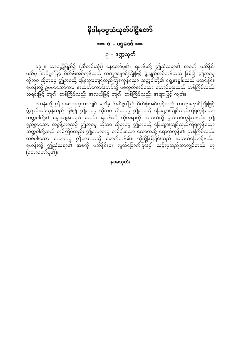#### နိဒါန၀ဂွသံယုတ်ပါဠိတော် === ၁ - ပဌမဝဂ် === ၉ - ဒဏ္ဍသုတ်

၁၃၂။ သာဝတ္ထိပြည်၌ (သီတင်းသုံး) နေတော်မူ၏။ ရဟန်းတို့ ဤသံသရာ၏ အစကို မသိနိုင်၊ မသိမှု 'အဝိဇ္ဇာ'ဖြင့် ပိတ်ဖုံးအပ်ကုန်သည် တဏှာနှောင်ကြိုးဖြင့် ဖွဲ့ချည်အပ်ကုန်သည် ဖြစ်၍ ဤဘဝမှ ထိုဘဝ ထိုဘဝမှ ဤဘဝသို့ ပြေးသွားကျင်လည်ကြရကုန်သော သတ္တဝါတို့၏ ရှေ့အစွန်းသည် မထင်နိုင်။ ရဟန်းတို့ ဉပမာသော်ကား အထက်ကောင်းကင်သို့ ပစ်လွှတ်အပ်သော တောင်ဝှေးသည် တစ်ကြိမ်လည်း .<br>အရင်းဖြင့် ကျ၏၊ တစ်ကြိမ်လည်း အလယ်ဖြင့် ကျ၏၊ တစ်ကြိမ်လည်း အဖျားဖြင့် ကျ၏။

ရဟန်းတို့ ဤဉပမာအတူသာလျှင် မသိမှု 'အဝိဇ္ဇာ'ဖြင့် ပိတ်ဖုံးအပ်ကုန်သည် တဏှာနှောင်ကြိုးဖြင့် .<br>ဖွဲ့ချည်အပ်ကုန်သည် ဖြစ်၍ ဤဘဝမှ ထိုဘဝ ထိုဘဝမှ ဤဘဝသို့ ပြေးသွားကျင်လည်ကြရကုန်သော<br>သတ္တဝါတို့၏ ရှေ့အစွန်းသည် မထင်။ ရဟန်းတို့ ထိုအရာကို အဘယ်သို့ မှတ်ထင်ကုန်သနည်း၊ ဤ ရှည်စွာသော အဓွန့်ကာလ၌ ဤဘဝမှ ထိုဘဝ ထိုဘဝမှ ဤဘဝသို့ ပြေးသွားကျင်လည်ကြရကုန်သော ားသော<br>သတ္တဝါတို့သည် တစ်ကြိမ်လည်း ဤလောကမှ တစ်ပါးသော လောကသို့ ရောက်ကုန်၏၊ တစ်ကြိမ်လည်း တစ်ပါးသော လောကမှ ဤလောကသို့ ရောက်ကုန်၏။ ထိုသို့ဖြစ်ခြင်းသည် အဘယ်ကြောင့်နည်း-ရဟန်းတို့ ဤသံသရာ၏ အစကို မသိနိုင်။ပ။ လွတ်မြောက်ခြင်းငှါ သင့်လှသည်သာလျှင်တည်း ဟု (ဟောတော်မူ၏)။

နဝမသုတ်။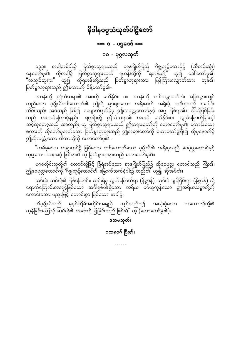#### နိဒါန၀ဂ္ဂသံယုတ်ပါဠိတော်

=== ၁ - ပဌမဝဂ် ===

၁၀ - ပုဂ္ဂလသုတ်

၁၃၃။ အခါတစ်ပါး၌ မြတ်စွာဘုရားသည် ရာဇဂြိုဟ်ပြည် ဂိဇ္ဈကုဋ်တောင်၌ (သီတင်းသုံး)<br>နေတော်မူ၏၊ ထိုအခါ၌ မြတ်စွာဘုရားသည် ရဟန်းတို့ကို "ရဟန်းတို့" ဟူ၍ ခေါ် တော်မူ၏၊<br>"အသျှင်ဘုရား" ဟူ၍ ထိုရဟန်းတို့သည် မြတ်စွာဘုရားအား ပြန်ကြားလျှောက်ထား မြတ်စွာဘုရားသည် ဤစကားကို မိန့်တော်မူ၏-

ရဟန်းတို့ ဤသံသရာ၏ အစကို မသိနိုင်။ ပ။ ရဟန်းတို့ တစ်ကမ္ဘာပတ်လုံး ပြေးသွားကျင်<br>လည်သော ပုဂ္ဂိုလ်တစ်ယောက်၏ ဤသို့ များစွာသော အရိုးဆက် အရိုးပုံ အရိုးစုသည် စုပေါင်း သိမ်းဆည်း အပ်သည် ဖြစ်၍ မပျောက်ပျက်ခဲ့မူ ဤဝေပုလ္လတောင်နှင့် အမျှ ဖြစ်ရာ၏။ ထိုသို့ဖြစ်ခြင်း သည် အဘယ်ကြောင့်နည်း- ရဟန်းတို့ ဤသံသရာ၏ အစကို မသိနိုင်။ပဲ။ လွတ်မြောက်ခြင်းငှါ သင့်လှတော့သည် သာတည်း ဟု မြတ်စွာဘုရားသည် ဤတရားတော်ကို ဟောတော်မူ၏၊ ကောင်းသော စကားကို ဆိုတော်မူတတ်သော မြတ်စွာဘုရားသည် ဤတရားတော်ကို ဟောတော်မူပြီး၍ ထိုမှနောက်၌ ဤဆိုလတ္တံ့သော ဂါထာတို့ကို ဟောတော်မူ၏-

"တစ်ခုသော ကမ္ဘာကပ်၌ ဖြစ်သော တစ်ယောက်သော ပုဂ္ဂိုလ်၏ အရိုးစုသည် ဝေပုလ္လတောင်နှင့် တူမျှသော အစုအပုံ ဖြစ်ရာ၏ ဟု မြတ်စွာဘုရားသည် ဟောတော်မူ၏။

မဂဓတိုင်းသူတို့၏ တောင်တို့ဖြင့် ခြံရံအပ်သော ရာဇဂြိုဟ်ပြည်၌ ထိုဝေပုလ္လ တောင်သည် ကြီး၏၊<br>ဤဝေပုလ္လတောင်ကို 'ဂိဇ္ဈကုဋ်တောင်၏ မြောက်ဘက်နံပါး၌ တည်၏' ဟူ၍ ဆိုအပ်၏။

ဆင်းရဲ၊ ဆင်းရဲ၏ ဖြစ်ကြောင်း၊ ဆင်းရဲမှ လွတ်မြောက်ရာ (နိဗ္ဗာန်)၊ ဆင်းရဲ ချုပ်ငြိမ်းရာ (နိဗ္ဗာန်) သို့ ရောက်ကြောင်းအကျင့်ဖြစ်သော အင်္ဂါရှစ်ပါးရှိသော အရိယ မင်ဟူကုန်သော ဤအရိယသစ္စာတို့ကို ကောင်းသော ပညာဖြင့် ကောင်းစွာ မြင်သော အခါ<u>ရ</u>ှိ-

ထိုပုဂ္ဂိုလ်သည် ခုနစ်ကြိမ်အတိုင်းအရှည် ကျင်လည်ရ၍ အလုံးစုံသော သံယောဇဉ်တို့၏ ကုန်ခြင်းကြောင့် ဆင်းရဲ၏ အဆုံးကို ပြုခြင်းသည် ဖြစ်၏" ဟု (ဟောတော်မူ၏)။

ဒသမသုတ်။

ပထမဝဂ် ပြီး၏။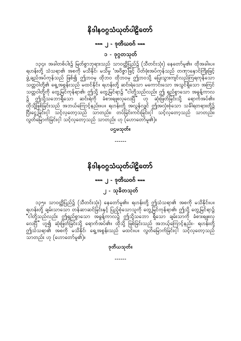နိဒါနဝဂ္ဂသံယုတ်ပါဠိတော်

=== ၂ - ဒုတိယ၀ဂ် ===

၁ - ဒုဂ္ဂတသုတ်

၁၃၄။ အခါတစ်ပါး၌ မြတ်စွာဘုရားသည် သာဝတ္ထိပြည်၌ (သီတင်းသုံး) နေတော်မူ၏။ ထိုအခါ။ပ။ ရဟန်းတို့ သံသရာ၏ အစကို မသိနိုင်၊ မသိမှု 'အဝိဇ္ဇာ'ဖြင့် ပိတ်ဖုံးအပ်ကုန်သည် တဏှာနှောင်ကြိုးဖြင့် .<br>ဖွဲ့ချည်အပ်ကုန်သည် ဖြစ်၍ ဤဘဝမှ ထိုဘဝ ထိုဘဝမှ ဤဘဝသို့ ပြေးသွားကျင်လည်ကြရကုန်သော<br>သတ္တဝါတို့၏ ရှေ့အစွန်းသည် မထင်နိုင်။ ရဟန်းတို့ ဆင်းရဲသော မကောင်းသော အသွင်ရှိသော အကြင် သတ္တဝါတို့ကို တွေ့မြင်ကုန်ရာ၏၊ ဤသို့ တွေ့မြင်ရာ၌ "ငါတို့သည်လည်း ဤ ရှည်စွာသော အဓွန့်ကာလ ့် ကျွန်သို့သော ဆင်းရဲကို ခံစားရဖူးလှလေပြီ ဟု ဆုံးဖြတ်ခြင်းသို့ ရောက်အပ်၏။<br>ကျွန်သို့သဘောရှိသော ဆင်းရဲကို ခံစားရဖူးလှလေပြီ ဟု ဆုံးဖြတ်ခြင်းသို့ ရောက်အပ်၏။ ပ္ပြဲ ပါတီကို -<br>ပြဲ ပြဲ သင့်လုံး လွှင်လုံတော့သည် သာတည်း ဟု (ဟောတော်မူ၏)။

ပဌမသုတ်။

နိဒါန၀ဂွသံယုတ်ပါဠိတော် === ၂ - ဒုတိယ၀ဂ် === ၂ - သုခိိတသုတ်

၁၃၅။ သာဝတ္ထိပြည်၌ (သီတင်းသုံး) နေတော်မူ၏။ ရဟန်းတို့ ဤသံသရာ၏ အစကို မသိနိုင်။ပ။ ျောန်းတို့ ချမ်းသာသော တန်ဆာဆင်ခြင်းနှင့် ပြည့်စုံသောသူကို တွေ့မြင်ကုန်ရာ၏၊ ဤသို့ တွေ့မြင်ရာ၌<br>"ငါတို့သည်လည်း ဤရှည်စွာသော အဓွန့်ကာလ၌ ဤသို့သဘော ရှိသော ချမ်းသာကို ခံစားရဖူးလှ လေပြီ" ဟူ၍ ဆုံးဖြတ်ခြင်းသို့ ရောက်အပ်၏။ ထိုသို့ ဖြစ်ခြင်းသည် အဘယ့်ကြောင့်နည်း- ရဟန်းတို့ သာတည်း ဟု (ဟောတော်မူ၏)။

ဒုတိယသုတ်။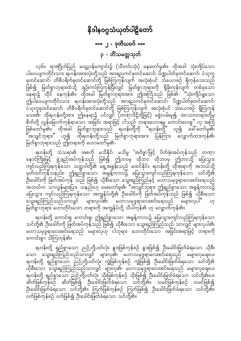# နိဒါနဝဂ္ဂသံယုတ်ပါဠိတော် === ၂ - ဒုတိယ၀ဂ် === ၃ - တိံသမတ္တသုတ်

၁၃၆။ ရာဇဂြိုဟ်ပြည် ဝေဠုဝန်ကျောင်း၌ (သီတင်းသုံး) နေတော်မူ၏။ ထိုအခါ သုံးကျိပ်သော ပါဝေယျကတိုင်းသား ရဟန်းအားလုံးတို့သည် အာရညကင်ဓုတင်ဆောင်၊ ပိဏ္ဍပါတ်ဓုတင်ဆောင်၊ ပံသုကူ<br>ဓုတင်ဆောင်၊ တိစီဝရိက်ဓုတင်ဆောင်တို့ ဖြစ်ကြကုန်လျက် အလုံးစုံပင် သံယောဇဉ် ရှိကုန်သေးသည် ဖြစ်၍ မြတ်စွာဘုရားထံသို့ ချဉ်းကပ်ကြကုန်ပြီးလျှင် မြတ်စွာဘုရားကို ရှိခိုးကုန်လျက် တစ်ခုသော<br>နေရာ၌ ထိုင် နေကုန်၏။ ထိုအခါ မြတ်စွာဘုရားအား ဤအကြံသည် ဖြစ်၏- "သုံးကျိပ်မျှသော ဤပါဝေယျကတိုင်းသား ရဟန်းအားလုံးတို့သည် အာရညကင်ဓုတင်ဆောင်၊ ပိဏ္ဍပါတ်ဓုတင်ဆောင်၊<br>ပံသုကူဓုတင်ဆောင်၊ တိစီဝရိက်ဓုတင်ဆောင်တို့ ဖြစ်ကြကုန်လျက် အလုံးစုံပင် သံယောဇဉ် ရှိကြကုန် ုေ။<br>သေး၏၊ ထိုရဟန်းတို့အား ဤနေရာ၌ ပင်လျှင် (တဏှာဒိဋ္ဌိတို့ဖြင့်) မစွဲလမ်းမူ၍ အာသဝတရားတို့မှ စိတ်တို့ လွန်မြောက်ကုန်ရာသော အခြင်း အရာဖြင့် ငါသည် တရားဟောရမူ ကောင်းလေစွ" ဟု အကြံ ဖြစ်တော်မူ၏။ ထိုအခါ မြတ်စွာဘုရားသည် ရဟန်းတို့ကို "ရဟန်းတို့" ဟူ၍ ခေါ်တော်မူ၏၊ ှ<br>'အသျှင်ဘုရား'' ဟူ၍ ထိုရဟန်းတို့သည် မြတ်စွာဘုရားအား ပြန်ကြား လျှောက်ထားကုန်၏၊ မြတ်စွာဘုရားသည် ဤတရားကို ဟောတော်မူ၏-

ရဟန်းတို့ သံသရာ၏ အစကို မသိနိုင်၊ မသိမှု 'အဝိဇ္ဇာ'ဖြင့် ပိတ်ဖုံးအပ်ကုန်သည် တဏှာ နှောင်ကြိုးဖြင့် ဖွဲ့ချည်အပ်ကုန်သည် ဖြစ်၍ ဤဘဝမှ ထိုဘဝ ထိုဘဝမှ ဤဘဝသို့ ပြေးသွား ာ<br>ကျင်လည်ကြရကုန်သော သတ္တဝါတို့၏ ရှေ့အစွန်းသည် မထင်နိုင်။ ရဟန်းတို့ ထိုအရာကို အဘယ်သို့ မှတ်ထင်ကုန်သနည်း၊ ဤရှည်စွာသော အဓွန့်ကာလ၌ ပြေးသွားကျင်လည်ကြရကုန်သော သင်တို့၏ -<br>ဦးခေါင်းကို ဖြတ်အပ်ကုန် သည် ဖြစ်၍ ယိုစီးသော သွေးရည်ကြည်နှင့် မဟာသမုဒ္ဒရာလေးစင်းရေသည်<br>အဘယ်က သာလွန်များပြား သနည်းဟု မေးတော်မူ၏၊ "အသျှင်ဘုရား ဤရှည်စွာသော အခွန့်ကာလ၌ ပြေးသွား ကျင်လည်ကြရကုန်သော အကျွန်ုပ်တို့၏ ဦးခေါင်းကို ဖြတ်အပ်ကုန်သည် ဖြစ်၍ ယိုစီးသော သွေးရည်ကြည်သည်သာလျှင် များလှပါ၏၊ မဟာသမုဒ္ဒရာလေးစင်းရေသည် မများလှပါ" ဟု မြတ်စွာဘုရား ဟောတိုင်းသော တရားကို အကျွန်ုပ်တို့ သိပါကုန်၏ ဟု လျှောက်ကုန်၏။

ရဟန်းတို့ ကောင်းစွ ကောင်းစွ၊ ဤရှည်စွာသော အဓွန့်ကာလ၌ ပြေးသွားကျင်လည်ကြရကုန်သော သင်တို့၏ ဦးခေါင်းကို ဖြတ်အပ်ကုန်သည် ဖြစ်၍ ယိုစီးသော သွေးရည်ကြည်သည် သာလျှင် များလှပါ၏၊ မဟာသမုဒ္ဒရာလေးစင်းရေသည် မများလှဟု ငါဘုရား ဟောတိုင်းသော အခြင်းအရာဖြင့် တရားကို ကောင်းစွာ သိကြကုန်၏။

ရဟန်းတို့ ရှည်စွာသော ညဉ့်တို့ပတ်လုံး နွားဖြစ်ကုန်စဉ် နွားဖြစ်၍ ဦးခေါင်းဖြတ်ခံရသော ယိုစီး သော သွေးရည်ကြည်သည်သာလျှင် များလှ၏၊ မဟာသမုဒ္ဒရာလေးစင်းရေသည် မများလှချေ။ပ။ ရဟန်းတို့ ရှည်စွာသော ညဉ့်တို့ပတ်လုံး ကျွဲဖြစ်ကုန်စဉ် ကျွဲဖြစ်၍ ဦးခေါင်းဖြတ်ခံရသော သင်တို့၏ ယ်စီးသော သွေးရည်ကြည်သည်သာလျှင် များလှ၏၊ မဟာသမုဒ္ဒရာလေးစင်းရေသည် မများလှချေ။ပ။ ရဟန်းတို့ ရှည်စွာသော ညဉ့်တို့ပတ်လုံး သိုးဖြစ်ကုန်စဉ် သိုးဖြစ်၍ ဦးခေါင်းဖြတ်ခံရသော သင်တို့၏။ပ။<br>ဆိတ်ဖြစ်ကုန်စဉ် ဆိတ်ဖြစ်၍ ဦးခေါင်းဖြတ်ခံရသော သင်တို့၏။ သမင်ဖြစ်ကုန်စဉ် သမင်ဖြစ်၍ ဦးခေါင်းဖြတ်ခံရသော သင်တို့၏။ ကြက်ဖြစ်ကုန်စဉ် ကြက်ဖြစ်၍ ဦးခေါင်းဖြတ်ခံရသော သင်တို့၏။ \_<br>ဝက်ဖြစ်ကုန်စဉ် ဝက်ဖြစ်၍ ဦးခေါင်းဖြတ်ခံရသော သင်တို့၏။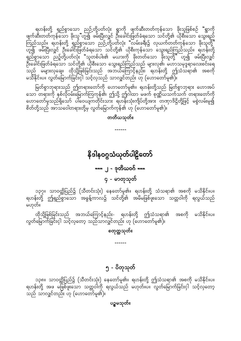ရဟန်းတို့ ရှည်စွာသော ညဉ့်တို့ပတ်လုံး ရွာကို ဖျက်ဆီးတတ်ကုန်သော ခိုးသူဖြစ်စဉ် "ရွာကို ဖျက်ဆီးတတ်ကုန်သော ခိုးသူ"ဟူ၍ ဖမ်းပြီးလျှင် ဦးခေါင်းဖြတ်ခံရသော သင်တို့၏ ယိုစီးသော သွေးရည် Munfonf/ &[ef;wdkY &SnfpGmaom nOfUwdkYywfvHk; ]]vrf;c&D;ü vk,ufwwfukefaom cdk;olwdkY}} ဟူ၍ ဖမ်းပြီးလျှင် ဦးခေါင်းဖြတ်ခံရသော သင်တို့၏ ယိုစီးကုန်သော သွေးရည်ကြည်သည်။ ရဟန်းတို့ ရှည်စွာသော ညဉ့်တို့ပတ်လုံး "သူတစ်ပါး၏ မယားကို ခိုးတတ်သော ခိုးသူတို့" ဟူ၍ ဖမ်းပြီးလျှင် ာိုးခေါင်းဖြတ်ခံရသော သင်တို့၏ ယိုစီးသော သွေးရည်ကြည်သည် များလှ၏၊ မဟာသမုဒ္ဒရာလေးစင်းရေ onf rrsm;vSacs/ xkdodkYjzpfjcif;onf tb,faMumifhenf;? &[ef;wdkY þoHo&m\ tpukd မသိနိုင်။ပ။ လွတ်မြောက်ခြင်းငှါ သင့်လှသည် သာလျှင်တည်း ဟု (ဟောတော်မူ၏)။

မြတ်စွာဘုရားသည် ဤတရားတော်ကို ဟောတော်မူ၏။ ရဟန်းတို့သည် မြတ်စွာဘုရား ဟောအပ် သော တရားကို နှစ်လိုဝမ်းမြောက်ကြကုန်၏၊ ဤသို့ ဤဂါထာ မဖက် စုဏ္ဏိယသက်သက် တရားတော်ကို တောတော်မူသည်ရှိသော် ပါဝေယျကတိုင်းသား ရဟန်းသုံးကျိပ်တို့အား တဏှာဒိဋ္ဌိတို့ဖြင့် မစွဲလမ်းမူ၍ စိတ်တို့သည် အာသဝေါတရားတို့မှ လွတ်မြောက်ကုန်၏ ဟု (ဟောတော်မူ၏)။

တတိယသုတ်။

------

နိဒါနဝဂွသံယုတ်ပါဠိတော် d )<br>D  $\ddot{\phantom{a}}$  $\frac{1}{2}$  $\ddot{\phantom{a}}$ k k f d d f === ၂ - ဒုတိယဝဂ် ===  $\cdot$ .<br>.<br>. ၄ - မာတုသုတ်

၁၃၇။ သာဝတ္ထိပြည်၌ (သီတင်းသုံး) နေတော်မူ၏။ ရဟန်းတို့ သံသရာ၏ အစကို မသိနိုင်။ပ။ ရဟန်းတို့ ဤရှည်စွာသော အဓွန့်ကာလ၌ သင်တို့၏ အမိမဖြစ်ဖူးသော သတ္တဝါကို ရလွယ်သည် မဟုတ်။

ထိုသို့ဖြစ်ခြင်းသည် အဘယ်ကြောင့်နည်း- ရဟန်းတို့ ဤသံသရာ၏ အစကို မသိနိုင်။ပ။ လွတ်မြောက်ခြင်းငှါ သင့်လှတော့ သည်သာလျှင်တည်း ဟု (ဟောတော်မူ၏)။

စတုတ္ထသုတ်။

------

၅ - ပိတုသုတ်

၁၃၈။ သာဝတ္ထိပြည်၌ (သီတင်းသုံး) နေတော်မူ၏။ ရဟန်းတို့ ဤသံသရာ၏ အစကို မသိနိုင်။ပ။ ရဟန်းတို့ အဖ မဖြစ်ဖူးသော သတ္တဝါကို ရလွယ်သည် မဟုတ်။ပ။ လွတ်မြောက်ခြင်းငှါ သင့်လှတော့ သည် သာလျှင်တည်း ဟု (ဟောတော်မူ၏)။

#### ပဉ္စမသုတ်။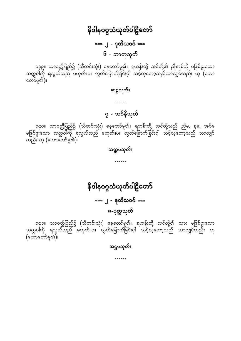#### နိဒါနဝဂ္ဂသံယုတ်ပါဠိတော်

=== ၂ - ဒုတိယဝဂ် ===

၆ - ဘာတုသုတ်

၁၃၉။ သာဝတ္ထိပြည်၌ (သီတင်းသုံး) နေတော်မူ၏။ ရဟန်းတို့ သင်တို့၏ ညီအစ်ကို မဖြစ်ဖူးသော<br>သတ္တဝါကို ရလွယ်သည် မဟုတ်။ပ။ လွတ်မြောက်ခြင်းငှါ သင့်လှတော့သည်သာလျှင်တည်း ဟု (ဟော တော်မူ၏)။

ဆဋ္ဌသုတ်။

 $\frac{1}{1}$ 

#### ၇ - ဘဂိနိသုတ်

၁၄၀။ သာ၀တ္ထိပြည်၌ (သီတင်းသုံး) နေတော်မူ၏။ ရဟန်းတို့ သင်တို့သည် ညီမ, နှမ, အစ်မ<br>မဖြစ်ဖူးသော သတ္တဝါကို ရလွယ်သည် မဟုတ်။ပ။ လွတ်မြောက်ခြင်းငှါ သင့်လှတော့သည် သာလျှင် တည်း ဟု (ဟောတော်မူ၏)။

သတ္တမသုတ်။

------

နိဒါနဝဂ္ဂသံယုတ်ပါဠိတော် === ၂ - ဒုတိယဝဂ် === ၈-ပုတ္တသုတ်

၁၄၁။ သာဝတ္ထိပြည်၌ (သီတင်းသုံး) နေတော်မူ၏။ ရဟန်းတို့ သင်တို့၏ သား မဖြစ်ဖူးသော သတ္တဝါကို ရလွယ်သည် မဟုတ်။ပ။ လွတ်မြောက်ခြင်းငှါ သင့်လှတော့သည် သာလျှင်တည်း ဟု (ဟောတော်မူ၏)။

အဋ္ဌမသုတ်။

 $\frac{1}{2}$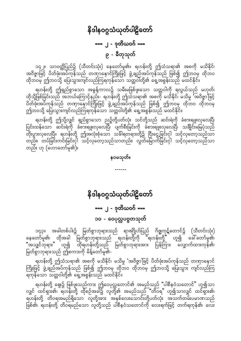# နိဒါနဝဂ္ဂသံယုတ်ပါဠိတော် === ၂ - ဒုတိယဝဂ် === ၉ - ဓိတုသုတ်

၁၄၂။ သာဝတ္ထိပြည်၌ (သီတင်းသုံး) နေတော်မူ၏။ ရဟန်းတို့ ဤသံသရာ၏ အစကို မသိနိုင်၊ အဝိဇ္ဇာဖြင့် ပိတ်ဖုံးအပ်ကုန်သည် တဏှာနှောင်ကြိုးဖြင့် ဖွဲ့ချည်အပ်ကုန်သည် ဖြစ်၍ ဤဘဝမှ ထိုဘဝ ထိုဘဝမှ ဤဘဝသို့ ပြေးသွားကျင်လည်ကြရကုန်သော သတ္တဝါတို့၏ ရှေ့အစွန်းသည် မထင်နိုင်။

ရဟန်းတို့ ဤရှည်စွာသော အဓွန့်ကာလ၌ သမီးမဖြစ်ဖူးသော သတ္တဝါကို ရလွယ်သည် မဟုတ်၊<br>ထိုသို့ဖြစ်ခြင်းသည် အဘယ်ကြောင့်နည်း- ရဟန်းတို့ ဤသံသရာ၏ အစကို မသိနိုင်၊ မသိမှု အဝိဇ္ဇာဖြင့်<br>ပိတ်ဖုံးအပ်ကုန်သည် တဏှာနှောင်ကြိုးဖြင့် ဖွဲ့ချည်အပ်ကုန်

ရဟန်းတို့ ဤသို့လျှင် ရှည်စွာသော ညဉ့်တို့ပတ်လုံး သင်တို့သည် ဆင်းရဲကို ခံစားရဖူးလှလေပြီ၊<br>ပြင်းထန်သော ဆင်းရဲကို ခံစားရဖူးလှလေပြီ၊ ပျက်စီးခြင်းကို ခံစားရဖူးလှလေပြီ၊ သချိုင်းမြေပုံသည် ာည်း၊ တပ်ခြင်းကင်းခြင်းငှါ သင့်လှတော့သည်သာတည်း၊ လွတ်မြောက်ခြင်းငှါ သင့်လှတော့သည်သာ တည်း ဟု (ဟောတော်မူ၏)။

နဝမသုတ်။

နိဒါနဝဂ္ဂသံယုတ်ပါဠိတော်

=== ၂ - ဒုတိယဝဂ် ===

၁၀ - ဝေပုလ္လပဗ္ဗတသုတ် ၁၄၃။ အခါတစ်ပါး၌ မြတ်စွာဘုရားသည် ရာဇဂြိုဟ်ပြည် ဂိဇ္ဈကုဋ်တောင်၌ (သီတင်းသုံး)<br>နေတော်မူ၏၊ ထိုအခါ မြတ်စွာဘုရားသည် ရဟန်းတို့ကို "ရဟန်းတို့" ဟူ၍ ခေါ် တော်မူ၏၊<br>"အသျှင်ဘုရား" ဟူ၍ ထိုရဟန်းတို့သည် မြတ်စွာဘုရားအား ပြန်ကြား လျှောက်ထား မြတ်စွာဘုရားသည် ဤစကားကို မိန့်တော်မူ၏-

ရဟန်းတို့ ဤသံသရာ၏ အစကို မသိနိုင်၊ မသိမှု 'အဝိဇ္ဇာ'ဖြင့် ပိတ်ဖုံးအပ်ကုန်သည် တဏှာနှောင် ကြိုးဖြင့် ဖွဲ့ချည်အပ်ကုန်သည် ဖြစ်၍ ဤဘဝမှ ထိုဘဝ ထိုဘဝမှ ဤဘဝသို့ ပြေးသွား ကျင်လည်ကြ 

ရဟန်းတို့ ရှေး၌ ဖြစ်ဖူးသည်ကား ဤဝေပုလ္လတောင်၏ အမည်သည် "ပါစီနဝံသတောင်" ဟူ၍သာ လျှင် ထင်ရှား၏၊ ရဟန်းတို့ ထိုစဉ်အခါ၌ လူတို့၏ အမည်သည် "တိဝရ" ဟူ၍သာလျှင် ထင်ရှား၏၊ ့..<br>ရဟန်းတို့ တိဝရအမည်ရှိသော လူတို့အား အနှစ်လေးသောင်းတို့ပတ်လုံး အသက်တမ်းပမာဏသည် ဖြစ်၏၊ ရဟန်းတို့ တိဝရမည်သော လူတို့သည် ပါစီနဝံသတောင်ကို လေးရက်ဖြင့် တက်ရကုန်၏၊ လေး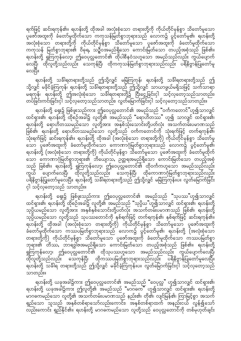ရက်ဖြင့် ဆင်းရကုန်၏။ ရဟန်းတို့ ထိုအခါ အလုံးစုံသော တရားတို့ကို ကိုယ်တိုင်မှန်စွာ သိတော်မူသော ပူဇော်အထူးကို ခံတော်မူထိုက်သော ကကုသန်မြတ်စွာဘုရားသည် လောက၌ ပွင့်တော်မူ၏၊ ရဟန်းတို့ .<br>အလုံးစုံသော တရားတို့ကို ကိုယ်တိုင်မှန်စွာ သိတော်မူသော ပူဇော်အထူးကို ခံတော်မူထိုက်သော ကကုသန် မြတ်စွာဘုရား၏ ဝိဓုရ, သဥ္ရီဝအမည်ရှိသော ကောင်းမြတ်သော တပည့်အစုံသည် ဖြစ်၏။ ရဟန်းတို့ ရှုကြကုန်လော့၊ ဤဝေပုလ္လတောင်၏ ထိုပါစီနဝံသဟူသော အမည်သည်လည်း ကွယ်ပျောက် လေပြီ၊ ထိုလူတို့သည်လည်း သေကုန်ပြီ၊ ထိုကကုသန်မြတ်စွာဘုရားသည်လည်း ပရိနိဗ္ဗာန်ပြုတော်မူ လေပြီ။

ရဟန်းတို့ သင်္ခါရတရားတို့သည် ဤသို့လျှင် မမြဲကြကုန်၊ ရဟန်းတို့ သင်္ခါရတရားတို့သည် ဤ<br>သို့လျှင် မခိုင်ခံ့ကြကုန်၊ ရဟန်းတို့ သင်္ခါရတရားတို့သည် ဤသို့လျှင် သာယာဖွယ်မရှိသဖြင့် သက်သာရာ<br>မရကုန်၊ ရဟန်းတို့ ဤအလုံးစုံသော သင်္ခါရတရားတိ တပ်ခြင်းကင်းခြင်းငှါ သင့်လှတော့သည်သာတည်း၊ လွတ်မြောက်ခြင်းငှါ သင့်လှတော့သည်သာတည်း။

ရဟန်းတို့ ရှေး၌ ဖြစ်ဖူးသည်ကား ဤဝေပုလ္လတောင်၏ အမည်သည် "ဝင်္ကကတောင်"ဟူ၍သာလျှင် ထင်ရှား၏၊ ရဟန်းတို့ ထိုစဉ်အခါ၌ လူတို့၏ အမည်သည် "ရောဟိတဿ" ဟူ၍ သာလျှင် ထင်ရှား၏၊ ရဟန်းတို့ ရောဟိတဿမည်သော လူတို့အား အနှစ်သုံးသောင်းတို့ပတ်လုံး အသက်တမ်းပမာဏသည် ဖြစ်၏၊ ရဟန်းတို့ ရောဟိတဿမည်သော လူတို့သည် ဝင်္ကကတောင်ကို သုံးရက်ဖြင့် တက်ရကုန်၏၊ သုံးရက်ဖြင့် ဆင်းရကုန်၏။ ရဟန်းတို့ ထိုအခါ (အလုံးစုံသော တရားတို့ကို) ကိုယ်တိုင်မှန်စွာ သိတော်မူ -<br>သော ပူဇော်အထူးကို ခံတော်မူထိုက်သော ကောဏာဂုံမြတ်စွာဘုရားသည် လောက၌ ပွင့်တော်မူ၏၊ ရဟန်းတို့ (အလုံးစုံသော တရားတို့ကို) ကိုယ်တိုင်မှန်စွာ သိတော်မူသော ပူဇော်အထူးကို ခံတော်မူထိုက် သော ကောဏာဂုံမြတ်စွာဘုရား၏ ဘိယျောသ, ဥတ္တရအမည်ရှိသော ကောင်းမြတ်သော တပည့်အစုံ သည် ဖြစ်၏။ ရဟန်းတို့ ရှုကြကုန်လော့၊ ဤဝေပုလ္လတောင်၏ ထိုဝင်္ကကဟူသော အမည်သည်လည်း ကွယ် ပျောက်လေပြီ၊ ထိုလူတို့သည်လည်း သေကုန်ပြီ၊ ထိုကောဏာဂုံမြတ်စွာဘုရားသည်လည်း ပရိနိဗ္ဗာန်ပြုတော်မူလေပြီ။ ရဟန်းတို့ သင်္ခါရတရားတို့သည် ဤသို့လျှင် မမြဲကြကုန်။ပဲ။ လွတ်မြောက်ခြင်း ငှါ သင့်လှတော့သည် သာတည်း။

ရဟန်းတို့ ရှေး၌ ဖြစ်ဖူးသည်ကား ဤဝေပုလ္လတောင်၏ အမည်သည် "သုပဿ"ဟူ၍သာလျှင် ထင်ရှား၏၊ ရဟန်းတို့ ထိုစဉ်အခါ၌ လူတို့၏ အမည်သည် "သုပ္ပိယ"ဟူ၍သာလျှင် ထင်ရှား၏၊ ရဟန်းတို့ သုပ္ပိယမည်သော လူတို့အား အနှစ်နှစ်သောင်းတို့ပတ်လုံး အသက်တမ်းပမာဏသည် ဖြစ်၏၊ ရဟန်းတို့ သုပ္ပိယမည်သော လူတို့သည် သုပဿတောင်ကို နှစ်ရက်ဖြင့် တက်ရကုန်၏၊ နှစ်ရက်ဖြင့် ဆင်းရကုန်၏။ ရဟန်းတို့ ထိုအခါ (အလုံးစုံသော တရားတို့ကို) ကိုယ်တိုင်မှန်စွာ သိတော်မူသော ပူဇော်အထူးကို ခံတော်မူထိုက်သော ကဿပမြတ်စွာဘုရားသည် လောက၌ ပွင့်တော်မူ၏၊ ရဟန်းတို့ (အလုံးစုံသော တရားတို့ကို) ကိုယ်တိုင်မှန်စွာ သိတော်မူသော ပူဇော်အထူးကို ခံတော်မူထိုက်သော ကဿပမြတ်စွာ ဘုရား၏ တိဿ, ဘာရဒ္ဂါဇအမည်ရှိသော ကောင်းမြတ်သော တပည့်အစုံသည် ဖြစ်၏။ ရဟန်းတို့ ရှုကြကုန်လော့၊ ဤဝေပုလ္လတောင်၏ ထိုသုပဿဟူသော အမည်သည်လည်း ကွယ်ပျောက်လေပြီ၊ ထိုလူတို့သည်လည်း သေကုန်ပြီ၊ ထိုကဿပမြတ်စွာဘုရားသည်လည်း ပရိနိဗ္ဗာန်ပြုတော်မူလေပြီ။ ရဟန်းတို့ သင်္ခါရ တရားတို့သည် ဤသို့လျှင် မခိုင်ခံ့ကြကုန်။ပ။ လွတ်မြောက်ခြင်းငှါ သင့်လှတော့သည် သာတည်း။

ရဟန်းတို့ ယခုအခါ၌ကား ဤဝေပုလ္လတောင်၏ အမည်သည် "ဝေပုလ္လ" ဟူ၍သာလျှင် ထင်ရှား၏၊<br>ရဟန်းတို့ ယခုအခါ၌ကား ဤလူတို့၏ အမည်သည် "မာဂဓက" ဟူ၍သာလျှင် ထင်ရှား၏၊ ရဟန်းတို့ .<br>မာဂဓကမည်သော လူတို့၏ အသက်တမ်းပမာဏသည် နည်း၏၊ တို၏၊ လျင်မြန်၏၊ ကြာမြင့်စွာ အသက် ရှည်သော သူသည် အနှစ်တစ်ရာသော်လည်းကောင်း၊ အနှစ်တစ်ရာထက် အနည်းငယ် လွန်၍သော် လည်းကောင်း ရှည်နိုင်၏။ ရဟန်းတို့ မာဂဓကမည်သော လူတို့သည် ဝေပုလ္လတောင်ကို တစ်မှဟုတ်ချင်း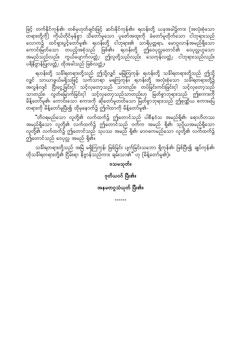ဖြင့် တက်နိုင်ကုန်၏၊ တစ်မုဟုတ်ချင်းဖြင့် ဆင်းနိုင်ကုန်၏။ ရဟန်းတို့ ယခုအခါ၌ကား (အလုံးစုံသော လောက၌ ထင်ရှားပွင့်တော်မူ၏၊ ရဟန်းတို့ ငါဘုရား၏ သာရိပုတ္တရာ, မောဂ္ဂလာန်အမည်ရှိသော ကောင်းမြတ်သော တပည့်အစုံသည် ဖြစ်၏။ ရဟန်းတို့ ဤဝေပုလ္လတောင်၏ ဝေပုလ္လဟူသော<br>အမည်သည်လည်း ကွယ်ပျောက်လတ္တံ့၊ ဤလူတို့သည်လည်း သေကုန်လတ္တံ့၊ ငါဘုရားသည်လည်း ပရိနိဗ္ဗာန်ပြုလတ္တံ့၊ ထိုအခါသည် ဖြစ်လတ္တံ့။

ရဟန်းတို့ သင်္ခါရတရားတို့သည် ဤသို့လျှင် မမြဲကြကုန်၊ ရဟန်းတို့ သင်္ခါရတရားတို့သည် ဤသို့<br>လျှင် သာယာဖွယ်မရှိသဖြင့် သက်သာရာ မရကြကုန်။ ရဟန်းတို့ အလုံးစုံသော သင်္ခါရတရားတို့၌ ာ<br>အလွန်လျင် ငြီးငွေ့ခြင်းငှါ သင့်လှတော့သည် သာတည်း၊ တပ်ခြင်းကင်းခြင်းငှါ သင့်လှတော့သည် သာတည်း၊ လွတ်မြောက်ခြင်းငှါ သင့်လှတော့သည်သာတည်းဟု မြတ်စွာဘုရားသည် ဤစကားကို မိန့်တော်မူ၏၊ ကောင်းသော စကားကို ဆိုတော်မူတတ်သော မြတ်စွာဘုရားသည် ဤစုဏ္ဏိယ စကားပြေ .<br>တရားကို မိန့်တော်မူပြီး၍ ထိုမှနောက်၌ ဤဂါထာကို မိန့်တော်မူ၏-

"တိဝရမည်သော လူတို့၏ လက်ထက်၌ ဤတောင်သည် ပါစီနဝံသ အမည်ရှိ၏၊ ရောဟိတဿ အမည်ရှိသော လူတို့၏ လက်ထက်၌ ဤတောင်သည် ဝင်္ကက အမည် ရှိ၏၊ သုပ္ပိယအမည်ရှိသော သူတို့၏ လက်ထက်၌ ဤတောင်သည် သုပဿ အမည် ရှိ၏၊ မာဂဓကမည်သော လူတို့၏ လက်ထက်၌ ကြံတောင်သည် ဝေပုလ္လ အမည် ရှိ၏။

သခ်ီါရတရားတို့သည် အမြဲ မရှိကြကုန်၊ ဖြစ်ခြင်း ပျက်ခြင်းသဘော ရှိကုန်၏၊ ဖြစ်ပြီး၍ ချုပ်ကုန်၏၊ ထိုသခ်ီါရတရားတို့၏ ငြိမ်းရာ နိဗ္ဗာန်သည်ကား ချမ်းသာ၏" ဟု (မိန့်တော်မူ၏)။

ဒသမသုတ်။

ဒုတိယဝဂ် ပြီး၏။

အနမတဂ္ဂသံယုတ် ပြီး၏။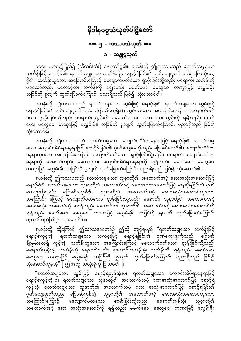# နိဒါနဝဂ္ဂသံယုတ်ပါဠိတော် === ၅ - ကဿပသံယုတ် === ၁ - သန္တုဋ္ဌသုတ်

၁၄၄။ သာဝတ္ထိပြည်၌ (သီတင်းသုံး) နေတော်မူ၏။ ရဟန်းတို့ ဤကဿပသည် ရတတ်သမျှသော သင်္ကန်းဖြင့် ရောင့်ရဲ၏၊ ရတတ်သမျှသော သင်္ကန်းဖြင့် ရောင့်ရဲခြင်း၏ ဂုဏ်ကျေးဇူးကိုလည်း ပြောဆိုလေ့ ရှိ၏။ သင်္ကန်းဟူသော အကြောင်းကြောင့် မလျောက်ပတ်သော ရှာမှီးခြင်းသို့လည်း မရောက်၊ သင်္ကန်းကို မရသော်လည်း မတောင့်တ၊ သင်္ကန်းကို ရ၍လည်း မမက်မော၊ မတွေဝေ၊ တဏှာဖြင့် မလွှမ်းမိုး၊ အပြစ်ကို ရှုလျက် ထွက်မြောက်ကြောင်း ပညာရှိသည် ဖြစ်၍ သုံးဆောင်၏။

ရဟန်းတို့ ဤကဿပသည် ရတတ်သမျှသော ဆွမ်းဖြင့် ရောင့်ရဲ၏၊ ရတတ်သမျှသော ဆွမ်းဖြင့် ရောင့်ရဲခြင်း၏ ဂုဏ်ကျေးဇူးကိုလည်း ပြောဆိုလေ့ရှိ၏။ ဆွမ်းဟူသော အကြောင်းကြောင့် မလျောက်ပတ် သော ရှာမှီးခြင်းသို့လည်း မရောက်၊ ဆွမ်းကို မရသော်လည်း မတောင့်တ၊ ဆွမ်းကို ရ၍လည်း မမက် မော၊ မတွေဝေ၊ တဏှာဖြင့် မလွှမ်းမိုး၊ အပြစ်ကို ရှုလျက် ထွက်မြောက်ကြောင်း ပညာရှိသည် ဖြစ်၍ သုံးဆောင်၏။

ရဟန်းတို့ ဤကဿပသည် ရတတ်သမျှသော ကျောင်းအိပ်ရာနေရာဖြင့် ရောင့်ရဲ၏၊ ရတတ်သမျှ သော ကျောင်းအိပ်ရာနေရာဖြင့် ရောင့်ရဲခြင်း၏ ဂုဏ်ကျေးဇူးကိုလည်း ပြောဆိုလေ့ရှိ၏။ ကျောင်းအိပ်ရာ နေရာဟူသော အကြောင်းကြောင့် မလျောက်ပတ်သော ရှာမှီးခြင်းသို့လည်း မရောက်၊ ကျောင်းအိပ်ရာ နေရာကို မရသော်လည်း မတောင့်တ၊ ကျောင်းအိပ်ရာနေရာကို ရ၍လည်း မမက်မော၊ မတွေဝေ၊ တဏှာဖြင့် မလွှမ်းမိုး၊ အပြစ်ကို ရှုလျက် ထွက်မြောက်ကြောင်း ပညာရှိသည် ဖြစ်၍ သုံးဆောင်၏။

ရဟန်းတို့ ဤကဿပသည် ရတတ်သမျှသော သူနာတို့၏ အထောက်အပံ့ ဆေးအသုံးအဆောင်ဖြင့် ရောင့်ရဲ၏၊ ရတတ်သမျှသော သူနာတို့၏ အထောက်အပံ့ ဆေးအသုံးအဆောင်ဖြင့် ရောင့်ရဲခြင်း၏ ဂုဏ် ကျေးဇူးကိုလည်း ပြောဆိုလေ့ရှိ၏။ သူနာတို့၏ အထောက်အပံ့ ဆေးအသုံးအဆောင်ဟူသော အကြောင်း ကြောင့် မလျောက်ပတ်သော ရှာမှီးခြင်းသို့လည်း မရောက်၊ သူနာတို့၏ အထောက်အပံ့ ဆေးအသုံး အဆောင်ကို မရ၍လည်း မတောင့်တ<sup>ို</sup> သူနာတို့၏ အထောက်အပံ့ ဆေးအသုံးအဆောင်ကို ရ၍လည်း မမက်မော၊ မတွေဝေ၊ တဏှာဖြင့် မလွှမ်းမိုး၊ အပြစ်ကို ရှုလျက် ထွက်မြောက်ကြောင်း ပညာရှိသည်ဖြစ်၍ သုံးဆောင်၏။

ရဟန်းတို့ ထို့ကြောင့် ဤသာသနာတော်၌ ဤသို့ ကျင့်ရမည် "ရတတ်သမျှသော သင်္ကန်းဖြင့်<br>ရောင့်ရဲကုန်အံ့၊ ရတတ်သမျှသော သင်္ကန်းဖြင့် ရောင့်ရဲခြင်း၏ ဂုဏ်ကျေးဇူးကိုလည်း ပြောဆို ချီးမွမ်းလေ့ရှိ ကုန်အံ့၊ သင်္ကန်းဟူသော အကြောင်းကြောင့် မလျောက်ပတ်သော ရှာမှီးခြင်းသို့လည်း မရောက်ကုန်အံ့၊ သင်္ကန်းကို မရသော်လည်း မတောင့်တကုန်အံ့၊ သင်္ကန်းကို ရ၍လည်း မမက်မော၊ မတွေဝေ၊ တဏှာဖြင့် မလွှမ်းမိုး၊ အပြစ်ကို ရှုလျက် ထွက်မြောက်ကြောင်း ပညာရှိသည် ဖြစ်၍ သုံးဆောင်ကုန်အံ့" |် ဤအတူ အလုံးစုံကို ပြုအပ်၏ |ဲ။

"ရတတ်သမျှသော ဆွမ်းဖြင့် ရောင့်ရဲကုန်အံ့။ပ။ ရတတ်သမျှသော ကျောင်းအိပ်ရာနေရာဖြင့် ရောင့်ရဲကုန်အံ့။ပ။ ရတတ်သမျှသော သူနာတို့၏ အထောက်အပံ့ ဆေးအသုံးအဆောင်ဖြင့် ရောင့်ရဲ ကုန်အံ့၊ ရတတ်သမျှသော သူနာတို့၏ အထောက်အပံ့ ဆေး အသုံးအဆောင်ဖြင့် ရောင့်ရဲခြင်း၏ ဂုဏ်ကျေးဇူးကိုလည်း ပြောဆိုကုန်အံ့၊ သူနာတို့၏ အထောက်အပံ့ ဆေးအသုံးအဆောင်ဟူသော အကြောင်းကြောင့် မလျောက်ပတ်သော ရှာမှီးခြင်းသို့လည်း မရောက်ကုန်အံ့၊ သူနာတို့၏ အထောက်အပံ့ ဆေး အသုံးအဆောင်ကို ရ၍လည်း မမက်မော၊ မတွေဝေ၊ တဏှာဖြင့် မလွှမ်းမိုး၊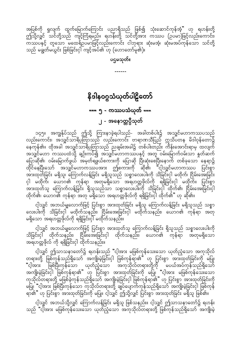အပြစ်ကို ရှုလျက် ထွက်မြောက်ကြောင်း ပညာရှိသည် ဖြစ်၍ သုံးဆောင်ကုန်အံ့" ဟု ရဟန်းတို့ ့<br>ဤသို့လျှင် သင်တို့သည် ကျင့်ကြံရမည်။ ရဟန်းတို့ သင်တို့အား ကဿပ (ဉပမာ)ဖြင့်လည်းကောင်း၊ ကဿပနှင့် တူသော မထေရ်ဥပမာဖြင့်လည်းကောင်း ငါဘုရား ဆုံးမအံ့၊ ဆုံးမအပ်ကုန်သော သင်တို့ သည် မချွတ်မယွင်း ဖြစ်ခြင်းငှါ ကျင့်အပ်၏ ဟု (ဟောတော်မူ၏)။

ပဌမသုတ်။

# နိဒါနဝဂွသံယုတ်ပါဠိတော် === ၅ - ကဿပသံယုတ် === ၂ - အနောတ္တပ္ပီသုတ်

၁၄၅။ အကျွန်ုပ်သည် ဤသို့ ကြားနာခဲ့ရပါသည်- အခါတစ်ပါး၌ အသျှင်မဟာကဿပသည်<br>လည်းကောင်း၊ အသျှင်သာရိပုတြာသည် လည်းကောင်း ဗာရာဏသီပြည် ဣသိပတန မိဒါဝုန်တော၌ နေကုန်၏။ ထိုအခါ အသျှင်သာရိပုတြာသည် ညချမ်းအခါ၌ တစ်ပါးတည်း ကိန်းအောင်းရာမှ ထလျက် အသျှင်မဟာ ကဿပထံသို့ ချဉ်းကပ်၍ အသျှင်မဟာကဿပနှင့် အတူ ဝမ်းမြောက်ဝမ်းသာ နူတ်ဆက် ပြောဆို၏၊ ဝမ်းမြောက်ဖွယ် အမှတ်ရဖွယ်စကားကို ပြောဆို ပြီးဆုံးစေပြီးနောက် တစ်ခုသော နေရာ၌ .<br>ထိုင်နေပြီးသော် အသျှင်မဟာကဿပအား ဤစကားကို ဆို၏၊ ငါ့သျှင်မဟာကဿပ ပြင်းစွာ အားထုတ်ခြင်း မရှိသူ၊ ကြောက်လန့်ခြင်း မရှိသူသည် သစ္စာလေးပါးကို သိခြင်းငှါ မထိုက်၊ ငြိမ်းအေးခြင်း ငှါ မထိုက်၊ ယောဂ၏ ကုန်ရာ အတုမရှိသော အရဟတ္တဖိုလ်ကို ရရှိခြင်းငှါ မထိုက်။ ပြင်းစွာ ာ<br>အားထုတ်သူ ကြောက်လန့်ခြင်း ရှိသူသည်သာ သစ္စာလေးပါးကို သိခြင်းငှါ ထိုက်၏၊ ငြိမ်းအေးခြင်းငှါ<br>ထိုက်၏၊ ယောဂ၏ ကုန်ရာ အတု မရှိသော အရဟတ္တဖိုလ်ကို ရရှိခြင်းငှါ ထိုက်၏" ဟု ဆို၏။

င့ါသျှင် အဘယ်မျှလောက်ဖြင့် ပြင်းစွာ အားထုတ်ခြင်း မရှိသူ ကြောက်လန့်ခြင်း မရှိသူသည် သစ္စာ လေးပါးကို သိခြင်းငှါ မထိုက်သနည်း၊ ငြိမ်းအေးခြင်းငှါ မထိုက်သနည်း၊ ယောဂ၏ ကုန်ရာ အတု မရှိသော အရဟတ္တဖိုလ်ကို ရရှိခြင်းငှါ် မထိုက်သနည်း။

င့ါသျှင် အဘယ်မျှလောက်ဖြင့် ပြင်းစွာ အားထုတ်သူ ကြောက်လန့်ခြင်း ရှိသူသည် သစ္စာလေးပါးကို<br>သိခြင်းငှါ ထိုက်သနည်း၊ ငြိမ်းအေးခြင်းငှါ ထိုက်သနည်း၊ ယောဂ၏ ကုန်ရာ အတုမရှိသော အရဟတ္တဖိုလ်ကို ရရှိခြင်းငှါ ထိုက်သနည်း။

င့ါသျှင် ဤသာသနာတော်၌ ရဟန်းသည် "င့ါအား မဖြစ်ကုန်သေးသော ယုတ်ညံ့သော အကုသိုလ်<br>တရားတို့ ဖြစ်ကုန်သည်ရှိသော် အကျိုးမဲ့ခြင်းငှါ ဖြစ်ကုန်ရာ၏" ဟု ပြင်းစွာ အားထုတ်ခြင်းကို မပြု၊ "ငါ့အား ဖြစ်ပြီးကုန်သော ယုတ်ညံ့သော အကုသိုလ်တရားတို့ကို မပယ်အပ်ကုန်သည်ရှိသော်<br>အကျိုးမဲ့ခြင်းငှါ ဖြစ်ကုန်ရာ၏" ဟု ပြင်းစွာ အားထုတ်ခြင်းကို မပြု၊ "ငါ့အား မဖြစ်ကုန်သေးသော ကုသိုလ်တရားတို့ မဖြစ်ခဲ့ကုန်သည်ရှိသော် အကျိုးမဲ့ခြင်းငှါ ဖြစ်ကုန်ရာ၏" ဟု ပြင်းစွာ အားထုတ်ခြင်းကို မပြု၊ "ငါ့အား ဖြစ်ပြီးကုန်သော ကုသိုလ်တရားတို့ ချုပ်ပျောက်ကုန်သည်ရှိသော် အကျိုးမဲ့ခြင်းငှါ ဖြစ်ကုန် ရာ၏" ဟု ပြင်းစွာ အားထုတ်ခြင်းကို မပြု။ ငါ့သျှင် ဤသို့လျှင် ပြင်းစွာ အားထုတ်ခြင်း မရှိသူ ဖြစ်၏။

င့ါ့သျှင် အဘယ်သို့လျှင် ကြောက်လန့်ခြင်း မရှိသူ ဖြစ်သနည်း။ ငါ့သျှင် ဤသာသနာတော်၌ ရဟန်း သည် "ငါ့အား မဖြစ်ကုန်သေးသော ယုတ်ညံ့သော အကုသိုလ်တရားတို့ ဖြစ်ကုန်သည်ရှိသော် အကျိုးမဲ့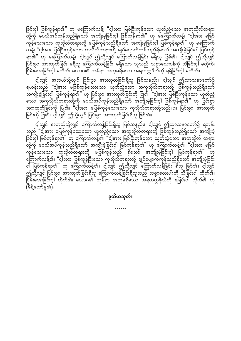ခြင်းငှါ ဖြစ်ကုန်ရာ၏" ဟု မကြောက်လန့်၊ "ငါ့အား ဖြစ်ပြီးကုန်သော ယုတ်ညံ့သော အကုသိုလ်တရား w<br>တို့ကို မပယ်အပ်ကုန်သည်ရှိသော် အကျိုးမဲ့ခြင်းငှါ ဖြစ်ကုန်ရာ၏" ဟု မကြောက်လန့်၊ "ငါ့အား မဖြစ် ကုန်သေးသော ကုသိုလ်တရားတို့ မဖြစ်ကုန်သည်ရှိသော် အကျိုးမဲ့ခြင်းငှါ ဖြစ်ကုန်ရာ၏ ဟု မကြောက် လန့်၊ "ငါ့အား ဖြစ်ပြီးကုန်သော ကုသိုလ်တရားတို့ ချုပ်ပျောက်ကုန်သည်ရှိသော် အကျိုးမဲ့ခြင်းငှါ ဖြစ်ကုန် ရာ၏" ဟု မကြောက်လန့်။ ငါ့သျှင် ဤသို့လျှင် ကြောက်လန့်ခြင်း မရှိသူ ဖြစ်၏။ ငါ့သျှင် ဤသို့လျှင် ပြင်းစွာ အားထုတ်ခြင်း မရှိသူ ကြောက်လန့်ခြင်း မရှိသော သူသည် သစ္စာလေးပါးကို သိခြင်းငှါ် မထိုက်၊ ထိုမ်းအေးခြင်းငှါ မထိုက်၊ ယောဂ၏ ကုန်ရာ အတုမရှိသော အရဟတ္တဖိုလ်ကို ရရှိခြင်းငှါ မထိုက်။

င့ါသျှင် အဘယ်သို့လျှင် ပြင်းစွာ အားထုတ်ခြင်းရှိသူ ဖြစ်သနည်း။ ငါ့သျှင် ဤသာသနာတော်၌ ရဟန်းသည် "ငါ့အား မဖြစ်ကုန်သေးသော ယုတ်ညံ့သော အကုသိုလ်တရားတို့ ဖြစ်ကုန်သည်ရှိသော် အကျိုးမဲ့ခြင်းငှါ ဖြစ်ကုန်ရာ၏" ဟု ပြင်းစွာ အားထုတ်ခြင်းကို ပြု၏၊ "ငါ့အား ဖြစ်ပြီးကုန်သော ယုတ်ညံ့ သော အကုသိုလ်တရားတို့ကို မပယ်အပ်ကုန်သည်ရှိသော် အကျိုးမဲ့ခြင်းငှါ ဖြစ်ကုန်ရာ၏" ဟု ပြင်းစွာ အားထုတ်ခြင်းကို ပြု၏၊ "ငါ့အား မဖြစ်ကုန်သေးသော ကုသိုလ်တရားတို့သည်။ပ။ ပြင်းစွာ အားထုတ် ခြင်းကို ပြု၏။ ငါ့သျှင် ဤသို့လျှင် ပြင်းစွာ အားထုတ်ခြင်းရှိသူ ဖြစ်၏။

င့ါသျှင် အဘယ်သို့လျှင် ကြောက်လန့်ခြင်းရှိသူ ဖြစ်သနည်း။ ငါ့သျှင် ဤသာသနာတော်၌ ရဟန်း သည် "ငါ့အား မဖြစ်ကုန်သေးသော ယုတ်ညံ့သော အကုသိုလ်တရားတို့ ဖြစ်ကုန်သည်ရှိသော် အကျိုးမဲ့ ခြင်းငှါ ဖြစ်ကုန်ရာ၏" ဟု ကြောက်လန့်၏၊ "ငါ့အား ဖြစ်ပြီးကုန်သော ယုတ်ညံ့သော အကုသိုလ် တရား ပ္ပြဲ<br>တို့ကို မပယ်အပ်ကုန်သည်ရှိသော် အကျိုးမဲ့ခြင်းငှါ ဖြစ်ကုန်ရာ၏" ဟု ကြောက်လန့်၏၊ "ငါ့အား မဖြစ် ကုန်သေးသော ကုသိုလ်တရားတို့ မဖြစ်ကုန်သည် ရှိသော် အကျိုးမဲ့ခြင်းငှါ ဖြစ်ကုန်ရာ၏" ဟု ကြောက်လန့်၏၊ "ငါ့အား ဖြစ်ကုန်ပြီးသော ကုသိုလ်တရားတို့ ချုပ်ပျောက်ကုန်သည်ရှိသော် အကျိုးမဲ့ခြင်း ြေပြစ်ကုန်ရာ၏" ဟု ကြောက်လန့်၏။ ငါ့သျှင် ဤသို့လျှင် ဓကြာက်လန့်ခြင်း ရှိသူ ဖြစ်၏။ ငါ့သျှင် ာ် သို့လျှင် ပြင်းစွာ အားထုတ်ခြင်းရှိသူ ကြောက်လန့်ခြင်းရှိသူသည် သစ္စာလေးပါးကို သိခြင်းငှါ ထိုက်၏၊ မြေးမှ သူ<br>ပြိမ်းအေးခြင်းငှါ ထိုက်၏၊ ယောဂ၏ ကုန်ရာ အတုမရှိသော အရဟတ္တဖိုလ်ကို ရခြင်းငှါ ထိုက်၏ ဟု (မိန့်တော်မူ၏)။

ဒုတိယသုတ်။

------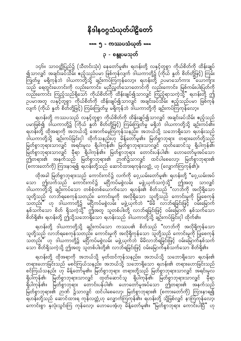# နိဒါနဝဂ္ဂသံယုတ်ပါဠိတော် === ၅ - ကဿပသံယုတ် === ၃ - စန္ဒူပမသုတ်

၁၄၆။ သာဝတ္ထိပြည်၌ (သီတင်းသုံး) နေတော်မူ၏။ ရဟန်းတို့ လနှင့်တူစွာ ကိုယ်စိတ်ကို ထိန်းချုပ် ၍သာလျှင် အချင်းခပ်သိမ်း ဧည့်သည်ပမာ ဖြစ်ကုန်လျက် ဒါယကာတို့၌ (ကိုယ် နှတ် စိတ်တို့ဖြင့်) ကြမ်း လည်းကောင်း ကြည့်သည်ရှိသော် ကိုယ်စိတ်ကို ထိန်းချုပ်၍သာလျှင် ကြည့်ရာသကဲ့သို့" ရဟန်းတို့ ဤ ဉပမာအတူ လနှင့်တူစွာ ကိုယ်စိတ်ကို ထိန်းချုပ်၍သာလျှင် အချင်းခပ်သိမ်း ဧည့်သည်ပမာ ဖြစ်ကုန် .<br>လျက် (ကိုယ် နှုတ် စိတ်တို့ဖြင့်) ကြမ်းကြုတ်မှု မရှိကုန်ဘဲ ဒါယကာတို့ကို ချဉ်းကပ်ကြကုန်လော့။

ရဟန်းတို့ ကဿပသည် လနှင့်တူစွာ ကိုယ်စိတ်ကို ထိန်းချုပ်၍သာလျှင် အချင်းခပ်သိမ်း ဧည့်သည်<br>ပမာဖြစ်၍ ဒါယကာတို့၌ (ကိုယ် နှုတ် စိတ်တို့ဖြင့်) ကြမ်းကြုတ်မှု မရှိဘဲ ဒါယကာတို့သို့ ချဉ်းကပ်၏။ ရဟန်းတို့ ထိုအရာကို အဘယ်သို့ အောက်မေ့ကြကုန်သနည်း၊ အဘယ်သို့ သဘောရှိသော ရဟန်းသည် ဒါယကာတို့သို့ ချဉ်းကပ်ခြင်းငှါ ထိုက်သနည်းဟု မိန့်တော်မူ၏။ မြတ်စွာဘုရား တရားတော်တို့သည် မြတ်စွာဘုရားသာလျှင် အရင်းမူလ<sup>ံ</sup>ရှိပါကုန်၏၊ မြတ်စွာဘုရားသာလျှင် ထုတ်ဆောင်သူ ရှိပါကုန်၏၊ မြတ်စွာဘုရားသာလျှင် မှီရာ ရှိပါကုန်၏။ မြတ်စွာဘုရား တောင်းပန်ပါ၏၊ ဟောတော်မူအပ်သော ု<br>ဤတရား၏ အနက်သည် မြတ်စွာဘုရား၏ ဉာဏ်၌သာလျှင် ထင်ပါစေလော့၊ မြတ်စွာဘုရား၏<br>(စကားတော်ကို) ကြားနာရ၍ ရဟန်းတို့သည် ဆောင်ထားရကုန်လတ္တံ့ ဟု (လျှောက်ကြကုန်၏)။

ထိုအခါ မြတ်စွာဘုရားသည် ကောင်းကင်၌ လက်ကို ဝှေ့ယမ်းတော်မူ၏၊ ရဟန်းတို့ "ဝှေ့ယမ်းအပ် သော ဤလက်သည် ကောင်းကင်၌ မငြိက်ပ်မစွဲလမ်း မဖွဲ့ယှက်သကဲ့သို့" ဤအတူ သာလျှင်<br>ဒါယကာတို့သို့ ချဉ်းကပ်သော တစ်စုံတစ်ယောက်သော ရဟန်း၏ စိတ်သည် "လာဘ်ကို အလိုရှိသော သူတို့သည် လာဘ်ရစေကုန်သတည်း၊ ကောင်းမှုကို အလိုရှိသော သူတို့သည် ကောင်းမှုကို ပြုစေကုန် ု့ " မြှ ပြုလောက် မြှ ပြုလော် မြှေ့သည်။ "မြှေ့ မြှေ့ မြှေ့ မြှေ့ မြှေ့ မြှေး မြှ<br>။ "မြှေ့ တို့ အားလောက် မြှေ့သည်။ မြှေ့သည် "မြှေ့ လောက်ရခြင်းဖြင့် ဝမ်းမြောက် နှစ်သက်သော<sup>်</sup> စိတ် ရှိသကဲ့သို့" ဤအတူ သူတစ်ပါးတို့ လာဘ်ရခြင်းဖြင့် ဝမ်းမြောက် နှစ်သက်သော<br>စိတ်ရှိ၏။ ရဟန်းတို့ ဤသို့သဘောရှိသော ရဟန်းသည် ဒါယကာတို့သို့ ချဉ်းကပ်ခြင်းငှါ ထိုက်၏။

ရဟန်းတို့ ဒါယကာတို့သို့ ချဉ်းကပ်သော ကဿပ၏ စိတ်သည် "လာဘ်ကို အလိုရှိကုန်သော သူတို့သည် လာဘ်ရစေကုန်သတည်း၊ ကောင်းမှုကို အလိုရှိကုန်သော သူတို့သည် ကောင်းမှုကို ပြုစေကုန် သတည်း" ဟု ဒါယကာတို့၌ မငြိကပ်မစွဲလမ်း မဖွဲ့ယှက်ဘဲ မိမိလာဘ်ရခြင်းဖြင့် ဝမ်းမြောက်နှစ်သက် သော စိတ်ရှိသကဲ့သို့ ဤအတူ သူတစ်ပါးတို့၏ လာဘ်ရခြင်းဖြင့် ဝမ်းမြောက်နှစ်သက်သော စိတ်ရှိ၏။

ရဟန်းတို့ ထိုအရာကို အဘယ်သို့ မှတ်ထင်ကုန်သနည်း။ အဘယ်သို့ သဘောရှိသော ရဟန်း၏ တရားဟောခြင်းသည် မစင်ကြယ်သနည်း၊ အဘယ်သို့ သဘောရှိသော ရဟန်း၏ တရားဟောခြင်းသည် စင်ကြယ်သနည်း ဟု မိန့်တော်မူ၏။ မြတ်စွာဘုရား တရားတို့သည် မြတ်စွာဘုရားသာလျှင် အရင်းမူလ ရှိပါကုန်၏၊ မြတ်စွာဘုရားသာလျှင် ထုတ်ဆောင်သူ ရှိပါကုန်၏၊ မြတ်စွာဘုရားသာလျှင် မှီရာ ရှိပါကုန်၏။ မြတ်စွာဘုရား တောင်းပန်ပါ၏၊ ဟောတော်မူအပ်သော ဤတရား၏ အနက်သည် .<br>မြတ်စွာဘုရား၏ ဉာဏ် ၌သာလျှင် ထင်ပါစေလော့၊ မြတ်စွာဘုရား၏ (စကားတော်ကို) ကြားနာရ၍ -<br>ရဟန်းတို့သည် ဆောင်ထားရ ကုန်လတ္တံ့ဟု လျှောက်ကြကုန်၏။ ရဟန်းတို့ သို့ဖြစ်လျှင် နာကြကုန်လော့၊ ကောင်းစွာ နှလုံးသွင်းကြ ကုန်လော့၊ ဟောပေအံ့ဟု မိန့်တော်မူ၏။ "မြတ်စွာဘုရား ကောင်းပါပြီ" ဟု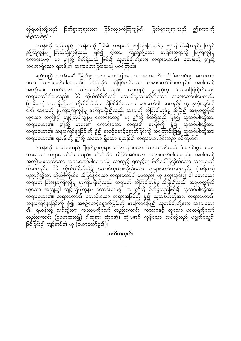ထိုရဟန်းတို့သည် မြတ်စွာဘုရားအား ပြန်လျှောက်ကြကုန်၏။ မြတ်စွာဘုရားသည် ဤစကားကို မိန့်တော်မူ၏-

ရဟန်းတို့ မည်သည့် ရဟန်းမဆို "ငါ၏ တရားကို နာကြားကြကုန်မူ နာကြားပြီး၍လည်း ကြည် ညိုကြကုန်မူ ကြည်ညိုကုန်သည် ဖြစ်၍ ငါ့အား ကြည်ညိုသော အခြင်းအရာကို ပြုကြကုန်မူ ကောင်းပေစွ" ဟု ဤသို့ စိတ်ရှိသည် ဖြစ်၍ သူတစ်ပါးတို့အား တရားဟော၏။ ရဟန်းတို့ ဤသို့ သဘောရှိသော ရဟန်း၏ တရားဟောခြင်းသည် မစင်ကြယ်။

မည်သည့် ရဟန်းမဆို "မြတ်စွာဘုရား ဟောကြားသော တရားတော်သည် 'ကောင်းစွာ ဟောထား သော တရားတော်ပါပေတည်း၊ ကိုယ်တိုင် သိမြင်အပ်သော တရားတော်ပါပေတည်း၊ အခါမလင့် အကျိုးပေး တတ်သော တရားတော်ပါပေတည်း၊ လာလှည့် ရှုလည့်ဟု ဖိတ်ခေါ်ပြထိုက်သော w...<br>တရားတော်ပါပေတည်း၊ မိမိ ကိုယ်ထဲစိတ်ထဲ၌ ဆောင်ယူထားထိုက်သော တရားတော်ပါပေတည်း၊ (အရိယာ) ပညာရှိတို့သာ ကိုယ်စီကိုယ်င သိမြင်ိနိုင်သော တရားတော်ပါ ပေတည်း' ဟု နှလုံးသွင်း၍ .<br>ငါ၏ တရားကို နာကြားကြကုန်မူ နာကြားပြီး၍လည်း တရားကို သိကြပါကုန်မူ သိပြီး၍ အရဟတ္တဖိုလ်  $\alpha$ ုံး (၂) ပြိုင်း၊ ၂) ပြိုင်း၊ (၂) ပြိုင်း၊ (၂) ပြိုင်း၊ (၂) ပြိုင်း၊ (၂) ပြိုင်း၊ (၂) ပြိုင်း၊ (၂) ပြိုင်း<br>ဟူသော အကျိုးငှါ ကျင့်ကြပါကုန်မူ ကောင်းလေစွ" ဟု ဤသို့ စိတ်ရှိသည် ဖြစ်၍ သူတစ်ပါးတို့အား တရားဟော၏။ ဤသို့ တရား၏ ကောင်းသော တရား၏ အဖြစ်ကို စွဲ၍ သူတစ်ပါးတို့အား တရားဟော၏၊ သနားကြင်နာခြင်းကို စွဲ၍ အစဉ်စောင့်ရှောက်ခြင်းကို အကြောင်းပြု၍ သူတစ်ပါးတို့အား တရားဟော၏။ ရဟန်းတို့ ဤသို့ သဘော ရှိသော ရဟန်း၏ တရားဟောခြင်းသည် စင်ကြယ်၏။

ရဟန်းတို့ ကဿပသည် "မြတ်စွာဘုရား ဟောကြားသော တရားတော်သည် 'ကောင်းစွာ ဟော ထားသော တရားတော်ပါပေတည်း၊ ကိုယ်တိုင် သိမြင်အပ်သော တရားတော်ပါပေတည်း၊ အခါမလင့် အကျိုးပေးတတ်သော တရားတော်ပါပေတည်း၊ လာလှည့် ရှုလည့်ဟု ဖိတ်ခေါ်ပြထိုက်သော တရားတော် ပါပေတည်း၊ မိမိ ကိုယ်ထဲစိတ်ထဲ၌ ဆောင်ယူထားထိုက်သော တရားတော်ပါပေတည်း၊ (အရိယာ) ပညာရှိတို့သာ ကိုယ်စီကိုယ်င သိမြင်နိုင်သော တရားတော်ပါ ပေတည်း $^{\prime}$  ဟု နှလုံးသွင်း၍ ငါ ဟောသော တရားကို ကြားနာကြကုန်မူ နာကြားပြီး၍လည်း တရားကို သိကြပါကုန်မူ သိပြီး၍လည်း အရဟတ္တဖိုလ် ကူသော အကျိုးငှါ ကျင့်ကြပါကုန်မူ ကောင်းလေစွ" ဟု ဤသို့ စိတ်ရှိသည်ဖြစ်၍ သူတစ်ပါးတို့အား တရားဟော၏။ တရားတော်၏ ကောင်းသော တရားအဖြစ်ကို စွဲ၍ သူတစ်ပါးတို့အား တရားဟော၏၊ သနားကြင်နာခြင်းကို စွဲ၍ အစဉ်စောင့်ရှောက်ခြင်းကို အကြောင်းပြု၍ သူတစ်ပါးတို့အား တရားဟော ၏။ ရဟန်းတို့ သင်တို့အား ကဿပကိုသော် လည်းကောင်း၊ ကဿပနှင့် တူသော မထေရ်ကိုသော် လည်းကောင်း (ဥပမာထား၍) ငါဘုရား ဆုံးမအံ့။ ဆုံးမအပ် ကုန်သော သင်တို့သည် မချွတ်မယွင်း ဖြစ်ခြင်းငှါ ကျင့်အပ်၏ ဟု (ဟောတော်မူ၏)။

တတိယသုတ်။

------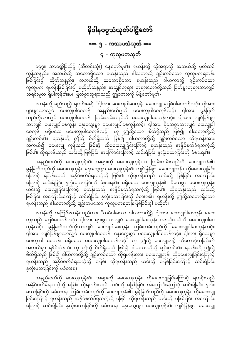နိဒါနဝဂ္ဂသံယုတ်ပါဠိတော် === ၅ - ကဿပသံယုတ် === ၄ - ကုလူပကသုတ်

၁၄၇။ သာဝတ္ထိပြည်၌ (သီတင်းသုံး) နေတော်မူ၏။ ရဟန်းတို့ ထိုအရာကို အဘယ်သို့ မှတ်ထင် .<br>ကုန်သနည်း၊ အဘယ်သို့ သဘောရှိသော ရဟန်းသည် ဒါယကာသို့ ချဉ်းကပ်သော ကုလူပကရဟန်း<br>ဖြစ်ခြင်းငှါ ထိုက်သနည်း၊ အဘယ်သို့ သဘောရှိသော ရဟန်းသည် ဒါယကာသို့ ချဉ်းကပ်သော .<br>ကုလူပက ရဟန်းဖြစ်ခြင်းငှါ မထိုက်သနည်း၊ အသျှင်ဘုရား တရားတော်တို့သည် မြတ်စွာဘုရားသာလျှင် အရင်းမူလ ရှိပါကုန်၏။ပ။ မြတ်စွာဘုရားသည် ဤစကားကို မိန့်တော်မူ၏-

ရဟန်းတို့ မည်သည့် ရဟန်းမဆို "ငါ့အား ပေးလျုပါစေကုန်၊ မပေးလျု မဖြစ်ပါစေကုန်လင့်။ ငါ့အား များစွာသာလျှင် ပေးလှူပါစေကုန်၊ အနည်းငယ်မျှကို မပေးလှူပါစေကုန်လင့်။ ငါ့အား မွန်မြတ် သည်ကိုသာလျှင် ပေးလှူပါစေကုန်၊ ကြမ်းတမ်းသည်ကို မပေးလှူပါစေကုန်လင့်။ ငါ့အား လျင်မြန်စွာ သာလျှင် ပေးလှူပါစေကုန်၊ နှေးကွေးစွာ မပေးလှူပါစေကုန်လင့်။ ငါ့အား ရိုသေစွာသာလျှင် ပေးလှူပါ စေကုန်၊ မရှိမသေ မပေးလျှပါစေကုန်လင့်" ဟု ဤသို့သော စိတ်ရှိသည် ဖြစ်၍ ဒါယကာတို့သို့ ချဉ်းကပ်၏။ ရဟန်းတို့ ဤသို့ စိတ်ရှိသည် ဖြစ်၍ ဒါယကာတို့သို့ ချဉ်းကပ်သော ထိုရဟန်းအား ့<br>အကယ်၍ မပေးလျှု ကုန်သည် ဖြစ်အံ့၊ ထိုမပေးလျှူခြင်းကြောင့် ရဟန်းသည် အနှိပ်စက်ခံရသကဲ့သို့ ဖြစ်၏၊ ထိုရဟန်းသည် ယင်းသို့ ဖြစ်ခြင်း အကြောင်းကြောင့် ဆင်းရဲခြင်း နှလုံးမသာခြင်းကို ခံစားရ၏။

အနည်းငယ်ကို ပေးလျှုကုန်၏၊ အများကို မပေးလျှုကုန်။ပ။ ကြမ်းတမ်းသည်ကို ပေးလျှုကုန်၏၊ မွန်မြတ်သည်ကို မပေးလှူကုန်။ နှေးကွေးစွာ ပေးလှူကုန်၏၊ လျင်မြန်စွာ မပေးလှူကုန်။ ထိုမပေးလှူခြင်း ိုင်္ကြာင့် ရဟန်းသည် အနှိပ်စက်ခံရသကဲ့သို့ ဖြစ်၏၊ ထိုရဟန်းသည် ယင်းသို့ ဖြစ်ခြင်း အကြောင်း ကြောင့် ဆင်းရဲခြင်း နှလုံးမသာခြင်းကို ခံစားရ၏။ မရိုမသေ ပေးလှူကုန်၏၊ ရိုသေစွာ မပေးလှူကုန်။ ယင်းသို့ ပေးလှူခြင်းကြောင့် ရဟန်းသည် အနှိပ်စက်ခံရသကဲ့သို့ ဖြစ်၏၊ ထိုရဟန်းသည် ယင်းသို့ ဖြစ်ခြင်း အကြောင်းကြောင့် ဆင်းရဲခြင်း နှလုံးမသာခြင်းကို ခံစားရ၏။ ရဟန်းတို့ ဤသို့သဘောရှိသော မြို့ အသည် ဒါယကာတို့သို့ ချဉ်းကပ်သော ကုလူပကရဟန်းဖြစ်ခြင်းငှါ မထိုက်။

ရဟန်းတို့ အကြင်ရဟန်းသည်ကား "တစ်ပါးသော ဒါယကာတို့၌ ငါ့အား ပေးလှူပါစေကုန်၊ မပေး လျှုသည် မဖြစ်စေကုန်လင့်။ ငါ့အား များစွာသာလျှင် ပေးလျှုပါစေကုန်၊ အနည်းငယ်ကို မပေးလျှုပါစေ ကုန်လင့်။ မွန်မြတ်သည်ကိုသာလျှင် ပေးလျှုပါစေကုန်၊ ကြမ်းတမ်းသည်ကို မပေးလျှုပါစေကုန်လင့်။ ငါ့အား လျင်မြန်စွာသာလျှင် ပေးလှူပါစေကုန်၊ နှေးကွေးစွာ မပေးလှူပါစေကုန်လင့်။ ငါ့အား ရိုသေစွာ<br>ပေးလှူပါ စေကုန်၊ မရိုမသေ မပေးလှူပါစေကုန်လင့်" ဟု ဤသို့ ပေးလှူရာ၌ ထိုတောင့်တခြင်းကို အဘယ်မှာ ရနိုင်အံ့နည်း ဟု ဤသို့ စိတ်ရှိသည် ဖြစ်၍ ဒါယကာတို့သို့ ချဉ်းကပ်၏။ ရဟန်းတို့ ဤသို့ စိတ်ရှိသည် ဖြစ်၍ ဒါယကာတို့သို့ ချဉ်းကပ်သော ထိုရဟန်းအား မပေးလျှုကုန်၊ ထိုမပေးလျှုခြင်းကြောင့် ရဟန်းသည် အနိုပ်စက်ခံရသကဲ့သို့ မဖြစ်၊ ထိုရဟန်းသည် ယင်းသို့ မဖြစ်ခြင်းကြောင့် ဆင်းရဲခြင်း နှလုံးမသာခြင်းကို မခံစားရ။

အနည်းငယ်ကို ပေးလှူကုန်၏၊ အများကို မပေးလှူကုန်။ ထိုမပေးလှူခြင်းကြောင့် ရဟန်းသည် အနှိပ်စက်ခံရသကဲ့သို့ မဖြစ်၊ ထိုရဟန်းသည် ယင်းသို့ မဖြစ်ခြင်း အကြောင်းကြောင့် ဆင်းရဲခြင်း နှလုံး မသာခြင်းကို မခံစားရ။ ကြမ်းတမ်းသည်ကို ပေးလျှုကုန်၏၊ မွန်မြတ်သည်ကို မပေးလျှုကုန်။ ထိုမပေးလျှု ခြင်းကြောင့် ရဟန်းသည် အနိုပ်စက်ခံရသကဲ့သို့ မဖြစ်၊ ထိုရဟန်းသည် ယင်းသို့ မဖြစ်ခြင်း အကြောင်း ကြောင့် ဆင်းရဲခြင်း နှလုံးမသာခြင်းကို မခံစားရ။ နှေးကွေးစွာ ပေးလျူကုန်၏၊ လျင်မြန်စွာ မပေးလျု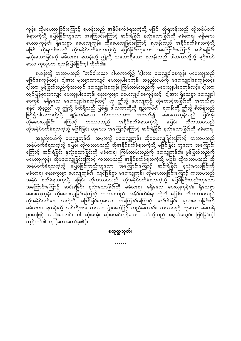ကုန်။ ထိုမပေးလျူခြင်းကြောင့် ရဟန်းသည် အနိုပ်စက်ခံရသကဲ့သို့ မဖြစ်၊ ထိုရဟန်းသည် ထိုအနိုပ်စက် ခံရသကဲ့သို့ မဖြစ်ခြင်းဟူသော အကြောင်းကြောင့် ဆင်းရဲခြင်း နှလုံးမသာခြင်းကို မခံစားရ။ မရိုမသေ ပေးလျူကုန်၏၊ ရှိသေစွာ မပေးလျူကုန်။ ထိုမပေးလျူခြင်းကြောင့် ရဟန်းသည် အနိုပ်စက်ခံရသကဲ့သို့ မဖြစ်၊ ထိုရဟန်းသည် ထိုအနှိပ်စက်ခံရသကဲ့သို့ မဖြစ်ခြင်းဟူသော အကြောင်းကြောင့် ဆင်းရဲခြင်း နှလုံးမသာခြင်းကို မခံစားရ။ ရဟန်းတို့ ဤသို့ သဘောရှိသော ရဟန်းသည် ဒါယကာတို့သို့ ချဉ်းကပ် ာ<br>သော ကုလူပက ရဟန်းဖြစ်ခြင်းငှါ ထိုက်၏။

ရဟန်းတို့ ကဿပသည် "တစ်ပါးသော ဒါယကာတို့၌ 'ငါ့အား ပေးလှူပါစေကုန်၊ မပေးလှူသည် မဖြစ်စေကုန်လင့်။ ငါ့အား များစွာသာလျှင် ပေးလျှပါစေကုန်၊ အနည်းငယ်ကို မပေးလျှပါစေကုန်လင့်။ င့ါ်အား မွန််မြတ်သည်ကိုသာလျှင် ပေးလျှုပါစေကုန်၊ ကြမ်းတမ်းသည်ကို မပေးလျှုပါစေကုန်လင့်။ ငါ့အား လျင်မြန်စွာသာလျှင် ပေးလျှပါစေကုန်၊ နှေးကွေးစွာ မပေးလျှပါစေကုန်လင့်။ ငါ့အား ရှိသေစွာ ပေးလျှပါ စေကုန်၊ မရိုမသေ မပေးလျှုပါစေကုန်လင့်' ဟု ဤသို့ ပေးလျှုရာ၌ ထိုတောင့်တခြင်းကို အဘယ်မှာ ရနိုင်<sup>ံ</sup>အံ့နည်း" ဟု ဤသို့ စိတ်ရှိသည် ဖြစ်၍ ဒါယကာတို့သို့ ချဉ်းကပ်၏။ ရဟန်းတို့ ဤသို့ စိတ်ရှိသည် ဖြစ်၍ဒါယကာတို့သို့ ချဉ်းကပ်သော ထိုကဿပအား အကယ်၍ မပေးလျှုကုန်သည် ဖြစ်အုံ၊ ထိုမပေးလျူခြင်း ကြောင့် ကဿပသည် အနိုပ်စက်ခံရသကဲ့သို့ မဖြစ်၊ ထိုကဿပသည် ထိုအနှိပ်စက်ခံရသကဲ့သို့ မဖြစ်ခြင်း ဟူသော အကြောင့်ကြောင့် ဆင်းရဲခြင်း နှလုံးမသာခြင်းကို မခံစားရ။

အနည်းငယ်ကို ပေးလှူကုန်၏၊ အများကို မပေးလှူကုန်။ ထိုမပေးလှူခြင်းကြောင့် ကဿပသည် အနှိပ်စက်ခံရသကဲ့သို့ မဖြစ်၊ ထိုကဿပသည် ထိုအနှိပ်စက်ခံရသကဲ့သို့ မဖြစ်ခြင်း ဟူသော အကြောင်း ကြောင့် ဆင်းရဲခြင်း နှလုံးမသာခြင်းကို မခံစားရ။ ကြမ်းတမ်းသည်ကို ပေးလျူကုန်၏၊ မွန်မြတ်သည်ကို မပေးလျှုကုန်။ ထိုမပေးလျှူခြင်းကြောင့် ကဿပသည် အနှိပ်စက်ခံရသကဲ့သို့ မဖြစ်၊ ထိုကဿပသည် ထို အနိုပ်စက်ခံရသကဲ့သို့ မဖြစ်ခြင်းတည်းဟူသော အကြောင်းကြောင့် ဆင်းရဲခြင်း နှလုံးမသာခြင်းကို မခံစားရ။ နေးကွေးစွာ ပေးလျကုန်၏၊ လျင်မြန်စွာ မပေးလျှုကုန်။ ထိုမပေးလျှူခြင်းကြောင့် ကဿပသည် အနှိပ် စက်ခံရသကဲ့သို့ မဖြစ်၊ ထိုကဿပသည် ထိုအနှိပ်စက်ခံရသကဲ့သို့ မဖြစ်ခြင်းတည်းဟူသော အကြောင်းကြောင့် ဆင်းရဲခြင်း နှလုံးမသာခြင်းကို မခံစားရ။ မရိုမသေ ပေးလှူကုန်၏၊ ရိုသေစွာ မပေးလျှုကုန်။ ထိုမပေးလျှခြင်းကြောင့် ကဿပသည် အနှိပ်စက်ခံရသကဲ့သို့ မဖြစ်။ ထိုကဿပသည် ထိုအနှိပ်စက်ခံရ သကဲ့သို့ မဖြစ်ခြင်းဟူသော အကြောင်းကြောင့် ဆင်းရဲခြင်း နှလုံးမသာခြင်းကို မခံစားရ။ ရဟန်းတို့ သင်တို့အား ကဿပ (ဥပမာ)ဖြင့် လည်းကောင်း၊ ကဿပနှင့် တူသော မထေရ် ဉပမာဖြင့် လည်းကောင်း ငါ ဆုံးမအံ့၊ ဆုံးမအပ်ကုန်သော သင်တို့သည် မချွတ်မယွင်း ဖြစ်ခြင်းငှါ 

#### စတုတ္ထသုတ်။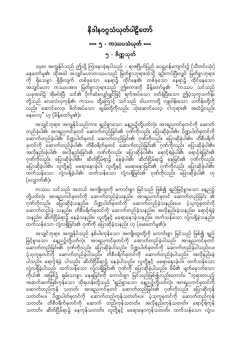# နိဒါနဝဂ္ဂသံယုတ်ပါဠိတော် === ၅ - ကဿပသံယုတ် === ၅ - ဇိဏ္ဏသုတ်

၁၄၈။ အကျွန်ုပ်သည် ဤသို့ ကြားနာခဲ့ရပါသည် - ရာဇဂြိုဟ်ပြည် ဝေဠုဝန်ကျောင်း၌ (သီတင်းသုံး) နေတော်မူ၏၊ ထိုအခါ အသျှင်မဟာကဿပသည် မြတ်စွာဘုရားထံသို့ ချဉ်းကပ်ပြီးလျှင် မြတ်စွာဘုရား<br>ကို ရိုသေစွာ ရှိခိုးလျက် တစ်ခုသော နေရာ၌ ထိုင်နေ၏၊ တစ်ခုသော နေရာ၌ ထိုင်နေသော အသျှင်မဟာ ကဿပအား မြတ်စွာဘုရားသည် ဤစကားကို မိန့်တော်မူ၏- "ကဿပ သင်သည် ယခုအခါ၌ အိုမင်းပြီ၊ သင်၏ ပိုက်ဆံလျှော်မျှင်ဖြင့် ရက်အပ်သော ဝတ်ရုံပြီးသော ဤပံ့သုကူသင်္ကန်း တို့သည် လေးလံလှကုန်၏၊ ကဿပ ထို့ကြောင့် သင်သည် ဒါယကာတို့ လျှုဒါန်းသော သင်္ကန်းတို့ကို လည်း ဆောင်လော့၊ ဖိတ်အပ်သော ဆွမ်းတို့ကိုလည်း သုံးဆောင်လော့၊ ငါဘုရား၏ အထံ၌လည်း နေလော့" ဟု (မိန့်တော်မူ၏)။

အသျှင်ဘုရား အကျွန်ုပ်သည်ကား ရှည်စွာသော နေ့ညဉ့်တို့ပတ်လုံး အာရညကင်ဓုတင်ကို ဆောက် တည်ခဲ့ပါ၏၊ အာရညကင်ခုတင် ဆောက်တည်ခြင်း၏ ဂုဏ်ကိုလည်း ပြောဆိုခဲ့ပါ၏။ ပိဏ္ဍပါတ်ဓုတင်ကို ဆောက်တည်ခဲ့ပါ၏၊ ပိဏ္ဍပါတ်ဓုတင် ဆောက်တည်ခြင်း၏ ဂုဏ်ကိုလည်း ပြောဆိုခဲ့ပါ၏။ တိစီဝရိက် ဓုတင်ကို ဆောက်တည်ခဲ့ပါ၏၊ တိစီဝရိက်ဓုတင် ဆောက်တည်ခြင်း၏ ဂုဏ်ကိုလည်း ပြောဆိုခဲ့ပါ၏။ -<br>အလိုနည်းခဲ့ပါ၏၊ အလိုနည်းခြင်း၏ ဂုဏ်ကိုလည်း ပြောဆိုခဲ့ပါ၏။ ရောင့်ရဲခဲ့ပါ၏၊ ရောင့်ရဲခြင်း၏ ဂုဏ်ကိုလည်း ပြောဆိုခဲ့ပါ၏။ ဆိတ်ငြိမ်ရာ၌ နေခဲ့ပါ၏၊ ဆိတ်ငြိမ်ရာ၌ နေခြင်း၏ ဂုဏ်ကိုလည်း -<br>ပြောဆိုခဲ့ပါ၏။ လူတို့နှင့် မရောနောခဲ့ပါ၊ လူတို့နှင့် မရောနှောခြင်း၏ ဂုဏ်ကိုလည်း ပြောဆိုခဲ့ပါ၏။ ထက်သန်သော လုံ့လရှိခဲ့ပါ၏၊ ထက်သန်သော လုံ့လရှိခြင်း၏ ဂုဏ်ကိုလည်း ပြောဆိုခဲ့ပါ၏ ဟု (လျှောက်၏)။

ကဿပ သင်သည် အဘယ် အကျိုးထူးကို ကောင်းစွာ မြင်သည် ဖြစ်၍ ရှည်မြင့်စွာသော နေ့ညဉ့် တို့ပတ်လုံး အာရညကင်ဓုတင်ကို ဆောက်တည်ခဲ့သနည်း၊ အာရညကင်ဓုတင် ဆောက်တည်ခြင်း ၏ ုက်ကိုလည်း ပြောဆိုခဲ့သနည်း။ ပိဏ္ဍပါတ်ဓုတင်ကို ဆောက်တည်ခဲ့သနည်း။ပ။ ပုံသုကူဓုတင်ကို ဆောက်တည်ခဲ့ သနည်း။ တိစီဝရိက်ဓုတ်င်ကို ဆောက်တည်ခဲ့သနည်း။ အလိုနည်းခဲ့သနည်း။ ရောင့်ရဲခဲ့ သနည်း။ ဆိတ်ငြိမ်ရာ၌ နေခဲ့သနည်း။ လူတို့နှင့် မရောနှောခဲ့သနည်း။ ထက်သန်သော လုံ့လရှိခဲ့သနည်း၊ ထက်သန်သော လှုံ့လရှိခြင်း၏ ဂုဏ်ကို ပြောဆိုခဲ့သနည်း ဟု (မေးတော်မူ၏)။

အသျှင်ဘုရား အကျွန်ုပ်သည် နှစ်ပါးကုန်သော အကျိုးထူးတို့ကို ကောင်းစွာ မြင်သည် ဖြစ်၍ ရှည် မြင့်စွာသော နေ့ညဉ့်တို့ပတ်လုံး အာရညကင်ဓုတင်ကို ဆောက်တည်ခဲ့ပါသည်၊ အာရညကင်ဓုတင် ဆောက်တည်ခြင်း၏ ဂုဏ်ကိုလည်း ပြောဆိုခဲ့ပါသည်။ ပိဏ္ဍပါတ်ဓုတင်ကို ဆောက်တည်ခဲ့ပါသည်။ပ။ ပံ့သုကူဓုတင်ကို ဆောက်တည်ခဲ့ပါသည်။ တိစီဝရိက်ဓုတင်ကို ဆောက်တည်ခဲ့ပါသည်။ အလိုနည်းခဲ့ ပါသည်။ ရောင့်ရဲခဲ့ ပါသည်။ ဆိတ်ငြိမ်ရာ၌ နေခဲ့ပါသည်။ လူတို့နှင့် မရောနောခဲ့ပါ။ ထက်သန်သော လုံ့လရှိခဲ့ပါသည်၊ ထက်သန်သော လုံ့လရှိခြင်း၏ ဂုဏ်ကို ပြောဆိုခဲ့ပါသည်။ မိမိ၏ မျက်မှောက်သော ကိုယ်၏ အဖြစ်၌ ချမ်းသာစွာ နေရခြင်းကို ကောင်းစွာ မြင်သည်ဖြစ်၍လည်းကောင်း၊ "ဘုရားတပည့် .<br>အဆက်ဆက်ဖြစ်ကုန်သော ထိုရဟန်းတို့သည် 'ရှည်စွာသော နေ့ညဉ့်တို့ပတ်လုံး အာရညကင်ဓုတင်ကို ဆောက်တည်ကုန် သတတ်၊ အာရညကင်ဓုတင် ဆောက်တည်ခြင်း၏ ဂုဏ်ကိုလည်း ပြောဆိုကုန် သတတ်။ပ။ ပိဏ္ဍပါတ်ဓုတင်ကို ဆောက်တည်ကုန်သတတ်။ပ။ ပံ့သုကူဓုတင်ကို ဆောက်တည်ကုန် သတတ်။ တိစီဝဲရိက်ဓုတင်ကို ဆောက် တည်ကုန်သတတ်။ အလိုနည်းကုန်သတတ်။ ရောင့်ရဲကုန် သတတ်။ ဆိတ်ငြိမ်ရာ၌ နေကုန်သတတ်။ လူတို့နှင့် မရောနှောကုန်သတတ်။ ထက်သန်သော လှံ့လ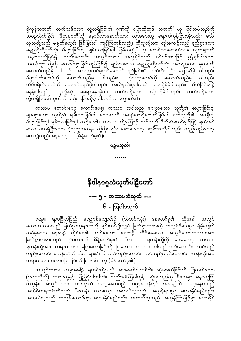ရှိကုန်သတတ်၊ ထက်သန်သော လုံ့လရှိခြင်း၏ ဂုဏ်ကို ပြောဆိုကုန် သတတ်ႛ ဟု မြင်အပ်သည်ကို ာ<br>အစဉ်လိုက်ခြင်း 'ဒိဋ္ဌာနုဂတိ'သို့ နောင်လာနောက်သား လူအများတို့ ရောက်ကုန်ငြားအံ့လည်း မသိ၊ ထိုသူတို့သည် မချွတ်မယွင်း ဖြစ်ခြင်းငှါ ကျင့်ကြကုန်လတ္တံ့၊ ထိုသူတို့အား ထိုအကျင့်သည် ရှည်စွာသော ားသြစ်တို့<br>သနားသည်ဖြစ်၍ လည်းကောင်း အသျှင်ဘုရား အကျွန်ုပ်သည် စင်စစ်အားဖြင့် ဤနှစ်ပါးသော .<br>အကျိုးထူး တို့ကို ကောင်းစွာမြင်သည်ဖြစ်၍ ရှည်စွာသော နေ့ညဉ့်တို့ပတ်လုံး အာရညကင် ဓုတင်ကို<br>ဆောက်တည်ခဲ့ ပါသည်၊ အာရညကင်ဓုတင်ဆောက်တည်ခြင်း၏ ဂုဏ်ကိုလည်း ပြောဆိုခဲ့ ပါသည်။ ပိဏ္ဍပါတ်ဓုတင်ကို ဆောက်တည်ခဲ့ ပါသည်။ပ။ ပံ့သုကူဓုတင်ကို ဆောက်တည်ခဲ့ ပါသည်။ တိစီဝရိက်ဓုတင်ကို ဆောက်တည်ခဲ့ပါသည်။ အလိုနည်းခဲ့ပါသည်။ ရောင့်ရဲခဲ့ပါသည်။ ဆိတ်ငြိမ်ရာ၌ နေခဲ့ပါသည်။ လူတို့နှင့် မရောနှောခဲ့ပါ။ ထက်သန်သော လုံ့လရှိခဲ့ပါသည်၊ ထက်သန်သော လုံ့လရှိခြင်း၏ ဂုဏ်ကိုလည်း ပြောဆိုခဲ့ ပါသည်ဟု လျှောက်၏။

ကဿပ ကောင်းပေစွ ကောင်းပေစွ၊ ကဿပ သင်သည် များစွာသော သူတို့၏ စီးပွားခြင်းငှါ များစွာသော သူတို့၏ ချမ်းသာခြင်းငှါ လောကကို အစဉ်စောင့်ရှောက်ခြင်းငှါ နင်္ထလူတို့၏ အကျိုးငှါ စီးပွားခြင်းငှါ ချမ်းသာခြင်းငှါ ကျင့်ပေ၏။ ကဿပ ထို့ကြောင့် သင်သည် ပိုက်ဆံလျော်မျှင်ဖြင့် ရက်အပ် သော ဝတ်ရုံပြီးသော ပံ့သုကူသင်္ကန်း တို့ကိုလည်း ဆောင်လော့၊ ဆွမ်းအလို့ငှါလည်း လှည့်လည်လော့၊ တော၌လည်း နေလော့ ဟု (မိန့်တော်မူ၏)။

ပဉ္စမသုတ်။

နိဒါန၀ဂွသံယုတ်ပါဠိတော် === ၅ - ကဿပသံယုတ် === ၆ - ဩဝါဒသုတ်

ရာဇဂြိုဟ်ပြည် ဝေဠုဝန်ကျောင်း၌ (သီတင်းသုံး) နေတော်မူ၏၊ ထိုအခါ အသျှင် ၁၄၉။ မဟာကဿပသည် မြတ်စွာဘုရားထံသို့ ချဉ်းကပ်ပြီးလျှင် မြတ်စွာဘုရားကို အလွန်ရိုသေစွာ ရှိခိုးလျက် တစ်ခုသော နေရာ၌ ထိုင်နေ၏၊ တစ်ခုသော နေရာ၌ ထိုင်နေသော အသျှင်မဟာကဿပအား မြတ်စွာဘုရားသည် ဤစကားကို မိန့်တော်မူ၏- "ကဿပ ရဟန်းတို့ကို ဆုံးမလော့၊ ကဿပ ရဟန်းတို့အား တရားစကား ပြောဟောခြင်းကို ပြုလော့။ ကဿပ ငါသည်လည်းကောင်း၊ သင်သည် လည်းကောင်း ရဟန်းတို့ကို ဆုံးမ ရာ၏။ ငါသည်လည်းကောင်း၊ သင်သည်လည်းကောင်း ရဟန်းတို့အား တရားစကား ဟောပြောခြင်းကို ပြုရာ၏" ဟု (မိန့်တော်မူ၏)။

အသျှင်ဘုရား ယခုအခါ၌ ရဟန်းတို့သည် ဆုံးမခက်ပါကုန်၏၊ ဆုံးမခက်ခြင်းကို ပြုတတ်သော (အကုသိုလ်) တရားတို့နှင့် ပြည့်စုံပါကုန်၏၊ သည်းမခံကြပါကုန်၊ ဆုံးမသည်ကို ရိုသေစွာ မနာယူကြ .<br>ပါကုန်။ အသျှင်ဘုရား အာနန္ဒာ၏ အတူနေတပည့် ဘဏ္ဍရဟန်းနှင့် အနုရုဒ္ဓါ၏ အတူနေတပည့် အဘိဇိကရဟန်းတို့သည် "ရဟန်း လာလော့၊ အဘယ်သူသည် အလွန်များစွာ ဟောနိုင်မည်နည်း၊ အဘယ်သူသည် အလွန်ကောင်းစွာ ဟောနိုင်မည်နည်း၊ အဘယ်သူသည် အလွန်ကြာမြင့်စွာ ဟောနိုင်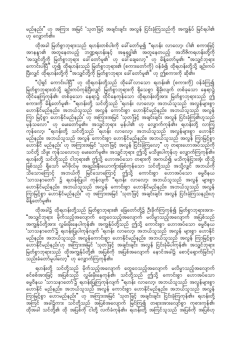မည်နည်း" ဟု အကြား အမြင် 'သုတ'ဖြင့် အချင်းချင်း အလွန် ငြင်းခုံကြသည်ကို အကျွန်ုပ် မြင်ရပါ၏ ဟု လျှောက်၏။

ထိုအခါ မြတ်စွာဘုရားသည် ရဟန်းတစ်ပါးကို ခေါ်တော်မူ၍ "ရဟန်း လာလော့၊ ငါ၏ စကားဖြင့် အာနန္ဒာ၏ အတူနေတပည့် ဘဏ္ဍရဟန်းနှင့် အနုရုဒ္ဓါ၏ အတူနေတပည့် အဘိဇိကရဟန်းတို့ကို 'အသျှင်တို့ကို မြတ်စွာဘုရား ခေါ်တော်မူ၏' ဟု ခေါ်ချေလော့" ဟု မိန့်တော်မူ၏၊ "အသျှင်ဘုရား<br>ကောင်းပါပြီ" ဟူ၍ ထိုရဟန်းသည် မြတ်စွာဘုရား၏ (စကားတော်ကို) ဝန်ခံ၍ ထိုရဟန်းတို့သို့ ချဉ်းကပ် ပြီးလျှင် ထိုရဟန်းတို့ကို "အသျှင်တို့ကို မြတ်စွာဘုရား ခေါ် တော်မူ၏" ဟု ဤစကားကို ဆို၏။

"ငါ့ရှင် ကောင်းပါပြီ" ဟု ထိုရဟန်းတို့သည် ထိုခေါ် လာသော ရဟန်း၏ (စကားကို) ဝန်ခံကြ၍<br>မြတ်စွာဘုရားထံသို့ ချဉ်းကပ်ကုန်ပြီးလျှင် မြတ်စွာဘုရားကို ရိုသေစွာ ရှိခိုးလျက် တစ်ခုသော နေရာ၌ ပ<br>ထိုင်နေကြကုန်၏၊ တစ်ခုသော နေရာ၌ ထိုင်နေကုန်သော ထိုရဟန်းတို့အား မြတ်စွာဘုရားသည် ဤ<br>စကားကို မိန့်တော်မူ၏- "ရဟန်းတို့ သင်တို့သည် 'ရဟန်း လာလော့၊ အဘယ်သူသည် အလွန်များစွာ ဟောနိုင်မည်နည်း၊ အဘယ်သူသည် အလွန် ကောင်းစွာ ဟောနိုင်မည်နည်း၊ အဘယ်သူသည် အလွန် ကြာ မြင့်စွာ ဟောနိုင်မည်နည်း ဟု အကြားအမြင် သုတ'ဖြင့် အချင်းချင်း အလွန် ငြင်းခုံကြ၏ဟူသည် ယ္ ပါလီ<br>မုန်သလော" ဟု မေးတော်မူ၏။ အသျှင်ဘုရား မှန်ပါ၏ ဟု လျှောက်ကုန်၏။ ရဟန်းတို့ လာကြ ာ<br>ကုန်လော့၊ "ရဟန်းတို့ သင်တို့သည် 'ရဟန်း လာလော့၊ အဘယ်သူသည် အလွန်များစွာ ဟောနိုင် မည်နည်း၊ အဘယ်သူသည် အလွန် ကောင်းစွာ ဟောနိုင်မည်နည်း၊ အဘယ်သူသည် အလွန် ကြာမြင့်စွာ တောနိုင် မည်နည်း' ဟု အကြားအမြင် 'သုတ'ဖြင့် အလွန် ငြင်းခုံကြလော့" ဟု တရားဟောအပ်သည်ကို သင်တို့ သိဖူး ကုန်သလောဟု မေးတော်မူ၏။ အသျှင်ဘုရား ဤသို့ မသိဖူးပါကုန်ဟု လျှောက်ကြကုန်၏။ ရဟန်းတို့ သင်တို့သည် ငါဘုရား၏ ဤသို့ ဟောအပ်သော တရားကို အကယ်၍ မသိကုန်ငြားအံ့၊ ထိုသို့ ဖြစ်သည် ရှိသော် မဂ်ဖိုလ်မှ အချည်းနှီးယောက်ျားဖြစ်ကုန်သော သင်တို့သည် အသို့လျှင် အဘယ်ကို ဟောနိုင်မည်နည်း၊ အဘယ်သူသည် အလွန် ကောင်းစွာ ဟောနိုင်မည်နည်း၊ အဘယ်သူသည် အလွန် မြန့်တော်မူ၏။

ထိုအခါ၌ ထိုရဟန်းတို့သည် မြတ်စွာဘုရား၏ ခြေတော်တို့၌ ဦးခိုက်ကြကုန်၍ မြတ်စွာဘုရားအား-<br>"အသျှင်ဘုရား မိုက်သည့်အလျောက် တွေဝေသည့်အလျောက် မလိမ္မာသည့်အလျောက် အပြစ်သည် အကျွန်ုပ်တို့အား လွှမ်းမိုးနေပါကုန်၏၊ အကျွန်ုပ်တို့သည် ဤသို့ ကောင်းစွာ ဟောအပ်သော ဓမ္မဝိနယ 'သာသနာတော်'၌ ရဟန်းပြုပါကုန်လျက် 'ရဟန်း လာလော့၊ အဘယ်သူသည် အလွန် များစွာ ဟောနိုင် မည်နည်း၊ အဘယ်သူသည် အလွန်ကောင်းစွာ ဟောနိုင်မည်နည်း၊ အဘယ်သူသည် အလွန် ကြာမြင့်စွာ မြတ်စွာဘုရားသည် ထိုအကျွန်ုပ်တို့၏ အပြစ်ကို အပြစ်အလျောက် နောင်အခါ၌ စောင့်ရှောက်ခြင်းငှါ ညည်းခံတော်မူပါလော့" ဟုိလျှောက်ကြကုန်၏။

ရဟန်းတို့ သင်တို့သည် မိုက်သည့်အလျောက် တွေဝေသည့်အလျောက် မလိမ္မာသည့်အလျောက်<br>စင်စစ်အားဖြင့် အပြစ်သည် လွှမ်းမိုးနေကုန်၏၊ သင်တို့သည် ဤသို့ ကောင်းစွာ ဟောအပ်သော ဓမ္မဝိနယ သာသနာတော်၌ ရဟန်းပြုကြကုန်လျက် "ရဟန်း လာလော့၊ အဘယ်သူသည် အလွန်များစွာ<br>ဟောနိုင် မည်နည်း၊ အဘယ်သူသည် အလွန် ကောင်းစွာ ဟောနိုင်မည်နည်း၊ အဘယ်သူသည် အလွန် ကြာမြင့်စွာ ဟောမည်နည်း" ဟု အကြားအမြင် 'သုတ'ဖြင့် အချင်းချင်း ငြင်းခုံကြကုန်၏။ ရဟန်းတို့ ယ ပ ပ <br>အကြင် အခါ၌ကား သင်တို့သည် အပြစ်အလျောက် မြင်ကြ၍ တရားအားလျော်စွာ ကုစားကုန်၏၊ ထိုအခါ သင်တို့၏ ထို အပြစ်ကို ငါတို့ လက်ခံကုန်၏။ ရဟန်းတို့ အကြင်သူသည် အပြစ်ကို အပြစ်ဟု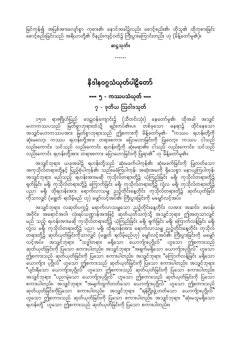မြင်ကုန်၍ အပြစ်အားလျော်စွာ ကုစား၏၊ နောင်အခါ၌လည်း စောင့်စည်း၏၊ ထိုသူ၏ ထိုကုစားခြင်း<br>စောင့်စည်းခြင်းသည် အရိယာတို့၏ ဝိနည်းကျင့်ဝတ်၌ ကြီးပွားကြောင်းတည်း ဟု (မိန့်တော်မူ၏)။

ဆဋ္ဌသုတ်။

# နိဒါနဝဂ္ဂသံယုတ်ပါဠိတော် === ၅ - ကဿပသံယုတ် === ၇ - ဒုတိယ ဩဝါဒသုတ်

၁၅၀။ ရာဇဂြိုဟ်ပြည် ဝေဠုဝန်ကျောင်း၌ (သီတင်းသုံး) နေတော်မူ၏၊ ထိုအခါ အသျှင် မဟာကဿပသည် မြတ်စွာဘုရားထံသို့ ချဉ်းကပ်၏။ပ။ တစ်ခုသော နေရာ၌ ထိုင်နေသော အသျှင်မဟာကဿပအား မြတ်စွာဘုရားသည် ဤစကားကို မိန့်တော်မူ၏- "ကဿပ ရဟန်းတို့ကို ဆုံးမဲလော့၊ ကဿပ ရဟန်းတို့အား တရားစကား ပြောဟောခြင်းကို ပြုလော့။ ကဿပ ငါသည် လည်းကောင်း၊ သင်သည် လည်းကောင်း ရဟန်းတို့ကို ဆုံးမရာ၏။ ငါသည် လည်းကောင်း၊ သင်သည် လည်းကောင်း ရဟန်းတို့အား တရားစကား ပြောဟောခြင်းကို ပြုရာ၏" ဟု မိန့်တော်မူ၏။

အသျှင်ဘုရား ယခုအခါ၌ ရဟန်းတို့သည် ဆုံးမခက်ပါကုန်၏၊ ဆုံးမခက်ခြင်းကို ပြုတတ်သော အကုသိုလ်တရားတို့နှင့် ပြည့်စုံပါကုန်၏၊ သည်းမခံကြပါကုန်၊ အဆုံးအမကို ရိုသေစွာ မနာယူကြပါကုန်၊ အသျှင်ဘုရား မည်သည့် ရဟန်းအားမဆို ကုသိုလ်တရားတို့၌ ယုံကြည်ခြင်း မရှိ ကုသိုလ်တရားတို့၌ ရှက်ခြင်း မရှိ၊ ကုသိုလ်တရားတို့၌ ကြောက်ခြင်း မရှိ၊ ကုသိုလ်တရားတို့၌ လုံ့လ မရှိ၊ ကုသိုလ်တရားတို့၌ ာ<br>ပညာ မရှိ၊ ထိုရဟန်းအား ရောက်လာသမျှ ညဉ့်တိုင်းနေ့တိုင်း ကုသိုလ်တရားတို့၌ ဆုတ်ယုတ်ခြင်း ကိုသာလျှင် (မချွတ် ရလိမ့်မည် ဟု) မျှော်လင့်အပ်၏၊ ကြီးပွားခြင်းကို မမျှော်လင့်အပ်။

အသျှင်ဘုရား လဆုတ်ပက္ခ၌ ရောက်လာသမျှသော ညဉ့်တိုင်းနေ့တိုင်း လအား အဆင်း၊ အဝန်း အဝိုင်း၊ အရောင်အဝါ၊ လုံးရပ်သဏ္ဌာန်အားဖြင့် ဆုတ်ယုတ်သကဲ့သို့ အသျှင်ဘုရား ဤအတူသာလျှင် မည် သည့် ရဟန်းအားမဆို ကုသိုလ်တရားတို့၌ ယုံကြည်ခြင်း မရှိ၊ ရှက်ခြင်း မရှိ၊ ကြောက်လန့်ခြင်း မရှိ၊ ု့ ၂ မို့ ၂ ပို့ ၂ ပို့ ၁ မို့ ၂ မို့ ၂ မို့ ၂ မို့ ၁ မို့ ၁ မို့ ၁ မို့ ၁ မို့ ၁ မို့ ၁ မို့ ၁ မို့ ၁ မို့ ၁<br>ပုံ့လ မရှိ၊ ကုသိုလ်တရားတို့၌ ပညာ မရှိ၊ ထိုရဟန်းအား ရောက်လာသမျှ ညဉ့်တိုင်းနေ့တိုင်း ကုသိုလ် တရားတို့၌ ဆုတ်ယုတ်ခြင်းကိုသာလျှင် (မချွတ် ရလိမ့်မည်ဟု) မျှော်လင့်အပ်၏၊ ကြီးပွားခြင်းကို မမျှော် လင့်အပ်။ အသျှင်ဘုရား "သဒ္ဓါတရား မရှိသော ယောက်ျားပုဂ္ဂိုလ်" ဟူသော ဤစကားသည် ဆုတ်ယုတ်ခြင်းကို ပြသော စကားပါတည်း၊ အသျှင်ဘုရား "အရှက်မရှိသော ယောကျ်ားပုဂ္ဂိုလ်" ဟူသော ဤစကားသည် ဆုတ်ယုတ်ခြင်းကို ပြသော စကားပါတည်း၊ အသျှင်ဘုရား "ကြောက်လန့်ခြင်း မရှိသော —<br>ယောက်ျား ပုဂ္ဂိုလ်" ဟူသော ဤစကားသည် ဆုတ်ယုတ်ခြင်းကို ပြသော စကားပါတည်း၊ အသျှင်ဘုရား "ပျင်းရှိသော ယောကျ်ားပုဂ္ဂိုလ်" ဟူသော ဤစကားသည် ဆုတ်ယုတ်ခြင်းကို ပြသော စကားပါတည်း၊ အသျှင်ဘုရား "ပညာမဲ့သော ယောကျ်ားပုဂ္ဂိုလ်" ဟူသော ဤစကားသည် ဆုတ်ယုတ်ခြင်းကို ပြသော စကားပါတည်း၊ အသျှင်ဘုရား "အမျက်ထွက်တတ်သော ယောကျ်ားပုဂ္ဂိုလ်" ဟူသော ဤစကားသည် ဆုတ်ယုတ်ခြင်းကိုပြသော စကားပါတည်း၊ အသျှင်ဘုရား "ရန်ငြိုးဖွဲ့တတ်သော ယောက်ျားပုဂ္ဂိုလ်" ဟူသော ဤစကားသည် ဆုတ်ယုတ်ခြင်းကို ပြသော စကားပါတည်း၊ အသျှင်ဘုရား "ဆုံးမသူမရှိသော ရဟန်းတို့" ဟူသော ဤစကားသည် ဆုတ်ယုတ်ခြင်းကို ပြသော စကားပါတည်း။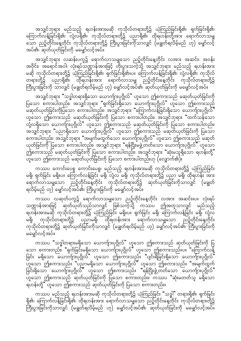အသျှင်ဘုရား မည်သည့် ရဟန်းအားမဆို ကုသိုလ်တရားတို့၌ ယုံကြည်ခြင်းရှိ၏၊ ရှက်ခြင်းရှိ၏၊ ကြောက်လန့်ခြင်းရှိ၏၊ လုံ့လရှိ၏၊ ကုသိုလ်တရားတို့၌ ပညာရှိ၏၊ ထိုရဟန်းတို့အား ရောက်လာသမျှ သော ညဉ့်တိုင်းနေ့တိုင်း ကုသိုလ်တရားတို့၌ ကြီးပွားခြင်းကိုသာလျှင် (မချွတ်ရလိမ့်မည် ဟု) မျှော်လင့် အပ်၏၊ ဆုတ်ယုတ်ခြင်းကို မမျှော်လင့်အပ်။

အသျှင်ဘုရား လဆန်းပက္ခ၌ ရောက်လာသမျှသော ညဉ့်တိုင်းနေ့တိုင်း လအား အဆင်း၊ အဝန်း အဝိုင်း၊ အရောင်အဝါ၊ လုံးရပ်သဏ္ဌာန်အားဖြင့် တိုးပွားသကဲ့သို့ အသျှင်ဘုရား မည်သည့် ရဟန်းအား မဆို ကုသိုလ်တရားတို့၌ ယုံကြည်ခြင်းရှိ၏၊ ရှက်ခြင်းရှိ၏။ပ။ ကြောက်လန့်ခြင်းရှိ၏၊ လုံ့လရှိ၏၊ ကုသိုလ် w@sp:တို့၌ ပညာရှိ၏ ထိုရဟန်းအား ရောက်လာသမျှ ညဉ့်တိုင်းနေ့တိုင်း ကုသိုလ်တရားတို့၌ ကြီးပွားခြင်းကို သာလျှင် (မချွတ်ရလိမ့်မည် ဟု) မျှော်လင့်အပ်၏၊ ဆုတ်ယုတ်ခြင်းကို မမျှော်လင့်အပ်။

အသျှင်ဘုရား "သဒ္ဓါတရားရှိသော ယောက်ျားပုဂ္ဂိုလ်" ဟူသော ဤစကားသည် မဆုတ်ယုတ်ခြင်းကို ပြသော စကားပါတည်း၊ အသျှင်ဘုရား "ရှက်ခြင်းရှိမိသာ ယောက်ျားပုဂ္ဂိုလ်" ဟူသော ဤစကားသည် ာ<br>မဆုတ်ယုတ်ခြင်းကိုပြသော စကားပါတည်း၊ အသျှင်ဘုရား "ကြောက်လန့်ခြင်းရှိသော ယောက်ျားပုဂ္ဂိုလ်" ဟူသော ဤစကားသည် မဆုတ်ယုတ်ခြင်းကို ပြသော စကားပါတည်း၊ အသျှင်ဘုရား "ထက်သန်မိသာ လုံ့လရှိသော ယောက်ျားပုဂ္ဂိုလ်" ဟူသော ဤစကားသည် မဆုတ်ယုတ်ခြင်းကို ပြသော စကားပါတည်း၊ .<br>အသျှင်ဘုရား "ပညာရှိသော ယောက်ျားပုဂ္ဂိုလ်" ဟူသော ဤစကားသည် မဆုတ်ယုတ်ခြင်းကို ပြသော စကားပါတည်း၊ အသျှင်ဘုရား "အမျက်မထွက်သော ယောကျ်ားပုဂ္ဂိုလ်" ဟူသော ဤစကားသည် မဆုတ် ယုတ်ခြင်းကို ပြသော စကားပါတည်း၊ အသျှင်ဘုရား "ရန်ငြိုးမဖွဲ့တတ်သော ယောက်ျားပုဂ္ဂိုလ်" ဟူသော ဤစကားသည် မဆုတ်ယုတ်ခြင်းကို ပြသော စကားပါတည်း၊ အသျှင်ဘုရား "ဆုံးမသူရှိသော ရဟန်းတို့" —.<br>ဟူသော ဤစကားသည် မဆုတ်ယုတ်ခြင်းကို ပြသော စကားပါတည်းဟု (လျှောက်၏)။

ကဿပ ကောင်းပေစွ ကောင်းပေစွ၊ မည်သည့် ရဟန်းအားမဆို ကုသိုလ်တရားတို့၌ ယုံကြည်ခြင်း မရှိ၊ ရှက်ခြင်း မရှိ။ပ။ ကြောက်လန့်ခြင်း မရှိ၊ လုံ့လ မရှိ၊ ကုသိုလ်တရားတို့၌ ပညာ မရှိ၊ ထိုရဟန်း အား a&mufvmorQaom nOfhwkdif;aeYwkdif; ukokdvfw&m;wdkYü qkwf,kwfjcif;ukdomvQif (rcRwf ရလိမ့်မည် ဟု) မျှော်လင့်အပ်၏၊ ကြီးပွားခြင်းကို မမျှော်လင့်အပ်။

ကဿပ လဆုတ်ပက္ခ၌ ရောက်လာသမျှသော ညဉ့်တိုင်းနေ့တိုင်း လအား အဆင်း။ပ။ လုံးရပ် သဏ္ဌာန်အားဖြင့် ဆုတ်ယုတ်သည်သာလျှင် ဖြစ်သကဲ့သို့ ကဿပ ဤအတူသာလျှင် မည်သည့် ရဟန်းအားမဆို ကုသိုလ်တရားတို့၌ ယုံကြည်ခြင်း မရှိ။ပ။ ရှက်ခြင်း မရှိ၊ ကြောက်လန့်ခြင်း မရှိ၊ လုံ့လ မရှိ၊ ကုသိုလ်တရားတို့၌ ပညာမရှိ၊ ထိုရဟန်းအား ရောက်လာသမျှသော ညဉ့်တိုင်းနေ့တိုင်း က္သြယ်တရားတို့၌ ဆုတ်ယုတ်ခြင်းကိုသာလျှင် (မချွတ်ရလိမ့်မည် ဟု) မျှော်လင့်အပ်၏၊ ကြီးပွားခြင်းကို မမှော်လင့်အပ်။

ကဿပ "သဒ္ဓါတရားမရှိသော ယောက်ျားပုဂ္ဂိုလ်" ဟူသော ဤစကားသည် ဆုတ်ယုတ်ခြင်းကို ပြ သော စကားတည်း၊ "ရှက်ခြင်းမရှိသော ယောက်ျားပုဂ္ဂိုလ်" ဟူသော ဤစကားသည်။ပ။ "ကြောက်လန့် ခြင်း မရှိသော ယောက်ျားပုဂ္ဂိုလ်ဲ" ဟူသော ဤစကားသည်။ "ပျင်းရိခြင်းရှိသော ယောက်ျားပုဂ္ဂိုလ်" ြ<br>ဟူသော ဤစကားသည်။ "ပညာမရှိသော ယောက်ျားပုဂ္ဂိုလ်" ဟူသော ဤစကားသည်။ "အမျက်ထွက် ြင်းရှိသော ယောက်ျားပုဂ္ဂိုလ<sup>္ဂိ</sup> ဟူသော ဤစကားသည်။ "ရန်ငြိုးဖွဲ့တတ်သော ယောက်ျားပုဂ္ဂိုလ်"<br>ခြင်းရှိသော ယောက်ျားပုဂ္ဂိုလ<sup>ို</sup> ဟူသော ဤစကားသည်။ "ရန်ငြိုးဖွဲ့တတ်သော ယောက်ျားပုဂ္ဂိုလ်" |<br>|ဟူသော ဤစကားသည် ဆုတ်ယုတ်ခြင်းကို ပြသော စကားတည်း။ ကဿပ "ဆုံးမတတ်သူ မရှိသော <sup>ြ</sup>လန်းတို့" ဟူသော ဤစကားသည် ဆုတ်ယုတ်ခြင်းကို ပြသော စကားတည်း။

ကဿပ မည်သည့် ရဟန်းအားမဆို ကုသိုလ်တရားတို့၌ ယုံကြည်ခြင်း "သဒ္ဓါ" တရားရှိ၏၊ ရှက်ခြင်း ရှိ၏၊ ကြောက်လန့်ခြင်းရှိ၏၊ ထိုရဟန်းအား ရောက်လာသမျှသော ညဉ့်တိုင်းနေ့တိုင်း ကုသိုလ်တရားတို့၌ ား<br>ကြီးပွားခြင်းကိုသာလျှင် (မချွတ်ရလိမ့်မည် ဟု) မျှော်လင့်အပ်၏၊ ဆုတ်ယုတ်ခြင်းကို မမျှော်လင့်အပ်။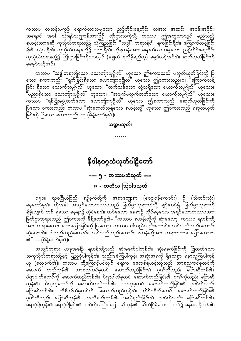ကဿပ လဆန်းပက္ခ၌ ရောက်လာသမျှသော ညဉ့်တိုင်းနေ့တိုင်း လအား အဆင်း၊ အဝန်းအဝိုင်း၊ အရောင် အဝါ၊ လုံးရပ်သဏ္ဌာန်အားဖြင့် တိုးပွားသကဲ့သို့ ကဿပ ဤအတူသာလျှင် မည်သည့် ရဟန်းအားမဆို ကုသိုလ်တရားတို့၌ ယုံကြည်ခြင်း "သဒ္ဓါ" တရားရှိ၏၊ ရှက်ခြင်းရှိ၏၊ ကြောက်လန့်ခြင်း<br>ရှိ၏၊ လုံ့လရှိ၏၊ ကုသိုလ်တရားတို့၌ ပညာရှိ၏၊ ထိုရဟန်းအား ရောက်လာသမျှသော ညဉ့်တိုင်းနေ့တိုင်း ကုသိုလ်တရားတို့၌ ကြီးပွားခြင်းကိုသာလျှင် (မချွတ် ရလိမ့်မည်ဟု) မျှော်လင့်အပ်၏၊ ဆုတ်ယုတ်ခြင်းကို မမှော်လင့်အပ်။

ကဿပ "သဒ္ဓါတရားရှိသော ယောက်ျားပုဂ္ဂိုလ်" ဟူသော ဤစကားသည် မဆုတ်ယုတ်ခြင်းကို ပြ သော စကားတည်း၊ "ရှက်ခြင်းရှိသော ယောက်ျားပုဂ္ဂိုလ်" ဟူသော ဤစကားသည်။ပ။ "ကြောက်လန့် ာသည္။ အသင္းသည္။ ၂၀၁၂ - ၁၀၀၉-၁၀၀၉-၁၀၀၉-၁၀<br>၂၁၉-၂၀၁၁ - အေလာက်ျားပုဂ္ဂိုလ် ဟူသော။ "ထက်သန်သော လုံ့လရှိသော ယောက်ျားပုဂ္ဂိုလ်" ဟူသော။<br>ပညာရှိသော ယောက်ျားပုဂ္ဂိုလ်" ဟူသော။ "အမျက်မထွက်တတ်သော ယောက်ျားပုဂ္ဂိုလ်" ဟူသော။ ကဿပ "ရန်ငြိုးမဖွဲ့တတ်သော ယောက်ျားပုဂ္ဂိုလ်" ဟူသော ဤစကားသည် မဆုတ်ယုတ်ခြင်းကို ပြသော စကားတည်း၊ ကဿပ "ဆုံးမတတ်သူရှိသော ရဟန်းတို့" ဟူသော ဤစကားသည် မဆုတ်ယုတ် ခြင်းကို ပြသော စကားတည်း ဟု (မိန့်တော်မူ၏)။

သတ္တမသုတ်။

နိဒါနဝဂ္ဂသံယုတ်ပါဠိတော်

=== ၅ - ကဿပသံယုတ် === ၈ - တတိယ ဩဝါဒသုတ်

၁၅၁။ ရာဇဂြိုဟ်ပြည် ရှဉ့်နက်တို့ကို အစာကျွေးရာ (ဝေဠုဝန်ကျောင်း) ၌ (သီတင်းသုံး)<br>နေတော်မူ၏၊ ထိုအခါ အသျှင်မဟာကဿပသည် မြတ်စွာဘုရားထံသို့ ချဉ်းကပ်၍ မြတ်စွာဘုရားကို ရှိခိုးလျက် တစ် ခုသော နေရာ၌ ထိုင်နေ၏၊ တစ်ခုသော နေရာ၌ ထိုင်နေသော အရှင်မဟာကဿပအား -<br>အား တရားစကား ဟောပြောခြင်းကို ပြုလော့။ ကဿပ ငါသည်လည်းကောင်း၊ သင်သည်လည်းကောင်း ဆုံးမရာ၏။ ငါသည်လည်းကောင်း၊ သင်သည်လည်းကောင်း ရဟန်းတို့အား တရားစကား ပြောဟောရာ ၏" ဟု (မိန့်တော်မူ၏)။

အသျှင်ဘုရား ယခုအခါ၌ ရဟန်းတို့သည် ဆုံးမခက်ပါကုန်၏၊ ဆုံးမခက်ခြင်းကို ပြုတတ်သော အကုသိုလ်ိတရားတို့နှင့် ပြည့်စုံပါကုန်၏၊ သည်းမခံကြပါကုန်၊ အဆုံးအမကို ရိုသေစွာ မနာယူကြပါကုန် ဟု (လျှောက်၏)၊ ကဿပ ထို့ကြောင့်ပင်လျှင် ရှေးက မထေရ်ရဟန်းတို့သည် အာရညကင်ဓုတင်ကို ဆောက် တည်ကုန်၏၊ အာရညကင်ဓုတင် ဆောက်တည်ခြင်း၏ ဂုဏ်ကိုလည်း ပြောဆိုကုန်၏။ ပိဏ္ဍပါတ်ဓုတင်ကို ဆောက်တည်ကုန်၏၊ ပိဏ္ဍပါတ်ဓုတင် ဆောက်တည်ခြင်း၏ ဂုဏ်ကိုလည်း ပြောဆို ကုန်၏။ ပံသုကူဓုတင်ကို ဆောက်တည်ကုန်၏၊ ပံသုကူဓုတင် ဆောက်တည်ခြင်း၏ ဂုဏ်ကိုလည်း ပြောဆိုကုန်၏။ တိစီဝရိက်ဓုတင်ကို ဆောက်တည်ကုန်၏၊ တိစီဝရိက်ဓုတင် ဆောက်တည်ခြင်း၏ ုက်ကိုလည်း ပြောဆိုကုန်၏။ အလိုနည်းကုန်၏၊ အလိုနည်းခြင်း၏ ဂုဏ်ကိုလည်း ပြောဆိုကုန်၏။ .<br>ရောင့်ရဲကုန်၏၊ ရောင့်ရဲခြင်း၏ ဂုဏ်ကိုလည်း ပြော ဆိုကုန်၏။ ဆိတ်ငြိမ်သော အရပ်၌ နေလေ့ရှိကုန်၏၊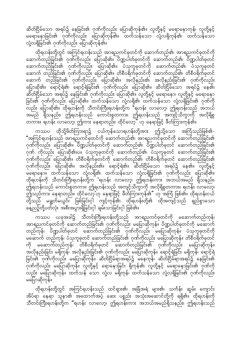ဆိတ်ငြိမ်သော အရပ်၌ နေခြင်း၏ ဂုဏ်ကိုလည်း ပြောဆိုကုန်၏။ လူတို့နှင့် မရောနှောကုန်၊ လူတို့နှင့် မရောနှောခြင်း၏ ဂုဏ်ကိုလည်း ပြောဆိုကုန်၏။ ထက်သန်သော လှုံ့လရှိကုန်၏၊ ထက်သန်သော လုံ့လရှိခြင်း၏ ဂုဏ်ကိုလည်း ပြောဆိုကုန်၏။

ထိုရဟန်းတို့တွင် အကြင်ရဟန်းသည် အာရညကင်ဓုတင်ကို ဆောက်တည်၏၊ အာရညကင်ဓုတင်ကို ဆောက်တည်ခြင်း၏ ဂုဏ်ကိုလည်း ပြောဆို၏။ ပိဏ္ဍပါတ်ဓုတင်ကို ဆောက်တည်၏၊ ပိဏ္ဍပါတ်ဓုတင် ဆောက်တည်ခြင်း၏ ဂုဏ်ကိုလည်း ပြောဆို၏။ ပံံသုကူဓုတင်ကို ဆောက်တည်၏၊ ပံံသုကူဓုတင် ဆောက် တည်ခြင်း၏ ဂုဏ်ကိုလည်း ပြောဆို၏။ တိစီဝရိက်ဓုတင်ကို ဆောက်တည်၏၊ တိစီဝရိက်ဓုတင် ဆောက် တည်ခြင်း၏ ဂုဏ်ကိုလည်း ပြောဆို၏။ အလိုနည်း၏၊ အလိုနည်းခြင်း၏ ဂုဏ်ကိုလည်း ပြောဆို၏။ ရောင့်ရဲ၏၊ ရောင့်ရဲခြင်း၏ ဂုဏ်ကိုလည်း ပြောဆို၏။ ဆိတ်ငြိမ်သော အရပ်၌ နေ၏၊ ဆိတ်ငြိမ်သော အရပ်၌ နေခြင်း၏ ဂုဏ်ကိုလည်း ပြောဆို၏။ လူတို့နှင့် မရောနှော၊ လူတို့နှင့် မရောနော ခြင်း၏ ဂုဏ်ကိုလည်း ပြောဆို၏။ ထက်သန်သော လုံ့လရှိ၏၊ ထက်သန်သော လုံ့လရှိခြင်း၏ ဂုဏ်ကို လည်း ပြောဆို၏။ ထိုရဟန်းကို သီတင်းကြီးရဟန်းတို့က "ရဟန်း လာလော့၊ ဤရဟန်းသည် အဘယ် အမည် ရှိသနည်း၊ ဤရဟန်းသည် ကောင်းစွတကား၊ ဤရဟန်းသည် အကျင့်သိက္ခာကို အလိုရှိစွ တကား။ ရဟန်း လာလော့၊ ဤကား နေရာတည်း၊ ထိုင်လော့" ဟု နေရာဖြင့် ဖိတ်ကြားကုန်၏။

ကဿပ ထိုသို့ဖိတ်ကြားရာ၌ ငယ်ကုန်သောရဟန်းတို့အား ဤသို့သော အကြံသည်ဖြစ်၏-"အကြင်ရဟန်းသည် အာရညကင်ဓုတင်ကို ဆောက်တည်၏၊ အာရညကင်ဓုတင်ကို ဆောက်တည်ခြင်း၏ ဂုဏ်ကိုလည်း ပြောဆို၏။ ပိဏ္ဍပါတ်ဓုတင်ကို ဆောက်တည်၏၊ ပိဏ္ဍပါတ်ဓုတင် ဆောက်တည်ခြင်း၏ ုက် ကိုလည်း ပြောဆို၏။ပ။ ပံသုကူဓုတင်ကို ဆောက်တည်၏၊ ပံသုကူဓုတင် ဆောက်တည်ခြင်း၏ ငှဏ်ကိုလည်း ပြောဆို၏။ တိစီဝရိက်ဓုတင်ကို ဆောက်တည်၏၊ တိစီဝရိက်ဓုတင် ဆောက်တည်ခြင်း၏ ဂုဏ်ကိုလည်း ပြောဆို၏။ အလိုနည်း၏။ ရောင့်ရဲ၏။ ဆိတ်ငြိမ်သော အရပ်၌ နေ၏။ လူတို့နှင့် ာ<br>မရောနှော။ ထက်သန်သော လုံ့လရှိ၏၊ ထက်သန်သော လုံ့လရှိခြင်း၏ ဂုဏ်ကိုလည်း ပြောဆို၏။ ထိုရဟန်းကို သီတင်းကြီးရဟန်းတို့က 'ရဟန်း လာလော့၊ ဤရဟန်းကား အဘယ်အမည် ရှိသနည်း၊ ဤရဟန်းသည် ကောင်းစွတကား၊ ဤရဟန်းသည် အကျင့်သိက္ခာကို အလိုရှိစွတကား။ ရဟန်း လာလော့၊ ဤသည်ကား နေရာတည်း၊ ထိုင်လော့'ဟု နေရာဖြင့် ဖိတ်ကြားကုန်၏" ဟု အကြံ ဖြစ်၏။ ထိုရဟန်းငယ် တို့သည် မချွတ်မယွင်း ဖြစ်ခြင်းငှါ ကျင့်ကုန်၏၊ ထိုရဟန်းတို့၏ ထိုအကျင့်သည် ရှည်စွာသော နေ့ညဉ့်တို့ပတ်လုံး အစီးအပွားရှိခြင်းငှါ ချမ်းသာခြင်းငှါ ဖြစ်၏။

ကဿပ ယခုအခါ၌ သီတင်းကြီးရဟန်းတို့သည် အာရညကင်ဓုတင်ကို မဆောက်တည်ကုန်၊ အာရညကင်ဓုတင်ကို ဆောက်တည်ခြင်း၏ ဂုဏ်ကိုလည်း မပြောဆိုကုန်။ ပိဏ္ဍပါတ်ဓုတင်ကို မဆောက် တည်ကုန်၊ ပိဏ္ဍပါတ်ဓုတင် ဆောက်တည်ခြင်း၏ ဂုဏ်ကိုလည်း မပြောဆိုကုန်။ ပံသုကူဓုတင်ကို မဆောက် တည်ကုန်၊ ပံသုကူဓုတင် ဆောက်တည်ခြင်း၏ ဂုဏ်ကိုလည်း မပြောဆိုကုန်။ တိစီဝရိက်ဓုတင် ကို မဆောက်တည်ကုန်၊ တိစီဝရိက်ဓုတင် ဆောက်တည်ခြင်း၏ ဂုဏ်ကိုလည်း မပြောဆိုကုန်။ အလိုနည်းခြင်း မရှိကုန်၊ အလိုနည်းခြင်း၏ ဂုဏ်ကိုလည်း မပြောဆိုကုန်။ ရောင့်ရဲခြင်း မရှိကုန်၊ ရောင့်ရဲ ခြင်း၏ ဂုဏ်ကိုလည်း မပြောဆိုကုန်။ ဆိတ်ငြိမ်ရာအရပ်၌ မနေကုန်၊ ဆိတ်ငြိမ်ရာအရပ်၌ နေခြင်း၏ .<br>ဂုဏ်ကိုလည်း မပြောဆိုကုန်။ လူတို့နှင့် ရောနှောခြင်း ရှိကုန်၏၊ လူတို့နှင့် မရောနှောခြင်း၏ ဂုဏ်ကို လည်း မပြောဆိုကုန်။ ထက်သန် သော လုံ့လ မရှိကုန်၊ ထက်သန်သော လုံ့လရှိခြင်း၏ ဂုဏ်ကိုလည်း မပြောဆိုကုန်။

ထိုရဟန်းတို့တွင် အကြင်ရဟန်းသည် ထင်ရှား၏၊ အခြံအရံ များ၏၊ သင်္ကန်း ဆွမ်း ကျောင်း အိပ်ရာ နေရာ သူနာ၏ အထောက်အပံ့ ဆေး ပစ္စည်း အသုံးအဆောင်တို့ကို ရရှိ၏။ ထိုရဟန်းကို သီတင်းကြီးရဟန်းတို့က "ရဟန်း လာလော့၊ ဤရဟန်းကား အဘယ်အမည်ရှိသနည်း၊ ဤရဟန်းသည်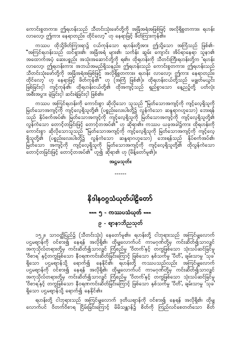ကောင်းစွတကား၊ ဤရဟန်းသည် သီတင်းသုံးဖော်တို့ကို အခြံအရံအဖြစ်ဖြင့် အလိုရှိစွတကား။ ရဟန်း လာလော့၊ ဤကား နေရာတည်း၊ ထိုင်လော့" ဟု နေရာဖြင့် ဖိတ်ကြားကုန်၏။

ကဿပ ထိုသို့ဖိတ်ကြားရာ၌ ငယ်ကုန်သော ရဟန်းတို့အား ဤသို့သော အကြံသည် ဖြစ်၏-"အကြင်ရဟန်းသည် ထင်ရှား၏၊ အခြံအရံ များ၏၊ သင်္ကန်း ဆွမ်း ကျောင်း အိပ်ရာနေရာ သူနာ၏ အထောက်အပံ့ ဆေးပစ္စည်း အသုံးအဆောင်တို့ကို ရ၏။ ထိုရဟန်းကို သီတင်းကြီးရဟန်းတို့က 'ရဟန်း လာလော့၊ ဤရဟန်းကား အဘယ်အမည်ရှိသနည်း၊ ဤရဟန်းသည် ကောင်းစွတကား၊ ဤရဟန်းသည်<br>သီတင်းသုံးဖော်တို့ကို အခြံအရံအဖြစ်ဖြင့် အလိုရှိစွတကား။ ရဟန်း လာလော့၊ ဤကား နေရာတည်း၊<br>ထိုင်လော့' ဟု နေရာဖြင့် ဖိတ်ကုန်၏" ဟု (အကြံ ဖြစ်၏)။ ထိုရဟန်းငယ်တို့ ဖြစ်ခြင်းငှါ ကျင့်ကုန်၏၊ ထိုရဟန်းငယ်တို့၏ ထိုအကျင့်သည် ရှည်စွာသော နေ့ညဉ့်တို့ ပတ်လုံး အစီးအပွား မဲ့ခြင်းငှါ ဆင်းရဲခြင်းငှါ ဖြစ်၏။

ကဿပ အကြင်ရဟန်းကို ကောင်းစွာ ဆိုလိုသော သူသည် "မြတ်သောအကျင့်ကို ကျင့်လေ့ရှိသူကို မြတ်သောအကျင့်ကို ကျင့်လေ့ရှိသူတို့၏ (ပစ္စည်းလေးပါးတို့၌ လွန်ကဲသော ဆန္ဒရာဂဟူသော) ဘေးရန် .<br>သည် နှိပ်စက်အပ်၏၊ မြတ်သောအကျင့်ကို ကျင့်လေ့ရှိသူကို မြတ်သောအကျင့်ကို ကျင့်လေ့ရှိသူတို့၏ လွန်ကဲသော တောင့်တခြင်းဖြင့် တောင့်တအပ်၏" ဟု ဆိုရာ၏။ ကဿပ ယခုအခါ၌ကား ထိုရဟန်းကို ကောင်းစွာ ဆိုလိုသောသူသည် "မြတ်သောအကျင့်ကို ကျင့်လေ့ရှိသူကို မြတ်သောအကျင့်ကို ကျင့်လေ့ ရှိသူတို့၏ (ပစ္စည်းလေးပါးတို့၌ လွန်ကဲသော ဆန္ဒရာဂဟူသော) ဘေးရန်သည် နှိပ်စက်အပ်၏၊ မြတ်သော အကျင့်ကို ကျင့်လေ့ရှိသူကို မြတ်သောအကျင့်ကို ကျင့်လေ့ရှိသူတို့၏ ထိုလွန်ကဲသော ပ<br>တောင့်တခြင်းဖြင့် တောင့်တအပ်၏" ဟူ၍ ဆိုရာ၏ ဟု (မိန့်တော်မူ၏)။

အဋ္ဌမသုတ်။

နိဒါနဝဂွသံယုတ်ပါဠိတော် === ၅ - ကဿပသံယုတ် === ၉ - ဈာနာဘိညသုတ်

၁၅၂။ သာဝတ္ထိပြည်၌ (သီတင်းသုံး) နေတော်မူ၏။ ရဟန်းတို့ ငါဘုရားသည် အကြင်မျှလောက် ပဌမဈာန်ကို ဝင်စား၍ နေရန် အလိုရှိ၏၊ ထိုမျှလောက်ပင် ကာမဂုဏ်တို့မှ ကင်းဆိတ်၍သာလျှင် အကုသိုလ်တရားတို့မှ<sup>ိ</sup>ကင်းဆိတ်၍သာလျှင် ကြံစည်မှု 'ဝိတက်'နှင့် တကွဖြစ်သော သုံးသပ်ဆင်ခြင်မှု ံဝိစာရ'် နှင့်တကွဖြစ်သော နီဝရဏကင်းဆိတ်ခြင်းကြောင့် ဖြစ်သော နှစ်သက်မှု 'ပီတိ', ချမ်းသာမှု 'သုခ' ရှိသော ပဌမဈာန်သို့ ရောက်၍ နေနိုင်၏၊ ရဟန်းတို့ ကဿပသည်လည်း အကြင်မျှလောက် ာ<br>ပဌမဈာန်ကို ဝင်စား၍ နေရန် အလိုရှိ၏၊ ထိုမျှလောက်ပင် ကာမဂုဏ်တို့မှ ကင်းဆိတ်၍သာလျှင် အကုသိုလ်တရားတို့မှ ကင်းဆိတ်၍သာလျှင် ကြံစည်မှု 'ဝိတက်'နှင့် တကွဖြစ်သော သုံးသပ်ဆင်ခြင်မှု 'ဝိစာရန်င့် တကွဖြစ်သော နီဝရဏကင်းဆိတ်ခြင်းကြောင့် ဖြစ်သော နှစ်သက်မှု 'ပီတိ', ချမ်းသာမှု 'သုခ' ရှိသော ပဌမဈာန်သို့ ရောက်၍ နေနိုင်၏။

ရဟန်းတို့ ငါဘုရားသည် အကြင်မျှလောက် ဒုတိယဈာန်ကို ဝင်စား၍ နေရန် အလိုရှိ၏၊ ထိုမျှ<br>လောက်ပင် ဝိတက်ဝိစာရ ငြိမ်းခြင်းကြောင့် မိမိသန္တာန်၌ စိတ်ကို ကြည်လင်စေတတ်သော စိတ်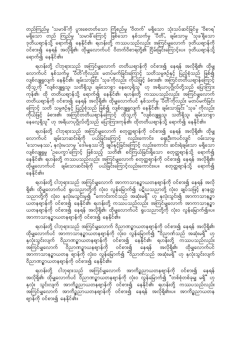တည်ကြည်မှု 'သမာဓိ'ကို ပွားစေတတ်သော ကြံစည်မှု 'ဝိတက်' မရှိသော သုံးသပ်ဆင်ခြင်မှု 'ဝိစာရ' မရှိသော တည် ကြည်မှု `သမာဓိ'ကြောင့် ဖြစ်သော နှစ်သက်မှု `´ပီတိ', ချမ်းသာမှု `သုခ'ရှိသော ဒုတိယဈာန်သို့ ရောက်၍ နေနိုင်၏၊ ရဟန်းတို့ ကဿပသည်လည်း အကြင်မျှလောက် ဒုတိယဈာန်ကို .<br>ဝင်စား၍ နေရန် အလိုရှိ၏၊ ထိုမျှလောက်ပင် ဝိတက်ဝိစာရတို့၏ ငြိမ်းခြင်းကြောင့်။ပ။ ဒုတိယဈာန်သို့ ရောက်၍ နေနိုင်၏။

ရဟန်းတို့ ငါဘုရားသည် အကြင်မျှလောက် တတိယဈာန်ကို ဝင်စား၍ နေရန် အလိုရှိ၏၊ ထိုမျှ လောက်ပင် နှစ်သက်မှု 'ပီတိ'ကိုလည်း မတပ်မက်ခြင်းကြောင့် သတိသမ္ပဇဉ်နှင့် ပြည့်စုံသည် ဖြစ်၍ လျစ်လျူရှုလျက် နေနိုင်၏၊ ချမ်းသာခြင်း 'သုခ'ကိုလည်း ကိုယ်ဖြင့် ခံစား၏၊ အကြင်တတိယဈာန်ကြောင့်<br>ထိုသူ့ကို "လျစ်လျူရှုသူ၊ သတိရှိသူ၊ ချမ်းသာစွာ နေလေ့ရှိသူ" ဟု အရိယာပုဂ္ဂိုလ်တို့သည် ပြောကြား ကုန်၏၊ ထို တတိယဈာန်သို့ ရောက်၍ နေနိုင်၏၊ ရဟန်းတို့ ကဿပသည်လည်း အကြင်မျှလောက် တတိယဈာန်ကို ဝင်စား၍ နေရန် အလိုရှိ၏၊ ထိုမျှလောက်ပင် နှစ်သက်မှု 'ပီတိ'ကိုလည်း မတပ်မက်ခြင်း ကြောင့် သတိ သမ္ပဇဉ်နှင့် ပြည့်စုံသည် ဖြစ်၍ လျစ်လျူရှုလျက် နေနိုင်၏၊ ချမ်းသာခြင်း 'သုခ' ကိုလည်း ကိုယ်ဖြင့် ခံစား၏၊ အကြင်တတိယဈာန်ကြောင့် ထိုသူ့ကို "လျစ်လျူရှုသူ၊ သတိရှိသူ၊ ချမ်းသာစွာ နေလေ့ရှိသူ" ဟု အရိယာပုဂ္ဂိုလ်တို့သည် ပြောကြားကုန်၏၊ ထိုတတိယဈာန်သို့ ရောက်၍ နေနိုင်၏။

ရဟန်းတို့ ငါဘုရားသည် အကြင်မျှလောက် စတုတ္ထဈာန်ကို ဝင်စား၍ နေရန် အလိုရှိ၏၊ ထိုမျှ လောက်ပင် ချမ်းသာဆင်းရဲကို ပယ်ခြင်းကြောင့် လည်းကောင်း၊ ရှေးဦးကပင်လျှင် ဝမ်းသာမှု 'သောမနဿ', နှလုံးမသာမှု 'ဒေါမနဿ'တို့ ချုပ်နှင့်ခြင်းကြောင့် လည်းကောင်း ဆင်းရဲချမ်းသာ မရှိသော လျစ်လျူရှုမှု 'ဉပေက္ခာ'ကြောင့် ဖြစ်သည့် သတိ၏ စင်ကြယ်ခြင်းရှိသော စတုတ္ထဈာန်သို့ ရောက်၍ နေနိုင်၏၊ ရဟန်းတို့ ကဿပသည်လည်း အကြင်မျှလောက် စတုတ္ထဈာန်ကို ဝင်စား၍ နေရန် အလိုရှိ၏၊ ထိုမျှလောက်ပင် ချမ်းသာဆင်းရဲကို ပယ်ခြင်းကြောင့်လည်းကောင်း။ပ။ စတုတ္တဈာန်သို့ ရောက်၍ နေနိုင်၏။

ရဟန်းတို့ ငါဘုရားသည် အကြင်မျှလောက် အာကာသာနဉ္စာယတနဈာန်ကို ဝင်စား၍ နေရန် အလို ရှိ၏၊ ထိုမျှလောက်ပင် ရူပသညာတို့ကို လုံးဝ လွန်မြောက်၍ ပဋိဃသညာတို့ လုံးဝ ချုပ်သဖြင့် နာနတ္တ ာ<br>သညာတို့ကို လုံးဝ နှလုံးမသွင်းမူ၍ "ကောင်းကင်သည် အဆုံးမရှိ" ဟု နှလုံးသွင်း၍ အာကာသာနဉ္စာ ယတနဈာန်ကို ဝင်စား၍ နေနိုင်၏၊ ရဟန်းတို့ ကဿပသည်လည်း အကြင်မျှလောက် အာကာသာနဉ္စာ ယတနဈာန်ကို ဝင်စား၍ နေရန် အလိုရှိ၏၊ ထိုမျှလောက်ပင် ရူပသညာတို့ကို လုံးဝ လွန်မြောက်၍။ပ။ .<br>အာကာသာနဥ္စာယတနဈာန်ကို ဝင်စား၍ နေနိုင်၏။

ရဟန်းတို့ ငါဘုရားသည် အကြင်မျှလောက် ဝိညာဏဉ္စာယတနဈာန်ကို ဝင်စား၍ နေရန် အလိုရှိ၏၊ ထိုမျှလောက်ပင် အာကာသာနဥ္စာယတနဈာန်ကို လုံးဝ လွန်မြောက်၍ "ဝိညာဏ်သည် အဆုံးမရှိ" ဟု ု "<br>နှလုံးသွင်းလျက် ဝိညာဏဉ္စာယတနဈာန်ကို ဝင်စား၍ နေနိုင်၏၊ ရဟန်းတို့ ကဿပသည်လည်း -<br>အကြင်မျှလောက် ဝိညာဏဉ္စာယနဈာန်ကို ဝင်စား၍ နေရန် အလိုရှိ၏၊ ထိုမျှလောက်ပင် ဝိညာဏဉ္စာယတနဈာန်ကို ဝင်စား၍ နေနိုင်၏။

ရဟန်းတို့ ငါဘုရားသည် အကြင်မျှလောက် အာကိဥ္စညာယတနဈာန်ကို ဝင်စား၍ နေရန် အလိုရှိ၏၊ ထိုမျှလောက်ပင် ဝိညာဏဉ္စာယတနဈာန်ကို လုံးဝ လွန်မြောက်၍ "တစ်စုံတစ်ခုမျှ မရှိ" ဟု နှလုံး သွင်းလျက် အာကိဥ္စညာယတနစျာန်ကို ဝင်စား၍ နေနိုင်၏၊ ရဟန်းတို့ ကဿပသည်လည်း ှ<br>အကြင်မျှလောက် အာကိဉ္စညာယတနဈာန်ကို ဝင်စား၍ နေရန် အလိုရှိ၏။ပ။ အာကိဉ္စညာယတန စျာန်ကို ဝင်စား၍ နေနိုင်၏။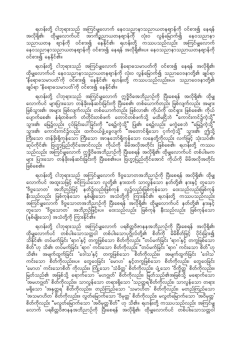ရဟန်းတို့ ငါဘုရားသည် အကြင်မျှလောက် နေဝသညာနာသညာယတနဈာန်ကို ဝင်စား၍ နေရန် အလိုရှိ၏၊ ထိုမျှလောက်ပင် အာကိဉ္စညာယတနစျာန်ကို လုံးဝ လွန်မြောက်၍ နေဝသညာနာ သညာယတန ဈာန်ကို ဝင်စား၍ နေနိုင်၏၊ ရဟန်းတို့ ကဿပသည်လည်း အကြင်မျှလောက် နေဝသညာနာသညာယတနဈာန်ကို ဝင်စား၍ နေရန် အလိုရှိ၏။ပ။ နေဝသညာနာသညာယတနဈာန်ကို ဝင်စား၍ နေနိုင်၏။

ရဟန်းတို့ ငါဘုရားသည် အကြင်မျှလောက် နိရောဓသမာပတ်ကို ဝင်စား၍ နေရန် အလိုရှိ၏၊ ထိုမျှလောက်ပင် နေဝသညာနာသညာယတနဈာန်ကို လုံးဝ လွန်မြောက်၍ သညာဝေဒနာတို့၏ ချပ်ရာ .<br>'နိရောဓသမာပတ်'ကို ဝင်စား၍ နေနိုင်၏၊ ရဟန်းတို့ ကဿပသည်လည်း။ပ။ သညာဝေဒနာတို့၏ ချုပ်ရာ 'နိရောဓသမာပတ်'ကို ဝင်စား၍ နေနိုင်၏။

ရဟန်းတို့ ငါဘုရားသည် အကြင်မျှလောက် ဣဒ္ဓိဝိဓအဘိညာဉ်ကို ပြီးစေရန် အလိုရှိ၏၊ ထိုမျှ လောက်ပင် များပြားသော တန်ခိုးဖန်ဆင်းခြင်းကို ပြီးစေ၏၊ တစ်ယောက်တည်း ဖြစ်လျက်လည်း အများ ဖြစ်သွား၏၊ အများ ဖြစ်လျက်လည်း တစ်ယောက်တည်း ဖြစ်လာ၏၊ ကိုယ်ကို ထင်ရှား ဖြစ်စေ၏၊ ကိုယ် -<br>ပျောက်စေ၏၊ နံရံတစ်ဖက် တံတိုင်းတစ်ဖက် တောင်တစ်ဖက်သို့ မထိမငြိဘဲ "ကောင်းကင်၌ကဲ့သို့" သွား၏၊ မြေ၌လည်း ငုပ်ခြင်းပေါ်ခြင်းကို "ရေ၌ကဲ့သို့" ပြု၏၊ ရေ၌လည်း မကွဲစေဘဲ "မြေ၌ကဲ့သို့"<br>သွား၏၊ ကောင်းကင်၌လည်း ထက်ဝယ်ဖွဲ့ခွေလျက် "အတောင်ရှိသော ငှက်ကဲ့သို့" သွား၏၊ ဤသို့ ကြီးသော တန်ခိုးရှိကုန်သော ကြီးသော အာနုဘော်ရှိကုန်သော လနေတို့ကိုလည်း လက်ဖြင့် သုံးသပ်၏၊ ဆုပ်ကိုင်၏၊ ဗြဟ္မာ့ပြည်တိုင်အောင်လည်း ကိုယ်ကို<sup>ံ</sup>မိမိအလိုအတိုင်း ဖြစ်စေ၏၊ ရဟန်းတို့ ကဿပ ာ သည်လည်း အကြင်မျှလောက် ဣဒ္ဓိဝိဓအဘိညာဉ်ကို ပြီးစေရန် အလိုရှိ၏၊ ထိုမျှလောက်ပင် တစ်ပါးမက များ ပြားသော တန်ခိုးဖန်ဆင်းခြင်းကို ပြီးစေ၏။ပ။ ဗြဟ္မာ့ပြည်တိုင်အောင် ကိုယ်ကို မိမိအလိုအတိုင်း ဖြစ်စေ၏။

ရဟန်းတို့ ငါဘုရားသည် အကြင်မျှလောက် ဒိဗ္ဗသောတအဘိညာဉ်ကို ပြီးစေရန် အလိုရှိ၏၊ ထိုမျှ လောက်ပင် အထူးသဖြင့် စင်ကြယ်သော လူတို့၏ နားထက် သာလွန်သော နတ်တို့၏ နားနှင့် တူသော 'ဒိဗ္ဗသောတ' အဘိဉာဉ်ဖြင့် နတ်၌လည်းဖြစ်ကုန် လူ၌လည်းဖြစ်ကုန်သော ဝေးသည်လည်းဖြစ်ကုန် နီးသည်လည်း ဖြစ်ကုန်သော နှစ်မျိုးသော အသံတို့ကို ကြားနိုင်၏၊ ရဟန်းတို့ ကဿပသည်လည်း တူသော 'ဒိဗ္ဗသောတ' အဘိဉာဉ်ဖြင့်။ပ။ ဝေးသည်လည်း ဖြစ်ကုန် နီးသည်လည်း ဖြစ်ကုန်သော (နှစ်မျိုးသော) အသံတို့ကို ကြားနိုင်၏။

ရဟန်းတို့ ငါဘုရားသည် အကြင်မျှလောက် ပရစိတ္တဝိဇာနနအဘိညာဉ်ကို ပြီးစေရန် အလိုရှိ၏၊ ထိုမျှလောက်ပင် တစ်ပါးသောသတ္တဝါ တစ်ပါးသောပုဂ္ဂိုလ်တို့၏ စိတ်ကို မိမိစိတ်ဖြင့် ပိုင်းခြား၍ သိနိုင်၏၊ တပ်မက်ခြင်း 'ရာဂ'နှင့် တကွဖြစ်သော စိတ်ကိုလည်း "တပ်မက်ခြင်း 'ရာဂ'နှင့် တကွဖြစ်သော စိတ်"ဟု သိ၏၊ တပ်ိမက်ခြင်း 'ရာဂ' ကင်းသော စိတ်ကိုလည်း "တပ်မက်ခြင်း 'ရာဂ' ကင်းသော စိတ်"ဟု သိ၏။ အမျက်ထွက်ခြင်း 'ဒေါသ'နှင့် တကွဖြစ်သော စိတ်ကိုလည်း။ အမျက်ထွက်ခြင်း 'ဒေါသ' ကင်းသော စိတ်ကိုလည်း။ပ။ တွေဝေခြင်း 'မောဟ' နှင့်တကွဖြစ်သော စိတ်ကိုလည်း၊ တွေဝေခြင်း 'မောဟ' ကင်းသောစိတ် ကိုလည်း။ ကြုံ့သော 'သံခိတ္တ' စိတ်ကိုလည်း၊ ပျံ့သော 'ဝိက္ခိတ္တ' စိတ်ကိုလည်း။ မြတ်သည်၏ အဖြစ်သို့ ရောက်သော မဟဂ္ဂုတ် စိတ်ကိုလည်း၊ မြတ်သည်၏အဖြစ်သို့ မရောက်သော ု<br>'အမဟဂ္ဂုတ်' စိတ်ကိုလည်း။ သာလွန်သော တရားရှိသော 'သဉတ္တရစိတ်ကိုလည်း၊ သာလွန်သော တရား<br>မရှိသော 'အနုတ္တရ' စိတ်ကိုလည်း။ တည်ကြည်သော 'သမာဟိတ' စိတ်ကိုလည်း၊ မတည်ကြည်သော ်အသမာဟိတ<sup>်</sup>စိတ်ကိုလည်း။ လွတ်မြောက်သော 'ဝိမုတ္တ' စိတ်ကိုလည်း၊ မလွတ်မြောက်သော 'အဝိမုတ္တ' စိတ်ကိုလည်း "မလွတ်မြောက်သော 'အဝိမုတ္တ'စိတ်" ဟု သိ၏။ ရဟန်းတို့ ကဿပသည်လည်း အကြင်မျှ လောက် ပရစိတ္တဝိဇာနန်အဘိညာဉ်ကို ပြီးစေရန် အလိုရှိ၏၊ ထိုမျှလောက်ပင် တစ်ပါးသောသတ္တဝါ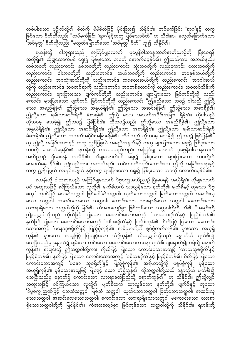တစ်ပါးသော ပုဂ္ဂိုလ်တို့၏ စိတ်ကို မိမိစိတ်ဖြင့် ပိုင်းခြား၍ သိနိုင်၏၊ တပ်မက်ခြင်း 'ရာဂ**'**နှင့် တကွ ဖြစ်သော စိတ်ကိုလည်း "တပ်မက်ခြင်း 'ရာဂ'နှင့်တကွ ဖြစ်သောစိတ်" ဟု သိ၏။ပ။ မလွတ်မြောက်သော .<br>'အဝိမုတ္ကႛ စိတ်ကိုလည်း "မလွတ်မြောက်သော 'အဝိမုတ္တႛ စိတ်" ဟူ၍ သိနိုင်၏။

ရဟန်းတို့ ငါဘုရားသည် အကြင်မျှလောက် ပုဗ္ဗေနိဝါသာနုဿတိအဘိညာဉ်ကို ပြီးစေရန် အလိုရှိ၏၊ ထိုမျှလောက်ပင် ရှေး၌ ဖြစ်ဖူးသော ဘဝကို အောက်မေ့နိုင်၏။ ဤသည်ကား အဘယ်နည်း၊ တစ်ဘဝကို လည်းကောင်း၊ နှစ်ဘဝတို့ကို လည်းကောင်း၊ သုံးဘဝတို့ကို လည်းကောင်း၊ လေးဘဝတို့ကို လည်းကောင်း၊ ငါးဘဝတို့ကို လည်းကောင်း၊ ဆယ်ဘဝတို့ကို လည်းကောင်း၊ ဘဝနှစ်ဆယ်တို့ကို လည်းကောင်း၊ ဘဝသုံးဆယ်တို့ကို လည်းကောင်း၊ ဘဝလေးဆယ်တို့ကို လည်းကောင်း၊ ဘဝငါးဆယ် တို့ကို လည်းကောင်း၊ ဘဝတစ်ရာကို လည်းကောင်း၊ ဘဝတစ်ထောင်ကို လည်းကောင်း၊ ဘဝတစ်သိန်းကို လည်းကောင်း၊ များပြားသော ပျက်ကပ်တို့ကို လည်းကောင်း၊ များပြားသော ဖြစ်ကပ်တို့ကို လည်း ကောင်း၊ များပြားသော ပျက်ကပ်, ဖြစ်ကပ်တို့ကို လည်းကောင်း "ဤမည်သော ဘဝ၌ ငါသည် ဤသို့ သော အမည်ရှိခဲ့၏၊ ဤသို့သော အနွယ်ရှိခဲ့၏၊ ဤသို့သော အဆင်းရှိခဲ့၏၊ ဤသို့သော အစာရှိခဲ့၏၊ ဤသို့သော ချမ်းသာဆင်းရဲကို ခံစားခဲ့၏၊ ဤသို့ သော အသက်အပိုင်းအခြား ရှိခဲ့၏။ ထိုငါသည် xkdb0rS aocJhí þb0ü jzpfjyef\? xkdb0üvnf; þodkYaom trnf&SdcJh\? þodkYaom ာနွယ်ရှိခဲ့၏၊ ဤသို့သော အဆင်းရှိခဲ့၏၊ ဤသို့သော အစာရှိခဲ့၏၊ ဤသို့သော ချမ်းသာဆင်းရဲကို ခံစားခဲ့၏၊ ဤသို့သော အသက်အပိုင်းအခြားရှိခဲ့၏။ ထိုငါသည် ထိုဘဝမှ သေခဲ့၍ ဤဘဝ၌ ဖြစ်ပြန်၏ $\!dagger$ ဟု ဤသို့ အခြင်းအရာနှင့် တကွ ညွှန်ပြဖွယ် အမည်အနွယ်နှင့် တကွ များပြားသော ရှေး၌ ဖြစ်ဖူးသော ာ်တြို အောက်မေ့နိုင်ခါ၊ ရဟန်းတို့ တိဿပသည်လည်း အကြင်မျှ လောက် ပုဗ္ဗေနိဝါသာနုဿတိ အဘိညာဉ် ပြီးစေရန် အလိုရှိ၏၊ ထိုမျှလောက်ပင် ရှေး၌ ဖြစ်ဖူးသော များပြားသော ဘဝတို့ကို အောက်မေ့ နိုင်၏။ ဤသည်ကား အဘယ်နည်း၊ တစ်ဘဝကိုလည်းကောင်း။ပ။ ဤသို့ အခြင်းအရာနှင့် တကွ ညွှန်ပြဖွယ် အမည်အနွယ် နှင့်တကွ များပြားသော ရှေး၌ ဖြစ်ဖူးသော ဘဝကို အောက်မေ့နိုင်၏။

ရဟန်းတို့ ငါဘုရားသည် အကြင်မျှလောက် ဒိဗ္ဗစက္ခုအဘိညာဉ် ပြီးစေရန် အလိုရှိ၏၊ ထိုမျှလောက် ပင် အထူးသဖြင့် စင်ကြယ်သော လူတို့၏ မျက်စိထက် သာလွန်သော နတ်တို့၏ မျက်စိနှင့် တူသော 'ဒိဗ္ဗ စက္ခုႛ ဉာဏ်ဖြင့် သေဆဲသတ္တဝါ ဖြစ်ပေါ် ဆဲသတ္တဝါ၊ ယုတ်သောသတ္တဝါ မြတ်သောသတ္တဝါ၊ အဆင်းလ္ သော သတ္တဝါ အဆင်းမလှသော သတ္တဝါ၊ ကောင်းသော လားရာရှိသော သတ္တဝါ မကောင်းသော လားရာရှိသော သတ္တဝါတို့ကို မြင်၏။ ကံအားလျော်စွာ ဖြစ်ကုန်သော<sup>်</sup>သတ္တဝါတို့ကို သိ၏၊ "အချင်းတို့ ဤသတ္တဝါတို့သည် ကိုယ်ဖြင့် ပြုသော မကောင်းသောအကျင့် 'ကာယဒုစရိုက်'နှင့် ပြည့်စုံကုန်၏၊ EIwfjzifh jyKaom raumif;aomtusifh ]0pD'kp½kduf}ESifh jynfhpkHukef\? pdwfjzifh jyKaom raumif; aomtusifh ]raem'kp½kduf}ESifh jynfhpkHukef\? t&d,mwdkYukd pGyfpGJwwfukef\? rSm;aom t,l&Sd ကုန်၏၊ မှားသော အယူဖြင့် ပြုတျင့်သော ကံရှိကုန်၏၊ ထိုသတ္တဝါတို့သည် ခန္ဓာကိုယ် ပျက်စီး၍ သေပြီးသည်မှ နောက်၌ ချမ်းသာ ကင်းသော မကောင်းသောလားရာ ပျက်စီးကျရောက်၍ ငရဲသို့ ရောက် ကုန်၏။ အချင်းတို့ ဤသတ္တဝါတို့ကား ကိုယ်ဖြင့် ပြုသော ကောင်းသောအကျင့် 'ကာယသုစရိုက်'နှင့် ပြည့်စုံကုန်၏၊ နှုတ်ဖြင့် ပြုသော ကောင်းသောအကျင့်််ဝစီသုစရိုက်'နှင့် ပြည့်စုံကုန်၏၊ စိတ်ဖြင့် ပြုသော ကြောင်းသောအကျင့် 'မနော သုစရိုက်'နှင့် ပြည့်စုံကုန်၏၊ အရိယာတို့ကို မစွပ်စွဲကုန်၊ မှန်သော အယူရှိကုန်၏၊ မှန်သောအယူဖြင့် ပြုကျင့် သော ကံရှိကုန်၏၊ ထိုသတ္တဝါတို့သည် ခန္ဓာကိုယ် ပျက်စီး၍ podistical approvidus and visit the visit of the visit of the code is a modern control of the code is position<br>Satisfao de producida estable in position of experience of the contract of the code of the code of the code is အထူးသဖြင့် စင်ကြယ်သော လူတို့၏ မျက်စိထက် သာလွန်သော နတ်တို့၏ မျက်စိနှင့် တူသော ်<sup>ဒိ</sup>ဗ္ဗစက္ခု)တက်ဖြင့် သေဆဲသတ္တဝါ ဖြစ်ဆဲ သတ္တဝါ၊ ယုတ်သောသတ္တဝါ၊ အထိုးလှ သူတို့ အဆင်းလှ သောသတ္တဝါ အဆင်းမလှသောသတ္တဝါ၊ ကောင်းသော လားရာရှိသောသတ္တဝါ မကောင်းသော လားရာ ္သိသောသတ္တဝါတို့ကို မြင်နိုင်၏။ ကံအားလျော်စွာ ဖြစ်ကုန်သော သတ္တဝါတို့ကို သိနိုင်၏၊ ရဟန်းတို့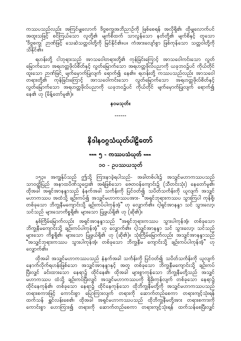ကဿပသည်လည်း အကြင်မျှလောက် ဒိဗ္ဗစက္ခုအဘိညာဉ်ကို ဖြစ်စေရန် အလိုရှိ၏၊ ထိုမျှလောက်ပင် အထူးသဖြင့် စင်ကြယ်သော လူတို့၏ မျက်စိထက် သာလွန်သော နတ်တို့၏ မျက်စိနှင့် တူသော ်ဒိဗ္ဗစက္ခု ဉာဏ်ဖြင့် သေဆဲသတ္တဝါတို့ကို မြင်နိုင်၏။ပ။ ကံအားလျော်စွာ ဖြစ်ကုန်သော သတ္တဝါတို့ကို သိနိုင်၏။

ရဟန်းတို့ ငါဘုရားသည် အာသဝေါတရားတို့၏ ကုန်ခြင်းကြောင့် အာသဝေါကင်းသော လွတ် မြောက်သော အရဟတ္တဖိုလ်စိတ်နှင့် လွတ်မြောက်သော အရဟတ္တဖိုလ်ပညာကို ယခုဘဝ၌ပင် ကိုယ်တိုင် ထူးသော ဉာဏ်ဖြင့် မျက်မှောက်ပြုလျက် ရောက်၍ နေ၏။ ရဟန်းတို့ ကဿပသည်လည်း အာသဝေါ လွတ်မြောက်သော အရဟတ္တဖိုလ်ပညာကို ယခုဘဝ၌ပင် ကိုယ်တိုင် မျက်မှောက်ပြုလျက် ရောက်၍ နေ၏ ဟု (မိန့်တော်မူ၏)။

နဝမသုတ်။

နိဒါန၀ဂွသံယုတ်ပါဠိတော်

=== ၅ - ကဿပသံယုတ် ===

၁၀ - ဉပဿယသုတ်

၁၅၃။ အကျွန်ုပ်သည် ဤသို့ ကြားနာခဲ့ရပါသည်- အခါတစ်ပါး၌ အသျှင်မဟာကဿပသည် သာဝတ္ထိပြည် အနာထပိဏ်သူဌေး၏ အရံဖြစ်သော ဇေတဝန်ကျောင်း၌ (သီတင်းသုံး) နေတော်မူ၏၊ ထိုအခါ အရှင်အာနန္ဒာသည် နံနက်အခါ သင်္ကန်းကို ပြင်ဝတ်၍ သပိတ်သင်္ကန်းကို ယူလျက် အသျှင် မဟာကဿပ အထံသို့ ချဉ်းကပ်၍ အသျှင်မဟာကဿပအား- "အရှင်ဘုရားကဿပ သွားကြပါ ကုန်စို့၊ တစ်ခုသော ဘိက္ခုနီမကျောင်းသို့ ချဉ်းကပ်ပါကုန်အံ့" ဟု လျှောက်၏။ ငါ့ရှင်အာနန္ဒာ သင် သွားလော့၊ သင်သည် များသောကိစ္စရှိ၏၊ များသော ပြုဖွယ်ရှိ၏ ဟု (ဆို၏)။

နှစ်ကြိမ်မြောက်လည်း အရှင်အာနန္ဒာသည် "အရှင်ဘုရားကဿပ သွားပါကုန်အံ့၊ တစ်ခုသော ဘိက္ခုနီမကျောင်းသို့ ချဉ်းကပ်ပါကုန်အံ့" ဟု လျှောက်၏။ ငါ့သျှင်အာနန္ဒာ သင် သွားလော့၊ သင်သည် ျား<br>များသော ကိစ္စရှိ၏၊ များသော ပြုဖွယ်ရှိ၏ ဟု (ဆို၏)။ သုံးကြိမ်မြောက်လည်း အသျှင်အာနန္ဒာသည် "အသျှင်ဘုရားကဿပ သွားပါကုန်အံ့၊ တစ်ခုသော ဘိက္ခုနီမ ကျောင်းသို့ ချဉ်းကပ်ပါကုန်အံ့" ဟု လျှောက်၏။

ထိုအခါ အသျှင်မဟာကဿပသည် နံနက်အခါ သင်္ကန်းကို ပြင်ဝတ်၍ သပိတ်သင်္ကန်းကို ယူလျက် နောက်လိုက်ရဟန်းဖြစ်သော အသျှင်အာနန္ဒာနှင့် အတူ တစ်ခုသော ဘိက္ခုနီမကျောင်းသို့ ချဉ်းကပ် .<br>ပြီးလျှင် ခင်းထားသော နေရာ၌ ထိုင်နေ၏၊ ထိုအခါ များစွာကုန်သော ဘိက္ခုနီမတို့သည် အသျှင် ...<br>မဟာကဿပ ထံသို့ ချဉ်းကပ်ပြီးလျှင် အသျှင်မဟာကဿပကို ရှိခိုးကုန်လျက် တစ်ခုသော နေရာ၌ ထိုင်နေကုန်၏၊ တစ်ခုသော နေရာ၌ ထိုင်နေကုန်သော ထိုဘိက္ခုနီမတို့ကို အသျှင်မဟာကဿပသည် ထက်သန် ရွှင်လန်းစေ၏၊ ထိုအခါ အရှင်မဟာကဿပသည် ထိုဘိက္ခုနီမတို့အား တရားစကားကို<br>ကောင်းစွာ ဟောကြား၍ တရားကို ဆောက်တည်စေကာ တရားကျင့်သုံးရန် ထက်သန်စေပြီးလျှင်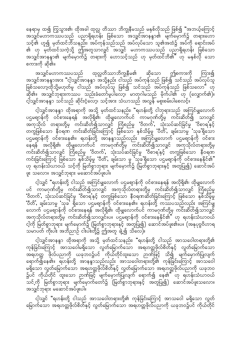နေရာမှ ထ၍ ကြွသွား၏၊ ထိုအခါ ထုလ္လ တိဿာ ဘိက္ခုနီမသည် မနှစ်လိုသည် ဖြစ်၍ "အဘယ့်ကြောင့် ာသျှင်မဟာကဿပသည် ပညာရှိရဟန်း ဖြစ်သော အသျှင်အာနန္ဒာ၏ မျက်မှောက်၌ တရားဟော သင့်၏ ဟူ၍ မှတ်ထင်ဘိသနည်း၊ အပ်ကုန်သည်သည် အပ်လုပ်သော သူ၏အထံ၌ အပ်ကို ရောင်းအပ် ၏ ဟု မှတ်ထင်သကဲ့သို့ ဤအတူသာလျှင် အသျှင် မဟာကဿပသည် ပညာရှိရဟန်း ဖြစ်သော အသျှင်အာနန္ဒာ၏ မျက်မှောက်၌ တရားကို ဟောသင့်သည် ဟု မှတ်ထင်ဘိ၏ ဟု မနှစ်လို သော စကားကို ဆို၏။

ဤစကားကို ထုလ္လတိဿာဘိက္ခုနီမ၏ ဆိုသော အသျှင်မဟာကဿပသည် ကြား၍ အသျှင်အာနန္ဒာအား "ငါ့သျှင်အာနန္ဒာ အသို့နည်း ငါသည် အပ်ကုန်သည် ဖြစ်၍ သင်သည် အပ်လုပ်သူ ဖြစ်သလော့၊ထိုသို့မဟုတ်မူ ငါသည် အပ်လုပ်သူ ဖြစ်၍ သင်သည် အပ်ကုန်သည် ဖြစ်သလော" ဟု .<br>ဆို၏။ အသျှင်ဘုရားကဿပ သည်းခံတော်မူပါလော့၊ မာတုဂါမသည် မိုက်ပါ၏ ဟု (လျှောက်၏)။ င့ါ်သျှင်အာနန္ဒာ သင်သည် ဆိုင်းငံ့လော့၊ သင့်အား သံဃာသည် အလွန် မစူးစမ်းပါစေလင့်။

င့ါသျှင်အာနန္ဒာ ထိုအရာကို အသို့ မှတ်ထင်သနည်း၊ "ရဟန်းတို့ ငါဘုရားသည် အကြင်မျှလောက် ပဌမဈာန်ကို ဝင်စားနေရန် အလိုရှိ၏၊ ထိုမျှလောက်ပင် ကာမဂုဏ်တို့မှ ကင်းဆိတ်၍ သာလျှင် ပဌမဈာန်ကို ဝင်စားနေ၏။ ရဟန်းတို့ အာနန္ဒာသည်လည်း အကြင်မျှလောက် ပဌမဈာန်ကို ဝင်စား နေရန် အလိုရှိ၏၊ ထိုမျှလောက်ပင် ကာမဂုဏ်တို့မှ ကင်းဆိတ်၍သာလျှင် အကုသိုလ်တရားတို့မှ ကင်းဆိတ်၍သာလျှင် ကြံစည်မှု 'ဝိတက်', သုံးသပ်ဆင်ခြင်မှု 'ဝိစာရနေ့် တကွဖြစ်သော နီဝရဏ ကင်းခြင်းကြောင့် ဖြစ်သော နှစ်သိမ့်မှု 'ပီတိ', ချမ်းသာ မှု 'သုခ'ရှိသော ပဌမဈာန်ကို ဝင်စားနေနိုင်၏" ဟု ရဟန်းသံဃာဝယ် သင့်ကို မြတ်စွာဘုရား မျက်မှောက်၌ (မြတ်စွာဘုရားနှင့် အတူပြု၍) ဆောင်အပ် ဖူး သလော။ အသျှင်ဘုရား မဆောင်ိအပ်ဖူးပါ။

င့ါသျှင် "ရဟန်းတို့ ငါသည် အကြင်မျှလောက် ပဌမဈာန်ကို ဝင်စားနေရန် အလိုရှိ၏၊ ထိုမျှလောက် ပင် ကာမဂုဏ်တို့မှ ကင်းဆိတ်၍သာလျှင် အကုသိုလ်တရားတို့မှ ကင်းဆိတ်၍သာလျှင် ကြံစည်မှု 'ဝိတက်', သုံးသပ်ဆင်ခြင်မှု 'ဝိစာရန်င့် တကွဖြစ်သော နီဝရဏဆိတ်ခြင်းကြောင့် ဖြစ်သော နှစ်သိမ့်မှု<br>'ပီတိ', ချမ်းသာမှု 'သုခ' ရှိသော ပဌမဈာန်ကို ဝင်စားနေ၏။ ရဟန်းတို့ ကဿပသည်လည်း အကြင်မျှ လောက် ပဌမဈာန်ကို ဝင်စားနေရန် အလိုရှိ၏၊ ထိုမျှလောက်ပင် ကာမဂုဏ်တို့မှ ကင်းဆိတ်၍သာလျှင်<br>အကုသိုလ်တရားတို့မှ ကင်းဆိတ်၍သာလျှင်။ပ။ ပဌမဈာန်ကို ဝင်စားနေနိုင်၏" ဟု ရဟန်းသံဃာဝယ် င့ါ့ကို မြတ်စွာဘုရား မျက်မှောက်၌ (မြတ်စွာဘုရားနှင့် အတူပြု၍) ဆောင်အပ်ဖူး၏။ပ။ (အနုပုဗ္ဗဝိဟာရ သမာပတ် ကိုးပါး အဘိညာဉ် ငါးပါးတို့၌ ဤအတူ ချဲ့၍ သိလေ)။

င့ါသျှင်အာနန္ဒာ ထိုအရာကို အသို့ မှတ်ထင်သနည်း၊ "ရဟန်းတို့ ငါသည် အာသဝေါတရားတို့၏ ကုန်ခြင်းကြောင့် အာသဝေါမရှိသော လွတ်မြောက်သော အရဟတ္တဖိုလ်စိတ်နှင့် လွတ်မြောက်သော ား<br>အရဟတ္က ဖိုလ်ပညာကို ယခုဘဝ၌ပင် ကိုယ်တိုင်ထူးသော ဉာဏ်ဖြင့် သိ၍ မျက်မှောက်ပြုလျက် ရောက်၍နေ၏။ ရဟန်းတို့ အာနန္ဒာသည်လည်း အာသဝေါတရားတို့၏ ကုန်ခြင်းကြောင့် အာသဝေါ မရှိသော လွတ်မြောက်သော အရဟတ္တဖိုလ်စိတ်နှင့် လွတ်မြောက်သော အရဟတ္တဖိုလ်ပညာကို ယခုဘဝ ၌ပင် ကိုယ်တိုင် ထူးသော ဉာဏ်ဖြင့် မျက်မှောက်ပြုလျက် ရောက်၍ နေ၏" ဟု ရဟန်းသံဃာဝယ် အသျှင်ဘုရား မဆောင်အပ်ဖူးပါ။

င့ါသျှင် "ရဟန်းတို့ ငါသည် အာသဝေါတရားတို့၏ ကုန်ခြင်းကြောင့် အာသဝေါ မရှိသော လွတ် မြောက်သော အရဟတ္တဖိုလ်စိတ်နှင့် လွတ်မြောက်သော အရဟတ္တဖိုလ်ပညာကို ယခုဘဝ၌ပင် ကိုယ်တိုင်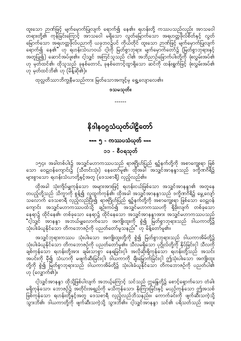ထူးသော ဉာဏ်ဖြင့် မျက်မှောက်ပြုလျက် ရောက်၍ နေ၏။ ရဟန်းတို့ ကဿပသည်လည်း အာသဝေါ တရားတို့၏ ကုန်ခြင်းကြောင့် အာသဝေါ မရှိသော လွတ်မြောက်သော အရဟတ္တဖိုလ်စိတ်နှင့် လွတ် မြောက်သော အရဟတ္တဖိုလ်ပညာကို ယခုဘဝ၌ပင် ကိုယ်တိုင် ထူးသော ဉာဏ်ဖြင့် မျက်မှောက်ပြုလျက် ရောက်၍ နေ၏" ဟုိရဟန်းသံဃာဝယ် ငါ့ကို မြတ်စွာဘုရား မျက်မှောက်တော်၌ (မြတ်စွာဘုရားနှင့် အတူပြု၍) ဆောင်အပ်ဖူး၏။ ငါ့သျှင် အကြင်သူသည် ငါ၏ အဘိညာဉ်ခြောက်ပါးတို့ကို ဖုံးလွှမ်းအပ်၏ ဟု မှတ်ထင်၏၊ ထိုသူသည် ခုနစ်တောင်, ခုနစ်တောင့်ထွာရှိသော ဆင်ကို ထန်းရွက်ဖြင့် ဖုံးလွှမ်းအပ်၏ ဟု မှတ်ထင်ဘိ၏ ဟု (မိန့်ဆို၏)။

ထုလ္လတိဿာဘိက္ခုနီမသည်ကား မြတ်သောအကျင့်မှ ရွေ့လျောလေ၏။

ဒသမသုတ်။

နိဒါန၀ဂွသံယုတ်ပါဠိတော် === ၅ - ကဿပသံယုတ် === ၁၁ - စီဝရသုတ်

၁၅၄။ အခါတစ်ပါး၌ အသျှင်မဟာကဿပသည် ရာဇဂြိုဟ်ပြည် ရှဉ့်နက်တို့ကို အစာကျွေးရာ ဖြစ် သော မေငျေဝန်ကျောင်း၌ (သီတင်းသုံး) နေတော်မူ၏၊ ထိုအခါ အသျှင်အာနန္ဒာသည် ဒက္ခိဏဂိရိ၌ များစွာသော ရဟန်းသံဃာတို့နှင့်အတူ (ဒေသစာရီ) လှည့်လည်၏။

ထိုအခါ သုံးကျိပ်မျှကုန်သော အများအားဖြင့် ရဟန်းငယ်ဖြစ်သော အသျှင်အာနန္ဒာ၏ အတူနေ တပည့်တို့သည် သိက္ခာကို စွန့်၍ လူထွက်ကုန်၏၊ ထိုအခါ အသျှင်အာနန္ဒာသည် ဒက္ခိဏဂီရိ၌ မွေ့လျော်<br>သလောက် ဒေသစာရီ လှည့်လည်ပြီး၍ ရာဇဂြိုဟ်ပြည် ရှဉ့်နက်တို့ကို အစာကျွေးရာ ဖြစ်သော ဝေဠုဝန် ကျောင်း အသျှင်မဟာကဿပထံသို့ ချဉ်းကပ်၍ အသျှင်မဟာကဿပကို ရှိခိုးလျက် တစ်ခုသော နေရာ၌ ထိုင်နေ၏၊ တစ်ခုသော နေရာ၌ ထိုင်နေသော အသျှင်အာနန္ဒာအား အသျှင်မဟာကဿပသည် "ငါ့သျှင် အာနန္ဒာ အဘယ်မျှလောက်သော အကျိုးထူးကို စွဲ၍ မြတ်စွာဘုရားသည် ဒါယကာတို့၌ သုံးပါးခံယူနိုင်သော တိကဘောဇဉ်ကို ပညတ်တော်မူသနည်း" ဟို မိန့်တော်မူ၏။

အသျှင်ဘုရားကဿပ သုံးပါးသော အကျိုးထူးတို့ကို စွဲ၍ မြတ်စွာဘုရားသည် ဒါယကာအိမ်တို့၌<br>သုံးပါးခံယူနိုင်သော တိကဘောဇဉ်ကို ပညတ်တော်မူ၏။ သီလမရှိသော ပုဂ္ဂိုလ်တို့ကို နှိပ်ခြင်းငှါ သီလကို ချစ်ကုန်သော ရဟန်းတို့အား ချမ်းသာစွာ နေရခြင်းငှါ၊ အလိုဆိုးရှိကုန်သော ရဟန်းတို့သည် အသင်း အပင်းကို မှီ၍ သံဃာကို မဖျက်ဆီးခြင်းငှါ၊ ဒါယကာကို ချီးမြှောက်ခြင်းငှါ ဤသုံးပါးသော အကျိုးထူး တို့ကို စွဲ၍ မြတ်စွာဘုရားသည် ဒါယကာအိမ်တို့၌ သုံးပါးခံယူနိုင်သော တိကဘောဇဉ်ကို ပညတ်ပါ၏ ဟု (လျှောက်၏)။

င့ါသျှင်အာနန္ဒာ ထိုသို့ဖြစ်ပါလျက် အဘယ့်ကြောင့် သင်သည် ဣန္ဒြေတို့၌ စောင့်ရှောက်သော တံခါး မရှိကုန်သော၊ ဘောဇဉ်၌ အတိုင်းအရှည်ကို မသိကုန်သော၊ နိုးကြားခြင်းနှင့် မယှဉ်ကုန်သော ဤအသစ် ဖြစ်ကုန်သော ရဟန်းတို့နှင့်အတူ ဒေသစာရီ လှည့်လည်ဘိသနည်း။ ကောက်ခင်းကို ဖျက်ဆီးသကဲ့သို့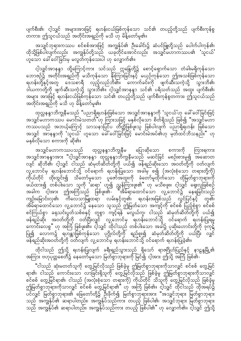ပျက်စီး၏၊ ငါ့သျှင် အများအားဖြင့် ရဟန်းငယ်ဖြစ်ကုန်သော သင်၏ တပည့်တို့သည် ပျက်စီးကုန်စွ www.am; ပြသူငယ်သည် အတိုင်းအရှည်ကို မသိ ဟု မိန့်တော်မူ၏။

အသျှင်ဘုရားကဿပ စင်စစ်အားဖြင့် အကျွန်ုပ်၏ ဦးခေါင်း၌ ဆံပင်ဖြူတို့သည် ပေါက်ပါကုန်၏၊ ထိုသို့ဖြစ်ပါလျက်လည်း အကျွန်ုပ်တို့သည် ယခုတိုင်အောင်လည်း အသျှင်မဟာကဿပ၏ 'သူငယ်'  $\overline{\text{C}}$ တ္ေတာ့ ခေါ် ဝေါ်ခြင်းမှ မလွတ်ကုန်သေးပါ ဟု လျှောက်၏။

ငါ့သျှင်အာနန္ဒာ ထို့ကြောင့်ကား သင်သည် ဣန္ဒြေတို့၌ စောင့်ရှောက်သော တံခါးမရှိကုန်သော ဘောဇဉ်၌ အတိုင်းအရှည်ကို မသိကုန်သော နိုးကြားခြင်းနှင့် မယှဉ်ကုန်သော ဤအသစ်ဖြစ်ကုန်သော ရဟန်းတို့နှင့်အတူ ဒေသစာရီ လှည့်လည်ဘိ၏။ ကောက်ခင်းကို ဖျက်ဆီးသကဲ့သို့ သွားဘိ၏၊ ဒါယကာတို့ကို ဖျက်ဆီးသကဲ့သို့ သွားဘိ၏။ ငါ့သျှင်အာနန္ဒာ သင်၏ ပရိသတ်သည် အထူး ပျက်စီး၏၊ အများ အားဖြင့် ရဟန်းငယ်ဖြစ်ကုန်သော သင်၏ တပည့်တို့သည် ပျက်စီးကုန်စွတကား၊ ဤသူငယ်သည် အတိုင်းအရှည်ကို မသိ ဟု မိန့်တော်မူ၏။

ထုလ္လနန္ဒာဘိက္ခုနီမသည် "ပညာရှိရဟန်းဖြစ်သော အသျှင်အာနန္ဒာကို 'သူငယ်'ဟု ခေါ် ဝေါ်ခြင်းဖြင့် အသျှင်မဟာကဿပ မောင်းမဲသတတ်"ဟု ကြားသဖြင့် မနှစ်လိုသော စိတ်ရှိသည် ဖြစ်၍ "အသျှင်မဟာ ကဿပသည် အဘယ့်ကြောင့် သာသနာပြင်ပ တိတ္ထိဖြစ်ဖူးသူ ဖြစ်ပါလျက် ပညာရှိရဟန်း ဖြစ်သော အသျှင် အာနန္ဒာကို 'သူငယ်' ဟူသော ခေါ်ဝေါ်ခြင်းဖြင့် မောင်းမဲအပ်၏ဟု မှတ်ထင်ဘိသနည်း" ဟု မနှစ်လိုသော စကားကို ဆို၏။

အသျှင်မဟာကဿပသည် ထုလ္လနန္ဒာဘိက္ခုနီမ ပြောဆိုသော စကားကို ကြားရကား အသျှင်အာနန္ဒာအား "ငါ့သျှင်အာနန္ဒာ ထုလ္လနန္ဒာဘိက္ခုနီမသည် မဆင်ခြင် မစဉ်းစားမူ၍ အဆောတ လျင် ဆိုဘိ၏၊ ငါ့သျှင် ငါသည် ဆံမှတ်ဆိတ်တို့ကို ပယ်၍ ဖန်ရည်ဆိုးသော အဝတ်တို့ကို ဝတ်လျက် လူ့ဘောင်မှ ရဟန်းဘောင်သို့ ဝင်ရောက် ရဟန်းပြုသော အခါမှ စ၍ (အလုံးစုံသော တရားတို့ကို) ကိုယ်တိုင် ထိုးထွင်း၍ သိတော်မူသော ပူဇော်အထူးကို ခံတော်မူထိုက်သော ထိုမြတ်စွာဘုရားကို ဖယ်ထား၍ တစ်ပါးသော သူကို 'ဆရာ' ဟူ၍ ညွှန်ကြားဖူး၏" ဟု မသိစဖူး။ ငါ့သျှင် ရှေးလူဖြစ်စဉ် အခါက ငါ့အား ဤအကြံသည် ဖြစ်ဖူး၏- "အိမ်ရာထောင်သော လူ့ဘောင်၌ နေရခြင်းသည် ကျဉ်းမြောင်းလှ၏၊ ကိလေသာမြူထရာ လမ်းနှင့်တူ၏၊ ရဟန်းအဖြစ်သည် လွင်ပြင်နှင့် တူ၏၊ အိမ်ရာထောင်သော လူ့ဘောင်၌ နေသော သူသည် ဤမြတ်သော အကျင့်ကို စင်စစ် ပြည့်စုံစွာ စင်စစ် စင်ကြယ်စွာ ခရုသင်းပွတ်သစ်စနှင့် တူစွာ ကျင့်ရန် မလွယ်ကူ၊ ငါသည် ဆံမုတ်ဆိတ်တို့ကို ပယ်၍ ဖန်ရည်ဆိုး အဝတ်တို့ကို ဝတ်ပြီးလျှင် လူ့ဘောင်မှ ရဟန်းဘောင်သို့ ဝင်ရောက် ရဟန်းပြုရမူ ကောင်းလေစွ" ဟု အကြံ ဖြစ်ဖူး၏။ ငါ့သျှင် ထိုငါသည် တစ်ပါးသော အခါ၌ ပုဆိုးဟောင်းတို့ကို ဒုကုဋ် ပြု၍ လောက၌ ရဟန္တာဖြစ်ကုန်သော ပုဂ္ဂိုလ်တို့ကို ရည်စူး၍ ဆံမုတ်ဆိတ်တို့ကို ပယ်ပြီး လျှင် ဖန်ရည်ဆိုးအဝတ်တို့ကို ဝတ်လျက် လူ့ဘောင်မှ ရဟန်းဘောင်သို့ ဝင်ရောက် ရဟန်းပြုခဲ့၏။

ထိုငါသည် ဤသို့ ရဟန်းပြုလျက် ခရီးရှည်သွားသည် ရှိသော် ရာဇဂြိုဟ်ပြည်နှင့် နာဠန္ဒမြို့၏ အကြား ဗဟုပုတ္တစေတီ၌ နေတော်မူသော မြတ်စွာဘုရားကို မြင်၍ ငါ့အား ဤသို့ အကြံ ဖြစ်၏-

"ငါသည် ဆုံးမတတ်သူကို တွေ့မြင်လိုသည် ဖြစ်ခဲ့မူ ဤမြတ်စွာဘုရားကိုသာလျှင် စင်စစ် တွေ့မြင် ရာ၏၊ ငါသည် ကောင်းသော လာခြင်းရှိသူကို တွေ့မြင်လိုသည် ဖြစ်ခဲ့မူ ဤမြတ်စွာဘုရားကိုသာလျှင် စင်စစ် တွေ့မြင်ရာ၏၊ ငါသည် (အလုံးစုံသော တရားကို) ကိုယ်တိုင် သိသူကို တွေ့မြင်လိုသည် ဖြစ်ခဲ့မူ ဤမြတ်စွာဘုရားကိုသာလျှင် စင်စစ် တွေ့မြင်ရာ၏" ဟု အကြံ ဖြစ်၏။ ငါ့သျှင် ထိုငါသည် ထိုအရပ်၌ ပင်လျှင် မြတ်စွာဘုရား၏ ခြေတော်တို့၌ ဦးခိုက်၍ မြတ်စွာဘုရားအား "အသျှင်ဘုရား မြတ်စွာဘုရား<br>-သည် အကျွန်ုပ်၏ ဆရာပါတည်း၊ အကျွန်ုပ်သည်ကား တပည့် ဖြစ်ပါ၏၊ အသျှင်ဘုရား မြတ်စွာဘုရား ာက် အကျွန်ုပ်၏ ဆရာပါတည်း၊ အကျွန်ုပ်သည်ကား တပည့် ဖြစ်ပါ၏" ဟု လျှောက်၏။ ငါ့သျှင် ဤသို့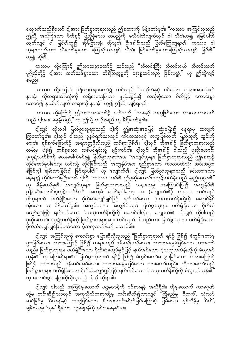လျှောက်သည်ရှိသော် ငါ့အား မြတ်စွာဘုရားသည် ဤစကားကို မိန့်တော်မူ၏၊ "ကဿပ အကြင်သူသည်<br>ဤသို့ အလုံးစုံသော စိတ်နှင့် ပြည့်စုံသော တပည့်ကို မသိပါဘဲလျက်လျှင် ငါ သိ၏ဟူ၍ မမြင်ပါဘဲ လျက်လျှင် ငါ မြင်၏ဟူ၍ ဆိုမိငြားအံ့၊ ထိုသူ၏ ဦးခေါင်းသည် ပြတ်ကြွေကျရာ၏၊ ကဿပ ငါ ဘုရားသည်ကား သိတော်မူသော ကြောင့်သာလျှင် သိ၏၊ မြင်တော်မူသောကြောင့်သာလျှင် မြင်၏" ဟူ၍ ဆို၏။

ကဿပ ထို့ကြောင့် ဤသာသနာတော်၌ သင်သည် "သီတင်းကြီး သီတင်းငယ် သီတင်းလတ် ပုဂ္ဂိုလ်တို့၌ ငါ့အား ထက်သန်စွာသော ဟိရိဩတ္တပ္ပကို ရှေးရှုထင်သည် ဖြစ်လတ္တံ့" ဟု ဤသို့ကျင့် ရမည်။

ကဿပ ထို့ကြောင့် ဤသာသနာတော်၌ သင်သည် "ကုသိုလ်နှင့် စပ်သော တရားအားလုံးကို နာအံ့၊ ထိုတရားအားလုံးကို အရိုအသေပြုကာ နှလုံးသွင်း၍ အလုံးစုံသော စိတ်ဖြင့် ကောင်းစွာ ဆောင်၍ နားစိုက်လျက် တရားကို နာအံ့" ဟူ၍ ဤသို့ ကျင့်ရမည်။

ကဿပ ထို့ကြောင့် ဤသာသနာတော်၌ သင်သည် "သုခနှင့် တကွဖြစ်သော ကာယဂတာသတိ သည် ငါ့အား မစွန့်လတ္တံ့" ဟု ဤသို့ ကျင့်ရမည် ဟု မိန့်တော်မူ၏။

ငါ့သျှင် ထိုအခါ မြတ်စွာဘုရားသည် ငါ့ကို ဤအဆုံးအမဖြင့် ဆုံးမပြီး၍ နေရာမှ ထလျက်<br>ကြွတော်မူ၏။ ငါ့သျှင် ငါသည် ခုနစ်ရက်သာလျှင် ကိလေသာနှင့် တကွဖြစ်လျက် ပြည်သူတို့ ဆွမ်းကို စား၏၊ ရှစ်ရက်မြောက်၌ အရဟတ္တဖိုလ်သည် ထင်ရှားဖြစ်၏။ ငါ့သျှင် ထိုအခါ၌ မြတ်စွာဘုရားသည် လမ်းမှ ဖဲခဲ့၍ တစ်ခုသော သစ်ပင်ရင်းသို့ ချဉ်းကပ်၏၊ ငါ့သျှင် ထိုအခါ၌ ငါသည် ပုဆိုးဟောင်း ဒုကုဋ်သင်္ကန်းကို လေးခေါက်ခင်း၍ မြတ်စွာဘုရားအား "အသျှင်ဘုရား မြတ်စွာဘုရားသည် ဤနေရာ၌ .<br>ထိုင်တော်မူပါလော့၊ ယင်းသို့ ထိုင်ခြင်းသည် အကျွန်ုပ်အား ရှည်စွာသော ကာလပတ်လုံး အစီးအပွား ရှိခြင်းငှါ ချမ်းသာခြင်းငှါ ဖြစ်ရာပါ၏" ဟု လျှောက်၏၊ ငါ့သျှင် မြတ်စွာဘုရားသည် ခင်းထားသော းမြ တိုင်တော်မူပြီးသော် ငါ့ကို "ကဿပ သင်၏ ဤပုဆိုးဟောင်းဒုကုဋ်သင်္ကန်းသည် နူးညံ့လှစွာ၏" ဟု မိန့်တော်မူ၏၊ အသျှင်ဘုရား မြတ်စွာဘုရားသည် သနားသမှု အကြောင်းပြု၍ အကျွန်ုပ်၏ ဤပုဆိုးဟောင်းဒုကုဋ်သင်္ကန်းကို အလျှုံခံ တော်မူပါလော့ ဟု (လျှောက်၏)၊ ကဿပ သင်သည် အံ့လော ဟု မိန့်တော်မူ၏၊ အသျှင်ဘုရား အကျွန်ုပ်သည် မြတ်စွာဘုရား ဝတ်ရုံပြီးသော ပိုက်ဆံ လျှော်မျှင်ဖြင့် ရက်အပ်သော ပံ့သကူသင်္ကန်းတို့ကို ဆောင်ပါအံ့ဟု လျှောက်၏၊ ငါ့သျှင် ထိုငါသည် ပုဆိုးဟောင်းဒုကုဋ်သင်္ကန်းကို မြတ်စွာဘုရားအား ကပ်လျက် ငါသည်ကား မြတ်စွာဘုရား ဝတ်ရုံပြီးသော .<br>ပိုက်ဆံလျှော်မျှင်ဖြင့်ရက်သော ပံ့သက္ခသင်္ကန်းကို ဆောင်၏။

င့ါ့သျှင် အကြင်သူကို ကောင်းစွာ ပြောဆိုလိုသူသည် "မြတ်စွာဘုရား၏ ရင်၌ ဖြစ်၍ ခံတွင်းတော်မှ ဖွားမြင်သော၊ တရားကြောင့် ဖြစ်၍ တရားသည် ဖန်ဆင်းအပ်သော၊ တရားအမွေခံဖြစ်သော သားတော် တည်း၊ မြတ်စွာဘုရား ဝတ်ရုံပြီးသော ပိုက်ဆံလျှော်မျှင်ဖြင့် ရက်အပ်သော ပံ့သကူသင်္ကန်းတို့ကို ခံယူအပ် ကုန််၏"်ဟု ပြောဆိုရာ၏။ "မြတ်စွာဘုရား၏ ရင်၌ ဖြစ်၍ ခံတွင်းတော်မှ ဖွားမြင်သော၊ တရားကြောင့် ဖြစ်၍ တရားသည် ဖန်ဆင်းအပ်သော၊ တရားအမွေခံဖြစ်သော သားတော်တည်း၊ ထိုသားတော်သည် မြတ်စွာဘုရား ဝတ်ရုံပြီးသော ပိုက်ဆံလျှော်မျှင်ဖြင့် ရက်အပ်သော ပံ့သကူသင်္ကန်းတို့ကို ခံယူအပ်ကုန်၏" \_<br>ဟု ကောင်းစွာ ပြောဆိုလိုသူသည် ငါ့ကို ဆိုရာ၏။

င့ါ့သျှင် ငါသည် အကြင်မျှလောက် ပဌမဈာန်ကို ဝင်စားရန် အလိုရှိ၏၊ ထိုမျှလောက် ကာမဂုဏ် တို့မှ ကင်းဆိ၍သာလျှင် အကုသိုလ်တရားတို့မှ ကင်းဆိတ်၍သာလျှင် "ကြံစည်မှု 'ဝိတက်', သုံးသပ် ဆင်ခြင်မှု 'ဝိစာရန္နှင့် တကွဖြစ်သော နီဝရဏကင်းဆိတ်ခြင်းကြောင့် ဖြစ်သော နှစ်သိမ့်မှု 'ဝိတိ', ချမ်းသာမှု 'သုခ' ရှိသော ပဌမဈာန်ကို ဝင်စားနေ၏။ပ။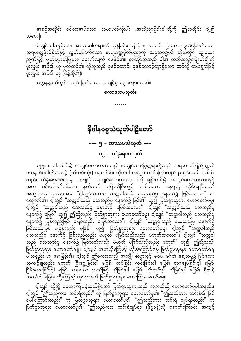အြစဉ်အတိုင်း ဝင်စားအပ်သော သမာပတ်ကိုးပါး ,အဘိညာဉ်ငါးပါးတို့ကို ဤအတိုင်း ချဲ့၍ သိလေါ့။

င့ါသျှင် ငါသည်ကား အာသဝေါတရားတို့ ကုန်ခြင်းကြောင့် အာသဝေါ မရှိသော လွတ်မြောက်သော .<br>အရဟတ္တဖိုလ်စိတ်နှင့် လွတ်မြောက်သော အရဟတ္တဖိုလ်ပညာကို ယခုဘဝ၌ပင် ကိုယ်တိုင် ထူးသော ဉာဏ်ဖြင့် မျက်မှောက်ပြုကာ ရောက်လျက် နေနိုင်၏။ အကြင်သူသည် ငါ၏ အဘိညာဉ်ခြောက်ပါးကို ဖုံးလွှမ်း အပ်၏ ဟု (မိန့်ဆို၏)။

ထုလ္လနန္ဒာဘိက္ခုနီမသည် မြတ်သော အကျင့်မှ ရွေ့လျောလေ၏။

ဧကာဒသမသုတ်။

နိဒါန၀ဂွသံယုတ်ပါဠိတော် === ၅ - ကဿပသံယုတ် === ၁၂ - ပရံမရဏသုတ်

၁၅၅။ အခါတစ်ပါး၌ အသျှင်မဟာကဿပနှင့် အသျှင်သာရိပုတ္တရာတို့သည် ဗာရာဏသီပြည် ဣသိ<br>ပတန မိဂဒါဝုန်တော၌ (သီတင်းသုံး) နေကုန်၏၊ ထိုအခါ အသျှင်သာရိပုတြာသည် ညချမ်းအခါ တစ်ပါး တည်း ကိန်းအောင်းရာမှ ထလျက် အသျှင်မဟာကဿပထံသို့ ချဉ်းကပ်၍ အသျှင်မဟာကဿပနှင့် အသျှင်မဟာကဿပ့အား "ငါ့သျှင်ကဿပ သတ္တဝါသည် သေသည်မှ နောက်၌ ဖြစ်သလော" ဟု လျှောက်၏။ ငါ့သျှင် "သတ္တဝါသည် သေသည်မှ နောက်၌ ဖြစ်၏" ဟူ၍ မြတ်စွာဘုရား ဟောတော်မမူ။ ငါ့သျှင် "သတ္တဝါသည် သေသည်မှ နောက်၌ မဖြစ်သလော"။ ငါ့သျှင် "သတ္တဝါသည် သေသည်မှ ့<br>နောက်၌ မဖြစ်" ဟူ၍ ဤသို့လည်း မြတ်စွာဘုရား ဟောတော်မမူ။ ငါ့သျှင် "သတ္တဝါသည် သေသည်မှ နောက်၌ ဖြစ်လည်းဖြစ် မဖြစ်လည်း မဖြစ်သလော"။ ငါ့သျှင် "သတ္တဝါသည် သေသည်မှ နောက်၌ ဖြစ်လည်းဖြစ် မဖြစ်လည်း မဖြစ်" ဟူ၍ မြတ်စွာဘုရား ဟောတော်မမူ။ ငါ့သျှင် "သတ္တဝါသည် သည် သေသည်မှ နောက်၌ ဖြစ်သည်လည်း မဟုတ် မဖြစ်သည်လည်း မဟုတ်" ဟူ၍ ဤသို့လည်း .<br>မြတ်စွာဘုရား ဟောတော်မမူ။ ငါ့သျှင် အဘယ့်ကြောင့် ထိုအကြောင်းကို မြတ်စွာဘုရား ဟောတော်မမူ ပါသနည်း ဟု မေးမြန်း၏။ ငါ့သျှင် ဤစကားသည် အကျိုး စီးပွားနှင့် မစပ်၊ မဂ်၏ ရှေ့အဖို့၌ ဖြစ်သော အကျင့်မျှလည်း မဟုတ်၊ ငြီးငွေ့ခြင်းငှါ မဖြစ်၊ တပ်ခြင်း ကင်းခြင်းငှါ မဖြစ်၊ ရာဂချုပ်ခြင်းငှါ် မဖြစ်၊ ငြိမ်းအေးခြင်းငှါ မဖြစ်၊ ထူးသော ဉာဏ်ဖြင့် သိခြင်းငှါ မဖြစ်၊ ထိုးထွင်း၍ သိခြင်းငှါ မဖြစ်၊ နိဗ္ဗာန် ်<br>အကျိုးငှါ မဖြစ်၊ ထို့ကြောင့် ထိုစကားကို မြတ်စွာဘုရား ဟောကြား တော်မမူ။

င့ါသျှင် ထိုသို့ မဟောကြားခဲ့သည်ရှိသော် မြတ်စွာဘုရားသည် အဘယ်သို့ ဟောတော်မူပါသနည်း။ ငါ့သျှင် "ဤသည်ကား ဆင်းရဲတည်း" ဟု မြတ်စွာဘုရား ဟောတော်မူ၏၊ "ဤသည်ကား ဆင်းရဲ၏ ဖြစ် ု<br>ပေါ်ကြောင်းတည်း" ဟု မြတ်စွာဘုရား ဟောတော်မူ၏၊ "ဤသည်ကား ဆင်းရဲ ချုပ်ရာတည်း" ဟု<br>မြတ်စွာဘုရား ဟောတော်မူ၏၊ "ဤသည်ကား ဆင်းရဲချုပ်ရာ (နိဗ္ဗာန်)သို့ ရောက်ကြောင်း အကျင့်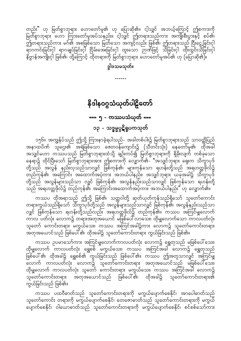တည်း" ဟု မြတ်စွာဘုရား ဟောတော်မူ၏ ဟု ပြောဆို၏။ ငါ့သျှင် အဘယ့်ကြောင့် ဤစကားကို မြတ်စွာဘုရား ဟော ကြားတော်မူအပ်သနည်း။ ငါ့သျှင် ဤတရားသည်ကား အကျိုးစီးပွားနှင့် စပ်၏၊ ဤတရားသည်ကား မဂ်၏ အစဖြစ်သော မြတ်သော အကျင့်လည်း ဖြစ်၏၊ ဤတရားသည် ငြီးငွေ့ခြင်းငှါ –<br>ရာဂကင်းခြင်းငှါ ရာဂချုပ်ခြင်းငှါ် ငြိမ်းအေးခြင်းငှါ ထူးသော ဉာဏ်ဖြင့် သိခြင်းငှါ ထိုးထွင်းသိခြင်းငှါ နိဗ္ဗာန်အကျိုးငှါ ဖြစ်၏၊ ထို့ကြောင့် ထိုတရားကို မြတ်စွာဘုရား ဟောတော်မူအပ်ိ၏ ဟု (ပြောဆို၏)။

ဒွါဒသမသုတ်။

နိဒါနဝဂ္ဂသံယုတ်ပါဠိတော်

=== ၅ - ကဿပသံယုတ် === ၁၃ - သဒ္ဓမ္မပ္ပဋိရူပကသုတ် ၁၅၆။ အကျွန်ုပ်သည် ဤသို့ ကြားနာခဲ့ရပါသည်- အခါတစ်ပါး၌ မြတ်စွာဘုရားသည် သာဝတ္ထိပြည်

အနာထပိဏ် သူဌေး၏ အရံဖြစ်သော ဇေတဝန်ကျောင်း၌ (သီတင်းသုံး) နေတော်မူ၏၊ ထိုအခါ အသျှင်မဟာ ကဿပသည် မြတ်စွာဘုရားထံသို့ ချဉ်းကပ်၍ မြတ်စွာဘုရားကို ရှိခိုးလျက် တစ်ခုသော နေရာ၌ ထိုင်ပြီးသော် မြတ်စွာဘုရားအား ဤစကားကို လျှောက်၏- "အသျှင်ဘုရား ရှေးက သိက္ခာပုဒ် တို့သည် အလွန် နည်းလှသည်သာလျှင် ဖြစ်ကုန်၏၊ များကုန်သော ရဟန်းတို့သည် အရဟတ္တဖိုလ်၌ တည်ကုန်၏၊ အကြောင်း အထောက်အပံ့ကား အဘယ်ပါနည်း၊ အသျှင်ဘုရား ယခုအခါ၌ သိက္ခာပုဒ် တို့သည် အလွန်များသည်သာ လျှင် ဖြစ်ကုန်၏၊ အလွန်နည်းသည်သာလျှင် ဖြစ်ကုန်သော ရဟန်းတို့ သည် အရဟတ္တဖိုလ်၌ တည်ကုန်၏၊ အကြောင်းအထောက်အပံ့ကား အဘယ်ပါနည်း" ဟု လျှောက်၏။

ကဿပ ထိုအရာသည် ဤသို့ ဖြစ်၏၊ သတ္တဝါတို့ ဆုတ်ယုတ်ကုန်သည်ရှိသော် သူတော်ကောင်း တရားကွယ်သည်ရှိသော် သိက္ခာပုဒ်တို့သည် အလွန်များသည်သာလျှင် ဖြစ်ကုန်၏၊ အလွန်နည်းသည်သာ လျှင် ဖြစ်ကုန်သော ရဟန်းတို့သည်လည်း အရဟတ္တဖိုလ်၌ တည်ကုန်၏။ ကဿပ အကြင်မျှလောက် ကာလ ပတ်လုံး လောက၌ တရားအတုအယောင် မဖြစ်ပေါ် လာသေး၊ ထိုမျှလောက်သော ကာလပတ်လုံး သူတော် ကောင်းတရား မကွယ်သေး၊ ကဿပ အကြင်အခါ၌ကား လောက၌ သူတော်ကောင်းတရား အတုအယောင်သည် ဖြစ်ပေါ် ၏၊ ထိုအခါ၌ သူတော်ကောင်းတရား ကွယ်ခြင်းသည် ဖြစ်၏။

ကဿပ ဉပမာသော်ကား အကြင်မျှလောက်ကာလပတ်လုံး လောက၌ ရွှေတုသည် မဖြစ်ပေါ် သေး၊ ထိုမျှလောက် ကာလပတ်လုံး ရွှေစစ် မကွယ်သေး၊ ကဿပ အကြင်အခါ လောက၌ ရွှေတုသည် .<br>ဖြစ်ပေါ့်၏၊ ထိုအခါ၌ ရွှေစစ်၏ ကွယ်ခြင်းသည် ဖြစ်ပေါ်၏။ ကဿပ ဤအတူသာလျှင် အကြင်မျှ ထိုမျှလောက် ကာလပတ်လုံး သူတော် ကောင်းတရား မကွယ်သေး၊ ကဿပ အကြင်အခါ လောက၌ သူတော်ကောင်းတရား အတုအယောင်သည် ဖြစ်ပေါ််၏၊ ထိုအခါ၌ သူတော်ကောင်းတရား၏ ကွယ်ခြင်းသည် ဖြစ်၏။

ကဿပ ပထဝီဓာတ်သည် သူတော်ကောင်းတရားကို မကွယ်ပျောက်စေနိုင်၊ အာပေါဓာတ်သည် သူတော်ကောင်း တရားကို မကွယ်ပျောက်စေနိုင်၊ တေဇောဓာတ်သည် သူတော်ကောင်းတရားကို မကွယ် ပျောက်စေနိုင်၊ ဝါယောဓာတ်သည် သူတော်ကောင်းတရားကို မကွယ်ပျောက်စေနိုင်၊ စင်စစ်သော်ကား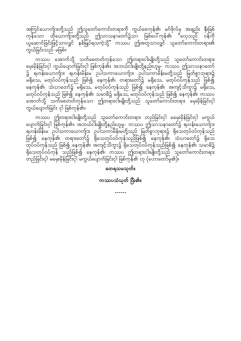အကြင်ယောက်ျားတို့သည် ဤသူတော်ကောင်းတရားကို ကွယ်စေကုန်၏၊ မဂ်ဖိုလ်မှ အချည်း နှီးဖြစ် ukefaom ထိုယောက်ျားတို့သည် ဤသာသနာတော်၌သာ ဖြစ်ပေါ်ကုန်၏၊ "လှေသည် ဝန်ကို .<br>ယူဆောင်ခြင်းဖြင့်သာလျှင် နစ်မြုပ်ရသကဲ့သို့" ကဿပ ဤအတူသာလျှင် သူတော်ကောင်းတရား၏ ကွယ်ခြင်းသည် မဖြစ်။

ကဿပ အောက်သို့ သက်စေတတ်ကုန်သော ဤတရားငါးမျိုးတို့သည် သူတော်ကောင်းတရား မှေးမှိန်ခြင်းငှါ ကွယ်ပျောက်ခြင်းငှါ ဖြစ်ကုန်၏။ အဘယ်ငါးမျိုးတို့နည်းဟူမူ- ကဿပ ဤသာသနာတော် ၌ ရဟန်းယောကျ်ား ရဟန်းမိန်းမ ဉပါသကာယောက်ျား ဉပါသကာမိန်းမတို့သည် မြတ်စွာဘုရား၌ မရိုသေ, မတုပ်ဝပ်ကုန်သည် ဖြစ်၍ နေကုန်၏၊ တရားတော်၌ မရိုသေ, မတုပ်ဝပ်ကုန်သည် ဖြစ်၍ နေကုန်၏၊ သံဃာတော်၌ မရှိသေ, မတုပ်ဝပ်ကုန်သည် ဖြစ်၍ နေကုန်၏၊ အကျင့်သိက္ခာ၌ မရှိသေ, rwki<br>မတုပ်ဝပ်ကုန်သည် ဖြစ်၍ နေကုန်၏၊ သမာဓိ၌ မရှိသေ, မတုပ်ဝပ်ကုန်သည် ဖြစ်၍ နေကုန်၏၊ ကဿပ ဆောက်သို့ သက်စေတတ်ကုန်သော ဤတရားငါးမျိုးတို့သည် သူတော်ကောင်းတရား မှေးမှိန်ခြင်းငှါ ကွယ်ပျောက်ခြင်း ငှါ ဖြစ်ကုန်၏။

ကဿပ ဤတရားငါးမျိုးတို့သည် သူတော်ကောင်းတရား တည်ခြင်းငှါ မမှေးမှိန်ခြင်းငှါ မကွယ် ပျောက်ခြင်းငှါ ဖြစ်ကုန်၏။ အဘယ်ငါးမျိုးတို့နည်းဟူမူ- ကဿပ ဤသာသနာတော်၌ ရဟန်းယောက်ျား ္<br>ရဟန်းမိန်းမ ဉပါသကာယောက်ျား ဉပါသကာမိန်းမတို့သည် မြတ်စွာဘုရား၌ ရိုသေတုပ်ဝပ်ကုန်သည် ဖြစ်၍ နေကုန်၏၊ တရားတော်၌ ရိုသေတုပ်ဝပ်ကုန်သည်ဖြစ်၍ နေကုန်၏၊ သံဃာတော်၌ ရိုသေ wြစ်တို့ သည် ဖြစ်၍ နေကုန်၏၊ အကျင့်သိက္ခာ၌ ရိုသေတုပ်ဝပ်ကုန်သည်ဖြစ်၍ နေကုန်၏၊ သမာဓိ၌ ္ပြ<br>နေသေတုပ်ဝပ်ကုန် သည်ဖြစ်၍ နေကုန်၏၊ ကဿပ ဤတရားငါးမျိုးတို့သည် သူတော်ကောင်းတရား ာက်ခြင်းငှါ မမှေးမှိန်ခြင်းငှါ မကွယ်ပျောက်ခြင်းငှါ ဖြစ်ကုန်၏ ဟု (ထောင်တာ်မူ၏)။

> တေရသမသုတ်။ ကဿပသံယုတ် <mark>ပြီး၏</mark>။

> > ------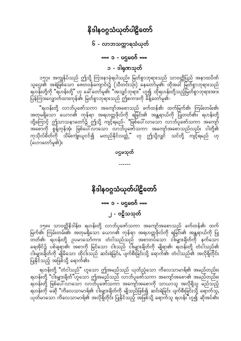#### နိဒါနဝဂ္ဂသံယုတ်ပါဠိတော်

၆ - လာဘသက္ကာရသံယုတ်

=== ၁ - ပဌမဝဂ် ===

၁ - ဒါရုဏသုတ်

၁၅၇။ အကျွန်ုပ်သည် ဤသို့ ကြားနာခဲ့ရပါသည်။ မြတ်စွာဘုရားသည် သာဝတ္ထိပြည် အနာထပိဏ် သူဌေး၏ အရံဖြစ်သော ဇေတဝန်ကျောင်း၌ (သီတင်းသုံး) နေတော်မူ၏၊ ထိုအခါ မြတ်စွာဘုရားသည်<br>ရဟန်းတို့ကို "ရဟန်းတို့" ဟု ခေါ်တော်မူ၏၊ "အသျှင်ဘုရား" ဟူ၍ ထိုရဟန်းတို့သည့်မြတ်စွာဘုရားအား ပြန်ကြားလျှောက်ထားကုန်၏၊ မြတ်စွာဘုရားသည် ဤစကားကို မိန့်တော်မူ၏-

"ရဟန်းတို့ လာဘ်ပူဇော်သကာ အကျော်အစောသည် ခက်ထန်၏၊ ထက်မြက်၏၊ ကြမ်းတမ်း၏၊ ္မာေနာက္ေတာ္ေတာ္ေတာ္ေတာ္<br>အတုမရှိသော ယောဂ၏ ကုန်ရာ အရဟတ္တဖိုလ်ကို ရခြင်း၏ အန္တရာယ်ကို ပြုတတ်၏။ ရဟန်းတို့<br>ထို့ကြောင့် ဤသာသနာတော်၌ ဤသို့ ကျင့်ရမည်- "ဖြစ်ပေါ် လာသော လာဘ်ပူဇော်သကာ အကျော် ာ<br>အစောကို စွန့်ကုန်အံ့၊ ဖြစ်ပေါ်လာသော လာဘ်ပူဇော်သကာ အကျော်အစောသည်လည်း ငါတို့၏ ကုသိုလ်စိတ်ကို သိမ်းကျုံးယူငင်၍ မတည်နိုင်လတ္တံ့" ဟု ဤသို့လျှင် သင်တို့ ကျင့်ရမည် ဟု (ဟောတော်မူ၏)။

ပဌမသုတ်

နိဒါနဝဂ္ဂသံယုတ်ပါဠိတော် === ၁ - ပဌမဝဂ် === ၂ - ဗဠိသသုတ်

၁၅၈။ သာဝတ္ထိနိဒါန်း။ ရဟန်းတို့ လာဘ်ပူဇော်သကာ အကျော်အစောသည် ခက်ထန်၏၊ ထက် မြက်၏၊ ကြမ်းတမ်း၏၊ အတုမရှိသော ယောဂ္ဂ၏ ကုန်ရာ အရဟတ္တဖိုလ်ကို ရခြင်း၏ အန္တရာယ်ကို ပြု ၂<br>တတ်၏၊ ရဟန်းတို့ ဥပမာသော်ကား တံငါသည်သည် အစာတပ်သော ငါးမျှားချိတ်ကို နက်သော ရေအိုင်၌ ပစ်ချရာ၏၊ အစာကို မြင်သော ငါးသည် ငါးမျှားချိတ်ကို မျိုရာ၏၊ ရဟန်းတို့ တံငါသည်၏ ငါးမျှားချိတ်ကို မျိုမိသော ထိုငါးသည် ဆင်းရဲခြင်း, ပျက်စီးခြင်းသို့ ရောက်၏၊ တံငါသည်၏ အလိုရှိတိုင်း ပြုနိုင်သည့် အဖြစ်သို့ ရောက်၏။

ရဟန်းတို့ "တံငါသည်" ဟူသော ဤအမည်သည် ယုတ်ညံ့သော ကိလေသာမာရ်၏ အမည်တည်း။ ရဟန်းတို့ "ငါးမျှားချိတ်"ဟူသော ဤအမည်သည် လာဘ်ပူဇော်သကာ အကျော်အစော်၏ အမည်တည်း။ ရဟန်းတို့ ဖြစ်ပေါ်လာသော လာဘ်ပူဇော်သကာ အကျော်အစောကို သာယာသူ အလိုရှိသူ မည်သည့် ရဟန်းကို မဆို "ကိလေသာမာရ်၏ ငါးမျှားချိတ်ကို မျိုသည်ဖြစ်၍ ဆင်းရဲခြင်း ပျ<sup>င်္ဂ</sup>စီးခြင်းသို့ ရောက်သူ**,** .<br>ယုတ်မာသော ကိလေသာမာရ်၏ အလိုရှိတိုင်း ပြုနိုင်သည့် အဖြစ်သို့ ရောက်သူ ရဟန်း ဟူ၍ ဆိုအပ်၏။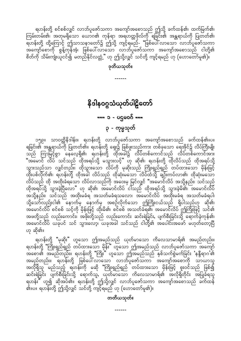ရဟန်းတို့ စင်စစ်လျှင် လာဘ်ပူဇော်သကာ အကျော်အစောသည် ဤသို့ ခက်ထန်၏၊ ထက်မြက်၏၊ ကြမ်းတမ်း၏၊ အတုမရှိသော ယောဂ၏ ကုန်ရာ အရဟတ္တဖိုလ်ကို ရခြင်း၏ အန္တရာယ်ကို ပြုတတ်၏၊ အကျော်စောကို စွန့်ကုန်အံ့၊ ဖြစ်ပေါ်လာသော လာဘ်ပူဇော်သကာ အကျော်အစောသည် ငါတို့၏ စိတ်ကို သိမ်းကျုံးယူငင်၍ မတည်နိုင်လတ္တံ့" ဟု ဤသို့လျှင် သင်တို့ ကျင့်ရမည် ဟု (ဟောတော်မူ၏)။

ဒုတိယသုတ်။

------

#### နိဒါနဝဂ္ဂသံယုတ်ပါဠိတော်

=== ၁ - ပဌမဝဂ် ===

၃ - ကုမ္ပသုတ်

၁၅၉။ သာဝတ္ထိနိဒါန်း။ ရဟန်းတို့ လာဘ်ပူဇော်သကာ အကျော်အစောသည် ခက်ထန်၏။ပ။ ရခြင်း၏ အန္တရာယ်ကို ပြုတတ်၏။ ရဟန်းတို့ ရှေး၌ ဖြစ်ဖူးသည်ကား တစ်ခုသော ရေအိုင်၌ လိပ်ကြီးမျိုး သည် ကြာမြင့်စွာ နေလေ့ရှိ၏၊ ရဟန်းတို့ ထိုအခါ၌ လိပ်တစ်ကောင်သည် လိပ်တစ်ကောင်အား "အမောင် လိပ် သင်သည် ထိုအရပ်သို့ မသွားလင့်" ဟု ဆို၏၊ ရဟန်းတို့ ထိုလိပ်သည် ထိုအရပ်သို့ သွားသည်သာ လျှင်တည်း၊ ထိုသွားသော လိပ်ကို မုဆိုးသည် ကြိုးရှည်ရှည် တပ်ထားသော မှိန်းဖြင့် လိပ်သည် ထို အထိုးခံရသော လိပ်လာသည်ကို အဝေးမှ မြင်လျှင် "အမောင်လိပ် အသို့နည်း၊ သင်သည် ထိုအရပ်သို့ သွားခဲ့ပြီလော" ဟု ဆို၏၊ အမောင်လိပ် ငါသည် ထိုအရပ်သို့ သွားခဲ့မိ၏၊ အမောင်လိပ် အသို့နည်း၊ သင်သည် အထိုးမခံရ အသတ်မခံရသလော၊ အမောင်လိပ် အထိုးမခံရ အသတ်မခံရပါ၊ သို့သော်လည်းငါ၏ နောက်မှ နောက်မှ အစဉ်လိုက်သော ဤကြိုးငယ်သည် ရှိပါသည်ဟု ဆို၏၊ အမောင်လိပ် စင်စစ် သင့်ကို မှိန်းဖြင့် ထိုးမိ၏၊ စင်စစ် အသတ်ခံရ၏၊ အမောင်လိပ် ဤကြိုးဖြင့် သင်၏ အဖတို့သည် လည်းကောင်း၊ အဖိုးတို့သည် လည်းကောင်း ဆင်းရဲခြင်း, ပျက်စီးခြင်းသို့ ရောက်ခဲ့ကုန်၏၊ အမောင်လိပ် ယခုပင် သင် သွားလော့၊ ယခုအခါ သင်သည် ငါတို့၏ အပေါင်းအဖော် မဟုတ်တော့ပြီ ဟု ဆို၏။

ရဟန်းတို့ "မုဆိုး" ဟူသော ဤအမည်သည် ယုတ်မာသော ကိလေသာမာရ်၏ အမည်တည်း။ ရဟန်းတို့ "ကြိုးရှည်ရှည် တပ်ထားသော မှိန်း" ဟူသော ဤအမည်သည် လာဘ်ပူဇော်သကာ အကျော်<br>အစော့၏ အမည်တည်း။ ရဟန်းတို့ "ကြိုး" ဟူသော ဤအမည်သည် နှစ်သက်စွဲမက်ခြင်း 'နန္ဒီရာဂ'၏ အမည်တည်း။ ရဟန်းတို့ ဖြစ်ပေါ်လာသော လာဘ်ပူဇော်သကာ အကျော်အစောကို သာယာသူ အလိုရှိသူ မည်သည့် ရဟန်းကို မဆို "ကြိုးရှည်ရှည် တပ်ထားသော မှိန်းဖြင့် စူးဝင်သည် ဖြစ်၍ ဆင်းရဲခြင်း ပျက်စီးခြင်းသို့ ရောက်သူ, ယုတ်မာသော ကိလေသာမာရ်၏ အလိုရှိတိုင်း အပြုခံရသူ ရဟန်း"် ဟူ၍ ဆိုအပ်၏။ ရဟန်းတို့ ဤသို့လျှင် လာဘ်ပူဇော်သကာ အကျော်အစောသည် ခက်ထန် ၏။ပ။ ရဟန်းတို့ ဤသို့လျှင် သင်တို့ ကျင့်ရမည် ဟု (ဟောတော်မူ၏)။

တတိယသုတ်။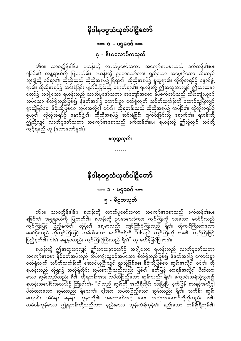## နိဒါနဝဂ္ဂသံယုတ်ပါဠိတော် === ၁ - ပဌမဝဂ် === ၄ - <sup>8</sup>ဃလောမိကသုတ်

၁၆၀။ သာ၀တ္ထိနိဒါန်း။ ရဟန်းတို့ လာဘ်ပူဇော်သကာ အကျော်အစောသည် ခက်ထန်၏။ပ။ - ရခြင်း၏ အန္တရာယ်ကို ပြုတတ်၏။ ရဟန်းတို့ ဉပမာသော်ကား ရှည်သော အမွေးရှိသော သိုးသည်<br>ဆူးချုံသို့ ဝင်ရာ၏၊ ထိုသိုးသည် ထိုထိုအရပ်၌ ငြိရာ၏၊ ထိုထိုအရပ်၌ စွဲယူရာ၏၊ ထိုထိုအရပ်၌ နှောင်ဖွဲ့ ရာ၏၊ ထိုထိုအရပ်၌ ဆင်းရဲခြင်း ပျက်စီးခြင်းသို့ ရောက်ရာ၏။ ရဟန်းတို့ ဤအတူသာလျှင် ဤသာသနာ တော်၌ အချို့သော ရဟန်းသည် လာဘ်ပူဇော်သကာ အကျော်အစော နိုပ်စက်အပ်သည် သိမ်းကျုံးယူငင် အပ်သော စိတ်ရှိသည်ဖြစ်၍ နံနက်အခါ၌ ကောင်းစွာ ဝတ်ရုံလျက် သပိတ်သင်္ကန်းကို ဆောင်ယူပြီးလျှင် ရွာသို့ဖြစ်စေ၊ နိဂုံးသို့ဖြစ်စေ ဆွမ်းအလို့ငှါ် ဝင်၏။ ထိုရဟန်းသည် ထိုထိုအရပ်၌ ကပ်ငြိ၏၊ ထိုထိုအရပ်၌ ၖို့<br>စွဲယူ၏၊ ထိုထိုအရပ်၌ နှောင်ဖွဲ့၏၊ ထိုထိုအရပ်၌ ဆင်းရဲခြင်း ပျက်စီးခြင်းသို့ ရောက်၏။ ရဟန်းတို့ .<br>ဤသို့လျှင် လာဘ်ပူဇော်သကာ အကျော်အစောသည် ခက်ထန်၏။ပ။ ရဟန်းတို့ ဤသို့လျှင် သင်တို့ ကျင့်ရမည် ဟု (ဟောတော်မူ၏)။

စတုတ္ထသုတ်။

နိဒါန၀ဂွသံယုတ်ပါဠိတော် === ၁ - ပဌမဝဂ် === ၅ - မိဋကသုတ်

၁၆၁။ သာဝတ္ထိနိဒါန်း။ ရဟန်းတို့ လာဘ်ပူဇော်သကာ အကျော်အစောသည် ခက်ထန်၏။ပ။ ရခြင်း၏ အန္တရာယ်ကို ပြုတတ်၏၊ ရဟန်းတို့ ဉပမာသော်ကား ကျင်ကြီးကို စားသော မစင်ပိုးသည် .<br>ကျင်ကြီးဖြင့် ပြည့်နှက်၏၊ ထိုပိုး၏ ရှေ့မှာလည်း ကျင်ကြီးပုံကြီးသည် ရှိ၏၊ ထိုကျင်ကြီးစားသော မစင်ပိုးသည် ထိုကျင်ကြီးဖြင့် တစ်ပါးသော မစင်ပိုးတို့ကို "ငါသည် ကျင်ကြီးကို စား၏၊ ကျင်ကြီးဖြင့် .<br>ပြည့်နှက်၏၊ ငါ၏ ရှေ့မှာလည်း ကျင်ကြီးပုံကြီးသည် ရှိ၏" ဟု မထီမဲ့မြင်ပြုရာ၏၊

ရဟန်းတို့ ဤအတူသာလျှင် ဤသာသနာတော်၌ အချို့သော ရဟန်းသည် လာဘ်ပူဇော်သကာ ဝတ်ရုံလျက် သပိတ်သင်္ကန်းကို ဆောင်ယူပြီးလျှင် ရွာသို့ဖြစ်စေ၊ နိဂုံးသို့ဖြစ်စေ ဆွမ်းအလို့ငှါ ဝင်၏၊ ထို ရဟန်းသည် ထိုရွာ၌ အလိုရှိတိုင်း ဆွမ်းစားပြီးသည်လည်း ဖြစ်၏၊ နက်ဖြန် စားရန်အလို့ငှါ ဖိတ်ထား သော ဆွမ်းသည်လည်း ရှိ၏၊ ထိုရဟန်းအား သပိတ်ပြည့်သော ဆွမ်းလည်း ရှိ၏၊ ကျောင်းအရံသို့သွား၍ ရဟန်းအပေါင်းအလယ်၌ ကြုံးဝါး၏- "ငါသည် ဆွမ်းကို အလိုရှိတိုင်း စားပြီးပြီ၊ နက်ဖြန် စားရန်အလို့ငှါ ဖိတ်ထားသော ဆွမ်းလည်း ရှိသေး၏၊ ငါ့အား သပိတ်ပြည့်သော ဆွမ်းလည်း ရှိ၏၊ သင်္ကန်း ဆွမ်း ကျောင်း အိပ်ရာ နေရာ သူနာတို့၏ အထောက်အပံ့ ဆေး အသုံးအဆောင်တို့ကိုလည်း ရ၏၊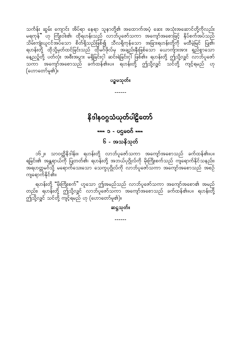သင်္ကန်း ဆွမ်း ကျောင်း အိပ်ရာ နေရာ သူနာတို့၏ အထောက်အပံ့ ဆေး အသုံးအဆောင်တို့ကိုလည်း မရကုန်" ဟု ကြုံးဝါး၏၊ ထိုရဟန်းသည် လာဘ်ပူဇော်သကာ အကျော်အစောဖြင့် နှိပ်စက်အပ်သည် သိမ်းကျုံးယူငင်အပ်သော စိတ်ရှိသည်ဖြစ်၍ သီလရှိကုန်သော အခြားရဟန်းတို့ကို မထီမဲ့မြင် ပြု၏၊<br>သိမ်းကျုံးယူငင်အပ်သော စိတ်ရှိသည်ဖြစ်၍ သီလရှိကုန်သော အခြားရဟန်းတို့ကို မထီမဲ့မြင် ပြု၏၊ ရဟန်းတို့ ထိုသို့မှတ်ထင်ခြင်းသည် ထိုမဂ်ဖိုလ်မှ အချည်းနှီးဖြစ်သော ယောက်ျားအား ရှည်စွာသော နေ့ညဉ့်တို့ ပတ်လုံး အစီးအပွား မရှိခြင်းငှါ ဆင်းရဲခြင်းငှါ ဖြစ်၏။ ရဟန်းတို့ ဤသို့လျှင် လာဘ်ပူဇော် ာက်သို့ -<br>သကာ အကျော်အစောသည် ခက်ထန်၏။ပ။ ရဟန်းတို့ ဤသို့လျှင် သင်တို့ ကျင့်ရမည် ဟု (ဟောတော်မူ၏)။

ပဥ္စမသုတ်။

နိဒါနဝဂ္ဂသံယုတ်ပါဠိတော် === ၁ - ပဌမဝဂ် === ၆ - အသနိသုတ်

၁၆၂။ သာဝတ္ထိနိဒါန်း။ ရဟန်းတို့ လာဘ်ပူဇော်သကာ အကျော်အစောသည် ခက်ထန်၏။ပ။ ရခြင်း၏ အန္တရာယ်ကို ပြုတတ်၏၊ ရဟန်းတို့ အဘယ်ပုဂ္ဂိုလ်ကို မိုးကြိုးစက်သည် ကျရောက်နိုင်သနည်း၊ ျပ<br>အရဟတ္တမဂ်သို့ မရောက်သေးသော သေက္ခပုဂ္ဂိုလ်ကို လာဘ်ပူဇော်သကာ အကျော်အစောသည် အစဉ် ကျရောက်နိုင်၏။

ရဟန်းတို့ "မိုးကြိုးစက်" ဟူသော ဤအမည်သည် လာဘ်ပူဇော်သကာ အကျော်အစော၏ အမည် တည်း၊ ရဟန်းတို့ ဤသို့လျှင် လာဘ်ပူဇော်သကာ အကျော်အစောသည် ခက်ထန်၏။ပ။ ရဟန်းတို့<br>ဤသို့လျှင် သင်တို့ ကျင့်ရမည် ဟု (ဟောတော်မူ၏)။

ဆဋ္ဌသုတ်။

------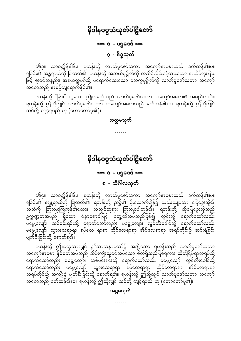## နိဒါနဝဂ္ဂသံယုတ်ပါဠိတော် === ၁ - ပဌမဝဂ် === ၇ - ဒိဒ္ဓသုတ်

၁၆၃။ သာဝတ္ထိနိဒါန်း။ ရဟန်းတို့ လာဘ်ပူဇော်သကာ အကျော်အစောသည် ခက်ထန်၏။ပ။ ရခြင်း၏ အန္တရာယ်ကို ပြုတတ်၏၊ ရဟန်းတို့ အဘယ်ပုဂ္ဂိုလ်ကို အဆိပ်လိမ်းကျံထားသော အဆိပ်လူးမြား ျှင်<br>ဖြင့် စူးဝင်သနည်း၊ အရဟတ္တမဂ်သို့ မရောက်သေးသော သေက္ခပုဂ္ဂိုလ်ကို လာဘ်ပူဇော်သကာ အကျော် -<br>အစောသည် အစဉ်ကျရောက်နိုင်၏။

ရဟန်းတို့ "မြား" ဟူသော ဤအမည်သည် လာဘ်ပူဇော်သကာ အကျော်အစော၏ အမည်တည်း၊ ရဟန်းတို့ ဤသို့လျှင် လာဘ်ပူဇော်သကာ အကျော်အစောသည် ခက်ထန်၏။ပ။ ရဟန်းတို့ ဤသို့လျှင် သင်တို့ ကျင့်ရမည် ဟု (ဟောတော်မူ၏)။

သတ္တမသုတ်

နိဒါန၀ဂွသံယုတ်ပါဠိတော်

=== ၁ - ပဌမဝဂ် === ၈ - သိင်္ဂါလသုတ်

၁၆၄။ သာဝတ္ထိနိဒါန်း။ ရဟန်းတို့ လာဘ်ပူဇော်သကာ အကျော်အစောသည် ခက်ထန်၏။ပ။ ရခြင်း၏ အန္တရာယ်ကို ပြုတတ်၏၊ ရဟန်းတို့ ညဉ့်၏ မိုးသောက်ချိန်၌ ညည်းညူသော မြေခွေးအို၏ ာ<br>သံသံကို ကြားဖူးကြကုန်၏လော၊ အသျှင်ဘုရား ကြားဖူးပါကုန်၏။ ရဟန်းတို့ ထိုမြေခွေးအိုသည် ၣဣဣႍၮအမည် ရှိသော ဝဲနာရောဂါဖြင့် တွေ့ထိအပ်သည်ဖြစ်၍ တွင်းသို့ ရောက်သော်လည်း မိမွေ့လျော်၊ သစ်ပင်းရင်းသို့ ရောက်သော်လည်း မမွေ့လျော်၊ လွင်တီးခေါင်သို့ ရောက်သော်လည်း မမွေ့လျော်၊ သွားလေရာရာ ရပ်လေ ရာရာ ထိုင်လေရာရာ အိပ်လေရာရာ အရပ်တိုင်း၌ ဆင်းရဲခြင်း ပျက်စီးခြင်းသို့ ရောက်ရ၏။

ရဟန်းတို့ ဤအတူသာလျှင် ဤသာသနာတော်၌ အချို့သော ရဟန်းသည် လာဘ်ပူဇော်သကာ<br>အကျော်အစော နှိပ်စက်အပ်သည် သိမ်းကျုံးယူငင်အပ်သော စိတ်ရှိသည်ဖြစ်ရကား ဆိတ်ငြိမ်ရာအရပ်သို့ ရောက်သော်လည်း မမွေ့လျော်၊ သစ်ပင်းရင်းသို့ ရောက်သော်လည်း မမွေ့လျော်၊ လွင်တီးခေါင်သို့ ရောက်သော်လည်း မမွေ့လျော်၊ သွားလေရာရာ ရပ်လေရာရာ ထိုင်လေရာရာ အိပ်လေရာရာ အရပ်တိုင်း၌ အကျိုးမဲ့ ပျက်စီးခြင်းသို့ ရောက်ရ၏။ ရဟန်းတို့ ဤသို့လျှင် လာဘ်ပူဇော်သကာ အကျော် အစောသည် ခက်ထန်၏။ပ။ ရဟန်းတို့ ဤသို့လျှင် သင်တို့ ကျင့်ရမည် ဟု (ဟောတော်မူ၏)။

အဋ္ဌမသုတ်

 $\frac{1}{2}$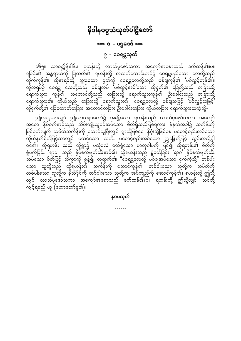=== ၁ - ပဌမဝဂ် ===

၉ - ဝေရမ္ဘသုတ်

၁၆၅။ သာဝတ္ထိနိဒါန်း။ ရဟန်းတို့ လာဘ်ပူဇော်သကာ အကျော်အစောသည် ခက်ထန်၏။ပ။ ရခြင်း၏ အန္တရာယ်ကို ပြုတတ်၏၊ ရဟန်းတို့ အထက်ကောင်းကင်၌ ဝေရမ္ဘမည်သော လေတို့သည်<br>တိုက်ကုန်၏၊ ထိုအရပ်သို့ သွားသော ငှက်ကို ဝေရမ္ဘလေတို့သည် ပစ်ချကုန်၏ 'ပစ်လွှင့်ကုန်၏ ။ ထိုအရပ်၌ ဝေရမ္တ လေတို့သည် ပစ်ချအပ် ပစ်လွှင့်အပ်'သော ထိုငှက်၏ ခြေတို့သည် တခြားသို့ ရောက်သွား ကုန်၏၊ အတောင်တို့သည် တခြားသို့ ရောက်သွားကုန်၏၊ ဦးခေါင်းသည် တခြားသို့ ရောက်သွား၏၊ ကိုယ်သည် တခြားသို့ ရောက်သွား၏၊ ဝေရမ္ဘလေတို့ ပစ်ချသဖြင့် ပစ်လွှင့်သဖြင့် ထိုငှက်တို့၏ ခြေထောက်တခြား အတောင်တခြား ဦးခေါင်းတခြား ကိုယ်တခြား ရောက်သွားသကဲ့သို့-

ဤအတူသာလျှင် ဤသာသနာတော်၌ အချို့သော ရဟန်းသည် လာဘ်ပူဇော်သကာ အကျော် အစော နှိပ်စက်အပ်သည် သိမ်းကျုံးယူငင်အပ်သော စိတ်ရှိသည်ဖြစ်ရကား နံနက်အခါ၌ သင်္ကန်းကို ပြင်ဝတ်လျက် သပိတ်သင်္ကန်းကို ဆောင်ယူပြီးလျှင် ရွာသို့ဖြစ်စေ၊ နိဂုံးသို့ဖြစ်စေ မစောင့်စည်းအပ်သော တိုယ်နှုတ်စိတ်ဖြင့်သာလျှင် မထင်သော သတိ, မစောင့်စည်းအပ်သော ဣန္ဒြေတို့ဖြင့် ဆွမ်းအလို့ငှါ ဝင်၏။ ထိုရဟန်း သည် ထိုရွာ၌ မလုံမလဲ ဝတ်ရုံသော မာတုဂါမကို မြင်၍ ထိုရဟန်း၏ စိတ်ကို<br>စွဲမက်ခြင်း 'ရာဂ' သည် နှိပ်စက်ဖျက်ဆီးအပ်၏၊ ထိုရဟန်းသည် စွဲမက်ခြင်း 'ရာဂ' နှိပ်စက်ဖျက်ဆီး .<br>အပ်သော စိတ်ဖြင့် သိက္ခာကို စွန့်၍ လူထွက်၏၊ "ဝေရမ္ဘလေတို့ ပစ်ချအပ်သော ငှက်ကဲ့သို့" တစ်ပါး သော သူတို့သည် ထိုရဟန်း၏ သင်္ကန်းကို ဆောင်ကုန်၏၊ တစ်ပါးသော သူတို့က သပိတ်ကို တစ်ပါးသော သူတို့က နိသီဒိုင်ကို တစ်ပါးသော သူတို့က အပ်ကျည်ကို ဆောင်ကုန်၏။ ရဟန်းတို့ ဤသို့ လျှင် လာဘ်ပူဇော်သကာ အကျော်အစောသည် ခက်ထန်၏။ပ။ ရဟန်းတို့ ဤသို့လျှင် သင်တို့ ကျင့်ရမည် ဟု (ဟောတော်မူ၏)။

နဝမသုတ်

 $\frac{1}{2}$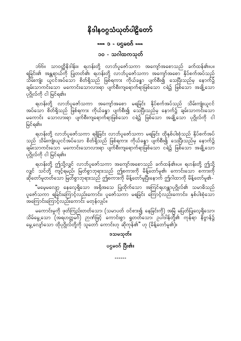=== ၁ - ပဌမဝဂ် === ၁၀ - သဂါထကသုတ်

၁၆၆။ သာဝတ္ထိနိဒါန်း။ ရဟန်းတို့ လာဘ်ပူဇော်သကာ အကျော်အစောသည် ခက်ထန်၏။ပ။ ရခြင်း၏ အန္တရာယ်ကို ပြုတတ်၏၊ ရဟန်းတို့ လာဘ်ပူဇော်သကာ အကျော်အစော နှိပ်စက်အပ်သည် .<br>သိမ်းကျုံး ယူငင်အပ်သော စိတ်ရှိသည် ဖြစ်ရကား ကိုယ်ခန္ဓာ ပျက်စီး၍ သေပြီးသည်မှ နောက်၌ ျမ်းသာကင်းသော မကောင်းသောလားရာ ပျက်စီးကျရောက်ရာဖြစ်သော ငရဲ၌ ဖြစ်သော အချို့သော .<br>ပုဂ္ဂိုလ်ကို ငါ မြင်ရ၏။

ရဟန်းတို့ လာဘ်ပူဇော်သကာ အကျော်အစော မရခြင်း နှိပ်စက်အပ်သည် သိမ်းကျုံးယူငင် အပ်သော စိတ်ရှိသည် ဖြစ်ရကား ကိုယ်ခန္ဓာ ပျက်စီး၍ သေပြီးသည်မှ နောက်၌ ချမ်းသာကင်းသော မကောင်း သောလားရာ ပျက်စီးကျရောက်ရာဖြစ်သော ငရဲ၌ ဖြစ်သော အချို့သော ပုဂ္ဂိုလ်ကို ငါ မြင်ရ၏။

ရဟန်းတို့ လာဘ်ပူဇော်သကာ ရရှိခြင်း လာဘ်ပူဇော်သကာ မရခြင်း ထိုနှစ်ပါးစုံသည် နှိပ်စက်အပ် သည် သိမ်းကျုံးယူငင်အပ်သော စိတ်ရှိသည် ဖြစ်ရကား ကိုယ်ခန္ဓာ ပျက်စီး၍ သေပြီးသည်မှ နောက်၌ ၣႍႍ<br>ချမ်းသာကင်းသော မကောင်းသောလားရာ ပျက်စီးကျရောက်ရာဖြစ်သော ငရဲ၌ ဖြစ်သော အချို့သော ပုဂ္ဂိုလ်ကို ငါ မြင်ရ၏။

ရဟန်းတို့ ဤသို့လျှင် လာဘ်ပူဇော်သကာ အကျော်အစောသည် ခက်ထန်၏။ပ။ ရဟန်းတို့ ဤသို့ လျှင် သင်တို့ ကျင့်ရမည်၊ မြတ်စွာဘုရားသည် ဤစကားကို မိန့်တော်မူ၏၊ ကောင်းသော စကားကို ဆိုတော်မူတတ်သော မြတ်စွာဘုရားသည် ဤစကားကို မိန့်တော်မူပြီးနောက် ဤဂါထာကို မိန့်တော်မူ၏-

"မမေ့မလျော့ နေလေ့ရှိသော အရိုအသေ ပြုထိုက်သော အကြင်ရဟန္တာပုဂ္ဂိုလ်၏ သမာဓိသည် ပူဇော်သကာ ရခြင်းကြောင့်လည်းကောင်း၊ ပူဇော်သကာ မရခြင်း ကြောင့်လည်းကောင်း၊ နှစ်ပါးစုံသော အကြောင်းကြောင့်လည်းကောင်း မတုန်လျှပ်။

မကောင်းမှုကို ဖုတ်ကြည်းတတ်သော၊ (သမာပတ် ဝင်စား၍ နေခြင်းကို) အမြဲ မပြတ်ပြုလေ့ရှိသော၊ သိမ်မွေ့သော (အရဟတ္တမဂ်) ဉာဏ်ဖြင့် ကောင်းစွာ ရှုတတ်သော၊ ဉပါဒါန်တို့၏ ကုန်ရာ နိဗ္ဗာန်၌ မွေ့လျော်သော ထိုပုဂ္ဂိုလ်ိတို့ကို သူတော် ကောင်းဟု ဆိုကုန်၏" ဟု (မိန့်တော်မူ၏)။

ဒသမသုတ်။

ပဌမဝဂ် ပြီး၏။

------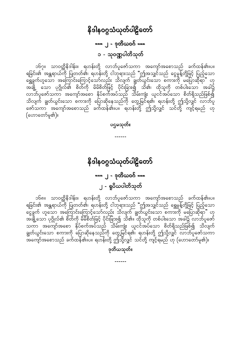## နိဒါနဝဂ္ဂသံယုတ်ပါဠိတော် === ၂ - ဒုတိယဝဂ် === ၁ - သုဝဏ္ဏပါတိသုတ်

၁၆၇။ သာဝတ္ထိနိဒါန်း။ ရဟန်းတို့ လာဘ်ပူဇော်သကာ အကျော်အစောသည် ခက်ထန်၏။ပ။ ရခြင်း၏ အန္တရာယ်ကို ပြုတတ်၏၊ ရဟန်းတို့ ငါဘုရားသည် "ဤအသျှင်သည် ငွေမှုန့်တို့ဖြင့် ပြည့်သော ျပ စာ ။<br>ရွှေခွက်ဟူသော အကြောင်းကြောင့်သော်လည်း သိလျက် ချွတ်ယွင်းသော စကားကို မပြောဆိုရာ" ဟု ာပ္မ<br>အချို့ သော ပုဂ္ဂိုလ်၏ စိတ်ကို မိမိစိတ်ဖြင့် ပိုင်းခြား၍ သိ၏၊ ထိုသူကို တစ်ပါးသော အခါ၌ ္လာေပါ့္<br>လာဘ်ပူဇော်သကာ အကျော်အစော နှိပ်စက်အပ်သည် သိမ်းကျုံး ယူငင်အပ်သော စိတ်ရှိသည်ဖြစ်၍ သိလျှက် ချွတ်ယွင်းသော စကားကို ပြောဆိုနေသည်ကို တွေ့မြင်ရ၏၊ ရဟန်းတို့ ဤသို့လျှင် လာဘ်ပူ ဇော်သကာ အကျော်အစောသည် ခက်ထန်၏။ပ။ ရဟန်းတို့ ဤသို့လျှင် သင်တို့ ကျင့်ရမည် ဟု (ဟောတော်မူ၏)။

ပဌမသုတ်။

နိဒါနဝဂ္ဂသံယုတ်ပါဠိတော်

=== ၂ - ဒုတိယဝဂ် === ၂ - ရူပိယပါတိသုတ်

၁၆၈။ သာဝတ္ထိနိဒ္ဒါန်း။ ရဟန်းတို့ လာဘ်ပူဇော်သကာ အကျော်အစောသည် ခက်ထန်၏။ပ။ -<br>ရခြင်း၏ အန္တရာယ်ကို ပြုတတ်၏၊ ရဟန်းတို့ ငါဘုရားသည် "ဤအသျှင်သည် ရွှေမှုန့်တို့ဖြင့် ပြည့်သော<br>ငွေခွက် ဟူသော အကြောင်းကြောင့်သော်လည်း သိလျက် ချွတ်ယွင်းသော စကားကို မပြောဆိုရာ" ဟု ာပ္မွ<br>အချို့သော ပုဂ္ဂိုလ်၏ စိတ်ကို မိမိစိတ်ဖြင့် ပိုင်းခြား၍ သိ၏။ ထိုသူကို တစ်ပါးသော အခါ၌ လာဘ်ပူဇော် သကာ အကျော်အစော နှိပ်စက်အပ်သည် သိမ်းကျုံး ယူငင်အပ်သော စိတ်ရှိသည်ဖြစ်၍ သိလျက် ချွတ်ယွင်းသော စကားကို ပြောဆိုနေသည်ကို တွေ့မြင်ရ၏၊ ရဟန်းတို့ ဤသို့လျှင် လာဘ်ပူဇော်သကာ<br>အကျော်အစောသည် ခက်ထန်၏။ပ။ ရဟန်းတို့ ဤသို့လျှင် သင်တို့ ကျင့်ရမည် ဟု (ဟောတော်မူ၏)။

ဒုတိယသုတ်။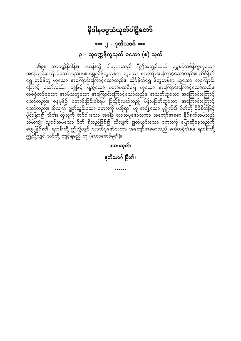## နိဒါနဝဂ္ဂသံယုတ်ပါဠိတော် === ၂ - ဒုတိယ၀ဂ် === ၃ - သုဝဏ္ဏနိက္ခသုတ် စသော (၈) သုတ်

၁၆၉။ သာဝတ္ထိနိဒါန်း။ ရဟန်းတို့ ငါဘုရားသည် "ဤအသျှင်သည် ရွှေစင်တစ်နိက္ခဟူသော အကြောင်းကြောင့်သော်လည်း။ပ။ ရွှေစင်နိက္ခတစ်ရာ ဟူသော အကြောင်းကြောင့်သော်လည်း။ သိင်္ဂနိက် ကြောင့် သော်လည်း။ ရွှေဖြင့် ပြည့်သော မဟာပထဝီမြေ ဟူသော အကြောင်းကြောင့်သော်လည်း။ တစ်စုံတစ်ခုသော အာမိသဟူသော အကြောင်းကြောင့်သော်လည်း။ အသက်ဟူသော အကြောင်းကြောင့် သော်လည်း။ ဇနပုဒ်၌ ကောင်းခြင်းငါးရပ် ပြည့်စုံလတ်သည့် မိန်းမမြတ်ဟူသော အကြောင်းကြောင့် သော်လည်း။ သိလျက် ချွတ်ယွင်းသော စကားကို မဆိုရာ" ဟု အချို့သော ပုဂ္ဂိုလ်၏ စိတ်ကို မိမိစိတ်ဖြင့် ပိုင်းခြား၍ သိ၏။ ထိုသူကို တစ်ပါးသော အခါ၌ လာဘ်ပူဇော်သကာ အကျော်အစော နှိပ်စက်အပ်သည် တွေ့မြင်ရ၏၊ ရဟန်းတို့ ဤသို့လျှင် လာဘ်ပူဇော်သကာ အကျော်အစောသည် ခက်ထန်၏။ပ။ ရဟန်းတို့ ု<br>ဤသို့လျှင် သင်တို့ ကျင့်ရမည် ဟု (ဟောတော်မူ၏)။

ဒသမသုတ်။

ဒုတိယဝဂ် ပြီး၏။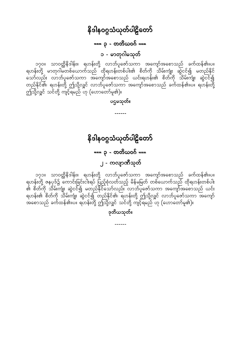နိဒါနဝဂ္ဂသံယုတ်ပါဠိတော်

၁ - မာတုဂါမသုတ်

၁၇၀။ သာဝတ္ထိနိဒါန်း။ ရဟန်းတို့ လာဘ်ပူဇော်သကာ အကျော်အစောသည် ခက်ထန်၏။ပ။ ရဟန်းတို့ မာတုဂါမတစ်ယောက်သည် ထိုရဟန်းတစ်ပါး၏ စိတ်ကို သိမ်းကျုံး ဆွဲငင်၍ မတည်နိုင် သော်လည်း လာဘ်ပူဇော်သကာ အကျော်အစောသည် ယင်းရဟန်း၏ စိတ်ကို သိမ်းကျုံး ဆွဲငင်၍ တည်နိုင်၏၊ ရဟန်းတို့ ဤသို့လျှင် လာဘ်ပူဇော်သကာ အကျော်အစောသည် ခက်ထန်၏။ပ။ ရဟန်းတို့ ဤသို့လျှင် သင်တို့ ကျင့်ရမည် ဟု (ဟောတော်မူ၏)။

ပဌမသုတ်။

------

နိဒါနဝဂ္ဂသံယုတ်ပါဠိတော် ၂ - ကလျာဏီသုတ်

၁၇၁။ သာဝတ္ထိနိဒါန်း။ ရဟန်းတို့ လာဘ်ပူဇော်သကာ အကျော်အစောသည် ခက်ထန်၏။ပ။ ရဟန်းတို့ ဇနပုဒ်၌ ကောင်းခြင်းငါးရပ် ပြည့်စုံလတ်သည့် မိန်မမြတ် တစ်ယောက်သည် ထိုရဟန်းတစ်ပါး ၏ စိတ်ကို သိမ်းကျုံး ဆွဲငင်၍ မတည်နိုင်သော်လည်း လာဘ်ပူဇော်သကာ အကျော်အစောသည် ယင်း ရဟန်း၏ စိတ်ကို သိမ်းကျုံး ဆွဲငင်၍ တည်နိုင်၏၊ ရဟန်းတို့ ဤသို့လျှင် လာဘ်ပူဇော်သကာ အကျော်<br>အစောသည် ခက်ထန်၏။ပ။ ရဟန်းတို့ ဤသို့လျှင် သင်တို့ ကျင့်ရမည် ဟု (ဟောတော်မူ၏)။

ဒုတိယသုတ်။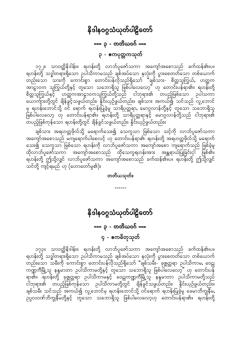နိဒါန၀ဂ္ဂသံယုတ်ပါဠိတော် === ၃ - တတိယဝဂ် === ၃ - ဧကပုတ္တကသုတ်

၁၇၂။ သာဝတ္ထိနိဒါန်း။ ရဟန်းတို့ လာဘ်ပူဇော်သကာ အကျော်အစောသည် ခက်ထန်၏။ပ။ ရဟန်းတို့ သဒ္ဓါတရားရှိသော ဉပါသိကာမသည် ချစ်အပ်သော နှလုံးကို ပွားစေတတ်သော တစ်ယောက် အာဠာဝက သူကြွယ်တို့နှင့် တူသော သဘောရှိသူ ဖြစ်ပါလေလော့" ဟု တောင်းပန်ရာ၏။ ရဟန်းတို့ စိတ္တသူကြွယ်နှင့် ဟတ္ထကအာဠာဝကသူကြွယ်တို့သည် ငါဘုရား၏ တပည့်ဖြစ်သော ဉပါသကာ ယောက်ျားတို့တွင် ချိန်ခွင့်သဖွယ်တည်း၊ နိူင်းယှဉ်ဖွယ်တည်း။ ချစ်သား အကယ်၍ သင်သည် လူ့့ဘောင် မှ ရဟန်းဘောင်သို့ ဝင် ရောက် ရဟန်းပြုခဲ့မူ သာရိပုတ္တရာ, မောဂ္ဂလာန်တို့နှင့် တူသော သဘောရှိသူ -<br>တပည့်ဖြစ်ကုန်သော ရဟန်းတို့တွင် ချိန်ခွင်သဖွယ်တည်း၊ နိူင်းယှဉ်ဖွယ်တည်း။

ချစ်သား အရဟတ္တဖိုလ်သို့ မရောက်သေး၍ သေက္ခသာ ဖြစ်သော သင့်ကို လာဘ်ပူဇော်သကာ အကျော်အစောသည် မိကျရောက်ပါစေလင့် ဟု တောင်းပန်ရာ၏၊ ရဟန်းတို့ အရဟတ္တဖိုလ်သို့ မရောက် သေး၍ သေက္ခသာ ဖြစ်သော ရဟန်းကို လာဘ်ပူဇော်သကာ အကျော်အစော ကျရောက်သည် ဖြစ်ခဲ့မှု ထိုလာဘ်ပူဇော်သကာ အကျော်အစောသည် ထိုသေက္ခရဟန်းအား အန္တရာယ်ပြုခြင်းငှါ ဖြစ်၏။ ရဟန်းတို့ ဤသို့လျှင် လာဘ်ပူဇော်သကာ အကျော်အစောသည် ခက်ထန်၏။ပ။ ရဟန်းတို့ ဤသို့လျှင် သင်တို့ ကျင့်ရမည် ဟု (ဟောတော်မူ၏)။

တတိယသုတ်။

နိဒါန၀ဂွသံယုတ်ပါဠိတော် === ၃ - တတိယဝဂ် === ၄ - ဧကဓိတုသုတ်

၁၇၃။ သာဝတ္ထိနိဒါန်း။ ရဟန်းတို့ လာဘ်ပူဇော်သကာ အကျော်အစောသည် ခက်ထန်၏။ပ။ ရဟန်းတို့ သဒ္ဓါတရားရှိသော ဉပါသိကာမသည် ချစ်အပ်သော နှလုံးကို ပွားစေတတ်သော တစ်ယောက် .<br>တည်းသော သမီးကို ကောင်းစွာ တောင်းပန်လိုသည်ရှိသော် "ချစ်သမီး- ခုဇ္ဈတ္တရာ ဉပါသိကာမ, ဝေဠု ကဏ္ဍကီမြို့သူ နန္ဒမာတာ ဉပါသိကာမတို့နှင့် တူသော သဘောရှိသူ ဖြစ်ပါလေလော့" ဟု တောင်းပန် ရာ၏။ ရဟန်းတို့ ခုဇ္ဈတ္တရာ ဉပါသိကာမနှင့် ဝေဠုကဏ္ဍကီမြို့သူ နန္ဒမာတာ ဉပါသိကာမတို့သည် ငါဘုရား၏ တပည့်ဖြစ်ကုန်သော ဉပါသိကာမတို့တွင် ချိန်ခွင်သဖွယ်တည်း၊ နိူင်းယှဉ်ဖွယ်တည်း။ ချစ်သမီး သင်သည် အကယ်၍ လူ့ဘောင်မှ ရဟန်းဘောင်သို့ ဝင်ရောက် ရဟန်းပြုခဲ့မူ ခေမာဘိက္ခုနီမ, ှ<br>ဥပ္ပလဝဏ်ဘိက္ခုနီမတို့နှင့် တူသော သဘောရှိသူ ဖြစ်ပါလေလော့ဟု တောင်းပန်ရာ၏။ ရဟန်းတို့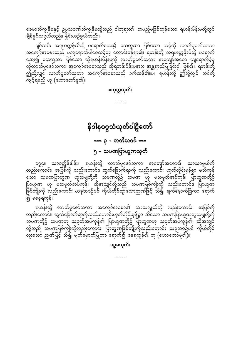ခေမာဘိက္ခုနီမနှင့် ဉပ္ပလဝဏ်ဘိက္ခုနီမတို့သည် ငါဘုရား၏ တပည့်မဖြစ်ကုန်သော ရဟန်းမိန်းမတို့တွင် ချိန်ခွင်သဖွယ်တည်း၊ နိူင်းယှဉ်ဖွယ်တည်း။

ချစ်သမီး အရဟတ္တဖိုလ်သို့ မရောက်သေး၍ သေက္ခသာ ဖြစ်သော သင့်ကို လာဘ်ပူဇော်သကာ အကျော်အစောသည် မကျရောက်ပါစေလင့်ဟု တောင်းပန်ရာ၏၊ ရဟန်းတို့ အရဟတ္တဖိုလ်သို့ မရောက် သေး၍ သေက္ခသာ ဖြစ်သော ထိုရဟန်းမိန်းမကို လာဘ်ပူဇော်သကာ အကျော်အစော ကျရောက်ခဲ့မူ ထိုလာဘ်ပူဇော်သကာ အကျော်အစောသည် ထိုရဟန်းမိန်းမ်အား အန္တရာယ်ပြုခြင်းငှါ ဖြစ်၏။ ရဟန်းတို့ ဤသို့လျှင် လာဘ်ပူဇော်သကာ အကျော်အစောသည် ခက်ထန်၏။ပ။ ရဟန်းတို့ ဤသို့လျှင် သင်တို့ —<br>ကျင့်ရမည် ဟု (ဟောတော်မူ၏)။

#### စတုတ္ထသုတ်။

နိဒါနဝဂွသံယုတ်ပါဠိတော် ၅ - သမဏဗြာဟ္မဏသုတ်

၁၇၄။ သာဝတ္ထိနိဒါန်း။ ရဟန်းတို့ လာဘ်ပူဇော်သကာ အကျော်အစော၏ သာယာဖွယ်ကို လည်းကောင်း၊ အပြစ်ကို လည်းကောင်း၊ ထွက်မြောက်ရာကို လည်းကောင်း ဟုတ်တိုင်းမှန်စွာ မသိကုန် ့<br>သော သမဏဗြာဟ္မဏ ဟူသမျှတို့ကို သမဏတို့၌ သမဏ ဟု မသမုတ်အပ်ကုန်၊ ဗြာဟ္မဏတို့၌ ဗြာဟ္မဏ ဟု မသမုတ်အပ်ကုန်။ ထိုအသျှင်တို့သည် သမဏဖြစ်ကျိုးကို လည်းကောင်း၊ ဗြာဟ္မဏ .<br>ဖြစ်ကျိုးကို လည်းကောင်း ယခုဘဝ၌ပင် ကိုယ်တိုင်ထူးသောဉာဏ်ဖြင့် သိ၍ မျက်မှောက်ပြုကာ ရောက် ၍ မနေရကုန်။

ရဟန်းတို့ လာဘ်ပူဇော်သကာ အကျော်အစော၏ သာယာဖွယ်ကို လည်းကောင်း၊ အပြစ်ကို လည်းကောင်း၊ ထွက်မြောက်ရာကိုလည်းကောင်းဟုတ်တိုင်းမှန်စွာ သိသော သမဏဗြာဟ္မဏဟူသမျှတို့ကို ့<br>သမဏတို့၌ သမဏဟု သမုတ်အပ်ကုန်၏၊ ဗြာဟ္မဏတို့၌ ဗြာဟ္မဏဟု သမုတ်အပ်ကုန်၏၊ ထိုအသျှင် တို့သည် သမဏဖြစ်ကျိုးကိုလည်းကောင်း၊ ဗြာဟ္မဏဖြစ်ကျိုးကိုလည်းကောင်း ယခုဘဝ၌ပင် ကိုယ်တိုင် ထူးသော ဉာဏ်ဖြင့် သိ၍ မျက်မှောက်ပြုကာ ရောက်၍ နေရကုန်၏ ဟု (ဟောတော်မူ၏)။

ပဥ္စမသုတ်။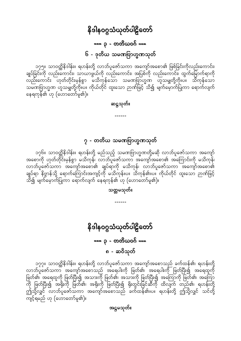#### ၆ - ဒုတိယ သမဏဗြာဟ္မဏသုတ်

၁၇၅။ သာဝတ္ထိနိဒါန်း။ ရဟန်းတို့ လာဘ်ပူဇော်သကာ အကျော်အစော၏ ဖြစ်ခြင်းကိုလည်းကောင်း၊ ချုပ်ခြင်းကို လည်းကောင်း၊ သာယာဖွယ်ကို လည်းကောင်း၊ အပြစ်ကို လည်းကောင်း၊ ထွက်မြောက်ရာကို ္။ ပု<br>လည်းကောင်း ဟုတ်တိုင်းမှန်စွာ မသိကုန်သော သမဏဗြာဟ္မဏ ဟူသမျှတို့ကို။ပ။ သိကုန်သော သမဏဗြာဟ္မဏ ဟူသမျှတို့ကို။ပ။ ကိုယ်တိုင် ထူးသော ဉာဏ်ဖြင့် သိ၍ မျက်မှောက်ပြုကာ ရောက်လျက် နေရကုန်၏ ဟု (ဟောတော်မူ၏)။

ဆဋ္ဌသုတ်။

#### ၇ - တတိယ သမဏဗြာဟ္မဏသုတ်

၁၇၆။ သာဝတ္ထိနိဒါန်း။ ရဟန်းတို့ မည်သည့် သမဏဗြာဟ္မဏတို့မဆို လာဘ်ပူဇော်သကာ အကျော် အစောကို ဟုတ်တိုင်းမှန်စွာ မသိကုန်၊ လာဘ်ပူဇော်သကာ အကျော်အစော၏ အကြောင်းကို မသိကုန်၊ လာဘ်ပူဇော်သကာ အကျော်အစော၏ ချုပ်ရာကို မသိကုန်၊ လာဘ်ပူဇော်သကာ အကျော်အစော၏ ချုပ်ရာ<sup>်</sup>နိဗ္ဗာန်သို့ ရောက်ကြောင်းအကျင့်ကို မသိကုန်။ပ။ သိကုန်၏။ပ။ ကိုယ်တိုင် ထူးသော ဉာဏ်ဖြင့် သိ၍ မျက်မှောက်ပြုကာ ရောက်လျက် နေရကုန်၏ ဟု (ဟောတော်မူ၏)။

သတ္တမသုတ်။

နိဒါနဝဂွသံယုတ်ပါဠိတော် ၈ - ဆဝိသုတ်

၁၇၇။ သာဝတ္ထိနိဒါန်း။ ရဟန်းတို့ လာဘ်ပူဇော်သကာ အကျော်အစောသည် ခက်ထန်၏၊ ရဟန်းတို့ လာဘ်ပူဇော်သကာ အကျော်အစောသည် အရေပါးကို ဖြတ်၏၊ အရေပါးကို ဖြတ်ပြီး၍ အရေထူကို .<br>ဖြတ်၏၊ အရေထူကို ဖြတ်ပြီး၍ အသားကို ဖြတ်၏၊ အသားကို ဖြတ်ပြီး၍ အကြောကို ဖြတ်၏၊ အကြော<br>ကို ဖြတ်ပြီး၍ အရိုးကို ဖြတ်၏၊ အရိုးကို ဖြတ်ပြီး၍ ရိုးတွင်းခြင်ဆီကို ထိလျက် တည်၏၊ ရဟန်းတို့ ဤသို့လျှင် လာဘ်ပူဇော်သကာ အကျော်အစောသည် ခက်ထန်၏။ပ။ ရဟန်းတို့ ဤသို့လျှင် သင်တို့ ကြင့်ရမည် ဟု (ဟောတော်မူ၏)။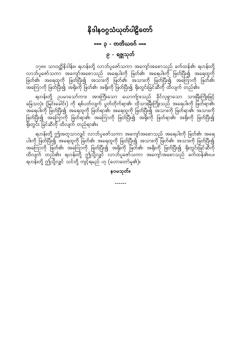၉ - ရဇ္ဈသုတ်

၁၇၈။ သာဝတ္ထိနိဒါန်း။ ရဟန်းတို့ လာဘ်ပူဇော်သကာ အကျော်အစောသည် ခက်ထန်၏၊ ရဟန်းတို့ လာဘ်ပူဇော်သကာ အကျော်အစောသည် အရေပါးကို ဖြတ်၏၊ အရေပါးကို ဖြတ်ပြီး၍ အရေထူကို<br>ဖြတ်၏၊ အရေထူကို ဖြတ်ပြီး၍ အသားကို ဖြတ်၏၊ အသားကို ဖြတ်ပြီး၍ အကြောကို ဖြတ်၏၊ -<br>အကြောကို ဖြတ်ပြီး၍ အရိုးကို ဖြတ်၏၊ အရိုးကို ဖြတ်ပြီး၍ ရိုးတွင်းခြင်ဆီကို ထိလျက် တည်၏။

ရဟန်းတို့ ဉပမာသော်ကား အားကြီးသော ယောကျ်ားသည် ခိုင်လှစွာသော သားမြီးကြိုးဖြင့်<br>ခြေသလုံး (မြင်းခေါင်း) ကို ရစ်ပတ်လျက် ပွတ်တိုက်ရာ၏၊ ထိုသားမြီးကြိုးသည် အရေပါးကို ဖြတ်ရာ၏၊ -<br>အရေပါးကို ဖြတ်ပြီး၍ အရေထူကို ဖြတ်ရာ၏၊ အရေထူကို ဖြတ်ပြီး၍ အသားကို ဖြတ်ရာ၏၊ အသားကို<br>ဖြတ်ပြီး၍ - အကြောကို ဖြတ်ရာ၏၊ - အကြောကို ဖြတ်ပြီး၍ - အရိုးကို ဖြတ်ရာ၏၊ - အရိုးကို ဖြတ်ပြီး၍ နိုးတွင်း ခြင်ဆီကို ထိလျက် တည်ရာ၏။

ရဟန်းတို့ ဤအတူသာလျှင် လာဘ်ပူဇော်သကာ အကျော်အစောသည် အရေပါးကို ဖြတ်၏၊ အရေ ပါးကို ဖြတ်ပြီး၍ အရေထူကို ဖြတ်၏၊ အရေထူကို ဖြတ်ပြီး၍ အသားကို ဖြတ်၏၊ အသားကို ဖြတ်ပြီး၍ အကြောကို ဖြတ်၏၊ အကြောကို ဖြတ်ပြီး၍ အရိုးကို ဖြတ်၏၊ အရိုးကို ဖြတ်ပြီး၍ ရိုးတွင်းခြင်ဆီကို ထိလျက် တည်၏။ ရဟန်းတို့ ဤသို့လျှင် လာဘ်ပူဇော်သကာ အကျော်အစောသည် ခက်ထန်၏။ပ။ ရဟန်းတို့ ဤသို့လျှင် သင်တို့ ကျင့်ရမည် ဟု (ဟောတော်မူ၏)။

နဝမသုတ်။

 $- - - - - -$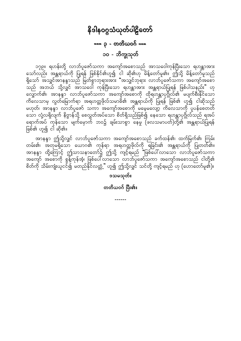နိဒါနဝဂ္ဂသံယုတ်ပါဠိတော် ၁၀ - ဘိက္ခုသုတ်

၁၇၉။ ရဟန်းတို့ လာဘ်ပူဇော်သကာ အကျော်အစောသည် အာသဝေါကုန်ပြီးသော ရဟန္တာအား သော်လည်း အန္တရာယ်ကို ပြုရန် ဖြစ်နိုင်၏ဟူ၍ ငါ ဆို၏ဟု မိန့်တော်မူ၏။ ဤသို့ မိန့်တော်မူသည် ရှိသော် အသျှင်အာနန္ဒာသည် မြတ်စွာဘုရားအား "အသျှင်ဘုရား လာဘ်ပူဇော်သကာ အကျော်အစော ာ<br>သည် အဘယ် သို့လျှင် အာသဝေါ ကုန်ပြီးသော ရဟန္တာအား အန္တရာယ်ပြုရန် ဖြစ်ပါသနည်း" ဟု<br>လျှောက်၏၊ အာနန္ဒာ လာဘ်ပူဇော်သကာ အကျော်အစောကို ထိုရဟန္တာပုဂ္ဂိုလ်၏ မပျက်စီးနိုင်သော ကိလေသာမှ လွတ်မြောက်ရာ အရဟတ္တဖိုလ်သမာဓိ၏ အန္တရာယ်ကို ပြုရန် ဖြစ်၏ ဟူ၍ ငါဆိုသည် မဟုတ်၊ အာနန္ဒာ လာဘ်ပူဇော် သကာ အကျော်အစောကို မမေ့မလျော့ ကိလေသာကို ပူပန်စေတတ် သော လုံ့လရှိလျက် နိဗ္ဗာန်သို့ စေလွှတ်အပ်သော စိတ်ရှိသည်ဖြစ်၍ နေသော ရဟန္တာပုဂ္ဂိုလ်သည် ရအပ် ရောက်အပ် ကုန်သော မျက်မှောက် ဘဝ၌ ချမ်းသာစွာ နေမှု (ဖလသမာပတ်)တို့၏ အန္တရာယ်ပြုရန် ဖြစ်၏ ဟူ၍ ငါ ဆို၏။

အာနန္ဒာ ဤသို့လျှင် လာဘ်ပူဇော်သကာ အကျော်အစောသည် ခက်ထန်၏၊ ထက်မြက်၏၊ ကြမ်း တမ်း၏၊ အတုမရှိသော ယောဂ၏ ကုန်ရာ အရဟတ္တဖိုလ်ကို ရခြင်း၏ အန္တရာယ်ကို ပြုတတ်၏။ .<br>အာနန္ဒာ ထို့ကြောင့် ဤသာသနာတော်၌ ဤသို့ ကျင့်ရမည် "ဖြစ်ပေါ်လာသော လာဘ်ပူဇော်သကာ အကျော် အစောကို စွန့်ကုန်အံ့၊ ဖြစ်ပေါ်လာသော လာဘ်ပူဇော်သကာ အကျော်အစောသည် ငါတို့၏ စိတ်ကို သိမ်းကျုံးယူငင်၍ မတည်နိုင်လတ္တံ့" ဟူ၍ ဤသို့လျှင် သင်တို့ ကျင့်ရမည် ဟု (ဟောတော်မူ၏)။

ဒသမသုတ်။

တတိယဝဂ် ပြီး၏။

 $\frac{1}{2}$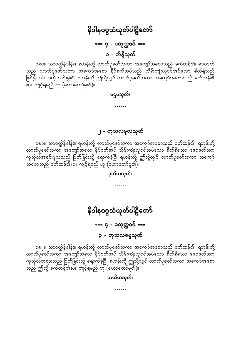=== ၄ - စတုတ္ထဝဂ် === ၁ - ဘိန္ဒိသုတ်

၁၈၀။ သာ၀တ္ထိနိဒါန်း။ ရဟန်းတို့ လာဘ်ပူဇော်သကာ အကျော်အစောသည် ခက်ထန်၏၊ ဒေ၀ဒတ် သည် လာဘ်ပူဇော်သကာ အကျော်အစော နှိပ်စက်အပ်သည် သိမ်းကျုံးယူငင်အပ်သော စိတ်ရှိသည် ဖြစ်၍ သံဃာကို သင်းခွဲ၏၊ ရဟန်းတို့ ဤသို့လျှင် လာဘ်ပူဇော်သကာ အကျော်အစောသည် ခက်ထန်၏ \_\_\_\_<br>။ပ။ ကျင့်ရမည် ဟု (ဟောတော်မူ၏)။

ပဌမသုတ်။

 $\frac{1}{2}$ 

#### ၂ - ကုသလမှုလသုတ်

၁၈၁။ သာဝတ္ထိနိဒါန်း။ ရဟန်းတို့ လာဘ်ပူဇော်သကာ အကျော်အစောသည် ခက်ထန်၏၊ ရဟန်းတို့ လာဘ်ပူဇော်သကာ အကျော်အစော နှိပ်စက်အပ် သိမ်းကျုံးယူငင်အပ်သော စိတ်ရှိသော ဒေဝဒတ်အား ကုသိုလ်အရင်းမူလသည် ပြတ်ခြင်းသို့ ရောက်ခဲ့ပြီ၊ ရဟန်းတို့ ဤသို့လျှင် လာဘ်ပူဇော်သကာ အကျော် ာ<br>အစောသည် ခက်ထန်၏။ပ။ ကျင့်ရမည် ဟု (ဟောတော်မူ၏)။

ဒုတိယသုတ်။

နိဒါနဝဂ္ဂသံယုတ်ပါဠိတော်

=== ၄ - စတုတ္ထဝဂ် ===

၃ - ကုသလဓမ္မသုတ်

၁၈၂။ သာဝတ္ထိနိဒါန်း။ ရဟန်းတို့ လာဘ်ပူဇော်သကာ အကျော်အစောသည် ခက်ထန်၏၊ ရဟန်းတို့ လာဘ်ပူဇော်သကာ အကျော်အစော နှိပ်စက်အပ် သိမ်းကျုံးယူငင်အပ်သော စိတ်ရှိသော ဒေဝဒတ်အား ကုသိုလ်တရားသည် ပြတ်ခြင်းသို့ ရောက်ခဲ့ပြီ၊ ရဟန်းတို့ ဤသို့လျှင် လာဘ်ပူဇော်သကာ အကျော်အစော သည် ဤသို့ ခက်ထန်၏။ပ။ ကျင့်ရမည် ဟု (ဟောတော်မူ၏)။

#### တတိယသုတ်။

 $- - - - - -$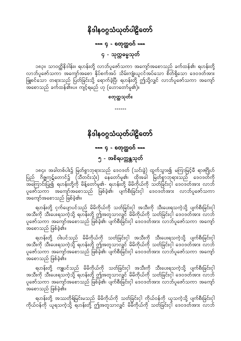၄ - သုတ္တဓမ္မသုတ်

၁၈၃။ သာဝတ္ထိနိဒါန်း။ ရဟန်းတို့ လာဘ်ပူဇော်သကာ အကျော်အစောသည် ခက်ထန်၏၊ ရဟန်းတို့ လာဘ်ပူဇော်သကာ အကျော်အစော<sup>်</sup>နှိပ်စက်အပ် သိမ်းကျုံးယူငင်အပ်သော စိတ်ရှိသော ဒေဝဒတ်အား ဖြူစင်သော တရားသည် ပြတ်ခြင်းသို့ ရောက်ခဲ့ပြီ၊ ရဟန်းတို့ ဤသို့လျှင် လာဘ်ပူဇော်သကာ အကျော် 

စတုတ္ထသုတ်။

------

နိဒါနဝဂ္ဂသံယုတ်ပါဠိတော်

=== ၄ - စတုတ္ထဝဂ် ===

#### ၅ - အစိရပက္ကန္တသုတ်

၁၈၄။ အခါတစ်ပါး၌ မြတ်စွာဘုရားသည် ဒေဝဒတ် (သင်းခွဲ) ထွက်သွား၍ မကြာမြင့်မီ ရာဇဂြိုဟ် .<br>ပြည် ဂိဇ္ဈကုဋ်တောင်၌ (သီတင်းသုံး) နေတော်မူ၏၊ ထိုအခါ မြတ်စွာဘုရားသည် ဒေဝဒတ်ကို ပူဇော်သကာ အကျော်အစောသည် ဖြစ်ခဲ့၏၊ ပျက်စီးခြင်းငှါ ဒေဝဒတ်အား လာဘ်ပူဇော်သကာ ာ<br>အကျော်အစောသည် ဖြစ်ခဲ့၏။

ရဟန်းတို့ ငှက်ပျောပင်သည် မိမိကိုယ်ကို သတ်ခြင်းငှါ အသီးကို သီးပေးရသကဲ့သို့ ပျက်စီးခြင်းငှါ အသီးကို သီးပေးရသကဲ့သို့ ရဟန်းတို့ ဤအတူသာလျှင် မိမိကိုယ်ကို သတ်ခြင်းငှါ ဒေဝဒတ်အား လာဘ် ပူဇော်သကာ အကျော်အစောသည် ဖြစ်ခဲ့၏၊ ပျက်စီးခြင်းငှါ ဒေဝဒတ်အား လာဘ်ပူဇော်သကာ အကျော် အစောသည် ဖြစ်ခဲ့၏။

ရဟန်းတို့ ဝါးပင်သည် မိမိကိုယ်ကို သတ်ခြင်းငှါ အသီးကို သီးပေးရသကဲ့သို့ ပျက်စီးခြင်းငှါ အသီးကို သီးပေးရသကဲ့သို့ ရဟန်းတို့ ဤအတူသာလျှင် မိမိကိုယ်ကို သတ်ခြင်းငှါ ဒေဝဒတ်အား လာဘ် ပူဇော်သကာ အကျော်အစောသည် ဖြစ်ခဲ့၏၊ ပျက်စီးခြင်းငှါ ဒေဝဒတ်အား လာဘ်ပူဇော်သကာ အကျော် -<br>အစောသည် ဖြစ်ခဲ့၏။

ရဟန်းတို့ ကျူပင်သည် မိမိကိုယ်ကို သတ်ခြင်းငှါ အသီးကို သီးပေးရသကဲ့သို့ ပျက်စီးခြင်းငှါ အသီးကို သီးပေးရသကဲ့သို့ ရဟန်းတို့ ဤအတူသာလျှင် မိမိကိုယ်ကို သတ်ခြင်းငှါ ဒေဝဒတ်အား လာဘ် ပူဇော်သကာ အကျော်အစောသည် ဖြစ်ခဲ့၏၊ ပျက်စီးခြင်းငှါ ဒေဝဒတ်အား လာဘ်ပူဇော်သကာ အကျော် —<br>အစောသည် ဖြစ်ခဲ့၏။

ရဟန်းတို့ အဿတိုရ်မြင်းမသည် မိမိကိုယ်ကို သတ်ခြင်းငှါ ကိုယ်ဝန်ကို ယူသကဲ့သို့ ပျက်စီးခြင်းငှါ ကိုယ်ဝန်ကို ယူရသကဲ့သို့ ရဟန်းတို့ ဤအတူသာလျှင် မိမိကိုယ်ကို သတ်ခြင်းငှါ ဒေဝဒတ်အား လာဘ်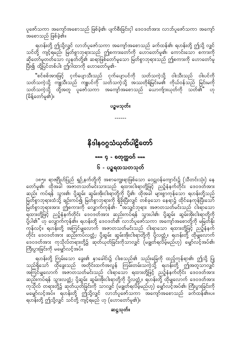ပူဇော်သကာ အကျော်အစောသည် ဖြစ်ခဲ့၏၊ ပျက်စီးခြင်းငှါ ဒေဝဒတ်အား လာဘ်ပူဇော်သကာ အကျော် -<br>အစောသည် ဖြစ်ခဲ့၏။

ရဟန်းတို့ ဤသို့လျှင် လာဘ်ပူဇော်သကာ အကျော်အစောသည် ခက်ထန်၏၊ ရဟန်းတို့ ဤသို့ လျှင် သင်တို့ ကျင့်ရမည်၊ မြတ်စွာဘုရားသည် ဤစကားတော်ကို ဟောတော်မူ၏၊ ကောင်းသော စကားကို ဆိုတော်မူတတ်သော လူနတ်တို့၏ ဆရာဖြစ်တော်မူသော မြတ်စွာဘုရားသည် ဤစကားကို ဟောတော်မူ ပြီး၍ ထို့ပြင်တစ်ပါး ဤဂါထာကို ဟောတော်မူ၏-

<mark>"</mark>စင်စစ်အားဖြင့် ငှက်ပျောသီးသည် ငှက်ပျောပင်ကို သတ်သကဲ့သို့ ဝါးသီးသည် ဝါးပင်ကို သတ်သကဲ့သို့ ကျူသီးသည် ကျူပင်ကို သတ်သကဲ့သို့ အဿတိုရ်မြင်းမ၏ ကိုယ်ဝန်သည် မြင်းမကို<br>သတ်သကဲ့သို့ ထို့အတူ ပူဇော်သကာ အကျော်အစောသည် ယောကျ်ားယုတ်ကို သတ်၏" ဟု (မိန့်တော်မှု၏)။

ပဥ္စမသုတ်။

နိဒါန၀ဂွသံယုတ်ပါဠိတော်

=== ၄ - စတုတ္ထဝဂ် ===

၆ - ပဉ္စရထသတသုတ်

၁၈၅။ ရာဇဂြိုဟ်ပြည် ရှဉ့်နက်တို့ကို အစာကျွေးရာဖြစ်သော ဝေဠုဝန်ကျောင်း၌ (သီတင်းသုံး) နေ တော်မူ၏၊ ထိုအခါ အဇာတသတ်မင်းသားသည် ရထားငါးရာတို့ဖြင့် ညဉ့်နံနက်တိုင်း ဒေဝဒတ်အား ဆည်း ကပ်ရန် သွား၏၊ ပို့ဆွမ်း ဆွမ်းအိုးငါးရာတို့ကို ပို့၏၊ ထိုအခါ များစွာကုန်သော ရဟန်းတို့သည် မြတ်စွာဘုရားထံသို့ ချဉ်းကပ်၍ မြတ်စွာဘုရားကို ရှိခိုးပြီးလျှင် တစ်ခုသော နေရာ၌ ထိုင်နေကုန်ပြီးသော်<br>မြတ်စွာဘုရားအား ဤစကားကို လျှောက်ကုန်၏- "အသျှင်ဘုရား အဇာတသတ်မင်းသည် ငါးရာသော ပြ<br>ရထားတို့ဖြင့် ညဉ့်နံနက်တိုင်း ဒေဝဒတ်အား ဆည်းကပ်ိရန် သွားပါ၏၊ ပို့ဆွမ်း ဆွမ်းအိုးငါးရာတို့ကို ပို့ပါ၏" ဟု လျှောက်ကုန်၏။ ရဟန်းတို့ ဒေဝဒတ်၏ လာဘ်ပူဇော်သကာ အကျော်အစောတို့ကို မမြတ်နိုး .<br>ကုန်လင့်။ ရဟန်းတို့ အကြင်မျှလောက် အဇာတသတ်မင်းသည် ငါးရာသော ရထားတို့ဖြင့် ညဉ့်နံနက်<br>တိုင်း ဒေဝဒတ်အား ဆည်းကပ်လတ္တံ့၊ ပို့ဆွမ်း ဆွမ်းအိုးငါးရာတို့ကို ပို့လတ္တံ့။ ရဟန်းတို့ ထိုမျှလောက် -<br>ဒေဝဒတ်အား ကုသိုလ်တရားတို့၌ ဆုတ်ယုတ်ခြင်းကိုသာလျှင် (မချွတ်ရလိမ့်မည်ဟု) မျှော်လင့်အပ်၏၊ .<br>ကြီးပွားခြင်းကို မမျှော်လင့်အပ်။

ရဟန်းတို့ ကြမ်းသော ခွေး၏ နှာခေါင်း၌ ငါးစသည်၏ သည်းခြေကို ထည့်ကုန်ရာ၏၊ ဤသို့ ပြု သည်ရှိသော် ထိုခွေးသည် အတိုင်းထက်အလွန် ကြမ်းတမ်းသကဲ့သို့ ရဟန်းတို့ ဤအတူသာလျှင် အကြင်မျှလောက် အဇာတသတ်မင်းသည် ငါးရာသော ရထားတို့ဖြင့် ညဉ့်နံနက်တိုင်း ဒေဝဒတ်အား ဆည်းကပ်ရန် သွားလတ္တံ့၊ ပို့ဆွမ်း ဆွမ်းအိုးငါးရာတို့ကို ပို့လတ္တံ့။ ရဟန်းတို့ ထိုမျှလောက် ဒေဝဒတ်အား ကုသိုလ် တရားတို့၌ ဆုတ်ယုတ်ခြင်းကို သာလျှင် (မချွတ်ရလိမ့်မည်ဟု) မျှော်လင့်အပ်၏၊ ကြီးပွားခြင်းကို မမျှော်လင့်အပ်။ ရဟန်းတို့ ဤသို့လျှင် လာဘ်ပူဇော်သကာ အကျော်အစောသည် ခက်ထန်၏။ပ။ ရဟန်းတို့ ဤသို့လျှင် သင်တို့ ကျင့်ရမည် ဟု (ဟောတော်မူ၏)။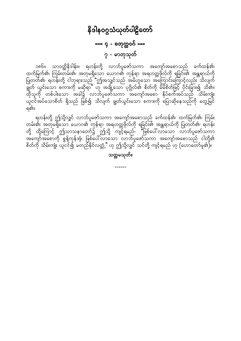## နိဒါနဝဂ္ဂသံယုတ်ပါဠိတော် ---- ၄ - စတုတ္ထဝဂ် ----၇ - မာတုသုတ်

သာဝတ္ထိနိဒါန်း။ ရဟန်းတို့ လာဘ်ပူဇော်သကာ အကျော်အစောသည် ခက်ထန်၏၊ ၁၈၆။ ထက်မြက်၏၊ ကြမ်းတမ်း၏၊ အတုမရှိသော ယောဂ၏ ကုန်ရာ အရဟတ္တဖိုလ်ကို ရခြင်း၏ အန္တရာယ်ကို<br>ပြုတတ်၏၊ ရဟန်းတို့ ငါဘုရားသည် "ဤအသျှင်သည် အမိဟူသော အကြောင်းကြောင့်လည်း သိလျက်<br>ချွတ် ယွင်းသော စကားကို မဆိုရာ" ဟု အချို့သော ပုဂ္ဂိုလ်၏ စိတ်ကို ္မွ<br>ထိုသူကို တစ်ပါးသော အခါ၌ လာဘ်ပူဇော်သကာ အကျော်အစော နှိပ်စက်အပ်သည် သိမ်းကျုံး ယူငင်အပ်သောစိတ် ရှိသည် ဖြစ်၍ သိလျက် ချွတ်ယွင်းသော စကားကို ပြောဆိုနေသည်ကို တွေ့မြင် ရ၏။

ရဟန်းတို့ ဤသို့လျှင် လာဘ်ပူဇော်သကာ အကျော်အစောသည် ခက်ထန်၏၊ ထက်မြက်၏၊ ကြမ်း ္ ကမ်း၏၊ အတုမရှိသော ယောဂ၏ ကုန်ရာ အရဟတ္တဖိုလ်ကို ရခြင်း၏ အန္တရာယ်ကို ပြုတတ်၏၊ ရဟန်း<br>တို့ ထို့ကြောင့် ဤသာသနာတော်၌ ဤသို့ ကျင့်ရမည်- "ဖြစ်ပေါ်လာသော လာဘ်ပူဇော်သကာ ိုး ႏွားကား ေမြးသားတယ္။ ေဆာင္ေလာက္ပါတယ္။<br>အကျော်အစောကို စွန့်ကုန်အံ့၊ ဖြစ်ပေါ်လာသော လာဘ်ပူဇော်သကာ အကျော်အစောသည် ငါတို့၏<br>စိတ်ကို သိမ်းကျုံး ယူငင်၍ မတည်နိုင်လတ္တံ့" ဟု ဤသို့လျှင် သင်တို့ ကျင့်ရမည် ဟု (ဟောတော်မူ၏)။

သတ္တမသုတ်။

 $\frac{1}{2}$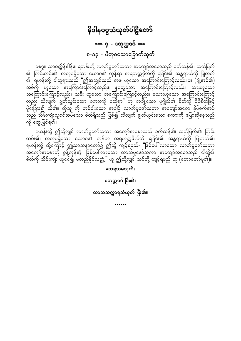## နိဒါန၀ဂွသံယုတ်ပါဠိတော် === ၄ - စတုတ္ထဝဂ် === ၈-၁၃ - ပိတုစသောခြောက်သုတ်

၁၈၇။ သာဝတ္ထိနိဒါန်း။ ရဟန်းတို့ လာဘ်ပူဇော်သကာ အကျော်အစောသည် ခက်ထန်၏၊ ထက်မြက် ၏၊ ကြမ်းတမ်း၏၊ အတုမရှိသော ယောဂ၏ ကုန်ရာ အရဟတ္တဖိုလ်ကို ရခြင်း၏ အန္တရာယ်ကို ပြုတတ် ၏၊ ရဟန်းတို့ ငါဘုရားသည် "ဤအသျှင်သည် အဖ ဟူသော အကြောင်းကြောင့်လည်း။ပ။ (ချဲ့အပ်၏) အစ်ကို ဟူသော အကြောင်းကြောင့်လည်း။ နှမဟူသော အကြောင်းကြောင့်လည်း။ သားဟူသော လည်း သိလျက် ချွတ်ယွင်းသော စကားကို မဆိုရာ" ဟု အချို့သော ပုဂ္ဂိုလ်၏ စိတ်ကို မိမိစိတ်ဖြင့် ပိုင်းခြား၍ သိ၏။ ထိုသူ ကို တစ်ပါးသော အခါ၌ လာဘ်ပူဇော်သကာ အကျော်အစော နှိပ်စက်အပ် ှ<br>သည် သိမ်းကျုံးယူငင်အပ်သော စိတ်ရှိသည် ဖြစ်၍ သိလျက် ချွတ်ယွင်းသော စကားကို ပြောဆိုနေသည် ကို တွေ့မြင်ရ၏။

ရဟန်းတို့ ဤသို့လျှင် လာဘ်ပူဇော်သကာ အကျော်အစောသည် ခက်ထန်၏၊ ထက်မြက်၏၊ ကြမ်း ီကမ်း၏၊ အတုမရှိသော ယောဂ၏ ကုန်ရာ အရဟတ္တဖိုလ်ကို ရြခြင်း၏ အန္တရာယ်ကို ပြုတတ်၏၊<br>ရဟန်းတို့ ထို့ကြောင့် ဤသာသနာတော်၌ ဤသို့ ကျင့်ရမည်- "ဖြစ်ပေါ် လာသော လာဘ်ပူဇော်သကာ ု<br>အကျော်အစောကို စွန့်ကုန်အံ့၊ ဖြစ်ပေါ်လာသော လာဘ်ပူဇော်သကာ အကျော်အစောသည် ငါတို့၏ စိတ်ကို သိမ်းကျုံး ယူငင်၍ မတည်နိုင်လတ္တံ့" ဟု ဤသို့လျှင် သင်တို့ ကျင့်ရမည် ဟု (ဟောတော်မူ၏)။

တေရသမသုတ်။

စတုတ္ထဝဂ် ပြီး၏။

လာဘသတ္<mark>ကာရသံယုတ် ပြီး၏</mark>။

------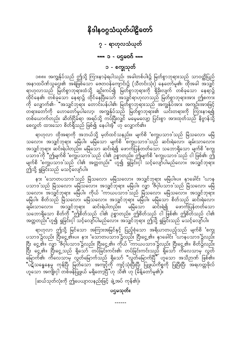#### ၇ - ရာဟုလသံယုတ်

=== ၁ - ပဌမဝဂ် === ၁ - စက္ခုသုတ်

၁၈၈။ အကျွန်ုပ်သည် ဤသို့ ကြားနာခဲ့ရပါသည်၊ အခါတစ်ပါး၌ မြတ်စွာဘုရားသည် သာဝတ္ထိပြည် အနာထပိဏ်သူဌေး၏ အရံဖြစ်သော ဇေတဝန်ကျောင်း၌ (သီတင်းသုံး) နေတော်မူ၏၊ ထိုအခါ အသျှင် ရာဟုလာသည် မြတ်စွာဘုရားထံသို့ ချဉ်းကပ်၍ မြတ်စွာဘုရားကို ရှိခိုးလျက် တစ်ခုသော နေရာ၌ ထိုင်နေ၏၊ တစ်ခုသော နေရာ၌ ထိုင်နေပြီးသော် အသျှင်ရာဟုလာသည် မြတ်စွာဘုရားအား ဤစကား ကို လျှောက်၏- "အသျှင်ဘုရား တောင်းပန်ပါ၏၊ မြတ်စွာဘုရားသည် အကျွန်ုပ်အား အကျဉ်းအားဖြင့် .<br>တစ်ယောက်တည်း ဆိတ်ငြိမ်ရာ အရပ်သို့ ကပ်ပြီးလျှင် မမေ့မလျော့ ပြင်းစွာ အားထုတ်သည် နိဗ္ဗာန်သို့ စေလွှတ် ထားသော စိတ်ရှိသည် ဖြစ်၍ နေပါအံ့" ဟု လျှောက်၏။

ရာဟုလာ ထိုအရာကို အဘယ်သို့ မှတ်ထင်သနည်း။ မျက်စိ 'စက္ခုပသာဒ'သည် မြဲသလော၊ မမြဲ သလော။ အသျှင်ဘုရား မမြဲပါ။ မမြဲသော မျက်စိ စက္ခုပသာဒ'သည် ဆင်းရဲလော၊ ချမ်းသာလော။ အသျှင်ဘုရား ဆင်းရဲပါတည်း။ မမြဲသော ဆင်းရဲ၍ ဖောက်ပြန်တတ်သော သဘောရှိသော မျက်စိ စကျွ ပသာဒ'ကို "ဤမျက်စိ 'စက္ခုပသာဒ'သည် ငါ၏ ဉစ္စာတည်း၊ ဤမျက်စိ 'စက္ခုပသာဒ'သည် ငါ ဖြစ်၏၊ ဤ မျက်စိ 'စက္ခုပသာဒ'သည် ငါ၏ အတ္တတည်း" ဟူ၍ ရှုခြင်းငှါ သင့်လျော်ပါမည်လော။ အသျှင်ဘုရား ဤသို့ ရှုခြင်းသည် မသင့်လျော်ပါ။

နား 'သောတပသာဒ'သည် မြဲသလော၊ မမြဲသလော။ အသျှင်ဘုရား မမြဲပါ။ပ။ နှာခေါင်း 'ဃာန ပသာဒ သည် မြဲသလော၊ မမြဲသလော။ အသျှင်ဘုရား မမြဲပါ။ လျှာ 'ဇိဝှါပသာဒ သည် မြဲသလော၊ မမြဲ သလော။ အသျှင်ဘုရား မမြံပါ။ ကိုယ် 'ကာယပသာဒ'သည် မြဲသလော၊ မမြဲသလော။ အသျှင်ဘုရား မမြဲပါ။ စိတ်သည် မြဲသလော၊ မမြဲသလော။ အသျှင်ဘုရား မမြဲပါ။ မမြဲသော စိတ်သည် ဆင်းရဲလော၊ ချမ်းသာလော။ အသျှင်ဘုရား ဆင်းရဲပါတည်း။ မမြဲသော ဆင်းရဲ၍ ဖောက်ပြန်တတ်သော သဘောရှိသော စိတ်ကို "ဤစိတ်သည် ငါ၏ ဉစ္စာတည်း၊ ဤစိတ်သည် ငါဖြစ်၏၊ ဤစိတ်သည် ငါ၏ အတ္တတည်း"ဟူ၍ ရှုခြင်းငှါ သင့်လျော်ပါမည်လော။ အသျှင်ဘုရား ဤသို့ ရှုခြင်းသည် မသင့်လျော်ပါ။

ရာဟုလာ ဤသို့ မြင်သော အကြားအမြင်နှင့် ပြည့်စုံသော အရိယာတပည့်သည် မျက်စိ 'စက္ခု ပသာဒ ၌လည်း ငြီးငွေ့၏။ပ။ နား 'သောတပသာဒ ၌လည်း ငြီးငွေ့၏။ နှာခေါင်း 'ဃာနပသာဒ ၌လည်း<br>ငြီး ငွေ့၏။ လျှာ 'ဇိဝှါပသာဒ'၌လည်း ငြီးငွေ့၏။ ကိုယ် 'ကာယပသာဒ'၌လည်း ငြီးငွေ့၏။ စိတ်၌လည်း ္မြီး ငွေ့၏။ ငြီးငွေ့သည် ရှိသော် တပ်ခြင်းကင်း၏၊ တပ်ခြင်းကင်းသည် ရှိသော် ကိလေသာမှ လွတ်<br>မြောက်၏၊ ကိလေသာမှ လွတ်မြောက်သည် ရှိသော် "လွတ်မြောက်ပြီ" ဟူသော အသိဉာဏ် ဖြစ်၏။ "ပဋိသန္ဓေနေမှု ကုန်ပြီ<sup>၊</sup> မြတ်သော အကျင့်ကို ကျင့်သုံးပြီးပြီ၊ ပြုဖွယ်ကိစ္စကို ပြုပြီးပြီ၊ အရဟတ္တဖိုလ် ဟူသော အကျိုးငှါ တစ်ဖန်ပြုဖွယ် မရှိတော့ပြီ"ဟု သိ၏ ဟု (မိန့်တော်မူ၏)။

ဆြယ်သုတ်လုံးကို ဤပေယျာလနည်းဖြင့် ချဲ့အပ် ကုန်၏ $\parallel$ ။

ပဌမသုတ်။

 $- - - - - -$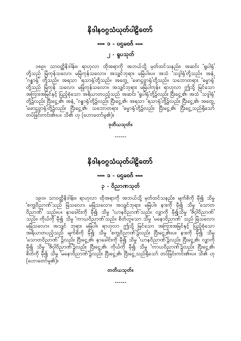နိဒါနဝဂ္ဂသံယုတ်ပါဠိတော် === ၁ - ပဌမဝဂ် === ၂ - ရူပသုတ်

၁၈၉။ သာဝတ္ထိနိဒါန်း။ ရာဟုလာ ထိုအရာကို အဘယ်သို့ မှတ်ထင်သနည်း၊ အဆင်း 'ရူပါရုံ' တို့သည် မြဲကုန်သလော၊ မမြဲကုန်သလော။ အသျှင်ဘုရား မမြဲပါ။ပ။ အသံ သဒ္ဒါရုံတို့သည်။ အနံ့<br>'ဂန္ဓာရုံ' တို့သည်။ အရသာ 'ရသာရုံ'တို့သည်။ အတွေ့ 'ဖောဋ္ဌဗွာရုံ'တို့သည်။ သဘောတရား 'ဓမ္မာရုံ' တို့သည် မြဲကုန် သလော၊ မမြဲကုန်သလော။ အသျှင်ဘုရား မမြဲပါကုန်။ ရာဟုလာ ဤသို့ မြင်သော အကြားအမြင်နှင့် ပြည့်စုံသော အရိယာတပည့်သည် အဆင်း 'ရူပါရုံ'တို့၌လည်း ငြီးငွေ့၏၊ အသံ သဒ္ဒါရုံ'<br>အကြားအမြင်နှင့် ပြည့်စုံသော အရိယာတပည့်သည် အဆင်း 'ရူပါရုံ'တို့၌လည်း ငြီးငွေ့၏၊ အသံ သဒ္ဒါရုံ' ာင္ရာ ကို အသင္း ကို အသင္း ကို ေတြကို အေသာ္ ေက်ာ္ေတြကို ေတြကို အလို<br>တို့၌လည်း ငြီးငွေ့၏၊ အနံ့ ဂန္ဓာရုံတို့၌လည်း ငြီးငွေ့၏၊ အရသာ ရသာရုံတို့၌လည်း ငြီးငွေ့၏၊ အတွေ့ ်ဖောဋ္ဌဗွာရုံတို့၌လည်း ငြီးငွေ့၏၊ သဘောတရား ဓမ္မာရုံတို့၌လည်း ငြီးငွေ့၏၊ ငြီးငွေ့သည်ရှိသော်<br>တပ်ခြင်းကင်း၏။ပ။ သိ၏ ဟု (ဟောတော်မူ၏)။

ဒုတိယသုတ်။

### နိဒါနဝဂွသံယုတ်ပါဠိတော်

=== ၁ - ပဌမဝဂ် === ၃ - ၀ိညာဏသုတ်

၁၉၀။ သာဝတ္ထိနိဒါန်း။ ရာဟုလာ ထိုအရာကို အဘယ်သို့ မှတ်ထင်သနည်း၊ မျက်စိကို မှီ၍ သိမှု ်စက္ခုဝိညာဏ်'သည် မြဲသလော၊ မမြဲသလော။ အသျှင်ဘုရား မမြဲပါ။ နားကို မှီ၍ သိမှု 'သောတ<br>ဝိညာဏ်' သည်။ပ။ နှာခေါင်းကို မှီ၍ သိမှု 'ဃာနဝိညာဏ်'သည်။ လျှာကို မှီ၍ သိမှု 'သောတ<br>သည်။ ကိုယ်ကို မှီ၍ သိမှု 'ကာယဝိညာဏ်'သည်။ စိတ်ဟူသော သိမှု 'မနေ ာ က ပြော မော် မြောက်သည်။<br>မမြဲသလော။ အသျှင် ဘုရား မမြဲပါ။ ရာဟုလာ ဤသို့ မြင်သော အကြားအမြင်နှင့် ပြည့်စုံသော ာမြာသောအောက်သည့် မျက်စိကို မှီ၍ သိမှု စက္ခုဝိညာဏ်၌လည်း ငြီးငွေ့၏။ပ။ နားကို မှီ၍ သိမှု<br>အရိယာတပည့်သည် မျက်စိကို မှီ၍ သိမှု စက္ခုဝိညာဏ်၌လည်း ငြီးငွေ့၏။ပ။ နားကို မှီ၍ သိမှု<br>'သောတဝိညာဏ်' ၌လည်း ငြီးငွေ့၏၊ နှာခေါင်းကို မှီ၍ သိမှ မြီ၍ သိမှု 'ဇိဝှါဝိညာဏ်'၌လည်း ငြီးငွေ့၏၊ ကိုယ်ကို မှီ၍ သိမှု 'ကာယဝိညာဏ်'၌လည်း ငြီးငွေ့၏၊<br>စိတ်ကို မှီ၍ သိမှု 'မနောဝိညာဏ်'၌လည်း ငြီးငွေ့၏၊ ငြီးငွေ့သည်ရှိသော် တပ်ခြင်းကင်း၏။ပ။ သိ၏ ဟု (ဟောတော်မူ၏)။

#### တတိယသုတ်။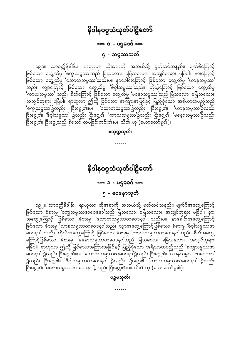## နိဒါနဝဂ္ဂသံယုတ်ပါဠိတော် === ၁ - ပဌမဝဂ် === - ၁ မွဿသုတ်

၁၉၁။ သာဝတ္ထိနိဒါန်း။ ရာဟုလာ ထိုအရာကို အဘယ်သို့ မှတ်ထင်သနည်း၊ မျက်စိကြောင့် ဖြစ်သော တွေ့ထိမှု စက္ခုသမ္ဗဿ သည် မြဲသလော၊ မမြဲသလော။ အသျှင်ဘုရား မမြဲပါ။ နားကြောင့်<br>ဖြစ်သော တွေ့ထိမှု 'သောတသမ္ဗဿ သည်။ပ။ နှာခေါင်းကြောင့် ဖြစ်သော တွေ့ထိမှု 'ဃာနသမ္ဗဿ' .<br>သည်။ လျှာကြောင့် ဖြစ်သော တွေ့ထိမှု 'ဇိဝ္ဒါသမ္ပဿ'သည်။ ကိုယ့်ကြောင့် ဖြစ်သော တွေ့ထိမှု ်ကာယသမ္ပဿ သည်။ စိတ်ကြောင့် ဖြစ်သော တွေ့ထိမှု 'မနောသမ္ပဿ သည် မြဲသလော၊ မမြဲသလော။ အသျှင်ဘုရား မမြဲပါ။ ရာဟုလာ ဤသို့ မြင်သော အကြားအမြင်နှင့် ပြည့်စုံသော အရိယာတပည့်သည်<br>'စက္ခုသမ္ဗဿ'၌လည်း ငြီးငွေ့၏။ပ။ 'သောတသမ္ဗဿ'၌လည်း ငြီးငွေ့၏၊ 'ဃာနသမ္ဗဿ'၌လည်း ငြီးငွေ့၏၊ 'ဇိဝှါသမ္ဗဿ' ၌လည်း ငြီးငွေ့၏၊ 'ကာယသမ္ဗဿ'၌လည်း ငြီးငွေ့၏၊ 'မနောသမ္ဗဿ'၌လည်း -<br>ငြီးငွေ့၏၊ ငြီးငွေ့သည် ရှိသော် တပ်ခြင်းကင်း၏။ပ။ သိ၏ ဟု (ဟောတော်မူ၏)။

#### စတုတ္တသုတ်။

 $- - - - - -$ 

နိဒါန၀ဂွသံယုတ်ပါဠိတော် === ၁ - ပဌမဝဂ် === ၅ - ဝေဒနာသုတ်

၁၉၂။ သာဝတ္ထိနိဒါန်း။ ရာဟုလာ ထိုအရာကို အဘယ်သို့ မှတ်ထင်သနည်း၊ မျက်စိအတွေ့ကြောင့် .<br>ဖြစ်သော ခံစားမှု စက္ခုသမ္ဗဿဇာဝေဒနာ သည် မြဲသလော၊ မမြဲသလော။ အသျှင်ဘုရား မမြဲပါ။ နား -<br>အတွေ့ကြောင့် ဖြစ်သော ခံစားမှု 'သောတသမ္ဗဿဇာဝေဒနာ' သည်။ပ။ နှာခေါင်းအတွေ့ကြောင့် .<br>ဖြစ်သော ခံစားမှု 'ဃာနသမ္ဗဿဇာဝေဒနာ'သည်။ လျှာအတွေ့ကြောင့်ဖြစ်သော ခံစားမှု 'ဇိဝ္ဝါသမ္ဗဿဇာ မ<br>ဝေဒနာႛ သည်။ ကိုယ်အတွေ့ကြောင့် ဖြစ်သော ခံစားမှု 'ကာယသမ္ဗဿဇာဝေဒနာႛသည်။ စိတ်အတွေ့ ကြောင့်ဖြစ်သော ခံစားမှု မနောသမ္ဗဿဇာဝေဒနာ'သည် မြဲသလော၊ မမြဲသလော။ အသျှင်ဘုရား မမြံပါ။ ရာဟုလာ ဤသို့ မြင်သောအကြားအမြင်နှင့် ပြည့်စုံသော အရိယာတပည့်သည် 'စက္ခုသမ္ဗဿဇာ ဝေဒနာ' ၌လည်း ငြီးငွေ့၏။ပ။ 'သောတသမ္ဗဿဇာဝေဒနာ'၌လည်း ငြီးငွေ့၏၊ 'ဃာနသမ္ဗဿဇာဝေဒနာ' ၌လည်း ငြီးငွေ့၏ 'ဇိဝ္ဒါသမ္ဗဿဇာဝေဒနာ' ၌လည်း ငြီးငွေ့၏၊ 'ကာယသမ္ဗဿဇာဝေဒနာ' ၌လည်း -<br>ငြီးငွေ့၏၊ မနောသမ္ဗဿဇာ ဝေဒနာ ၌လည်း ငြီးငွေ့၏။ပ။ သိ၏ ဟု (ဟောတော်မူ၏)။

ပဥ္စမသုတ်။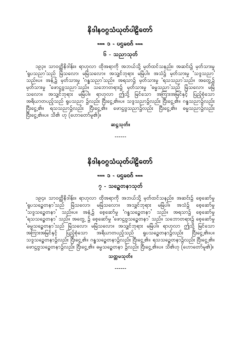## နိဒါနဝဂ္ဂသံယုတ်ပါဠိတော် === ၁ - ပဌမ၀ဂ် === ၆ - သညာသုတ်

၁၉၃။ သာဝတ္ထိနိဒါန်း။ ရာဟုလာ ထိုအရာကို အဘယ်သို့ မှတ်ထင်သနည်း၊ အဆင်း၌ မှတ်သားမှု 'ရူပသညာ'သည် မြဲသလော၊ မြဲသလော။ အသျှင်ဘုရား မမြဲပါ။ အသံ၌ မှတ်သားမှု 'သဒ္ဒသညာ'<br>သည်။ပ။ အနံ့၌ မှတ်သားမှု 'ဂန္ဓသညာ'သည်။ အရသာ၌ မှတ်သားမှု 'ရသသညာ'သည်။ အတွေ့၌ မှတ်သားမှု 'ဖောဋ္ဌဗ္ဗသညာ'သည်။ သဘောတရား၌ မှတ်သားမှု 'ဓမ္မသညာ'သည် မြဲသလော၊ မမြဲ ာ<br>သလော။ အသျှင်ဘုရား မမြိပါ။ ရာဟုလာ ဤသို့ မြင်သော အကြားအမြင်နှင့် ပြည့်စုံသော .<br>အရိယာတပည့်သည် ရူပသညာ ၌လည်း ငြီးငွေ့၏။ပ။ သဒ္ဒသညာ၌လည်း ငြီးငွေ့၏။ ဂန္ဓသညာ၌လည်း<br>ငြီးငွေ့၏။ ရသသညာ၌လည်း ငြီးငွေ့၏။ ဖောဋ္ဌဗ္ဗသညာ၌လည်း ငြီးငွေ့၏။ ဓမ္မသညာ၌လည်း ္<br>ငြီးငွေ့၏။ပ။ သိ၏ ဟု (ဟောတော်မူ၏)။

ဆဋ္ဌသုတ်။

### နိဒါန၀ဂွသံယုတ်ပါဠိတော်

=== ၁ - ပဌမဝဂ် ===

#### ၇ - သဥ္မေတနာသုတ်

၁၉၄။ သာဝတ္ထိနိဒါန်း။ ရာဟုလာ ထိုအရာကို အဘယ်သို့ မှတ်ထင်သနည်း၊ အဆင်း၌ စေ့ဆော်မှု 'ရူပသဥ္ရေတနာ'သည် မြဲသလော၊ မမြဲသလော။ အသျှင်ဘုရား မမြဲပါ။ အသံ၌ စေ့ဆော်မှု '<br>'သဒ္ဒသဉ္ဇေတနာ' သည်။ပ။ အနံ့၌ စေ့ဆော်မှု 'ဂန္ဓသဉ္ဇေတနာ' သည်။ အရသာ၌ စေ့ဆော်မှု ် နဲ့ " " " " " " " " " " " " " " " " " " " " " " " " " " " " " " " " " " " " " "<br>ရသသဥ္မေတန်ာႛ သည်။ အတွေ့ ၌ စေ့ဆော်မှု 'ဖောဋ္ဌဗ္ဗိသ္ဓဥ္မေတနာႛ သည်။ သဘောတရား၌ စေ့ဆော်မှု ်ဓမ္မသဉ္ရေတနာ သည် မြဲသလော၊ မမြဲသလော။ အသျှင်ဘုရား မမြဲပါ။ ရာဟုလာ ဤသို့ မြင်သော အကြားအမြင်နှင့် ပြည့်စုံသော အရိယာတပည့်သည် ရူပသဥ္ရေတနာ၌လည်း ငြီးငွေ့၏။ပ။ သဒ္ဒသဉ္ရေတနာ၌လည်း ငြီးငွေ့၏။ ဂန္ဓသဉ္ရေတနာ၌လည်း ငြီးငွေ့၏။ ရသသဉ္ရေတနာ၌လည်း ငြီးငွေ့၏။ ဖောဋ္ဌဗ္ဗသဉ္စေတနာ၌လည်း ငြီးငွေ့၏။ ဓမ္မသဉ္စေတနာ ၌လည်း ငြီးငွေ့၏။ပ။ သိ၏ဟု (ဟောတော်မူ၏)။

သတ္တမသုတ်။

------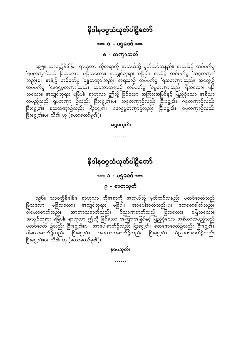## နိဒါနဝဂ္ဂသံယုတ်ပါဠိတော် === ၁ - ပဌမဝဂ် === ၈ - တဏှာသုတ်

၁၉၅။ သာဝတ္ထိနိဒါန်း။ ရာဟုလာ ထိုအရာကို အဘယ်သို့ မှတ်ထင်သနည်း၊ အဆင်း၌ တပ်မက်မှု ်ရူပတဏှာ သည် မြိသလော၊ မမြဲသလော။ အသျှင်ဘုရား မမြဲပါ။ အသံ၌ တပ်မက်မှု သဒ္ဒတဏှာ ျား<br>သည်။ပ။ အနံ့၌ တပ်မက်မှု 'ဂန္ဓတဏှာ'သည်။ အရသာ၌ တပ်မက်မှု 'ရသတဏှာ'သည်။ အတွေ့၌ ္ ကပည့်သည် ရူပတဏှာ ၌လည်း ငြီးငွေ့၏။ပ။ သဒ္ဒတဏှာ၌လည်း ငြီးငွေ့၏။ ဂန္ဓတဏှာ၌လည်း<br>ငြီးငွေ့၏။ ရသတဏှာ၌လည်း ငြီးငွေ့၏။ ဖောဋ္ဌဗတဏှာ၌လည်း ငြီးငွေ့၏။ ဓမ္မတဏှာ၌လည်း ္<br>ငြီးငွေ့၏။ပ။ သိ၏ ဟု (ဟောတော်မူ၏)။

အဋ္ဌမသုတ်။

### နိဒါနဝဂွသံယုတ်ပါဠိတော်

=== ၁ - ပဌမ၀ဂ် === ၉ - ဓာတုသုတ်

၁၉၆။ သာဝတ္ထိနိဒါန်း။ ရာဟုလာ ထိုအရာကို အဘယ်သို့ မှတ်ထင်သနည်း၊ ပထဝီဓာတ်သည် မြဲသလော၊ မမြဲသလော။ အသျှင်ဘုရား မမြဲပါ။ အာပေါ်ဓာတ်သည်။ပ။ တေဇောဓါတ်သည်။ မြံသလော၊ ဝါယောဓာတ်သည်။ အာကာသဓာတ်သည်။ ဝိညာဏဓာတ်သည် မမြဲသလော။ အသျှင်ဘုရား မမြဲပါ။ ရာဟုလာ ဤသို့ မြင်သော အကြားအမြင်နှင့် ပြည့်စုံသော အရိယာတပည့်သည် ပထဝီဓာတ် ၌လည်း ငြီးငွေ့၏။ပ။ အာပေါဓာတ်၌လည်း ငြီးငွေ့၏။ တေဇောဓာတ်၌လည်း ငြီးငွေ့၏။ ဝါယောဓာတ်၌လည်း ငြီးငွေ့၏။ အာကာသဓာတ်၌လည်း ငြီးငွေ့၏။ ဝိညာဏဓာတ်၌လည်း -<br>ငြီးငွေ့၏။ပ။ သိ၏ ဟု (ဟောတော်မူ၏)။

နဝမသုတ်။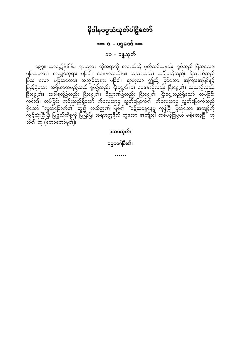## နိဒါနဝဂ္ဂသံယုတ်ပါဠိတော် === ၁ - ပဌမဝဂ် === ၁၀ - ခန္ဓသုတ်

၁၉၇။ သာဝတ္ထိနိဒါန်း။ ရာဟုလာ ထိုအရာကို အဘယ်သို့ မှတ်ထင်သနည်း၊ ရုပ်သည် မြဲသလော၊ မမြဲသလော။ အသျှင်ဘုရား မမြဲပါ။ ဝေဒနာသည်။ပ။ သညာသည်။ သင်္ခါရတို့သည်။ ဝိညာဏ်သည် ျှ<br>မြဲသ လော၊ မမြဲသလော။ အသျှင်ဘုရား မမြဲပါ။ ရာဟုလာ ဤသို့ မြင်သော အကြားအမြင်နှင့် မြသ လော၊ မြေသလော။ အသျှင်ဘုရား မြေပ။၊ ရာတုလာ ဤသူ့ မြင်သော အကြာအမြင်နှင့်<br>ပြည့်စုံသော အရိယာတပည့်သည် ရုပ်၌လည်း ငြီးငွေ့၏။ပ။ ဝေဒနာ၌လည်း ငြီးငွေ့၏။ သညာ၌လည်း<br>ငြီးငွေ့့၏။ သင်္ခါရတို့၌လည်း ငြီးငွေ့၏။ ဝိညာဏ်၌လည်း ငြီးငွေ့၏၊ ငြီးငွ သိ၏ ဟု (ဟောတော်မူ၏)။

ဒသမသုတ်။

ပဌမဝဂ်ပြီး၏။

 $- - - - - -$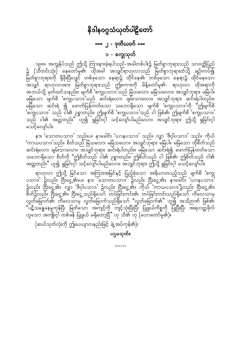### နိဒါန၀ဂွသံယုတ်ပါဠိတော်

=== ၂ - ဒုတိယ၀ဂ် ===

၁ - စက္ခုသုတ်

၁၉၈။ အကျွန်ုပ်သည် ဤသို့ ကြားနားခဲ့ရပါသည်-အခါတစ်ပါး၌ မြတ်စွာဘုရားသည် သာဝတ္ထိပြည်<br>၌ (သီတင်းသုံး) နေတော်မူ၏၊ ထိုအခါ အသျှင်ရာဟုလာသည် မြတ်စွာဘုရားထံသို့ ချဉ်းကပ်၍ -<br>အသျှင် ရာဟုလာအား မြတ်စွာဘုရားသည် ဤစကားကို မိန့်တော်မူ၏- ရာဟုလာ ထိုအရာကို အဘယ်သို့ မှတ်ထင်သနည်း။ မျက်စိ်စတ္ဍုပသာဒါသည် မြဲသလော၊ မမြဲသလော။ အသျှင်ဘုရား မမြဲပါ။ မမြဲသော မျက်စိ 'စက္ခုပသာဒ'သည် ဆင်းရဲလော၊ ချမ်းသာလော။ အသျှင်ဘုရား ဆင်းရဲပါတည်း။ မမြဲသော ဆင်းရဲ ၍ ဖောက်ပြန်တတ်သော သဘောရှိသော မျက်စိ 'စက္ခုပသာဒ'ကို "ဤမျက်စိ<br>'စက္ခုပသာဒ' သည် ငါ၏ ဉစ္စာတည်း၊ ဤမျက်စိ 'စက္ခုပသာဒ'သည် ငါ ဖြစ်၏၊ ဤမျက်စိ 'စက္ခုပသာဒ' သည် ငါ၏ အတ္တတည်း" ဟူ၍ ရှုခြင်းငှါ သင့်လျော်ပါမည်လော။ အသျှင်ဘုရား ဤသို့ ရှုခြင်းငှါ မသင့်လျော်ပါ။

နား 'သောတပသာဒ' သည်။ပ။ နှာခေါင်း 'ဃာနပသာဒ' သည်။ လျှာ 'ဇိဝှါပသာဒ' သည်။ ကိုယ် ်ကာယပသာဒ'သည်။ စိတ်သည် မြဲသလော၊ မမြဲသလော။ အသျှင်ဘုရား မမြဲပါ။ မမြဲသော ထိုစိတ်သည် ဆင်းရဲလော၊ ချမ်းသာလော။ အသျှင်ဘုရား ဆင်းရဲပါတည်း။ မမြဲသော ဆင်းရဲ၍ ဖောက်ပြန်တတ်သော သဘောရှိသော စိတ်ကို "ဤစိတ်သည် ငါ၏ ဥစ္စာတည်း၊ ဤစိတ်သည် ငါ ဖြစ််၏၊ ဤစိတ်သည် ငါ၏ အတ္တတည်း" ဟူ၍ ရှုခြင်းငှါ် သင့်လျော်ပါမည်လော။ အသျှင်ဘုရား ဤသို့ ရှုခြင်းငှါ မသင့်လျော်ပါ။

ရာဟုလာ ဤသို့ မြင်သော အကြားအမြင်နှင့် ပြည့်စုံသော အရိယာတပည့်သည် မျက်စိ 'စက္ခု<br>ပသာဒ္ဒ ၌လည်း ငြီးငွေ့၏။ပ။ နား 'သောတပသာဒ' ၌လည်း ငြီးငွေ့၏။ နှာခေါင်း 'ဃာနှပသာဒ' ၌လည်း ငြီးငွေ့၏။ လျှာ 'ဇိဝှါပသာဒ' ၌လည်း ငြီးငွေ့၏။ ကိုယ် 'ကာယပသာဒ'၌လည်း ငြီးငွေ့၏။ စိတ်၌လည်း ငြီးငွေ့၏။ ငြီးငွေ့သည်ရှိသော် တပ်ခြင်းကင်း၏၊ တပ်ခြင်းကင်းသည်ရှိသော် ကိလေသာမှ လွတ်မြောက်၏၊ ကိလေသာမှ လွတ်မြောက်သည်ရှိသော် "လွတ်မြောက်၏" ဟူ၍ အသိဉာဏ် ဖြစ်၏၊ "ပဋိသန္ဓေနေမှုကုန်ပြီ၊ မြတ်သော အကျင့်ကို ကျင့်သုံးပြီးပြီ၊ ပြုဖွယ်ကိစ္စကို ပြုပြီးပြီ၊ အရဟတ္တဖိုလ် ဟူသော အကျိုးငှါ တစ်ဖန် ပြုဖွယ် မရှိတော့ပြီ" ဟု သိ၏ ဟု (ဟောတော်မူ၏)။

ဆြယ်သုတ်လုံးကို ဤပေယျာလနည်းဖြင့် ခဲျ့အပ်ကုန်၏ $\parallel$ ။

ပဌမသုတ်။

------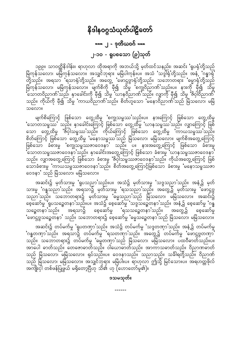## နိဒါနဝဂ္ဂသံယုတ်ပါဠိတော် === ၂ - ဒုတိယဝဂ် === ၂-၁၀ - ရူပစသော (၉)သုတ်

၁၉၉။ သာဝတ္ထိနိဒါန်း။ ရာဟုလာ ထိုအရာကို အဘယ်သို့ မှတ်ထင်သနည်း၊ အဆင်း 'ရူပရုံ'တို့သည် မြဲကုန်သလော၊ မမြဲကုန်သလော။ အသျှင်ဘုရား မမြဲပါကုန်။ပ။ အသံ သဒ္ဒါရုံ/တို့သည်။ အနံ့ 'ဂန္ဓာရုံ' ု<br>မြဲကုန်သလော၊ မမြဲကုန်သလော။ မျက်စိကို မှီ၍ သိမှု 'စက္ခုဝိညာဏ်'သည်။ပ။ နားကို မှီ၍ သိမှု<br>'သောတဝိညာဏ်'သည်၊ နှာခေါင်းကို မှီ၍ သိမှု 'ဃာနဝိညာဏ်'သည်။ လျှာကို မှီ၍ သိမှု 'ဇိဝှါဝိညာဏ်' သည်။ ကိုယ်ကို မှီ၍ သိမှု 'ကာယဝိညာဏ်'သည်။ စိတ်ဟူသော 'မနောဝိညာဏ်'သည် မြဲသလော၊ မမြဲ သလော။

မျက်စိကြောင့် ဖြစ်သော တွေ့ထိမှု 'စက္ခုသမ္ဗဿ'သည်။ပ။ နားကြောင့် ဖြစ်သော တွေ့ထိမှု 'သောတသမ္မဿ' သည်။ နှာခေါင်းကြောင့် ဖြစ်သော တွေ့ထိမှု 'ဃာနသမ္မဿ'သည်။ လျှာကြောင့် ဖြစ်ိ သော တွေ့ထိမှု 'ဇိဝ္ဒါသမ္ဗဿ'သည်။ ကိုယ်ကြောင့် ဖြစ်သော တွေ့ထိမှု 'ကာယသမ္ဗဿ'သည်။ စိတ်ကြောင့် ဖြစ်သော တွေ့ထိမှု 'မနောသမ္ပဿ'သည် မြဲသလော၊ မမြဲသလော။ မျက်စိအတွေ့ကြောင့် ဖြစ်သော ခံစားမှု စက္ခုသမ္ဗဿဇာဝေဒနာ သည်။ ပ။ နားအတွေ့ကြောင့် ဖြစ်သော ခံစားမှု ်သောတသမ္ဗဿဇာဝေဒနာ သည်။ နှာခေါင်းအတွေ့ကြောင့် ဖြစ်သော ခံစားမှု 'ဃာနသမ္ဗဿဇာဝေဒနာ' သည်။ လျှာအတွေ့ကြောင့် ဖြစ်သော ခံစားမှု 'ဇိဝ္ဒါသမ္မဿဇာဝေဒနာ'သည်။ ကိုယ်အတွေ့ကြောင့် ဖြစ် သောခံစားမှု 'ကာယသမ္ဗဿဇာဝေဒနာ'သည်။ စိတ်အတွေ့ကြောင့်ဖြစ်သော ခံစားမှု 'မနောသမ္ဗဿဇာ ဝေဒနာႛ သည် မြဲသလော၊ မမြဲသလော။

အဆင်း၌ မှတ်သားမှု 'ရူပသညာ'သည်။ပ။ အသံ၌ မှတ်သားမှု 'သဒ္ဒသညာ'သည်။ အနံ့၌ မှတ်<br>သားမှု 'ဂန္ဓသညာ'သည်။ အရသာ၌ မှတ်သားမှု 'ရသသညာ'သည်။ အတွေ့၌ မှတ်သားမှု 'ဖောဋ္ဌဗ္ဗ သညာ သည်။ သဘောတရား၌ မှတ်သားမှု 'ဓမ္မသညာ သည် မြဲသလော၊ မမြဲသလော။ အဆင်း၌ စေ့ဆော်မူ 'ရူပသဥ္ရေတနာ'သည်။ပ။ အသံ၌ စေ့ဆော်မှု 'သဒ္ဒသဥ္ရေတနာ'သည်။ အနံ့၌ စေ့ဆော်မှု 'ဂန္ဓ သဥ္ရေတန်ာႛသည်။ အရသာ၌ စေ့ဆော်မှု 'ရသသဥ္ရေတနာႛသည်။ အတွေ့၌ စေ့ဆော်မှု 'ဖောဋဗ္ဗသဉ္စေတနာ' သည်။ သဘောတရား၌ စေ့ဆော်မူ 'ဓမ္မသဉ္စေတနာ'သည် မြဲသလော၊ မမြဲသလော။

အဆင်း၌ တပ်မက်မှု 'ရူပတဏှာ'သည်။ အသံ၌ တပ်မက်မှု 'သဒ္ဒတဏှာ'သည်။ အနံ့၌ တပ်မက်မှု ်ဂန္ဓတဏှာ သည်။ အရသာ၌ တပ်မက်မှု ရသတဏှာ သည်။ အတွေ့၌ တပ်မက်မှု 'ဖောဋ္ဌဗ္ဗတဏှာ' သည်။ သဘောတရား၌ တပ်မက်မှု 'ဓမ္မတဏှာ'သည် မြဲသလော၊ မမြဲသလော။ ပထဝီဓာတ်သည်။ပ။ အာပေါ ဓာတ်သည်။ တေဇောဓာတ်သည်။ ဝါယောဓာတ်သည်။ အာကာသဓာတ်သည်။ ဝိညာဏဓာတ် သည် မြဲသလော၊ မမြဲသလော။ ရုပ်သည်။ပ။ ဝေဒနာသည်။ သညာသည်။ သင်္ခါရတို့သည်။ ဝိညာဏ် သည် မြဲသလော၊ မမြဲသလော။ အသျှင်ဘုရား မမြဲပါ။ပ။ ရာဟုလာ ဤသို့ မြင်သော။ပ။ အရဟတ္တဖိုလ် အကျိုးငှါ တစ်ဖန်ပြုဖွယ် မရှိတော့ပြီဟု သိ၏ ဟု (ဟောတော်မူ၏)။

ဒသမသုတ်။

------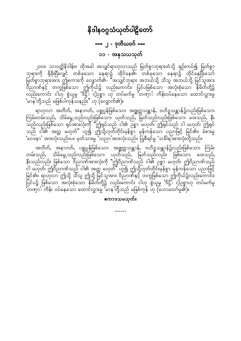## နိဒါန၀ဂွသံယုတ်ပါဠိတော်

=== ၂ - ဒုတိယဝဂ် ===

၁၁ - အနုသယသုတ်

၂၀၀။ သာဝတ္ထိနိဒါန်း။ ထိုအခါ အသျှင်ရာဟုလာသည် မြတ်စွာဘုရားထံသို့ ချဉ်းကပ်၍ မြတ်စွာ<br>ဘုရားကို ရှိခိုးပြီးလျှင် တစ်ခုသော နေရာ၌ ထိုင်နေ၏၊ တစ်ခုသော နေရာ၌ ထိုင်နေပြီးသော် ု ၊ ၂ ၂ ၂ ။<br>မြတ်စွာဘုရားအား ဤစကားကို လျှောက်၏- "အသျှင်ဘုရား အဘယ်သို့ သိသူ အဘယ်သို့ မြင်သူအား )<br>ဝိညာဏ်နှင့် တကွဖြစ်သော ဤကိုယ်၌ လည်းကောင်း၊ ပြင်ပဖြစ်သော အလုံးစုံသော နိမိတ်တို့၌ ု<br>လည်းကောင်း ငါဟု စွဲယူမှု 'ဒိဋ္ဌိ၊ ငါ့ဥစ္စာ ဟု တပ်မက်မှု 'တဏှာ'၊ ကိန်းဝပ်နေသော ထောင်လွှားမှု 'မာန'တို့သည် မဖြစ်ပါကုန်သနည်း" ဟု (လျှောက်၏)။

ရာဟုလာ အတိတ်, အနာဂတ်, ပစ္စုပ္ပန်ဖြစ်သော၊ အဇ္ဈတ္တသန္တာန်, ဗဟိဒ္ဓသန္တာန်၌လည်းဖြစ်သော၊ ကြမ်းတမ်းသည်, သိမ်မွေ့သည်လည်းဖြစ်သော၊ ယုတ်သည်, မြတ်သည်လည်းဖြစ်သော၊ ဝေးသည်, နီး —<br>သည်လည်းဖြစ်သော ရုပ်အားလုံးကို "ဤရုပ်သည် ငါ၏ ဉစ္စာ မဟုတ်၊ ဤရုပ်သည် ငါ မဟုတ်၊ ဤရုပ် သည် ငါ၏ အတ္တ မဟုတ်" ဟူ၍ ဤသို့ဟုတ်တိုင်းမှန်စွာ မှန်ကန်သော ပညာဖြင့် မြင်၏။ ခံစားမှု ်ဝေဒနာႛ အားလုံးသည်။ပဲ။ မှတ်သားမှု ´သညာႛအားလုံးသည်။ ပြုစီရင်မှု ႚသခဵါရႛအားလုံးတို့သည်။

အတိတ်, အနာဂတ်, ပစ္စုပ္ပန်ဖြစ်သော၊ အဇ္ဈတ္တသန္တာန်, ဗဟိဒ္ဓသန္တာန်၌လည်းဖြစ်သော၊ ကြမ်း တမ်းသည်, သိမ်မွေ့သည်လည်းဖြစ်သော၊ ယုတ်သည်, မြတ်သည်လည်း ဖြစ်သော၊ ဝေးသည်, နီးသည်လည်း ဖြစ်သော ဝိညာဏ်အားလုံးကို "ဤဝိညာဏ်သည် ငါ၏ ဉစ္စာ မဟုတ်၊ ဤဝိညာဏ်သည် မြင်၏။ ရာဟုလာ ဤသို့ သိသူ ဤသို့ မြင်သူအား ဝိညာဏ်နှင့် တကွဖြစ်သော ဤကိုယ်၌လည်းကောင်း၊ ပြ<br>ပြင်ပ၌ ဖြစ်သော အလုံးစုံသော နိမိတ်တို့၌ လည်းကောင်း ငါဟု စွဲယူမှု 'ဒိဋ္ဌိ၊ ငါ့ဉစ္စာဟု တပ်မက်မှု<br>'တဏှာ'၊ ကိန်း ဝပ်နေသော ထောင်လွှားမှု 'မာန'တို့သည် မဖြစ်ကုန် ဟု (ဟောတော်မူ၏)။

ဧကာဒသမသုတ်။

 $- - - - - -$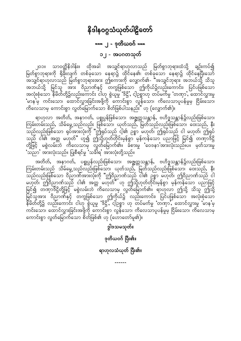# နိဒါန၀ဂွသံယုတ်ပါဠိတော်

=== ၂ - ဒုတိယဝဂ် ===

၁၂ - အပဂတသုတ်

၂၀၁။ သာဝတ္ထိနိဒါန်း။ ထိုအခါ အသျှင်ရာဟုလာသည် မြတ်စွာဘုရားထံသို့ ချဉ်းကပ်၍ .<br>မြတ်စွာဘုရားကို ရှိခိုးလျက် တစ်ခုသော နေရာ၌ ထိုင်နေ၏၊ တစ်ခုသော နေရာ၌ ထိုင်နေပြီးသော် .<br>အသျှင်ရာဟုလာသည် မြတ်စွာဘုရားအား ဤစကားကို လျှောက်၏- "အသျှင်ဘုရား အဘယ်သို့ သိသူ အဘယ်သို့ မြင်သူ အား ဝိညာဏ်နှင့် တကွဖြစ်သော ဤကိုယ်၌လည်းကောင်း၊ ပြင်ပဖြစ်သော အလုံးစုံသော နိမိတ်တို့၌လည်းကောင်း ငါဟု စွဲယူမှု 'ဒိဋ္ဌိ', ငါ့ဉစ္စာဟု တပ်မက်မှု 'တဏှာ', ထောင်လွှားမှု မာနပ္ဒြဲ ကင်းသော၊ ထောင်လွှားခြင်းအဖို့ကို ကောင်းစွာ လွန်သော၊ ကိလေသာပူပန်မှုမှ ငြိမ်းသော၊ ကိလေသာမှ ကောင်းစွာ လွတ်မြောက်သော စိတ်ဖြစ်ပါသနည်း" ဟု (လျှောက်၏)။

ရာဟုလာ အတိတ်, အနာဂတ်, ပစ္စုပ္ပန်ဖြစ်သော၊ အဇ္ဈတ္တသန္တာန်, ဗဟိဒ္ဓသန္တာန်၌လည်းဖြစ်သော၊ ္လာေကာင္း ေမာ္ေကာင္း ေတာ့ ေကာင္း ေမာ္ေကာင္း ေကာင္းေကာင္း<br>ကြမ်းတမ်းသည်, သိမ်မွေ့သည်လည်း ဖြစ်သော၊ ယုတ်သည်, မြတ်သည်လည်းဖြစ်သော၊ ဝေးသည်, နီး<br>သည်လည်းဖြစ်သော ရုပ်အားလုံးကို "ဤရုပ်သည် ငါ့၏ ဥစ္စာ မဟုတ်၊ ဤရုပ်သည် ငါ မဟုတ်၊ ဤရုပ် သည် ငါ၏ အတ္တ မဟုတ်" ဟူ၍ ဤသို့ဟုတ်တိုင်းမှန်စွာ မှန်ကန်သော ပညာဖြင့် မြင်၍ တဏှာဒိဋ္ဌ တို့ဖြင့် မစွဲလမ်းဘဲ ကိလေသာမှ လွတ်မြောက်၏။ ခံစားမှု 'ဝေဒနာ'အားလုံးသည်။ပ။ မှတ်သားမှု .<br>'သညာ' အားလုံးသည်။ ပြုစီရင်မှု 'သင်္ခါရ' အားလုံးတို့သည်။

အတိတ်, အနာဂတ်, ပစ္စုပ္ပန်လည်းဖြစ်သော၊ အဇ္ဈတ္တသန္တာန်, ဗဟိဒ္ဓသန္တာန်၌လည်းဖြစ်သော၊ ကြမ်းတမ်းသည် သိမ်မွေ့သည်လည်းဖြစ်သော၊ ယုတ်သည်, မြတ်သည်လည်းဖြစ်သော၊ ဝေးသည်, နီး ညည်လည်းဖြစ်သော ဝိညာဏ်အားလုံးကို "ဤဝိညာဏ်သည် ငါ၏ ဉစ္စာ မဟုတ်၊ ဤဝိညာဏ်သည် ငါ ု့ ကျောက်၊ ထိုကြားကို အသို့ မဟုတ်၊ ထိုကြီး အသို့တို့ အသို့ အသို့ အသို့ အသို့ ကျောက်<br>မဟုတ်၊ ဤဝိညာဏ်သည် ငါ၏ အတ္တ မဟုတ်၊ ဟု ဤသို့ဟုတ်တိုင်းမှန်စွာ မှန်ကန်သော ပညာဖြင့်<br>- မြင်၍ တဏှာဒိဋ္ဌိတို့ဖြင့် မစွဲလမ်းဘဲ ကိလေသာမှ လွတ်မြောက ္<br>မြင်သူအား ဝိညာဏ်နှင့် တကွဖြစ်သော ဤကိုယ်၌ လည်းကောင်း၊ ပြင်ပဖြစ်သော အလုံးစုံသော<br>နိမိတ်တို့၌ လည်းကောင်း ငါဟု စွဲယူမှု 'ဒိဋ္ဌိ', ငါ့ဉစ္စာ ဟု တပ်မက်မှု 'တဏှာ', ထောင်လွှားမှု 'မာန'မှ ကင်းသော၊ ထောင်လွှားခြင်းအဖို့ကို ကောင်းစွာ လွန်သော၊ ကိလေသာပူပန်မှုမှ ငြိမ်းသော၊ ကိလေသာမှ ကောင်းစွာ လွတ်မြောက်သော စိတ်ဖြစ်၏ ဟု (ဟောတော်မူ၏)။

ဒွါဒသမသုတ်။

ဒုတိယဝဂ် ပြီး၏။

ရာဟုလသံယုတ် <mark>ပြီး၏</mark>။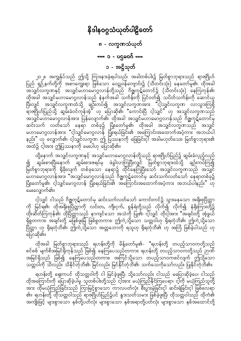#### ၈ - လက္ခဏသံယုတ်

=== ၁ - ပဌမဝဂ် === ၁ - အဋ္ဌိသုတ်

၂၀၂။ အကျွန်ုပ်သည် ဤသို့ ကြားနားခဲ့ရပါသည်၊ အခါတစ်ပါး၌ မြတ်စွာဘုရားသည် ရာဇဂြိုဟ် ပြည် ရှဉ့်နက်တို့ကို အစာတျွေးရာ ဖြစ်သော ဝေဠုဝန်ကျောင်း၌ (သီတင်းသုံး) နေတော်မူ၏၊ ထိုအခါ အသျှင်လက္ခဏနှင့် အသျှင်မဟာမောဂ္ဂလာန်တို့သည် ဂိဇ္ဈကုဋ်တောင်၌ (သီတင်းသုံး) နေကြကုန်၏၊ ထိုအခါ အသျှင်မဟာမောဂ္ဂလာန်သည် နံနက်အခါ သင်္ကန်းကို ပြင်ဝတ်၍ သပိတ်သင်္ကန်းကို ဆောင်ယူ ပြီးလျှင် အသျှင်လက္ခဏထံသို့ ချဉ်းကပ်၍ အသျှင်လက္ခဏအား "ငါ့သျှင်လက္ခဏ လာသွားကြစို့ -<br>ရာဇဂြိုဟ်ပြည်သို့ ဆွမ်းခံဝင်ကုန်အံ့" ဟု ပြောဆို၏ "ကောင်းပြီ ငါ့သျှင်" ဟု အသျှင်လက္ခဏသည် .<br>အသျှင်မဟာမော်ဂွလာန်အား ပြန်လျောက်၏၊ ထိုအခါ အသျှင်မဟာမော်ဂွလာန်သည် ဂိစ္စျကုဋ်တောင်မှ ္ …<br>ဆင်းသက် လတ်သော် နေရာ တစ်ခု၌ ပြုံးတော်မူ၏၊ ထိုအခါ အသျှင်လက္ခဏသည် အသျှင်<br>မဟာမောဂ္ဂလာန်အား "ငါ့သျှင်မောဂ္ဂလာန် ပြုံးရယ်ခြင်း၏ အကြောင်းအထောက်အပံ့ကား အဘယ်ပါ နည်း" ဟု<sup>ိ</sup>လျှောက်၏၊ ငါ့သျှင်လက္ခဏ ဤ ပြဿနာကို ဖြေခြင်းငှါ အခါမဟုတ်သေး၊ မြတ်စွာဘုရား၏ ုိင္ပြဲ<br>အထံ၌ ငါ့အား ဤပြဿနာကို မေးပါဟု ပြောဆို၏။

ထို့နောက် အသျှင်လက္ခဏနှင့် အသျှင်မဟာမောဂ္ဂလာန်တို့သည် ရာဇဂြိုဟ်ပြည်၌ ဆွမ်းခံလှည့်လည် ဆွမ်းစားပြီးနောက် ဆွမ်းစားဇရပ်မှ ဖဲခွါလာကြပြီးလျှင် မြတ်စွာဘုရားထံသို့ ချဉ်းကပ်ကြ၍ မြတ်စွာဘုရားကို ရှိခိုးလျက် တစ်ခုသော နေရာ၌ ထိုင်နေကြပြီးသော် အသျှင်လက္ခဏသည် အသျှင် မဟာမောဂ္ဂလာန်အား "အသျှင်မောဂ္ဂလာန်သည် ဂိဇ္ဈကုဋ်တောင်မှ ဆင်းသက်လတ်သော် နေရာတစ်ခု၌ ပြုံးတော်မူ၏၊ ငါ့သျှင်မောဂ္ဂလာန် ပြုံးရယ်ခြင်း၏ အကြောင်းအထောက်အပံ့ကား အဘယ်ပါနည်း" ဟု မေးလျှောက်၏။

င့ါသျှင် ငါသည် ဂိဇ္ဈကုဋ်တောင်မှ ဆင်းသက်လတ်သော် ကောင်းကင်၌ သွားနေသော အရိုးစုပြိတ္တာ ကို မြင်ရ၏၊ ထိုအရိုးစုပြိတ္တာကို လင်းတ, ကျီးငှက်, စွန်ရဲတို့သည် လိုက်၍ လိုက်၍ နံရိုးကြားတို့၌ ထိုးဆိတ်ကြကုန်၏၊ ထိုပြိတ္တာသည် နာကျင်သော အသံကို ပြု၏၊ ငါ့သျှင် ထိုငါ့အား "အချင်းတို့ အံ့ဖွယ် ရှိစွတကား၊ အချင်းတို့ မဖြစ်ဖူးမြဲ ဖြစ်စွတကား၊ ဤကဲ့သို့သော သတ္တဝါဟု ရှိရတုံဘိ၏၊ ဤကဲ့သို့သော .<br>ပြိတ္တာ ဟု ရှိရတုံဘိ၏၊ ဤကဲ့သို့သော အတ္တဘောကို ရသူဟု ရှိရတုံဘိ၏ ဟု အကြံ ဖြစ်ခဲ့ပါသည် ဟု ပြောဆို၏။

ထိုအခါ မြတ်စွာဘုရားသည် ရဟန်းတို့ကို မိန့်တော်မူ၏- "ရဟန်းတို့ တပည့်သာဝကတို့သည် စင်စစ် မျက်စိအမြင်ရှိကုန်သည် ဖြစ်၍ နေကြပေသည်တကား၊ ရဟန်းတို့ တပည့်သာဝကတို့သည် ဉာဏ် အမြင်ရှိသည် ဖြစ်၍ နေကြပေသည်တကား၊ အကြင်သို့သော တပည့်သာဝကစင်လျက် ဤသို့သော သတ္တဝါကို သိလည်း သိနိုင်တုံဘိ၏၊ မြင်လည်း မြင်နိုင်တုံဘိ၏၊ သက်သေကိုသော်လည်း ပြုနိုင်တုံဘိ၏။

ရဟန်းတို့ ရှေးကပင် ထိုသတ္တဝါကို ငါ မြင်ခဲ့ဖူးပြီ၊ သို့သော်လည်း ငါသည် မပြောဆိုခဲ့ပေ၊ ငါသည် ထိုအကြောင်းကို ပြောဆိုခဲ့ပါမူ သူတစ်ပါးတို့သည် ငါ့အား မယုံကြည်နိုင်ကြပေရာ၊ ငါ့ကို မယုံကြည်သူတို့ ၏။ ရဟန်းတို့ ထိုသတ္တဝါသည် ရာဇဂြိုဟ်ပြည်၌ပင် နွားသတ်သမား ဖြစ်ခဲ့ဖူးပြီ၊ ထိုသတ္တဝါသည် ထိုကံ၏ အကျိုးဖြင့် များစွာသော နှစ်တို့ပတ်လုံး များစွာသော နှစ်အရာတို့ပတ်လုံး များစွာသော နှစ်အထောင်တို့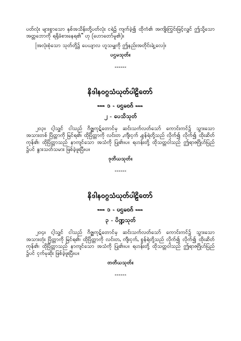ပတ်လုံး များစွာသော နှစ်အသိန်းတို့ပတ်လုံး ငရဲ၌ ကျက်ခဲ့၍ ထိုကံ၏ အကျိုးကြွင်းဖြင့်လျှင် ဤသို့သော .<br>အတ္တဘောကို ရရှိခံစားနေရ၏" ဟု (ဟောတော်မူ၏)။

အြလုံးစုံသော သုတ်တို့၌ ပေယျာလ ဟူသမျှကို ဤနည်းအတိုင်းခဲျ့လေါ့။

ပဌမသုတ်။

# နိဒါနဝဂွသံယုတ်ပါဠိတော် === ၁ - ပဌမ၀ဂ် ===

၂ - ပေသိသုတ်

၂၀၃။ ငါ့သျှင် ငါသည် ဂိဇ္ဈကုဋ်တောင်မှ ဆင်းသက်လတ်သော် ကောင်းကင်၌ သွားသော<br>အသားတစ် ပြိတ္တာကို မြင်ရ၏၊ ထိုပြိတ္တာကို လင်းတ ကျီးငှက် စွန်ရဲတို့သည် လိုက်၍ လိုက်၍ ထိုးဆိတ်<br>ကုန်၏၊ ထိုပြိတ္တာသည် နာကျင့်သော အသံကို ပြု၏။ပ။ ရဟန်းတို့ ၌ပင် နွားသတ်သမား ဖြစ်ခဲ့ဖူးပြီ။ပ။

ဒုတိယသုတ်။

-------

နိဒါနဝဂွသံယုတ်ပါဠိတော် === ၁ - ပဌမဝဂ် === ၃ - ပိဏ္ဍသုတ်

၂၀၄။ ငါ့သျှင် ငါသည် ဂိစ္ဈကုဋ်တောင်မှ ဆင်းသက်လတ်သော် ကောင်းကင်၌ သွားသော ္ခ်ာပင် ငှက်မုဆိုး ဖြစ်ခဲ့ဖူးပြီ။ပ။

#### တတိယသုတ်။

 $\frac{1}{2}$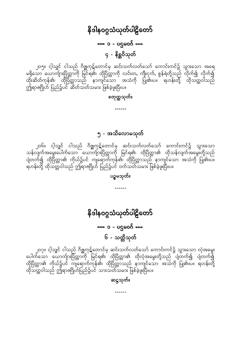=== ၁ - ပဌမဝဂ် === ၄ - နိစ္ဆဝိသုတ်

၂၀၅။ င့ါသျှင် ငါသည် ဂိ<mark>ဗ္ဈ</mark>ကုဋ်တောင်မှ ဆင်းသက်လတ်သော် ကောင်းကင်၌ သွားသော အရေ ဤရာဇဂြိုဟ် ပြည်၌ပင် ဆိတ်သတ်သမား ဖြစ်ခဲ့ဖူးပြီ။ပ။

စတုတ္ထသုတ်။

 $- - - - - -$ 

#### ၅ - အသိလောမသုတ်

၂၀၆။ ငါ့သျှင် ငါသည် ဂိဇ္ဈကုဋ်တောင်မှ ဆင်းသက်လတ်သော် ကောင်းကင်၌ သွားသော ပျံတက်၍ ထိုပြိတ္တာ၏ ကိုယ်၌ပင် ကျရောက်ကုန်၏၊ ထိုပြိတ္တာသည် နာကျင်သော အသံကို ပြု၏။ပ။ ရဟန်းတို့ ထိုသတ္တဝါသည် ဤရာဇဂြိုဟ် ပြည်၌ပင် ဝက်သတ်သမား ဖြစ်ခဲ့ဖူးပြီ။ပ။

ပဥ္စမသုတ်။

 $\frac{1}{2}$ 

## နိဒါနဝဂွသံယုတ်ပါဠိတော်

=== ၁ - ပဌမဝဂ် === ၆ - သတ္တိသုတ်

၂၀၇။ ငါ့သျှင် ငါသည် ဂိ<mark>ဈ္</mark>စကုဋ်တောင်မှ ဆင်းသက်လတ်သော် ကောင်းကင်၌ သွားသော လှံအမွေး ပေါက်သော ယောက်ျားပြိတ္တာကို မြင်ရ၏၊ ထိုပြိတ္တာ၏ ထိုလှံအမွေးတို့သည် ပျံတက်၍ ပျံတက်၍<br>ထိုပြိတ္တာ၏ ကိုယ်၌ပင် ကျရောက်ကုန်၏၊ ထိုပြိတ္တာသည် နာကျွင်သော အသံကို ပြု၏။ပ။ ရဟန်းတို့ ု့<br>ထိုသတ္တဝါသည် ဤရာဇဂြိုဟ်ပြည်၌ပင် သားသတ်သမား ဖြစ်ခဲ့ဖူးပြီ။ပ။

#### ဆဋ္ဌသုတ်။

<u>222222</u>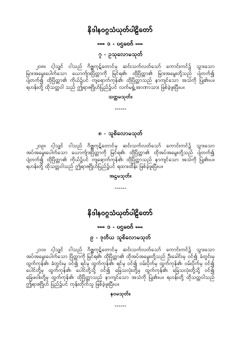=== ၁ - ပဌမဝဂ် ===

၇ - ဉသုလောမသုတ်

၂၀၈။ ငါ့သျှင် ငါသည် ဂိဇ္ဈကုဋ်တောင်မှ ဆင်းသက်လတ်သော် ကောင်းကင်၌ သွားသော .<br>မြားအမွေးပေါက်သော ယောက်ျားပြိတ္တာကို မြင်ရ၏၊ ထိုပြိတ္တာ၏ မြားအမွေးတို့သည် ပျံတက်၍<br>ပျံတက်၍ ထိုပြိတ္တာ၏ ကိုယ်၌ပင် ကျရောက်ကုန်၏၊ ထိုပြိတ္တာသည် နာကျင်သော အသံကို ပြု၏။ပ။ ရဟန်းတို့ ထိုသတ္တဝါ သည် ဤရာဇဂြိုဟ်ပြည်၌ပင် လက်မရွံ့အာဏာသား ဖြစ်ခဲ့ဖူးပြီ။ပ။

သတ္တမသုတ်။

#### ၈ - သူစိလောမသုတ်

၂၀၉။ ငါ့သျှင် ငါသည် ဂိ<mark>ၛ္</mark>ဈကုဋ်တောင်မှ ဆင်းသက်လတ်သော် ကောင်းကင်၌ သွားသော ျား သည်။ အမြောက်များ အမြောင်း အများ အများ အများ အများ အများ အများ အများ အများ အများ အ<br>ဖျံတက်၍ ထိုပြိတ္တာ၏ ကိုယ်၌ပင် ကျရောက်ကုန်၏၊ ထိုပြိတ္တာ၏ ထိုအပ်အမွေးတို့သည် ပျံတက်၍<br>မျံတက်၍ ထိုပြိတ္တာ၏ ကိုယ်၌ပင် ကျရောက်ကုန်၏၊ ထိုပြိတ္ ရဟန်းတို့ ထိုသတ္တဝါသည် ဤရာဇဂြိုဟ်ပြည်၌ပင် ရထားထိန်း ဖြစ်ခဲ့ဖူးပြီ။ပ။

အဋ္ဌမသုတ်။

# နိဒါန၀ဂွသံယုတ်ပါဠိတော်

=== ၁ - ပဌမဝဂ် === ၉ - ဒုတိယ သူစိလောမသုတ်

၂၁၀။ ငါ့သျှင် ငါသည် ဂိဇ္ဈကုဋ်တောင်မှ ဆင်းသက်လတ်သော် ကောင်းကင်၌ သွားသော အပ်အမွေးပေါက်သော ပြိတ္တာကို မြင်ရ၏၊ ထိုပြိတ္တာ၏ ထိုအပ်အမွေးတို့သည် ဦးခေါင်းမှ ဝင်၍ ခံတွင်းမှ ထွက်ကုန်၏၊ ခံတွင်းမှ ဝင်၍ ရင်မှ ထွက်ကုန်၏၊ ရင်မှ ဝင်၍ ဝမ်းပိုက်မှ ထွက်ကုန်၏၊ ဝမ်းပိုက်မှ ဝင်၍ ပေါင်တို့မှ ထွက်ကုန်၏၊ ပေါင်တို့သို့ ဝင်၍ ခြေသလုံးတို့မှ ထွက်ကုန်၏၊ ခြေသလုံးတို့သို့ ဝင်၍ ခြေဖဝါးတို့မှ ထွက်ကုန်၏၊ ထိုပြိတ္တာသည် နာကျင်သော အသံကို ပြု၏။ပ။ ရဟန်းတို့ ထိုသတ္တဝါသည် ဤရာဇဂြိုဟ် ပြည်၌ပင် ကုန်းတိုက်သူ ဖြစ်ခဲ့ဖူးပြီ။ပ။

#### နဝမသုတ်။

------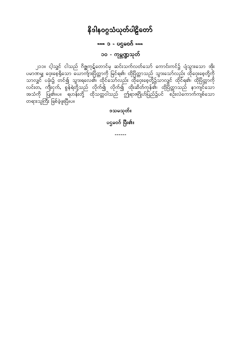=== ၁ - ပဌမဝဂ် ===

၁၀ - ကုမ္ဘဏ္ကသုတ်

၂၁၁။ ငါ့သျှင် ငါသည် ဂိဇ္ဈကုဋ်တောင်မှ ဆင်းသက်လတ်သော် ကောင်းကင်၌ ပျံသွားသော အိုး ျပင္။ ေျပာေတြကုိ အေၾကာင့္ အမ်ိဳးသားတဲ့ ေလးသမား ေကာင္းက်ပ္မွာ ျမင္ထားတာ တက္<br>ပမာဏမျှ ဝှေးစေ့ရှိသော ယောက်ျားပြိတ္တာကို မြင်ရ၏၊ ထိုပြိတ္တာသည် သွားသော်လည်း ထိုဝှေးစေ့တို့ကို<br>သာလျှင် ပခုံး၌ တင်၍ သွားရလေ၏၊ ထိုင်သော်လည်း ထိုဝှေးစ တရားသူကြီး ဖြစ်ခဲ့ဖူးပြီ။ပ။

ဒသမသုတ်။

ပဌမဝဂ် ပြီး၏။

 $\frac{1}{2}$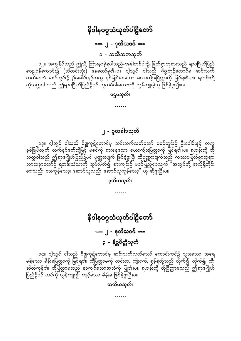၁ - သသီသကသုတ်

၂၁၂။ အကျွန်ုပ်သည် ဤသို့ ကြားနာခဲ့ရပါသည်-အခါတစ်ပါး၌ မြတ်စွာဘုရားသည် ရာဇဂြိုဟ်ပြည်<br>ဝေဠုဝန်ကျောင်း၌ (သီတင်းသုံး) နေတော်မူ၏။ပ။ ငါ့သျှင် ငါသည် ဂိဇ္ဈကုဋ်တောင်မှ ဆင်းသက် လတ်သော် မစင်တွင်း၌ ဦးခေါင်းနှင့်တကွ နစ်မြုပ်နေသော ယောက်ျားပြိတ္တာကို မြင်ရ၏။ပ။ ရဟန်းတို့<br>ထိုသတ္တဝါ သည် ဤရာဇဂြိုဟ်ပြည်၌ပင် သူတစ်ပါးမယားကို လွန်ကျူးခဲ့သူ ဖြစ်ခဲ့ဖူးပြီ။ပ။

ပဌမသုတ်။

၂ - ဂူထခါဒသုတ်

၂၁၃။ ငါ့သျှင် ငါသည် ဂိ<mark>ဗ္ဈ</mark>ကုဋ်တောင်မှ ဆင်းသက်လတ်သော် မစင်တွင်း၌ ဦးခေါင်းနှင့် တကွ နစ်မြုပ်လျက် လက်နှစ်ဖက်တို့ဖြင့် မစင်ကို စားနေသော ယောက်ျားပြိတ္တာကို မြင်ရဲ၏။ပ။ ရဟန်းတို့ ထို ှ<br>သတ္တဝါသည် ဤရာဇဂြိုဟ်ပြည်၌ပင် ပုဏ္ဏားပျက် ဖြစ်ခဲ့ဖူးပြီ၊ ထိုပုဏ္ဏားပျက်သည် ကဿပမြတ်စွာဘုရား<br>သာသနာတော်၌ ရဟန်းသံဃာကို ဆွမ်းဖိတ်၍ စားကျင်း၌ မစင်ပြည့်စေလျက် "အသျှင်တို့ အလိုရှိတိုင်း စားလည်း စားကုန်လော့၊ ဆောင်ယူလည်း ဆောင်ယူကုန်လော့" ဟု ဆိုဖူးပြီ။ပ။

ဒုတိယသုတ်။

## နိဒါနဝဂွသံယုတ်ပါဠိတော်

=== ၂ - ဒုတိယ၀ဂ် ===

၃ - နိစ္ဆဝိတ္ထိသုတ်

၂၁၄။ ငါ့သျှင် ငါသည် ဂိဇ္ဈကုဋ်တောင်မှ ဆင်းသက်လတ်သော် ကောင်းကင်၌ သွားသော အရေ မရှိသော မိန်းမပြိတ္တာကို မြင်ရ၏၊ ထိုပြိတ္တာမကို လင်းတ, ကျီးငှက်, စွန်ရဲတို့သည် လိုက်၍ လိုက်၍ ထိုး .<br>ပြည်၌ပင် လင်ကို လွန်ကျူး၍ ကျင့်သော မိန်းမ ဖြစ်ခဲ့ဖူးပြီ။ပ။

တတိယသုတ်။

 $- - - - - -$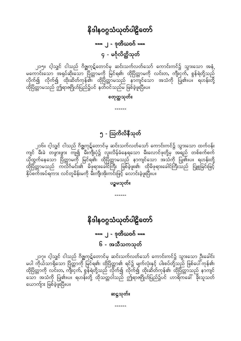=== ၂ - ဒုတိယ၀ဂ် ===

၄ - မင်္ဂုလိတ္တိသုတ်

၂၁၅။ ငါ့သျှင် ငါသည် ဂိဇ္ဈကုဋ်တောင်မှ ဆင်းသက်လတ်သော် ကောင်းကင်၌ သွားသော အနံ့ မကောင်းသော အရုပ်ဆိုးသော ပြိတ္တာမကို မြင်ရ၏၊ ထိုပြိတ္တာမကို လင်းတ, ကျီးငှက်, စွန်ရဲတို့သည် လိုက်၍ လိုက်၍ ထိုးဆိတ်ကုန်၏၊ ထိုပြိတ္တာမသည် နာကျင်သော အသံကို ပြု၏။ပ။ ရဟန်းတို့ ထိုပြိတ္တာမသည် ဤရာဇဂြိုဟ်ပြည်၌ပင် နတ်ဝင်သည်မ ဖြစ်ခဲ့ဖူးပြီ။ပ။

စတုတ္ထသုတ်။

------

#### ၅ - ဩကိလိနီသုတ်

၂၁၆။ ငါ့သျှင် ငါသည် ဂိဇ္ဈကုဋ်တောင်မှ ဆင်းသက်လတ်သော် ကောင်းကင်၌ သွားသော ထက်ဝန်း ကျင် မီးခဲ တဖွားဖွား ကျ၍ မီးကျီးပုံ၌ လူးလိမ့်ခံနေရသော မီးလောင်ဖုတို့မှ အရည် တစ်စက်စက် ု့<br>ယိုထွက်နေသော ပြိတ္တာမကို မြင်ရ၏၊ ထိုပြိတ္တာမသည် နာကျင်သော အသံကို ပြု၏။ပ။ ရဟန်းတို့<br>ထိုပြိတ္တာမသည် ကလိင်္ဂမင်း၏ မိဖုရားခေါင်ကြီး ဖြစ်ခဲ့ဖူး၏၊ ထိုမိဖုရားခေါင်ကြီးသည် ငြူစူခြင်းဖြင့် ္ခီလစက်အပ်ရကား လင်တူမိန်းမကို မီးကျီးအိုးကင်းဖြင့် လောင်းခဲ့ဖူးပြီ။ပ။

ပဥ္စမသုတ်။

------

# နိဒါနဝဂ္ဂသံယုတ်ပါဠိတော်

#### === ၂ - ဒုတိယဝဂ် === ၆ - အသီသကသုတ်

၂၁၇။ င့ါသျှင် ငါသည် ဂိဇ္ဈကုဋ်တောင်မှ ဆင်းသက်လတ်သော် ကောင်းကင်၌ သွားသော ဦးခေါင်း မပါ ကိုယ်သာရှိသော ပြိတ္တာကို မြင်ရ၏၊ ထိုပြိတ္တာ၏ ရင်၌ မျက်လုံးနှင့် ပါးစပ်တို့သည် ဖြစ်ပေါ် ကုန်၏၊<br>ထိုပြိတ္တာကို လင်းတ, ကျီးငှက်, စွန်ရဲတို့သည် လိုက်၍ လိုက်၍ ထိုးဆိတ်ကုန်၏၊ ထိုပြိတ္တာသည် နာကျင် ုပ္ပစာ<br>သော အသံကို ပြု၏။ပ။ ရဟန်းတို့ ထိုသတ္တဝါသည် ဤရာဇဂြိုဟ်ပြည်၌ပင် ဟာရိကခေါ် ခိုးသူသတ် ယောက်ျား ဖြစ်ခဲ့ဖူးပြီ။ပ။

#### ဆဋ္ဌသုတ်။

 $\frac{1}{2}$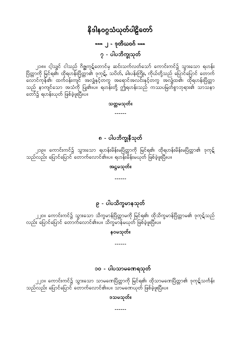=== ၂ - ဒုတိယ၀ဂ် ===

၇ - ပါပဘိက္ခုသုတ်

၂၁၈။ ငါ့သျှင် ငါသည် ဂိဇ္ဈကုဋ်တောင်မှ ဆင်းသက်လတ်သော် ကောင်းကင်၌ သွားသော ရဟန်း ပြိတ္တာကို မြင့်ရ၏၊ ထိုရဟန်းပြိတ္တာ၏ ဒုက္ခဋ်, သပိတ်, ခါးပန်းကြိုး, ကိုယ်တို့သည် ပြောင်ပြောင် တောက် သည် နာကျင်သော အသံကို ပြု၏။ပ။ ရဟန်းတို့ ဤရဟန်းသည် ကဿပမြတ်ိစွာဘုရား၏ သာသနာ တော်၌ ရဟန်းယုတ် ဖြစ်ခဲ့ဖူးပြီ။ပ။

သတ္တမသုတ်။

#### ၈ - ပါပဘိက္ခုနီသုတ်

၂၁၉။ ကောင်းကင်၌ သွားသော ရဟန်းမိန်းမပြိတ္တာကို မြင်ရ၏၊ ထိုရဟန်းမိန်းမပြိတ္တာ၏ ဒုကုဋ်<br>သည်လည်း ပြောင်ပြောင် တောက်လောင်၏။ပ။ ရဟန်းမိန်းမယုတ် ဖြစ်ခဲ့ဖူးပြီ။ပ။

<mark>အဋ္ဌမ</mark>သုတ်။

 $- - - - - -$ 

#### ၉ - ပါပသိက္ခမာနသုတ်

၂၂၀။ ကောင်းကင်၌ သွားသော သိက္ခမာန်ပြိတ္တာမကို မြင်ရ၏၊ ထိုသိက္ခမာန်ပြိတ္တာမ၏ ဒုကုဋ်သည် လည်း ပြောင်ပြောင် တောက်လောင်၏။ပ။ သိက္ခမာန်မယုတ် ဖြစ်ခဲ့ဖူးပြီ။ပ။

နဝမသုတ်<mark>။</mark>

#### ၁၀ - ပါပသာမဏေရသုတ်

၂၂၁။ ကောင်းကင်၌ သွားသော သာမဏေပြိတ္တာကို မြင်ရ၏၊ ထိုသာမဏေပြိတ္တာ၏ ဒုကုဋ်သင်္ကန်း သည်လည်း ပြောင်ပြောင် တောက်လောင်၏။ပ။ သာမဏေယုတ် ဖြစ်ခဲ့ဖူးပြီ။ပ။

ဒသမသုတ်<mark>။</mark>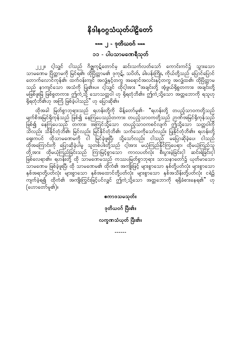#### နိဒါန၀ဂွသံယုတ်ပါဠိတော်

=== ၂ - ဒုတိယဝဂ် ===

#### ၁၁ - ပါပသာမဏေရီသုတ်

၂၂၂။ ငါ့သျှင် ငါသည် ဂိဇ္ဈကုဋ်တောင်မှ ဆင်းသက်လတ်သော် ကောင်းကင်၌ သွားသော သာမဏေမ ပြိတ္တာမကို မြင်ရ၏၊ ထိုပြိတ္တာမ၏ ဒုကုဋိ, သပိတ်, ခါးပန်းကြိုး, ကိုယ်တို့သည် ပြောင်ပြောင် တောက်လောင်ကုန်၏၊ ထက်ဝန်းကျင် အလျှံနှင့်တကွ အရောင်အလင်းနှင့်တကွ အလျှံထ၏၊ ထိုပြိတ္တာမ သည် နာကျင်သော အသံကို ပြု၏။ပ။ ငါ့သျှင် ထိုငါ့အား "အချင်းတို့ အံ့ဖွယ်ရှိစွတကား၊ အချင်းတို့ မဖြစ်ဖူးမြဲ ဖြစ်စွတကား၊ ဤကဲ့သို့ သောသတ္တဝါ ဟု ရှိရတုံဘိ၏။ ဤကဲ့သို့သော အတ္တဘောကို ရသူဟု ရှိရတုံဘိ၏ဟု အကြံ ဖြစ်ခဲ့ပါသည်" ဟု ပြောဆို၏။

ထိုအခါ မြတ်စွာဘုရားသည် ရဟန်းတို့ကို မိန့်တော်မူ၏- "ရဟန်းတို့ တပည့်သာဝကတို့သည် မျက်စိအမြင်ရှိကုန်သည် ဖြစ်၍ နေကြပေသည်တကား၊ တပည့်သာဝကတို့သည် ဉာဏ်အမြင်ရှိကုန်သည် ဖြစ်၍ နေကြပေသည် တကား၊ အကြင်သို့သော တပည့်သာဝကစင်လျက် ဤသို့သော သတ္တဝါကို .<br>သိလည်း သိနိုင်တုံဘိ၏၊ မြင်လည်း မြင်နိုင်တုံဘိ၏၊ သက်သေကိုသော်လည်း ပြုနိုင်တုံဘိ၏။ ရဟန်းတို့ ရှေးကပင် ထိုသာမဏေမကို ငါ မြင်ခဲ့ဖူးပြီ၊ သို့သော်လည်း ငါသည် မပြောဆိုခဲ့ပေ၊ ငါသည် ထိုအကြောင်းကို ပြောဆိုခဲ့ပါမူ သူတစ်ပါးတို့သည် ငါ့အား မယုံကြည်နိုင်ကြပေရာ၊ ထိုမယုံကြည်သူ တို့အား ထိုမယုံကြည်ခြင်းသည် ကြာမြင့်စွာသော ကာလပတ်လုံး စီးပွားမဲ့ခြင်းငှါ ဆင်းရဲခြင်းငှါ ဖြစ်လေရာ၏။ ရဟန်းတို့ ထို သာမဏေမသည် ကဿပမြတ်စွာဘုရား သာသနာတော်၌ ယုတ်မာသော နှစ်အရာတို့ပတ်လုံး များစွာသော နှစ်အထောင်တို့ပတ်လုံး များစွာသော နှစ်အသိန်းတို့ပတ်လုံး ငရဲ၌ ္<br>ကျက်ခဲ့ရ၍ ထိုကံ၏ အကျိုးကြွင်းဖြင့်ပင်လျှင် ဤကဲ့သို့သော အတ္တဘောကို ရရှိခံစားနေရ၏" ဟု (ဟောတော်မူ၏)။

> ဧကာဒသမသုတ်။ ဒုတိယဝဂ် ပြီး၏။ လက္ခဏသံယုတ် <mark>ပြီး၏</mark>။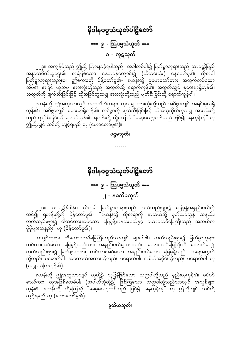# နိဒါနဝဂ္ဂသံယုတ်ပါဠိတော် === ၉ - ဩပမ္မသံယုတ် === ၁ - ကူဋသုတ်

၂၂၃။ အကျွန်ုပ်သည် ဤသို့ ကြားနာခဲ့ရပါသည်- အခါတစ်ပါး၌ မြတ်စွာဘုရားသည် သာဝတ္ထိပြည်<br>အနာထပိဏ်သူဌေး၏ အရံဖြစ်သော ဇေတဝန်ကျောင်း၌ (သီတင်းသုံး) နေတော်မူ၏၊ ထိုအခါ<br>မြွတ်စွာဘုရားသည်။ပ။ ဤစကားကို မိန့်တော်မူ၏- ရဟန်းတို့ ဉပမာသော်က .<br>အိမ်၏ အခြင် ဟူသမျှ အားလုံးတို့သည် အထွတ်သို့ ရောက်ကုန်၏၊ အထွတ်လျှင် စုဝေးရာရှိကုန်၏၊ အထွတ်ကို ဖျက်ဆီးခြင်းဖြင့် ထိုအခြင်ဟူသမျှ အားလုံးတို့သည် ပျက်စီးခြင်းသို့ ရောက်ကုန်၏။

ရဟန်းတို့ ဤအတူသာလျှင် အကုသိုလ်တရား ဟူသမျှ အားလုံးတို့သည် အဝိဇ္ဇာလျှင် အရင်းမူလရှိ ကုန်၏။ အဝိဇ္ဇာလျှင် စုဝေးရာရှိကုန်၏၊ အဝိဇ္ဇာကို ဖျက်ဆီးခြင်းဖြင့် ထိုအကုသိုလ်ဟူသမျှ အားလုံးတို့<br>သည် ပျက်စီးခြင်းသို့ ရောက်ကုန်၏၊ ရဟန်းတို့ ထို့ကြောင့် "မမေ့လျော့ကုန်သည် ဖြစ်၍ နေကုန်အံ့" ဟု ဤသို့လျှင် သင်တို့ ကျင့်ရမည် ဟု (ဟောတော်မူ၏)။

ပဌမသုတ်။

နိဒါန၀ဂွသံယုတ်ပါဠိတော် === ၉ - ဩပမ္မသံယုတ် === ၂ - နခသိခသုတ်

၂၂၄။ သာဝတ္ထိနိဒါန်း။ ထိုအခါ မြတ်စွာဘုရားသည် လက်သည်းဖျား၌ မြေမှုန့်အနည်းငယ်ကို<br>တင်၍ ရဟန်းတို့ကို မိန့်တော်မူ၏- "ရဟန်းတို့ ထိုအရာကို အဘယ်သို့ မှတ်ထင်ကုန် သနည်း၊<br>လက်သည်းဖျား၌ ငါတင်ထားအပ်သော မြေမှုန့်အနည်းငယ်နှင့် မဟာပထဝီမြေက ပိုမိုများသနည်း" ဟု (မိန့်တော်မူ၏)။

အသျှင်ဘုရား ထိုမဟာပထဝီမြေကြီးသည်သာလျှင် များပါ၏၊ လက်သည်းဖျား၌ မြတ်စွာဘုရား လက်သည်းဖျား၌ မြတ်စွာဘုရား တင်ထားအပ်သော အနည်းငယ်သော မြေမှုန့်သည် အရေအတွက် သို့လည်း မရောက်ပါ၊ အထောက်အထားသို့လည်း မရောက်ပါ၊ အစိတ်အပိုင်းသို့လည်း မရောက်ပါ ဟု (လျှောက်ကြကုန်၏)။

ရဟန်းတို့ ဤအတူသာလျှင် လူတို့၌ လူပြန်ဖြစ်သော သတ္တဝါတို့သည် နည်းလှကုန်၏၊ စင်စစ် ကျင့်ရမည် ဟု (ဟောတော်မူ၏)။

ဒုတိယသုတ်။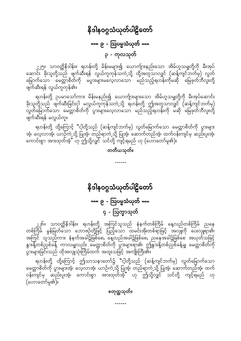# နိဒါနဝဂ္ဂသံယုတ်ပါဠိတော် === ၉ - ဩပမ္မသံယုတ် === ၃ - ကုလသုတ်

၂၂၅။ သာဝတ္ထိနိဒါန်း။ ရဟန်းတို့ မိန်းမများ၍ ယောက်ျားနည်းသော အိမ်ဟူသမျှတို့ကို မီးအုပ် ဆောင်း ခိုးသူတို့သည် ဖျက်ဆီးရန် လွယ်ကူကုန်သကဲ့သို့ ထို့အတူသာလျှင် (ဆန့်ကျင်ဘက်မှ) လွတ် မြောက်သော မေတ္တာစိတ်ကို မပွားများမလေ့လာသော မည်သည့်ရဟန်းကိုမဆို မြေဖုတ်ဘီလူးတို့ .<br>ဖျက်ဆီးရန် လွယ်ကူကုန်၏။

ရဟန်းတို့ ဉပမာသော်ကား မိန်းမနည်း၍ ယောက်ျားများသော အိမ်ဟူသမျှတို့ကို မီးအုပ်ဆောင်း ခိုးသူတို့သည် ဖျက်ဆီးခြင်းငှါ မလွယ်ကူကုန်သကဲ့သို့ ရဟန်းတို့ ဤအတူသာလျှင် (ဆန့်ကျင်ဘက်မှ) .<br>လွတ်မြောက်သော မေတ္တာစိတ်ကို ပွားများလေ့လာသော မည်သည့်ရဟန်းကို မဲဆို မြေဖုတ်ဘီလူးတို့ ဖျက်ဆီးရန် မလွယ်ကူ။

ရဟန်းတို့ ထို့ကြောင့် "ငါ့တို့သည် (ဆန့်ကျင်ဘက်မှ) လွတ်မြောက်သော မေတ္တာစိတ်ကို ပွားများ ့<br>အံ့၊ လေ့လာအံ့၊ ယာဉ်ကဲ့သို့ ပြုအံ့၊ တည်ရာကဲ့သို့ ပြုအံ့၊ ဆောက်တည်အံ့၊ ထက်ဝန်းကျင်မှ ဆည်းပူးအံ့၊ ကောင်းစွာ အားထုတ်အံ့" ဟု ဤသို့လျှင် သင်တို့ ကျင့်ရမည် ဟု (ဟောတော်မူ၏)။

တတိယသုတ်။

နိဒါန၀ဂွသံယုတ်ပါဠိတော် === ၉ - ဩပမ္မသံယုတ် === ၄ - ဩက္ခာသုတ်

၂၂၆။ သာဝတ္ထိနိဒါန်း။ ရဟန်းတို့ အကြင်သူသည် နံနက်တစ်ကြိမ် နေ့လည်တစ်ကြိမ် ညနေ<br>တစ်ကြိမ် မွန်မြတ်သော ဘောဇဉ်တို့ဖြင့် ပြည့်သော ထမင်းအိုးတစ်ရာဖြင့် အလျှုကို ပေးလှုုရာ၏၊ အကြင် သူသည်ကား နံနက်အခါ၌ဖြစ်စေ, နေ့လည်အခါ၌ဖြစ်စေ, ညနေအခါ၌ဖြစ်စေ အယုတ်သဖြင့် ္သာ အသည္ အသင္း ေမာက္တာ အသင္း ေတြးေတြ အသင္း ေတြက ေပါင္း<br>အားနို့တစ်ည္စစ်ခန့် ကာလမျှလည်း မေတ္တာစိတ်ကို ပွားများရာ၏၊ ဤနွားနို့တစ်ညှစ်ခန့်မျှ မေတ္တာစိတ်ကို ိ<br>ပွားများခြင်းသည် ထိုအလျုသုံးကြိမ်ထက် အထူးသဖြင့် အကျိုးကြီး၏။

ရဟန်းတို့ ထို့ကြောင့် ဤသာသနာတော်၌ "ငါ့တို့သည် (ဆန့်ကျင်ဘက်မှ) လွတ်မြောက်သော မေတ္တာစိတ်ကို ပွားများအံ့၊ လေ့လာအံ့၊ ယာဉ်ကဲ့သို့ ပြုအံ့၊ တည်ရာကဲ့သို့ ပြုအံ့၊ ဆောက်တည်အံ့၊ ထက်<br>ဝန်းကျင်မှ ဆည်းပူးအံ့၊ ကောင်းစွာ အားထုတ်အံ့" ဟု ဤသို့လျှင် သင်တို့ ကျင့်ရမည် ဟု (ဟောတော်မူ၏)။

စတုတ္ထသုတ်။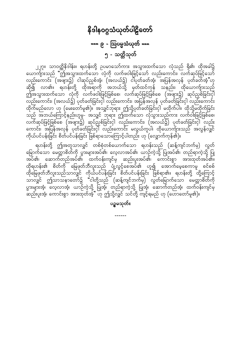နိဒါန၀ဂွသံယုတ်ပါဠိတော် === ၉ - ဩပမ္မသံယုတ် === ၅ - သတ္တိသုတ်

၂၂၇။ သာဝတ္ထိနိဒါန်း။ ရဟန်းတို့ ဉပမာသော်ကား အသွားထက်သော လှံသည် ရှိ၏၊ ထိုအခါ၌ ယောက်ျားသည် "ဤအသွားထက်သော လှံကို လက်ဖဝါးဖြင့်သော် လည်းကောင်း၊ လက်ဆုပ်ဖြင့်သော် လည်းကောင်း (အဖျား၌) ငါဆုပ်ညှစ်အံ့၊ (အလယ်၌) ငါပုတ်ခတ်အံ့၊ အပြန်အလှန် ပုတ်ခတ်အံ့"ဟု ဆို၍ လာ၏။ ရဟန်းတို့ ထိုအရာကို အဘယ်သို့ မှတ်ထင်ကုန် သနည်း၊ ထိုယောက်ျားသည် ဤအသွားထက်သော လုံကို လက်ဖဝါးဖြင့်ဖြစ်စေ၊ လက်ဆုပ်ဖြင့်ဖြစ်စေ (အဖျား၌) ဆုပ်ညှစ်ခြင်းငှါ လည်းကောင်း၊ (အလယ်၌) ပုတ်ခတ်ခြင်းငှါ လည်းကောင်း၊ အပြန်အလှန် ပုတ်ခတ်ခြင်းငှါ လည်းကောင်း ထိုက်မည်လော ဟု (မေးတော်မူ၏)။ အသျှင်ဘုရား ဤသို့ပုတ်ခတ်ခြင်းငှါ မထိုက်ပါ။ ထိုသို့မထိုက်ခြင်း သည် အဘယ်ကြောင့်နည်းဟူမူ- အသျှင် ဘုရား ဤထက်သော လှံသွားသည်ကား လက်ဝါးဖြင့်ဖြစ်စေ၊ လက်ဆုပ်ဖြင့်ဖြစ်စေ (အဖျား၌) ဆုပ်ညှစ်ခြင်းငှါ လည်းကောင်း၊ (အလယ်၌) ပုတ်ခတ်ခြင်းငှါ လည်း ကောင်း၊ အပြန်အလှန် ပုတ်ခတ်ခြင်းငှါ် လည်းကောင်း မလွယ်ကူပါ၊ ထိုယောက်ျားသည် အလွန်လျှင် ကိုယ်ပင်ပန်းခြင်း စိတ်ပင်ပန်းခြင်း ဖြစ်ရာသောကြောင့်ပါတည်း ဟု (လျှောက်ကုန်၏)။

ရဟန်းတို့ ဤအတူသာလျှင် တစ်စုံတစ်ယောက်သော ရဟန်းသည် (ဆန့်ကျင်ဘက်မှ) လွတ် မြောက်သော မေတ္တာစိတ်ကို ပွားများအပ်၏၊ လေ့လာအပ်၏၊ ယာဉ်ကဲ့သို့ ပြုအပ်၏၊ တည်ရာကဲ့သို့ ပြု ု<br>အပ်၏၊ ဆောက်တည်အပ်၏၊ ထက်ဝန်းကျင်မှ ဆည်းပူးအပ်၏၊ ကောင်းစွာ အားထုတ်အပ်၏။ ထိုရဟန်း၏ စိတ်ကို မြေဖုတ်ဘီလူးသည် ပံု့လွင့်စေအပ်၏ ဟူ၍ အောက်မေ့စေကာမူ စင်စစ် ထိုမြေဖုတ်ဘီလူးသည်သာလျှင် ကိုယ်ပင်ပန်းခြင်း စိတ်ပင်ပန်းခြင်း ဖြစ်ရာ၏။ ရဟန်းတို့ ထို့ကြောင့် ု ပြု ၂ ။<br>သာလျှင် ဤသာသနာတော်၌ "ငါတို့သည် (ဆန့်ကျင်ဘက်မှ) လွတ်မြောက်သော မေတ္တာစိတ်ကို ပွားများအံ့၊ လေ့လာအံ့၊ ယာဉ်ကဲ့သို့ ပြုအံ့၊ တည်ရာကဲ့သို့ ပြုအံ့၊ ဆောက်တည်အံ့၊ ထက်ဝန်းကျင်မှ<br>ဆည်းပူးအံ့၊ ကောင်းစွာ အားထုတ်အံ့" ဟု ဤသို့လျှင် သင်တို့ ကျင့်ရမည် ဟု (ဟောတော်မူ၏)။

ပဥ္စမသုတ်။

 $\frac{1}{1}$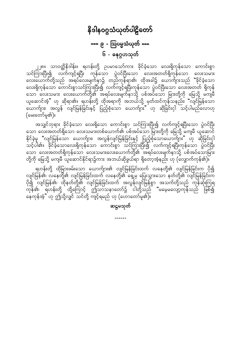## နိဒါန၀ဂွသံယုတ်ပါဠိတော် === ၉ - ဩပမ္မသံယုတ် === ၆ - ဓနုဂ္ဂဟသုတ်

၂၂၈။ သာဝတ္ထိနိဒါန်း။ ရဟန်းတို့ ဥပမာသော်ကား ခိုင်ခံ့သော လေးရှိကုန်သော ကောင်းစွာ သင်ကြားပြီး၍ လက်ကျင့်ရပြီး ကုန်သော ပွဲဝင်ပြီးသော လေးအတတ်ရှိကုန်သော လေးသမား လေးယောက်တို့သည် အရပ်လေးမျက်နှာ၌ တည်ကုန်ရာ၏၊ ထိုအခါ၌ ယောက်ျားသည် "ခိုင်ခံ့သော လေးရှိကုန်သော ကောင်းစွာသင်ကြားပြီး၍ လက်ကျင့်ရပြီးကုန်သော ပွဲဝင်ပြီးသော လေးအတတ် ရှိကုန် သော လေးသမား လေးယောက်တို့၏ အရပ်လေးမျက်နှာသို့ ပစ်အပ်သော မြားတို့ကို မြေသို့ မကျမီ ယူဆောင်အံ့" ဟု ဆိုရာ၏။ ရဟန်းတို့ ထိုအရာကို အဘယ်သို့ မှတ်ထင်ကုန်သနည်း၊ "လျင်မြန်သော<br>ယောက်ျား၊ အလွန် လျင်မြန်ခြင်းနှင့် ပြည့်စုံသော ယောက်ျား" ဟု ဆိုခြင်းငှါ သင့်ပါမည်လောဟု (မေးတော်မူ၏)။

အသျှင်ဘုရား ခိုင်ခံ့သော လေးရှိသော ကောင်းစွာ သင်ကြားပြီး၍ လက်ကျင့်ရပြီးသော ပွဲဝင်ပြီး သော လေးအတတ်ရှိသော လေးသမားတစ်ယောက်၏ ပစ်အပ်သော မြားတို့ကို မြေသို့ မကျမီ ယူဆောင် နိုင်ခဲ့မူ **"**လျင်မြန်သော ယောက်ျား၊ အလွန်လျင်မြန်ခြင်းနှင့် ပြည့်စုံသောယောက်ျား" ဟု ဆိုခြင်းငှါ -<br>သင့်ပါ၏။ ခိုင်ခံ့သောလေးရှိကုန်သော ကောင်းစွာ သင်ကြားပြီး၍ လက်ကျင့်ရပြီးကုန်သော ပွဲဝင်ပြီး သော လေးအတတ်ရှိကုန်သော လေးသမားလေးယောက်တို့၏ အရပ်လေးမျက်နှာသို့ ပစ်အပ်သောမြား တို့ကို မြေသို့ မကျမီ ယူဆောင်နိုင်ရာ၌ကား အဘယ်ဆိုဖွယ်ရာ ရှိတော့အံ့နည်း ဟု (လျှောက်ကုန်၏)။

ရဟန်းတို့ ထိုမြားဖမ်းသော ယောက်ျား၏ လျင်မြန်ခြင်းထက် လနေတို့၏ လျင်မြန်ခြင်းက ပို၍ လျင်မြန်၏၊ လနေတို့၏ လျင်မြန်ခြင်းထက် လနေတို့၏ ရှေ့မှ ပြေးသွားသော နတ်တို့၏ လျင်မြန်ခြင်းက ပို၍ လျင်မြန်၏၊ ထိုနတ်တို့၏ လျင်မြန်ခြင်းထက် အလွန်လျင်မြန်စွာ အသက်တို့သည် ကုန်ဆုံးကြရ ကုန်၏၊ ရဟန်းတို့ ထို့ကြောင့် ဤသာသနာတော်၌ ငါတို့သည် မမေ့မလျော့ကုန်သည် ဖြစ်၍ နေကုန်အံ့" ဟု ဤသို့လျှင် သင်တို့ ကျင့်ရမည် ဟု (ဟောတော်မူ၏)။

ဆဋ္ဌမသုတ်

------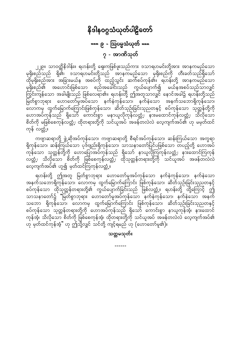# နိဒါန၀ဂွသံယုတ်ပါဠိတော် === ၉ - ဩပမ္မသံယုတ် === ၇ - အာဏိသုတ်

၂၂၉။ သာဝတ္ထိနိဒါန်း။ ရဟန်းတို့ ရှေးကဖြစ်ဖူးသည်ကား ဒသာရဟမင်းတို့အား အာနကမည်သော မုရိုးစည်သည် ရှိ၏၊ ဒသာရဟမင်းတို့သည် အာနကမည်သော မုရိုးစည်ကို တီးခတ်သည်ရှိသော်<br>ထိုမုရိုးစည်အား အခြားမယ်န အစပ်ကို ထည့်သွင်း ဆက်စပ်ကုန်၏။ ရဟန်းတို့ အာနကမည်သော မုရိုးစည်၏ အဟောင်းဖြစ်သော စည်အခေါင်းသည် ကွယ်ပျောက်၍ မယ်နအစပ်သည်သာလျှင် -<br>လောကမှ ထွက်မြောက်ကြောင်းဖြစ်ကုန်သော၊ ဆိတ်သုဉ်းခြင်းသုညတနှင့် စပ်ကုန်သော သုတ္တန်တို့ကို ဟောအပ်ကုန်သည် ရှိသော် ကောင်းစွာ မနာယူလိုကုန်လတ္တံ့၊ နားမထောင်ကုန်လတ္တံ့၊ သိလိုသော ကုန် လတ္တံ့။

ကဗျာဆရာတို့ ဖွဲ့ဆိုအပ်ကုန်သော၊ ကဗျာဆရာတို့ စီရင်အပ်ကုန်သော၊ ဆန်းကြယ်သော အက္ခရာ ရှိကုန်သော၊ ဆန်းကြယ်သော ပုဒ်ဗျည်းရှိကုန်သော၊ သာသနာတော်ပြင်ပဖြစ်သော တပည့်တို့ ဟောအပ် ့<br>လတ္တံ့၊ သိလိုသော စိတ်ကို ဖြစ်စေကုန်လတ္တံ့၊ ထိုသုတ္တန်တရားတို့ကို သင်ယူအပ် အဖန်တလဲလဲ လေ့ကျက်အပ်၏ ဟူ၍ မှတ်ထင်ကြကုန်လတ္တံ့။

ရဟန်းတို့ ဤအတူ မြတ်စွာဘုရား ဟောတော်မူအပ်ကုန်သော နက်နဲကုန်သော၊ နက်နဲသော အနက်သဘောရှိကုန်သော၊ လောကမှ ထွက်မြောက်ကြောင်း ဖြစ်ကုန်သော၊ ဆိတ်သုဉ်းခြင်းသုညတနှင့် စပ်ကုန်သော ထိုသုတ္တန်တရားတို့၏ ကွယ်ပျောက်ခြင်းသည် ဖြစ်လတ္တံ့။ ရဟန်းတို့ ထို့ကြောင့် ဤ သာသနာတော်၌ "မြတ်စွာဘုရား ဟောတော်မူအပ်ကုန်သော နက်နဲကုန်သော၊ နက်နဲသော အနက် သဘော ရှိကုန်သော၊ လောကမှ ထွက်မြောက်ကြောင်း ဖြစ်ကုန်သော၊ ဆိတ်သုဉ်းခြင်းသုညတနှင့် စပ်ကုန်သော သုတ္တန်တရားတို့ကို ဟောအပ်ကုန်သည် ရှိသော် ကောင်းစွာ နာယူကုန်အံ့၊ နားထောင် ကုန်အံ့၊ သိလိုသော စိတ်ကို ဖြစ်စေကုန်အံ့၊ ထိုတရားတို့ကို သင်ယူအပ် အဖန်တလဲလဲ လေ့ကျက်အပ်၏ ဟု မှတ်ထင်ကုန်အံ့" ဟု ဤသို့လျှင် သင်တို့ ကျင့်ရမည် ဟု (ဟောတော်မူ၏)။

သတ္တမသုတ်။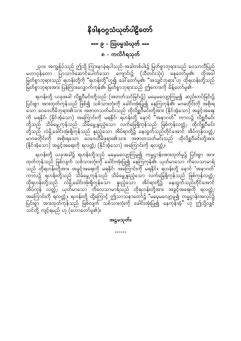#### နိဒါန၀ဂွသံယုတ်ပါဠိတော် === ၉ - ဩပမ္မသံယုတ် === ၈ - ကလိင်္ဂရသုတ်

၂၃၀။ အကျွန်ုပ်သည် ဤသို့ ကြားနာခဲ့ရပါသည်-အခါတစ်ပါး၌ မြတ်စွာဘုရားသည် ဝေသာလီပြည်<br>၁ဝုန်တော ပြာသာဒ်ဆောင်ပေါက်သော ကျောင်း၌ (သီတင်းသုံး) နေတော်မူ၏၊ ထိုအခါ မဟာဝှန်တော .<br>မြတ်စွာဘုရားသည် ရဟန်းတို့ကို "ရဟန်းတို့"ဟူ၍ ခေါ် တော်မူ၏၊ "အသျှင်ဘုရား"ဟု ထိုရဟန်းတို့သည် မြတ်စွာဘုရားအား ပြန်ကြားလျှောက်ကုန်၏၊ မြတ်စွာဘုရားသည် ဤစကားကို မိန့်တော်မူ၏-

ရဟန်းတို့ ယခုအခါ လိစ္ဆဝီမင်းတို့သည် (အတတ်သင်ခြင်း၌) မမေ့မလျော့ကြမူ၍ ဆည်းကပ်ခြင်း၌ ပြင်းစွာ အားထုတ်ကုန်သည် ဖြစ်၍ သစ်သားတုံးကို ခေါင်းအုံးပြု၍ နေကြကုန်၏၊ မဂဓတိုင်းကို အစိုးရ ု<br>သော ဝေဒေဟီမိဘုရား၏သား အဇာတသတ်မင်းသည် ထိုလိစ္ဆဝီမင်းတို့အား (နိုင်အံ့သော) အခွင့်အရေး<br>ကို မရနိုင်၊ (နိုင်အံ့သော) အကြောင်းကို မရနိုင်၊ ရဟန်းတို့ နောင် "အနာဂတ်" ကာလ၌ လိစ္ဆဝီမင်း တို့သည် သိမ်မွေ့ကုန်သည် သိမ်မွေ့နူးညံ့သော လက်ခြေရှိကုန်သည် ဖြစ်ကုန်လတ္တံ့၊ ထိုလိစ္ဆဝီမင်း တို့သည် လဲမှို့ခေါင်းအုံးရှိကုန်သည် နူးညံ့သော အိပ်ရာတို့၌ နေထွက်သည်တိုင်အောင် အိပ်ကုန်လတ္တံ့၊ မာဂဓတိုင်းကို အစိုးရသော ဝေဒေဟီမိဖုရား၏သား အဇာတသတ်မင်းသည် ထိုလိစ္ဆဝီမင်းတို့အား (နိုင်အံ့သော) အခွင့်အရေးကို ရလတ္တံ့၊ (နိုင်အံ့သော) အကြောင်းကို ရလတ္တံ့။

ရဟန်းတို့ ယခုအခါ၌ ရဟန်းတို့သည် မမေ့မလျော့ကြမူ၍ ကမ္မဋ္ဌာန်းအားထုတ်မှု၌ ပြင်းစွာ အား ထုတ်ကုန်သည် ဖြစ်လျက် သစ်သားတုံးကို ခေါင်းအုံးပြု၍ နေကြကုန်၏၊ ယုတ်မာသော ကိလေသာမာရ် သည် ထိုရဟန်းတို့အား အခွင့်အရေးကို မရနိုင်၊ အကြောင်းကို မရနိုင်။ ရဟန်းတို့ နောင် 'အနာဂတ်' ကာလ၌ ရဟန်းတို့သည် သိမ်မွေ့ကုန်သည် သိမ်မွေ့နူးညံ့သော လက်ခြေရှိကုန်သည် ဖြစ်ကုန်လတ္တံ့၊ . … … … … … … … … … … … … … … … … ကိုက်သည်တိုင်အောင်<br>အိပ်ကုန် လတ္တံ့၊ ယုတ်မာသော ကိလေသာမာရ်သည် ထိုရဟန်းတို့အား အခွင့်အရေးကို ရလတ္တံ့၊ အကြောင်းကို ရလတ္တံ့။ ရဟန်းတို့ ထို့ကြောင့် ဤသာသနာတော်၌ **"**မမေ့မလျော့မူ၍ ကမ္မဋ္ဌာန်းအလုပ်၌ .<br>ပြင်းစွာ အားထုတ်ကုန်သည် ဖြစ်လျက် သစ်သားတုံးကို ခေါင်းအုံးပြု၍ နေကုန်အံ့" ဟု ဤသို့လျှင် 

အဋ္ဌမသုတ်။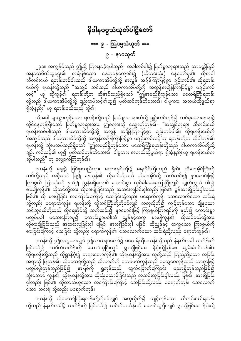## နိဒါန၀ဂွသံယုတ်ပါဠိတော် === ၉ - ဩပမ္မသံယုတ် === ၉ - နာဂသုတ်

၂၃၁။ အကျွန်ုပ်သည် ဤသို့ ကြားနာခဲ့ရပါသည်- အခါတစ်ပါး၌ မြတ်စွာဘုရားသည် သာဝတ္ထိပြည် ငယ်ကို ရဟန်းတို့သည် "အသျှင် သင်သည် ဒါယကာအိမ်တို့ကို အလွန်အချိန်ကြာမြင့်စွာ မချဉ်းကပ် လင့်" ဟု ဆိုကုန်၏၊ ရဟန်းတို့က ဆိုအပ်သည်ရှိသော် "ဤအမည်ရှိကုန်သော မထေရ်ကြီးရဟန်း တို့သည် ဒါယကာအိမ်တို့သို့ ချဉ်းကပ်သင့်၏ဟူ၍ မှတ်ထင်ကုန်ဘိသေး၏၊ ငါမူကား အဘယ်ဆိုဖွယ်ရာ ရှိအံ့နည်း" ဟု ရဟန်းငယ်သည် ဆို၏။

ထိုအခါ များစွာကုန်သော ရဟန်းတို့သည် မြတ်စွာဘုရားထံသို့ ချဉ်းကပ်ကုန်၍ တစ်ခုသောနေရာ၌ ထိုင်နေကုန်ပြီးသော် မြတ်စွာဘုရားအား ဤစကားကို လျှောက်ကုန်၏- "အသျှင်ဘုရား သီတင်းငယ် ရဟန်းတစ်ပါးသည် ဒါယကာအိမ်တို့သို့ အလွန် အချိန်ကြာမြင့်စွာ ချဉ်းကပ်ပါ၏၊ ထိုရဟန်းငယ်ကို 'အသျှင်သည် ဒါယကာအိမ်တို့သို့ အလွန်အချိန်ကြာမြင့်စွာ မချဉ်းကပ်လင့်'ဟု ရဟန်းတို့က ဆိုပါကုန်၏၊ ရဟန်းတို့ ဆုံးမအပ်သည်ရှိသော် 'ဤအမည်ရှိကုန်သော မထေရ်ကြီးရဟန်းတို့သည် ဒါယကာအိမ်တို့သို့ ချဉ်း ကပ်သင့်၏ ဟူ၍ မှတ်ထင်ကုန်ဘိသေး၏၊ ငါမူကား အဘယ်ဆိုဖွယ်ရာ ရှိအံ့နည်း'ဟု ရဟန်းငယ်က ဆိုပါသည်" ဟု လျှောက်ကြကုန်၏။

ရဟန်းတို့ ရှေး၌ ဖြစ်ဖူးသည်ကား တောအုပ်ကြီး၌ ရေအိုင်ကြီးသည် ရှိ၏၊ ထိုရေအိုင်ကြီးကို ဆင်တို့သည် အမှီသဟဲ ပြု၍ နေကုန်၏၊ ထိုဆင်တို့သည် ထိုရေအိုင်သို့ သက်ဆင်း၍ နှာမောင်းဖြင့် ကြာစွယ် ကြာရင်းကို နုတ်၍ ညွှန်မရှိအောင် ကောင်းစွာ လှုပ်ခါဆေးကြောပြီးလျှင် ကျွတ်ကျွတ် ဝါး၍ ဖြစ်၏၊ ထို စားမျိုခြင်း အကြောင်းကြောင့် သေခြင်းသို့လည်း မရောက်ကုန်၊ သေလောက်သော ဆင်းရဲ .<br>သို့လည်း မရောက်ကုန်။ ရဟန်းတို့ ထိုဆင်ကြီးတို့ကိုပင်လျှင် အတုလိုက်၍ ကျင့်ကုန်သော ပျိုနုသော ဆင်သူငယ်တို့သည် ထိုရေအိုင်သို့ သက်ဆင်း၍ နှာမောင်းဖြင့် ကြာစွယ်ကြာရင်းကို နုတ်၍ ကောင်းစွာ မလှုပ်မခါ မဆေးကြောမူ၍ ကောင်းစွာမဝါးဘဲ ညွှန်နှင့်တကွ စားမျိုကုန်၏၊ ထိုဆင်ငယ်တို့အား ထိုစားမျိုခြင်းသည် အဆင်းလှခြင်းငှါ မဖြစ်၊ အားရှိခြင်းငှါ မဖြစ်၊ ထိုညွှန်နှင့် တကွသော ကြာစွယ်ကို စားခြင်းကြောင့် သေခြင်း သို့လည်း ရောက်ကုန်၏၊ သေလောက်သော ဆင်းရဲသို့လည်း ရောက်ကုန်၏။

ရဟန်းတို့ ဤအတူသာလျှင် ဤသာသနာတော်၌ မထေရ်ကြီးရဟန်းတို့သည် နံနက်အခါ သင်္ကန်းကို ပြင်ဝတ်၍ သပိတ်သင်္ကန်းကို ဆောင်ယူပြီးလျှင် ရွာသို့ဖြစ်စေ၊ နိဂုံးသို့ဖြစ်စေ ဆွမ်းခံဝင်ကုန်၏။ ထိုရဟန်းတို့သည် ထိုရွာနိဂုံး၌ တရားဟောကုန်၏၊ ထိုရဟန်းတို့အား လူတို့သည် ကြည်ညိုသော အခြင်း -<br>အရာကို ပြုကုန်၏၊ ထိုမထေရ်တို့သည် ထိုလာဘ်ကို မတပ်မက်ကုန်သည် မတွေဝေကုန်သည် တဏှာဖြင့် ငှါ်လည်း ဖြစ်၏၊ ထိုလာဘ်ဟူသော အကြောင်းကြောင့် သေခြင်းသို့လည်း မရောက်ကုန်၊ သေလောက် သော ဆင်းရဲ သို့လည်း မရောက်ကုန်။

ရဟန်းတို့ ထိုမထေရ်ကြီးရဟန်းတို့ကိုပင်လျှင် အတုလိုက်၍ ကျင့်ကုန်သော သီတင်းငယ်ရဟန်း တို့သည် နံနက်အခါ၌ သင်္ကန်းကို ပြင်ဝတ်၍ သပိတ်သင်္ကန်းကို ဆောင်ယူပြီးလျင် ရွာသို့ဖြစ်စေ၊ နိဂုံးသို့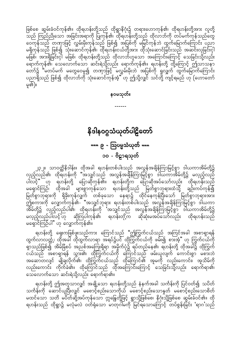ဖြစ်စေ ဆွမ်းခံဝင်ကုန်၏။ ထိုရဟန်းတို့သည် ထိုရွာနိဂုံး၌ တရားဟောကုန်၏၊ ထိုရဟန်းတို့အား လူတို့ .<br>သည် ကြည်ညိုသော အခြင်းအရာကို ပြုကုန်၏၊ ထိုရဟန်းတို့သည် ထိုလာဘ်ကို တပ်မက်ကုန်သည်တွေ ဝေကုန်သည် တဏှာဖြင့် လွှမ်းမိုးကုန်သည် ဖြစ်၍ အပြစ်ကို မမြင်ကုန်ဘဲ ထွက်မြောက်ကြောင်း ပညာ မရှိကုန်သည် ဖြစ်၍ သုံးဆောင်ကုန်၏၊ ထိုရဟန်းငယ်တို့အား ထိုသုံးဆောင်ခြင်းသည် အဆင်းလှခြင်းငှါ မဖြစ်၊ အားရှိခြင်းငှါ မဖြစ်၊ ထိုရဟန်းတို့သည် ထိုလာဘ်ဟူသော အကြောင်းကြောင့် သေခြင်းသို့လည်း ရောက်ကုန်၏၊ သေလောက်သော ဆင်းရဲသို့လည်း ရောက်ကုန်၏။ ရဟန်းတို့ ထို့ကြောင့် ဤသာသနာ တော်၌ "မတပ်မက် မတွေဝေမူ၍ တဏှာဖြင့် မလွှမ်းမိုးဘဲ အပြစ်ကို ရှုလျှက် ထွက်မြောက်ကြောင်း ပညာရှိသည် ဖြစ်၍ ထိုလာဘ်ကို သုံးဆောင်ကုန်အံ့" ဟု ဤသို့လျှင် သင်တို့ ကျင့်ရမည် ဟု (ဟောတော် မှု၏)။

န၀မသုတ်။

နိဒါနဝဂ္ဂသံယုတ်ပါဠိတော် === ၉ - ဩပမ္မသံယုတ် === ၁၀ - ဗိဋာရသုတ်

၂၃၂။ သာဝတ္ထိနိဒါန်း။ ထိုအခါ ရဟန်းတစ်ပါးသည် အလွန်အချိန်ကြာမြင့်စွာ ဒါယကာအိမ်တို့၌ လှည့်လည်၏၊ ထိုရဟန်းကို "အသျှင်သည် အလွန်အချိန်ကြာမြင့်စွာ ဒါယကာအိမ်တို့၌ မလှည့်လည် ျိုင်း<br>ပါလင့်" ဟု ရဟန်းတို့ ပြောဆိုကုန်၏။ ရဟန်းတို့က ပြောဆိုအပ်သော်လည်း ထိုရဟန်းသည် မရှောင်ကြဉ်၊ ထိုအခါ များစွာကုန်သော ရဟန်းတို့သည် မြတ်စွာဘုရားထံသို့ ချဉ်းကပ်ကုန်၍ ္မွ ျပည့္ ၂ ရက္ေရး ၂ ရက္ေတြ ၂ ရက္ေတြ ၂ ရက္ေတြ ၂ ရက္<br>မြတ်စွာဘုရားကို ရှိခိုးကုန်လျှက် တစ်ခုသော နေရာ၌ ထိုင်နေကုန်ပြီးသော် မြတ်စွာဘုရားအား ပ ၀ ၊ ၊ ။ ။ ။ ။ ။ ။ ။<br>ဤစကားကို လျှောက်ကုန်၏- "အသျှင်ဘုရား ရဟန်းတစ်ပါးသည် အလွန်အချိန်ကြာမြင့်စွာ ဒါယကာ<br>အိမ်တို့၌ လှည့်လည်ပါ၏၊ ထိုရဟန်းကို 'အသျှင်သည် အလွန်အချိန်ကြာမြင့်စွာ ဒါယကာအိမ်တို့၌<br>မလှည့်လည်ပါလင့်'ဟု ဆိုကြပါကုန်၏၊ ရဟ မရှောင်ကြဉ်ပါ" ဟု လျှောက်ကုန်၏။

ရဟန်းတို့ ရှေးကဖြစ်ဖူးသည်ကား ကြောင်သည် "ဤကြွက်ငယ်သည် အကြင်အခါ အစာရှာရန်<br>ထွက်လာလတ္တံ့၊ ထိုအခါ ထိုထွက်လာရာ အရပ်၌ပင် ထိုကြွက်ငယ်ကို ဖမ်း၍ စားအံ့" ဟု ကြွက်ငယ်ကို ရှာသည်ဖြစ်၍ အိမ်ခြံစပ် အညစ်အကြေးရှိရာ အမှိုက်ပုံ၌ ရပ်တည်နေ၏၊ ရဟန်းတို့ ထိုအခါ၌ ထိုကြွက်<br>ငယ်သည် အစာရှာရန် သွား၏၊ ထိုကြွက်ငယ်ကို ကြောင်သည် ဖမ်းယူလျက် ကောင်းစွာ မစားဘဲ အဆောတလျင် မျိုချလိုက်၏၊ ထိုကြွက်ငယ်သည် ထိုကြောင်၏ အူမကို လည်းကောင်း၊ အူသိမ်ကို လည်းကောင်း ကိုက်ခဲ့၏။ ထိုကြောင်သည် ထိုအကြောင်းကြောင့် သေခြင်းသို့လည်း ရောက်ရာ၏၊ ့<br>သေလောက်သော ဆင်းရဲသို့လည်း ရောက်ရာ၏။

ရဟန်းတို့ ဤအတူသာလျှင် အချို့သော ရဟန်းတို့သည် နံနက်အခါ သင်္ကန်းကို ပြင်ဝတ်၍ သပိတ် သင်္ကန်းကို ဆောင်ယူပြီးလျှင် မစောင့်စည်းသောကိုယ် မစောင့်စည်းသောနှတ် မစောင့်စည်းသောစိတ် မထင်သော သတိ မပိတ်ဆို့အပ်ကုန်သော ဣန္ဒြေတို့ဖြင့် ရွာသို့ဖြစ်စေ၊ နိဂုံးသို့ဖြစ်စေ ဆွမ်းခံဝင်၏။ ထို ရဟန်းသည် ထိုရွာ၌ မလုံမလဲ ဝတ်ရုံသော မာတုဂါမကို မြင်ရသောကြောင့် တပ်စွန်းခြင်း 'ရာဂ'သည်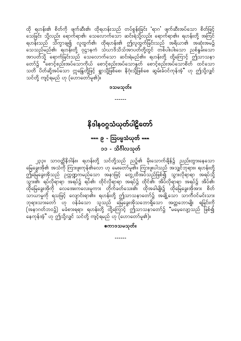ထို ရဟန်း၏ စိတ်ကို ဖျက်ဆီး၏၊ ထိုရဟန်းသည် တပ်စွန်းခြင်း 'ရာဂ' ဖျက်ဆီးအပ်သော စိတ်ဖြင့် သေခြင်း သို့လည်း ရောက်ရာ၏၊ သေလောက်သော ဆင်းရဲသို့လည်း ရောက်ရာ၏။ ရဟန်းတို့ အကြင် ရဟန်းသည် သိက္ခာချ၍ လူထွက်၏၊ ထိုရဟန်း၏ ဤလူထွက်ခြင်းသည် အရိယာ၏ အဆုံးအမ၌ သေသည်မည်၏၊ ရဟန်းတို့ ဝုဋ္ဌာနကံ သံဃာဒိသိသ်အာပတ်တို့တွင် တစ်ပါးပါးသော ညစ်နွမ်းသော .<br>အာပတ်သို့ ရောက်ခြင်းသည် သေလောက်သော ဆင်းရဲမည်၏။ ရဟန်းတို့ ထို့ကြောင့် ဤသာသနာ တော်၌ **"**စောင့်စည်းအပ်သောကိုယ် စောင့်စည်းအပ်သောနှတ် စောင့်စည်းအပ်သောစိတ် ထင်သော သတိ်ပိတ်ဆို့အပ်သော ဣန္ဒြေတို့ဖြင့် ရွာသို့ဖြစ်စေ၊ နိဂုံးသို့ဖြစ်စေ ဆွမ်းခံဝင်ကုန်အံ့" ဟု ဤသို့လျှင် သင်တို့ ကျင့်ရမည် ဟု (ဟောတော်မူ၏)။

ဒသမသုတ်။

နိဒါန၀ဂွသံယုတ်ပါဠိတော် === ၉ - ဩပမ္မသံယုတ် === ၁၁ - သိင်္ဂါလသုတ်

၂၃၃။ သာဝတ္ထိနိဒါန်း။ ရဟန်းတို့ သင်တို့သည် ညဉ့်၏ မိုးသောက်ချိန်၌ ညည်းတွားနေသော မြေခွေးအို၏ အသံကို ကြားဖူးကုန်၏လော ဟု မေးတော်မူ၏။ ကြားဖူးပါသည် အသျှင်ဘုရား။ ရဟန်းတို့ ထိုမြေခွေးအိုကို လေအေးကလေးမူကား တိုက်ခတ်သေး၏၊ ထိုအခါမျိုး၌ ထိုမြေခွေးအိုအား စိတ် ဘုရားသားတော် ဟု ဝန်ခံသော သူသည် မြေခွေးအိုသဘောရှိသော အတ္တဘောမျိုး ရခြင်းကို (အနာဂတ်ဘဝ၌) မခံစားရရာ၊ ရဟန်းတို့ ထို့ကြောင့် ဤသာသနာတော်၌ "မမေ့လျော့သည် ဖြစ်၍ 、<br>နေကုန်အံ့" ဟု ဤသို့လျှင် သင်တို့ ကျင့်ရမည် ဟု (ဟောတော်မူ၏)။

<mark>ကောဒသမသုတ်။</mark>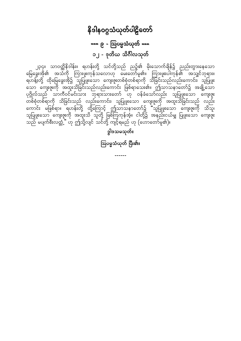# နိဒါနဝဂွသံယုတ်ပါဠိတော် === ၉ - ဩပမ္မသံယုတ် === ၁၂ - ဒုတိယ သိင်္ဂါလသုတ်

၂၃၄။ သာဝတ္ထိနိဒါန်း။ ရဟန်းတို့ သင်တို့သည် ညဉ့်၏ မိုးသောက်ချိန်၌ ညည်းတွားနေသော ျော်<br>မြေခွေးအို၏ အသံကို ကြားဖူးကုန်သလောဟု မေးတော်မူ၏။ ကြားဖူးးပါကုန်၏ အသျှင်ဘုရား။<br>ရဟန့်းတို့ ထိုမြေခွေးအို၌ သူပြုဖူးသော ကျေးဇူးတစ်စုံတစ်ရာကို သိခြင်းသည်လည်းကောင်း၊ သူပြုဖူး ုးျပထည္ေတာကာတစ္စတာကို တုျပတ္ထားတာ တုိင္းတစ္စတယ္။ ထူမျမွာတော့ တက္မရွာ<br>တစ်စုံတစ်ရာကို သိခြင်းသည် လည်းကောင်း၊ သူပြုဖူးသော ကျေးဇူးကို အထူးသိခြင်းသည် လည်း<br>ကောင်း မဖြစ်ရာ။ ရဟန်းတို့ ထို့ကြောင့် ဤသာသနာတော်၌ "သူပြုဖူးသော ကျေးဇူးက

ဒွါဒသမသုတ်။

ဩပၝသံံယုတ် ပြီး၏။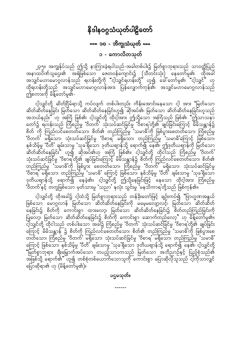# နိဒါနဝဂ္ဂသံယုတ်ပါဠိတော်

=== ၁၀ - ဘိက္ခုသံယုတ် ===

၁ - ကောလိတသုတ်

၂၃၅။ အကျွန်ုပ်သည် ဤသို့ နာကြားခဲ့ရပါသည်-အခါတစ်ပါး၌ မြတ်စွာဘုရားသည် သာဝတ္ထိပြည် ာလိုလိုက်သူဌေး၏ အရံဖြစ်သော ဇေတဝန်ကျောင်း၌ (သီတင်းသုံး) နေတော်မူ၏၊ ထိုအခါ<br>အသျှင်မဟာမောဂ္ဂလာန်သည် ရဟန်းတို့ကို "ငါ့သျှင်ရဟန်းတို့" ဟူ၍ ခေါ်တော်မူ၏၊ "ငါ့သျှင်" ဟု ထိုရဟန်းတို့သည် အသျှင်မဟာမောဂ္ဂလာန်အား ပြန်လျှောက်ကုန်၏၊ အသျှင်မဟာမောဂ္ဂလာန်သည် ဤစကားကို မိန့်တော်မူ၏-

င့ါ့သျှင်တို့ ဆိတ်ငြိမ်ရာသို့ ကပ်လျက် တစ်ပါးတည်း ကိန်းအောင်းနေသော င့ါ အား "မြတ်သော ဆိတ်ဆိတ်နေခြင်း မြတ်သော ဆိတ်ဆိတ်နေခြင်းဟူ၍ ဆိုအပ်၏၊ မြတ်သော ဆိတ်ဆိတ်နေခြင်းဟူသည် အဘယ်နည်း"်ဟု အကြံ ဖြစ်၏၊ ငါ့သျှင်တို့ ထိုငါ့အား ဤသို့သော အကြံသည် ဖြစ်၏၊ "ဤသာသနာ တော်၌ ရဟန်းသည် ကြံစည်မှု 'ဝိတက်' သုံးသပ်ဆင်ခြင်မှု 'ဝိစာရ'တို့၏ ချုပ်ခြင်းကြောင့် မိမိသန္တာန်၌ စိတ် ကို ကြည်လင်စေတတ်သော၊ စိတ်၏ တည်ကြည်မှု သမာဓိကို ဖြစ်ပွားစေတတ်သော၊ ကြံစည်မှု 'ဝိတက်' မရှိသော၊ သုံးသပ်ဆင်ခြင်မှု 'ဝိစာရ' မရှိသော၊ တည်ကြည်မှု 'သမာဓိ'ကြောင့် ဖြစ်သော၊ နှစ်သိမ့်မှု 'ပီတိ' ချမ်းသာမှု 'သုခ'ရှိသော ဒုတိယဈာန်သို့ ရောက်၍ နေ၏၊ ဤဒုတိယဈာန်ကို မြတ်သော ဆိတ်ဆိတ်နေခြင်း" ဟူ၍ ဆိုအပ်၏ဟု အကြံ ဖြစ်၏။ ငါ့သျှင်တို့ ထိုငါသည် ကြံစည်မှု 'ဝိတက်' သုံးသပ်ဆင်ခြင်မှု 'ဝိစာရတို့၏ ချုပ်ခြင်းကြောင့် မိမိသန္တာန်၌ စိတ်ကို ကြည်လင်စေတတ်သော၊ စိတ်၏<br>တည်ကြည်မှု 'သမာဓိ'ကို ဖြစ်ပွား စေတတ်သော၊ ကြံစည်မှု 'ဝိတက်' မရှိသော၊ သုံးသပ်ဆင်ခြင်မှု 'ဝိစာရ' မရှိသော၊ တည်ကြည်မှု 'သမာဓိ' ကြောင့် ဖြစ်သော၊ နှစ်သိမ့်မှု 'ပီတိ' ချမ်းသာမှု 'သုခ'ရှိသော<br>ဒုတိယဈာန်သို့ ရောက်၍ နေခဲ့၏။ ငါ့သျှင်တို့ ဤသို့နေခြင်းဖြင့် နေသော ထိုငါ့အား ကြံစည်မှု '<sup>ဝိ</sup>တက်'နှင့် တကွဖြစ်သော မှတ်သားမှု 'သညာ' နှလုံး သွင်းမှု 'မနသိကာရ'တို့သည် ဖြစ်ကုန်၏။

င့ါသျှင်တို့ ထိုအခါ၌ င့ါထံသို့ မြတ်စွာဘုရားသည် တန်ခိုးတော်ဖြင့် ချဉ်းကပ်၍ "ဗြာဟ္မဏအနွယ် ဖြစ်သော မောဂ္ဂလာန် မြတ်သော ဆိတ်ဆိတ်နေခြင်းကို မမေ့မလျော့လင့်၊ မြတ်သော ဆိတ်ဆိတ် နေခြင်း၌ စိတ်ကို ကောင်းစွာ ထားလော့၊ မြတ်သော ဆိတ်ဆိတ်နေခြင်း၌ စိတ်တည်ကြည်ခြင်းကို ပ္ပြ<br>ငါ့သျှင်တို့ ထိုငါသည် တစ်ပါးသော အခါ၌ ကြံစည်မှု 'ဝိတက်' သုံးသပ်ဆင်ခြင်မှု 'ဝိစာရ'တို့၏ ချုပ်ခြင်း ကြောင့် မိမိသန္တာန် ၌ စိတ်ကို ကြည်လင်စေတတ်သော၊ စိတ်၏ တည်ကြည်မှု သမာဓိ'ကို ဖြစ်ပွားစေ ိတ်သော၊ ကြံစည်မှု 'ဝိတက်' မရှိသော၊ သုံးသပ်ဆင်ခြင်မှု 'ဝိစာရ' မရှိသော၊ တည်ကြည်မှု 'သမာဓိ' ကြောင့် ဖြစ်သော၊ နှစ်သိမ့်မှု 'ပီတိ' ချမ်းသာမှု 'သုခ'ရှိသော ဒုတိယဈာန်သို့ ရောက်၍ နေ၏၊ ငါ့သျှင်တို့ "မြတ်စွာဘုရား ချီးမြှောက်အပ်သော တပည့်သာဝကသည် မြတ်သော အဘိညာဉ်နှင့် ပြည့်စုံသည်၏ အဖြစ်သို့ ရောက်၏" ဟူ၍ တစ်စုံတစ်ယောက်သောသူကို ကောင်းစွာ ပြောဆိုလိုသူသည် ငါ့ကိုသာလျှင် ပြောဆိုရာ၏ ဟု (မိန့်တော်မူ၏)။

ပဌမသုတ်။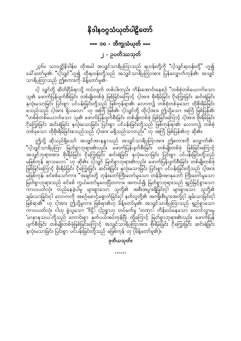## နိဒါနဝဂ္ဂသံယုတ်ပါဠိတော် === ၁၀ - ဘိက္ခုသံယုတ် === ၂ - ဥပတိဿသုတ်

၂၃၆။ သာဝတ္ထိနိဒါန်း။ ထိုအခါ အသျှင်သာရိပုတြာသည် ရဟန်းတို့ကို "င့ါသျှင်ရဟန်းတို့" ဟူ၍ ခေါ် တော်မူ၏၊ "ငါ့သျှင်"ဟူ၍ ထိုရဟန်းတို့သည် အသျှင်သာရိပုတြာအား ပြန်လျှောက်ကုန်၏၊ အသျှင် သာရိပုတြာသည် ဤစကားကို မိန့်တော်မူ၏-

င့ါ သျှင်တို့ ဆိတ်ငြိမ်ရာသို့ ကပ်လျက် တစ်ပါးတည်း ကိန်းအောင်းနေစဉ် "တစ်စုံတစ်ယောက်သော သူ၏ ဖောက်ပြန်ပျက်စီးခြင်း တစ်မျိုးတစ်ဖုံ ဖြစ်ခြင်းကြောင့် ငါ့အား စိုးရိမ်ခြင်း ငိုကြွေးခြင်း ဆင်းရဲခြင်း<br>နှလုံးမသာခြင်း ပြင်းစွာ ပင်ပန်းခြင်းတို့သည် ဖြစ်ကုန်ရာ၏၊ လောက၌ တစ်စုံတစ်ခုသော ထိုစိုးရိမ်ခြင်း ာသည်သည် ငါ့အား ရှိသလော" ဟု အကြံ ဖြစ်၏၊ ငါ့သျှင်တို့ ထိုငါ့အား ဤသို့သော အကြံ ဖြစ်ပြန်၏၊ "တစ်စုံတစ်ယောက်သော သူ၏ ဖောက်ပြန်ပျက်စီးခြင်း တစ်မျိုးတစ်ဖုံ ဖြစ်ခြင်းကြောင့် ငါ့အား စိုးရိမ်ခြင်း ငိုကြွေးခြင်း ဆင်းရဲခြင်း နှလုံးမသာခြင်း ပြင်းစွာ ပင်ပန်းခြင်းတို့သည် ဖြစ်ကုန်ရာ၏၊ လောက၌ တစ်စုံ င်္ဂလိခဲ့သော ထိုစိုးရိမ်ခြင်းစသည်သည် ငါ့အား မရှိသည်သာတည်း" ဟု အကြံ ဖြစ်ပြန်၏ဟု ဆို၏။

ဤသို့ ဆိုသည်ရှိသော် အသျှင်အာနန္ဒာသည် အသျှင်သာရိပုတြာအား ဤစကားကို လျှောက်၏-"င့ါ့သျှင်သာရိပုတြာ မြတ်စွာဘုရား၏လည်း ဖောက်ပြန်ပျက်စီးခြင်း တစ်မျိုးတစ်ဖုံ ဖြစ်ခြင်းကြောင့် ာ သူ<br>အသျှင်ဘုရားအား စိုးရိမ်ခြင်း ငိုကြွေးခြင်း ဆင်းရဲခြင်း နှလုံးမသာခြင်း ပြင်းစွာ ပင်ပန်းခြင်းတို့သည်<br>မဖြစ်ကုန် ရာသလော" ဟု ဆို၏။ ငါ့သျှင် မြတ်စွာဘုရား၏လည်း ဖောက်ပြန်ပျက်စီးခြင်း တစ်မျိုးတစ်ဖုံ ဖြစ်ခြင်းကြောင့် စိုးရိမ်ခြင်း ငိုကြွေးခြင်း ဆင်းရဲခြင်း နှလုံးမသာခြင်း ပြင်းစွာ ပင်ပန်းခြင်းတို့သည် ငါ့အား ပ ပ<br>မဖြစ်ကုန်၊ စင်စစ်သော်ကား "အချင်းတို့ ဘုန်းတော်ကြီးတော်မူသော တန်ခိုးအာနုဘော် ကြီးတော်မူသော မြတ်စွာဘုရားသည် စင်စစ် ကွယ်တော်မူလေပြီတကား၊ အကယ်၍ မြတ်စွာဘုရားသည် ရှည်မြင့်စွာသော ချမ်းသာခြင်းငှါ လောကကို အစဉ်စောင့်ရှောက်ခြင်းငှါ နတ်လူတို့၏ အကျိုးစီးပွားအလို့ငှါ ချမ်းသာခြင်းငှါ ဖြစ်ရာ၏ ဟု ငါ့အား ဤသို့မူကား ဖြစ်ရာ၏ဟု မိန့်တော်မူ၏၊ အသျှင်သာရိပုတြာသည် ရှည်စွာသော -<br>တာလပတ်လုံး ငါဟု စွဲယူသော 'ဒိဋ္ဌိ၊ ငါ့ဉစ္စာဟု တပ်မက်မှု 'တဏှာ'၊ ကိန်းဝပ်နေသော ထောင်လွှားမှု **ံ**မာနာနုသယပတို့သည် ကောင်းစွာ နုတ်ပယ်အပ်ကုန်ပြီ၊ ထို့ကြောင့် မြတ်စွာဘုရား၏လည်း ဖောက်ပြန် ပျက်စီးခြင်း တစ်မျိုးတစ်ဖုံဖြစ်ခြင်းကြောင့် အသျှင်သာရိပုတြာအား စိုးရိမ်ခြင်း ငိုကြွေးခြင်း ဆင်းရဲခြင်း နှလုံးမသာခြင်း ပြင်းစွာ ပင်ပန်းခြင်းတို့သည် မဖြစ်ကုန် ဟု (မိန့်တော်မူ၏)။

ဒုတိယသုတ်။

------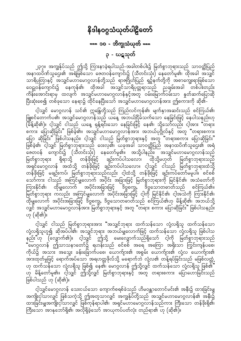### နိဒါန၀ဂွသံယုတ်ပါဠိတော် === ၁၀ - ဘိက္ခုသံယုတ် === ၃ - ဃဋသုတ်

၂၃၇။ အကျွန်ုပ်သည် ဤသို့ ကြားနာခဲ့ရပါသည်-အခါတစ်ပါး၌ မြတ်စွာဘုရားသည် သာဝတ္ထိပြည် အနာထပိဏ်သူဌေး၏ အရံဖြစ်သော ဇေတဝန်ကျောင်း၌ (သီတင်းသုံး) နေတော်မူ၏၊ ထိုအခါ အသျှင် သာရိပုတြာနှင့် အသျှင်မဟာမောဂ္ဂလာန်တို့သည် ရာဇဂြိုဟ်ပြည် ရှဉ့်နက်တို့ကို အစာကျွေးရာဖြစ်သော ဝေဠုဝန်ကျောင်း၌ နေကုန်၏၊ ထိုအခါ အသျှင်သာရိပုတ္တရာသည် ညချမ်းအခါ တစ်ပါးတည်း ကိန်းအောင်းရာမှ ထလျက် အသျှင်မဟာမောဂ္ဂလာန်နှင့်အတူ ဝမ်းမြောက်ဝမ်းသာ နူတ်ဆက်ပြောဆို ပြီးဆုံးစေ၍ တစ်ခုသော နေရာ၌ ထိုင်နေပြီးသော် အသျှင်မဟာမောဂ္ဂလာန်အား ဤစကားကို ဆို၏-

င့ါ့သျှင် မောဂ္ဂလာန် သင်၏ ဣန္ဒြေတို့သည် ကြည်လင်ကုန်၏၊ မျက်နှာအဆင်းသည် စင်ကြယ်၏၊ .<br>ဖြူစင်တောက်ပ၏၊ အသျှင်မောဂ္ဂလာန်သည် ယနေ့ အဘယ်ငြိမ်သက်သော နေခြင်းဖြင့် နေပါသနည်းဟု .<br>(မိန့်ဆို၏)။ ငါ့သျှင် ငါသည် ယနေ့ ရုန့်ရင်းသော နေခြင်းဖြင့် နေ၏၊ သို့သော်လည်း ငါ့အား "တရား ့<br>စကား ပြောဆိုခြင်း" ဖြစ်ခဲ့၏။ အသျှင်မဟာမောဂ္ဂလာန်အား အဘယ်ပုဂ္ဂိုလ်နှင့် အတူ "တရားစကား ပြော ဆိုခြင်း" ဖြစ်ပါသနည်း၊ ငါ့သျှင် ငါသည် မြတ်စွာဘုရားနှင့် အတူ "တရားစကား ပြောဆိုခြင်း"<br>ဖြစ်ခဲ့၏၊ ငါ့သျှင် မြတ်စွာဘုရားသည် ဝေးလှ၏၊ ယခုအခါ သာဝတ္ထိပြည် အနာထပိဏ်သူဌေး၏ အရံ<br>ဇေတဝန် ကျောင်း၌ (သီတင်းသုံး) နေတော်မူ၏။ အသို့ပါနည် မြတ်စွာဘုရား ရှိရာသို့ တန်ခိုးဖြင့် ချဉ်းကပ်ပါသလော၊ ထိုသို့မဟုတ် မြတ်စွာဘုရားသည် တန်ခိုးဖြင့် မချဉ်းကပ်၊ မြတ်စွာဘုရားသည်လည်း ငါ့ထံသို့ တန်ခိုးဖြင့် ချဉ်းကပ်တော်မမူပါ။ စင်စစ် သော်ကား ငါသည် အကြင်မျှလောက် အပိုင်း အခြားဖြင့် မြတ်စွာဘုရားကို မြင်နိုင်၏၊ အသံတော်ကို ့<br>ထိုမျှလောက် အပိုင်းအခြားဖြင့် <sup>ဒိ</sup>ဗ္ဗစက္ခု, ဒိဗ္ဗသောတဓာတ်သည် စင်ကြယ်၏။ ကြားနိုင်၏၊ .<br>မြတ်စွာဘုရား ကလည်း အကြင်မျှလောက် အပိုင်းအခြားဖြင့် ငါ့ကို မြင်နိုင်၏၊ ငါ့အသံကို ကြားနိုင်၏၊ ထိုမျှလောက် အပိုင်းအခြားဖြင့် ဒိဗ္ဗစက္ခု, ဒိဗ္ဗသောတဓာတ်သည် စင်ကြယ်၏ဟု မိန့်ဆို၏၊ အဘယ်သို့ လျှင် အသျှင်မဟာမောဂ္ဂလာန်အား မြတ်စွာဘုရားနှင့် အတူ "တရား စကား ပြောဆိုခြင်း" ဖြစ်ပါသနည်း ဟု (ဆို၏)။

င့ါ့သျှင် ငါသည် မြတ်စွာဘုရားအား "အသျှင်ဘုရား ထက်သန်သော လုံ့လရှိသူ ထက်သန်သော လုံ့လရှိသူဟူ၍ ဆိုအပ်ပါ၏၊ အသျှင်ဘုရား အဘယ်မျှလောက်ဖြင့် ထက်သန်သော လုံ့လရှိသူ ဖြစ်ပါသ နည်း"ဟု (လျှောက်၏)။ ငါ့သျှင် ဤသို့ မေးလျှောက်သည်ရှိသော် ငါ့ကို မြတ်စွာဘုရားသည် "မောဂ္ဂလာန် ဤသာသနာတော်၌ ရဟန်းသည် စင်စစ် အရေ အကြော အရိုးသာ ကြွင်းကျန်ပစေ၊ ကိုယ်၌ အသား အသွေး ခန်းခြောက်ပစေ၊ ယောက်ျား၏ အစွမ်း ယောက်ျား၏ လုံ့လ<sup>ြ</sup>ယောက်ျား၏ အားထုတ်မှုဖြင့် ရောက်အပ်သော အရဟတ္တဖိုလ်သို့ မရောက်ဘဲ လှုံ့လ၏ တန့်ရပ်ခြင်းသည် မဖြစ်လတ္တံ့ ဟု ထက်သန်သော လုံ့လရှိသူ ဖြစ်၍ နေ၏၊ မောဂ္ဂလာန် ဤသို့လျှင် ထက်သန်သော လုံ့လရှိသူ ဖြစ်၏" ဟု မိန့်တော်မူ၏။ ငါ့သျှင် ဤသို့လျှင် မြတ်စွာဘုရားနှင့် အတူ တရားစကား ပြောဟောခြင်းသည် ဖြစ်ပါသည် ဟု (ဆို၏)။

င့ါသျှင်မောဂ္ဂလာန် သေးငယ်သော ကျောက်စရစ်ခဲသည် ဟိမဝန္တာတောင်မင်း၏ အနီး၌ ထားခြင်းမျှ အကျိုးငှါသာလျှင် ဖြစ်သကဲ့သို့ ဤအတူသာလျှင် အကျွန်ုပ်တို့သည် အသျှင်မဟာမောဂ္ဂလာန်၏ အနီး၌ ထားခြင်းမျှအကျိုးငှါ်သာလျှင် ဖြစ်ကုန်ရာပါ၏၊ အရှင်မဟာမောဂ္ဂလာန်သည်ကား ကြီးသော တန်ခိုးရှိ၏၊ ကြီးသော အာနုဘော်ရှိ၏၊ အလိုရှိခဲ့သော် အာယုကပ်ပတ်လုံး တည်ရာ၏ ဟု (ဆို၏)။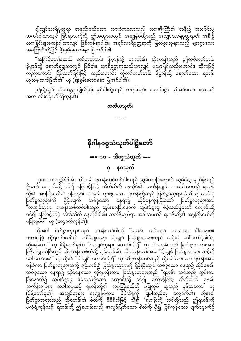င့ါသျှင်သာရိပုတ္တရာ အနည်းငယ်သော ဆားခဲကလေးသည် ဆားအိုးကြီး၏ အနီး၌ ထားခြင်းမျှ .<br>အကျိုးငှါသာလျှင် ဖြစ်ရာသကဲ့သို့ ဤအတူသာလျှင် အကျွန်ုပ်တို့သည် အသျှင်သာရိပုတ္တရာ၏ အနီး၌ ထားခြင်းမျှအကျိုးငှါသာလျှင် ဖြစ်ကုန်ရာပါ၏၊ အရှင်သာရိပုတ္တရာကို မြတ်စွာဘုရားသည် များစွာသော အကြောင်းတို့ဖြင့် ချီးမွမ်းထောမနာ ပြုအပ်ပါ၏-

"အကြင်ရဟန်းသည် တစ်ဘက်ကမ်း နိဗ္ဗာန်သို့ ရောက်၏၊ ထိုရဟန်းသည် ဤတစ်ဘက်ကမ်း နိဗ္ဗာန်သို့ ရောက်ရုံမျှသာလျှင် ဖြစ်၏။ သာရိပုတ္တရာသည်သာလျှင် ပညာဖြင့်လည်းကောင်း၊ သီလဖြင့် ှ<br>လည်းကောင်း၊ ငြိမ်သက်ခြင်းဖြင့် လည်းကောင်း ထိုတစ်ဘက်ကမ်း နိဗ္ဗာန်သို့ ရောက်သော ရဟန်း ဟူသမျှထက်မြတ်၏" ဟု (ချီးမွန်းထောမနာ ပြုအပ်ပါ၏)။

ဤသို့လျှင် ထိုရဟန္တာပုဂ္ဂိုလ်ကြီး နှစ်ပါးတို့သည် အချင်းချင်း ကောင်းစွာ ဆိုအပ်သော စကားကို အတူ ဝမ်းမြောက်ကြကုန်၏။

တတိယသုတ်။

#### နိဒါန၀ဂွသံယုတ်ပါဠိတော်

#### === ၁၀ - ဘိက္ခုသံယုတ် ===

#### ၄ - နဝသုတ်

၂၃၈။ သာဝတ္ထိနိဒါန်း။ ထိုအခါ ရဟန်းသစ်တစ်ပါးသည် ဆွမ်းစားပြီးနောက် ဆွမ်းခံရွာမှ ဖဲခဲ့သည် ရှိသော် ကျောင်းသို့ ဝင်၍ ကြောင့်ကြမဲ့ ဆိတ်ဆိတ် နေထိုင်၏၊ သင်္ကန်းချုပ်ရာ အခါသမယ၌ ရဟန်း ာ<br>တို့၏ အမှုကြီးငယ်ကို မပြုလုပ်၊ ထိုအခါ များစွာသော ရဟန်းတို့သည် မြတ်စွာဘုရားထံသို့ ချဉ်းကပ်၍ ု့<br>မြတ်စွာဘုရားကို ရှိခိုးလျက် တစ်ခုသော နေရာ၌ ထိုင်နေကုန်ပြီးသော် မြတ်စွာဘုရားအား ှ<br>'အသျှင်ဘုရား ရဟန်းသစ်တစ်ပါးသည် ဆွမ်းစားပြီးနောက် ဆွမ်းခံရွာမှ ဖဲခဲ့သည်ရှိသော် ကျောင်းသို့ ဝင်၍ ကြောင့်ကြမဲ့ ဆိတ်ဆိတ် နေထိုင်ပါ၏၊ သင်္ကန်းချုပ်ရာ အခါသမယ၌ ရဟန်းတို့၏ အမှုကြီးငယ်ကို .<br>မပြုလုပ်ပါ" ဟု (လျှောက်ကုန်၏)။

ထိုအခါ မြတ်စွာဘုရားသည် ရဟန်းတစ်ပါးကို "ရဟန်း သင်သည် လာလော့၊ ငါဘုရား၏ စကားဖြင့် ထိုရဟန်းသစ်ကို ခေါ်ချေလော့၊ 'ငါ့သျှင် မြတ်စွာဘုရားသည် သင့်ကို ခေါ်တော်မူ၏'ဟု<br>ဆိုချေလော့" ဟု မိန့်တော်မူ၏။ "အသျှင်ဘုရား ကောင်းပါပြီ" ဟု ထိုရဟန်းသည် မြတ်စွာဘုရားအား ပြန်လျှောက်ပြီးလျှင် ထိုရဟန်းသစ်ထံသို့ ချဉ်းကပ်၏။ ထိုရဟန်းသစ်အား "ငါ့သျှင် မြတ်စွာဘုရား သင့်ကို မြောင်း<br>ခေါ် တော်မူ၏" ဟု ဆို၏၊ "ငါ့သျှင် ကောင်းပါပြီ" ဟု ထိုရဟန်းသစ်သည် ထိုခေါ် လာသော ရဟန်းအား ဝန်ခံကာ မြတ်စွာဘုရားထံသို့ ချဉ်းကပ်၍ မြတ်စွာဘုရားကို ရှိခိုးပြီးလျှင် တစ်ခုသော နေရာ၌ ထိုင်နေ၏၊ တစ်ခုသော နေရာ၌ ထိုင်နေသော ထိုရဟန်းအား မြတ်စွာဘုရားသည် "ရဟန်း သင်သည် ဆွမ်းစား ပြီးနောက်၌ ဆွမ်းခံရွာမှ ဖဲခဲ့သည်ရှိသော် ကျောင်းသို့ ဝင်၍ ကြောင့်ကြမဲ့ ဆိတ်ဆိတ် နေ၏၊ ပြ ၊<br>သင်္ကန်းချုပ်ရာ အခါသမယ၌ ရဟန်းတို့၏ အမှုကြီးငယ်ကို မပြုလုပ် ဟူသည် မှန်သလော" ဟု ာကောကျားများ သားလာတာများ များနားများ အေျပာတာကို တျိုးနား များတည်း နောက်တာကို ပြုပါ<br>(မိန့်တော်မူ၏)၊ အသျှင်ဘုရား အကျွန်ုပ်ကား မိမိကိစ္စကို ပြုပါသည်ဟု လျှောက်၏။ ထိုအခါ<br>မြတ်စွာဘုရားသည် ထိုရဟန်း၏ စိတ်ကို မိမိစိတ်ဖြင့် သိ၍ "ရဟန .<br>မကဲ့ရဲ့ကုန်လင့်၊ ရဟန်းတို့ ဤရဟန်းသည် အလွန်မြတ်သော စိတ်ကို မှီ၍ ဖြစ်ကုန်သော မျက်မှောက်၌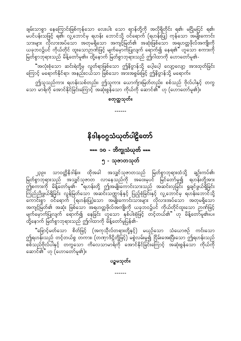ချမ်းသာစွာ နေကြောင်းဖြစ်ကုန်သော လေးပါး သော ဈာန်တို့ကို အလိုရှိတိုင်း ရ၏၊ မငြိုမငြင် ရ၏၊ ိုပင်ပန်းသဖြင့် ရ၏၊ လူ့ဘောင်မှ ရဟန်း ဘောင်သို့ ဝင်ရောက် (ရဟန်းပြု) ကုန်သော အမျိုးကောင်း သားများ လိုလားအပ်သော အတုမရှိသော အကျင့်မြတ်၏ အဆုံးဖြစ်သော အရဟတ္တဖိုလ်အကျိုးကို ယခုဘဝ၌ပင် ကိုယ်တိုင် ထူးသောဉာဏ်ဖြင့် မျက်မှောက်ပြုလျက် ရောက်၍ နေရ၏" ဟူသော စကားကို .<br>မြတ်စွာဘုရားသည် မိန့်တော်မူ၏။ ထို့နောက် မြတ်စွာဘုရားသည် ဤဂါထာကို ဟောတော်မူ၏-

"အလုံးစုံသော ဆင်းရဲတို့မှ လွတ်ရာဖြစ်သော ဤနိဗ္ဗာန်သို့ ပေါ့ပေ့ါ လျော့လျော့ အားထုတ်ခြင်း ကြောင့် မရောက်နိုင်ရာ၊ အနည်းငယ်သာ ဖြစ်သော အားအစွမ်းဖြင့် ဤနိဗ္ဗာန်သို့ မရောက်။

ဤသူသည်ကား ရဟန်းသစ်တည်း၊ ဤသူကား ယောက်ျားမြတ်တည်း၊ စစ်သည် ဗိုလ်ပါနှင့် တကွ<br>သော မာရ်ကို အောင်နိုင်ခြင်းကြောင့် အဆုံးစွန်သော ကိုယ်ကို ဆောင်၏" ဟု (ဟောတော်မူ၏)။

စတုတ္ထသုတ်။

နိဒါနဝဂွသံယုတ်ပါဠိတော် === ၁၀ - ဘိက္ခုသံယုတ် === ၅ - သုဇာတသုတ်

၂၃၉။ သာဝတ္ထိနိဒါန်း။ ထိုအခါ အသျှင်သုဇာတသည် မြတ်စွာဘုရားထံသို့ ချဉ်းကပ်၏၊ မြတ်စွာဘုရားသည် အသျှင်သုဇာတ လာနေသည်ကို အဝေးမှပင် မြင်တော်မူ၍ ရဟန်းတို့အား အကျင့်မြတ်၏ အဆုံး ဖြစ်သော အရဟတ္တဖိုလ်အကျိုးကို ယခုဘဝ၌ပင် ကိုယ်တိုင်ထူးသော ဉာဏ်ဖြင့် မျက်မှောက်ပြုလျက် ရောက်၍ နေခြင်း ဟူသော နှစ်ပါးစုံဖြင့် တင့်တယ်၏"်ဟု<sup>်</sup> မိန့်တော်မူ၏။ပ။ ထို့နောက် မြတ်စွာဘုရားသည် ဤဂါထာကို မိန့်တော်မူပြန်၏-

<mark>"</mark>ဖြောင့်မတ်သော စိတ်ဖြင့် (အကုသိုလ်တရားတို့နှင့်) မယှဉ်သော သံယောဇဉ် ကင်းသော ဤရဟန်းသည် တင့်တယ်စွ တကား၊ (တဏှာဒိဋ္ဌိတို့ဖြင့်) မစွဲလမ်းမူ၍ ငြိမ်းအေးပြီးသော ဤရဟန်းသည်<br>စစ်သည်ဗိုလ်ပါနှင့် တကွသော ကိလေသာမာရ်ကို အောင်နိုင်ခြင်းကြောင့် အဆုံးစွန်သော ကိုယ်ကို ဆောင်၏" ဟု (ဟောတော်မူ၏)။

ပဥ္စမသုတ်။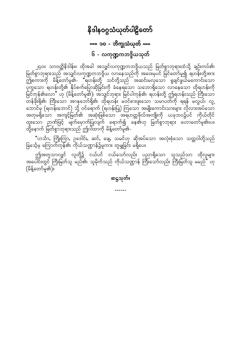# နိဒါနဝဂ္ဂသံယုတ်ပါဠိတော် === ၁၀ - ဘိက္ခုသံယုတ် === ၆ - လကုဏ္ဍကဘ8္ဒိယသုတ်

၂၄၀။ သာဝတ္ထိနိဒါန်း။ ထိုအခါ အသျှင်လကုဏ္ဍကဘဒ္ဒိယသည် မြတ်စွာဘုရားထံသို့ ချဉ်းကပ်၏၊ မြတ်စွာဘုရားသည် အသျှင်လကုဏ္ဍကဘဒ္ဒိယ လာနေသည်ကို အဝေးမှပင် မြင်တော်မူ၍ ရဟန်းတို့အား ပ<br>ဤစကားကို မိန့်တော်မူ၏- "ရဟန်းတို့ သင်တို့သည် အဆင်းမလှသော ရူချင်ဖွယ်မကောင်းသော \_\_\_<br>ပုကွသော ရဟန်းတို့၏ နှိပ်စက်ပြောဆိုခြင်းကို ခံနေရသော သဘောရှိသော လာနေသော ထိုရဟန်းကို .<br>မြင်ကုန်၏လော" ဟု (မိန့်တော်မူ၏)၊ အသျှင်ဘုရား မြင်ပါကုန်၏၊ ရဟန်းတို့ ဤရဟန်းသည် ကြီးသော ပြ နိခိုးရှိ၏၊ ကြီးသော အာနုဘော်ရှိ၏၊ ထိုရဟန်း မဝင်စားဖူးသော သမာပတ်ကို ရရန် မလွယ်၊ လူ့ ဘောင်မှ (ရဟန်းဘောင်) သို့ ဝင်ရောက် (ရဟန်းပြု) ကြသော အမျိုးကောင်းသားများ လိုလားအပ်သော အတုမရှိသော အကျင့်မြတ်၏ အဆုံးဖြစ်သော အရဟတ္တဖိုလ်အကျိုးကို ယခုဘဝ၌ပင် ကိုယ်တိုင် .<br>ထို့နောက် မြတ်စွာဘုရားသည် ဤဂါထာကို မိန့်တော်မူ၏-

"ဟင်္သာ, ကြိုးကြာ, ဉဒေါင်း, ဆင်, ချေ, သမင်ဟု ဆိုအပ်သော အလုံးစုံသော သတ္တဝါတို့သည် 

ဤအတူသာလျှင် လူတို့၌ ငယ်ပင် ငယ်သော်လည်း ပညာရှိသော သူသည်သာ ထိုလူများ<br>အပေါင်းတွင် ကြီးမြတ်သူ မည်၏၊ သူမိုက်သည် ကိုယ်သဏ္ဌာန် ကြီးသော်လည်း ကြီးမြတ်သူ မမည်<sup>"</sup> ဟု (မိန့်တော်မှု၏)။

ဆဋ္ဌသုတ်။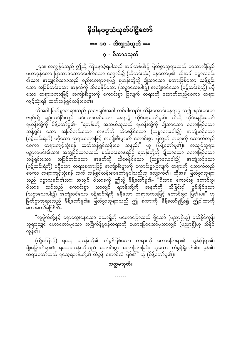## နိဒါနဝဂ္ဂသံယုတ်ပါဠိတော် === ၁၀ - ဘိက္ခုသံယုတ် === ၇ - ၀ိသာခသုတ်

၂၄၁။ အကျွန်ုပ်သည် ဤသို့ ကြားနာခဲ့ရပါသည်-အခါတစ်ပါး၌ မြတ်စွာဘုရားသည် ဝေသာလီပြည် မဟာဝုန်တော ပြာသာဒ်ဆောင်ပေါက်သော ကျောင်း၌ (သီတင်းသုံး) နေတော်မူ၏၊ ထိုအခါ ပဉ္စာလမင်း ၏သား အသျှင်ဝိသာခသည် စည်းဝေးရာဇရပ်၌ ရဟန်းတို့ကို ချိညာသော စကားဖြစ်သော သန့်ရှင်း သော အပြစ်ကင်းသော အနက်ကို သိစေနိုင်သော (သစ္စာလေးပါး၌) အကျုံးဝင်သော (ဝဋ်ဆင်းရဲကို) မမှီ သော တရားစကားဖြင့် အကျိုးစီးပွားကို ကောင်းစွာ ပြလျက် တရားကို ဆောက်တည်စေကာ တရား .<br>ကျင့်သုံးရန် ထက်သန့်ရွှင်လန်းစေ၏။

ထိုအခါ မြတ်စွာဘုရားသည် ညနေချမ်းအခါ တစ်ပါးတည်း ကိန်းအောင်းနေရာမှ ထ၍ စည်းဝေးရာ ဇရပ်သို့ ချဉ်းကပ်ပြီးလျှင် ခင်းထားအပ်သော နေရာ၌ ထိုင်နေတော်မူ၏၊ ထိုသို့ ထိုင်နေပြီးသော် ရဟန်းတို့ကို မိန့်တော်မူ၏- "ရဟန်းတို့ အဘယ်သူသည် ရဟန်းတို့ကို ချိုသာသော စကားဖြစ်သော (ဝဋ်ဆင်းရဲကို) မမှီသော တရားစကားဖြင့် အကျိုးစီးပွားကို ကောင်းစွာ ပြလျက် တရားကို ဆောက်တည် ຸ<br>စေကာ တရားကျင့်သုံးရန် ထက်သန့်ရွှင်လန်းစေ သနည်း" ဟု (မိန့်တော်မူ၏)။ အသျှင်ဘုရား ပဉ္စာလမင်း၏သား အသျှင်ဝိသာခသည် စည်းဝေးရာဇရပ်၌ ရဟန်းတို့ကို ချိုသာသော စကားဖြစ်သော သန့်ရှင်းသော အပြစ်ကင်းသော အနက်ကို သိစေနိုင်သော (သစ္စာလေးပါး၌) အကျုံးဝင်သော (ဝဋ်ဆင်းရဲကို) မမှီသော တရားစကားဖြင့် အကျိုးစီးပွားကို ကောင်းစွာပြလျက် တရားကို ဆောက်တည် .<br>စေကာ တရားကျင့်သုံးရန် ထက် သန်ရွှင်လန်းစေတော်မူပါသည်ဟု လျှောက်၏။ ထိုအခါ မြတ်စွာဘုရား သည် ပဉ္စာလမင်း၏သား အသျှင် ဝိသာခကို ဤသို့ မိန့်တော်မူ၏- "ဝိသာခ ကောင်းစွ ကောင်းစွ၊<br>ဝ .<br>ဝိသာခ သင်သည် ကောင်းစွာ သာလျှင် ရဟန်းတို့ကို အနက်ကို သိခြင်းငှါ စွမ်းနိုင်သော (သစ္စာလေးပါး၌) အကျုံးဝင်သော ဝဋ်ဆင်းရဲကို မမှီသော တရားစကားဖြင့် ကောင်းစွာ ပြ၏။ပ။" ဟု .<br>မြတ်စွာဘုရားသည် မိန့်တော်မူ၏။ မြတ်စွာဘုရားသည် ဤ စကားကို မိန့်တော်မူပြီး၍ ဤဂါထာကို မ<br>ဟောတော်မူပြန်၏-

"လူမိုက်တို့နှင့် ရောထွေးနေသော ပညာရှိကို မဟောပြောသည် ရှိသော် (ပညာရှိဟု) မသိနိုင်ကုန်၊ ဘုရားသျှင် ဟောတော်မူသော အမြိုက်နိဗ္ဗာန်တရားကို ဟောပြောသော်မှသာလျှင် (ပညာရှိ)ဟု သိနိုင် ကုန်၏။

(ထို့ကြောင့်) ရသေ့ ရဟန်းတို့၏ တံခွန်ဖြစ်သော တရားကို ဟောပြောရာ၏၊ ထွန်းပြရာ၏၊ ချီးမြှောက်ရာ၏၊ ရသေ့ရဟန်းတို့သည် ကောင်းစွာ ဟောကြားခြင်း ဟူသော တံခွန်ရှိကုန်၏။ မှန်၏၊ တရားတော်သည် ရသေ့ရဟန်းတို့၏ တံခွန် အောင်လံ ဖြစ်၏" ဟု (မိန့်တော်မူ၏)။

သတ္တမသုတ်။

 $\frac{1}{2}$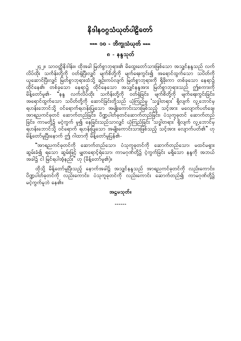#### နိဒါနဝဂ္ဂသံယုတ်ပါဠိတော် === ၁၀ - ဘိက္ခုသံယုတ် === ၈ - နန္ဒသုတ်

၂၄၂။ သာဝတ္ထိနိဒါန်း။ ထိုအခါ မြတ်စွာဘုရား၏ မိထွေးတော်သားဖြစ်သော အသျှင်နန္ဒသည် လက် လိပ်ထိုး သင်္ကန်းတို့ကို ဝတ်ရုံပြီးလျှင် မျက်စိတို့ကို မျက်ရေးကွင်း၍ အရောင်ထွက်သော သပိတ်ကို ဲ့ ေတာင္း သမား အေျပာ မွာ ေတာင္း ေတာင္း ေတာင္း<br>ယူဆောင်ပြီးလျှင် မြတ်စွာဘုရားထံသို့ ချဉ်းကပ်လျက် မြတ်စွာဘုရားကို ရှိခိုးကာ တစ်ခုသော နေရာ၌ ထိုင်နေ၏၊ တစ်ခုသော နေရာ၌ ထိုင်နေသော အသျှင်နန္ဒအား မြတ်စွာဘုရားသည် ဤစကားကို မိန့်တော်မူ၏- "နန္ဒ လက်လိပ်ထိုး သင်္ကန်းတို့ကို ဝတ်ရုံခြင်း၊ မျက်စိတို့ကို မျက်ရေးကွင်းခြင်း၊ အရောင်ထွက်သော သပိတ်တို့ကို ဆောင်ခြင်းတို့သည် ယုံကြည်မှု 'သဒ္ဓါတရား' ရှိလျက် လူ့ဘောင်မှ ရဟန်းဘောင်သို့ ဝင်ရောက်ရဟန်းပြုသော အမျိုးကောင်းသားဖြစ်သည့် သင့်အား မလျောက်ပတ်ချေ၊ .<br>အာရညကင်ဓုတင် ဆောက်တည်ခြင်း၊ ပိဏ္ဍပါတ်ဓုတင်ဆောက်တည်ခြင်း၊ ပံသုကူဓုတင် ဆောက်တည် ခြင်း၊ ကာမတို့၌ မငဲ့ကွက် မူ၍ နေခြင်းသည်သာလျှင် ယုံကြည်ခြင်း သဒ္ဓါတရား ရှိလျက် လူ့ဘောင်မှ )<br>ရဟန်းဘောင်သို့ ဝင်ရောက် ရဟန်းပြုသော အမျိုးကောင်းသားဖြစ်သည့် သင့်အား လျောက်ပတ်၏" ဟု မိန့်တော်မူပြီးနောက် ဤ ဂါထာကို မိန့်တော်မူပြန်၏-

**"**အာရညကင်ဓုတင်ကို ဆောက်တည်သော၊ ပံသုကူဓုတင်ကို ဆောက်တည်သော၊ မထင်မရှ<mark>ား</mark> ဆွမ်းခံ၍ ရသော ဆွမ်းဖြင့် မျှတရောင့်ရဲသော၊ ကာမဂုဏ်တို့၌ ငဲ့ကွက်ခြင်း မရှိသော နန္ဒကို အဘယ် အခါ၌ ငါ မြင်ရပါအံ့နည်း" ဟု (မိန့်တော်မူ၏)။

ထိုသို့ မိန့်တော်မူပြီးသည့် နောက်အခါ၌ အသျှင်နန္ဒသည် အာရညကင်ဓုတင်ကို လည်းကောင်း၊ ပိဏ္ဍပါတ်ဓုတင်ကို လည်းကောင်း၊ ပံသုကူဓုတင်ကို လည်းကောင်း ဆောက်တည်၍ ကာမဂုဏ်တို့၌ မင့်ကွက်မူဘဲ နေ၏။

အဋ္ဌမသုတ်။

 $- - - - - -$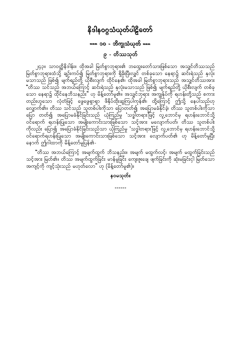#### နိဒါနဝဂ္ဂသံယုတ်ပါဠိတော် === ၁၀ - ဘိက္ခုသံယုတ် === ၉ - တိဿသုတ်

၂၄၃။ သာဝတ္ထိနိဒါန်း။ ထိုအခါ မြတ်စွာဘုရား၏ ဘထွေးတော်သားဖြစ်သော အသျှင်တိဿသည် မြတ်စွာဘုရားထံသို့ ချဉ်းကပ်၍ မြတ်စွာဘုရားကို ရှိခိုးပြီးလျှင် တစ်ခုသော နေရာ၌ ဆင်းရဲသည် နှလုံး "တိဿ သင်သည် အဘယ်ကြောင့် ဆင်းရဲသည် နှလုံးမသာသည် ဖြစ်၍ မျက်ရည်တို့ ယိုစီးလျက် တစ်ခု သော နေရာ၌ ထိုင်နေဘိသနည်း" ဟု မိန့်တော်မူ၏။ အသျှင်ဘုရား အကျွန်ုပ်ကို ရဟန်းတို့သည် စကား တည်းဟူသော လှံတံဖြင့် ဖွေဖွေရှာရှာ ဖိနှိပ်ထိုးဆွကြပါကုန်၏၊ ထို့ကြောင့် ဤသို့ နေပါသည်ဟု လျှောက်၏။ တိဿ သင်သည် သူတစ်ပါးကိုသာ ပြောတတ်၍ အပြောမခံနိုင်ခဲ့၊ တိဿ သူတစ်ပါးကိုသာ ပြော တတ်၍ အပြောမခံနိုင်ခြင်းသည် ယုံကြည်မှု 'သဒ္ဓါတရားဖြင့် လူ့ဘောင်မှ ရဟန်းဘောင်သို့ ဝင်ရောက် ရဟန်းပြုသော အမျိုးကောင်းသားဖြစ်သော သင့်အား မလျောက်ပတ်၊ တိဿ သူတစ်ပါး ကိုလည်း ပြော၍ အပြောခံနိုင်ခြင်းသည်သာ ယုံကြည်မှု 'သဒ္ဓါတရား'ဖြင့် လူ့ဘောင်မှ ရဟန်းဘောင်သို့ ဝင်ရောက်ရဟန်းပြုသော အမျိုးကောင်းသားဖြစ်သော သင့်အား လျောက်ပတ်၏ ဟု မိန့်တော်မူပြီး နောက် ဤဂါထာကို မိန့်တော်မူပြန်၏-

"တိဿ အဘယ်ကြောင့် အမျက်ထွက် ဘိသနည်း။ အမျက် မထွက်လင့်၊ အမျက် မထွက်ခြင်းသည် သင့်အား မြတ်၏။ တိဿ အမျက်ထွက်ခြင်း မာန်မူခြင်း ကျေးဇူးချေ ဖျက်ခြင်းကို ဆုံးမခြင်းငှါ မြတ်သော .<br>အကျင့်ကို ကျင့်သုံးသည် မဟုတ်လော" ဟု (မိန့်တော်မူ၏)။

နဝမသုတ်။

 $- - - - - -$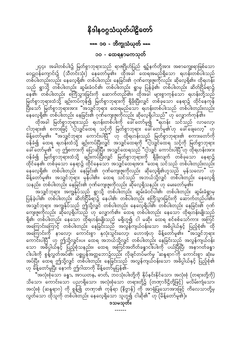## နိဒါန၀ဂ္ဂသံယုတ်ပါဠိတော် === ၁၀ - ဘိက္ခုသံယုတ် === ၁၀ - ထေရနာမကသုတ်

၂၄၄။ အခါတစ်ပါး၌ မြတ်စွာဘုရားသည် ရာဇဂြိုဟ်ပြည် ရှဉ့်နက်တို့အား အစာကျွေးရာဖြစ်သော ဝေဠုဝန်ကျောင်း၌ (သီတင်းသုံး) နေတော်မူ၏။ ထိုအခါ ထေရအမည်ရှိသော ရဟန်းတစ်ပါးသည် တစ်ပါးတည်းလည်း နေလေ့ရှိ၏၊ တစ်ပါးတည်း နေခြင်း၏ ဂုဏ်ကျေးဇူးကိုလည်း ဆိုလေ့ရှိ၏။ ထိုရဟန်း သည် ရွာသို့ တစ်ပါးတည်း ဆွမ်းခံဝင်၏၊ တစ်ပါးတည်း ရွာမှ ပြန်ခဲ့၏၊ တစ်ပါးတည်း ဆိတ်ငြိမ်ရာ၌ နေ့၏၊ တစ်ပါးတည်း စင်္ကြံသွားခြင်းကို ဆောက်တည်၏။ ထိုအခါ များစွာကုန်သော ရဟန်းတို့သည် မြတ်စွာဘုရားထံသို့ ချဉ်းကပ်ကုန်၍ မြတ်စွာဘုရားကို ရှိခိုးပြီးလျှင် တစ်ခုသော နေရာ၌ ထိုင်နေကုန် ပြီးသော် မြတ်စွာဘုရားအား "အသျှင်ဘုရား ထေရမည်သော ရဟန်းတစ်ပါးသည် တစ်ပါးတည်းလည်း -<br>နေလေ့ရှိ၏၊ တစ်ပါးတည်း နေခြင်း၏ ဂုဏ်ကျေးဇူးကိုလည်း ဆိုလေ့ရှိပါသည်" ဟု လျှောက်ကုန်၏။

ထိုအခါ မြတ်စွာဘုရားသည် ရဟန်းတစ်ပါးကို ခေါ်တော်မူ၍ "ရဟန်း သင်သည် လာလော့၊ ငါဘုရား၏ စကားဖြင့် 'ငါ့သျှင်ထေရ သင့်ကို မြတ်စွာဘုရား ခေါ် တော်မူ၏'ဟု ခေါ်ချေလော့" ဟု ု့<br>မိန့်တော်မူ၏။ "အသျှင်ဘုရား ကောင်းပါပြီ" ဟု ထိုရဟန်းသည် မြတ်စွာဘုရား၏ စကားတော်ကို ဝန်ခံ၍ မြတ်စွာဘုရားထံသို့ ချဉ်းကပ်ပြီးလျှင် မြတ်စွာဘုရားကို ရှိခိုးလျက် တစ်ခုသော နေရာ၌ ထိုင်နေ၏၊ တစ်ခုသော နေရာ၌ ထိုင်နေသော အသျှင်ထေရအား "ထေရ သင်သည် တစ်ပါးတည်းလည်း နေလေ့ရှိ၏၊ တစ်ပါးတည်း နေခြင်း၏ ဂုဏ်ကျေးဇူးကိုလည်း ဆိုလေ့ရှိ၏ဟူသည် မှန်သလော" ဟု မိန့်တော်မူ၏။ အသျှင်ဘုရား မှန်ပါ၏။ ထေရ သင်သည် အဘယ်သို့လျှင် တစ်ပါးတည်း နေလေ့ရှိ သနည်း၊ တစ်ပါးတည်း နေခြင်း၏ ဂုဏ်ကျေးဇူးကိုလည်း ဆိုလေ့ရှိသနည်း ဟု မေးတော်မူ၏။

\_\_<br>အသျှင်ဘုရား အကျွန်ုပ်သည် ရွာသို့ တစ်ပါးတည်း ဆွမ်းခံဝင်ပါ၏၊ တစ်ပါးတည်း ဆွမ်းခံရွာမှ ပြန်ခဲ့ပါ၏၊ တစ်ပါးတည်း ဆိတ်ငြိမ်ရာ၌ နေပါ၏၊ တစ်ပါးတည်း စကြံသွားခြင်းကို ဆောက်တည်ပါ၏။ မြင်္<br>အသျှင်ဘုရား အကျွန်ုပ်သည် ဤသို့လျှင် တစ်ပါးတည်း နေလေ့ရှိပါ၏၊ တစ်ပါးတည်း နေခြင်း၏ ဂုဏ် ကျေးဇူးကိုလည်း ဆိုလေ့ရှိပါသည် ဟု လျှောက်၏။ ထေရ တစ်ပါးတည်း နေသော ထိုရဟန်းမျိုးသည် ရှိ၏၊ တစ်ပါးတည်း နေသော ထိုရဟန်းမျိုးသည် မရှိဟူ၍ ငါ မဆို။ ထေရ စင်စစ်သော်ကား အကြင်<br>အကြောင်းကြောင့် တစ်ပါးတည်း နေခြင်းသည် အလွန်ကျယ်ဝန်းသော အဓိပ္ပါယ်နှင့် ပြည့်စုံ၏၊ ထို အကြောင်းကို နာလော့၊ ကောင်းစွာ နှလုံးသွင်းလော့၊ ဟောအံ့ဟု မိန့်တော်မူ၏။ "အသျှင်ဘုရား ကောင်းပါပြီ" ဟု ဤသို့လျှင်။ပ။ ထေရ အဘယ်သို့လျှင် တစ်ပါးတည်း နေခြင်းသည် အလွန်ကျယ်ဝန်း သော အဓိပ္ပါယ်နှင့် ပြည့်စုံသနည်း။ ထေရ အကြင်အတိတ်ခန္ဓာငါးပါးကို ပယ်ပြီးပြီ၊ အနာဂတ်ခန္ဓာ ငါးပါးကို စွန့်လွှတ်အပ်၏၊ ပစ္စုပ္ပန်အတ္တဘော၌လည်း လိုချင်တပ်မက်မှု 'ဆန္ဒရာဂ'ကို ကောင်းစွာ ဆုံးမ အပ်ပြီ။ ထေရ ဤသို့လျှင် တစ်ပါးတည်း နေခြင်းသည် အလွန်ကျယ်ဝန်းသော အဓိပ္ပါယ်နှင့် ပြည့်စုံ၏ ဟု မိန့်တော်မူပြီး နောက် ဤဂါထာကို မိန့်တော်မူပြန်၏-

"အလုံးစုံသော ခန္ဓာ, အာယတန, ဓာတ်, ဘဝသုံးပါးတို့ကို နှိပ်နင်းနိုင်သော၊ အလုံးစုံ (တရားတို့ကို) သိသော၊ ကောင်းသော ပညာရှိသော၊ အလုံးစုံသော တရားတို့၌ (တဏှာဒိဋ္ဌိတို့ဖြင့်) မလိမ်းကျံသော၊ အလုံးစုံ (ဆန္ဒရာဂ) ကို စွန့်၍ တဏှာ၏ ကုန်ရာ (နိဗ္ဗာန်) ကို အာရုံပြုသောအားဖြင့် ကိလေသာတို့မှ လွတ်သော ထိုသူကို တစ်ပါးတည်း နေလေ့ရှိသော သူဟူ၍ ငါဆို၏" ဟု (မိန့်တော်မူ၏)။

ဒသမသုတ်။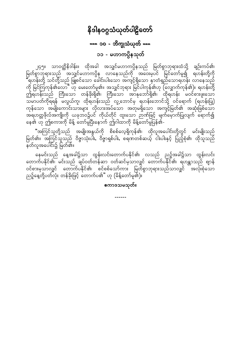### နိဒါနဝဂ္ဂသံယုတ်ပါဠိတော် === ၁၀ - ဘိက္ခုသံယုတ် === ၁၁ - မဟာကပ္ဂိနသုတ်

၂၄၅။ သာဝတ္ထိနိဒါန်း။ ထိုအခါ အသျှင်မဟာကပ္ပိနသည် မြတ်စွာဘုရားထံသို့ ချဉ်းကပ်၏၊ .<br>မြတ်စွာဘုရားသည် အသျှင်မဟာကပ္ပိန လာနေသည်ကို အဝေးမှပင် မြင်တော်မူ၍ ရဟန်းတို့ကို<br>"ရဟန်းတို့ သင်တို့သည် ဖြူစင်သော ခေါင်းပါးသော အကျင့်ရှိသော နှာတံရှည်သောရဟန်း လာနေသည် ကို မြင်ကြကုန်၏လော" ဟု မေးတော်မူ၏။ အသျှင်ဘုရား မြင်ပါကုန်၏ဟု (လျှောက်ကုန်၏)။ ရဟန်းတို့ \_\_\_\_\_\_\_\_\_\_\_\_\_\_\_<br>ဤရဟန်းသည် ကြီးသော တန်ခိုးရှိ၏၊ ကြီးသော အာနုဘော်ရှိ၏၊ ထိုရဟန်း မဝင်စားဖူးသော —<br>သမာပတ်ကိုရရန် မလွယ်ကူ၊ ထိုရဟန်းသည် လူ့ဘောင်မှ ရဟန်းဘောင်သို့ ဝင်ရောက် (ရဟန်းပြု) ကုန်သော အမျိုးကောင်းသားများ လိုလားအပ်သော အတုမရှိသော အကျင့်မြတ်၏ အဆုံးဖြစ်သော ွာ<br>အရဟတ္တဖိုလ်အကျိုးကို ယခုဘဝ၌ပင် ကိုယ်တိုင် ထူးသော ဉာဏ်ဖြင့် မျက်မှောက်ပြုလျက် ရောက်၍ နေ၏ ဟု ဤစကားကို မိန့် တော်မူပြီးနောက် ဤဂါထာကို မိန့်တော်မူပြန်၏-

"အကြင်သူတို့သည် အမျိုးအနွယ်ကို စိစစ်လေ့ရှိကုန်၏၊ ထိုလူအပေါင်းတို့တွင် မင်းမျိုးသည် မြတ်၏။ အကြင်သူသည် ဝိဇ္ဇာသုံးပါး, ဝိဇ္ဇာရှစ်ပါး, စရဏတစ်ဆယ့် ငါးပါးနှင့် ပြည့်စုံ၏၊ ထိုသူသည် ပ<br>နတ်လူအပေါင်း၌ မြတ်၏။

နေမင်းသည် နေ့အခါ၌သာ ထွန်းလင်းတောက်ပနိုင်၏၊ လသည် ညဉ့်အခါ၌သာ ထွန်းလင်း တောက်ပနိုင်၏၊ မင်းသည် ချပ်ဝတ်တန်ဆာ ဝတ်ဆင်မှသာလျှင် တောက်ပနိုင်၏၊ ရဟန္တာသည် ဈာန် ဝင်စားမှသာလျှင် တောက်ပနိုင်၏၊ စင်စစ်သော်ကား မြတ်စွာဘုရားသည်သာလျှင် အလုံးစုံသော ညဉ့်နေ့တို့ပတ်လုံး တန်ခိုးဖြင့် တောက်ပ၏" ဟု (မိန့်တော်မူ၏)။

ဧကာဒသမသုတ်။

 $- - - - - -$